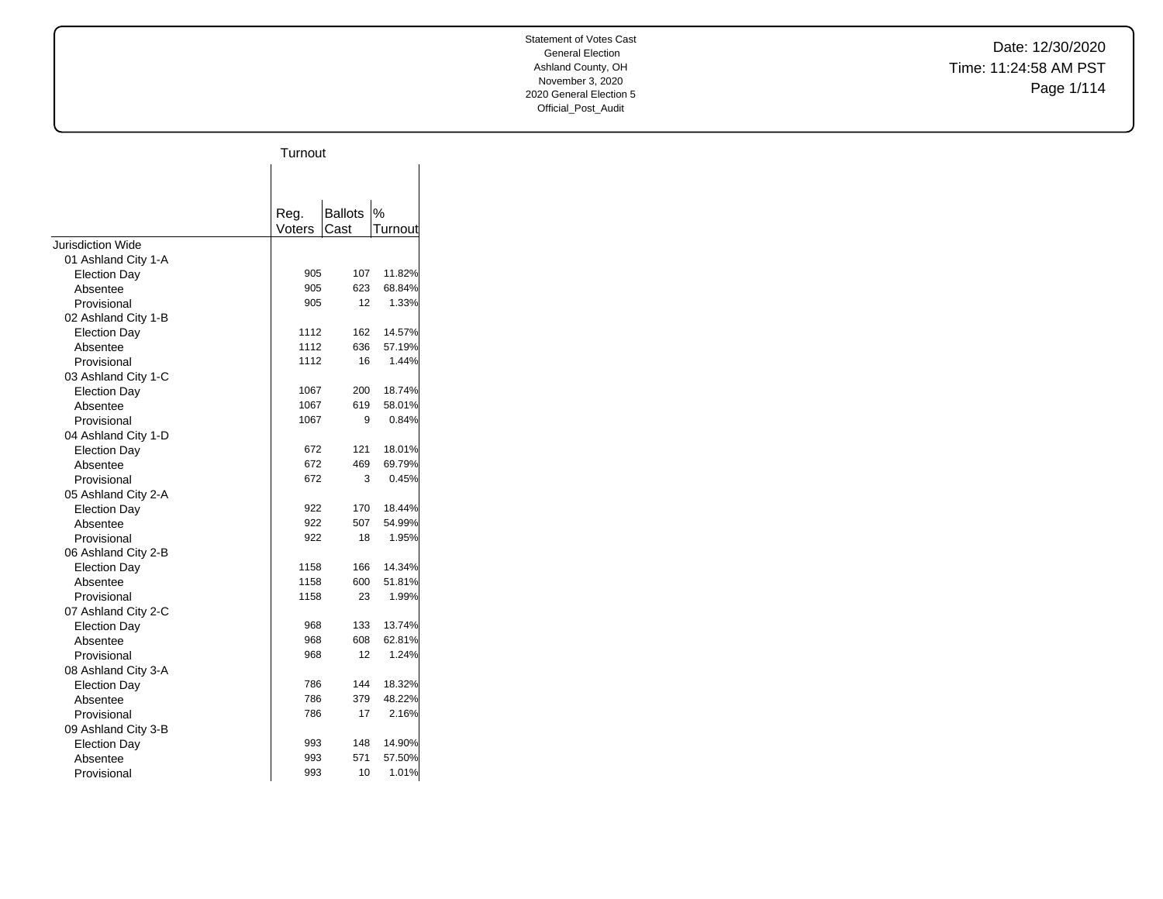Date: 12/30/2020 Time: 11:24:58 AM PST Page 1/114

|                     | Turnout |                |               |
|---------------------|---------|----------------|---------------|
|                     |         |                |               |
|                     |         |                |               |
|                     | Reg.    | <b>Ballots</b> | $\frac{0}{0}$ |
|                     | Voters  | Cast           | Turnout       |
| Jurisdiction Wide   |         |                |               |
| 01 Ashland City 1-A |         |                |               |
| <b>Election Day</b> | 905     | 107            | 11.82%        |
| Absentee            | 905     | 623            | 68.84%        |
| Provisional         | 905     | 12             | 1.33%         |
| 02 Ashland City 1-B |         |                |               |
| <b>Election Day</b> | 1112    | 162            | 14.57%        |
| Absentee            | 1112    | 636            | 57.19%        |
| Provisional         | 1112    | 16             | 1.44%         |
| 03 Ashland City 1-C |         |                |               |
| Election Day        | 1067    | 200            | 18.74%        |
| Absentee            | 1067    | 619            | 58.01%        |
| Provisional         | 1067    | 9              | 0.84%         |
| 04 Ashland City 1-D |         |                |               |
| <b>Election Day</b> | 672     | 121            | 18.01%        |
| Absentee            | 672     | 469            | 69.79%        |
| Provisional         | 672     | 3              | 0.45%         |
| 05 Ashland City 2-A |         |                |               |
| <b>Election Day</b> | 922     | 170            | 18.44%        |
| Absentee            | 922     | 507            | 54.99%        |
| Provisional         | 922     | 18             | 1.95%         |
| 06 Ashland City 2-B |         |                |               |
| <b>Election Day</b> | 1158    | 166            | 14.34%        |
| Absentee            | 1158    | 600            | 51.81%        |
| Provisional         | 1158    | 23             | 1.99%         |
| 07 Ashland City 2-C |         |                |               |
| <b>Election Day</b> | 968     | 133            | 13.74%        |
| Absentee            | 968     | 608            | 62.81%        |
| Provisional         | 968     | 12             | 1.24%         |
| 08 Ashland City 3-A |         |                |               |
| <b>Election Day</b> | 786     | 144            | 18.32%        |
| Absentee            | 786     | 379            | 48.22%        |
| Provisional         | 786     | 17             | 2.16%         |
| 09 Ashland City 3-B |         |                |               |
| <b>Election Day</b> | 993     | 148            | 14.90%        |
| Absentee            | 993     | 571            | 57.50%        |
| Provisional         | 993     | 10             | 1.01%         |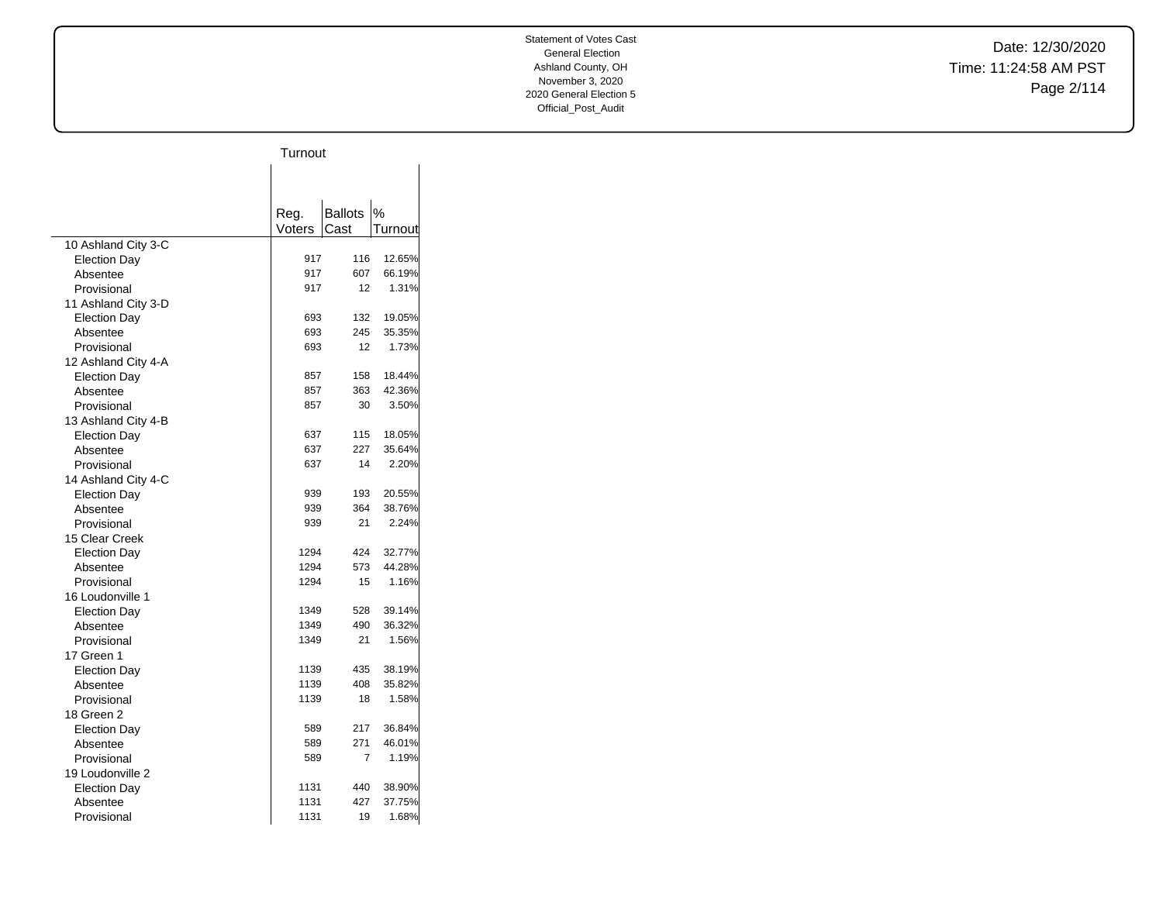Date: 12/30/2020 Time: 11:24:58 AM PST Page 2/114

|                     | Turnout |                |         |
|---------------------|---------|----------------|---------|
|                     |         |                |         |
|                     |         |                |         |
|                     |         |                |         |
|                     | Reg.    | <b>Ballots</b> | %       |
|                     | Voters  | Cast           | Turnout |
| 10 Ashland City 3-C |         |                |         |
| <b>Election Day</b> | 917     | 116            | 12.65%  |
| Absentee            | 917     | 607            | 66.19%  |
| Provisional         | 917     | 12             | 1.31%   |
| 11 Ashland City 3-D |         |                |         |
| Election Day        | 693     | 132            | 19.05%  |
| Absentee            | 693     | 245            | 35.35%  |
| Provisional         | 693     | 12             | 1.73%   |
| 12 Ashland City 4-A |         |                |         |
| <b>Election Day</b> | 857     | 158            | 18.44%  |
| Absentee            | 857     | 363            | 42.36%  |
| Provisional         | 857     | 30             | 3.50%   |
| 13 Ashland City 4-B |         |                |         |
| <b>Election Day</b> | 637     | 115            | 18.05%  |
| Absentee            | 637     | 227            | 35.64%  |
| Provisional         | 637     | 14             | 2.20%   |
| 14 Ashland City 4-C |         |                |         |
| <b>Election Day</b> | 939     | 193            | 20.55%  |
| Absentee            | 939     | 364            | 38.76%  |
| Provisional         | 939     | 21             | 2.24%   |
| 15 Clear Creek      |         |                |         |
| <b>Election Day</b> | 1294    | 424            | 32.77%  |
| Absentee            | 1294    | 573            | 44.28%  |
| Provisional         | 1294    | 15             | 1.16%   |
| 16 Loudonville 1    |         |                |         |
| <b>Election Day</b> | 1349    | 528            | 39.14%  |
| Absentee            | 1349    | 490            | 36.32%  |
| Provisional         | 1349    | 21             | 1.56%   |
| 17 Green 1          |         |                |         |
| <b>Election Day</b> | 1139    | 435            | 38.19%  |
| Absentee            | 1139    | 408            | 35.82%  |
| Provisional         | 1139    | 18             | 1.58%   |
| 18 Green 2          |         |                |         |
| <b>Election Day</b> | 589     | 217            | 36.84%  |
| Absentee            | 589     | 271            | 46.01%  |
| Provisional         | 589     | 7              | 1.19%   |
| 19 Loudonville 2    |         |                |         |
| <b>Election Day</b> | 1131    | 440            | 38.90%  |
| Absentee            | 1131    | 427            | 37.75%  |
| Provisional         | 1131    | 19             | 1.68%   |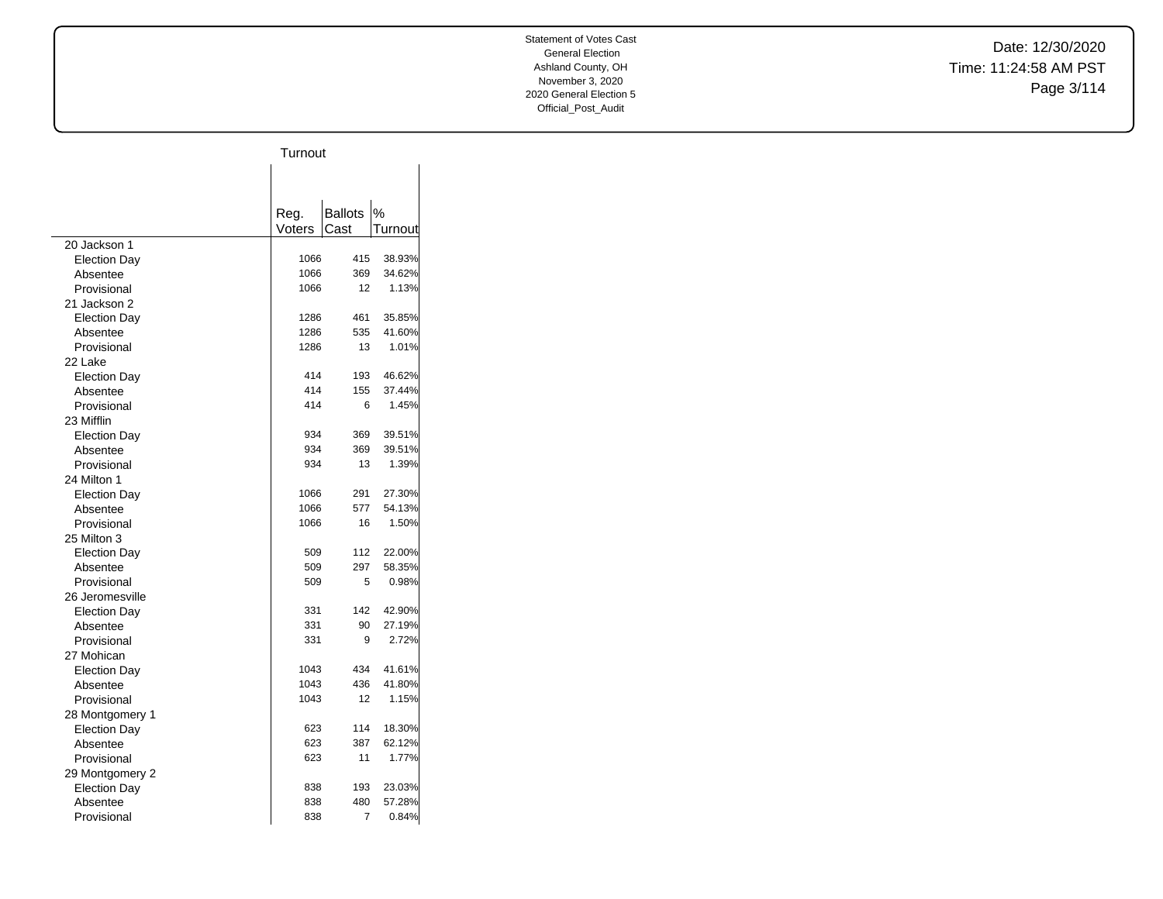Date: 12/30/2020 Time: 11:24:58 AM PST Page 3/114

|                     | Turnout |                |         |
|---------------------|---------|----------------|---------|
|                     |         |                |         |
|                     |         |                |         |
|                     |         |                |         |
|                     | Reg.    | <b>Ballots</b> | %       |
|                     | Voters  | Cast           | Turnout |
| 20 Jackson 1        |         |                |         |
| <b>Election Day</b> | 1066    | 415            | 38.93%  |
| Absentee            | 1066    | 369            | 34.62%  |
| Provisional         | 1066    | 12             | 1.13%   |
| 21 Jackson 2        |         |                |         |
| <b>Election Day</b> | 1286    | 461            | 35.85%  |
| Absentee            | 1286    | 535            | 41.60%  |
| Provisional         | 1286    | 13             | 1.01%   |
| 22 Lake             |         |                |         |
| <b>Election Day</b> | 414     | 193            | 46.62%  |
| Absentee            | 414     | 155            | 37.44%  |
| Provisional         | 414     | 6              | 1.45%   |
| 23 Mifflin          |         |                |         |
| <b>Election Day</b> | 934     | 369            | 39.51%  |
| Absentee            | 934     | 369            | 39.51%  |
| Provisional         | 934     | 13             | 1.39%   |
| 24 Milton 1         |         |                |         |
| <b>Election Day</b> | 1066    | 291            | 27.30%  |
| Absentee            | 1066    | 577            | 54.13%  |
| Provisional         | 1066    | 16             | 1.50%   |
| 25 Milton 3         |         |                |         |
| <b>Election Day</b> | 509     | 112            | 22.00%  |
| Absentee            | 509     | 297            | 58.35%  |
| Provisional         | 509     | 5              | 0.98%   |
| 26 Jeromesville     |         |                |         |
| <b>Election Day</b> | 331     | 142            | 42.90%  |
| Absentee            | 331     | 90             | 27.19%  |
| Provisional         | 331     | 9              | 2.72%   |
| 27 Mohican          |         |                |         |
| <b>Election Day</b> | 1043    | 434            | 41.61%  |
| Absentee            | 1043    | 436            | 41.80%  |
| Provisional         | 1043    | 12             | 1.15%   |
| 28 Montgomery 1     |         |                |         |
| <b>Election Day</b> | 623     | 114            | 18.30%  |
| Absentee            | 623     | 387            | 62.12%  |
| Provisional         | 623     | 11             | 1.77%   |
| 29 Montgomery 2     |         |                |         |
| <b>Election Day</b> | 838     | 193            | 23.03%  |
| Absentee            | 838     | 480            | 57.28%  |
| Provisional         | 838     | 7              | 0.84%   |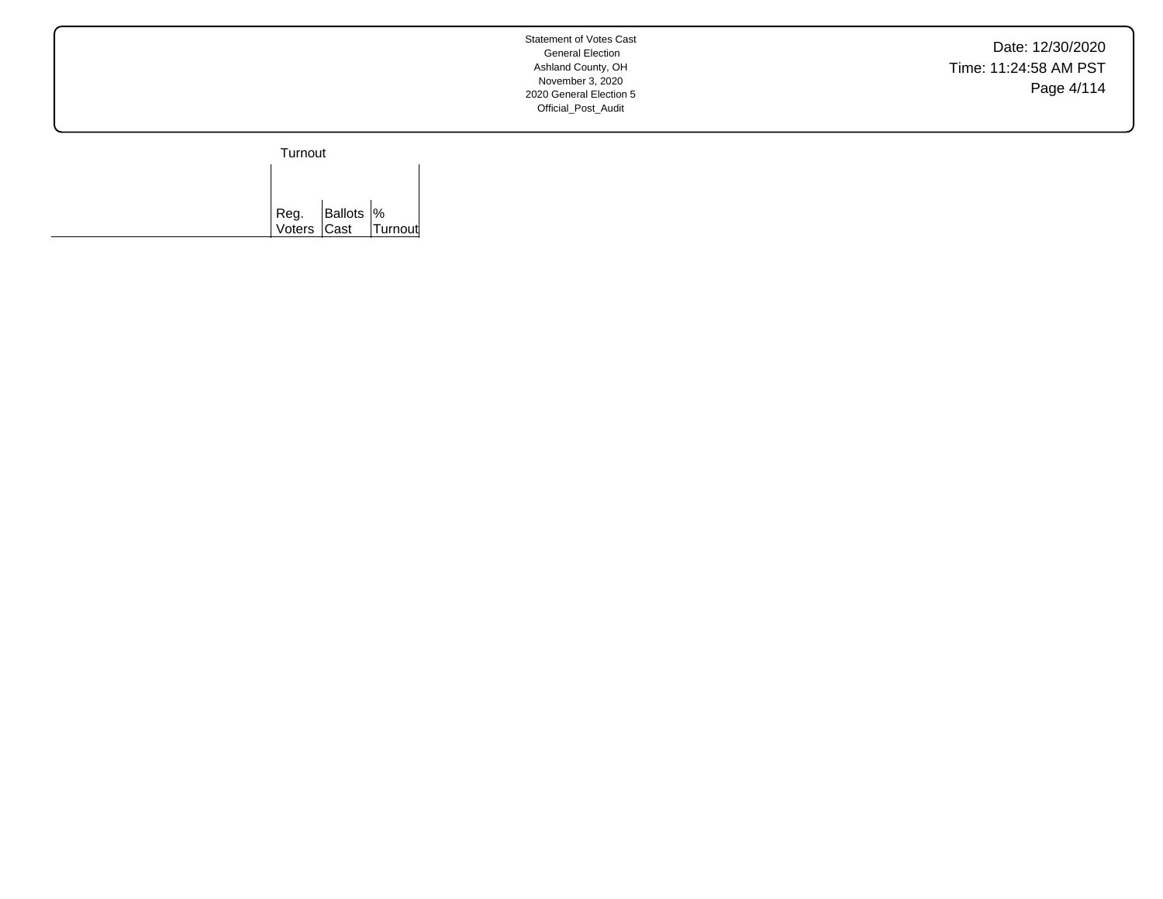Date: 12/30/2020 Time: 11:24:58 AM PST Page 4/114

Turnout

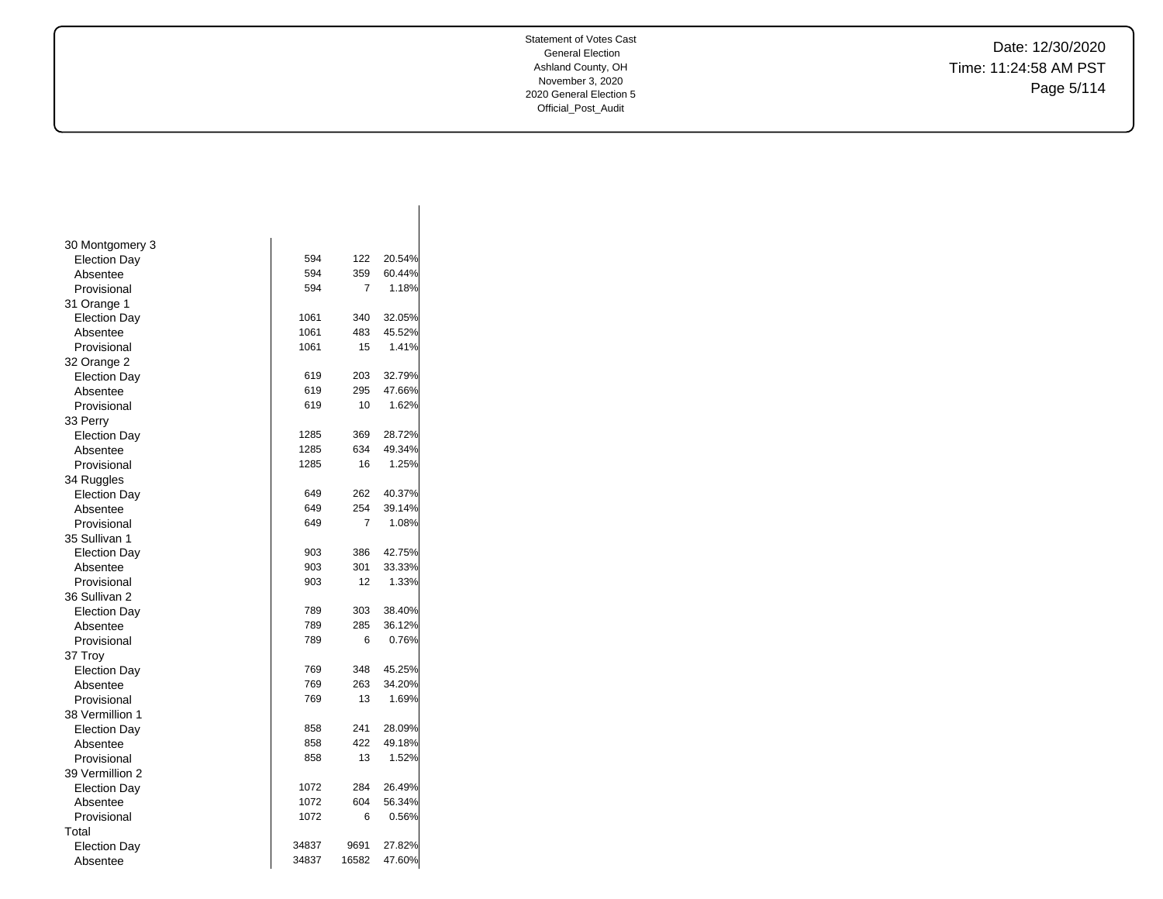Date: 12/30/2020 Time: 11:24:58 AM PST Page 5/114

| 30 Montgomery 3     |       |       |        |
|---------------------|-------|-------|--------|
| <b>Election Day</b> | 594   | 122   | 20.54% |
| Absentee            | 594   | 359   | 60.44% |
| Provisional         | 594   | 7     | 1.18%  |
| 31 Orange 1         |       |       |        |
| <b>Election Day</b> | 1061  | 340   | 32.05% |
| Absentee            | 1061  | 483   | 45.52% |
| Provisional         | 1061  | 15    | 1.41%  |
| 32 Orange 2         |       |       |        |
| <b>Election Day</b> | 619   | 203   | 32.79% |
| Absentee            | 619   | 295   | 47.66% |
| Provisional         | 619   | 10    | 1.62%  |
| 33 Perry            |       |       |        |
| <b>Election Day</b> | 1285  | 369   | 28.72% |
| Absentee            | 1285  | 634   | 49.34% |
| Provisional         | 1285  | 16    | 1.25%  |
| 34 Ruggles          |       |       |        |
| <b>Election Day</b> | 649   | 262   | 40.37% |
| Absentee            | 649   | 254   | 39.14% |
| Provisional         | 649   | 7     | 1.08%  |
| 35 Sullivan 1       |       |       |        |
| <b>Election Day</b> | 903   | 386   | 42.75% |
| Absentee            | 903   | 301   | 33.33% |
| Provisional         | 903   | 12    | 1.33%  |
| 36 Sullivan 2       |       |       |        |
| <b>Election Day</b> | 789   | 303   | 38.40% |
| Absentee            | 789   | 285   | 36.12% |
| Provisional         | 789   | 6     | 0.76%  |
| 37 Troy             |       |       |        |
| <b>Election Day</b> | 769   | 348   | 45.25% |
| Absentee            | 769   | 263   | 34.20% |
| Provisional         | 769   | 13    | 1.69%  |
| 38 Vermillion 1     |       |       |        |
| <b>Election Day</b> | 858   | 241   | 28.09% |
| Absentee            | 858   | 422   | 49.18% |
| Provisional         | 858   | 13    | 1.52%  |
| 39 Vermillion 2     |       |       |        |
| <b>Election Day</b> | 1072  | 284   | 26.49% |
| Absentee            | 1072  | 604   | 56.34% |
| Provisional         | 1072  | 6     | 0.56%  |
| Total               |       |       |        |
| <b>Election Day</b> | 34837 | 9691  | 27.82% |
| Absentee            | 34837 | 16582 | 47.60% |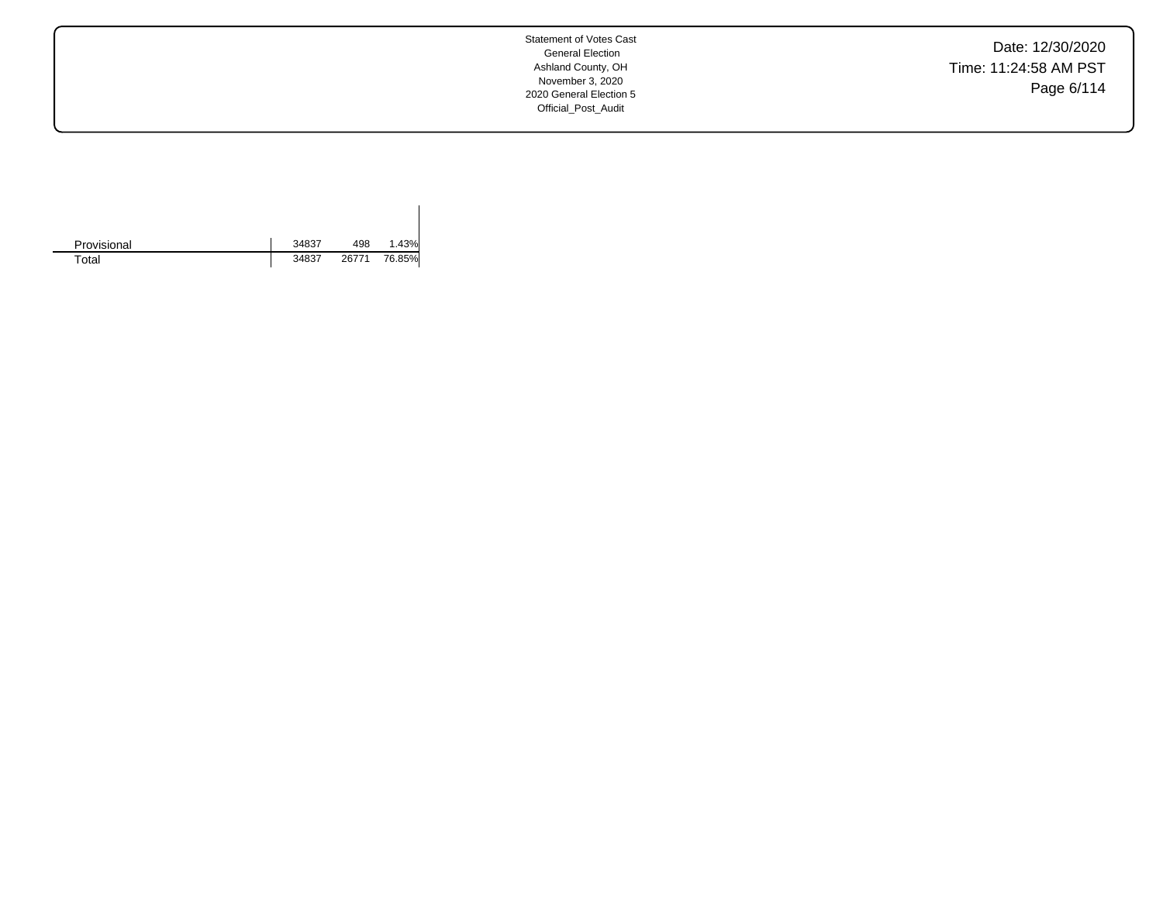Date: 12/30/2020 Time: 11:24:58 AM PST Page 6/114

| Provisional | 34837 | 498   | 1.43%  |
|-------------|-------|-------|--------|
| Total       | 34837 | 26771 | 76.85% |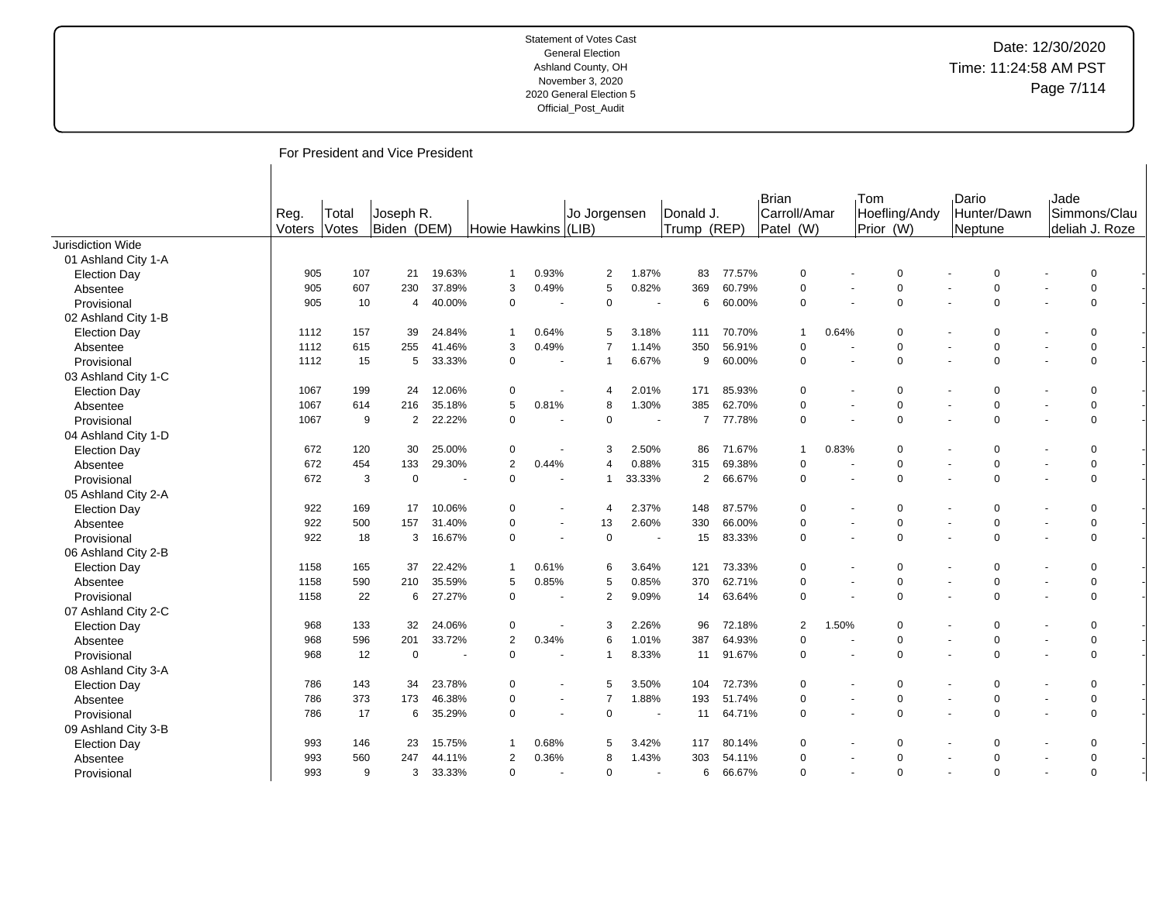# Date: 12/30/2020 Time: 11:24:58 AM PST Page 7/114

For President and Vice President

|                     | Reg.<br>Voters | Total<br>Votes | Joseph R.<br>Biden (DEM) |        | Howie Hawkins (LIB) |                          | Jo Jorgensen   |                          | Donald J.<br>Trump (REP) |        | Brian<br>Carroll/Amar<br>Patel (W) |       | <b>Tom</b><br>Hoefling/Andy<br>Prior (W) |  | Dario<br>Hunter/Dawn<br>Neptune |                | <b>Jade</b><br>Simmons/Clau<br>deliah J. Roze |          |  |
|---------------------|----------------|----------------|--------------------------|--------|---------------------|--------------------------|----------------|--------------------------|--------------------------|--------|------------------------------------|-------|------------------------------------------|--|---------------------------------|----------------|-----------------------------------------------|----------|--|
| Jurisdiction Wide   |                |                |                          |        |                     |                          |                |                          |                          |        |                                    |       |                                          |  |                                 |                |                                               |          |  |
| 01 Ashland City 1-A |                |                |                          |        |                     |                          |                |                          |                          |        |                                    |       |                                          |  |                                 |                |                                               |          |  |
| <b>Election Day</b> | 905            | 107            | 21                       | 19.63% | -1                  | 0.93%                    | $\overline{2}$ | 1.87%                    | 83                       | 77.57% | $\mathbf 0$                        |       | $\Omega$                                 |  |                                 | $\mathbf 0$    |                                               | $\Omega$ |  |
| Absentee            | 905            | 607            | 230                      | 37.89% | 3                   | 0.49%                    | 5              | 0.82%                    | 369                      | 60.79% | 0                                  |       | $\mathbf 0$                              |  |                                 | $\mathbf 0$    |                                               | $\Omega$ |  |
| Provisional         | 905            | 10             | 4                        | 40.00% | $\Omega$            |                          | $\mathbf 0$    | $\overline{a}$           | 6                        | 60.00% | $\mathbf 0$                        |       | $\Omega$                                 |  |                                 | $\mathbf 0$    |                                               | $\Omega$ |  |
| 02 Ashland City 1-B |                |                |                          |        |                     |                          |                |                          |                          |        |                                    |       |                                          |  |                                 |                |                                               |          |  |
| <b>Election Day</b> | 1112           | 157            | 39                       | 24.84% | $\mathbf 1$         | 0.64%                    | 5              | 3.18%                    | 111                      | 70.70% | $\overline{1}$                     | 0.64% | $\Omega$                                 |  |                                 | $\overline{0}$ |                                               | $\Omega$ |  |
| Absentee            | 1112           | 615            | 255                      | 41.46% | 3                   | 0.49%                    | 7              | 1.14%                    | 350                      | 56.91% | 0                                  |       | $\Omega$                                 |  |                                 | $\mathbf 0$    |                                               | $\Omega$ |  |
| Provisional         | 1112           | 15             | 5                        | 33.33% | $\Omega$            |                          | $\overline{1}$ | 6.67%                    | 9                        | 60.00% | $\mathbf 0$                        |       | $\mathbf 0$                              |  |                                 | $\mathbf 0$    |                                               | $\Omega$ |  |
| 03 Ashland City 1-C |                |                |                          |        |                     |                          |                |                          |                          |        |                                    |       |                                          |  |                                 |                |                                               |          |  |
| <b>Election Day</b> | 1067           | 199            | 24                       | 12.06% | 0                   |                          | $\overline{4}$ | 2.01%                    | 171                      | 85.93% | 0                                  |       | 0                                        |  |                                 | $\overline{0}$ |                                               | $\Omega$ |  |
| Absentee            | 1067           | 614            | 216                      | 35.18% | 5                   | 0.81%                    | 8              | 1.30%                    | 385                      | 62.70% | $\Omega$                           |       | $\mathbf 0$                              |  |                                 | $\mathbf 0$    |                                               | $\Omega$ |  |
| Provisional         | 1067           | 9              | $\overline{2}$           | 22.22% | $\Omega$            | $\sim$                   | $\mathsf 0$    | $\sim$                   | $\overline{7}$           | 77.78% | $\mathbf 0$                        |       | $\Omega$                                 |  |                                 | $\Omega$       |                                               | $\Omega$ |  |
| 04 Ashland City 1-D |                |                |                          |        |                     |                          |                |                          |                          |        |                                    |       |                                          |  |                                 |                |                                               |          |  |
| <b>Election Day</b> | 672            | 120            | 30                       | 25.00% | $\Omega$            | ÷,                       | 3              | 2.50%                    | 86                       | 71.67% | $\overline{1}$                     | 0.83% | $\Omega$                                 |  |                                 | $\overline{0}$ |                                               | $\Omega$ |  |
| Absentee            | 672            | 454            | 133                      | 29.30% | $\overline{2}$      | 0.44%                    | 4              | 0.88%                    | 315                      | 69.38% | $\Omega$                           |       | $\Omega$                                 |  |                                 | $\mathbf 0$    |                                               | $\Omega$ |  |
| Provisional         | 672            | 3              | $\mathbf 0$              |        | $\Omega$            |                          | -1             | 33.33%                   | 2                        | 66.67% | $\Omega$                           |       | $\Omega$                                 |  |                                 | $\mathbf 0$    |                                               | $\Omega$ |  |
| 05 Ashland City 2-A |                |                |                          |        |                     |                          |                |                          |                          |        |                                    |       |                                          |  |                                 |                |                                               |          |  |
| <b>Election Day</b> | 922            | 169            | 17                       | 10.06% | $\Omega$            | $\blacksquare$           | $\overline{4}$ | 2.37%                    | 148                      | 87.57% | $\mathbf 0$                        |       | $\mathbf 0$                              |  |                                 | $\mathbf 0$    |                                               | $\Omega$ |  |
| Absentee            | 922            | 500            | 157                      | 31.40% | $\Omega$            | $\ddot{\phantom{1}}$     | 13             | 2.60%                    | 330                      | 66.00% | 0                                  |       | $\Omega$                                 |  |                                 | $\mathbf 0$    |                                               | $\Omega$ |  |
| Provisional         | 922            | 18             | 3                        | 16.67% | $\Omega$            | $\blacksquare$           | $\Omega$       | $\overline{\phantom{a}}$ | 15                       | 83.33% | $\Omega$                           |       | $\Omega$                                 |  |                                 | $\Omega$       |                                               | $\Omega$ |  |
| 06 Ashland City 2-B |                |                |                          |        |                     |                          |                |                          |                          |        |                                    |       |                                          |  |                                 |                |                                               |          |  |
| <b>Election Day</b> | 1158           | 165            | 37                       | 22.42% | -1                  | 0.61%                    | 6              | 3.64%                    | 121                      | 73.33% | $\Omega$                           |       | $\mathbf 0$                              |  |                                 | $\Omega$       |                                               | $\Omega$ |  |
| Absentee            | 1158           | 590            | 210                      | 35.59% | 5                   | 0.85%                    | 5              | 0.85%                    | 370                      | 62.71% | $\Omega$                           |       | $\mathbf 0$                              |  |                                 | $\mathbf 0$    |                                               | $\Omega$ |  |
| Provisional         | 1158           | 22             | 6                        | 27.27% | $\Omega$            | ٠                        | 2              | 9.09%                    | 14                       | 63.64% | $\mathbf 0$                        |       | $\Omega$                                 |  |                                 | $\Omega$       |                                               | $\Omega$ |  |
| 07 Ashland City 2-C |                |                |                          |        |                     |                          |                |                          |                          |        |                                    |       |                                          |  |                                 |                |                                               |          |  |
| <b>Election Day</b> | 968            | 133            | 32                       | 24.06% | $\Omega$            |                          | 3              | 2.26%                    | 96                       | 72.18% | 2                                  | 1.50% | $\Omega$                                 |  |                                 | $\mathbf 0$    |                                               | $\Omega$ |  |
| Absentee            | 968            | 596            | 201                      | 33.72% | 2                   | 0.34%                    | 6              | 1.01%                    | 387                      | 64.93% | $\mathbf 0$                        |       | $\Omega$                                 |  |                                 | $\mathbf 0$    |                                               | $\Omega$ |  |
| Provisional         | 968            | 12             | $\mathbf 0$              |        | $\Omega$            |                          |                | 8.33%                    | 11                       | 91.67% | $\mathbf 0$                        |       | $\Omega$                                 |  |                                 | $\mathbf 0$    |                                               | $\Omega$ |  |
| 08 Ashland City 3-A |                |                |                          |        |                     |                          |                |                          |                          |        |                                    |       |                                          |  |                                 |                |                                               |          |  |
| <b>Election Day</b> | 786            | 143            | 34                       | 23.78% | $\Omega$            |                          | 5              | 3.50%                    | 104                      | 72.73% | $\mathbf 0$                        |       | $\mathbf 0$                              |  |                                 | $\mathbf 0$    |                                               | $\Omega$ |  |
| Absentee            | 786            | 373            | 173                      | 46.38% | $\Omega$            | $\overline{\phantom{a}}$ | 7              | 1.88%                    | 193                      | 51.74% | 0                                  |       | $\mathbf 0$                              |  | $\overline{\phantom{a}}$        | $\mathbf 0$    |                                               | $\Omega$ |  |
| Provisional         | 786            | 17             | 6                        | 35.29% | $\Omega$            | $\ddot{\phantom{1}}$     | $\Omega$       | $\overline{\phantom{a}}$ | 11                       | 64.71% | 0                                  |       | $\Omega$                                 |  |                                 | $\overline{0}$ |                                               | $\Omega$ |  |
| 09 Ashland City 3-B |                |                |                          |        |                     |                          |                |                          |                          |        |                                    |       |                                          |  |                                 |                |                                               |          |  |
| <b>Election Day</b> | 993            | 146            | 23                       | 15.75% | -1                  | 0.68%                    | 5              | 3.42%                    | 117                      | 80.14% | $\Omega$                           |       | $\Omega$                                 |  |                                 | $\Omega$       |                                               | $\Omega$ |  |
| Absentee            | 993            | 560            | 247                      | 44.11% | $\overline{2}$      | 0.36%                    | 8              | 1.43%                    | 303                      | 54.11% | 0                                  |       | $\Omega$                                 |  |                                 | $\Omega$       |                                               | $\Omega$ |  |
| Provisional         | 993            | 9              | 3                        | 33.33% | $\Omega$            |                          | $\mathbf 0$    |                          | 6                        | 66.67% | $\Omega$                           |       | $\Omega$                                 |  |                                 | $\overline{0}$ |                                               | $\Omega$ |  |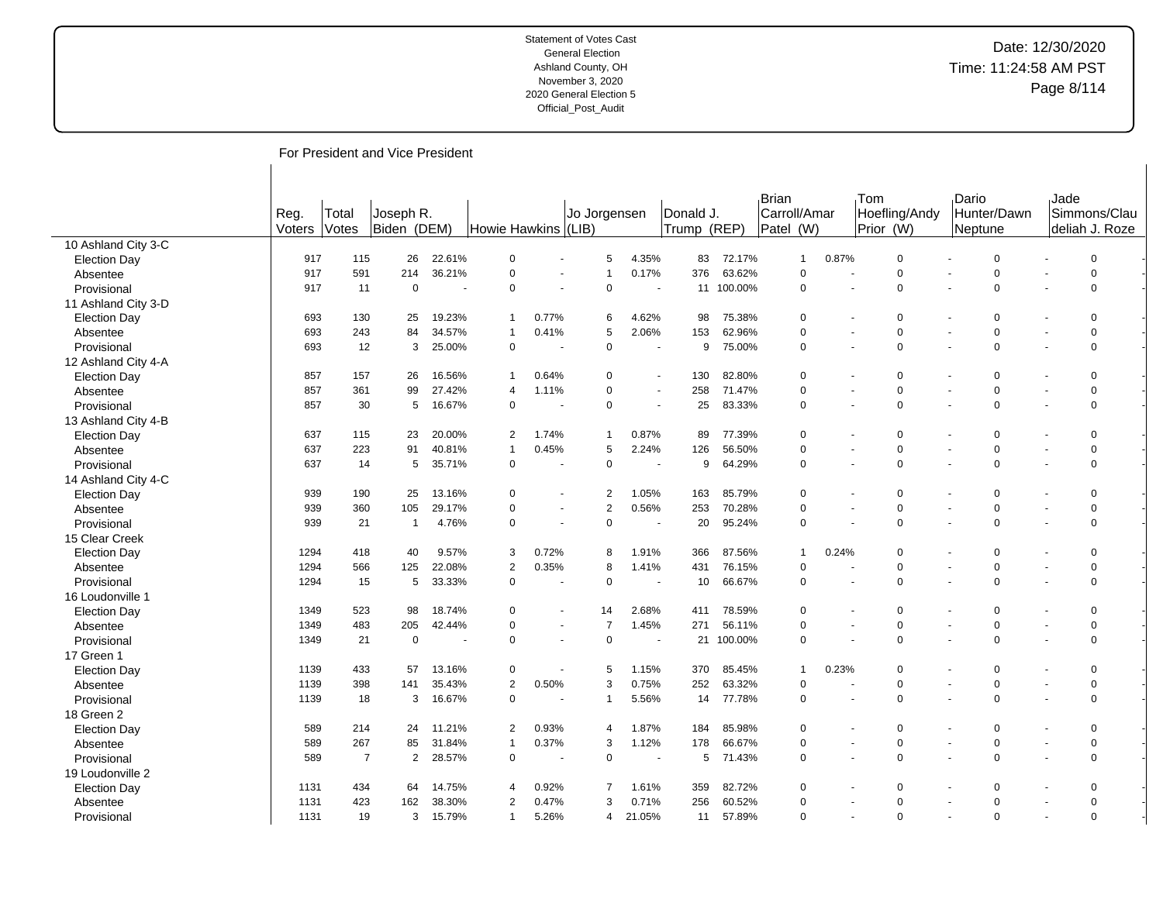# Date: 12/30/2020 Time: 11:24:58 AM PST Page 8/114

For President and Vice President

|                     | Reg.   | Total | Joseph R.                        |        |                     |                          | Jo Jorgensen   |                      | Donald J.   |         | Brian<br>Carroll/Amar |                          | Tom<br>Hoefling/Andy | Dario | Hunter/Dawn    | Jade | Simmons/Clau    |  |
|---------------------|--------|-------|----------------------------------|--------|---------------------|--------------------------|----------------|----------------------|-------------|---------|-----------------------|--------------------------|----------------------|-------|----------------|------|-----------------|--|
|                     | Voters | Votes | Biden (DEM)                      |        | Howie Hawkins (LIB) |                          |                |                      | Trump (REP) |         | Patel (W)             |                          | Prior (W)            |       | Neptune        |      | Ideliah J. Roze |  |
| 10 Ashland City 3-C |        |       |                                  |        |                     |                          |                |                      |             |         |                       |                          |                      |       |                |      |                 |  |
| <b>Election Day</b> | 917    | 115   | 26                               | 22.61% | $\mathbf 0$         |                          | 5              | 4.35%                | 83          | 72.17%  | $\mathbf{1}$          | 0.87%                    | $\mathbf 0$          |       | $\mathbf 0$    |      | $\mathbf 0$     |  |
| Absentee            | 917    | 591   | 214                              | 36.21% | $\mathbf 0$         |                          | 1              | 0.17%                | 376         | 63.62%  | $\Omega$              |                          | 0                    |       | $\mathbf 0$    |      | $\Omega$        |  |
| Provisional         | 917    | 11    | 0                                |        | $\mathbf 0$         |                          | $\mathbf 0$    | $\blacksquare$       | 11          | 100.00% | $\mathbf 0$           | $\overline{a}$           | 0                    |       | $\mathbf 0$    |      | $\Omega$        |  |
| 11 Ashland City 3-D |        |       |                                  |        |                     |                          |                |                      |             |         |                       |                          |                      |       |                |      |                 |  |
| <b>Election Day</b> | 693    | 130   | 25                               | 19.23% |                     | 0.77%                    | 6              | 4.62%                | 98          | 75.38%  | $\Omega$              |                          | 0                    |       | 0              |      | $\Omega$        |  |
| Absentee            | 693    | 243   | 84                               | 34.57% | -1                  | 0.41%                    | 5              | 2.06%                | 153         | 62.96%  | $\Omega$              |                          | $\mathbf 0$          |       | $\mathbf 0$    |      | $\Omega$        |  |
| Provisional         | 693    | 12    | 3                                | 25.00% | $\mathbf 0$         |                          | $\pmb{0}$      | ٠                    | 9           | 75.00%  | $\Omega$              |                          | 0                    |       | $\Omega$       |      | $\mathbf 0$     |  |
| 12 Ashland City 4-A |        |       |                                  |        |                     |                          |                |                      |             |         |                       |                          |                      |       |                |      |                 |  |
| <b>Election Day</b> | 857    | 157   | 26                               | 16.56% | $\overline{1}$      | 0.64%                    | $\Omega$       |                      | 130         | 82.80%  | $\Omega$              |                          | 0                    |       | $\overline{0}$ |      | $\Omega$        |  |
| Absentee            | 857    | 361   | 99                               | 27.42% | $\overline{4}$      | 1.11%                    | $\pmb{0}$      | $\blacksquare$       | 258         | 71.47%  | $\Omega$              |                          | 0                    |       | $\pmb{0}$      |      | $\Omega$        |  |
| Provisional         | 857    | 30    | 5                                | 16.67% | $\mathbf 0$         |                          | $\pmb{0}$      | $\ddot{\phantom{1}}$ | 25          | 83.33%  | $\Omega$              | $\ddot{\phantom{1}}$     | $\mathbf 0$          |       | $\Omega$       |      | $\Omega$        |  |
| 13 Ashland City 4-B |        |       |                                  |        |                     |                          |                |                      |             |         |                       |                          |                      |       |                |      |                 |  |
| <b>Election Day</b> | 637    | 115   | 23                               | 20.00% | $\overline{2}$      | 1.74%                    | 1              | 0.87%                | 89          | 77.39%  | $\Omega$              | $\blacksquare$           | $\Omega$             |       | $\overline{0}$ |      | $\Omega$        |  |
| Absentee            | 637    | 223   | 91                               | 40.81% | $\overline{1}$      | 0.45%                    | 5              | 2.24%                | 126         | 56.50%  | $\Omega$              |                          | 0                    |       | $\mathbf 0$    |      | $\Omega$        |  |
| Provisional         | 637    | 14    | 5                                | 35.71% | $\mathbf 0$         |                          | $\mathbf 0$    | $\blacksquare$       | 9           | 64.29%  | $\Omega$              |                          | $\mathbf 0$          |       | $\mathbf 0$    |      | $\Omega$        |  |
| 14 Ashland City 4-C |        |       |                                  |        |                     |                          |                |                      |             |         |                       |                          |                      |       |                |      |                 |  |
| <b>Election Day</b> | 939    | 190   | 25                               | 13.16% | $\mathbf 0$         |                          | $\overline{2}$ | 1.05%                | 163         | 85.79%  | $\Omega$              |                          | 0                    |       | $\mathbf 0$    |      | $\Omega$        |  |
| Absentee            | 939    | 360   | 105                              | 29.17% | $\Omega$            | $\overline{\phantom{a}}$ | $\overline{2}$ | 0.56%                | 253         | 70.28%  | $\Omega$              | $\overline{\phantom{a}}$ | 0                    |       | $\mathbf 0$    |      | $\mathbf 0$     |  |
| Provisional         | 939    | 21    | $\overline{1}$                   | 4.76%  | $\mathbf 0$         |                          | $\pmb{0}$      |                      | 20          | 95.24%  | $\Omega$              |                          | 0                    |       | $\mathbf 0$    |      | $\mathbf 0$     |  |
| 15 Clear Creek      |        |       |                                  |        |                     |                          |                |                      |             |         |                       |                          |                      |       |                |      |                 |  |
| <b>Election Day</b> | 1294   | 418   | 40                               | 9.57%  | 3                   | 0.72%                    | 8              | 1.91%                | 366         | 87.56%  | $\overline{1}$        | 0.24%                    | 0                    |       | $\mathbf 0$    |      | $\Omega$        |  |
| Absentee            | 1294   | 566   | 125                              | 22.08% | $\overline{2}$      | 0.35%                    | 8              | 1.41%                | 431         | 76.15%  | $\Omega$              |                          | 0                    |       | $\mathbf 0$    |      | $\Omega$        |  |
| Provisional         | 1294   | 15    | 5                                | 33.33% | $\mathbf 0$         |                          | $\pmb{0}$      | ÷                    | 10          | 66.67%  | $\mathbf 0$           |                          | 0                    |       | $\mathbf 0$    |      | $\Omega$        |  |
| 16 Loudonville 1    |        |       |                                  |        |                     |                          |                |                      |             |         |                       |                          |                      |       |                |      |                 |  |
| <b>Election Day</b> | 1349   | 523   | 98                               | 18.74% | $\mathbf 0$         |                          | 14             | 2.68%                | 411         | 78.59%  | $\Omega$              |                          | 0                    |       | $\mathbf 0$    |      | $\Omega$        |  |
| Absentee            | 1349   | 483   | 205                              | 42.44% | $\mathbf 0$         |                          | $\overline{7}$ | 1.45%                | 271         | 56.11%  | $\Omega$              |                          | 0                    |       | $\pmb{0}$      |      | $\Omega$        |  |
| Provisional         | 1349   | 21    | 0                                |        | $\mathbf 0$         |                          | $\Omega$       | $\sim$               | 21          | 100.00% | $\Omega$              |                          | $\Omega$             |       | $\mathbf 0$    |      | $\Omega$        |  |
| 17 Green 1          |        |       |                                  |        |                     |                          |                |                      |             |         |                       |                          |                      |       |                |      |                 |  |
| <b>Election Day</b> | 1139   | 433   | 57                               | 13.16% | 0                   |                          | 5              | 1.15%                | 370         | 85.45%  | $\mathbf{1}$          | 0.23%                    | 0                    |       | $\mathbf 0$    |      | $\Omega$        |  |
| Absentee            | 1139   | 398   | 141                              | 35.43% | $\overline{2}$      | 0.50%                    | 3              | 0.75%                | 252         | 63.32%  | $\Omega$              |                          | $\mathbf 0$          |       | $\mathbf 0$    |      | $\Omega$        |  |
| Provisional         | 1139   | 18    | 3                                | 16.67% | $\mathbf 0$         |                          | 1              | 5.56%                | 14          | 77.78%  | $\Omega$              |                          | $\mathbf 0$          |       | $\Omega$       |      | $\Omega$        |  |
| 18 Green 2          |        |       |                                  |        |                     |                          |                |                      |             |         |                       |                          |                      |       |                |      |                 |  |
| <b>Election Day</b> | 589    | 214   | 24                               | 11.21% | 2                   | 0.93%                    | 4              | 1.87%                | 184         | 85.98%  | $\Omega$              |                          | 0                    |       | $\mathbf 0$    |      | $\Omega$        |  |
| Absentee            | 589    | 267   | 85                               | 31.84% | $\overline{1}$      | 0.37%                    | 3              | 1.12%                | 178         | 66.67%  | $\Omega$              |                          | $\mathbf 0$          |       | $\mathbf 0$    |      | $\Omega$        |  |
| Provisional         | 589    |       | $\overline{7}$<br>$\overline{2}$ | 28.57% | $\mathbf 0$         |                          | $\mathbf 0$    | ÷,                   | 5           | 71.43%  | $\Omega$              |                          | 0                    |       | $\overline{0}$ |      | $\mathbf 0$     |  |
| 19 Loudonville 2    |        |       |                                  |        |                     |                          |                |                      |             |         |                       |                          |                      |       |                |      |                 |  |
| <b>Election Day</b> | 1131   | 434   | 64                               | 14.75% | 4                   | 0.92%                    | 7              | 1.61%                | 359         | 82.72%  | $\Omega$              |                          | 0                    |       | 0              |      | $\Omega$        |  |
| Absentee            | 1131   | 423   | 162                              | 38.30% | $\overline{2}$      | 0.47%                    | 3              | 0.71%                | 256         | 60.52%  | $\Omega$              |                          | 0                    |       | $\pmb{0}$      |      | $\mathbf 0$     |  |
| Provisional         | 1131   | 19    | 3                                | 15.79% | $\mathbf 1$         | 5.26%                    | 4              | 21.05%               | 11          | 57.89%  | $\Omega$              |                          | $\Omega$             |       | $\Omega$       |      | $\mathbf 0$     |  |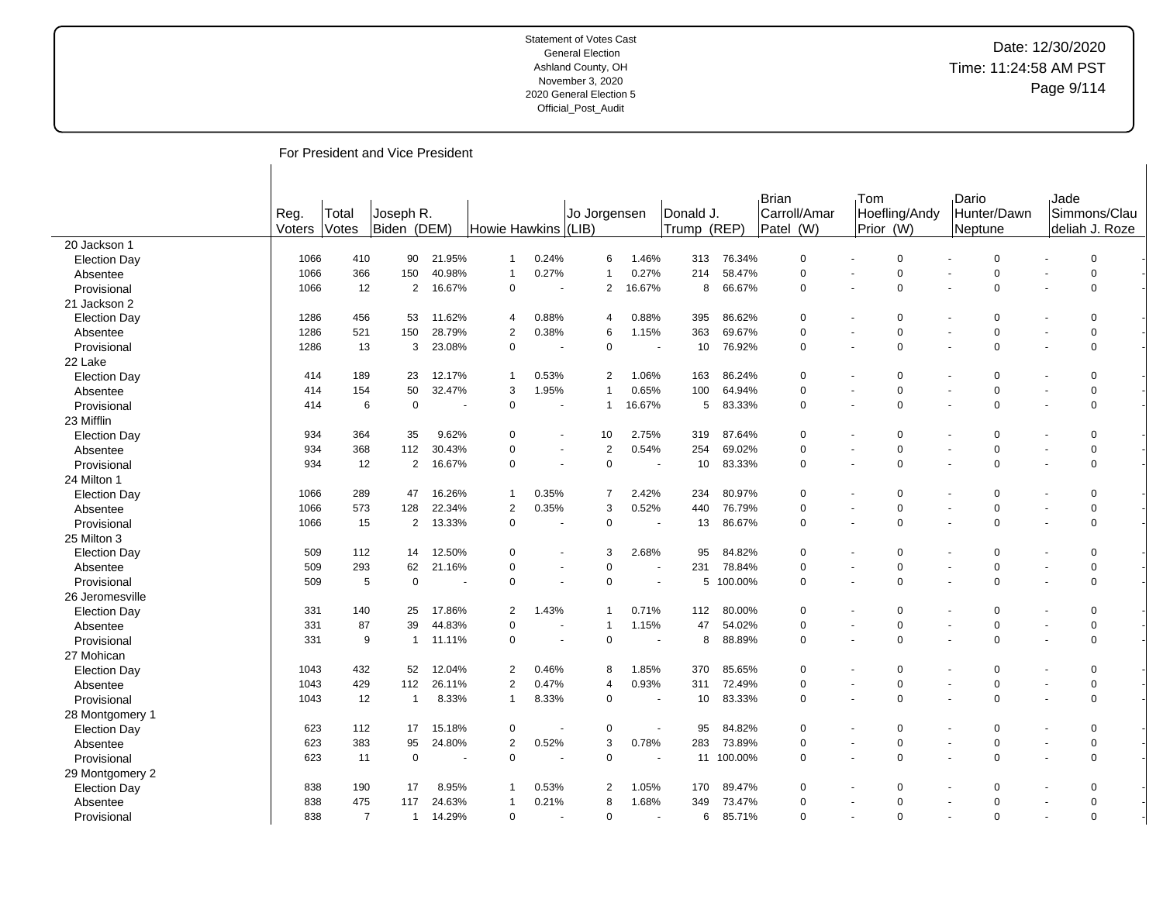# Date: 12/30/2020 Time: 11:24:58 AM PST Page 9/114

For President and Vice President

|                     |                |                       |                          |        |                     |                          |              |                |                          |                          |            | Brian                     | Tom                      |                            | Dario   |                | Jade |                                 |  |
|---------------------|----------------|-----------------------|--------------------------|--------|---------------------|--------------------------|--------------|----------------|--------------------------|--------------------------|------------|---------------------------|--------------------------|----------------------------|---------|----------------|------|---------------------------------|--|
|                     | Reg.<br>Voters | Total<br><b>Votes</b> | Joseph R.<br>Biden (DEM) |        | Howie Hawkins (LIB) |                          | Jo Jorgensen |                |                          | Donald J.<br>Trump (REP) |            | Carroll/Amar<br>Patel (W) |                          | Hoefling/Andy<br>Prior (W) | Neptune | Hunter/Dawn    |      | Simmons/Clau<br>Ideliah J. Roze |  |
| 20 Jackson 1        |                |                       |                          |        |                     |                          |              |                |                          |                          |            |                           |                          |                            |         |                |      |                                 |  |
| <b>Election Day</b> | 1066           | 410                   | 90                       | 21.95% | $\mathbf{1}$        | 0.24%                    |              | 6              | 1.46%                    | 313                      | 76.34%     | $\Omega$                  |                          | $\Omega$                   |         | $\Omega$       |      | $\mathbf 0$                     |  |
| Absentee            | 1066           | 366                   | 150                      | 40.98% | $\mathbf{1}$        | 0.27%                    |              | 1              | 0.27%                    | 214                      | 58.47%     | $\Omega$                  |                          | $\Omega$                   |         | $\Omega$       |      | $\Omega$                        |  |
| Provisional         | 1066           | 12                    | $\overline{2}$           | 16.67% | $\mathbf 0$         |                          |              | $\overline{2}$ | 16.67%                   | 8                        | 66.67%     | $\mathbf 0$               |                          | 0                          |         | $\overline{0}$ |      | $\Omega$                        |  |
| 21 Jackson 2        |                |                       |                          |        |                     |                          |              |                |                          |                          |            |                           |                          |                            |         |                |      |                                 |  |
| <b>Election Day</b> | 1286           | 456                   | 53                       | 11.62% | $\overline{4}$      | 0.88%                    |              | 4              | 0.88%                    | 395                      | 86.62%     | $\Omega$                  |                          | $\Omega$                   |         | $\Omega$       |      | $\Omega$                        |  |
| Absentee            | 1286           | 521                   | 150                      | 28.79% | $\overline{2}$      | 0.38%                    |              | 6              | 1.15%                    | 363                      | 69.67%     | $\Omega$                  |                          | 0                          |         | $\mathbf 0$    |      | $\Omega$                        |  |
| Provisional         | 1286           | 13                    | 3                        | 23.08% | $\mathbf 0$         |                          |              | 0              | $\overline{\phantom{a}}$ | 10                       | 76.92%     | $\Omega$                  |                          | $\Omega$                   |         | $\Omega$       |      | $\Omega$                        |  |
| 22 Lake             |                |                       |                          |        |                     |                          |              |                |                          |                          |            |                           |                          |                            |         |                |      |                                 |  |
| <b>Election Day</b> | 414            | 189                   | 23                       | 12.17% | $\mathbf{1}$        | 0.53%                    |              | $\overline{2}$ | 1.06%                    | 163                      | 86.24%     | $\Omega$                  |                          | 0                          |         | $\overline{0}$ |      | $\Omega$                        |  |
| Absentee            | 414            | 154                   | 50                       | 32.47% | 3                   | 1.95%                    |              | $\overline{1}$ | 0.65%                    | 100                      | 64.94%     | $\Omega$                  |                          | 0                          |         | $\mathbf 0$    |      | $\Omega$                        |  |
| Provisional         | 414            | 6                     | $\mathbf 0$              |        | $\mathbf 0$         |                          |              | $\mathbf 1$    | 16.67%                   | 5                        | 83.33%     | $\Omega$                  |                          | $\Omega$                   |         | $\Omega$       |      | $\Omega$                        |  |
| 23 Mifflin          |                |                       |                          |        |                     |                          |              |                |                          |                          |            |                           |                          |                            |         |                |      |                                 |  |
| <b>Election Day</b> | 934            | 364                   | 35                       | 9.62%  | $\Omega$            | $\blacksquare$           |              | 10             | 2.75%                    | 319                      | 87.64%     | $\Omega$                  |                          | $\Omega$                   |         | $\Omega$       |      | $\Omega$                        |  |
| Absentee            | 934            | 368                   | 112                      | 30.43% | $\Omega$            |                          |              | $\mathbf{2}$   | 0.54%                    | 254                      | 69.02%     | $\Omega$                  |                          | 0                          |         | $\Omega$       |      | $\Omega$                        |  |
| Provisional         | 934            | 12                    | 2                        | 16.67% | $\mathbf 0$         | $\blacksquare$           |              | 0              | $\blacksquare$           | 10                       | 83.33%     | $\Omega$                  |                          | $\Omega$                   |         | $\Omega$       |      | $\mathbf 0$                     |  |
| 24 Milton 1         |                |                       |                          |        |                     |                          |              |                |                          |                          |            |                           |                          |                            |         |                |      |                                 |  |
| <b>Election Day</b> | 1066           | 289                   | 47                       | 16.26% | $\mathbf{1}$        | 0.35%                    |              | $\overline{7}$ | 2.42%                    | 234                      | 80.97%     | $\Omega$                  |                          | $\Omega$                   |         | $\Omega$       |      | $\Omega$                        |  |
| Absentee            | 1066           | 573                   | 128                      | 22.34% | $\overline{2}$      | 0.35%                    |              | 3              | 0.52%                    | 440                      | 76.79%     | $\Omega$                  |                          | 0                          |         | $\mathbf 0$    |      | $\mathbf 0$                     |  |
| Provisional         | 1066           | 15                    | $\overline{2}$           | 13.33% | $\mathbf 0$         |                          |              | 0              |                          | 13                       | 86.67%     | $\Omega$                  |                          | $\Omega$                   |         | $\mathbf 0$    |      | $\Omega$                        |  |
| 25 Milton 3         |                |                       |                          |        |                     |                          |              |                |                          |                          |            |                           |                          |                            |         |                |      |                                 |  |
| <b>Election Day</b> | 509            | 112                   | 14                       | 12.50% | $\Omega$            |                          |              | 3              | 2.68%                    | 95                       | 84.82%     | $\Omega$                  |                          | 0                          |         | $\overline{0}$ |      | $\Omega$                        |  |
| Absentee            | 509            | 293                   | 62                       | 21.16% | $\Omega$            | $\ddot{\phantom{1}}$     |              | 0              | $\blacksquare$           | 231                      | 78.84%     | $\Omega$                  |                          | 0                          |         | $\mathbf 0$    |      | $\Omega$                        |  |
| Provisional         | 509            | 5                     | $\mathbf 0$              |        | $\mathbf 0$         | $\blacksquare$           |              | $\mathbf 0$    | $\blacksquare$           | 5                        | 100.00%    | 0                         | $\ddot{\phantom{1}}$     | 0                          |         | $\mathbf 0$    |      | $\Omega$                        |  |
| 26 Jeromesville     |                |                       |                          |        |                     |                          |              |                |                          |                          |            |                           |                          |                            |         |                |      |                                 |  |
| <b>Election Day</b> | 331            | 140                   | 25                       | 17.86% | 2                   | 1.43%                    |              |                | 0.71%                    | 112                      | 80.00%     | $\Omega$                  |                          | $\Omega$                   |         | $\Omega$       |      | $\Omega$                        |  |
| Absentee            | 331            | 87                    | 39                       | 44.83% | $\Omega$            |                          |              | -1             | 1.15%                    | 47                       | 54.02%     | $\Omega$                  |                          | 0                          |         | $\overline{0}$ |      | $\Omega$                        |  |
| Provisional         | 331            | 9                     | $\overline{1}$           | 11.11% | $\mathbf 0$         | $\overline{\phantom{a}}$ |              | $\mathbf 0$    | $\sim$                   | 8                        | 88.89%     | $\Omega$                  | $\blacksquare$           | $\Omega$                   |         | $\Omega$       |      | $\Omega$                        |  |
| 27 Mohican          |                |                       |                          |        |                     |                          |              |                |                          |                          |            |                           |                          |                            |         |                |      |                                 |  |
| <b>Election Day</b> | 1043           | 432                   | 52                       | 12.04% | 2                   | 0.46%                    |              | 8              | 1.85%                    | 370                      | 85.65%     | $\Omega$                  |                          | 0                          |         | $\overline{0}$ |      | $\Omega$                        |  |
| Absentee            | 1043           | 429                   | 112                      | 26.11% | $\overline{2}$      | 0.47%                    |              | 4              | 0.93%                    | 311                      | 72.49%     | $\Omega$                  | $\ddot{\phantom{1}}$     | 0                          |         | $\mathbf 0$    |      | $\Omega$                        |  |
| Provisional         | 1043           | 12                    | $\overline{1}$           | 8.33%  | $\mathbf{1}$        | 8.33%                    |              | 0              |                          | 10                       | 83.33%     | $\Omega$                  |                          | $\Omega$                   |         | $\Omega$       |      | $\Omega$                        |  |
| 28 Montgomery 1     |                |                       |                          |        |                     |                          |              |                |                          |                          |            |                           |                          |                            |         |                |      |                                 |  |
| <b>Election Day</b> | 623            | 112                   | 17                       | 15.18% | $\mathbf 0$         |                          |              | 0              | $\blacksquare$           | 95                       | 84.82%     | $\Omega$                  |                          | 0                          |         | $\overline{0}$ |      | $\Omega$                        |  |
| Absentee            | 623            | 383                   | 95                       | 24.80% | 2                   | 0.52%                    |              | 3              | 0.78%                    | 283                      | 73.89%     | $\Omega$                  |                          | 0                          |         | $\mathbf 0$    |      | $\Omega$                        |  |
| Provisional         | 623            | 11                    | $\mathbf 0$              |        | $\mathbf 0$         |                          |              | 0              | $\blacksquare$           |                          | 11 100.00% | $\Omega$                  | $\overline{\phantom{a}}$ | 0                          |         | $\Omega$       |      | $\Omega$                        |  |
| 29 Montgomery 2     |                |                       |                          |        |                     |                          |              |                |                          |                          |            |                           |                          |                            |         |                |      |                                 |  |
| <b>Election Day</b> | 838            | 190                   | 17                       | 8.95%  |                     | 0.53%                    |              | 2              | 1.05%                    | 170                      | 89.47%     | $\Omega$                  |                          | 0                          |         | $\Omega$       |      | $\Omega$                        |  |
| Absentee            | 838            | 475                   | 117                      | 24.63% | -1                  | 0.21%                    |              | 8              | 1.68%                    | 349                      | 73.47%     | $\Omega$                  |                          | 0                          |         | $\mathbf 0$    |      | $\mathbf 0$                     |  |
| Provisional         | 838            | $\overline{7}$        | $\mathbf 1$              | 14.29% | $\mathbf 0$         |                          |              | $\mathbf 0$    | $\overline{a}$           | 6                        | 85.71%     | $\Omega$                  |                          | $\Omega$                   |         | $\Omega$       |      | $\mathbf 0$                     |  |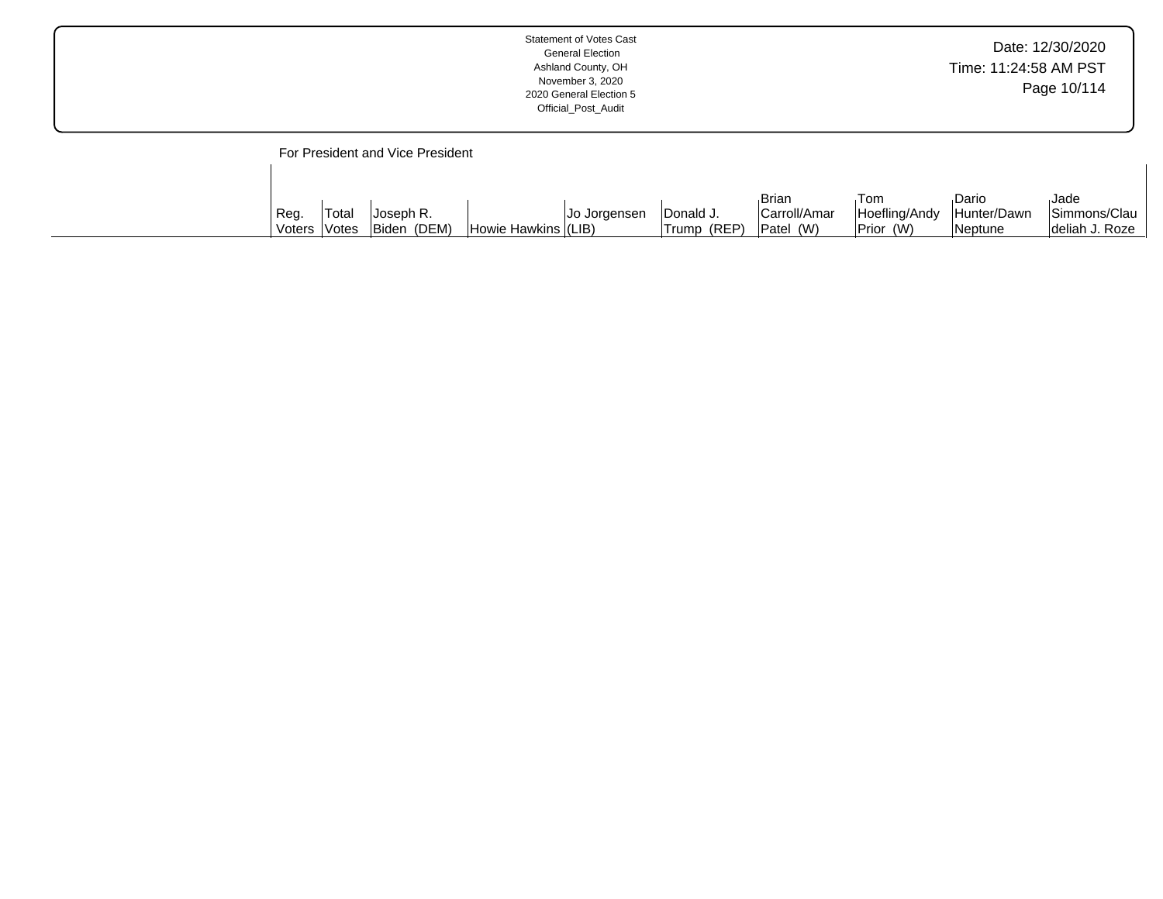| <b>Statement of Votes Cast</b><br><b>General Election</b><br>Ashland County, OH<br>November 3, 2020<br>2020 General Election 5<br>Official_Post_Audit | Date: 12/30/2020<br>Time: 11:24:58 AM PST<br>Page 10/114 |
|-------------------------------------------------------------------------------------------------------------------------------------------------------|----------------------------------------------------------|
|-------------------------------------------------------------------------------------------------------------------------------------------------------|----------------------------------------------------------|

# For President and Vice President

 $\overline{1}$ 

|              |       |             |                     |                     |              | <b>Brian</b> | Tom           | Dario                    | Jade            |
|--------------|-------|-------------|---------------------|---------------------|--------------|--------------|---------------|--------------------------|-----------------|
| Reg.         | Total | Joseph R.   |                     | <b>Jo Jorgensen</b> | IDonald J.   | Carroll/Amar | Hoefling/Andy | <sup>I</sup> Hunter/Dawn | Simmons/Clau    |
| Voters Votes |       | Biden (DEM) | Howie Hawkins (LIB) |                     | 'Trump (REP) | Patel (W)    | Prior (W)     | Neptune                  | Ideliah J. Roze |

 $\overline{\phantom{a}}$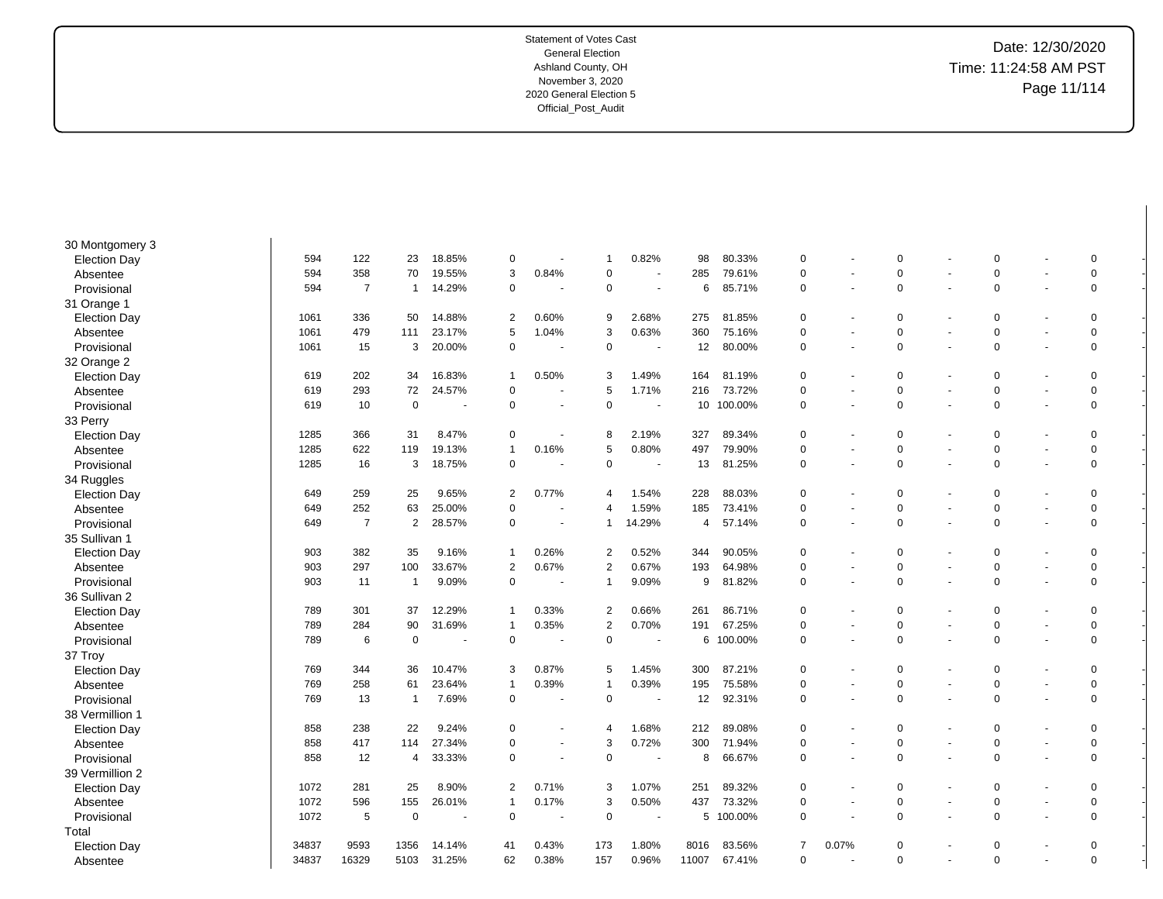-

-

-

-

-

-

-

-

-

-

-

-

-

-

-

-

-

-

-

-

-

-

-

-

-

-

-

-

-

-

-

-

| 30 Montgomery 3     |       |                |                |                          |                |                          |                |                          |       |            |                |                |             |                          |             |                          |             |  |
|---------------------|-------|----------------|----------------|--------------------------|----------------|--------------------------|----------------|--------------------------|-------|------------|----------------|----------------|-------------|--------------------------|-------------|--------------------------|-------------|--|
| <b>Election Day</b> | 594   | 122            | 23             | 18.85%                   | 0              |                          | 1              | 0.82%                    | 98    | 80.33%     | 0              |                | 0           |                          | 0           | ٠                        | 0           |  |
| Absentee            | 594   | 358            | 70             | 19.55%                   | 3              | 0.84%                    | $\Omega$       | $\overline{\phantom{a}}$ | 285   | 79.61%     | 0              |                | 0           | $\overline{a}$           | $\mathbf 0$ | $\overline{a}$           | $\mathbf 0$ |  |
| Provisional         | 594   | $\overline{7}$ | $\mathbf{1}$   | 14.29%                   | 0              |                          | 0              | $\overline{\phantom{a}}$ | 6     | 85.71%     | 0              | ٠              | 0           | $\overline{\phantom{a}}$ | 0           | $\blacksquare$           | 0           |  |
| 31 Orange 1         |       |                |                |                          |                |                          |                |                          |       |            |                |                |             |                          |             |                          |             |  |
| <b>Election Day</b> | 1061  | 336            | 50             | 14.88%                   | 2              | 0.60%                    | 9              | 2.68%                    | 275   | 81.85%     | 0              |                | 0           |                          | 0           | $\blacksquare$           | 0           |  |
| Absentee            | 1061  | 479            | 111            | 23.17%                   | 5              | 1.04%                    | 3              | 0.63%                    | 360   | 75.16%     | 0              |                | 0           | $\overline{\phantom{a}}$ | 0           | $\overline{\phantom{a}}$ | 0           |  |
| Provisional         | 1061  | 15             | 3              | 20.00%                   | 0              | $\blacksquare$           | $\mathbf 0$    | $\sim$                   | 12    | 80.00%     | 0              | $\blacksquare$ | 0           | $\overline{a}$           | $\mathbf 0$ | $\blacksquare$           | 0           |  |
| 32 Orange 2         |       |                |                |                          |                |                          |                |                          |       |            |                |                |             |                          |             |                          |             |  |
| <b>Election Day</b> | 619   | 202            | 34             | 16.83%                   | 1              | 0.50%                    | 3              | 1.49%                    | 164   | 81.19%     | 0              |                | 0           | $\blacksquare$           | $\Omega$    | $\overline{a}$           | 0           |  |
| Absentee            | 619   | 293            | 72             | 24.57%                   | $\mathbf 0$    |                          | 5              | 1.71%                    | 216   | 73.72%     | 0              |                | 0           |                          | $\mathbf 0$ | ÷,                       | 0           |  |
| Provisional         | 619   | 10             | $\mathbf 0$    | $\blacksquare$           | $\mathbf 0$    | $\blacksquare$           | $\mathbf 0$    | $\blacksquare$           |       | 10 100.00% | 0              |                | 0           | $\blacksquare$           | $\mathbf 0$ | $\blacksquare$           | 0           |  |
| 33 Perry            |       |                |                |                          |                |                          |                |                          |       |            |                |                |             |                          |             |                          |             |  |
| <b>Election Day</b> | 1285  | 366            | 31             | 8.47%                    | $\mathbf 0$    | $\overline{\phantom{a}}$ | 8              | 2.19%                    | 327   | 89.34%     | 0              |                | 0           | $\blacksquare$           | $\Omega$    | $\blacksquare$           | 0           |  |
| Absentee            | 1285  | 622            | 119            | 19.13%                   | $\overline{1}$ | 0.16%                    | 5              | 0.80%                    | 497   | 79.90%     | 0              |                | 0           |                          | 0           | $\blacksquare$           | 0           |  |
| Provisional         | 1285  | 16             | 3              | 18.75%                   | $\mathbf 0$    | $\blacksquare$           | $\mathbf 0$    | $\overline{\phantom{a}}$ | 13    | 81.25%     | 0              |                | 0           | $\blacksquare$           | $\mathbf 0$ | $\blacksquare$           | 0           |  |
| 34 Ruggles          |       |                |                |                          |                |                          |                |                          |       |            |                |                |             |                          |             |                          |             |  |
| <b>Election Day</b> | 649   | 259            | 25             | 9.65%                    | 2              | 0.77%                    | 4              | 1.54%                    | 228   | 88.03%     | 0              |                | 0           | $\blacksquare$           | 0           | ٠                        | 0           |  |
| Absentee            | 649   | 252            | 63             | 25.00%                   | 0              | ÷,                       | 4              | 1.59%                    | 185   | 73.41%     | 0              | ÷              | 0           | $\blacksquare$           | 0           | $\sim$                   | 0           |  |
| Provisional         | 649   | $\overline{7}$ | $\overline{2}$ | 28.57%                   | 0              |                          | 1              | 14.29%                   | 4     | 57.14%     | 0              |                | 0           |                          | $\Omega$    |                          | 0           |  |
| 35 Sullivan 1       |       |                |                |                          |                |                          |                |                          |       |            |                |                |             |                          |             |                          |             |  |
| <b>Election Day</b> | 903   | 382            | 35             | 9.16%                    | $\overline{1}$ | 0.26%                    | $\overline{2}$ | 0.52%                    | 344   | 90.05%     | $\mathbf 0$    |                | 0           |                          | $\Omega$    |                          | 0           |  |
| Absentee            | 903   | 297            | 100            | 33.67%                   | $\overline{2}$ | 0.67%                    | $\overline{2}$ | 0.67%                    | 193   | 64.98%     | $\Omega$       |                | 0           | $\blacksquare$           | $\mathbf 0$ | $\sim$                   | 0           |  |
| Provisional         | 903   | 11             | $\overline{1}$ | 9.09%                    | $\Omega$       | $\overline{a}$           | $\mathbf{1}$   | 9.09%                    | 9     | 81.82%     | $\Omega$       |                | 0           | $\overline{\phantom{a}}$ | 0           | $\blacksquare$           | 0           |  |
| 36 Sullivan 2       |       |                |                |                          |                |                          |                |                          |       |            |                |                |             |                          |             |                          |             |  |
| <b>Election Day</b> | 789   | 301            | 37             | 12.29%                   | 1              | 0.33%                    | 2              | 0.66%                    | 261   | 86.71%     | $\Omega$       |                | 0           |                          | 0           | $\overline{\phantom{a}}$ | 0           |  |
| Absentee            | 789   | 284            | 90             | 31.69%                   | $\overline{1}$ | 0.35%                    | $\overline{2}$ | 0.70%                    | 191   | 67.25%     | $\Omega$       |                | 0           | $\blacksquare$           | 0           | $\blacksquare$           | 0           |  |
| Provisional         | 789   | 6              | $\overline{0}$ | $\overline{\phantom{a}}$ | $\mathbf 0$    |                          | $\mathbf 0$    | $\sim$                   | 6     | 100.00%    | 0              | ÷              | 0           |                          | $\mathbf 0$ | $\sim$                   | 0           |  |
| 37 Troy             |       |                |                |                          |                |                          |                |                          |       |            |                |                |             |                          |             |                          |             |  |
| <b>Election Day</b> | 769   | 344            | 36             | 10.47%                   | 3              | 0.87%                    | 5              | 1.45%                    | 300   | 87.21%     | $\mathbf 0$    |                | $\mathbf 0$ | ÷,                       | $\Omega$    | $\sim$                   | 0           |  |
| Absentee            | 769   | 258            | 61             | 23.64%                   | $\mathbf{1}$   | 0.39%                    | $\mathbf{1}$   | 0.39%                    | 195   | 75.58%     | $\Omega$       |                | 0           |                          | 0           | $\overline{\phantom{a}}$ | 0           |  |
| Provisional         | 769   | 13             | $\overline{1}$ | 7.69%                    | $\mathbf 0$    | $\overline{a}$           | $\mathbf 0$    | $\sim$                   | 12    | 92.31%     | $\Omega$       |                | $\mathbf 0$ | $\overline{a}$           | $\Omega$    | $\blacksquare$           | $\mathbf 0$ |  |
| 38 Vermillion 1     |       |                |                |                          |                |                          |                |                          |       |            |                |                |             |                          |             |                          |             |  |
| <b>Election Day</b> | 858   | 238            | 22             | 9.24%                    | $\mathbf 0$    | $\overline{\phantom{a}}$ | $\overline{4}$ | 1.68%                    | 212   | 89.08%     | 0              |                | 0           | ÷,                       | $\mathbf 0$ | $\blacksquare$           | 0           |  |
| Absentee            | 858   | 417            | 114            | 27.34%                   | 0              | $\overline{\phantom{a}}$ | 3              | 0.72%                    | 300   | 71.94%     | 0              | ٠              | 0           | $\blacksquare$           | 0           | $\blacksquare$           | 0           |  |
| Provisional         | 858   | 12             | $\overline{4}$ | 33.33%                   | $\mathbf 0$    | $\overline{\phantom{a}}$ | $\mathbf 0$    | $\overline{\phantom{a}}$ | 8     | 66.67%     | 0              | $\blacksquare$ | 0           | $\blacksquare$           | 0           | $\blacksquare$           | 0           |  |
| 39 Vermillion 2     |       |                |                |                          |                |                          |                |                          |       |            |                |                |             |                          |             |                          |             |  |
| <b>Election Day</b> | 1072  | 281            | 25             | 8.90%                    | 2              | 0.71%                    | 3              | 1.07%                    | 251   | 89.32%     | 0              |                | 0           | $\blacksquare$           | 0           | $\blacksquare$           | 0           |  |
| Absentee            | 1072  | 596            | 155            | 26.01%                   | $\overline{1}$ | 0.17%                    | 3              | 0.50%                    | 437   | 73.32%     | 0              | ÷.             | 0           | $\blacksquare$           | 0           | $\sim$                   | 0           |  |
| Provisional         | 1072  | 5              | $\mathbf 0$    |                          | $\mathbf 0$    | $\blacksquare$           | $\mathbf 0$    | $\overline{\phantom{a}}$ |       | 5 100.00%  | 0              | ÷.             | 0           | $\blacksquare$           | $\mathbf 0$ | $\sim$                   | 0           |  |
| Total               |       |                |                |                          |                |                          |                |                          |       |            |                |                |             |                          |             |                          |             |  |
| <b>Election Day</b> | 34837 | 9593           | 1356           | 14.14%                   | 41             | 0.43%                    | 173            | 1.80%                    | 8016  | 83.56%     | $\overline{7}$ | 0.07%          | 0           |                          | 0           |                          | 0           |  |
| Absentee            | 34837 | 16329          | 5103           | 31.25%                   | 62             | 0.38%                    | 157            | 0.96%                    | 11007 | 67.41%     | $\Omega$       |                | $\mathbf 0$ |                          | $\mathbf 0$ | $\sim$                   | $\mathbf 0$ |  |
|                     |       |                |                |                          |                |                          |                |                          |       |            |                |                |             |                          |             |                          |             |  |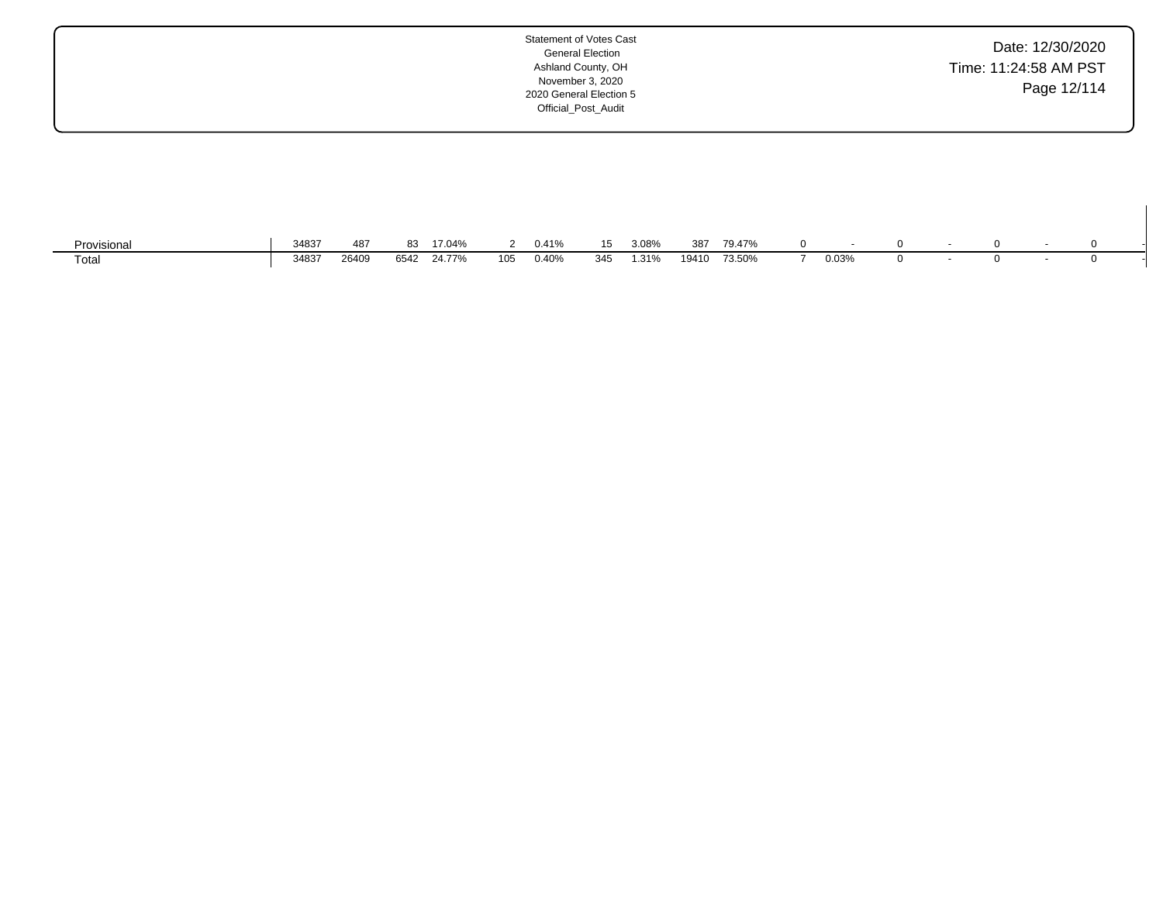| Date: 12/30/2020      |  |
|-----------------------|--|
| Time: 11:24:58 AM PST |  |
| Page 12/114           |  |
|                       |  |

| Provisional | 34837 | 487   | oc   | 17.04% |     | 0.41%<br>- 70 |     | 3.08% | 387   | 79.47% |       |  |  |  |
|-------------|-------|-------|------|--------|-----|---------------|-----|-------|-------|--------|-------|--|--|--|
| Total       | 34837 | 26409 | 6542 | 24 77% | 105 | 0.40%         | 345 | .31%  | 19410 | 73.50% | 0.03% |  |  |  |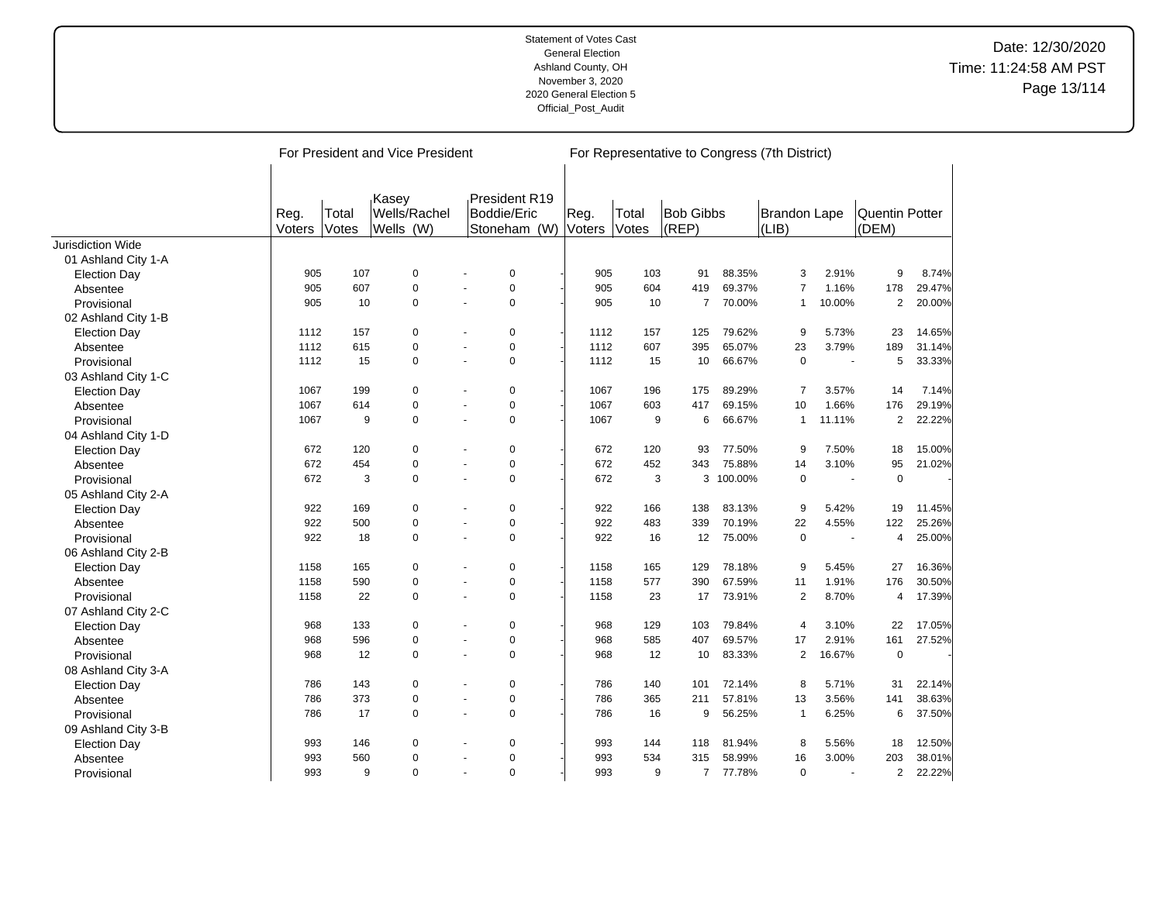|                          |                |                | For President and Vice President   |                          |                                              |      |        |                |                           |           | For Representative to Congress (7th District) |        |                                |        |
|--------------------------|----------------|----------------|------------------------------------|--------------------------|----------------------------------------------|------|--------|----------------|---------------------------|-----------|-----------------------------------------------|--------|--------------------------------|--------|
|                          | Reg.<br>Voters | Total<br>Votes | Kasey<br>Wells/Rachel<br>Wells (W) |                          | President R19<br>Boddie/Eric<br>Stoneham (W) | Reg. | Voters | Total<br>Votes | <b>Bob Gibbs</b><br>(REP) |           | <b>Brandon Lape</b><br>(LIB)                  |        | <b>Quentin Potter</b><br>(DEM) |        |
| <b>Jurisdiction Wide</b> |                |                |                                    |                          |                                              |      |        |                |                           |           |                                               |        |                                |        |
| 01 Ashland City 1-A      |                |                |                                    |                          |                                              |      |        |                |                           |           |                                               |        |                                |        |
| <b>Election Day</b>      | 905            | 107            | $\mathbf 0$                        |                          | 0                                            |      | 905    | 103            | 91                        | 88.35%    | 3                                             | 2.91%  | 9                              | 8.74%  |
| Absentee                 | 905            | 607            | 0                                  |                          | $\mathbf 0$                                  |      | 905    | 604            | 419                       | 69.37%    | 7                                             | 1.16%  | 178                            | 29.47% |
| Provisional              | 905            | 10             | $\Omega$                           |                          | $\Omega$                                     |      | 905    | 10             | $\overline{7}$            | 70.00%    | $\mathbf{1}$                                  | 10.00% | $\overline{2}$                 | 20.00% |
| 02 Ashland City 1-B      |                |                |                                    |                          |                                              |      |        |                |                           |           |                                               |        |                                |        |
| <b>Election Day</b>      | 1112           | 157            | 0                                  |                          | 0                                            |      | 1112   | 157            | 125                       | 79.62%    | 9                                             | 5.73%  | 23                             | 14.65% |
| Absentee                 | 1112           | 615            | 0                                  |                          | 0                                            |      | 1112   | 607            | 395                       | 65.07%    | 23                                            | 3.79%  | 189                            | 31.14% |
| Provisional              | 1112           | 15             | 0                                  | $\sim$                   | $\mathbf 0$                                  |      | 1112   | 15             | 10                        | 66.67%    | $\mathbf 0$                                   | ÷.     | 5                              | 33.33% |
| 03 Ashland City 1-C      |                |                |                                    |                          |                                              |      |        |                |                           |           |                                               |        |                                |        |
| <b>Election Day</b>      | 1067           | 199            | 0                                  |                          | 0                                            |      | 1067   | 196            | 175                       | 89.29%    | 7                                             | 3.57%  | 14                             | 7.14%  |
| Absentee                 | 1067           | 614            | 0                                  |                          | $\mathbf 0$                                  |      | 1067   | 603            | 417                       | 69.15%    | 10                                            | 1.66%  | 176                            | 29.19% |
| Provisional              | 1067           | 9              | $\mathbf 0$                        |                          | $\mathbf 0$                                  |      | 1067   | 9              | 6                         | 66.67%    | 1                                             | 11.11% | $\overline{2}$                 | 22.22% |
| 04 Ashland City 1-D      |                |                |                                    |                          |                                              |      |        |                |                           |           |                                               |        |                                |        |
| <b>Election Day</b>      | 672            | 120            | $\mathbf 0$                        |                          | $\mathbf 0$                                  |      | 672    | 120            | 93                        | 77.50%    | 9                                             | 7.50%  | 18                             | 15.00% |
| Absentee                 | 672            | 454            | $\pmb{0}$                          |                          | $\pmb{0}$                                    |      | 672    | 452            | 343                       | 75.88%    | 14                                            | 3.10%  | 95                             | 21.02% |
| Provisional              | 672            | 3              | 0                                  | $\overline{\phantom{a}}$ | 0                                            |      | 672    | 3              |                           | 3 100.00% | $\pmb{0}$                                     | $\sim$ | $\mathbf 0$                    |        |
| 05 Ashland City 2-A      |                |                |                                    |                          |                                              |      |        |                |                           |           |                                               |        |                                |        |
| <b>Election Day</b>      | 922            | 169            | 0                                  |                          | 0                                            |      | 922    | 166            | 138                       | 83.13%    | 9                                             | 5.42%  | 19                             | 11.45% |
| Absentee                 | 922            | 500            | 0                                  |                          | $\pmb{0}$                                    |      | 922    | 483            | 339                       | 70.19%    | 22                                            | 4.55%  | 122                            | 25.26% |
| Provisional              | 922            | 18             | $\mathbf 0$                        |                          | $\mathbf 0$                                  |      | 922    | 16             | 12                        | 75.00%    | $\mathbf 0$                                   |        | 4                              | 25.00% |
| 06 Ashland City 2-B      |                |                |                                    |                          |                                              |      |        |                |                           |           |                                               |        |                                |        |
| <b>Election Day</b>      | 1158           | 165            | 0                                  |                          | $\mathbf 0$                                  |      | 1158   | 165            | 129                       | 78.18%    | 9                                             | 5.45%  | 27                             | 16.36% |
| Absentee                 | 1158           | 590            | $\mathbf 0$                        |                          | $\mathbf 0$                                  |      | 1158   | 577            | 390                       | 67.59%    | 11                                            | 1.91%  | 176                            | 30.50% |
| Provisional              | 1158           | 22             | $\Omega$                           |                          | $\Omega$                                     |      | 1158   | 23             | 17                        | 73.91%    | $\overline{2}$                                | 8.70%  | 4                              | 17.39% |
| 07 Ashland City 2-C      |                |                |                                    |                          |                                              |      |        |                |                           |           |                                               |        |                                |        |
| <b>Election Day</b>      | 968            | 133            | 0                                  |                          | 0                                            |      | 968    | 129            | 103                       | 79.84%    | 4                                             | 3.10%  | 22                             | 17.05% |
| Absentee                 | 968            | 596            | 0                                  | $\sim$                   | 0                                            |      | 968    | 585            | 407                       | 69.57%    | 17                                            | 2.91%  | 161                            | 27.52% |
| Provisional              | 968            | 12             | $\mathbf 0$                        |                          | $\mathbf 0$                                  |      | 968    | 12             | 10                        | 83.33%    | $\overline{2}$                                | 16.67% | $\mathbf 0$                    |        |
| 08 Ashland City 3-A      |                |                |                                    |                          |                                              |      |        |                |                           |           |                                               |        |                                |        |
| <b>Election Day</b>      | 786            | 143            | $\mathbf 0$                        |                          | 0                                            |      | 786    | 140            | 101                       | 72.14%    | 8                                             | 5.71%  | 31                             | 22.14% |
| Absentee                 | 786            | 373            | $\mathbf 0$                        |                          | $\mathbf 0$                                  |      | 786    | 365            | 211                       | 57.81%    | 13                                            | 3.56%  | 141                            | 38.63% |
| Provisional              | 786            | 17             | $\Omega$                           |                          | $\mathbf 0$                                  |      | 786    | 16             | 9                         | 56.25%    | 1                                             | 6.25%  | 6                              | 37.50% |
| 09 Ashland City 3-B      |                |                |                                    |                          |                                              |      |        |                |                           |           |                                               |        |                                |        |
| <b>Election Day</b>      | 993            | 146            | 0                                  |                          | 0                                            |      | 993    | 144            | 118                       | 81.94%    | 8                                             | 5.56%  | 18                             | 12.50% |
| Absentee                 | 993            | 560            | 0                                  |                          | 0                                            |      | 993    | 534            | 315                       | 58.99%    | 16                                            | 3.00%  | 203                            | 38.01% |
| Provisional              | 993            | 9              | 0                                  |                          | $\mathbf 0$                                  |      | 993    | 9              | $\overline{7}$            | 77.78%    | $\mathbf 0$                                   |        | $\overline{2}$                 | 22.22% |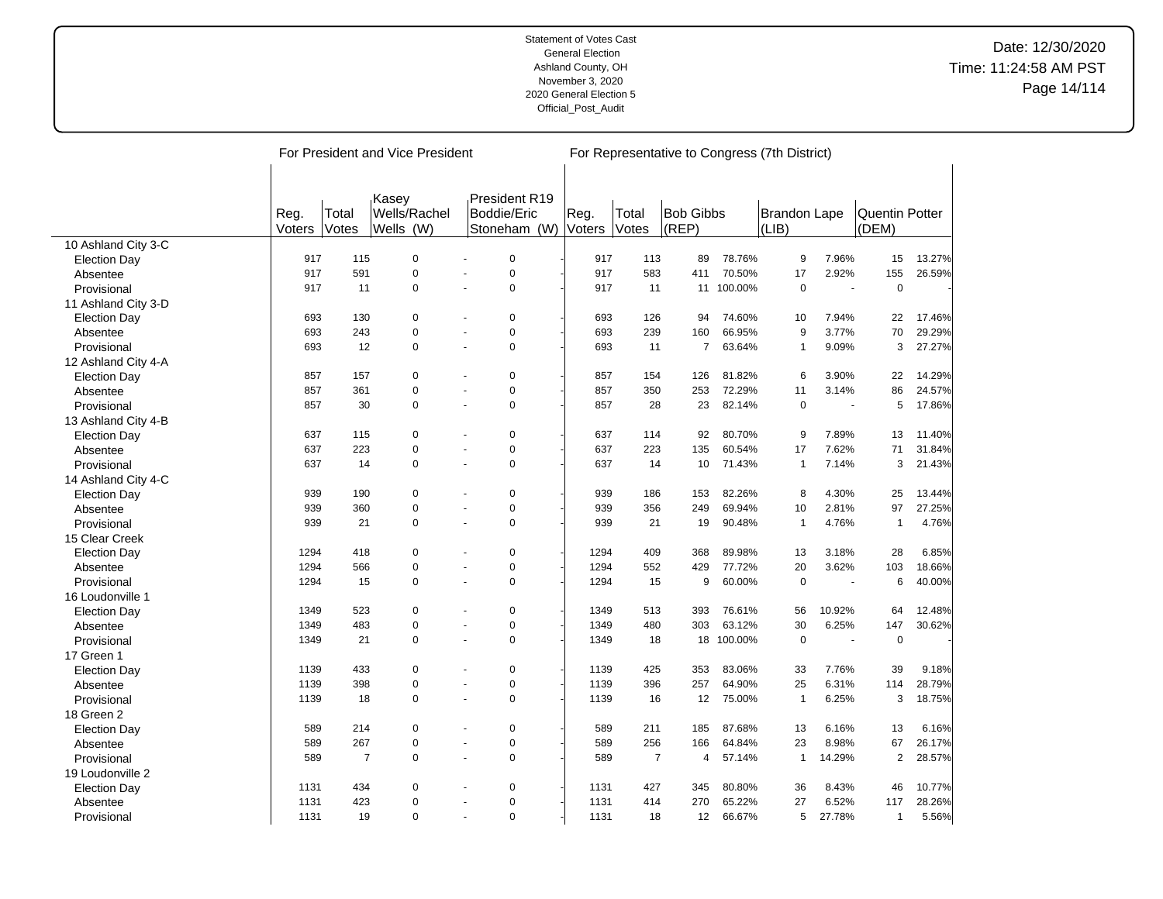|                     |        |                | For President and Vice President |                |               |        |                |                  |         | For Representative to Congress (7th District) |        |                       |        |
|---------------------|--------|----------------|----------------------------------|----------------|---------------|--------|----------------|------------------|---------|-----------------------------------------------|--------|-----------------------|--------|
|                     |        |                |                                  |                |               |        |                |                  |         |                                               |        |                       |        |
|                     |        |                | Kasev                            |                | President R19 |        |                |                  |         |                                               |        |                       |        |
|                     | Reg.   | Total          | Wells/Rachel                     |                | Boddie/Eric   | Reg.   | Total          | <b>Bob Gibbs</b> |         | <b>Brandon Lape</b>                           |        | <b>Quentin Potter</b> |        |
|                     | Voters | Votes          | Wells (W)                        |                | Stoneham (W)  | Voters | Votes          | (REP)            |         | (LIB)                                         |        | (DEM)                 |        |
| 10 Ashland City 3-C |        |                |                                  |                |               |        |                |                  |         |                                               |        |                       |        |
| <b>Election Day</b> | 917    | 115            | $\mathbf 0$                      |                | $\mathbf 0$   | 917    | 113            | 89               | 78.76%  | 9                                             | 7.96%  | 15                    | 13.27% |
| Absentee            | 917    | 591            | $\mathbf 0$                      |                | $\mathbf 0$   | 917    | 583            | 411              | 70.50%  | 17                                            | 2.92%  | 155                   | 26.59% |
| Provisional         | 917    | 11             | $\mathbf 0$                      |                | $\pmb{0}$     | 917    | 11             | 11               | 100.00% | $\mathbf 0$                                   | ÷.     | $\mathbf 0$           |        |
| 11 Ashland City 3-D |        |                |                                  |                |               |        |                |                  |         |                                               |        |                       |        |
| <b>Election Day</b> | 693    | 130            | 0                                |                | 0             | 693    | 126            | 94               | 74.60%  | 10                                            | 7.94%  | 22                    | 17.46% |
| Absentee            | 693    | 243            | $\mathbf 0$                      | $\overline{a}$ | $\mathbf 0$   | 693    | 239            | 160              | 66.95%  | 9                                             | 3.77%  | 70                    | 29.29% |
| Provisional         | 693    | 12             | $\mathbf 0$                      |                | $\mathbf 0$   | 693    | 11             | 7                | 63.64%  | -1                                            | 9.09%  | 3                     | 27.27% |
| 12 Ashland City 4-A |        |                |                                  |                |               |        |                |                  |         |                                               |        |                       |        |
| <b>Election Day</b> | 857    | 157            | $\mathbf 0$                      |                | $\mathbf 0$   | 857    | 154            | 126              | 81.82%  | 6                                             | 3.90%  | 22                    | 14.29% |
| Absentee            | 857    | 361            | $\mathbf 0$                      |                | $\pmb{0}$     | 857    | 350            | 253              | 72.29%  | 11                                            | 3.14%  | 86                    | 24.57% |
| Provisional         | 857    | 30             | $\mathbf 0$                      |                | $\mathbf 0$   | 857    | 28             | 23               | 82.14%  | $\overline{0}$                                |        | 5                     | 17.86% |
| 13 Ashland City 4-B |        |                |                                  |                |               |        |                |                  |         |                                               |        |                       |        |
| <b>Election Day</b> | 637    | 115            | $\mathbf 0$                      |                | $\mathbf 0$   | 637    | 114            | 92               | 80.70%  | 9                                             | 7.89%  | 13                    | 11.40% |
| Absentee            | 637    | 223            | $\mathbf 0$                      |                | $\mathbf 0$   | 637    | 223            | 135              | 60.54%  | 17                                            | 7.62%  | 71                    | 31.84% |
| Provisional         | 637    | 14             | $\mathbf 0$                      |                | $\mathbf 0$   | 637    | 14             | 10               | 71.43%  | $\mathbf{1}$                                  | 7.14%  | 3                     | 21.43% |
| 14 Ashland City 4-C |        |                |                                  |                |               |        |                |                  |         |                                               |        |                       |        |
| <b>Election Day</b> | 939    | 190            | $\mathbf 0$                      |                | $\mathbf 0$   | 939    | 186            | 153              | 82.26%  | 8                                             | 4.30%  | 25                    | 13.44% |
| Absentee            | 939    | 360            | $\mathbf 0$                      |                | $\pmb{0}$     | 939    | 356            | 249              | 69.94%  | 10                                            | 2.81%  | 97                    | 27.25% |
| Provisional         | 939    | 21             | $\mathbf 0$                      |                | $\pmb{0}$     | 939    | 21             | 19               | 90.48%  | $\mathbf{1}$                                  | 4.76%  | $\mathbf{1}$          | 4.76%  |
| 15 Clear Creek      |        |                |                                  |                |               |        |                |                  |         |                                               |        |                       |        |
| <b>Election Day</b> | 1294   | 418            | $\mathbf 0$                      |                | $\mathbf 0$   | 1294   | 409            | 368              | 89.98%  | 13                                            | 3.18%  | 28                    | 6.85%  |
| Absentee            | 1294   | 566            | $\mathbf 0$                      |                | $\mathbf 0$   | 1294   | 552            | 429              | 77.72%  | 20                                            | 3.62%  | 103                   | 18.66% |
| Provisional         | 1294   | 15             | $\mathbf 0$                      |                | $\mathbf 0$   | 1294   | 15             | 9                | 60.00%  | $\mathbf 0$                                   | ÷,     | 6                     | 40.00% |
| 16 Loudonville 1    |        |                |                                  |                |               |        |                |                  |         |                                               |        |                       |        |
| <b>Election Day</b> | 1349   | 523            | $\mathbf 0$                      |                | $\mathbf 0$   | 1349   | 513            | 393              | 76.61%  | 56                                            | 10.92% | 64                    | 12.48% |
| Absentee            | 1349   | 483            | $\mathbf 0$                      |                | $\pmb{0}$     | 1349   | 480            | 303              | 63.12%  | 30                                            | 6.25%  | 147                   | 30.62% |
| Provisional         | 1349   | 21             | $\mathbf 0$                      |                | $\mathbf 0$   | 1349   | 18             | 18               | 100.00% | $\mathbf 0$                                   |        | $\pmb{0}$             |        |
| 17 Green 1          |        |                |                                  |                |               |        |                |                  |         |                                               |        |                       |        |
| <b>Election Day</b> | 1139   | 433            | $\mathbf 0$                      |                | $\mathbf 0$   | 1139   | 425            | 353              | 83.06%  | 33                                            | 7.76%  | 39                    | 9.18%  |
| Absentee            | 1139   | 398            | $\mathbf 0$                      |                | $\mathbf 0$   | 1139   | 396            | 257              | 64.90%  | 25                                            | 6.31%  | 114                   | 28.79% |
| Provisional         | 1139   | 18             | $\mathbf 0$                      |                | $\mathbf 0$   | 1139   | 16             | 12               | 75.00%  | $\mathbf{1}$                                  | 6.25%  | 3                     | 18.75% |
| 18 Green 2          |        |                |                                  |                |               |        |                |                  |         |                                               |        |                       |        |
| <b>Election Day</b> | 589    | 214            | $\mathbf 0$                      |                | $\mathbf 0$   | 589    | 211            | 185              | 87.68%  | 13                                            | 6.16%  | 13                    | 6.16%  |
| Absentee            | 589    | 267            | $\mathbf 0$                      |                | $\pmb{0}$     | 589    | 256            | 166              | 64.84%  | 23                                            | 8.98%  | 67                    | 26.17% |
| Provisional         | 589    | $\overline{7}$ | $\mathbf 0$                      | $\sim$         | $\mathbf 0$   | 589    | $\overline{7}$ | 4                | 57.14%  | $\mathbf{1}$                                  | 14.29% | $\overline{2}$        | 28.57% |
| 19 Loudonville 2    |        |                |                                  |                |               |        |                |                  |         |                                               |        |                       |        |
| <b>Election Day</b> | 1131   | 434            | 0                                |                | $\mathbf 0$   | 1131   | 427            | 345              | 80.80%  | 36                                            | 8.43%  | 46                    | 10.77% |
| Absentee            | 1131   | 423            | $\Omega$                         |                | $\mathbf 0$   | 1131   | 414            | 270              | 65.22%  | 27                                            | 6.52%  | 117                   | 28.26% |
| Provisional         | 1131   | 19             | $\Omega$                         |                | $\Omega$      | 1131   | 18             | 12               | 66.67%  | 5                                             | 27.78% | $\mathbf{1}$          | 5.56%  |

 $\overline{a}$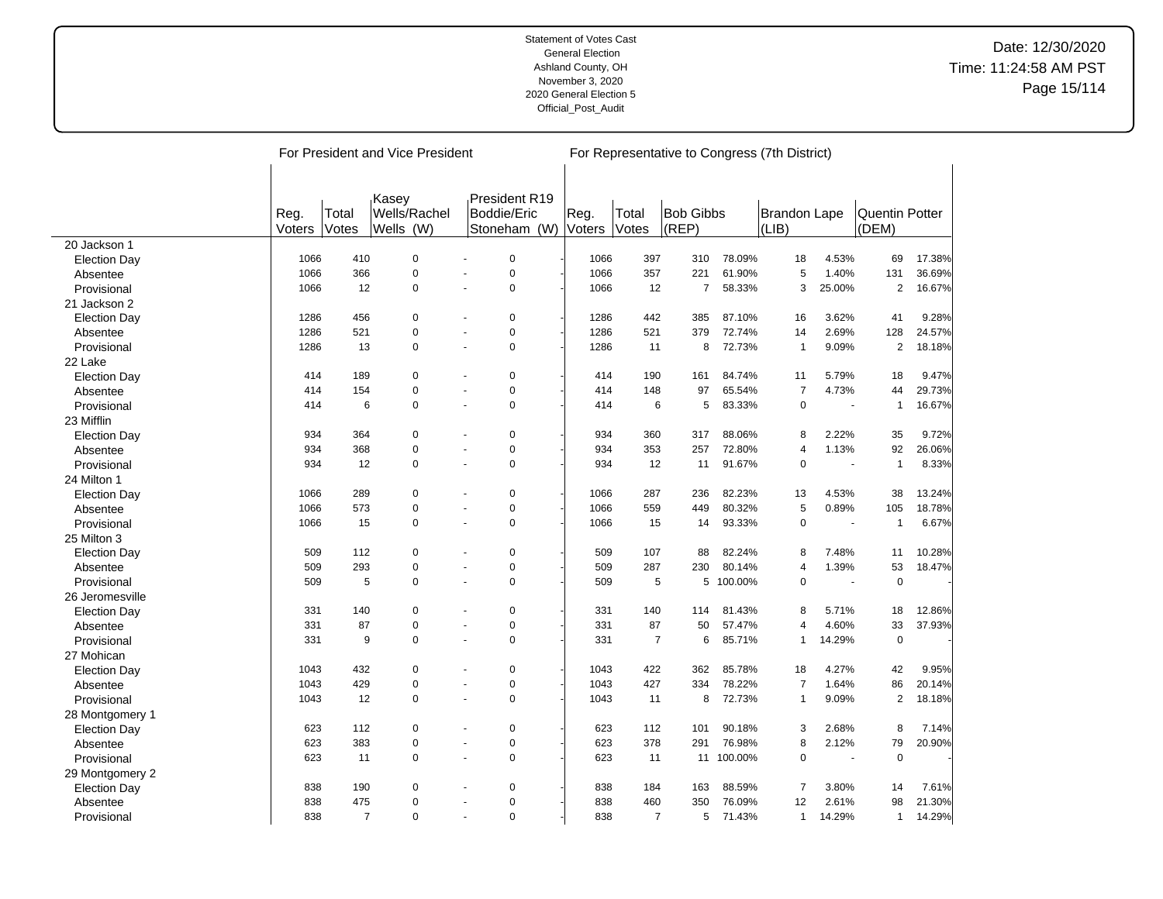|                     |        |                | For President and Vice President   |                       |                              |        |                |                  |            | For Representative to Congress (7th District) |                |                |        |
|---------------------|--------|----------------|------------------------------------|-----------------------|------------------------------|--------|----------------|------------------|------------|-----------------------------------------------|----------------|----------------|--------|
|                     |        |                |                                    |                       |                              |        |                |                  |            |                                               |                |                |        |
|                     | Reg.   | Total          | <sub>ı</sub> Kasey<br>Wells/Rachel |                       | President R19<br>Boddie/Eric | Reg.   | Total          | <b>Bob Gibbs</b> |            | Brandon Lape                                  |                | Quentin Potter |        |
|                     | Voters | Votes          | Wells (W)                          |                       | Stoneham (W)                 | Voters | Votes          | (REP)            |            | (LIB)                                         |                | (DEM)          |        |
| 20 Jackson 1        |        |                |                                    |                       |                              |        |                |                  |            |                                               |                |                |        |
| <b>Election Day</b> | 1066   | 410            | 0                                  |                       | 0                            | 1066   | 397            | 310              | 78.09%     | 18                                            | 4.53%          | 69             | 17.38% |
| Absentee            | 1066   | 366            | $\Omega$                           |                       | $\Omega$                     | 1066   | 357            | 221              | 61.90%     | 5                                             | 1.40%          | 131            | 36.69% |
| Provisional         | 1066   | 12             | 0                                  | $\sim$                | 0                            | 1066   | 12             | $\overline{7}$   | 58.33%     | 3                                             | 25.00%         | $\overline{2}$ | 16.67% |
| 21 Jackson 2        |        |                |                                    |                       |                              |        |                |                  |            |                                               |                |                |        |
| <b>Election Day</b> | 1286   | 456            | 0                                  |                       | 0                            | 1286   | 442            | 385              | 87.10%     | 16                                            | 3.62%          | 41             | 9.28%  |
| Absentee            | 1286   | 521            | 0                                  | $\sim$                | 0                            | 1286   | 521            | 379              | 72.74%     | 14                                            | 2.69%          | 128            | 24.57% |
| Provisional         | 1286   | 13             | 0                                  | $\tilde{\phantom{a}}$ | 0                            | 1286   | 11             | 8                | 72.73%     | $\overline{1}$                                | 9.09%          | $\overline{c}$ | 18.18% |
| 22 Lake             |        |                |                                    |                       |                              |        |                |                  |            |                                               |                |                |        |
| <b>Election Day</b> | 414    | 189            | 0                                  |                       | 0                            | 414    | 190            | 161              | 84.74%     | 11                                            | 5.79%          | 18             | 9.47%  |
| Absentee            | 414    | 154            | 0                                  | $\overline{a}$        | 0                            | 414    | 148            | 97               | 65.54%     | $\overline{7}$                                | 4.73%          | 44             | 29.73% |
| Provisional         | 414    | 6              | 0                                  |                       | $\Omega$                     | 414    | 6              | 5                | 83.33%     | $\mathbf 0$                                   |                | $\mathbf{1}$   | 16.67% |
| 23 Mifflin          |        |                |                                    |                       |                              |        |                |                  |            |                                               |                |                |        |
| <b>Election Day</b> | 934    | 364            | 0                                  | $\ddot{\phantom{1}}$  | 0                            | 934    | 360            | 317              | 88.06%     | 8                                             | 2.22%          | 35             | 9.72%  |
| Absentee            | 934    | 368            | 0                                  |                       | 0                            | 934    | 353            | 257              | 72.80%     | $\overline{4}$                                | 1.13%          | 92             | 26.06% |
| Provisional         | 934    | 12             | 0                                  | $\sim$                | 0                            | 934    | 12             | 11               | 91.67%     | $\mathbf 0$                                   |                | $\mathbf{1}$   | 8.33%  |
| 24 Milton 1         |        |                |                                    |                       |                              |        |                |                  |            |                                               |                |                |        |
| <b>Election Day</b> | 1066   | 289            | 0                                  | $\ddot{\phantom{1}}$  | 0                            | 1066   | 287            | 236              | 82.23%     | 13                                            | 4.53%          | 38             | 13.24% |
| Absentee            | 1066   | 573            | 0                                  | ÷.                    | 0                            | 1066   | 559            | 449              | 80.32%     | 5                                             | 0.89%          | 105            | 18.78% |
| Provisional         | 1066   | 15             | 0                                  | $\overline{a}$        | 0                            | 1066   | 15             | 14               | 93.33%     | $\mathbf 0$                                   | $\blacksquare$ | $\mathbf{1}$   | 6.67%  |
| 25 Milton 3         |        |                |                                    |                       |                              |        |                |                  |            |                                               |                |                |        |
| <b>Election Day</b> | 509    | 112            | 0                                  | ÷.                    | 0                            | 509    | 107            | 88               | 82.24%     | 8                                             | 7.48%          | 11             | 10.28% |
| Absentee            | 509    | 293            | 0                                  | $\sim$                | 0                            | 509    | 287            | 230              | 80.14%     | $\overline{4}$                                | 1.39%          | 53             | 18.47% |
| Provisional         | 509    | 5              | 0                                  | ÷.                    | 0                            | 509    | 5              | 5                | 100.00%    | $\mathbf 0$                                   |                | $\mathbf 0$    |        |
| 26 Jeromesville     |        |                |                                    |                       |                              |        |                |                  |            |                                               |                |                |        |
| <b>Election Day</b> | 331    | 140            | 0                                  |                       | 0                            | 331    | 140            | 114              | 81.43%     | 8                                             | 5.71%          | 18             | 12.86% |
| Absentee            | 331    | 87             | 0                                  | ÷.                    | 0                            | 331    | 87             | 50               | 57.47%     | $\overline{4}$                                | 4.60%          | 33             | 37.93% |
| Provisional         | 331    | 9              | 0                                  | ÷.                    | 0                            | 331    | $\overline{7}$ | 6                | 85.71%     | $\mathbf{1}$                                  | 14.29%         | $\mathbf 0$    |        |
| 27 Mohican          |        |                |                                    |                       |                              |        |                |                  |            |                                               |                |                |        |
| <b>Election Day</b> | 1043   | 432            | 0                                  |                       | 0                            | 1043   | 422            | 362              | 85.78%     | 18                                            | 4.27%          | 42             | 9.95%  |
| Absentee            | 1043   | 429            | 0                                  | ÷.                    | 0                            | 1043   | 427            | 334              | 78.22%     | $\overline{7}$                                | 1.64%          | 86             | 20.14% |
| Provisional         | 1043   | 12             | 0                                  | ÷.                    | 0                            | 1043   | 11             | 8                | 72.73%     | $\mathbf{1}$                                  | 9.09%          | $\overline{2}$ | 18.18% |
| 28 Montgomery 1     |        |                |                                    |                       |                              |        |                |                  |            |                                               |                |                |        |
| <b>Election Day</b> | 623    | 112            | 0                                  |                       | 0                            | 623    | 112            | 101              | 90.18%     | 3                                             | 2.68%          | 8              | 7.14%  |
| Absentee            | 623    | 383            | 0                                  | ÷.                    | 0                            | 623    | 378            | 291              | 76.98%     | 8                                             | 2.12%          | 79             | 20.90% |
| Provisional         | 623    | 11             | 0                                  | ÷,                    | 0                            | 623    | 11             |                  | 11 100.00% | $\mathbf 0$                                   |                | $\mathbf 0$    |        |
| 29 Montgomery 2     |        |                |                                    |                       |                              |        |                |                  |            |                                               |                |                |        |
| <b>Election Day</b> | 838    | 190            | 0                                  |                       | 0                            | 838    | 184            | 163              | 88.59%     | $\overline{7}$                                | 3.80%          | 14             | 7.61%  |
| Absentee            | 838    | 475            | $\Omega$                           |                       | $\Omega$                     | 838    | 460            | 350              | 76.09%     | 12                                            | 2.61%          | 98             | 21.30% |
| Provisional         | 838    | $\overline{7}$ | $\Omega$                           | $\sim$                | $\Omega$                     | 838    | $\overline{7}$ | 5                | 71.43%     | $\mathbf{1}$                                  | 14.29%         | $\mathbf{1}$   | 14.29% |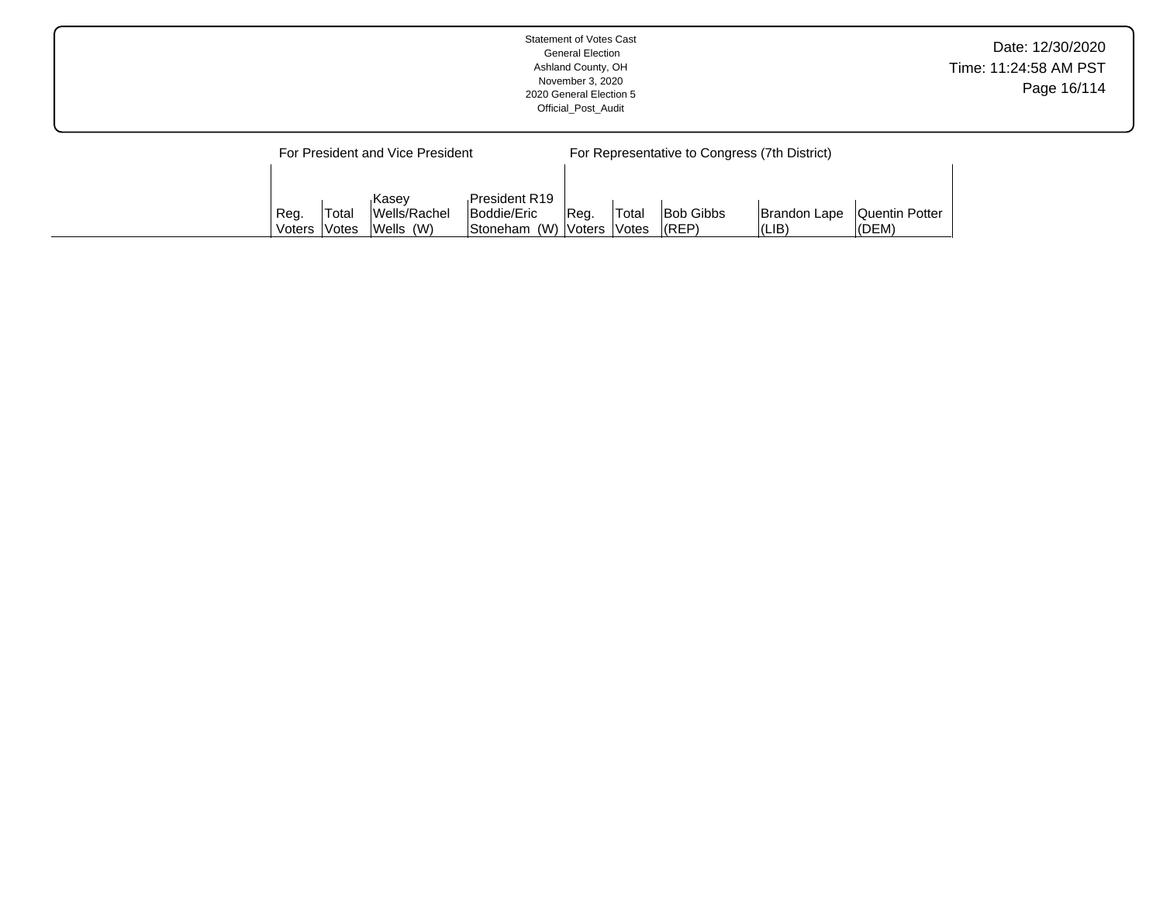|  |      |       |                                  |                              | <b>Statement of Votes Cast</b><br><b>General Election</b><br>Ashland County, OH<br>November 3, 2020<br>2020 General Election 5<br>Official Post Audit |              |           |                                               |                       | Date: 12/30/2020<br>Time: 11:24:58 AM PST<br>Page 16/114 |
|--|------|-------|----------------------------------|------------------------------|-------------------------------------------------------------------------------------------------------------------------------------------------------|--------------|-----------|-----------------------------------------------|-----------------------|----------------------------------------------------------|
|  |      |       | For President and Vice President |                              |                                                                                                                                                       |              |           | For Representative to Congress (7th District) |                       |                                                          |
|  | Reg. | Total | <b>Kasev</b><br>Wells/Rachel     | President R19<br>Boddie/Eric | ∣Reg.                                                                                                                                                 | <b>Total</b> | Bob Gibbs | Brandon Lape                                  | <b>Quentin Potter</b> |                                                          |

Voters

Votes

(REP)

(LIB)

(DEM)

Stoneham (W)

Voters

Votes

Wells (W)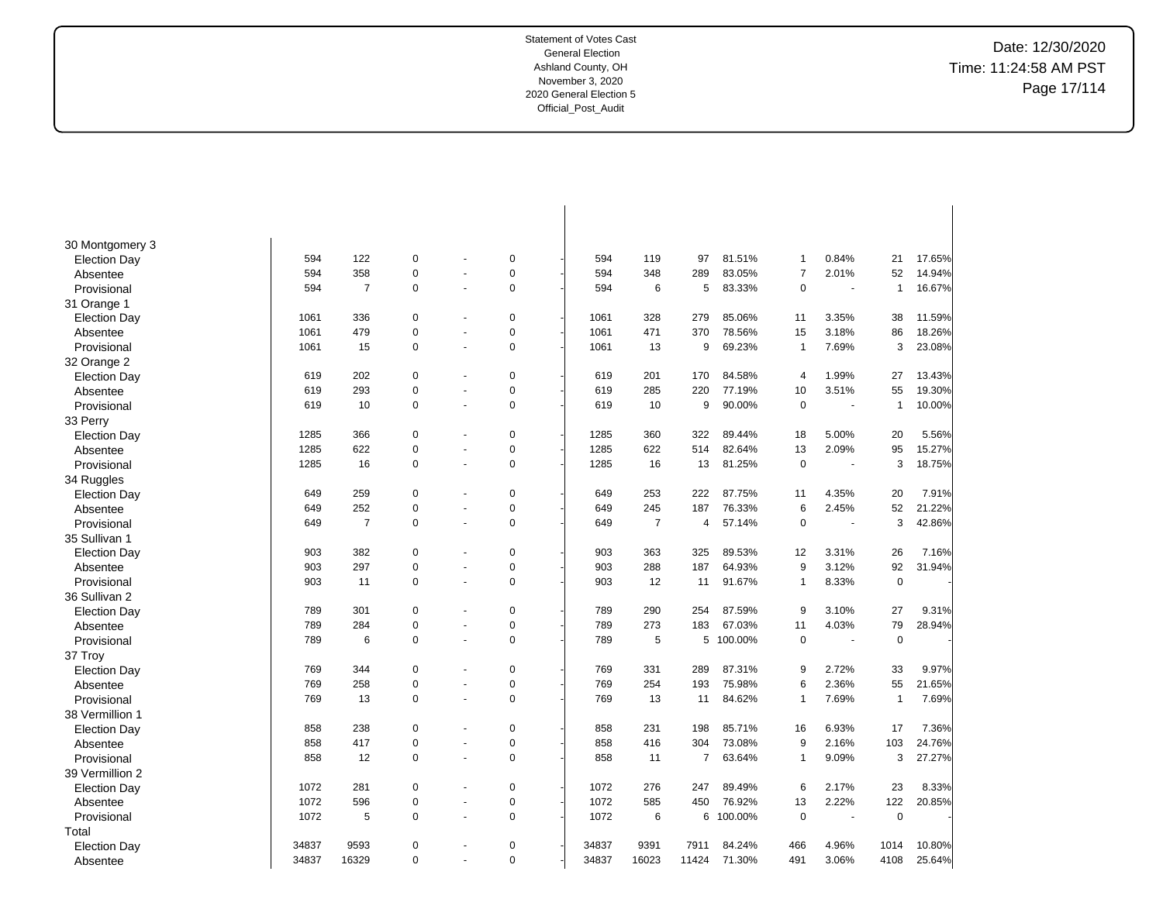Date: 12/30/2020 Time: 11:24:58 AM PST Page 17/114

| 30 Montgomery 3     |       |                |                |                          |             |       |                |                |           |                |        |                |        |
|---------------------|-------|----------------|----------------|--------------------------|-------------|-------|----------------|----------------|-----------|----------------|--------|----------------|--------|
| <b>Election Day</b> | 594   | 122            | $\pmb{0}$      | $\blacksquare$           | 0           | 594   | 119            | 97             | 81.51%    | -1             | 0.84%  | 21             | 17.65% |
| Absentee            | 594   | 358            | $\mathbf 0$    | ÷.                       | $\mathbf 0$ | 594   | 348            | 289            | 83.05%    | 7              | 2.01%  | 52             | 14.94% |
| Provisional         | 594   | $\overline{7}$ | $\mathbf 0$    | $\sim$                   | $\mathbf 0$ | 594   | 6              | 5              | 83.33%    | $\mathbf 0$    | $\sim$ | $\overline{1}$ | 16.67% |
| 31 Orange 1         |       |                |                |                          |             |       |                |                |           |                |        |                |        |
| <b>Election Day</b> | 1061  | 336            | $\mathbf 0$    |                          | $\mathbf 0$ | 1061  | 328            | 279            | 85.06%    | 11             | 3.35%  | 38             | 11.59% |
| Absentee            | 1061  | 479            | $\mathbf 0$    |                          | $\pmb{0}$   | 1061  | 471            | 370            | 78.56%    | 15             | 3.18%  | 86             | 18.26% |
| Provisional         | 1061  | 15             | $\mathbf 0$    | $\sim$                   | $\mathbf 0$ | 1061  | 13             | 9              | 69.23%    | $\overline{1}$ | 7.69%  | 3              | 23.08% |
| 32 Orange 2         |       |                |                |                          |             |       |                |                |           |                |        |                |        |
| <b>Election Day</b> | 619   | 202            | $\mathbf 0$    |                          | $\mathbf 0$ | 619   | 201            | 170            | 84.58%    | 4              | 1.99%  | 27             | 13.43% |
| Absentee            | 619   | 293            | $\mathbf 0$    | $\overline{a}$           | $\mathbf 0$ | 619   | 285            | 220            | 77.19%    | 10             | 3.51%  | 55             | 19.30% |
| Provisional         | 619   | 10             | $\mathbf 0$    | ÷,                       | $\mathbf 0$ | 619   | 10             | 9              | 90.00%    | $\mathbf 0$    |        | -1             | 10.00% |
| 33 Perry            |       |                |                |                          |             |       |                |                |           |                |        |                |        |
| <b>Election Day</b> | 1285  | 366            | $\mathbf 0$    |                          | $\mathbf 0$ | 1285  | 360            | 322            | 89.44%    | 18             | 5.00%  | 20             | 5.56%  |
| Absentee            | 1285  | 622            | $\mathbf 0$    | ÷,                       | $\mathbf 0$ | 1285  | 622            | 514            | 82.64%    | 13             | 2.09%  | 95             | 15.27% |
| Provisional         | 1285  | 16             | $\mathbf 0$    | $\blacksquare$           | $\mathbf 0$ | 1285  | 16             | 13             | 81.25%    | $\mathbf 0$    | $\sim$ | 3              | 18.75% |
| 34 Ruggles          |       |                |                |                          |             |       |                |                |           |                |        |                |        |
| <b>Election Day</b> | 649   | 259            | $\overline{0}$ |                          | $\mathbf 0$ | 649   | 253            | 222            | 87.75%    | 11             | 4.35%  | 20             | 7.91%  |
| Absentee            | 649   | 252            | $\mathbf 0$    | $\blacksquare$           | $\pmb{0}$   | 649   | 245            | 187            | 76.33%    | 6              | 2.45%  | 52             | 21.22% |
| Provisional         | 649   | $\overline{7}$ | $\mathbf 0$    | $\ddot{\phantom{1}}$     | $\mathbf 0$ | 649   | $\overline{7}$ | 4              | 57.14%    | $\mathbf 0$    | ÷.     | 3              | 42.86% |
| 35 Sullivan 1       |       |                |                |                          |             |       |                |                |           |                |        |                |        |
| <b>Election Day</b> | 903   | 382            | $\mathbf 0$    | $\overline{\phantom{a}}$ | $\mathbf 0$ | 903   | 363            | 325            | 89.53%    | 12             | 3.31%  | 26             | 7.16%  |
| Absentee            | 903   | 297            | $\mathbf 0$    |                          | $\mathbf 0$ | 903   | 288            | 187            | 64.93%    | 9              | 3.12%  | 92             | 31.94% |
| Provisional         | 903   | 11             | $\mathbf 0$    | ÷.                       | $\mathbf 0$ | 903   | 12             | 11             | 91.67%    | $\mathbf{1}$   | 8.33%  | $\mathbf 0$    |        |
| 36 Sullivan 2       |       |                |                |                          |             |       |                |                |           |                |        |                |        |
| <b>Election Day</b> | 789   | 301            | $\mathbf 0$    |                          | $\pmb{0}$   | 789   | 290            | 254            | 87.59%    | 9              | 3.10%  | 27             | 9.31%  |
| Absentee            | 789   | 284            | $\mathbf 0$    | $\blacksquare$           | $\mathbf 0$ | 789   | 273            | 183            | 67.03%    | 11             | 4.03%  | 79             | 28.94% |
| Provisional         | 789   | 6              | $\mathbf 0$    | $\blacksquare$           | $\mathbf 0$ | 789   | 5              |                | 5 100.00% | $\mathbf 0$    | $\sim$ | $\mathbf 0$    |        |
| 37 Troy             |       |                |                |                          |             |       |                |                |           |                |        |                |        |
| <b>Election Day</b> | 769   | 344            | $\mathbf 0$    |                          | $\mathbf 0$ | 769   | 331            | 289            | 87.31%    | 9              | 2.72%  | 33             | 9.97%  |
| Absentee            | 769   | 258            | $\mathbf 0$    | $\blacksquare$           | $\mathbf 0$ | 769   | 254            | 193            | 75.98%    | 6              | 2.36%  | 55             | 21.65% |
| Provisional         | 769   | 13             | $\mathbf 0$    | ÷,                       | $\mathbf 0$ | 769   | 13             | 11             | 84.62%    |                | 7.69%  | 1              | 7.69%  |
| 38 Vermillion 1     |       |                |                |                          |             |       |                |                |           |                |        |                |        |
| <b>Election Day</b> | 858   | 238            | $\mathbf 0$    |                          | 0           | 858   | 231            | 198            | 85.71%    | 16             | 6.93%  | 17             | 7.36%  |
| Absentee            | 858   | 417            | $\mathbf 0$    | $\sim$                   | $\mathbf 0$ | 858   | 416            | 304            | 73.08%    | 9              | 2.16%  | 103            | 24.76% |
| Provisional         | 858   | 12             | $\mathbf 0$    | $\overline{a}$           | $\mathbf 0$ | 858   | 11             | $\overline{7}$ | 63.64%    | -1             | 9.09%  | 3              | 27.27% |
| 39 Vermillion 2     |       |                |                |                          |             |       |                |                |           |                |        |                |        |
| <b>Election Day</b> | 1072  | 281            | $\mathbf 0$    |                          | 0           | 1072  | 276            | 247            | 89.49%    | 6              | 2.17%  | 23             | 8.33%  |
| Absentee            | 1072  | 596            | $\mathbf 0$    | $\blacksquare$           | $\mathbf 0$ | 1072  | 585            | 450            | 76.92%    | 13             | 2.22%  | 122            | 20.85% |
| Provisional         | 1072  | 5              | $\mathbf 0$    |                          | $\mathbf 0$ | 1072  | 6              | 6              | 100.00%   | $\mathbf 0$    | ä,     | $\mathbf 0$    |        |
| Total               |       |                |                |                          |             |       |                |                |           |                |        |                |        |
| <b>Election Day</b> | 34837 | 9593           | $\overline{0}$ |                          | $\mathbf 0$ | 34837 | 9391           | 7911           | 84.24%    | 466            | 4.96%  | 1014           | 10.80% |
| Absentee            | 34837 | 16329          | $\Omega$       |                          | $\Omega$    | 34837 | 16023          | 11424          | 71.30%    | 491            | 3.06%  | 4108           | 25.64% |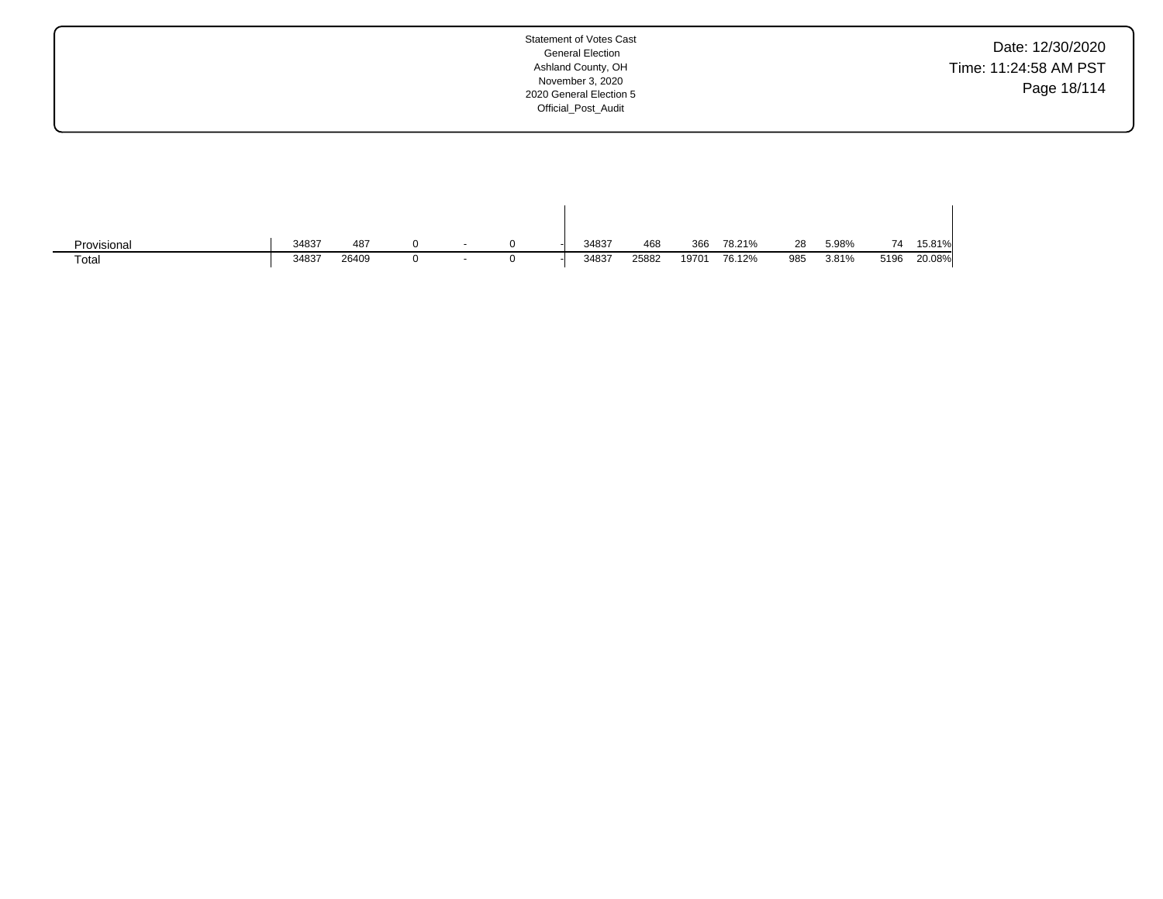| Date: 12/30/2020      |
|-----------------------|
| Time: 11:24:58 AM PST |
| Page 18/114           |

| Provisional | 34837 | 487   |  |  | 34837 | 468   | 366   | 78.21% | 28  | 5.98% | 74   | 15.81% |
|-------------|-------|-------|--|--|-------|-------|-------|--------|-----|-------|------|--------|
| Total       | 34837 | 26409 |  |  | 34837 | 25882 | 19701 | 76.12% | 985 | 3.81% | 5196 | 20.08% |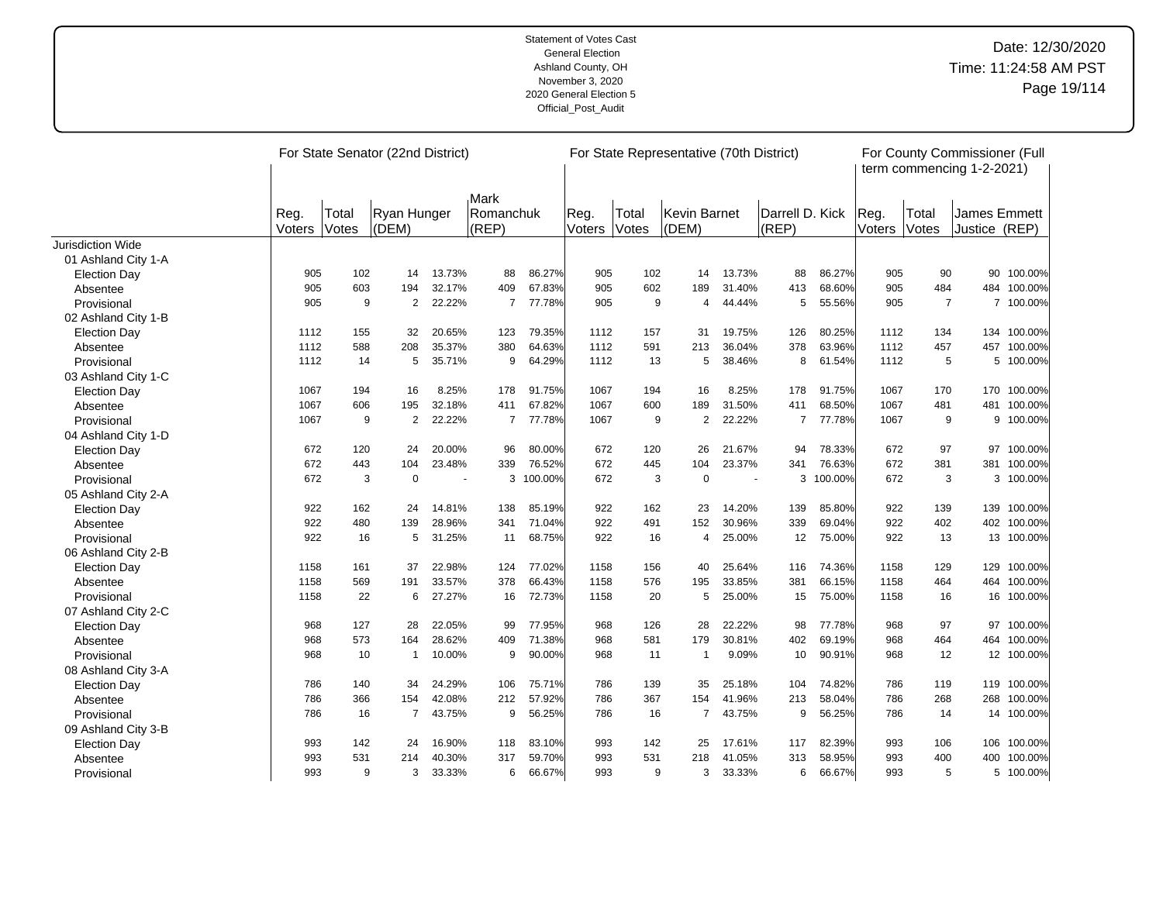|                          |               |       | For State Senator (22nd District) |        |                |         |        |              | For State Representative (70th District) |        |                 |         |        | For County Commissioner (Full<br>term commencing 1-2-2021) |                     |             |
|--------------------------|---------------|-------|-----------------------------------|--------|----------------|---------|--------|--------------|------------------------------------------|--------|-----------------|---------|--------|------------------------------------------------------------|---------------------|-------------|
|                          |               |       |                                   |        | Mark           |         |        |              |                                          |        |                 |         |        |                                                            |                     |             |
|                          | Reg.          | Total | Ryan Hunger                       |        | Romanchuk      |         | Reg.   | Total        | Kevin Barnet                             |        | Darrell D. Kick |         | Reg.   | Total                                                      | <b>James Emmett</b> |             |
|                          | <b>Voters</b> | Votes | (DEM)                             |        | (REP)          |         | Voters | <b>Votes</b> | (DEM)                                    |        | (REP)           |         | Voters | Votes                                                      | Justice (REP)       |             |
| <b>Jurisdiction Wide</b> |               |       |                                   |        |                |         |        |              |                                          |        |                 |         |        |                                                            |                     |             |
| 01 Ashland City 1-A      |               |       |                                   |        |                |         |        |              |                                          |        |                 |         |        |                                                            |                     |             |
| <b>Election Day</b>      | 905           | 102   | 14                                | 13.73% | 88             | 86.27%  | 905    | 102          | 14                                       | 13.73% | 88              | 86.27%  | 905    | 90                                                         |                     | 90 100.00%  |
| Absentee                 | 905           | 603   | 194                               | 32.17% | 409            | 67.83%  | 905    | 602          | 189                                      | 31.40% | 413             | 68.60%  | 905    | 484                                                        |                     | 484 100.00% |
| Provisional              | 905           | 9     | 2                                 | 22.22% | $\overline{7}$ | 77.78%  | 905    | 9            | 4                                        | 44.44% | 5               | 55.56%  | 905    | $\overline{7}$                                             |                     | 7 100.00%   |
| 02 Ashland City 1-B      |               |       |                                   |        |                |         |        |              |                                          |        |                 |         |        |                                                            |                     |             |
| <b>Election Day</b>      | 1112          | 155   | 32                                | 20.65% | 123            | 79.35%  | 1112   | 157          | 31                                       | 19.75% | 126             | 80.25%  | 1112   | 134                                                        |                     | 134 100.00% |
| Absentee                 | 1112          | 588   | 208                               | 35.37% | 380            | 64.63%  | 1112   | 591          | 213                                      | 36.04% | 378             | 63.96%  | 1112   | 457                                                        |                     | 457 100.00% |
| Provisional              | 1112          | 14    | 5                                 | 35.71% | 9              | 64.29%  | 1112   | 13           | 5                                        | 38.46% | 8               | 61.54%  | 1112   | 5                                                          | 5                   | 100.00%     |
| 03 Ashland City 1-C      |               |       |                                   |        |                |         |        |              |                                          |        |                 |         |        |                                                            |                     |             |
| <b>Election Day</b>      | 1067          | 194   | 16                                | 8.25%  | 178            | 91.75%  | 1067   | 194          | 16                                       | 8.25%  | 178             | 91.75%  | 1067   | 170                                                        |                     | 170 100.00% |
| Absentee                 | 1067          | 606   | 195                               | 32.18% | 411            | 67.82%  | 1067   | 600          | 189                                      | 31.50% | 411             | 68.50%  | 1067   | 481                                                        |                     | 481 100.00% |
| Provisional              | 1067          | 9     | 2                                 | 22.22% | $\overline{7}$ | 77.78%  | 1067   | 9            | 2                                        | 22.22% | $\overline{7}$  | 77.78%  | 1067   | 9                                                          |                     | 9 100.00%   |
| 04 Ashland City 1-D      |               |       |                                   |        |                |         |        |              |                                          |        |                 |         |        |                                                            |                     |             |
| <b>Election Day</b>      | 672           | 120   | 24                                | 20.00% | 96             | 80.00%  | 672    | 120          | 26                                       | 21.67% | 94              | 78.33%  | 672    | 97                                                         |                     | 97 100.00%  |
| Absentee                 | 672           | 443   | 104                               | 23.48% | 339            | 76.52%  | 672    | 445          | 104                                      | 23.37% | 341             | 76.63%  | 672    | 381                                                        |                     | 381 100.00% |
| Provisional              | 672           | 3     | $\mathbf 0$                       |        | 3              | 100.00% | 672    | 3            | $\mathbf 0$                              | $\sim$ | 3               | 100.00% | 672    | 3                                                          |                     | 3 100.00%   |
| 05 Ashland City 2-A      |               |       |                                   |        |                |         |        |              |                                          |        |                 |         |        |                                                            |                     |             |
| <b>Election Day</b>      | 922           | 162   | 24                                | 14.81% | 138            | 85.19%  | 922    | 162          | 23                                       | 14.20% | 139             | 85.80%  | 922    | 139                                                        |                     | 139 100.00% |
| Absentee                 | 922           | 480   | 139                               | 28.96% | 341            | 71.04%  | 922    | 491          | 152                                      | 30.96% | 339             | 69.04%  | 922    | 402                                                        | 402                 | 100.00%     |
| Provisional              | 922           | 16    | 5                                 | 31.25% | 11             | 68.75%  | 922    | 16           | 4                                        | 25.00% | 12              | 75.00%  | 922    | 13                                                         |                     | 13 100.00%  |
| 06 Ashland City 2-B      |               |       |                                   |        |                |         |        |              |                                          |        |                 |         |        |                                                            |                     |             |
| <b>Election Day</b>      | 1158          | 161   | 37                                | 22.98% | 124            | 77.02%  | 1158   | 156          | 40                                       | 25.64% | 116             | 74.36%  | 1158   | 129                                                        |                     | 129 100.00% |
| Absentee                 | 1158          | 569   | 191                               | 33.57% | 378            | 66.43%  | 1158   | 576          | 195                                      | 33.85% | 381             | 66.15%  | 1158   | 464                                                        |                     | 464 100.00% |
| Provisional              | 1158          | 22    | 6                                 | 27.27% | 16             | 72.73%  | 1158   | 20           | 5                                        | 25.00% | 15              | 75.00%  | 1158   | 16                                                         |                     | 16 100.00%  |
| 07 Ashland City 2-C      |               |       |                                   |        |                |         |        |              |                                          |        |                 |         |        |                                                            |                     |             |
| <b>Election Day</b>      | 968           | 127   | 28                                | 22.05% | 99             | 77.95%  | 968    | 126          | 28                                       | 22.22% | 98              | 77.78%  | 968    | 97                                                         |                     | 97 100.00%  |
| Absentee                 | 968           | 573   | 164                               | 28.62% | 409            | 71.38%  | 968    | 581          | 179                                      | 30.81% | 402             | 69.19%  | 968    | 464                                                        |                     | 464 100.00% |
| Provisional              | 968           | 10    | $\mathbf{1}$                      | 10.00% | 9              | 90.00%  | 968    | 11           | $\mathbf{1}$                             | 9.09%  | 10              | 90.91%  | 968    | 12                                                         |                     | 12 100.00%  |
| 08 Ashland City 3-A      |               |       |                                   |        |                |         |        |              |                                          |        |                 |         |        |                                                            |                     |             |
| <b>Election Day</b>      | 786           | 140   | 34                                | 24.29% | 106            | 75.71%  | 786    | 139          | 35                                       | 25.18% | 104             | 74.82%  | 786    | 119                                                        |                     | 119 100.00% |
| Absentee                 | 786           | 366   | 154                               | 42.08% | 212            | 57.92%  | 786    | 367          | 154                                      | 41.96% | 213             | 58.04%  | 786    | 268                                                        | 268                 | 100.00%     |
| Provisional              | 786           | 16    | $\overline{7}$                    | 43.75% | 9              | 56.25%  | 786    | 16           | $\overline{7}$                           | 43.75% | 9               | 56.25%  | 786    | 14                                                         |                     | 14 100.00%  |
| 09 Ashland City 3-B      |               |       |                                   |        |                |         |        |              |                                          |        |                 |         |        |                                                            |                     |             |
| <b>Election Day</b>      | 993           | 142   | 24                                | 16.90% | 118            | 83.10%  | 993    | 142          | 25                                       | 17.61% | 117             | 82.39%  | 993    | 106                                                        |                     | 106 100.00% |
| Absentee                 | 993           | 531   | 214                               | 40.30% | 317            | 59.70%  | 993    | 531          | 218                                      | 41.05% | 313             | 58.95%  | 993    | 400                                                        | 400                 | 100.00%     |
| Provisional              | 993           | 9     | 3                                 | 33.33% | 6              | 66.67%  | 993    | 9            | 3                                        | 33.33% | 6               | 66.67%  | 993    | 5                                                          |                     | 5 100.00%   |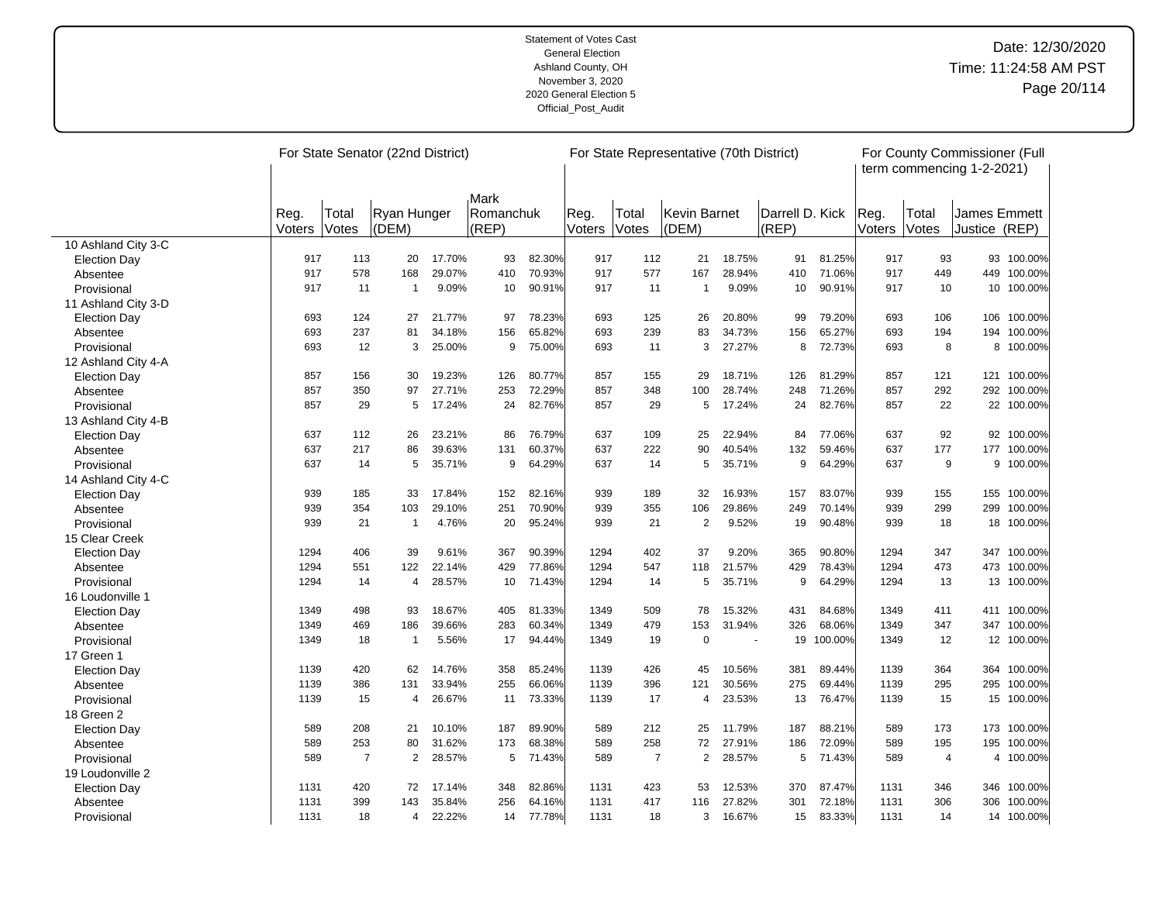|                     |        |                | For State Senator (22nd District) |        |                   |        |        |                | For State Representative (70th District) |                          |                 |         |        |                | For County Commissioner (Full<br>term commencing 1-2-2021) |             |
|---------------------|--------|----------------|-----------------------------------|--------|-------------------|--------|--------|----------------|------------------------------------------|--------------------------|-----------------|---------|--------|----------------|------------------------------------------------------------|-------------|
|                     | Reg.   | Total          | Ryan Hunger                       |        | Mark<br>Romanchuk |        | Reg.   | Total          | Kevin Barnet                             |                          | Darrell D. Kick |         | Reg.   | Total          | James Emmett                                               |             |
|                     | Voters | Votes          | (DEM)                             |        | (REP)             |        | Voters | Votes          | (DEM)                                    |                          | $ $ (REP)       |         | Voters | Votes          | Justice (REP)                                              |             |
| 10 Ashland City 3-C |        |                |                                   |        |                   |        |        |                |                                          |                          |                 |         |        |                |                                                            |             |
| <b>Election Day</b> | 917    | 113            | 20                                | 17.70% | 93                | 82.30% | 917    | 112            | 21                                       | 18.75%                   | 91              | 81.25%  | 917    | 93             |                                                            | 93 100.00%  |
| Absentee            | 917    | 578            | 168                               | 29.07% | 410               | 70.93% | 917    | 577            | 167                                      | 28.94%                   | 410             | 71.06%  | 917    | 449            | 449                                                        | 100.00%     |
| Provisional         | 917    | 11             | $\overline{1}$                    | 9.09%  | 10                | 90.91% | 917    | 11             | -1                                       | 9.09%                    | 10              | 90.91%  | 917    | 10             | 10                                                         | 100.00%     |
| 11 Ashland City 3-D |        |                |                                   |        |                   |        |        |                |                                          |                          |                 |         |        |                |                                                            |             |
| <b>Election Day</b> | 693    | 124            | 27                                | 21.77% | 97                | 78.23% | 693    | 125            | 26                                       | 20.80%                   | 99              | 79.20%  | 693    | 106            |                                                            | 106 100.00% |
| Absentee            | 693    | 237            | 81                                | 34.18% | 156               | 65.82% | 693    | 239            | 83                                       | 34.73%                   | 156             | 65.27%  | 693    | 194            | 194                                                        | 100.00%     |
| Provisional         | 693    | 12             | 3                                 | 25.00% | 9                 | 75.00% | 693    | 11             | 3                                        | 27.27%                   | 8               | 72.73%  | 693    | 8              |                                                            | 8 100.00%   |
| 12 Ashland City 4-A |        |                |                                   |        |                   |        |        |                |                                          |                          |                 |         |        |                |                                                            |             |
| <b>Election Day</b> | 857    | 156            | 30                                | 19.23% | 126               | 80.77% | 857    | 155            | 29                                       | 18.71%                   | 126             | 81.29%  | 857    | 121            |                                                            | 121 100.00% |
| Absentee            | 857    | 350            | 97                                | 27.71% | 253               | 72.29% | 857    | 348            | 100                                      | 28.74%                   | 248             | 71.26%  | 857    | 292            | 292                                                        | 100.00%     |
| Provisional         | 857    | 29             | 5                                 | 17.24% | 24                | 82.76% | 857    | 29             | 5                                        | 17.24%                   | 24              | 82.76%  | 857    | 22             |                                                            | 22 100.00%  |
| 13 Ashland City 4-B |        |                |                                   |        |                   |        |        |                |                                          |                          |                 |         |        |                |                                                            |             |
| <b>Election Day</b> | 637    | 112            | 26                                | 23.21% | 86                | 76.79% | 637    | 109            | 25                                       | 22.94%                   | 84              | 77.06%  | 637    | 92             |                                                            | 92 100.00%  |
| Absentee            | 637    | 217            | 86                                | 39.63% | 131               | 60.37% | 637    | 222            | 90                                       | 40.54%                   | 132             | 59.46%  | 637    | 177            |                                                            | 177 100.00% |
| Provisional         | 637    | 14             | 5                                 | 35.71% | 9                 | 64.29% | 637    | 14             | 5                                        | 35.71%                   | 9               | 64.29%  | 637    | 9              |                                                            | 9 100.00%   |
| 14 Ashland City 4-C |        |                |                                   |        |                   |        |        |                |                                          |                          |                 |         |        |                |                                                            |             |
| <b>Election Day</b> | 939    | 185            | 33                                | 17.84% | 152               | 82.16% | 939    | 189            | 32                                       | 16.93%                   | 157             | 83.07%  | 939    | 155            |                                                            | 155 100.00% |
| Absentee            | 939    | 354            | 103                               | 29.10% | 251               | 70.90% | 939    | 355            | 106                                      | 29.86%                   | 249             | 70.14%  | 939    | 299            | 299                                                        | 100.00%     |
| Provisional         | 939    | 21             | $\mathbf{1}$                      | 4.76%  | 20                | 95.24% | 939    | 21             | $\overline{2}$                           | 9.52%                    | 19              | 90.48%  | 939    | 18             |                                                            | 18 100.00%  |
| 15 Clear Creek      |        |                |                                   |        |                   |        |        |                |                                          |                          |                 |         |        |                |                                                            |             |
| <b>Election Day</b> | 1294   | 406            | 39                                | 9.61%  | 367               | 90.39% | 1294   | 402            | 37                                       | 9.20%                    | 365             | 90.80%  | 1294   | 347            | 347                                                        | 100.00%     |
| Absentee            | 1294   | 551            | 122                               | 22.14% | 429               | 77.86% | 1294   | 547            | 118                                      | 21.57%                   | 429             | 78.43%  | 1294   | 473            | 473                                                        | 100.00%     |
| Provisional         | 1294   | 14             | 4                                 | 28.57% | 10                | 71.43% | 1294   | 14             | 5                                        | 35.71%                   | 9               | 64.29%  | 1294   | 13             | 13                                                         | 100.00%     |
| 16 Loudonville 1    |        |                |                                   |        |                   |        |        |                |                                          |                          |                 |         |        |                |                                                            |             |
| <b>Election Day</b> | 1349   | 498            | 93                                | 18.67% | 405               | 81.33% | 1349   | 509            | 78                                       | 15.32%                   | 431             | 84.68%  | 1349   | 411            |                                                            | 411 100.00% |
| Absentee            | 1349   | 469            | 186                               | 39.66% | 283               | 60.34% | 1349   | 479            | 153                                      | 31.94%                   | 326             | 68.06%  | 1349   | 347            | 347                                                        | 100.00%     |
| Provisional         | 1349   | 18             | $\overline{1}$                    | 5.56%  | 17                | 94.44% | 1349   | 19             | $\mathbf 0$                              | $\overline{\phantom{a}}$ | 19              | 100.00% | 1349   | 12             |                                                            | 12 100.00%  |
| 17 Green 1          |        |                |                                   |        |                   |        |        |                |                                          |                          |                 |         |        |                |                                                            |             |
| <b>Election Day</b> | 1139   | 420            | 62                                | 14.76% | 358               | 85.24% | 1139   | 426            | 45                                       | 10.56%                   | 381             | 89.44%  | 1139   | 364            |                                                            | 364 100.00% |
| Absentee            | 1139   | 386            | 131                               | 33.94% | 255               | 66.06% | 1139   | 396            | 121                                      | 30.56%                   | 275             | 69.44%  | 1139   | 295            | 295                                                        | 100.00%     |
| Provisional         | 1139   | 15             | 4                                 | 26.67% | 11                | 73.33% | 1139   | 17             | 4                                        | 23.53%                   | 13              | 76.47%  | 1139   | 15             |                                                            | 15 100.00%  |
| 18 Green 2          |        |                |                                   |        |                   |        |        |                |                                          |                          |                 |         |        |                |                                                            |             |
| <b>Election Day</b> | 589    | 208            | 21                                | 10.10% | 187               | 89.90% | 589    | 212            | 25                                       | 11.79%                   | 187             | 88.21%  | 589    | 173            | 173                                                        | 100.00%     |
| Absentee            | 589    | 253            | 80                                | 31.62% | 173               | 68.38% | 589    | 258            | 72                                       | 27.91%                   | 186             | 72.09%  | 589    | 195            |                                                            | 195 100.00% |
| Provisional         | 589    | $\overline{7}$ | $\overline{2}$                    | 28.57% | 5                 | 71.43% | 589    | $\overline{7}$ | $\overline{2}$                           | 28.57%                   | 5               | 71.43%  | 589    | $\overline{4}$ |                                                            | 4 100.00%   |
| 19 Loudonville 2    |        |                |                                   |        |                   |        |        |                |                                          |                          |                 |         |        |                |                                                            |             |
| <b>Election Day</b> | 1131   | 420            | 72                                | 17.14% | 348               | 82.86% | 1131   | 423            | 53                                       | 12.53%                   | 370             | 87.47%  | 1131   | 346            |                                                            | 346 100.00% |
| Absentee            | 1131   | 399            | 143                               | 35.84% | 256               | 64.16% | 1131   | 417            | 116                                      | 27.82%                   | 301             | 72.18%  | 1131   | 306            | 306                                                        | 100.00%     |
| Provisional         | 1131   | 18             | 4                                 | 22.22% | 14                | 77.78% | 1131   | 18             | 3                                        | 16.67%                   | 15              | 83.33%  | 1131   | 14             |                                                            | 14 100.00%  |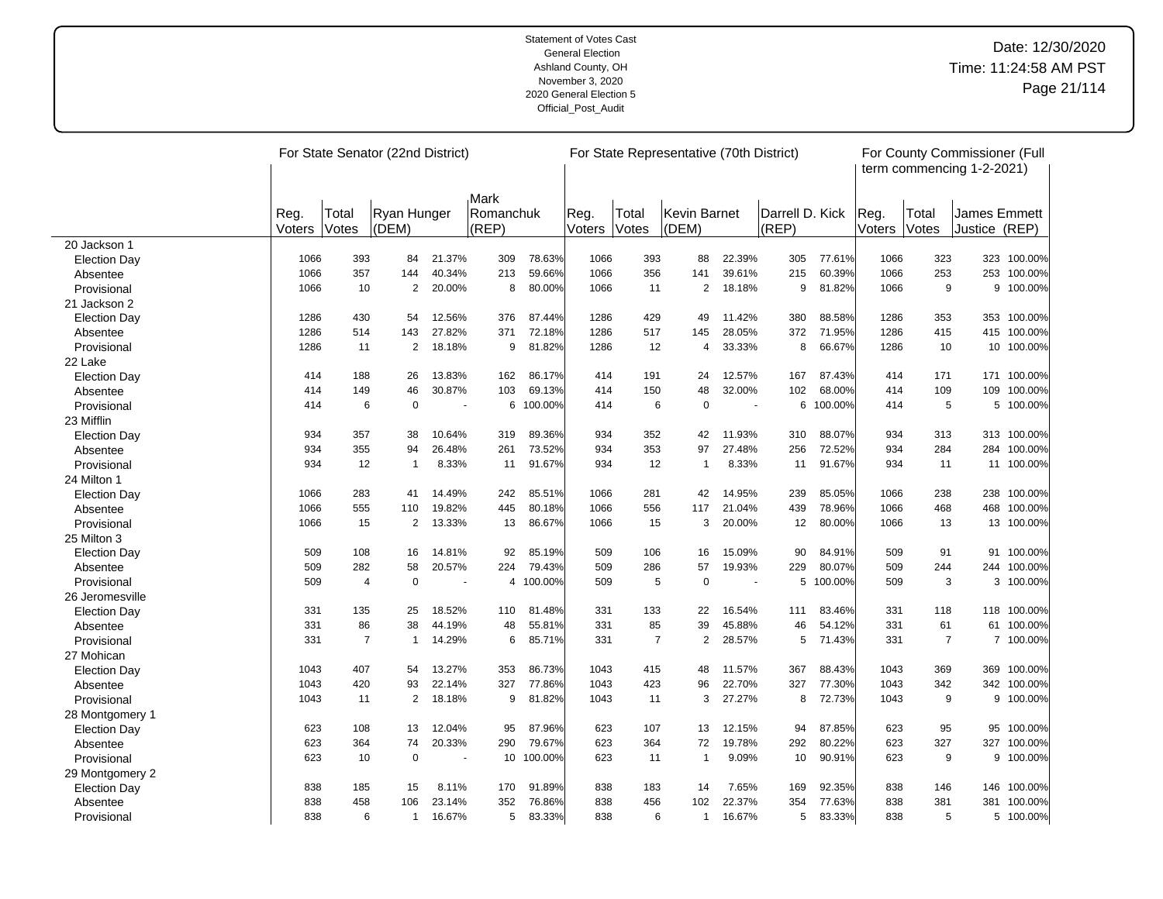|                     |                |                | For State Senator (22nd District) |                |                    |         |                |                | For State Representative (70th District) |                |                          |         |                |                | For County Commissioner (Full<br>term commencing 1-2-2021) |             |
|---------------------|----------------|----------------|-----------------------------------|----------------|--------------------|---------|----------------|----------------|------------------------------------------|----------------|--------------------------|---------|----------------|----------------|------------------------------------------------------------|-------------|
|                     |                |                |                                   |                | Mark               |         |                |                |                                          |                |                          |         |                |                |                                                            |             |
|                     | Reg.<br>Voters | Total<br>Votes | Ryan Hunger<br>(DEM)              |                | Romanchuk<br>(REP) |         | Reg.<br>Voters | Total<br>Votes | Kevin Barnet<br>(DEM)                    |                | Darrell D. Kick<br>(REP) |         | Reg.<br>Voters | Total<br>Votes | James Emmett<br>Justice (REP)                              |             |
| 20 Jackson 1        |                |                |                                   |                |                    |         |                |                |                                          |                |                          |         |                |                |                                                            |             |
| <b>Election Day</b> | 1066           | 393            | 84                                | 21.37%         | 309                | 78.63%  | 1066           | 393            | 88                                       | 22.39%         | 305                      | 77.61%  | 1066           | 323            |                                                            | 323 100.00% |
| Absentee            | 1066           | 357            | 144                               | 40.34%         | 213                | 59.66%  | 1066           | 356            | 141                                      | 39.61%         | 215                      | 60.39%  | 1066           | 253            |                                                            | 253 100.00% |
| Provisional         | 1066           | 10             | $\overline{2}$                    | 20.00%         | 8                  | 80.00%  | 1066           | 11             | $\overline{2}$                           | 18.18%         | 9                        | 81.82%  | 1066           | 9              | 9                                                          | 100.00%     |
| 21 Jackson 2        |                |                |                                   |                |                    |         |                |                |                                          |                |                          |         |                |                |                                                            |             |
| <b>Election Day</b> | 1286           | 430            | 54                                | 12.56%         | 376                | 87.44%  | 1286           | 429            | 49                                       | 11.42%         | 380                      | 88.58%  | 1286           | 353            |                                                            | 353 100.00% |
| Absentee            | 1286           | 514            | 143                               | 27.82%         | 371                | 72.18%  | 1286           | 517            | 145                                      | 28.05%         | 372                      | 71.95%  | 1286           | 415            | 415                                                        | 100.00%     |
| Provisional         | 1286           | 11             | $\overline{2}$                    | 18.18%         | 9                  | 81.82%  | 1286           | 12             | 4                                        | 33.33%         | 8                        | 66.67%  | 1286           | 10             |                                                            | 10 100.00%  |
| 22 Lake             |                |                |                                   |                |                    |         |                |                |                                          |                |                          |         |                |                |                                                            |             |
| <b>Election Day</b> | 414            | 188            | 26                                | 13.83%         | 162                | 86.17%  | 414            | 191            | 24                                       | 12.57%         | 167                      | 87.43%  | 414            | 171            | 171                                                        | 100.00%     |
| Absentee            | 414            | 149            | 46                                | 30.87%         | 103                | 69.13%  | 414            | 150            | 48                                       | 32.00%         | 102                      | 68.00%  | 414            | 109            | 109                                                        | 100.00%     |
| Provisional         | 414            | 6              | $\mathbf 0$                       | $\blacksquare$ | 6                  | 100.00% | 414            | 6              | $\mathbf 0$                              | $\sim$         | 6                        | 100.00% | 414            | 5              | 5                                                          | 100.00%     |
| 23 Mifflin          |                |                |                                   |                |                    |         |                |                |                                          |                |                          |         |                |                |                                                            |             |
| <b>Election Day</b> | 934            | 357            | 38                                | 10.64%         | 319                | 89.36%  | 934            | 352            | 42                                       | 11.93%         | 310                      | 88.07%  | 934            | 313            |                                                            | 313 100.00% |
| Absentee            | 934            | 355            | 94                                | 26.48%         | 261                | 73.52%  | 934            | 353            | 97                                       | 27.48%         | 256                      | 72.52%  | 934            | 284            | 284                                                        | 100.00%     |
| Provisional         | 934            | 12             | $\mathbf{1}$                      | 8.33%          | 11                 | 91.67%  | 934            | 12             | $\mathbf{1}$                             | 8.33%          | 11                       | 91.67%  | 934            | 11             |                                                            | 11 100.00%  |
| 24 Milton 1         |                |                |                                   |                |                    |         |                |                |                                          |                |                          |         |                |                |                                                            |             |
| <b>Election Day</b> | 1066           | 283            | 41                                | 14.49%         | 242                | 85.51%  | 1066           | 281            | 42                                       | 14.95%         | 239                      | 85.05%  | 1066           | 238            |                                                            | 238 100.00% |
| Absentee            | 1066           | 555            | 110                               | 19.82%         | 445                | 80.18%  | 1066           | 556            | 117                                      | 21.04%         | 439                      | 78.96%  | 1066           | 468            | 468                                                        | 100.00%     |
| Provisional         | 1066           | 15             | $\overline{2}$                    | 13.33%         | 13                 | 86.67%  | 1066           | 15             | 3                                        | 20.00%         | 12                       | 80.00%  | 1066           | 13             |                                                            | 13 100.00%  |
| 25 Milton 3         |                |                |                                   |                |                    |         |                |                |                                          |                |                          |         |                |                |                                                            |             |
| <b>Election Day</b> | 509            | 108            | 16                                | 14.81%         | 92                 | 85.19%  | 509            | 106            | 16                                       | 15.09%         | 90                       | 84.91%  | 509            | 91             | 91                                                         | 100.00%     |
| Absentee            | 509            | 282            | 58                                | 20.57%         | 224                | 79.43%  | 509            | 286            | 57                                       | 19.93%         | 229                      | 80.07%  | 509            | 244            |                                                            | 244 100.00% |
| Provisional         | 509            | $\overline{4}$ | $\mathbf 0$                       |                | 4                  | 100.00% | 509            | 5              | $\mathbf 0$                              | $\overline{a}$ | 5                        | 100.00% | 509            | 3              |                                                            | 3 100.00%   |
| 26 Jeromesville     |                |                |                                   |                |                    |         |                |                |                                          |                |                          |         |                |                |                                                            |             |
| <b>Election Day</b> | 331            | 135            | 25                                | 18.52%         | 110                | 81.48%  | 331            | 133            | 22                                       | 16.54%         | 111                      | 83.46%  | 331            | 118            |                                                            | 118 100.00% |
| Absentee            | 331            | 86             | 38                                | 44.19%         | 48                 | 55.81%  | 331            | 85             | 39                                       | 45.88%         | 46                       | 54.12%  | 331            | 61             | 61                                                         | 100.00%     |
| Provisional         | 331            | $\overline{7}$ | $\mathbf{1}$                      | 14.29%         | 6                  | 85.71%  | 331            | $\overline{7}$ | $\overline{2}$                           | 28.57%         | 5                        | 71.43%  | 331            | $\overline{7}$ |                                                            | 7 100.00%   |
| 27 Mohican          |                |                |                                   |                |                    |         |                |                |                                          |                |                          |         |                |                |                                                            |             |
| <b>Election Day</b> | 1043           | 407            | 54                                | 13.27%         | 353                | 86.73%  | 1043           | 415            | 48                                       | 11.57%         | 367                      | 88.43%  | 1043           | 369            | 369                                                        | 100.00%     |
| Absentee            | 1043           | 420            | 93                                | 22.14%         | 327                | 77.86%  | 1043           | 423            | 96                                       | 22.70%         | 327                      | 77.30%  | 1043           | 342            | 342                                                        | 100.00%     |
| Provisional         | 1043           | 11             | $\overline{2}$                    | 18.18%         | 9                  | 81.82%  | 1043           | 11             | 3                                        | 27.27%         | 8                        | 72.73%  | 1043           | 9              |                                                            | 9 100.00%   |
| 28 Montgomery 1     |                |                |                                   |                |                    |         |                |                |                                          |                |                          |         |                |                |                                                            |             |
| <b>Election Day</b> | 623            | 108            | 13                                | 12.04%         | 95                 | 87.96%  | 623            | 107            | 13                                       | 12.15%         | 94                       | 87.85%  | 623            | 95             | 95                                                         | 100.00%     |
| Absentee            | 623            | 364            | 74                                | 20.33%         | 290                | 79.67%  | 623            | 364            | 72                                       | 19.78%         | 292                      | 80.22%  | 623            | 327            | 327                                                        | 100.00%     |
| Provisional         | 623            | 10             | $\mathbf 0$                       |                | 10                 | 100.00% | 623            | 11             | $\overline{1}$                           | 9.09%          | 10                       | 90.91%  | 623            | 9              |                                                            | 9 100.00%   |
| 29 Montgomery 2     |                |                |                                   |                |                    |         |                |                |                                          |                |                          |         |                |                |                                                            |             |
| <b>Election Day</b> | 838            | 185            | 15                                | 8.11%          | 170                | 91.89%  | 838            | 183            | 14                                       | 7.65%          | 169                      | 92.35%  | 838            | 146            |                                                            | 146 100.00% |
| Absentee            | 838            | 458            | 106                               | 23.14%         | 352                | 76.86%  | 838            | 456            | 102                                      | 22.37%         | 354                      | 77.63%  | 838            | 381            | 381                                                        | 100.00%     |
| Provisional         | 838            | 6              | $\mathbf{1}$                      | 16.67%         | 5                  | 83.33%  | 838            | 6              | $\mathbf{1}$                             | 16.67%         | 5                        | 83.33%  | 838            | 5              |                                                            | 5 100.00%   |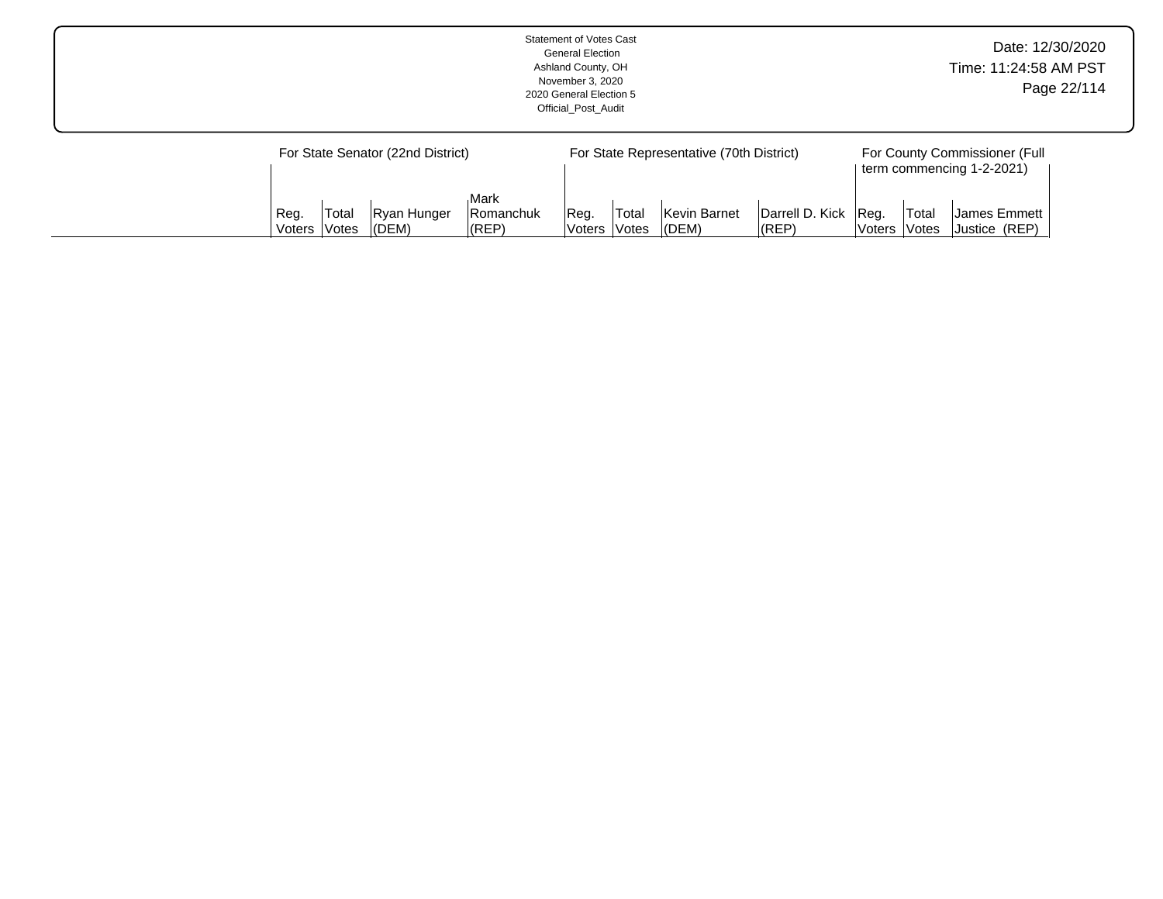|  |                                           |                                                                    |                    |                                                                             | <b>Statement of Votes Cast</b><br><b>General Election</b><br>Ashland County, OH<br>November 3, 2020<br>2020 General Election 5<br>Official Post Audit |  |  |  |  | Date: 12/30/2020<br>Time: 11:24:58 AM PST | Page 22/114 |
|--|-------------------------------------------|--------------------------------------------------------------------|--------------------|-----------------------------------------------------------------------------|-------------------------------------------------------------------------------------------------------------------------------------------------------|--|--|--|--|-------------------------------------------|-------------|
|  | For State Senator (22nd District)<br>Reg. | For State Representative (70th District)<br>Darrell D. Kick   Reg. | <sup>1</sup> Total | For County Commissioner (Full<br>term commencing 1-2-2021)<br> James Emmett |                                                                                                                                                       |  |  |  |  |                                           |             |

Voters

Votes

(DEM)

(REP)

Voters

Votes

Justice (REP)

Voters

Votes

(DEM)

(REP)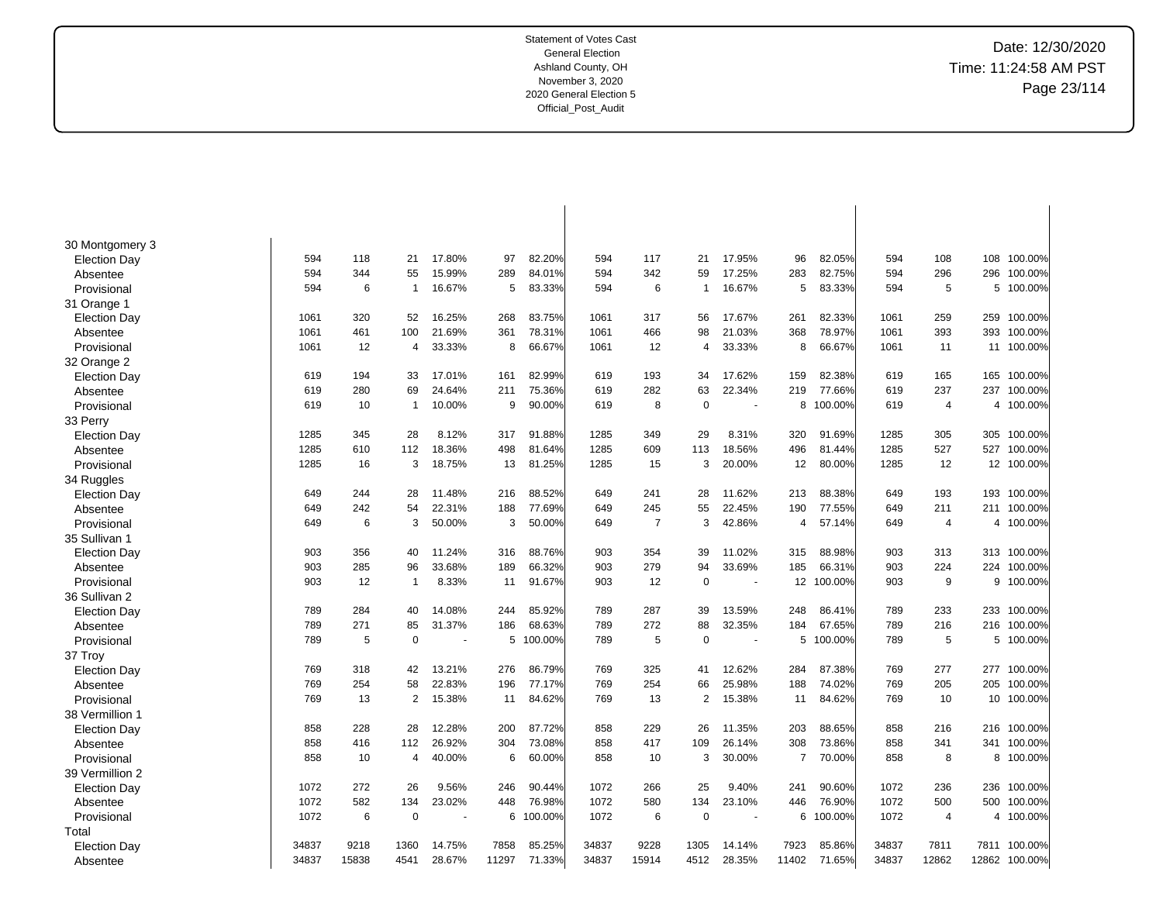| 30 Montgomery 3     |       |       |                |        |       |         |       |                |             |        |                |         |       |                |       |            |
|---------------------|-------|-------|----------------|--------|-------|---------|-------|----------------|-------------|--------|----------------|---------|-------|----------------|-------|------------|
| <b>Election Day</b> | 594   | 118   | 21             | 17.80% | 97    | 82.20%  | 594   | 117            | 21          | 17.95% | 96             | 82.05%  | 594   | 108            | 108   | 100.00%    |
| Absentee            | 594   | 344   | 55             | 15.99% | 289   | 84.01%  | 594   | 342            | 59          | 17.25% | 283            | 82.75%  | 594   | 296            | 296   | 100.00%    |
| Provisional         | 594   | 6     | -1             | 16.67% | 5     | 83.33%  | 594   | 6              | 1           | 16.67% | 5              | 83.33%  | 594   | 5              | 5     | 100.00%    |
| 31 Orange 1         |       |       |                |        |       |         |       |                |             |        |                |         |       |                |       |            |
| <b>Election Day</b> | 1061  | 320   | 52             | 16.25% | 268   | 83.75%  | 1061  | 317            | 56          | 17.67% | 261            | 82.33%  | 1061  | 259            | 259   | 100.00%    |
| Absentee            | 1061  | 461   | 100            | 21.69% | 361   | 78.31%  | 1061  | 466            | 98          | 21.03% | 368            | 78.97%  | 1061  | 393            | 393   | 100.00%    |
| Provisional         | 1061  | 12    | $\overline{4}$ | 33.33% | 8     | 66.67%  | 1061  | 12             | 4           | 33.33% | 8              | 66.67%  | 1061  | 11             | 11    | 100.00%    |
| 32 Orange 2         |       |       |                |        |       |         |       |                |             |        |                |         |       |                |       |            |
| <b>Election Day</b> | 619   | 194   | 33             | 17.01% | 161   | 82.99%  | 619   | 193            | 34          | 17.62% | 159            | 82.38%  | 619   | 165            | 165   | 100.00%    |
| Absentee            | 619   | 280   | 69             | 24.64% | 211   | 75.36%  | 619   | 282            | 63          | 22.34% | 219            | 77.66%  | 619   | 237            | 237   | 100.00%    |
| Provisional         | 619   | 10    | $\overline{1}$ | 10.00% | 9     | 90.00%  | 619   | 8              | $\mathbf 0$ | ÷.     | 8              | 100.00% | 619   | $\overline{4}$ | 4     | 100.00%    |
| 33 Perry            |       |       |                |        |       |         |       |                |             |        |                |         |       |                |       |            |
| <b>Election Day</b> | 1285  | 345   | 28             | 8.12%  | 317   | 91.88%  | 1285  | 349            | 29          | 8.31%  | 320            | 91.69%  | 1285  | 305            | 305   | 100.00%    |
| Absentee            | 1285  | 610   | 112            | 18.36% | 498   | 81.64%  | 1285  | 609            | 113         | 18.56% | 496            | 81.44%  | 1285  | 527            | 527   | 100.00%    |
| Provisional         | 1285  | 16    | 3              | 18.75% | 13    | 81.25%  | 1285  | 15             | 3           | 20.00% | 12             | 80.00%  | 1285  | 12             |       | 12 100.00% |
| 34 Ruggles          |       |       |                |        |       |         |       |                |             |        |                |         |       |                |       |            |
| Election Day        | 649   | 244   | 28             | 11.48% | 216   | 88.52%  | 649   | 241            | 28          | 11.62% | 213            | 88.38%  | 649   | 193            | 193   | 100.00%    |
| Absentee            | 649   | 242   | 54             | 22.31% | 188   | 77.69%  | 649   | 245            | 55          | 22.45% | 190            | 77.55%  | 649   | 211            | 211   | 100.00%    |
| Provisional         | 649   | 6     | 3              | 50.00% | 3     | 50.00%  | 649   | $\overline{7}$ | 3           | 42.86% | 4              | 57.14%  | 649   | 4              | 4     | 100.00%    |
| 35 Sullivan 1       |       |       |                |        |       |         |       |                |             |        |                |         |       |                |       |            |
| <b>Election Day</b> | 903   | 356   | 40             | 11.24% | 316   | 88.76%  | 903   | 354            | 39          | 11.02% | 315            | 88.98%  | 903   | 313            | 313   | 100.00%    |
| Absentee            | 903   | 285   | 96             | 33.68% | 189   | 66.32%  | 903   | 279            | 94          | 33.69% | 185            | 66.31%  | 903   | 224            | 224   | 100.00%    |
| Provisional         | 903   | 12    | $\overline{1}$ | 8.33%  | 11    | 91.67%  | 903   | 12             | $\mathbf 0$ |        | 12             | 100.00% | 903   | 9              | 9     | 100.00%    |
| 36 Sullivan 2       |       |       |                |        |       |         |       |                |             |        |                |         |       |                |       |            |
| <b>Election Day</b> | 789   | 284   | 40             | 14.08% | 244   | 85.92%  | 789   | 287            | 39          | 13.59% | 248            | 86.41%  | 789   | 233            | 233   | 100.00%    |
| Absentee            | 789   | 271   | 85             | 31.37% | 186   | 68.63%  | 789   | 272            | 88          | 32.35% | 184            | 67.65%  | 789   | 216            | 216   | 100.00%    |
| Provisional         | 789   | 5     | $\mathbf 0$    |        | 5     | 100.00% | 789   | 5              | 0           |        | 5              | 100.00% | 789   | 5              | 5     | 100.00%    |
| 37 Troy             |       |       |                |        |       |         |       |                |             |        |                |         |       |                |       |            |
| <b>Election Day</b> | 769   | 318   | 42             | 13.21% | 276   | 86.79%  | 769   | 325            | 41          | 12.62% | 284            | 87.38%  | 769   | 277            | 277   | 100.00%    |
| Absentee            | 769   | 254   | 58             | 22.83% | 196   | 77.17%  | 769   | 254            | 66          | 25.98% | 188            | 74.02%  | 769   | 205            | 205   | 100.00%    |
| Provisional         | 769   | 13    | 2              | 15.38% | 11    | 84.62%  | 769   | 13             | 2           | 15.38% | 11             | 84.62%  | 769   | 10             | 10    | 100.00%    |
| 38 Vermillion 1     |       |       |                |        |       |         |       |                |             |        |                |         |       |                |       |            |
| <b>Election Day</b> | 858   | 228   | 28             | 12.28% | 200   | 87.72%  | 858   | 229            | 26          | 11.35% | 203            | 88.65%  | 858   | 216            | 216   | 100.00%    |
| Absentee            | 858   | 416   | 112            | 26.92% | 304   | 73.08%  | 858   | 417            | 109         | 26.14% | 308            | 73.86%  | 858   | 341            | 341   | 100.00%    |
| Provisional         | 858   | 10    | $\overline{4}$ | 40.00% | 6     | 60.00%  | 858   | 10             | 3           | 30.00% | $\overline{7}$ | 70.00%  | 858   | 8              | 8     | 100.00%    |
| 39 Vermillion 2     |       |       |                |        |       |         |       |                |             |        |                |         |       |                |       |            |
| <b>Election Day</b> | 1072  | 272   | 26             | 9.56%  | 246   | 90.44%  | 1072  | 266            | 25          | 9.40%  | 241            | 90.60%  | 1072  | 236            | 236   | 100.00%    |
| Absentee            | 1072  | 582   | 134            | 23.02% | 448   | 76.98%  | 1072  | 580            | 134         | 23.10% | 446            | 76.90%  | 1072  | 500            | 500   | 100.00%    |
| Provisional         | 1072  | 6     | $\mathbf 0$    |        | 6     | 100.00% | 1072  | 6              | $\mathbf 0$ |        | 6              | 100.00% | 1072  | $\overline{4}$ | 4     | 100.00%    |
| Total               |       |       |                |        |       |         |       |                |             |        |                |         |       |                |       |            |
| <b>Election Day</b> | 34837 | 9218  | 1360           | 14.75% | 7858  | 85.25%  | 34837 | 9228           | 1305        | 14.14% | 7923           | 85.86%  | 34837 | 7811           | 7811  | 100.00%    |
| Absentee            | 34837 | 15838 | 4541           | 28.67% | 11297 | 71.33%  | 34837 | 15914          | 4512        | 28.35% | 11402          | 71.65%  | 34837 | 12862          | 12862 | 100.00%    |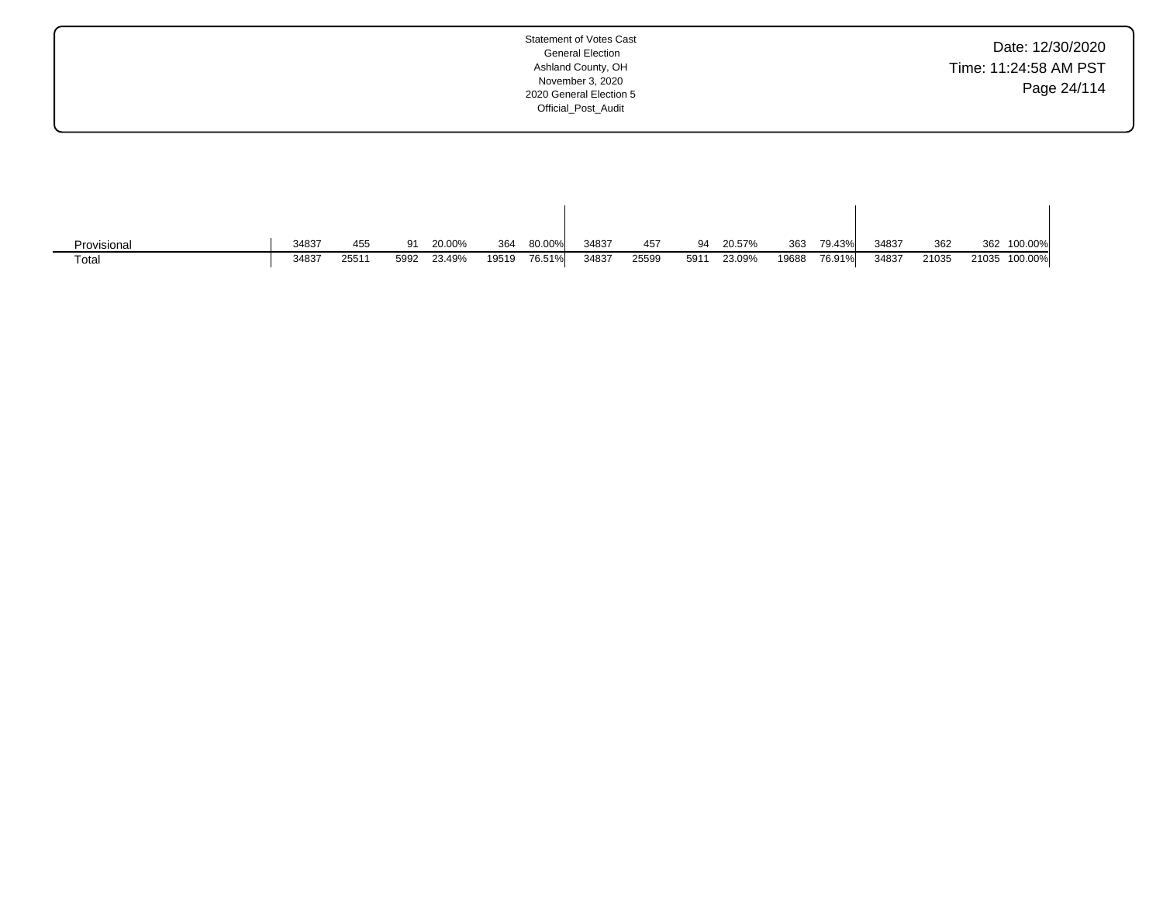| Date: 12/30/2020      |
|-----------------------|
| Time: 11:24:58 AM PST |
| Page 24/114           |

| Provisional       | 34837 | 455   | -91  | 20.00% | 364   | 80.00% | 34837 | 457   | 94   | 20.57% | 363   | 79.43% | 34837 | 362   | 362   | 100.00% |
|-------------------|-------|-------|------|--------|-------|--------|-------|-------|------|--------|-------|--------|-------|-------|-------|---------|
| Tota <sub>i</sub> | 34837 | 25511 | 5992 | 23.49% | 19519 | 76.51% | 34837 | 25599 | 5911 | 23.09% | 19688 | 76.91% | 34837 | 21035 | 21035 | 100.00% |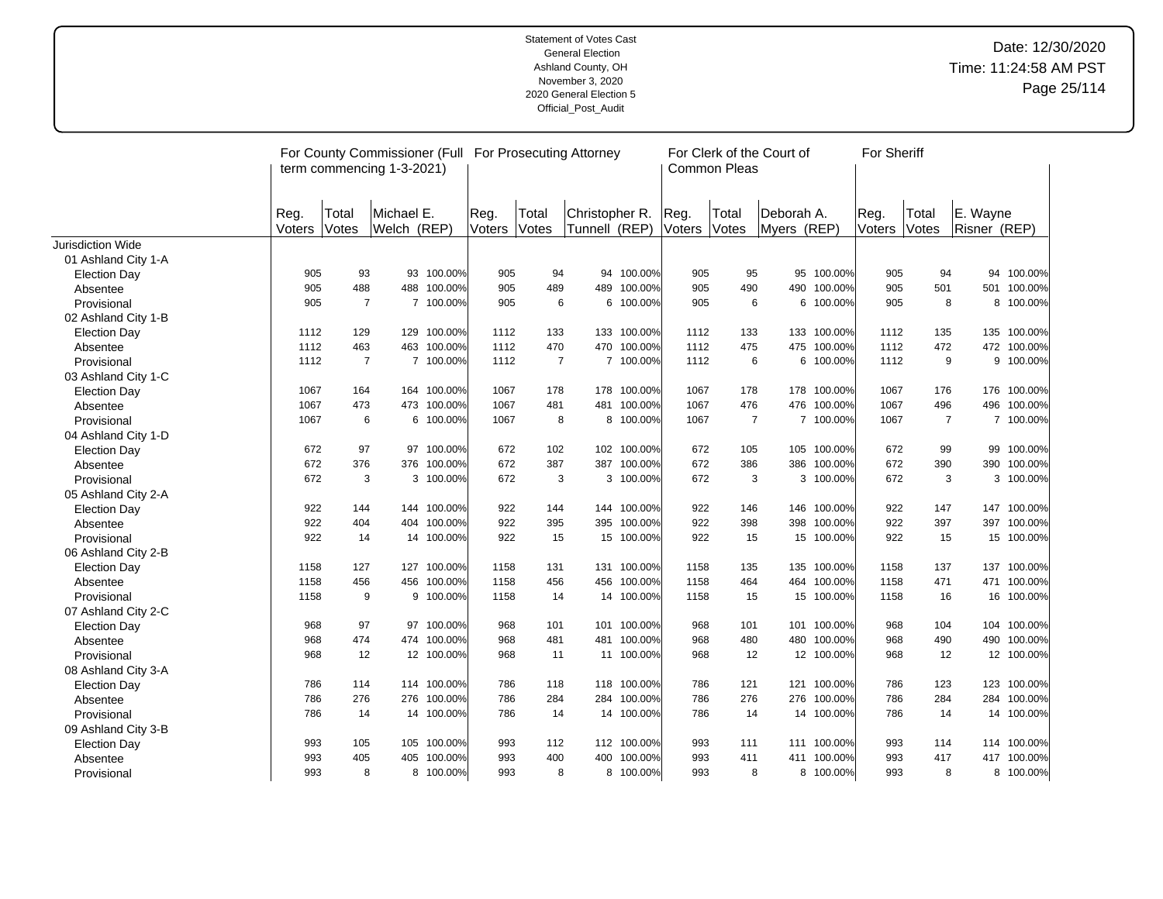|                     | For County Commissioner (Full For Prosecuting Attorney<br>term commencing 1-3-2021) |                       |                           |             |                |                |                                  |             |                | <b>Common Pleas</b> | For Clerk of the Court of |             | For Sheriff    |                |                          |             |
|---------------------|-------------------------------------------------------------------------------------|-----------------------|---------------------------|-------------|----------------|----------------|----------------------------------|-------------|----------------|---------------------|---------------------------|-------------|----------------|----------------|--------------------------|-------------|
|                     | Reg.<br>Voters                                                                      | Total<br><b>Votes</b> | Michael E.<br>Welch (REP) |             | Reg.<br>Voters | Total<br>Votes | Christopher R.<br> Tunnell (REP) |             | Reg.<br>Voters | Total<br>Votes      | Deborah A.<br>Myers (REP) |             | Reg.<br>Voters | Total<br>Votes | E. Wayne<br>Risner (REP) |             |
| Jurisdiction Wide   |                                                                                     |                       |                           |             |                |                |                                  |             |                |                     |                           |             |                |                |                          |             |
| 01 Ashland City 1-A |                                                                                     |                       |                           |             |                |                |                                  |             |                |                     |                           |             |                |                |                          |             |
| <b>Election Day</b> | 905                                                                                 | 93                    |                           | 93 100.00%  | 905            | 94             | 94                               | 100.00%     | 905            | 95                  |                           | 95 100.00%  | 905            | 94             |                          | 94 100.00%  |
| Absentee            | 905                                                                                 | 488                   | 488                       | 100.00%     | 905            | 489            | 489                              | 100.00%     | 905            | 490                 | 490                       | 100.00%     | 905            | 501            |                          | 501 100.00% |
| Provisional         | 905                                                                                 | $\overline{7}$        |                           | 7 100.00%   | 905            | 6              | 6                                | 100.00%     | 905            | 6                   | 6                         | 100.00%     | 905            |                | 8                        | 8 100.00%   |
| 02 Ashland City 1-B |                                                                                     |                       |                           |             |                |                |                                  |             |                |                     |                           |             |                |                |                          |             |
| <b>Election Day</b> | 1112                                                                                | 129                   |                           | 129 100.00% | 1112           | 133            |                                  | 133 100.00% | 1112           | 133                 |                           | 133 100.00% | 1112           | 135            |                          | 135 100.00% |
| Absentee            | 1112                                                                                | 463                   | 463                       | 100.00%     | 1112           | 470            | 470                              | 100.00%     | 1112           | 475                 | 475                       | 100.00%     | 1112           | 472            |                          | 472 100.00% |
| Provisional         | 1112                                                                                | $\overline{7}$        |                           | 7 100.00%   | 1112           | $\overline{7}$ | $\overline{7}$                   | 100.00%     | 1112           | 6                   | 6                         | 100.00%     | 1112           |                | 9                        | 9 100.00%   |
| 03 Ashland City 1-C |                                                                                     |                       |                           |             |                |                |                                  |             |                |                     |                           |             |                |                |                          |             |
| <b>Election Day</b> | 1067                                                                                | 164                   |                           | 164 100.00% | 1067           | 178            | 178                              | 100.00%     | 1067           | 178                 |                           | 178 100.00% | 1067           | 176            |                          | 176 100.00% |
| Absentee            | 1067                                                                                | 473                   | 473                       | 100.00%     | 1067           | 481            | 481                              | 100.00%     | 1067           | 476                 | 476                       | 100.00%     | 1067           | 496            |                          | 496 100.00% |
| Provisional         | 1067                                                                                | 6                     |                           | 6 100.00%   | 1067           | 8              | 8                                | 100.00%     | 1067           | $\overline{7}$      |                           | 7 100.00%   | 1067           | $\overline{7}$ |                          | 7 100.00%   |
| 04 Ashland City 1-D |                                                                                     |                       |                           |             |                |                |                                  |             |                |                     |                           |             |                |                |                          |             |
| <b>Election Day</b> | 672                                                                                 | 97                    |                           | 97 100.00%  | 672            | 102            | 102                              | 100.00%     | 672            | 105                 | 105                       | 100.00%     | 672            | 99             |                          | 99 100.00%  |
| Absentee            | 672                                                                                 | 376                   |                           | 376 100.00% | 672            | 387            | 387                              | 100.00%     | 672            | 386                 | 386                       | 100.00%     | 672            | 390            |                          | 390 100.00% |
| Provisional         | 672                                                                                 | 3                     |                           | 3 100.00%   | 672            | 3              |                                  | 3 100.00%   | 672            | 3                   |                           | 3 100.00%   | 672            |                | 3                        | 3 100.00%   |
| 05 Ashland City 2-A |                                                                                     |                       |                           |             |                |                |                                  |             |                |                     |                           |             |                |                |                          |             |
| <b>Election Day</b> | 922                                                                                 | 144                   | 144                       | 100.00%     | 922            | 144            | 144                              | 100.00%     | 922            | 146                 | 146                       | 100.00%     | 922            | 147            |                          | 147 100.00% |
| Absentee            | 922                                                                                 | 404                   | 404                       | 100.00%     | 922            | 395            | 395                              | 100.00%     | 922            | 398                 | 398                       | 100.00%     | 922            | 397            | 397                      | 100.00%     |
| Provisional         | 922                                                                                 | 14                    |                           | 14 100.00%  | 922            | 15             |                                  | 15 100.00%  | 922            | 15                  |                           | 15 100.00%  | 922            | 15             |                          | 15 100.00%  |
| 06 Ashland City 2-B |                                                                                     |                       |                           |             |                |                |                                  |             |                |                     |                           |             |                |                |                          |             |
| <b>Election Day</b> | 1158                                                                                | 127                   | 127                       | 100.00%     | 1158           | 131            | 131                              | 100.00%     | 1158           | 135                 | 135                       | 100.00%     | 1158           | 137            | 137                      | 100.00%     |
| Absentee            | 1158                                                                                | 456                   | 456                       | 100.00%     | 1158           | 456            | 456                              | 100.00%     | 1158           | 464                 | 464                       | 100.00%     | 1158           | 471            | 471                      | 100.00%     |
| Provisional         | 1158                                                                                | 9                     |                           | 9 100.00%   | 1158           | 14             |                                  | 14 100.00%  | 1158           | 15                  |                           | 15 100.00%  | 1158           | 16             |                          | 16 100.00%  |
| 07 Ashland City 2-C |                                                                                     |                       |                           |             |                |                |                                  |             |                |                     |                           |             |                |                |                          |             |
| <b>Election Day</b> | 968                                                                                 | 97                    |                           | 97 100.00%  | 968            | 101            | 101                              | 100.00%     | 968            | 101                 | 101                       | 100.00%     | 968            | 104            |                          | 104 100.00% |
| Absentee            | 968                                                                                 | 474                   |                           | 474 100.00% | 968            | 481            | 481                              | 100.00%     | 968            | 480                 | 480                       | 100.00%     | 968            | 490            |                          | 490 100.00% |
| Provisional         | 968                                                                                 | 12                    |                           | 12 100.00%  | 968            | 11             |                                  | 11 100.00%  | 968            | 12                  |                           | 12 100.00%  | 968            | 12             |                          | 12 100.00%  |
| 08 Ashland City 3-A |                                                                                     |                       |                           |             |                |                |                                  |             |                |                     |                           |             |                |                |                          |             |
| <b>Election Day</b> | 786                                                                                 | 114                   |                           | 114 100.00% | 786            | 118            | 118                              | 100.00%     | 786            | 121                 | 121                       | 100.00%     | 786            | 123            |                          | 123 100.00% |
| Absentee            | 786                                                                                 | 276                   |                           | 276 100.00% | 786            | 284            | 284                              | 100.00%     | 786            | 276                 | 276                       | 100.00%     | 786            | 284            | 284                      | 100.00%     |
| Provisional         | 786                                                                                 | 14                    |                           | 14 100.00%  | 786            | 14             | 14                               | 100.00%     | 786            | 14                  | 14                        | 100.00%     | 786            | 14             |                          | 14 100.00%  |
| 09 Ashland City 3-B |                                                                                     |                       |                           |             |                |                |                                  |             |                |                     |                           |             |                |                |                          |             |
| <b>Election Day</b> | 993                                                                                 | 105                   |                           | 105 100.00% | 993            | 112            |                                  | 112 100.00% | 993            | 111                 |                           | 111 100.00% | 993            | 114            |                          | 114 100.00% |
| Absentee            | 993                                                                                 | 405                   | 405                       | 100.00%     | 993            | 400            | 400                              | 100.00%     | 993            | 411                 | 411                       | 100.00%     | 993            | 417            |                          | 417 100.00% |
| Provisional         | 993                                                                                 | 8                     |                           | 8 100.00%   | 993            | 8              | 8                                | 100.00%     | 993            | 8                   |                           | 8 100.00%   | 993            |                | 8                        | 8 100.00%   |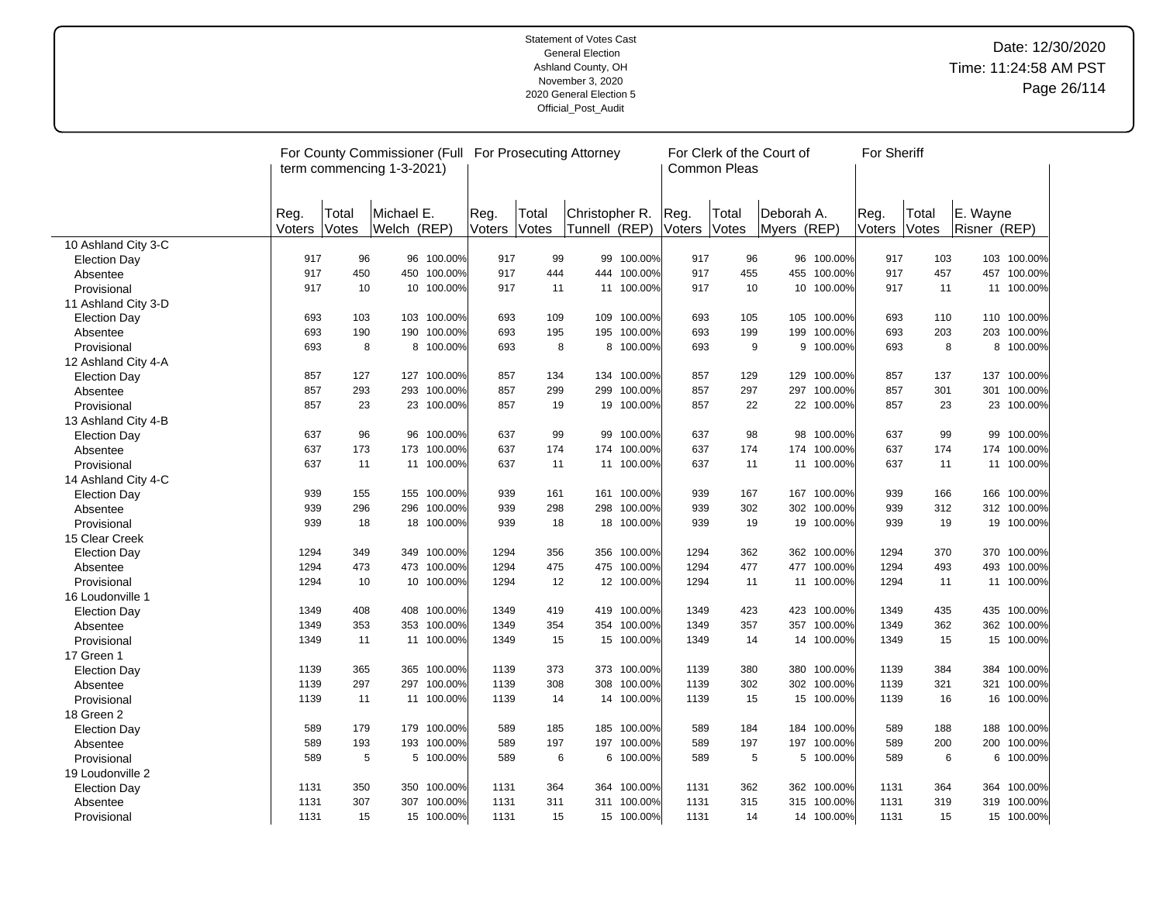|                     |                |                | For County Commissioner (Full For Prosecuting Attorney<br>term commencing 1-3-2021) |             |                |                |                                 |             |                | Common Pleas   | For Clerk of the Court of  |             | For Sheriff    |                |                          |             |
|---------------------|----------------|----------------|-------------------------------------------------------------------------------------|-------------|----------------|----------------|---------------------------------|-------------|----------------|----------------|----------------------------|-------------|----------------|----------------|--------------------------|-------------|
|                     | Reg.<br>Voters | Total<br>Votes | Michael E.<br>Welch (REP)                                                           |             | Reg.<br>Voters | Total<br>Votes | Christopher R.<br>Tunnell (REP) |             | Reg.<br>Voters | Total<br>Votes | lDeborah A.<br>Myers (REP) |             | Reg.<br>Voters | Total<br>Votes | E. Wayne<br>Risner (REP) |             |
| 10 Ashland City 3-C |                |                |                                                                                     |             |                |                |                                 |             |                |                |                            |             |                |                |                          |             |
| <b>Election Day</b> | 917            | 96             |                                                                                     | 96 100.00%  | 917            | 99             | 99                              | 100.00%     | 917            | 96             | 96                         | 100.00%     | 917            | 103            |                          | 103 100.00% |
| Absentee            | 917            | 450            |                                                                                     | 450 100.00% | 917            | 444            | 444                             | 100.00%     | 917            | 455            | 455                        | 100.00%     | 917            | 457            |                          | 457 100.00% |
| Provisional         | 917            | 10             |                                                                                     | 10 100.00%  | 917            | 11             | 11                              | 100.00%     | 917            | 10             | 10                         | 100.00%     | 917            | 11             |                          | 11 100.00%  |
| 11 Ashland City 3-D |                |                |                                                                                     |             |                |                |                                 |             |                |                |                            |             |                |                |                          |             |
| <b>Election Day</b> | 693            | 103            |                                                                                     | 103 100.00% | 693            | 109            | 109                             | 100.00%     | 693            | 105            | 105                        | 100.00%     | 693            | 110            |                          | 110 100.00% |
| Absentee            | 693            | 190            | 190                                                                                 | 100.00%     | 693            | 195            | 195                             | 100.00%     | 693            | 199            | 199                        | 100.00%     | 693            | 203            |                          | 203 100.00% |
| Provisional         | 693            | 8              |                                                                                     | 8 100.00%   | 693            | 8              |                                 | 8 100.00%   | 693            | 9              | 9                          | 100.00%     | 693            | 8              |                          | 8 100.00%   |
| 12 Ashland City 4-A |                |                |                                                                                     |             |                |                |                                 |             |                |                |                            |             |                |                |                          |             |
| <b>Election Day</b> | 857            | 127            |                                                                                     | 127 100.00% | 857            | 134            |                                 | 134 100.00% | 857            | 129            | 129                        | 100.00%     | 857            | 137            |                          | 137 100.00% |
| Absentee            | 857            | 293            | 293                                                                                 | 100.00%     | 857            | 299            | 299                             | 100.00%     | 857            | 297            | 297                        | 100.00%     | 857            | 301            |                          | 301 100.00% |
| Provisional         | 857            | 23             |                                                                                     | 23 100.00%  | 857            | 19             | 19                              | 100.00%     | 857            | 22             |                            | 22 100.00%  | 857            | 23             |                          | 23 100.00%  |
| 13 Ashland City 4-B |                |                |                                                                                     |             |                |                |                                 |             |                |                |                            |             |                |                |                          |             |
| <b>Election Day</b> | 637            | 96             |                                                                                     | 96 100.00%  | 637            | 99             | 99                              | 100.00%     | 637            | 98             | 98                         | 100.00%     | 637            | 99             |                          | 99 100.00%  |
| Absentee            | 637            | 173            |                                                                                     | 173 100.00% | 637            | 174            | 174                             | 100.00%     | 637            | 174            | 174                        | 100.00%     | 637            | 174            |                          | 174 100.00% |
| Provisional         | 637            | 11             |                                                                                     | 11 100.00%  | 637            | 11             |                                 | 11 100.00%  | 637            | 11             |                            | 11 100.00%  | 637            | 11             |                          | 11 100.00%  |
| 14 Ashland City 4-C |                |                |                                                                                     |             |                |                |                                 |             |                |                |                            |             |                |                |                          |             |
| <b>Election Day</b> | 939            | 155            |                                                                                     | 155 100.00% | 939            | 161            | 161                             | 100.00%     | 939            | 167            | 167                        | 100.00%     | 939            | 166            |                          | 166 100.00% |
| Absentee            | 939            | 296            | 296                                                                                 | 100.00%     | 939            | 298            | 298                             | 100.00%     | 939            | 302            | 302                        | 100.00%     | 939            | 312            |                          | 312 100.00% |
| Provisional         | 939            | 18             |                                                                                     | 18 100.00%  | 939            | 18             |                                 | 18 100.00%  | 939            | 19             | 19                         | 100.00%     | 939            | 19             |                          | 19 100.00%  |
| 15 Clear Creek      |                |                |                                                                                     |             |                |                |                                 |             |                |                |                            |             |                |                |                          |             |
| <b>Election Day</b> | 1294           | 349            |                                                                                     | 349 100.00% | 1294           | 356            | 356                             | 100.00%     | 1294           | 362            | 362                        | 100.00%     | 1294           | 370            |                          | 370 100.00% |
| Absentee            | 1294           | 473            |                                                                                     | 473 100.00% | 1294           | 475            | 475                             | 100.00%     | 1294           | 477            |                            | 477 100.00% | 1294           | 493            |                          | 493 100.00% |
| Provisional         | 1294           | 10             |                                                                                     | 10 100.00%  | 1294           | 12             | 12 <sup>2</sup>                 | 100.00%     | 1294           | 11             | 11                         | 100.00%     | 1294           | 11             |                          | 11 100.00%  |
| 16 Loudonville 1    |                |                |                                                                                     |             |                |                |                                 |             |                |                |                            |             |                |                |                          |             |
| <b>Election Day</b> | 1349           | 408            |                                                                                     | 408 100.00% | 1349           | 419            |                                 | 419 100.00% | 1349           | 423            |                            | 423 100.00% | 1349           | 435            |                          | 435 100.00% |
| Absentee            | 1349           | 353            |                                                                                     | 353 100.00% | 1349           | 354            | 354                             | 100.00%     | 1349           | 357            | 357                        | 100.00%     | 1349           | 362            |                          | 362 100.00% |
| Provisional         | 1349           | 11             |                                                                                     | 11 100.00%  | 1349           | 15             |                                 | 15 100.00%  | 1349           | 14             |                            | 14 100.00%  | 1349           | 15             |                          | 15 100.00%  |
| 17 Green 1          |                |                |                                                                                     |             |                |                |                                 |             |                |                |                            |             |                |                |                          |             |
| <b>Election Day</b> | 1139           | 365            | 365                                                                                 | 100.00%     | 1139           | 373            | 373                             | 100.00%     | 1139           | 380            | 380                        | 100.00%     | 1139           | 384            |                          | 384 100.00% |
| Absentee            | 1139           | 297            | 297                                                                                 | 100.00%     | 1139           | 308            | 308                             | 100.00%     | 1139           | 302            | 302                        | 100.00%     | 1139           | 321            |                          | 321 100.00% |
| Provisional         | 1139           | 11             |                                                                                     | 11 100.00%  | 1139           | 14             |                                 | 14 100.00%  | 1139           | 15             | 15 <sub>1</sub>            | 100.00%     | 1139           | 16             |                          | 16 100.00%  |
| 18 Green 2          |                |                |                                                                                     |             |                |                |                                 |             |                |                |                            |             |                |                |                          |             |
| <b>Election Day</b> | 589            | 179            |                                                                                     | 179 100.00% | 589            | 185            | 185                             | 100.00%     | 589            | 184            | 184                        | 100.00%     | 589            | 188            |                          | 188 100.00% |
| Absentee            | 589            | 193            | 193                                                                                 | 100.00%     | 589            | 197            | 197                             | 100.00%     | 589            | 197            | 197                        | 100.00%     | 589            | 200            |                          | 200 100.00% |
| Provisional         | 589            | 5              |                                                                                     | 5 100.00%   | 589            | 6              |                                 | 6 100.00%   | 589            | 5              |                            | 5 100.00%   | 589            | 6              |                          | 6 100.00%   |
| 19 Loudonville 2    |                |                |                                                                                     |             |                |                |                                 |             |                |                |                            |             |                |                |                          |             |
| <b>Election Day</b> | 1131           | 350            |                                                                                     | 350 100.00% | 1131           | 364            |                                 | 364 100.00% | 1131           | 362            |                            | 362 100.00% | 1131           | 364            |                          | 364 100.00% |
| Absentee            | 1131           | 307            | 307                                                                                 | 100.00%     | 1131           | 311            | 311                             | 100.00%     | 1131           | 315            |                            | 315 100.00% | 1131           | 319            |                          | 319 100.00% |
| Provisional         | 1131           | 15             |                                                                                     | 15 100.00%  | 1131           | 15             |                                 | 15 100.00%  | 1131           | 14             |                            | 14 100.00%  | 1131           | 15             |                          | 15 100.00%  |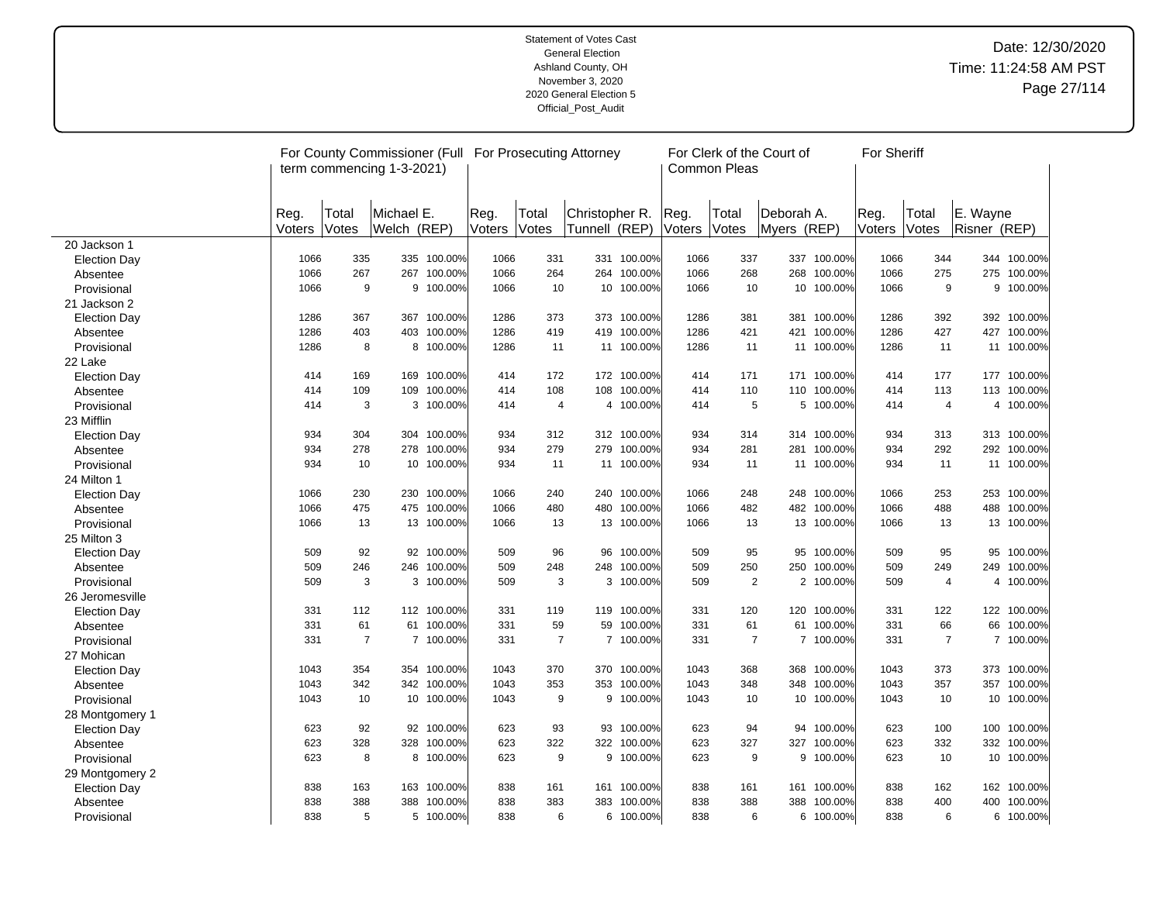|                     |        |                | For County Commissioner (Full For Prosecuting Attorney<br>term commencing 1-3-2021) |             |        |                |                 |             |              | <b>Common Pleas</b> | For Clerk of the Court of |             | For Sheriff |                |              |             |
|---------------------|--------|----------------|-------------------------------------------------------------------------------------|-------------|--------|----------------|-----------------|-------------|--------------|---------------------|---------------------------|-------------|-------------|----------------|--------------|-------------|
|                     |        |                |                                                                                     |             |        |                |                 |             |              |                     |                           |             |             |                |              |             |
|                     | Reg.   | Total          | Michael E.                                                                          |             | Reg.   | Total          | Christopher R.  |             | Reg.         | Total               | Deborah A.                |             | Reg.        | Total          | E. Wayne     |             |
|                     | Voters | Votes          | Welch (REP)                                                                         |             | Voters | Votes          | Tunnell (REP)   |             | Voters Votes |                     | Myers (REP)               |             | Voters      | Votes          | Risner (REP) |             |
| 20 Jackson 1        |        |                |                                                                                     |             |        |                |                 |             |              |                     |                           |             |             |                |              |             |
| <b>Election Day</b> | 1066   | 335            |                                                                                     | 335 100.00% | 1066   | 331            |                 | 331 100.00% | 1066         | 337                 | 337                       | 100.00%     | 1066        | 344            |              | 344 100.00% |
| Absentee            | 1066   | 267            |                                                                                     | 267 100.00% | 1066   | 264            | 264             | 100.00%     | 1066         | 268                 | 268                       | 100.00%     | 1066        | 275            |              | 275 100.00% |
| Provisional         | 1066   | 9              | 9                                                                                   | 100.00%     | 1066   | 10             | 10 <sup>°</sup> | 100.00%     | 1066         | 10                  | 10                        | 100.00%     | 1066        | 9              | 9            | 100.00%     |
| 21 Jackson 2        |        |                |                                                                                     |             |        |                |                 |             |              |                     |                           |             |             |                |              |             |
| Election Day        | 1286   | 367            |                                                                                     | 367 100.00% | 1286   | 373            |                 | 373 100.00% | 1286         | 381                 |                           | 381 100.00% | 1286        | 392            |              | 392 100.00% |
| Absentee            | 1286   | 403            | 403                                                                                 | 100.00%     | 1286   | 419            | 419             | 100.00%     | 1286         | 421                 | 421                       | 100.00%     | 1286        | 427            |              | 427 100.00% |
| Provisional         | 1286   | 8              |                                                                                     | 8 100.00%   | 1286   | 11             |                 | 11 100.00%  | 1286         | 11                  |                           | 11 100.00%  | 1286        | 11             |              | 11 100.00%  |
| 22 Lake             |        |                |                                                                                     |             |        |                |                 |             |              |                     |                           |             |             |                |              |             |
| <b>Election Day</b> | 414    | 169            | 169                                                                                 | 100.00%     | 414    | 172            |                 | 172 100.00% | 414          | 171                 |                           | 171 100.00% | 414         | 177            |              | 177 100.00% |
| Absentee            | 414    | 109            | 109                                                                                 | 100.00%     | 414    | 108            |                 | 108 100.00% | 414          | 110                 | 110                       | 100.00%     | 414         | 113            |              | 113 100.00% |
| Provisional         | 414    | 3              |                                                                                     | 3 100.00%   | 414    | 4              |                 | 4 100.00%   | 414          | 5                   |                           | 5 100.00%   | 414         | 4              |              | 4 100.00%   |
| 23 Mifflin          |        |                |                                                                                     |             |        |                |                 |             |              |                     |                           |             |             |                |              |             |
| <b>Election Day</b> | 934    | 304            |                                                                                     | 304 100.00% | 934    | 312            |                 | 312 100.00% | 934          | 314                 |                           | 314 100.00% | 934         | 313            |              | 313 100.00% |
| Absentee            | 934    | 278            | 278                                                                                 | 100.00%     | 934    | 279            | 279             | 100.00%     | 934          | 281                 | 281                       | 100.00%     | 934         | 292            |              | 292 100.00% |
| Provisional         | 934    | 10             |                                                                                     | 10 100.00%  | 934    | 11             |                 | 11 100.00%  | 934          | 11                  |                           | 11 100.00%  | 934         | 11             |              | 11 100.00%  |
| 24 Milton 1         |        |                |                                                                                     |             |        |                |                 |             |              |                     |                           |             |             |                |              |             |
| <b>Election Day</b> | 1066   | 230            |                                                                                     | 230 100.00% | 1066   | 240            |                 | 240 100.00% | 1066         | 248                 |                           | 248 100.00% | 1066        | 253            |              | 253 100.00% |
| Absentee            | 1066   | 475            | 475                                                                                 | 100.00%     | 1066   | 480            | 480             | 100.00%     | 1066         | 482                 | 482                       | 100.00%     | 1066        | 488            | 488          | 100.00%     |
| Provisional         | 1066   | 13             |                                                                                     | 13 100.00%  | 1066   | 13             |                 | 13 100.00%  | 1066         | 13                  |                           | 13 100.00%  | 1066        | 13             |              | 13 100.00%  |
| 25 Milton 3         |        |                |                                                                                     |             |        |                |                 |             |              |                     |                           |             |             |                |              |             |
| <b>Election Day</b> | 509    | 92             |                                                                                     | 92 100.00%  | 509    | 96             | 96              | 100.00%     | 509          | 95                  | 95                        | 100.00%     | 509         | 95             |              | 95 100.00%  |
| Absentee            | 509    | 246            |                                                                                     | 246 100.00% | 509    | 248            | 248             | 100.00%     | 509          | 250                 | 250                       | 100.00%     | 509         | 249            |              | 249 100.00% |
| Provisional         | 509    | 3              | 3                                                                                   | 100.00%     | 509    | 3              |                 | 3 100.00%   | 509          | 2                   |                           | 2 100.00%   | 509         | 4              | 4            | 100.00%     |
| 26 Jeromesville     |        |                |                                                                                     |             |        |                |                 |             |              |                     |                           |             |             |                |              |             |
| <b>Election Day</b> | 331    | 112            |                                                                                     | 112 100.00% | 331    | 119            |                 | 119 100.00% | 331          | 120                 |                           | 120 100.00% | 331         | 122            |              | 122 100.00% |
| Absentee            | 331    | 61             | 61                                                                                  | 100.00%     | 331    | 59             | 59              | 100.00%     | 331          | 61                  | 61                        | 100.00%     | 331         | 66             | 66           | 100.00%     |
| Provisional         | 331    | $\overline{7}$ |                                                                                     | 7 100.00%   | 331    | $\overline{7}$ |                 | 7 100.00%   | 331          | $\overline{7}$      |                           | 7 100.00%   | 331         | $\overline{7}$ |              | 7 100.00%   |
| 27 Mohican          |        |                |                                                                                     |             |        |                |                 |             |              |                     |                           |             |             |                |              |             |
| <b>Election Day</b> | 1043   | 354            |                                                                                     | 354 100.00% | 1043   | 370            | 370             | 100.00%     | 1043         | 368                 | 368                       | 100.00%     | 1043        | 373            |              | 373 100.00% |
| Absentee            | 1043   | 342            |                                                                                     | 342 100.00% | 1043   | 353            | 353             | 100.00%     | 1043         | 348                 | 348                       | 100.00%     | 1043        | 357            | 357          | 100.00%     |
| Provisional         | 1043   | 10             |                                                                                     | 10 100.00%  | 1043   | 9              |                 | 9 100.00%   | 1043         | 10                  |                           | 10 100.00%  | 1043        | 10             | 10           | 100.00%     |
| 28 Montgomery 1     |        |                |                                                                                     |             |        |                |                 |             |              |                     |                           |             |             |                |              |             |
| <b>Election Day</b> | 623    | 92             |                                                                                     | 92 100.00%  | 623    | 93             | 93              | 100.00%     | 623          | 94                  |                           | 94 100.00%  | 623         | 100            |              | 100 100.00% |
| Absentee            | 623    | 328            | 328                                                                                 | 100.00%     | 623    | 322            | 322             | 100.00%     | 623          | 327                 | 327                       | 100.00%     | 623         | 332            | 332          | 100.00%     |
| Provisional         | 623    | 8              |                                                                                     | 8 100.00%   | 623    | 9              |                 | 9 100.00%   | 623          | 9                   |                           | 9 100.00%   | 623         | 10             |              | 10 100.00%  |
| 29 Montgomery 2     |        |                |                                                                                     |             |        |                |                 |             |              |                     |                           |             |             |                |              |             |
| <b>Election Day</b> | 838    | 163            |                                                                                     | 163 100.00% | 838    | 161            |                 | 161 100.00% | 838          | 161                 | 161                       | 100.00%     | 838         | 162            |              | 162 100.00% |
| Absentee            | 838    | 388            | 388                                                                                 | 100.00%     | 838    | 383            | 383             | 100.00%     | 838          | 388                 | 388                       | 100.00%     | 838         | 400            | 400          | 100.00%     |
| Provisional         | 838    | 5              |                                                                                     | 5 100.00%   | 838    | 6              |                 | 6 100.00%   | 838          | 6                   |                           | 6 100.00%   | 838         | 6              |              | 6 100.00%   |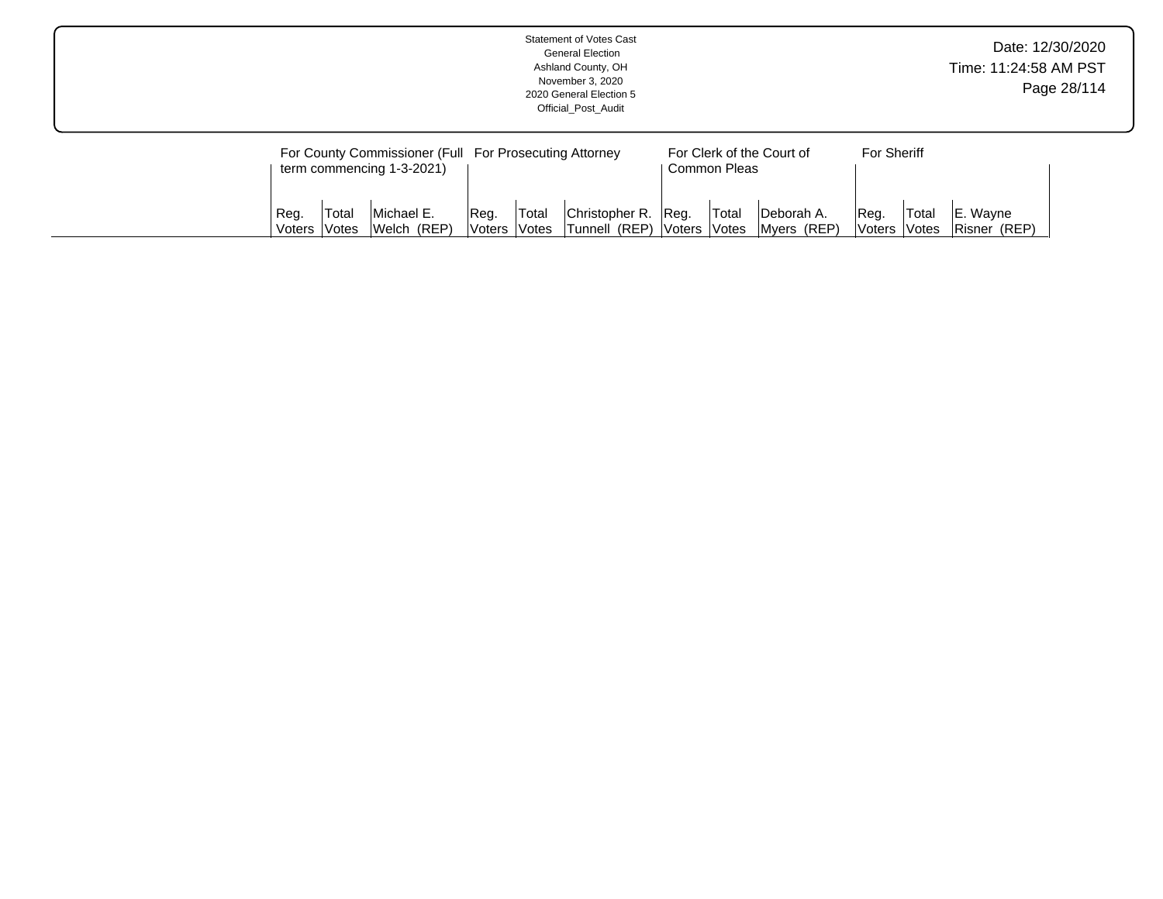| Statement of Votes Cast<br><b>General Election</b><br>Ashland County, OH<br>November 3, 2020<br>2020 General Election 5<br>Official Post Audit         | Date: 12/30/2020<br>Time: 11:24:58 AM PST<br>Page 28/114 |
|--------------------------------------------------------------------------------------------------------------------------------------------------------|----------------------------------------------------------|
| For County Commissioner (Full For Prosecuting Attorney<br>For Clerk of the Court of<br><b>For Sheriff</b><br>term commencing 1-3-2021)<br>Common Pleas |                                                          |
|                                                                                                                                                        |                                                          |

Christopher R. Tunnell (REP) Reg. Voters Total Votes Deborah A. Myers (REP) Reg. Voters Total Votes E. Wayne Risner (REP)

Reg. Voters Total Votes Michael E. Welch (REP) Reg. Voters Total Votes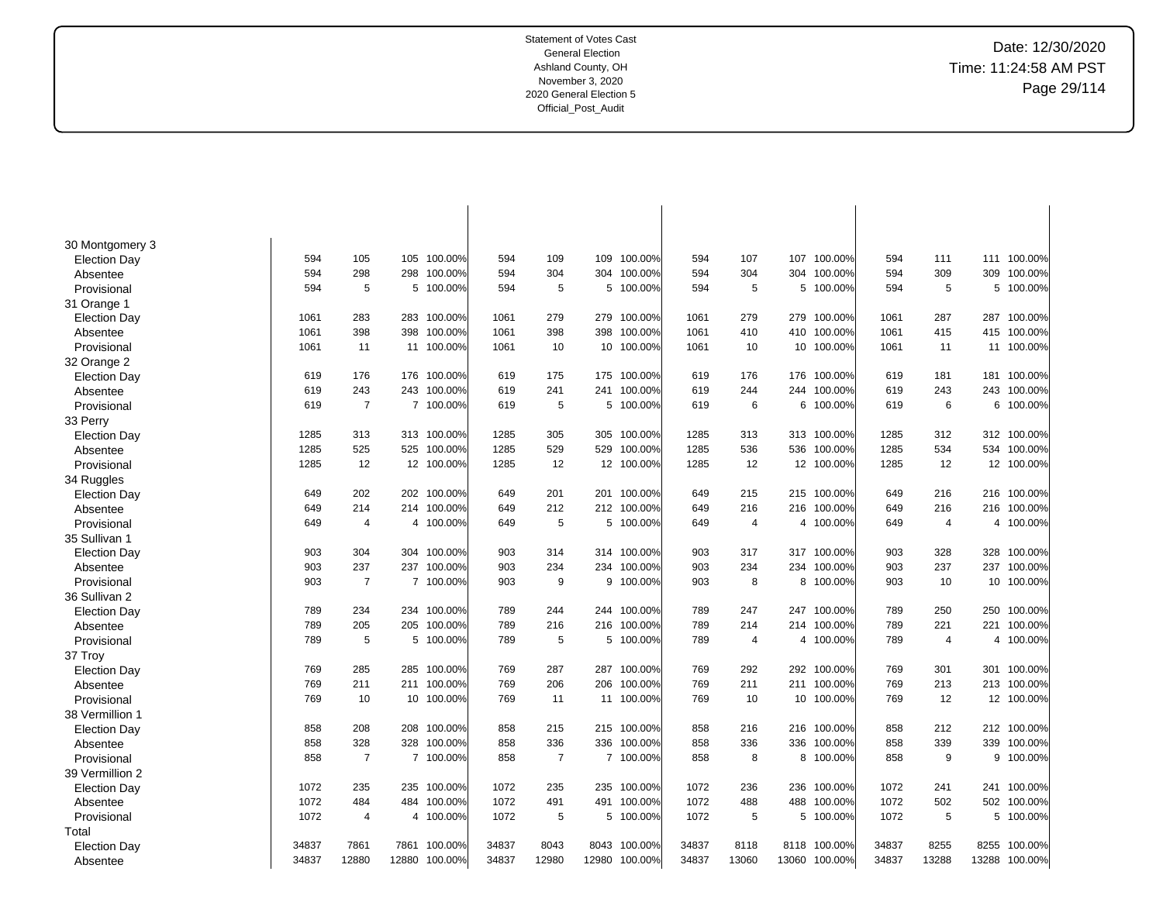Date: 12/30/2020 Time: 11:24:58 AM PST Page 29/114

| 30 Montgomery 3     |       |                |       |             |       |                |       |             |       |                |       |             |       |                |                |         |
|---------------------|-------|----------------|-------|-------------|-------|----------------|-------|-------------|-------|----------------|-------|-------------|-------|----------------|----------------|---------|
| <b>Election Day</b> | 594   | 105            | 105   | 100.00%     | 594   | 109            | 109   | 100.00%     | 594   | 107            | 107   | 100.00%     | 594   | 111            | 111            | 100.00% |
| Absentee            | 594   | 298            | 298   | 100.00%     | 594   | 304            |       | 304 100.00% | 594   | 304            | 304   | 100.00%     | 594   | 309            | 309            | 100.00% |
| Provisional         | 594   | 5              | 5     | 100.00%     | 594   | 5              |       | 5 100.00%   | 594   | 5              | 5     | 100.00%     | 594   | 5              | 5              | 100.00% |
|                     |       |                |       |             |       |                |       |             |       |                |       |             |       |                |                |         |
| 31 Orange 1         |       |                |       |             |       |                |       |             |       |                | 279   |             |       |                |                |         |
| <b>Election Day</b> | 1061  | 283            | 283   | 100.00%     | 1061  | 279            |       | 279 100.00% | 1061  | 279            |       | 100.00%     | 1061  | 287            | 287            | 100.00% |
| Absentee            | 1061  | 398            | 398   | 100.00%     | 1061  | 398            | 398   | 100.00%     | 1061  | 410            | 410   | 100.00%     | 1061  | 415            | 415            | 100.00% |
| Provisional         | 1061  | 11             |       | 11 100.00%  | 1061  | 10             |       | 10 100.00%  | 1061  | 10             | 10    | 100.00%     | 1061  | 11             | 11             | 100.00% |
| 32 Orange 2         |       |                |       |             |       |                |       |             |       |                |       |             |       |                |                |         |
| <b>Election Day</b> | 619   | 176            | 176   | 100.00%     | 619   | 175            | 175   | 100.00%     | 619   | 176            | 176   | 100.00%     | 619   | 181            | 181            | 100.00% |
| Absentee            | 619   | 243            | 243   | 100.00%     | 619   | 241            | 241   | 100.00%     | 619   | 244            | 244   | 100.00%     | 619   | 243            | 243            | 100.00% |
| Provisional         | 619   | $\overline{7}$ |       | 7 100.00%   | 619   | 5              | 5     | 100.00%     | 619   | 6              | 6     | 100.00%     | 619   | 6              | 6              | 100.00% |
| 33 Perry            |       |                |       |             |       |                |       |             |       |                |       |             |       |                |                |         |
| <b>Election Day</b> | 1285  | 313            |       | 313 100.00% | 1285  | 305            | 305   | 100.00%     | 1285  | 313            | 313   | 100.00%     | 1285  | 312            | 312            | 100.00% |
| Absentee            | 1285  | 525            | 525   | 100.00%     | 1285  | 529            | 529   | 100.00%     | 1285  | 536            | 536   | 100.00%     | 1285  | 534            | 534            | 100.00% |
| Provisional         | 1285  | 12             |       | 12 100.00%  | 1285  | 12             |       | 12 100.00%  | 1285  | 12             | 12    | 100.00%     | 1285  | 12             | 12             | 100.00% |
| 34 Ruggles          |       |                |       |             |       |                |       |             |       |                |       |             |       |                |                |         |
| <b>Election Day</b> | 649   | 202            | 202   | 100.00%     | 649   | 201            | 201   | 100.00%     | 649   | 215            | 215   | 100.00%     | 649   | 216            | 216            | 100.00% |
| Absentee            | 649   | 214            | 214   | 100.00%     | 649   | 212            |       | 212 100.00% | 649   | 216            | 216   | 100.00%     | 649   | 216            | 216            | 100.00% |
| Provisional         | 649   | 4              |       | 4 100.00%   | 649   | 5              |       | 5 100.00%   | 649   | $\overline{4}$ |       | 4 100.00%   | 649   | $\overline{4}$ | 4              | 100.00% |
| 35 Sullivan 1       |       |                |       |             |       |                |       |             |       |                |       |             |       |                |                |         |
| <b>Election Day</b> | 903   | 304            | 304   | 100.00%     | 903   | 314            |       | 314 100.00% | 903   | 317            |       | 317 100.00% | 903   | 328            | 328            | 100.00% |
| Absentee            | 903   | 237            | 237   | 100.00%     | 903   | 234            | 234   | 100.00%     | 903   | 234            | 234   | 100.00%     | 903   | 237            | 237            | 100.00% |
| Provisional         | 903   | 7              |       | 7 100.00%   | 903   | 9              |       | 9 100.00%   | 903   | 8              | 8     | 100.00%     | 903   | 10             | 10             | 100.00% |
| 36 Sullivan 2       |       |                |       |             |       |                |       |             |       |                |       |             |       |                |                |         |
| <b>Election Day</b> | 789   | 234            | 234   | 100.00%     | 789   | 244            |       | 244 100.00% | 789   | 247            | 247   | 100.00%     | 789   | 250            | 250            | 100.00% |
| Absentee            | 789   | 205            | 205   | 100.00%     | 789   | 216            | 216   | 100.00%     | 789   | 214            | 214   | 100.00%     | 789   | 221            | 221            | 100.00% |
| Provisional         | 789   | 5              |       | 5 100.00%   | 789   | 5              |       | 5 100.00%   | 789   | $\overline{4}$ |       | 4 100.00%   | 789   | $\overline{4}$ | $\overline{4}$ | 100.00% |
| 37 Troy             |       |                |       |             |       |                |       |             |       |                |       |             |       |                |                |         |
| <b>Election Day</b> | 769   | 285            | 285   | 100.00%     | 769   | 287            | 287   | 100.00%     | 769   | 292            | 292   | 100.00%     | 769   | 301            | 301            | 100.00% |
| Absentee            | 769   | 211            | 211   | 100.00%     | 769   | 206            | 206   | 100.00%     | 769   | 211            | 211   | 100.00%     | 769   | 213            | 213            | 100.00% |
| Provisional         | 769   | 10             | 10    | 100.00%     | 769   | 11             |       | 11 100.00%  | 769   | 10             | 10    | 100.00%     | 769   | 12             | 12             | 100.00% |
| 38 Vermillion 1     |       |                |       |             |       |                |       |             |       |                |       |             |       |                |                |         |
|                     | 858   | 208            | 208   | 100.00%     | 858   | 215            |       | 215 100.00% | 858   | 216            | 216   | 100.00%     | 858   | 212            | 212            | 100.00% |
| <b>Election Day</b> | 858   | 328            | 328   | 100.00%     | 858   | 336            | 336   | 100.00%     | 858   | 336            | 336   | 100.00%     | 858   | 339            | 339            | 100.00% |
| Absentee            | 858   | $\overline{7}$ |       | 7 100.00%   | 858   | $\overline{7}$ |       | 7 100.00%   | 858   | 8              |       | 8 100.00%   | 858   | 9              | 9              | 100.00% |
| Provisional         |       |                |       |             |       |                |       |             |       |                |       |             |       |                |                |         |
| 39 Vermillion 2     |       |                |       |             |       |                |       |             |       |                |       |             |       |                |                |         |
| <b>Election Day</b> | 1072  | 235            | 235   | 100.00%     | 1072  | 235            | 235   | 100.00%     | 1072  | 236            | 236   | 100.00%     | 1072  | 241            | 241            | 100.00% |
| Absentee            | 1072  | 484            | 484   | 100.00%     | 1072  | 491            | 491   | 100.00%     | 1072  | 488            | 488   | 100.00%     | 1072  | 502            | 502            | 100.00% |
| Provisional         | 1072  | 4              | 4     | 100.00%     | 1072  | 5              | 5     | 100.00%     | 1072  | 5              | 5     | 100.00%     | 1072  | 5              | 5              | 100.00% |
| Total               |       |                |       |             |       |                |       |             |       |                |       |             |       |                |                |         |
| <b>Election Day</b> | 34837 | 7861           | 7861  | 100.00%     | 34837 | 8043           | 8043  | 100.00%     | 34837 | 8118           | 8118  | 100.00%     | 34837 | 8255           | 8255           | 100.00% |
| Absentee            | 34837 | 12880          | 12880 | 100.00%     | 34837 | 12980          | 12980 | 100.00%     | 34837 | 13060          | 13060 | 100.00%     | 34837 | 13288          | 13288          | 100.00% |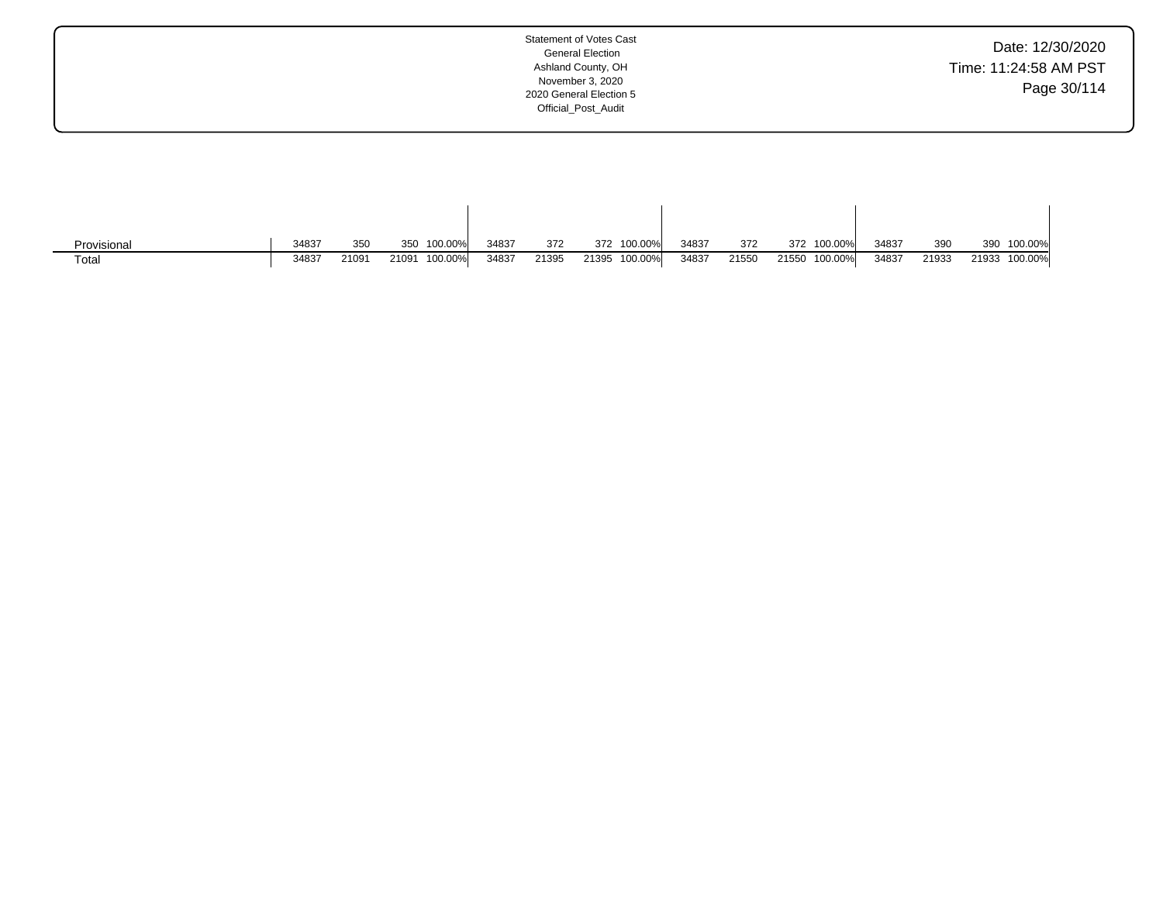| Date: 12/30/2020      |
|-----------------------|
| Time: 11:24:58 AM PST |
| Page 30/114           |

| Provisional | 34837 | 350   | 100.00%<br>350   | 34837 | 372   | 100.00%<br>372   | 34837 | 372   | 372   | 100.00%  | 34837 | 390   | 390   | 100.00% |
|-------------|-------|-------|------------------|-------|-------|------------------|-------|-------|-------|----------|-------|-------|-------|---------|
| Tota.       | 34837 | 21091 | 100.00%<br>21091 | 34837 | 21395 | 100.00%<br>21395 | 34837 | 21550 | 21550 | 100.00%l | 34837 | 21933 | 21933 | 100.00% |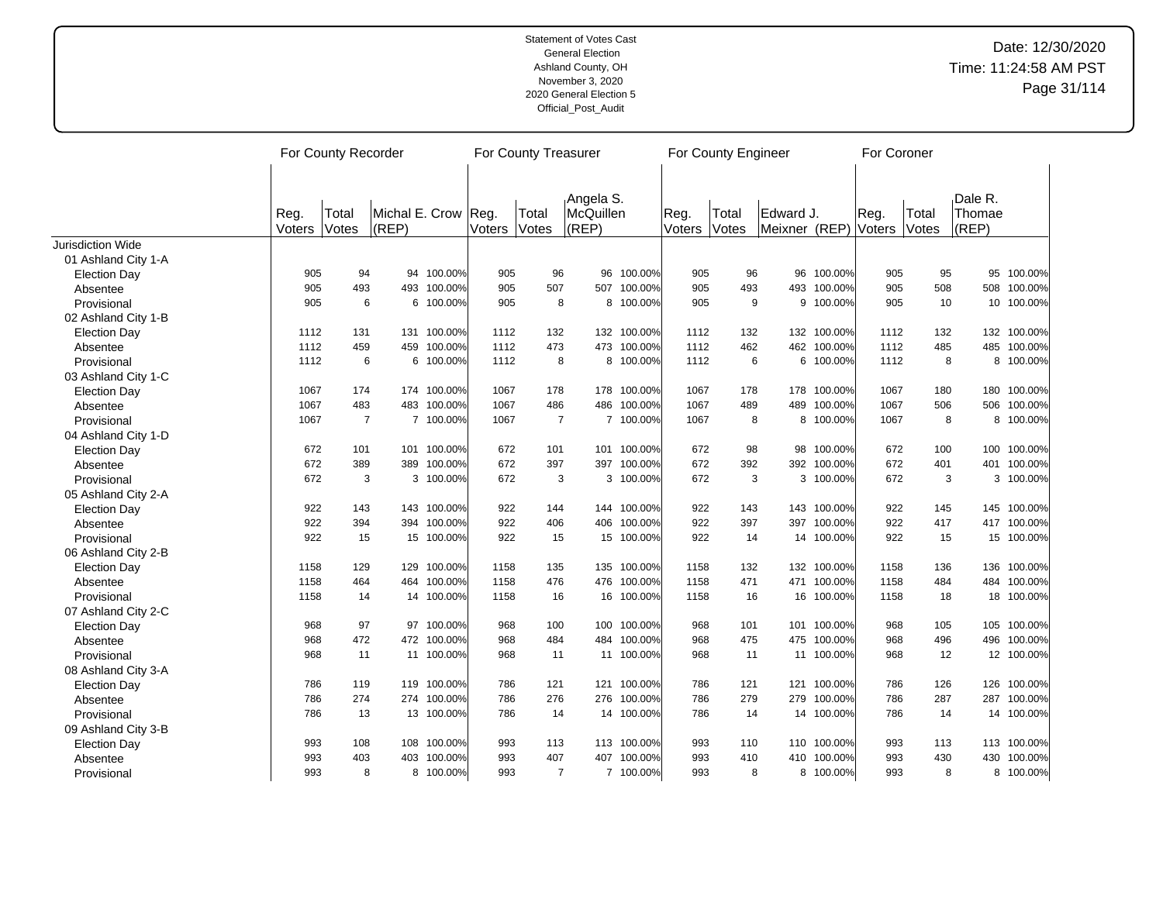|                     | For County Recorder |                |                |             |        | For County Treasurer |           |             |        | For County Engineer |               |             | For Coroner |       |         |             |
|---------------------|---------------------|----------------|----------------|-------------|--------|----------------------|-----------|-------------|--------|---------------------|---------------|-------------|-------------|-------|---------|-------------|
|                     |                     |                |                |             |        |                      |           |             |        |                     |               |             |             |       |         |             |
|                     |                     |                |                |             |        |                      | Angela S. |             |        |                     |               |             |             |       | Dale R. |             |
|                     | Reg.                | Total          | Michal E. Crow |             | Reg.   | Total                | McQuillen |             | Reg.   | Total               | Edward J.     |             | Reg.        | Total | Thomae  |             |
|                     | Voters              | Votes          | $ $ (REP)      |             | Voters | Votes                | (REP)     |             | Voters | Votes               | Meixner (REP) |             | Voters      | Votes | (REP)   |             |
| Jurisdiction Wide   |                     |                |                |             |        |                      |           |             |        |                     |               |             |             |       |         |             |
| 01 Ashland City 1-A |                     |                |                |             |        |                      |           |             |        |                     |               |             |             |       |         |             |
| <b>Election Day</b> | 905                 | 94             |                | 94 100.00%  | 905    | 96                   | 96        | 100.00%     | 905    | 96                  | 96            | 100.00%     | 905         | 95    |         | 95 100.00%  |
| Absentee            | 905                 | 493            |                | 493 100.00% | 905    | 507                  | 507       | 100.00%     | 905    | 493                 | 493           | 100.00%     | 905         | 508   |         | 508 100.00% |
| Provisional         | 905                 | 6              |                | 6 100.00%   | 905    | 8                    |           | 8 100.00%   | 905    | 9                   | 9             | 100.00%     | 905         | 10    |         | 10 100.00%  |
| 02 Ashland City 1-B |                     |                |                |             |        |                      |           |             |        |                     |               |             |             |       |         |             |
| <b>Election Day</b> | 1112                | 131            |                | 131 100.00% | 1112   | 132                  |           | 132 100.00% | 1112   | 132                 |               | 132 100.00% | 1112        | 132   |         | 132 100.00% |
| Absentee            | 1112                | 459            |                | 459 100.00% | 1112   | 473                  | 473       | 100.00%     | 1112   | 462                 | 462           | 100.00%     | 1112        | 485   |         | 485 100.00% |
| Provisional         | 1112                | 6              |                | 6 100.00%   | 1112   | 8                    |           | 8 100.00%   | 1112   | 6                   |               | 6 100.00%   | 1112        | 8     |         | 8 100.00%   |
| 03 Ashland City 1-C |                     |                |                |             |        |                      |           |             |        |                     |               |             |             |       |         |             |
| <b>Election Day</b> | 1067                | 174            |                | 174 100.00% | 1067   | 178                  | 178       | 100.00%     | 1067   | 178                 |               | 178 100.00% | 1067        | 180   |         | 180 100.00% |
| Absentee            | 1067                | 483            |                | 483 100.00% | 1067   | 486                  | 486       | 100.00%     | 1067   | 489                 | 489           | 100.00%     | 1067        | 506   | 506     | 100.00%     |
| Provisional         | 1067                | $\overline{7}$ |                | 7 100.00%   | 1067   | $\overline{7}$       |           | 7 100.00%   | 1067   | 8                   |               | 8 100.00%   | 1067        | 8     |         | 8 100.00%   |
| 04 Ashland City 1-D |                     |                |                |             |        |                      |           |             |        |                     |               |             |             |       |         |             |
| <b>Election Day</b> | 672                 | 101            |                | 101 100.00% | 672    | 101                  | 101       | 100.00%     | 672    | 98                  | 98            | 100.00%     | 672         | 100   |         | 100 100.00% |
| Absentee            | 672                 | 389            | 389            | 100.00%     | 672    | 397                  | 397       | 100.00%     | 672    | 392                 | 392           | 100.00%     | 672         | 401   | 401     | 100.00%     |
| Provisional         | 672                 | 3              |                | 3 100.00%   | 672    | 3                    |           | 3 100.00%   | 672    | 3                   |               | 3 100.00%   | 672         | 3     |         | 3 100.00%   |
| 05 Ashland City 2-A |                     |                |                |             |        |                      |           |             |        |                     |               |             |             |       |         |             |
| <b>Election Day</b> | 922                 | 143            |                | 143 100.00% | 922    | 144                  | 144       | 100.00%     | 922    | 143                 | 143           | 100.00%     | 922         | 145   |         | 145 100.00% |
| Absentee            | 922                 | 394            |                | 394 100.00% | 922    | 406                  | 406       | 100.00%     | 922    | 397                 | 397           | 100.00%     | 922         | 417   |         | 417 100.00% |
| Provisional         | 922                 | 15             |                | 15 100.00%  | 922    | 15                   |           | 15 100.00%  | 922    | 14                  |               | 14 100.00%  | 922         | 15    |         | 15 100.00%  |
| 06 Ashland City 2-B |                     |                |                |             |        |                      |           |             |        |                     |               |             |             |       |         |             |
| <b>Election Day</b> | 1158                | 129            |                | 129 100.00% | 1158   | 135                  | 135       | 100.00%     | 1158   | 132                 |               | 132 100.00% | 1158        | 136   |         | 136 100.00% |
| Absentee            | 1158                | 464            |                | 464 100.00% | 1158   | 476                  | 476       | 100.00%     | 1158   | 471                 | 471           | 100.00%     | 1158        | 484   | 484     | 100.00%     |
| Provisional         | 1158                | 14             |                | 14 100.00%  | 1158   | 16                   |           | 16 100.00%  | 1158   | 16                  |               | 16 100.00%  | 1158        | 18    |         | 18 100.00%  |
| 07 Ashland City 2-C |                     |                |                |             |        |                      |           |             |        |                     |               |             |             |       |         |             |
| <b>Election Day</b> | 968                 | 97             |                | 97 100.00%  | 968    | 100                  | 100       | 100.00%     | 968    | 101                 | 101           | 100.00%     | 968         | 105   |         | 105 100.00% |
| Absentee            | 968                 | 472            |                | 472 100.00% | 968    | 484                  | 484       | 100.00%     | 968    | 475                 | 475           | 100.00%     | 968         | 496   | 496     | 100.00%     |
| Provisional         | 968                 | 11             |                | 11 100.00%  | 968    | 11                   | 11        | 100.00%     | 968    | 11                  | 11            | 100.00%     | 968         | 12    |         | 12 100.00%  |
| 08 Ashland City 3-A |                     |                |                |             |        |                      |           |             |        |                     |               |             |             |       |         |             |
| <b>Election Day</b> | 786                 | 119            |                | 119 100.00% | 786    | 121                  | 121       | 100.00%     | 786    | 121                 | 121           | 100.00%     | 786         | 126   |         | 126 100.00% |
| Absentee            | 786                 | 274            |                | 274 100.00% | 786    | 276                  | 276       | 100.00%     | 786    | 279                 | 279           | 100.00%     | 786         | 287   | 287     | 100.00%     |
| Provisional         | 786                 | 13             |                | 13 100.00%  | 786    | 14                   | 14        | 100.00%     | 786    | 14                  | 14            | 100.00%     | 786         | 14    |         | 14 100.00%  |
| 09 Ashland City 3-B |                     |                |                |             |        |                      |           |             |        |                     |               |             |             |       |         |             |
| <b>Election Day</b> | 993                 | 108            |                | 108 100.00% | 993    | 113                  |           | 113 100.00% | 993    | 110                 |               | 110 100.00% | 993         | 113   |         | 113 100.00% |
| Absentee            | 993                 | 403            |                | 403 100.00% | 993    | 407                  | 407       | 100.00%     | 993    | 410                 | 410           | 100.00%     | 993         | 430   | 430     | 100.00%     |
| Provisional         | 993                 | 8              |                | 8 100.00%   | 993    | $\overline{7}$       |           | 7 100.00%   | 993    | 8                   |               | 8 100.00%   | 993         | 8     |         | 8 100.00%   |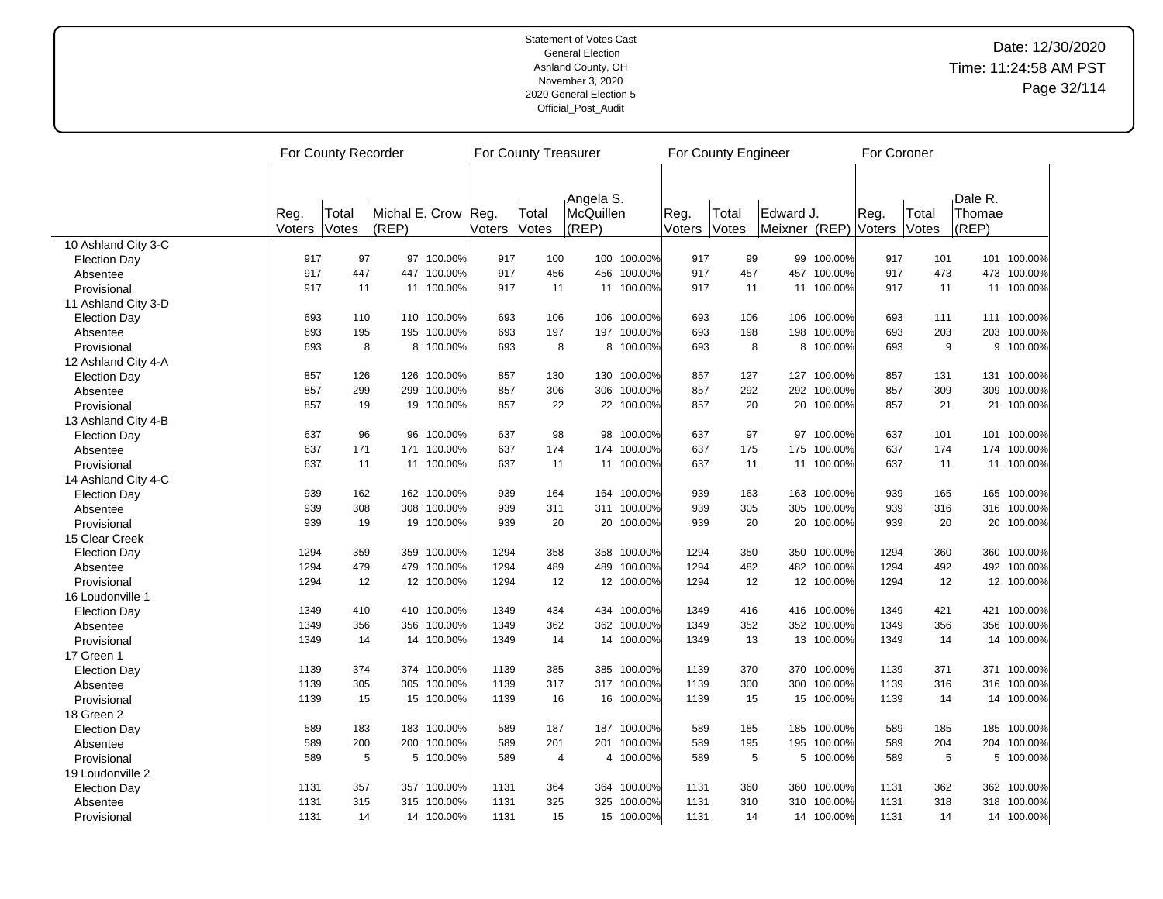|                     | For County Recorder |                |                              |             |        | For County Treasurer |                                     |             |                | For County Engineer |                                   |             | For Coroner |                |                            |             |
|---------------------|---------------------|----------------|------------------------------|-------------|--------|----------------------|-------------------------------------|-------------|----------------|---------------------|-----------------------------------|-------------|-------------|----------------|----------------------------|-------------|
|                     | Reg.<br>Voters      | Total<br>Votes | Michal E. Crow Reg.<br>(REP) |             | Voters | Total<br>Votes       | Angela S.<br>McQuillen<br>$ $ (REP) |             | Reg.<br>Voters | Total<br>Votes      | Edward J.<br>Meixner (REP) Voters |             | Reg.        | Total<br>Votes | Dale R.<br>Thomae<br>(REP) |             |
| 10 Ashland City 3-C |                     |                |                              |             |        |                      |                                     |             |                |                     |                                   |             |             |                |                            |             |
| <b>Election Day</b> | 917                 | 97             |                              | 97 100.00%  | 917    | 100                  |                                     | 100 100.00% | 917            | 99                  | 99                                | 100.00%     | 917         | 101            |                            | 101 100.00% |
| Absentee            | 917                 | 447            |                              | 447 100.00% | 917    | 456                  |                                     | 456 100.00% | 917            | 457                 | 457                               | 100.00%     | 917         | 473            |                            | 473 100.00% |
| Provisional         | 917                 | 11             |                              | 11 100.00%  | 917    | 11                   |                                     | 11 100.00%  | 917            | 11                  |                                   | 11 100.00%  | 917         | 11             |                            | 11 100.00%  |
| 11 Ashland City 3-D |                     |                |                              |             |        |                      |                                     |             |                |                     |                                   |             |             |                |                            |             |
| <b>Election Day</b> | 693                 | 110            |                              | 110 100.00% | 693    | 106                  |                                     | 106 100.00% | 693            | 106                 | 106                               | 100.00%     | 693         | 111            |                            | 111 100.00% |
| Absentee            | 693                 | 195            |                              | 195 100.00% | 693    | 197                  |                                     | 197 100.00% | 693            | 198                 | 198                               | 100.00%     | 693         | 203            | 203                        | 100.00%     |
| Provisional         | 693                 | 8              |                              | 8 100.00%   | 693    | 8                    |                                     | 8 100.00%   | 693            | 8                   |                                   | 8 100.00%   | 693         | 9              |                            | 9 100.00%   |
| 12 Ashland City 4-A |                     |                |                              |             |        |                      |                                     |             |                |                     |                                   |             |             |                |                            |             |
| <b>Election Day</b> | 857                 | 126            |                              | 126 100.00% | 857    | 130                  |                                     | 130 100.00% | 857            | 127                 |                                   | 127 100.00% | 857         | 131            |                            | 131 100.00% |
| Absentee            | 857                 | 299            |                              | 299 100.00% | 857    | 306                  |                                     | 306 100.00% | 857            | 292                 | 292                               | 100.00%     | 857         | 309            | 309                        | 100.00%     |
| Provisional         | 857                 | 19             |                              | 19 100.00%  | 857    | 22                   |                                     | 22 100.00%  | 857            | 20                  |                                   | 20 100.00%  | 857         | 21             | 21                         | 100.00%     |
| 13 Ashland City 4-B |                     |                |                              |             |        |                      |                                     |             |                |                     |                                   |             |             |                |                            |             |
| <b>Election Day</b> | 637                 | 96             |                              | 96 100.00%  | 637    | 98                   | 98                                  | 100.00%     | 637            | 97                  | 97                                | 100.00%     | 637         | 101            |                            | 101 100.00% |
| Absentee            | 637                 | 171            |                              | 171 100.00% | 637    | 174                  |                                     | 174 100.00% | 637            | 175                 | 175                               | 100.00%     | 637         | 174            |                            | 174 100.00% |
| Provisional         | 637                 | 11             |                              | 11 100.00%  | 637    | 11                   |                                     | 11 100.00%  | 637            | 11                  |                                   | 11 100.00%  | 637         | 11             |                            | 11 100.00%  |
| 14 Ashland City 4-C |                     |                |                              |             |        |                      |                                     |             |                |                     |                                   |             |             |                |                            |             |
| <b>Election Day</b> | 939                 | 162            |                              | 162 100.00% | 939    | 164                  |                                     | 164 100.00% | 939            | 163                 |                                   | 163 100.00% | 939         | 165            |                            | 165 100.00% |
| Absentee            | 939                 | 308            |                              | 308 100.00% | 939    | 311                  |                                     | 311 100.00% | 939            | 305                 | 305                               | 100.00%     | 939         | 316            |                            | 316 100.00% |
| Provisional         | 939                 | 19             |                              | 19 100.00%  | 939    | 20                   |                                     | 20 100.00%  | 939            | 20                  |                                   | 20 100.00%  | 939         | 20             |                            | 20 100.00%  |
| 15 Clear Creek      |                     |                |                              |             |        |                      |                                     |             |                |                     |                                   |             |             |                |                            |             |
| <b>Election Day</b> | 1294                | 359            |                              | 359 100.00% | 1294   | 358                  |                                     | 358 100.00% | 1294           | 350                 | 350                               | 100.00%     | 1294        | 360            |                            | 360 100.00% |
| Absentee            | 1294                | 479            |                              | 479 100.00% | 1294   | 489                  | 489                                 | 100.00%     | 1294           | 482                 | 482                               | 100.00%     | 1294        | 492            |                            | 492 100.00% |
| Provisional         | 1294                | 12             |                              | 12 100.00%  | 1294   | 12                   |                                     | 12 100.00%  | 1294           | 12                  |                                   | 12 100.00%  | 1294        | 12             |                            | 12 100.00%  |
| 16 Loudonville 1    |                     |                |                              |             |        |                      |                                     |             |                |                     |                                   |             |             |                |                            |             |
| <b>Election Day</b> | 1349                | 410            |                              | 410 100.00% | 1349   | 434                  |                                     | 434 100.00% | 1349           | 416                 |                                   | 416 100.00% | 1349        | 421            |                            | 421 100.00% |
| Absentee            | 1349                | 356            |                              | 356 100.00% | 1349   | 362                  |                                     | 362 100.00% | 1349           | 352                 | 352                               | 100.00%     | 1349        | 356            | 356                        | 100.00%     |
| Provisional         | 1349                | 14             |                              | 14 100.00%  | 1349   | 14                   |                                     | 14 100.00%  | 1349           | 13                  |                                   | 13 100.00%  | 1349        | 14             |                            | 14 100.00%  |
| 17 Green 1          |                     |                |                              |             |        |                      |                                     |             |                |                     |                                   |             |             |                |                            |             |
| <b>Election Day</b> | 1139                | 374            |                              | 374 100.00% | 1139   | 385                  |                                     | 385 100.00% | 1139           | 370                 | 370                               | 100.00%     | 1139        | 371            |                            | 371 100.00% |
| Absentee            | 1139                | 305            |                              | 305 100.00% | 1139   | 317                  |                                     | 317 100.00% | 1139           | 300                 | 300                               | 100.00%     | 1139        | 316            |                            | 316 100.00% |
| Provisional         | 1139                | 15             |                              | 15 100.00%  | 1139   | 16                   |                                     | 16 100.00%  | 1139           | 15                  |                                   | 15 100.00%  | 1139        | 14             |                            | 14 100.00%  |
|                     |                     |                |                              |             |        |                      |                                     |             |                |                     |                                   |             |             |                |                            |             |
| 18 Green 2          | 589                 | 183            |                              | 183 100.00% | 589    | 187                  |                                     | 187 100.00% | 589            | 185                 | 185                               | 100.00%     | 589         | 185            |                            | 185 100.00% |
| <b>Election Day</b> | 589                 | 200            |                              | 200 100.00% | 589    | 201                  |                                     | 201 100.00% | 589            | 195                 | 195                               | 100.00%     | 589         | 204            |                            | 204 100.00% |
| Absentee            |                     |                |                              |             |        |                      |                                     |             |                |                     |                                   |             |             |                |                            |             |
| Provisional         | 589                 | 5              |                              | 5 100.00%   | 589    | $\overline{4}$       |                                     | 4 100.00%   | 589            | 5                   |                                   | 5 100.00%   | 589         | 5              |                            | 5 100.00%   |
| 19 Loudonville 2    |                     |                |                              |             |        |                      |                                     |             |                |                     |                                   |             |             |                |                            |             |
| <b>Election Day</b> | 1131                | 357            |                              | 357 100.00% | 1131   | 364                  |                                     | 364 100.00% | 1131           | 360                 |                                   | 360 100.00% | 1131        | 362            |                            | 362 100.00% |
| Absentee            | 1131                | 315            |                              | 315 100.00% | 1131   | 325                  |                                     | 325 100.00% | 1131           | 310                 | 310                               | 100.00%     | 1131        | 318            |                            | 318 100.00% |
| Provisional         | 1131                | 14             |                              | 14 100.00%  | 1131   | 15                   |                                     | 15 100.00%  | 1131           | 14                  |                                   | 14 100.00%  | 1131        | 14             |                            | 14 100.00%  |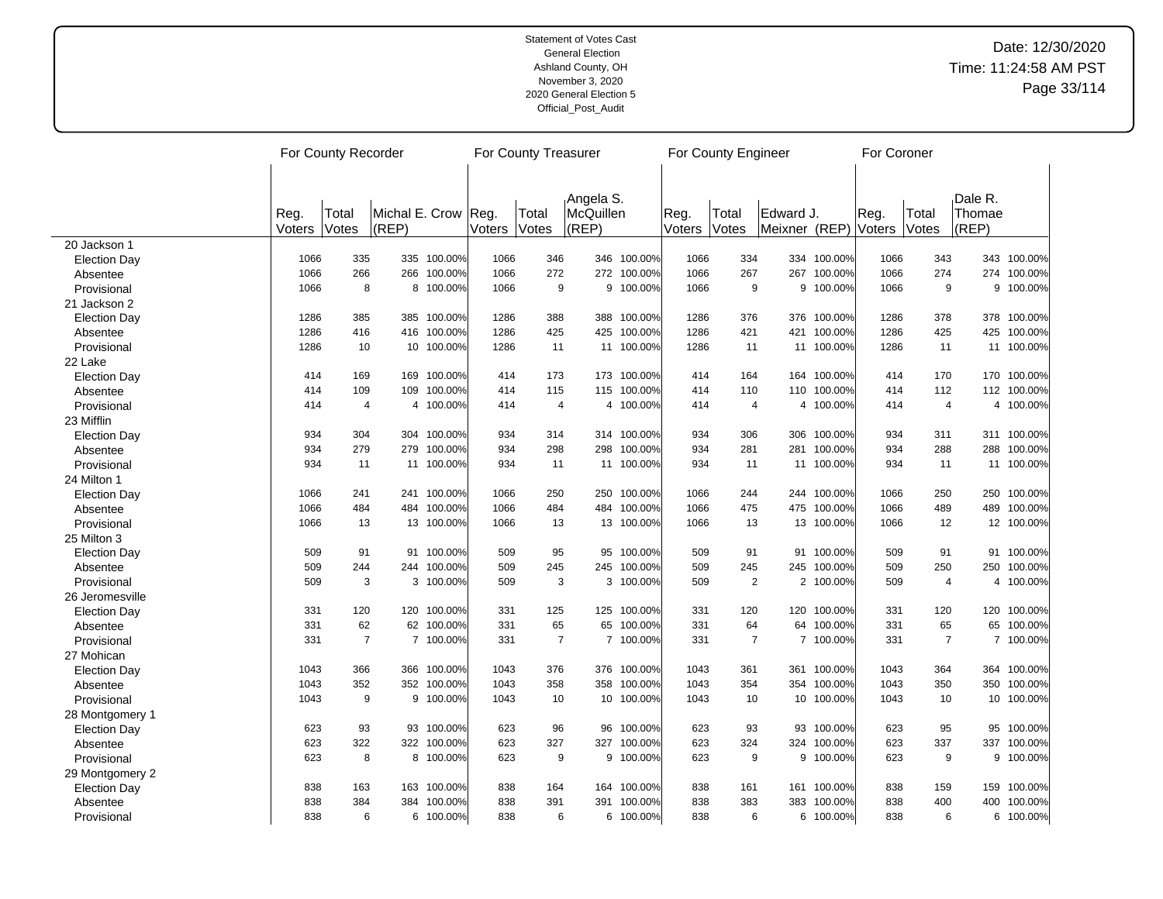|                     |                | For County Recorder |                                  |             | For County Treasurer |                |                                 |             | For County Engineer |                |                            | For Coroner |                |                |                            |             |  |
|---------------------|----------------|---------------------|----------------------------------|-------------|----------------------|----------------|---------------------------------|-------------|---------------------|----------------|----------------------------|-------------|----------------|----------------|----------------------------|-------------|--|
|                     | Reg.<br>Voters | Total<br>Votes      | Michal E. Crow Reg.<br>$ $ (REP) |             | Voters               | Total<br>Votes | Angela S.<br>McQuillen<br>(REP) |             | Reg.<br>Voters      | Total<br>Votes | Edward J.<br>Meixner (REP) |             | Reg.<br>Voters | Total<br>Votes | Dale R.<br>Thomae<br>(REP) |             |  |
| 20 Jackson 1        |                |                     |                                  |             |                      |                |                                 |             |                     |                |                            |             |                |                |                            |             |  |
| <b>Election Day</b> | 1066           | 335                 |                                  | 335 100.00% | 1066                 | 346            |                                 | 346 100.00% | 1066                | 334            |                            | 334 100.00% | 1066           | 343            |                            | 343 100.00% |  |
| Absentee            | 1066           | 266                 |                                  | 266 100.00% | 1066                 | 272            |                                 | 272 100.00% | 1066                | 267            | 267                        | 100.00%     | 1066           | 274            |                            | 274 100.00% |  |
| Provisional         | 1066           | 8                   |                                  | 8 100.00%   | 1066                 | 9              | 9                               | 100.00%     | 1066                | 9              | 9                          | 100.00%     | 1066           | 9              | 9                          | 100.00%     |  |
| 21 Jackson 2        |                |                     |                                  |             |                      |                |                                 |             |                     |                |                            |             |                |                |                            |             |  |
| <b>Election Day</b> | 1286           | 385                 |                                  | 385 100.00% | 1286                 | 388            |                                 | 388 100.00% | 1286                | 376            | 376                        | 100.00%     | 1286           | 378            |                            | 378 100.00% |  |
| Absentee            | 1286           | 416                 |                                  | 416 100.00% | 1286                 | 425            | 425                             | 100.00%     | 1286                | 421            | 421                        | 100.00%     | 1286           | 425            |                            | 425 100.00% |  |
| Provisional         | 1286           | 10                  |                                  | 10 100.00%  | 1286                 | 11             |                                 | 11 100.00%  | 1286                | 11             |                            | 11 100.00%  | 1286           | 11             |                            | 11 100.00%  |  |
| 22 Lake             |                |                     |                                  |             |                      |                |                                 |             |                     |                |                            |             |                |                |                            |             |  |
| <b>Election Day</b> | 414            | 169                 |                                  | 169 100.00% | 414                  | 173            |                                 | 173 100.00% | 414                 | 164            |                            | 164 100.00% | 414            | 170            |                            | 170 100.00% |  |
| Absentee            | 414            | 109                 |                                  | 109 100.00% | 414                  | 115            |                                 | 115 100.00% | 414                 | 110            | 110                        | 100.00%     | 414            | 112            |                            | 112 100.00% |  |
| Provisional         | 414            | 4                   |                                  | 4 100.00%   | 414                  | 4              |                                 | 4 100.00%   | 414                 | 4              |                            | 4 100.00%   | 414            | $\overline{4}$ |                            | 4 100.00%   |  |
| 23 Mifflin          |                |                     |                                  |             |                      |                |                                 |             |                     |                |                            |             |                |                |                            |             |  |
| <b>Election Day</b> | 934            | 304                 |                                  | 304 100.00% | 934                  | 314            |                                 | 314 100.00% | 934                 | 306            | 306                        | 100.00%     | 934            | 311            |                            | 311 100.00% |  |
| Absentee            | 934            | 279                 |                                  | 279 100.00% | 934                  | 298            | 298                             | 100.00%     | 934                 | 281            | 281                        | 100.00%     | 934            | 288            | 288                        | 100.00%     |  |
| Provisional         | 934            | 11                  |                                  | 11 100.00%  | 934                  | 11             |                                 | 11 100.00%  | 934                 | 11             |                            | 11 100.00%  | 934            | 11             |                            | 11 100.00%  |  |
| 24 Milton 1         |                |                     |                                  |             |                      |                |                                 |             |                     |                |                            |             |                |                |                            |             |  |
| <b>Election Day</b> | 1066           | 241                 |                                  | 241 100.00% | 1066                 | 250            |                                 | 250 100.00% | 1066                | 244            | 244                        | 100.00%     | 1066           | 250            |                            | 250 100.00% |  |
| Absentee            | 1066           | 484                 |                                  | 484 100.00% | 1066                 | 484            | 484                             | 100.00%     | 1066                | 475            | 475                        | 100.00%     | 1066           | 489            | 489                        | 100.00%     |  |
| Provisional         | 1066           | 13                  |                                  | 13 100.00%  | 1066                 | 13             |                                 | 13 100.00%  | 1066                | 13             |                            | 13 100.00%  | 1066           | 12             |                            | 12 100.00%  |  |
| 25 Milton 3         |                |                     |                                  |             |                      |                |                                 |             |                     |                |                            |             |                |                |                            |             |  |
| <b>Election Day</b> | 509            | 91                  |                                  | 91 100.00%  | 509                  | 95             | 95                              | 100.00%     | 509                 | 91             | 91                         | 100.00%     | 509            | 91             |                            | 91 100.00%  |  |
| Absentee            | 509            | 244                 |                                  | 244 100.00% | 509                  | 245            | 245                             | 100.00%     | 509                 | 245            | 245                        | 100.00%     | 509            | 250            | 250                        | 100.00%     |  |
| Provisional         | 509            | 3                   |                                  | 3 100.00%   | 509                  | 3              | 3                               | 100.00%     | 509                 | $\sqrt{2}$     |                            | 2 100.00%   | 509            | $\overline{4}$ |                            | 4 100.00%   |  |
| 26 Jeromesville     |                |                     |                                  |             |                      |                |                                 |             |                     |                |                            |             |                |                |                            |             |  |
| <b>Election Day</b> | 331            | 120                 |                                  | 120 100.00% | 331                  | 125            |                                 | 125 100.00% | 331                 | 120            |                            | 120 100.00% | 331            | 120            |                            | 120 100.00% |  |
| Absentee            | 331            | 62                  |                                  | 62 100.00%  | 331                  | 65             | 65                              | 100.00%     | 331                 | 64             | 64                         | 100.00%     | 331            | 65             |                            | 65 100.00%  |  |
| Provisional         | 331            | $\overline{7}$      |                                  | 7 100.00%   | 331                  | $\overline{7}$ |                                 | 7 100.00%   | 331                 | $\overline{7}$ |                            | 7 100.00%   | 331            | $\overline{7}$ |                            | 7 100.00%   |  |
| 27 Mohican          |                |                     |                                  |             |                      |                |                                 |             |                     |                |                            |             |                |                |                            |             |  |
| <b>Election Day</b> | 1043           | 366                 |                                  | 366 100.00% | 1043                 | 376            |                                 | 376 100.00% | 1043                | 361            | 361                        | 100.00%     | 1043           | 364            |                            | 364 100.00% |  |
| Absentee            | 1043           | 352                 |                                  | 352 100.00% | 1043                 | 358            | 358                             | 100.00%     | 1043                | 354            | 354                        | 100.00%     | 1043           | 350            | 350                        | 100.00%     |  |
| Provisional         | 1043           | 9                   |                                  | 9 100.00%   | 1043                 | 10             |                                 | 10 100.00%  | 1043                | 10             | 10 <sup>°</sup>            | 100.00%     | 1043           | 10             |                            | 10 100.00%  |  |
| 28 Montgomery 1     |                |                     |                                  |             |                      |                |                                 |             |                     |                |                            |             |                |                |                            |             |  |
| <b>Election Day</b> | 623            | 93                  |                                  | 93 100.00%  | 623                  | 96             | 96                              | 100.00%     | 623                 | 93             | 93                         | 100.00%     | 623            | 95             |                            | 95 100.00%  |  |
| Absentee            | 623            | 322                 |                                  | 322 100.00% | 623                  | 327            | 327                             | 100.00%     | 623                 | 324            | 324                        | 100.00%     | 623            | 337            | 337                        | 100.00%     |  |
| Provisional         | 623            | 8                   |                                  | 8 100.00%   | 623                  | 9              |                                 | 9 100.00%   | 623                 | 9              |                            | 9 100.00%   | 623            | 9              |                            | 9 100.00%   |  |
| 29 Montgomery 2     |                |                     |                                  |             |                      |                |                                 |             |                     |                |                            |             |                |                |                            |             |  |
| <b>Election Day</b> | 838            | 163                 |                                  | 163 100.00% | 838                  | 164            |                                 | 164 100.00% | 838                 | 161            | 161                        | 100.00%     | 838            | 159            |                            | 159 100.00% |  |
| Absentee            | 838            | 384                 |                                  | 384 100.00% | 838                  | 391            | 391                             | 100.00%     | 838                 | 383            | 383                        | 100.00%     | 838            | 400            | 400                        | 100.00%     |  |
| Provisional         | 838            | 6                   |                                  | 6 100.00%   | 838                  | 6              |                                 | 6 100.00%   | 838                 | 6              |                            | 6 100.00%   | 838            | 6              |                            | 6 100.00%   |  |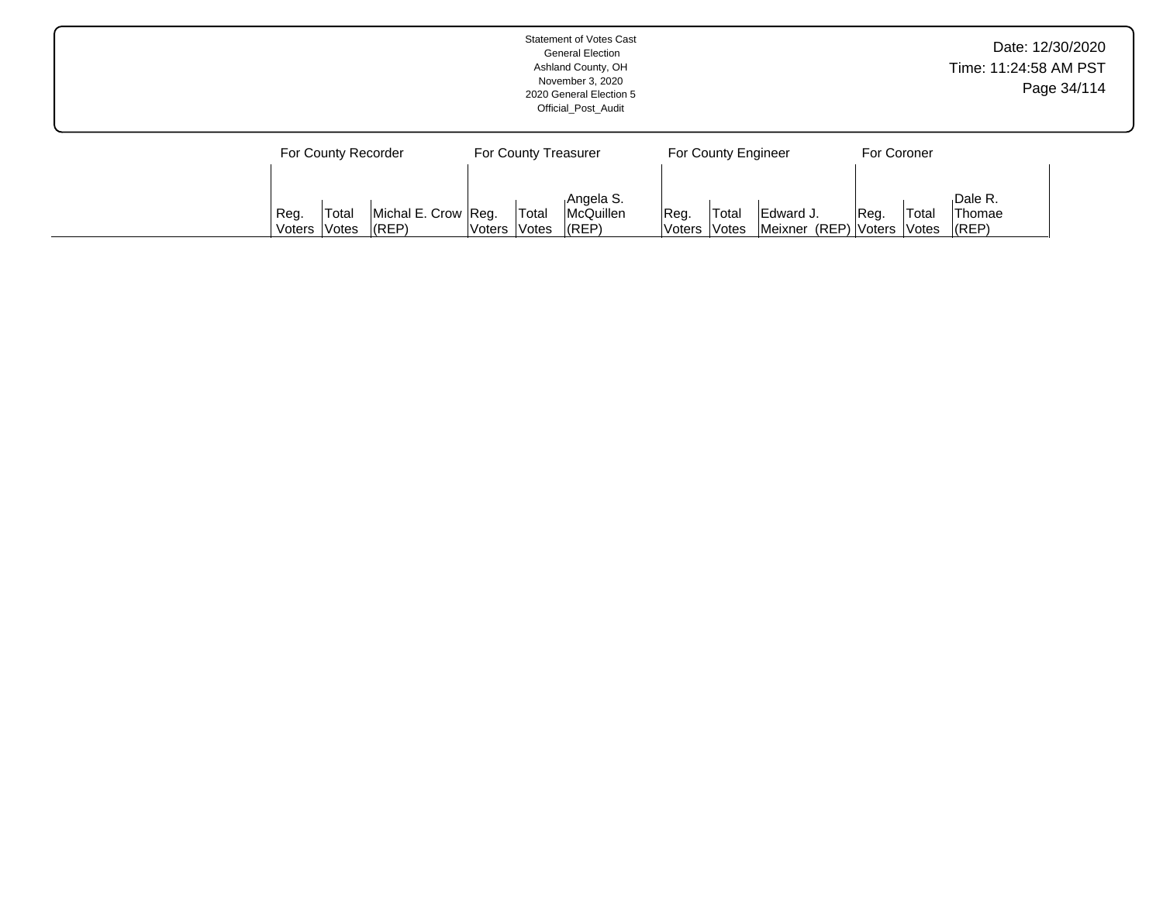| <b>Statement of Votes Cast</b><br><b>General Election</b><br>Ashland County, OH<br>November 3, 2020<br>2020 General Election 5<br>Official Post Audit |                                                                            |                                                                        |                                                                    |  |  |  |  |  |  |  |  |  |
|-------------------------------------------------------------------------------------------------------------------------------------------------------|----------------------------------------------------------------------------|------------------------------------------------------------------------|--------------------------------------------------------------------|--|--|--|--|--|--|--|--|--|
| For County Recorder                                                                                                                                   | For County Treasurer                                                       | For County Engineer                                                    | For Coroner<br>Dale R.                                             |  |  |  |  |  |  |  |  |  |
| Total<br>Michal E. Crow Reg.<br>Reg.<br>$ $ (REP)<br>Votes<br>Voters                                                                                  | Angela S.<br>Total<br>McQuillen<br>(REP)<br><i><b>Notes</b></i><br> Voters | Reg.<br>Edward J.<br>Total<br>Meixner (REP) Voters<br> Voters<br>Votes | Total<br><b>Thomae</b><br>Reg.<br>$ $ (REP)<br><i><b>Notes</b></i> |  |  |  |  |  |  |  |  |  |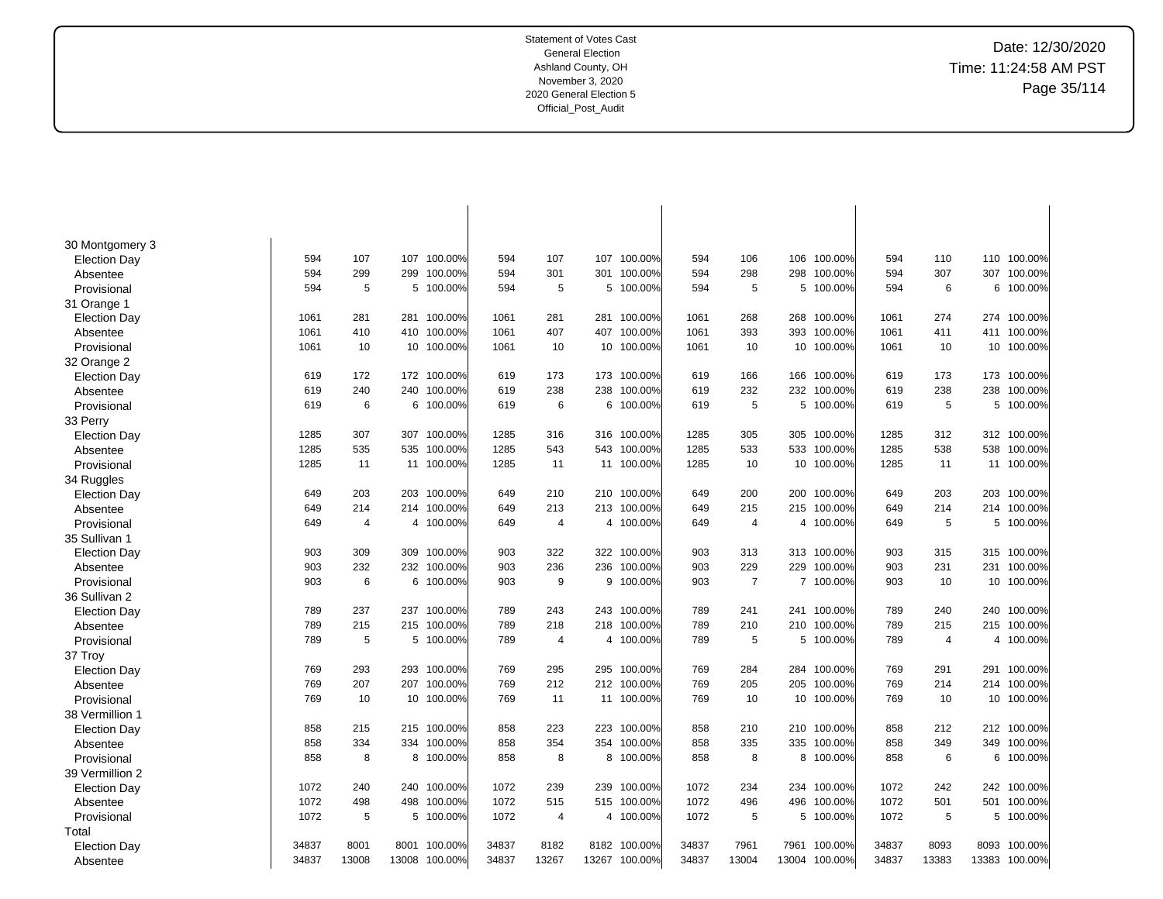Date: 12/30/2020 Time: 11:24:58 AM PST Page 35/114

| 30 Montgomery 3     | 594   | 107   | 107   | 100.00%    | 594   | 107            | 107 | 100.00%       | 594   | 106            | 106   | 100.00%     | 594   | 110            | 110   | 100.00% |
|---------------------|-------|-------|-------|------------|-------|----------------|-----|---------------|-------|----------------|-------|-------------|-------|----------------|-------|---------|
| <b>Election Day</b> | 594   | 299   | 299   | 100.00%    | 594   | 301            |     | 301 100.00%   | 594   | 298            | 298   | 100.00%     | 594   | 307            | 307   | 100.00% |
| Absentee            |       |       |       |            |       |                |     |               |       |                |       |             |       |                |       |         |
| Provisional         | 594   | 5     | 5     | 100.00%    | 594   | 5              |     | 5 100.00%     | 594   | 5              | 5     | 100.00%     | 594   | 6              | 6     | 100.00% |
| 31 Orange 1         |       |       |       |            |       |                |     |               |       |                |       |             |       |                |       |         |
| <b>Election Day</b> | 1061  | 281   | 281   | 100.00%    | 1061  | 281            |     | 281 100.00%   | 1061  | 268            | 268   | 100.00%     | 1061  | 274            | 274   | 100.00% |
| Absentee            | 1061  | 410   | 410   | 100.00%    | 1061  | 407            | 407 | 100.00%       | 1061  | 393            | 393   | 100.00%     | 1061  | 411            | 411   | 100.00% |
| Provisional         | 1061  | 10    |       | 10 100.00% | 1061  | 10             |     | 10 100.00%    | 1061  | 10             | 10    | 100.00%     | 1061  | 10             | 10    | 100.00% |
| 32 Orange 2         |       |       |       |            |       |                |     |               |       |                |       |             |       |                |       |         |
| <b>Election Day</b> | 619   | 172   | 172   | 100.00%    | 619   | 173            | 173 | 100.00%       | 619   | 166            | 166   | 100.00%     | 619   | 173            | 173   | 100.00% |
| Absentee            | 619   | 240   | 240   | 100.00%    | 619   | 238            | 238 | 100.00%       | 619   | 232            | 232   | 100.00%     | 619   | 238            | 238   | 100.00% |
| Provisional         | 619   | 6     | 6     | 100.00%    | 619   | 6              | 6   | 100.00%       | 619   | 5              | 5     | 100.00%     | 619   | 5              | 5     | 100.00% |
| 33 Perry            |       |       |       |            |       |                |     |               |       |                |       |             |       |                |       |         |
| <b>Election Day</b> | 1285  | 307   | 307   | 100.00%    | 1285  | 316            |     | 316 100.00%   | 1285  | 305            | 305   | 100.00%     | 1285  | 312            | 312   | 100.00% |
| Absentee            | 1285  | 535   | 535   | 100.00%    | 1285  | 543            | 543 | 100.00%       | 1285  | 533            | 533   | 100.00%     | 1285  | 538            | 538   | 100.00% |
| Provisional         | 1285  | 11    |       | 11 100.00% | 1285  | 11             |     | 11 100.00%    | 1285  | 10             | 10    | 100.00%     | 1285  | 11             | 11    | 100.00% |
| 34 Ruggles          |       |       |       |            |       |                |     |               |       |                |       |             |       |                |       |         |
| <b>Election Day</b> | 649   | 203   | 203   | 100.00%    | 649   | 210            | 210 | 100.00%       | 649   | 200            | 200   | 100.00%     | 649   | 203            | 203   | 100.00% |
| Absentee            | 649   | 214   | 214   | 100.00%    | 649   | 213            |     | 213 100.00%   | 649   | 215            | 215   | 100.00%     | 649   | 214            | 214   | 100.00% |
| Provisional         | 649   | 4     |       | 4 100.00%  | 649   | $\overline{4}$ |     | 4 100.00%     | 649   | $\overline{4}$ |       | 4 100.00%   | 649   | 5              | 5     | 100.00% |
| 35 Sullivan 1       |       |       |       |            |       |                |     |               |       |                |       |             |       |                |       |         |
| <b>Election Day</b> | 903   | 309   | 309   | 100.00%    | 903   | 322            |     | 322 100.00%   | 903   | 313            |       | 313 100.00% | 903   | 315            | 315   | 100.00% |
| Absentee            | 903   | 232   | 232   | 100.00%    | 903   | 236            | 236 | 100.00%       | 903   | 229            | 229   | 100.00%     | 903   | 231            | 231   | 100.00% |
| Provisional         | 903   | 6     | 6     | 100.00%    | 903   | 9              | 9   | 100.00%       | 903   | $\overline{7}$ |       | 7 100.00%   | 903   | 10             | 10    | 100.00% |
| 36 Sullivan 2       |       |       |       |            |       |                |     |               |       |                |       |             |       |                |       |         |
|                     | 789   | 237   | 237   | 100.00%    | 789   | 243            | 243 | 100.00%       | 789   | 241            | 241   | 100.00%     | 789   | 240            | 240   | 100.00% |
| <b>Election Day</b> | 789   | 215   | 215   | 100.00%    | 789   | 218            | 218 | 100.00%       | 789   | 210            | 210   | 100.00%     | 789   | 215            | 215   | 100.00% |
| Absentee            | 789   | 5     |       | 5 100.00%  | 789   | $\overline{4}$ |     | 4 100.00%     | 789   | 5              |       | 5 100.00%   | 789   | $\overline{4}$ | 4     | 100.00% |
| Provisional         |       |       |       |            |       |                |     |               |       |                |       |             |       |                |       |         |
| 37 Troy             |       |       |       |            |       |                |     |               |       |                |       |             |       |                |       |         |
| <b>Election Day</b> | 769   | 293   | 293   | 100.00%    | 769   | 295            | 295 | 100.00%       | 769   | 284            | 284   | 100.00%     | 769   | 291            | 291   | 100.00% |
| Absentee            | 769   | 207   | 207   | 100.00%    | 769   | 212            |     | 212 100.00%   | 769   | 205            | 205   | 100.00%     | 769   | 214            | 214   | 100.00% |
| Provisional         | 769   | 10    | 10    | 100.00%    | 769   | 11             |     | 11 100.00%    | 769   | 10             | 10    | 100.00%     | 769   | 10             | 10    | 100.00% |
| 38 Vermillion 1     |       |       |       |            |       |                |     |               |       |                |       |             |       |                |       |         |
| <b>Election Day</b> | 858   | 215   | 215   | 100.00%    | 858   | 223            | 223 | 100.00%       | 858   | 210            | 210   | 100.00%     | 858   | 212            | 212   | 100.00% |
| Absentee            | 858   | 334   | 334   | 100.00%    | 858   | 354            | 354 | 100.00%       | 858   | 335            | 335   | 100.00%     | 858   | 349            | 349   | 100.00% |
| Provisional         | 858   | 8     |       | 8 100.00%  | 858   | 8              |     | 8 100.00%     | 858   | 8              |       | 8 100.00%   | 858   | 6              | 6     | 100.00% |
| 39 Vermillion 2     |       |       |       |            |       |                |     |               |       |                |       |             |       |                |       |         |
| <b>Election Day</b> | 1072  | 240   | 240   | 100.00%    | 1072  | 239            | 239 | 100.00%       | 1072  | 234            | 234   | 100.00%     | 1072  | 242            | 242   | 100.00% |
| Absentee            | 1072  | 498   | 498   | 100.00%    | 1072  | 515            |     | 515 100.00%   | 1072  | 496            | 496   | 100.00%     | 1072  | 501            | 501   | 100.00% |
| Provisional         | 1072  | 5     | 5     | 100.00%    | 1072  | $\overline{4}$ |     | 4 100.00%     | 1072  | 5              | 5     | 100.00%     | 1072  | 5              | 5     | 100.00% |
| Total               |       |       |       |            |       |                |     |               |       |                |       |             |       |                |       |         |
| <b>Election Day</b> | 34837 | 8001  | 8001  | 100.00%    | 34837 | 8182           |     | 8182 100.00%  | 34837 | 7961           | 7961  | 100.00%     | 34837 | 8093           | 8093  | 100.00% |
| Absentee            | 34837 | 13008 | 13008 | 100.00%    | 34837 | 13267          |     | 13267 100.00% | 34837 | 13004          | 13004 | 100.00%     | 34837 | 13383          | 13383 | 100.00% |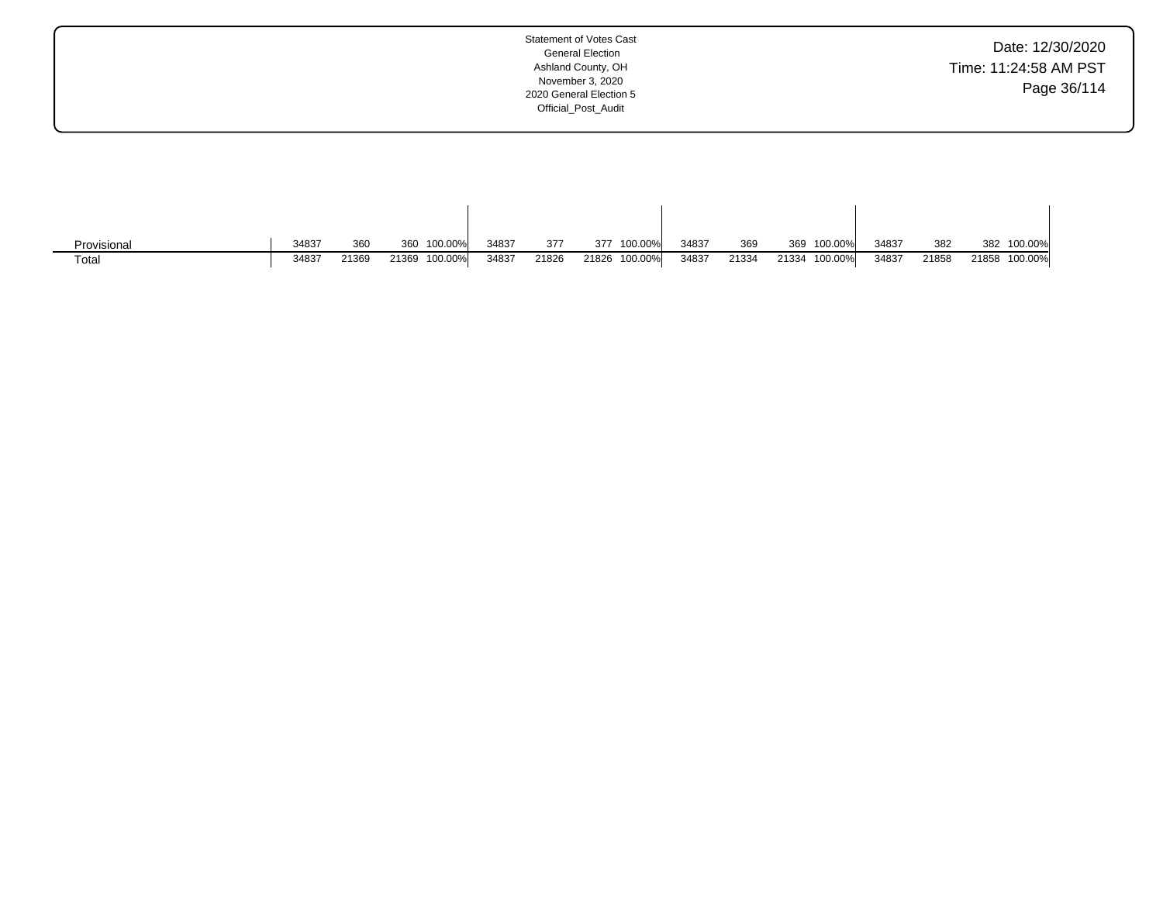| Date: 12/30/2020      |
|-----------------------|
| Time: 11:24:58 AM PST |
| Page 36/114           |

| Provisional | 34837 | 360   | 100.00%<br>360   | 34837 | 377   | 100.00%<br>377   | 34837 | 369   | 369   | 100.00% | 34837 | 382   | 382   | 100.00% |
|-------------|-------|-------|------------------|-------|-------|------------------|-------|-------|-------|---------|-------|-------|-------|---------|
| Total       | 34837 | 21369 | 100.00%<br>21369 | 34837 | 21826 | 100.00%<br>21826 | 34837 | 21334 | 21334 | 100.00% | 34837 | 21858 | 21858 | 100.00% |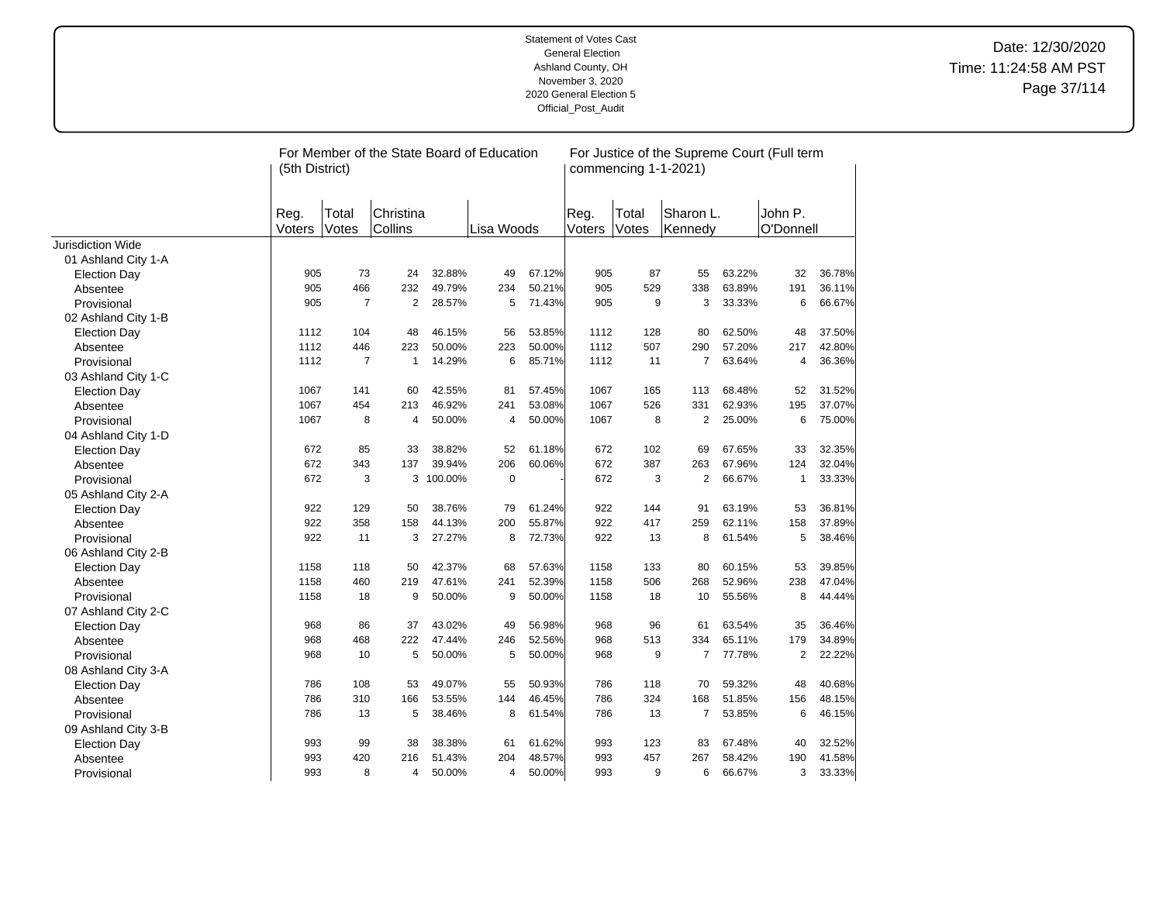|                          | (5th District) |                | For Member of the State Board of Education |           |            |        |                | commencing 1-1-2021) |                      |        | For Justice of the Supreme Court (Full term |        |
|--------------------------|----------------|----------------|--------------------------------------------|-----------|------------|--------|----------------|----------------------|----------------------|--------|---------------------------------------------|--------|
|                          | Reg.<br>Voters | Total<br>Votes | Christina<br>Collins                       |           | Lisa Woods |        | Reg.<br>Voters | Total<br>Votes       | Sharon L.<br>Kennedy |        | John P.<br>O'Donnell                        |        |
| <b>Jurisdiction Wide</b> |                |                |                                            |           |            |        |                |                      |                      |        |                                             |        |
| 01 Ashland City 1-A      |                |                |                                            |           |            |        |                |                      |                      |        |                                             |        |
| <b>Election Day</b>      | 905            | 73             | 24                                         | 32.88%    | 49         | 67.12% | 905            | 87                   | 55                   | 63.22% | 32                                          | 36.78% |
| Absentee                 | 905            | 466            | 232                                        | 49.79%    | 234        | 50.21% | 905            | 529                  | 338                  | 63.89% | 191                                         | 36.11% |
| Provisional              | 905            | $\overline{7}$ | 2                                          | 28.57%    | 5          | 71.43% | 905            | 9                    | 3                    | 33.33% | 6                                           | 66.67% |
| 02 Ashland City 1-B      |                |                |                                            |           |            |        |                |                      |                      |        |                                             |        |
| <b>Election Day</b>      | 1112           | 104            | 48                                         | 46.15%    | 56         | 53.85% | 1112           | 128                  | 80                   | 62.50% | 48                                          | 37.50% |
| Absentee                 | 1112           | 446            | 223                                        | 50.00%    | 223        | 50.00% | 1112           | 507                  | 290                  | 57.20% | 217                                         | 42.80% |
| Provisional              | 1112           | $\overline{7}$ | $\mathbf{1}$                               | 14.29%    | 6          | 85.71% | 1112           | 11                   | $\overline{7}$       | 63.64% | 4                                           | 36.36% |
| 03 Ashland City 1-C      |                |                |                                            |           |            |        |                |                      |                      |        |                                             |        |
| <b>Election Day</b>      | 1067           | 141            | 60                                         | 42.55%    | 81         | 57.45% | 1067           | 165                  | 113                  | 68.48% | 52                                          | 31.52% |
| Absentee                 | 1067           | 454            | 213                                        | 46.92%    | 241        | 53.08% | 1067           | 526                  | 331                  | 62.93% | 195                                         | 37.07% |
| Provisional              | 1067           | 8              | 4                                          | 50.00%    | 4          | 50.00% | 1067           | 8                    | 2                    | 25.00% | 6                                           | 75.00% |
| 04 Ashland City 1-D      |                |                |                                            |           |            |        |                |                      |                      |        |                                             |        |
| <b>Election Day</b>      | 672            | 85             | 33                                         | 38.82%    | 52         | 61.18% | 672            | 102                  | 69                   | 67.65% | 33                                          | 32.35% |
| Absentee                 | 672            | 343            | 137                                        | 39.94%    | 206        | 60.06% | 672            | 387                  | 263                  | 67.96% | 124                                         | 32.04% |
| Provisional              | 672            | 3              |                                            | 3 100.00% | $\pmb{0}$  |        | 672            | 3                    | $\overline{2}$       | 66.67% | 1                                           | 33.33% |
| 05 Ashland City 2-A      |                |                |                                            |           |            |        |                |                      |                      |        |                                             |        |
| <b>Election Day</b>      | 922            | 129            | 50                                         | 38.76%    | 79         | 61.24% | 922            | 144                  | 91                   | 63.19% | 53                                          | 36.81% |
| Absentee                 | 922            | 358            | 158                                        | 44.13%    | 200        | 55.87% | 922            | 417                  | 259                  | 62.11% | 158                                         | 37.89% |
| Provisional              | 922            | 11             | 3                                          | 27.27%    | 8          | 72.73% | 922            | 13                   | 8                    | 61.54% | 5                                           | 38.46% |
| 06 Ashland City 2-B      |                |                |                                            |           |            |        |                |                      |                      |        |                                             |        |
| <b>Election Day</b>      | 1158           | 118            | 50                                         | 42.37%    | 68         | 57.63% | 1158           | 133                  | 80                   | 60.15% | 53                                          | 39.85% |
| Absentee                 | 1158           | 460            | 219                                        | 47.61%    | 241        | 52.39% | 1158           | 506                  | 268                  | 52.96% | 238                                         | 47.04% |
| Provisional              | 1158           | 18             | 9                                          | 50.00%    | 9          | 50.00% | 1158           | 18                   | 10                   | 55.56% | 8                                           | 44.44% |
| 07 Ashland City 2-C      |                |                |                                            |           |            |        |                |                      |                      |        |                                             |        |
| <b>Election Day</b>      | 968            | 86             | 37                                         | 43.02%    | 49         | 56.98% | 968            | 96                   | 61                   | 63.54% | 35                                          | 36.46% |
| Absentee                 | 968            | 468            | 222                                        | 47.44%    | 246        | 52.56% | 968            | 513                  | 334                  | 65.11% | 179                                         | 34.89% |
| Provisional              | 968            | 10             | 5                                          | 50.00%    | 5          | 50.00% | 968            | 9                    | $\overline{7}$       | 77.78% | $\overline{2}$                              | 22.22% |
| 08 Ashland City 3-A      |                |                |                                            |           |            |        |                |                      |                      |        |                                             |        |
| <b>Election Day</b>      | 786            | 108            | 53                                         | 49.07%    | 55         | 50.93% | 786            | 118                  | 70                   | 59.32% | 48                                          | 40.68% |
| Absentee                 | 786            | 310            | 166                                        | 53.55%    | 144        | 46.45% | 786            | 324                  | 168                  | 51.85% | 156                                         | 48.15% |
| Provisional              | 786            | 13             | 5                                          | 38.46%    | 8          | 61.54% | 786            | 13                   | $\overline{7}$       | 53.85% | 6                                           | 46.15% |
| 09 Ashland City 3-B      |                |                |                                            |           |            |        |                |                      |                      |        |                                             |        |
| <b>Election Day</b>      | 993            | 99             | 38                                         | 38.38%    | 61         | 61.62% | 993            | 123                  | 83                   | 67.48% | 40                                          | 32.52% |
| Absentee                 | 993            | 420            | 216                                        | 51.43%    | 204        | 48.57% | 993            | 457                  | 267                  | 58.42% | 190                                         | 41.58% |
| Provisional              | 993            | 8              | $\overline{4}$                             | 50.00%    | 4          | 50.00% | 993            | 9                    | 6                    | 66.67% | 3                                           | 33.33% |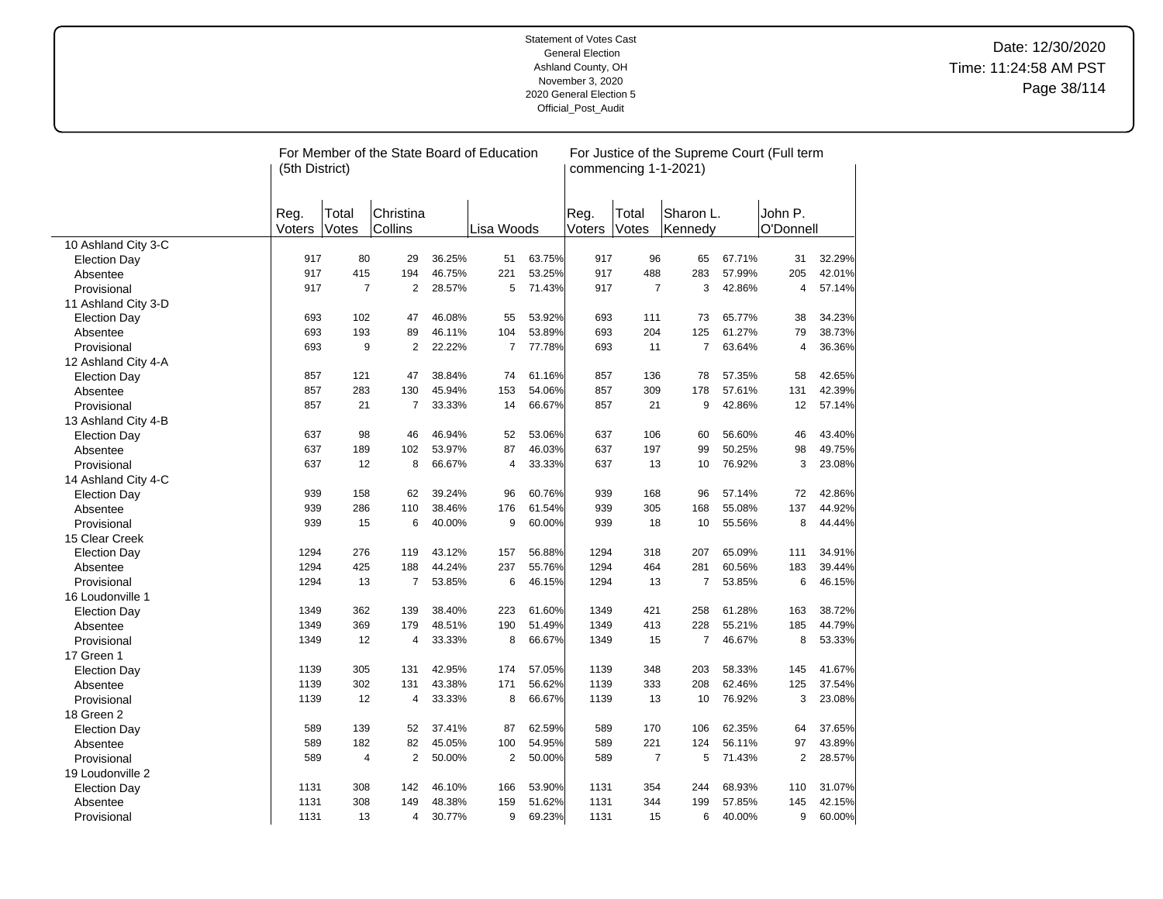|                     | For Member of the State Board of Education<br>For Justice of the Supreme Court (Full term<br>commencing 1-1-2021)<br>(5th District) |                |                      |        |                |        |                |                |                      |        |                      |        |
|---------------------|-------------------------------------------------------------------------------------------------------------------------------------|----------------|----------------------|--------|----------------|--------|----------------|----------------|----------------------|--------|----------------------|--------|
|                     | Reg.<br>Voters                                                                                                                      | Total<br>Votes | Christina<br>Collins |        | Lisa Woods     |        | Reg.<br>Voters | Total<br>Votes | Sharon L.<br>Kennedy |        | John P.<br>O'Donnell |        |
| 10 Ashland City 3-C |                                                                                                                                     |                |                      |        |                |        |                |                |                      |        |                      |        |
| <b>Election Day</b> | 917                                                                                                                                 | 80             | 29                   | 36.25% | 51             | 63.75% | 917            | 96             | 65                   | 67.71% | 31                   | 32.29% |
| Absentee            | 917                                                                                                                                 | 415            | 194                  | 46.75% | 221            | 53.25% | 917            | 488            | 283                  | 57.99% | 205                  | 42.01% |
| Provisional         | 917                                                                                                                                 | $\overline{7}$ | 2                    | 28.57% | 5              | 71.43% | 917            | $\overline{7}$ | 3                    | 42.86% | 4                    | 57.14% |
| 11 Ashland City 3-D |                                                                                                                                     |                |                      |        |                |        |                |                |                      |        |                      |        |
| <b>Election Day</b> | 693                                                                                                                                 | 102            | 47                   | 46.08% | 55             | 53.92% | 693            | 111            | 73                   | 65.77% | 38                   | 34.23% |
| Absentee            | 693                                                                                                                                 | 193            | 89                   | 46.11% | 104            | 53.89% | 693            | 204            | 125                  | 61.27% | 79                   | 38.73% |
| Provisional         | 693                                                                                                                                 | 9              | 2                    | 22.22% | $\overline{7}$ | 77.78% | 693            | 11             | $\overline{7}$       | 63.64% | 4                    | 36.36% |
| 12 Ashland City 4-A |                                                                                                                                     |                |                      |        |                |        |                |                |                      |        |                      |        |
| <b>Election Day</b> | 857                                                                                                                                 | 121            | 47                   | 38.84% | 74             | 61.16% | 857            | 136            | 78                   | 57.35% | 58                   | 42.65% |
| Absentee            | 857                                                                                                                                 | 283            | 130                  | 45.94% | 153            | 54.06% | 857            | 309            | 178                  | 57.61% | 131                  | 42.39% |
| Provisional         | 857                                                                                                                                 | 21             | $\overline{7}$       | 33.33% | 14             | 66.67% | 857            | 21             | 9                    | 42.86% | 12                   | 57.14% |
| 13 Ashland City 4-B |                                                                                                                                     |                |                      |        |                |        |                |                |                      |        |                      |        |
| <b>Election Day</b> | 637                                                                                                                                 | 98             | 46                   | 46.94% | 52             | 53.06% | 637            | 106            | 60                   | 56.60% | 46                   | 43.40% |
| Absentee            | 637                                                                                                                                 | 189            | 102                  | 53.97% | 87             | 46.03% | 637            | 197            | 99                   | 50.25% | 98                   | 49.75% |
| Provisional         | 637                                                                                                                                 | 12             | 8                    | 66.67% | $\overline{4}$ | 33.33% | 637            | 13             | 10                   | 76.92% | 3                    | 23.08% |
| 14 Ashland City 4-C |                                                                                                                                     |                |                      |        |                |        |                |                |                      |        |                      |        |
| <b>Election Day</b> | 939                                                                                                                                 | 158            | 62                   | 39.24% | 96             | 60.76% | 939            | 168            | 96                   | 57.14% | 72                   | 42.86% |
| Absentee            | 939                                                                                                                                 | 286            | 110                  | 38.46% | 176            | 61.54% | 939            | 305            | 168                  | 55.08% | 137                  | 44.92% |
| Provisional         | 939                                                                                                                                 | 15             | 6                    | 40.00% | 9              | 60.00% | 939            | 18             | 10                   | 55.56% | 8                    | 44.44% |
| 15 Clear Creek      |                                                                                                                                     |                |                      |        |                |        |                |                |                      |        |                      |        |
| <b>Election Day</b> | 1294                                                                                                                                | 276            | 119                  | 43.12% | 157            | 56.88% | 1294           | 318            | 207                  | 65.09% | 111                  | 34.91% |
| Absentee            | 1294                                                                                                                                | 425            | 188                  | 44.24% | 237            | 55.76% | 1294           | 464            | 281                  | 60.56% | 183                  | 39.44% |
| Provisional         | 1294                                                                                                                                | 13             | $\overline{7}$       | 53.85% | 6              | 46.15% | 1294           | 13             | $\overline{7}$       | 53.85% | 6                    | 46.15% |
| 16 Loudonville 1    |                                                                                                                                     |                |                      |        |                |        |                |                |                      |        |                      |        |
| <b>Election Day</b> | 1349                                                                                                                                | 362            | 139                  | 38.40% | 223            | 61.60% | 1349           | 421            | 258                  | 61.28% | 163                  | 38.72% |
| Absentee            | 1349                                                                                                                                | 369            | 179                  | 48.51% | 190            | 51.49% | 1349           | 413            | 228                  | 55.21% | 185                  | 44.79% |
| Provisional         | 1349                                                                                                                                | 12             | $\overline{4}$       | 33.33% | 8              | 66.67% | 1349           | 15             | $\overline{7}$       | 46.67% | 8                    | 53.33% |
| 17 Green 1          |                                                                                                                                     |                |                      |        |                |        |                |                |                      |        |                      |        |
| <b>Election Day</b> | 1139                                                                                                                                | 305            | 131                  | 42.95% | 174            | 57.05% | 1139           | 348            | 203                  | 58.33% | 145                  | 41.67% |
| Absentee            | 1139                                                                                                                                | 302            | 131                  | 43.38% | 171            | 56.62% | 1139           | 333            | 208                  | 62.46% | 125                  | 37.54% |
| Provisional         | 1139                                                                                                                                | 12             | $\overline{4}$       | 33.33% | 8              | 66.67% | 1139           | 13             | 10                   | 76.92% | 3                    | 23.08% |
| 18 Green 2          |                                                                                                                                     |                |                      |        |                |        |                |                |                      |        |                      |        |
| <b>Election Day</b> | 589                                                                                                                                 | 139            | 52                   | 37.41% | 87             | 62.59% | 589            | 170            | 106                  | 62.35% | 64                   | 37.65% |
| Absentee            | 589                                                                                                                                 | 182            | 82                   | 45.05% | 100            | 54.95% | 589            | 221            | 124                  | 56.11% | 97                   | 43.89% |
| Provisional         | 589                                                                                                                                 | $\overline{4}$ | $\overline{2}$       | 50.00% | $\overline{2}$ | 50.00% | 589            | $\overline{7}$ | 5                    | 71.43% | $\overline{2}$       | 28.57% |
| 19 Loudonville 2    |                                                                                                                                     |                |                      |        |                |        |                |                |                      |        |                      |        |
| <b>Election Day</b> | 1131                                                                                                                                | 308            | 142                  | 46.10% | 166            | 53.90% | 1131           | 354            | 244                  | 68.93% | 110                  | 31.07% |
| Absentee            | 1131                                                                                                                                | 308            | 149                  | 48.38% | 159            | 51.62% | 1131           | 344            | 199                  | 57.85% | 145                  | 42.15% |
| Provisional         | 1131                                                                                                                                | 13             | 4                    | 30.77% | 9              | 69.23% | 1131           | 15             | 6                    | 40.00% | 9                    | 60.00% |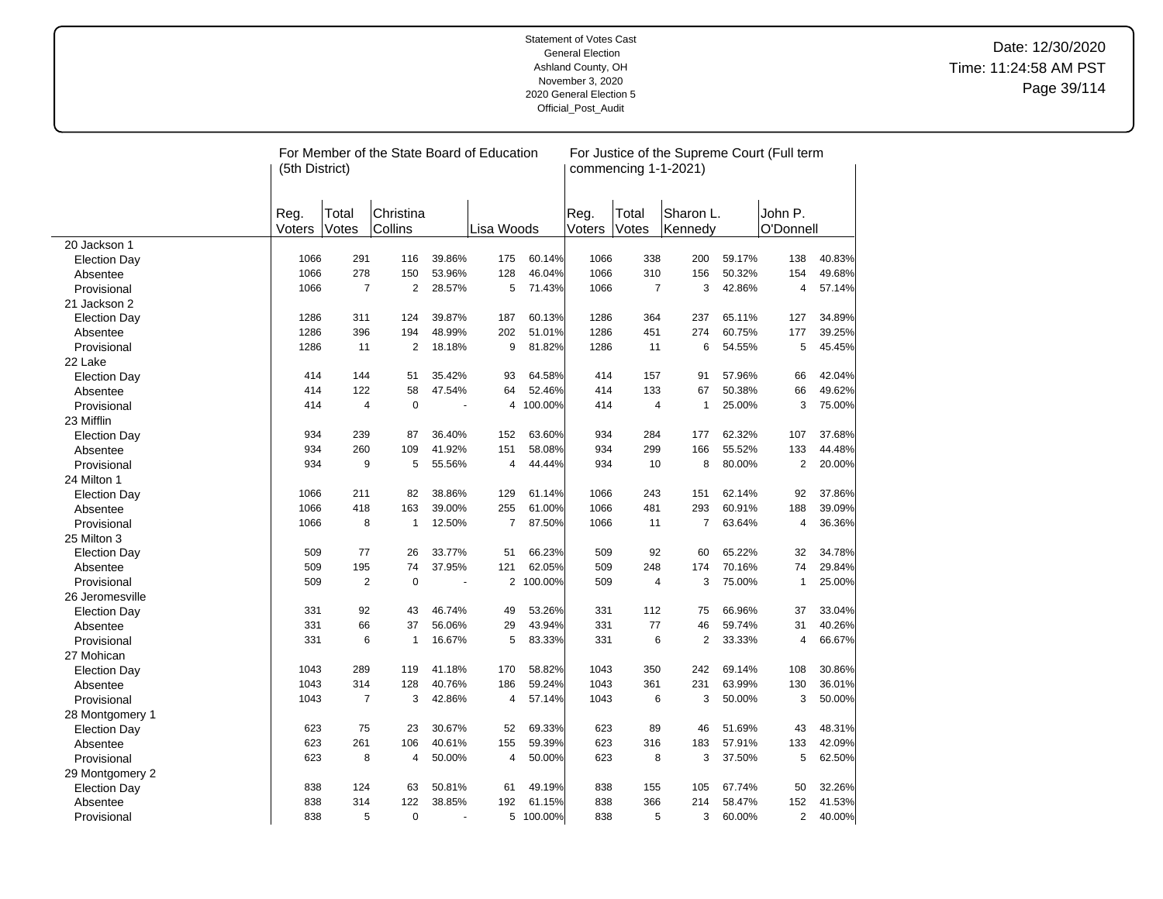|                     | For Member of the State Board of Education<br>For Justice of the Supreme Court (Full term<br>commencing 1-1-2021)<br>(5th District) |                |                      |        |                |           |                |                |                      |        |                      |        |
|---------------------|-------------------------------------------------------------------------------------------------------------------------------------|----------------|----------------------|--------|----------------|-----------|----------------|----------------|----------------------|--------|----------------------|--------|
|                     | Reg.<br>Voters                                                                                                                      | Total<br>Votes | Christina<br>Collins |        | Lisa Woods     |           | Reg.<br>Voters | Total<br>Votes | Sharon L.<br>Kennedy |        | John P.<br>O'Donnell |        |
| 20 Jackson 1        |                                                                                                                                     |                |                      |        |                |           |                |                |                      |        |                      |        |
| <b>Election Day</b> | 1066                                                                                                                                | 291            | 116                  | 39.86% | 175            | 60.14%    | 1066           | 338            | 200                  | 59.17% | 138                  | 40.83% |
| Absentee            | 1066                                                                                                                                | 278            | 150                  | 53.96% | 128            | 46.04%    | 1066           | 310            | 156                  | 50.32% | 154                  | 49.68% |
| Provisional         | 1066                                                                                                                                | $\overline{7}$ | $\overline{2}$       | 28.57% | 5              | 71.43%    | 1066           | $\overline{7}$ | 3                    | 42.86% | 4                    | 57.14% |
| 21 Jackson 2        |                                                                                                                                     |                |                      |        |                |           |                |                |                      |        |                      |        |
| <b>Election Day</b> | 1286                                                                                                                                | 311            | 124                  | 39.87% | 187            | 60.13%    | 1286           | 364            | 237                  | 65.11% | 127                  | 34.89% |
| Absentee            | 1286                                                                                                                                | 396            | 194                  | 48.99% | 202            | 51.01%    | 1286           | 451            | 274                  | 60.75% | 177                  | 39.25% |
| Provisional         | 1286                                                                                                                                | 11             | $\overline{2}$       | 18.18% | 9              | 81.82%    | 1286           | 11             | 6                    | 54.55% | 5                    | 45.45% |
| 22 Lake             |                                                                                                                                     |                |                      |        |                |           |                |                |                      |        |                      |        |
| <b>Election Day</b> | 414                                                                                                                                 | 144            | 51                   | 35.42% | 93             | 64.58%    | 414            | 157            | 91                   | 57.96% | 66                   | 42.04% |
| Absentee            | 414                                                                                                                                 | 122            | 58                   | 47.54% | 64             | 52.46%    | 414            | 133            | 67                   | 50.38% | 66                   | 49.62% |
| Provisional         | 414                                                                                                                                 | $\overline{4}$ | $\mathbf 0$          |        | 4              | 100.00%   | 414            | 4              | $\mathbf{1}$         | 25.00% | 3                    | 75.00% |
| 23 Mifflin          |                                                                                                                                     |                |                      |        |                |           |                |                |                      |        |                      |        |
| <b>Election Day</b> | 934                                                                                                                                 | 239            | 87                   | 36.40% | 152            | 63.60%    | 934            | 284            | 177                  | 62.32% | 107                  | 37.68% |
| Absentee            | 934                                                                                                                                 | 260            | 109                  | 41.92% | 151            | 58.08%    | 934            | 299            | 166                  | 55.52% | 133                  | 44.48% |
| Provisional         | 934                                                                                                                                 | 9              | 5                    | 55.56% | $\overline{4}$ | 44.44%    | 934            | 10             | 8                    | 80.00% | $\overline{2}$       | 20.00% |
| 24 Milton 1         |                                                                                                                                     |                |                      |        |                |           |                |                |                      |        |                      |        |
| <b>Election Day</b> | 1066                                                                                                                                | 211            | 82                   | 38.86% | 129            | 61.14%    | 1066           | 243            | 151                  | 62.14% | 92                   | 37.86% |
| Absentee            | 1066                                                                                                                                | 418            | 163                  | 39.00% | 255            | 61.00%    | 1066           | 481            | 293                  | 60.91% | 188                  | 39.09% |
| Provisional         | 1066                                                                                                                                | 8              | $\mathbf{1}$         | 12.50% | $\overline{7}$ | 87.50%    | 1066           | 11             | $\overline{7}$       | 63.64% | 4                    | 36.36% |
| 25 Milton 3         |                                                                                                                                     |                |                      |        |                |           |                |                |                      |        |                      |        |
| <b>Election Day</b> | 509                                                                                                                                 | 77             | 26                   | 33.77% | 51             | 66.23%    | 509            | 92             | 60                   | 65.22% | 32                   | 34.78% |
| Absentee            | 509                                                                                                                                 | 195            | 74                   | 37.95% | 121            | 62.05%    | 509            | 248            | 174                  | 70.16% | 74                   | 29.84% |
| Provisional         | 509                                                                                                                                 | $\overline{2}$ | $\mathbf 0$          |        | $\overline{2}$ | 100.00%   | 509            | $\overline{4}$ | 3                    | 75.00% | $\mathbf{1}$         | 25.00% |
| 26 Jeromesville     |                                                                                                                                     |                |                      |        |                |           |                |                |                      |        |                      |        |
| <b>Election Day</b> | 331                                                                                                                                 | 92             | 43                   | 46.74% | 49             | 53.26%    | 331            | 112            | 75                   | 66.96% | 37                   | 33.04% |
| Absentee            | 331                                                                                                                                 | 66             | 37                   | 56.06% | 29             | 43.94%    | 331            | 77             | 46                   | 59.74% | 31                   | 40.26% |
| Provisional         | 331                                                                                                                                 | 6              | $\mathbf{1}$         | 16.67% | 5              | 83.33%    | 331            | 6              | $\mathbf{2}$         | 33.33% | 4                    | 66.67% |
| 27 Mohican          |                                                                                                                                     |                |                      |        |                |           |                |                |                      |        |                      |        |
| <b>Election Day</b> | 1043                                                                                                                                | 289            | 119                  | 41.18% | 170            | 58.82%    | 1043           | 350            | 242                  | 69.14% | 108                  | 30.86% |
| Absentee            | 1043                                                                                                                                | 314            | 128                  | 40.76% | 186            | 59.24%    | 1043           | 361            | 231                  | 63.99% | 130                  | 36.01% |
| Provisional         | 1043                                                                                                                                | $\overline{7}$ | 3                    | 42.86% | $\overline{4}$ | 57.14%    | 1043           | 6              | 3                    | 50.00% | 3                    | 50.00% |
| 28 Montgomery 1     |                                                                                                                                     |                |                      |        |                |           |                |                |                      |        |                      |        |
| <b>Election Day</b> | 623                                                                                                                                 | 75             | 23                   | 30.67% | 52             | 69.33%    | 623            | 89             | 46                   | 51.69% | 43                   | 48.31% |
| Absentee            | 623                                                                                                                                 | 261            | 106                  | 40.61% | 155            | 59.39%    | 623            | 316            | 183                  | 57.91% | 133                  | 42.09% |
| Provisional         | 623                                                                                                                                 | 8              | 4                    | 50.00% | 4              | 50.00%    | 623            | 8              | 3                    | 37.50% | 5                    | 62.50% |
| 29 Montgomery 2     |                                                                                                                                     |                |                      |        |                |           |                |                |                      |        |                      |        |
| <b>Election Day</b> | 838                                                                                                                                 | 124            | 63                   | 50.81% | 61             | 49.19%    | 838            | 155            | 105                  | 67.74% | 50                   | 32.26% |
| Absentee            | 838                                                                                                                                 | 314            | 122                  | 38.85% | 192            | 61.15%    | 838            | 366            | 214                  | 58.47% | 152                  | 41.53% |
| Provisional         | 838                                                                                                                                 | 5              | $\Omega$             |        |                | 5 100.00% | 838            | 5              | 3                    | 60.00% | $\overline{2}$       | 40.00% |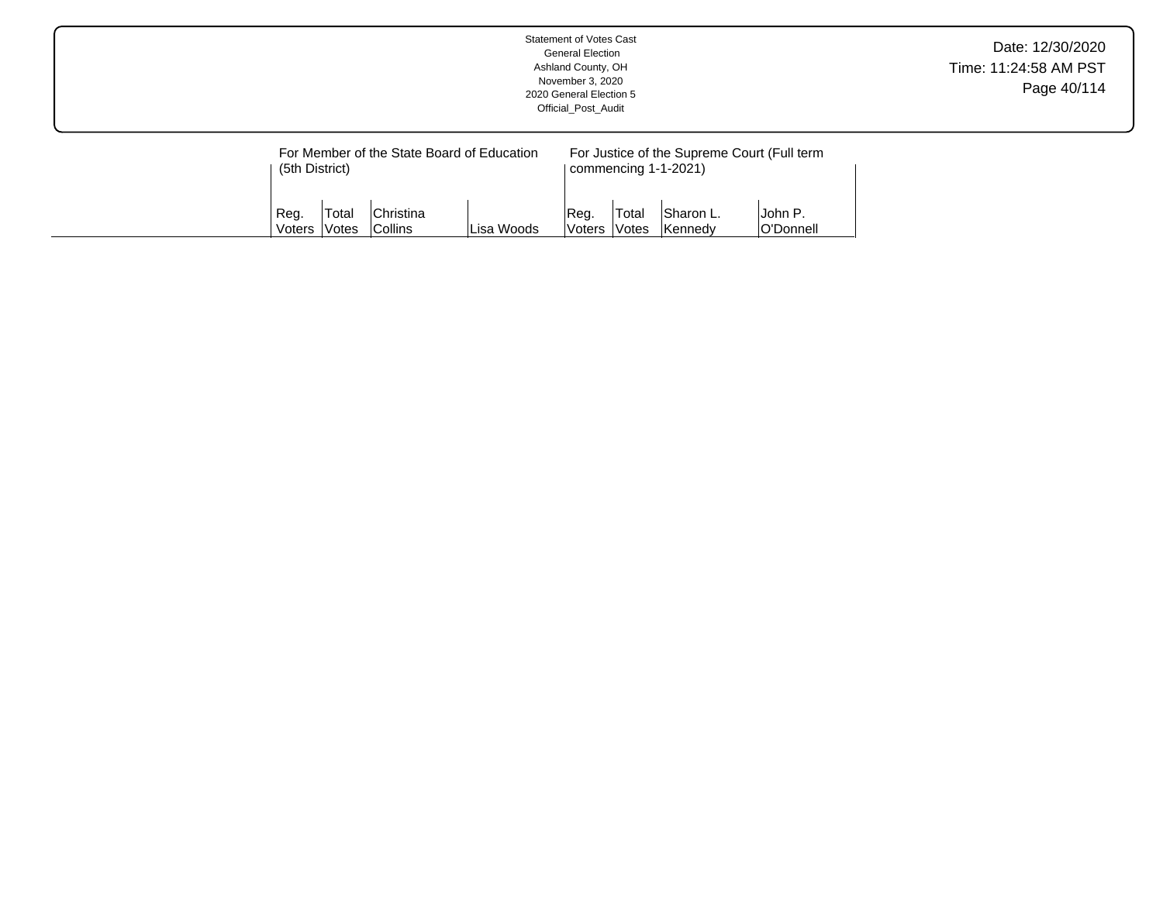|  |                        |              |                                                                |            | <b>Statement of Votes Cast</b><br><b>General Election</b><br>Ashland County, OH<br>November 3, 2020<br>2020 General Election 5<br>Official Post Audit |        |                                   |                                                        | Date: 12/30/2020<br>Time: 11:24:58 AM PST<br>Page 40/114 |
|--|------------------------|--------------|----------------------------------------------------------------|------------|-------------------------------------------------------------------------------------------------------------------------------------------------------|--------|-----------------------------------|--------------------------------------------------------|----------------------------------------------------------|
|  | (5th District)<br>Reg. | Total        | For Member of the State Board of Education<br><b>Christina</b> |            | Reg.                                                                                                                                                  | Total  | commencing 1-1-2021)<br>Sharon L. | For Justice of the Supreme Court (Full term<br>John P. |                                                          |
|  | Voters                 | <b>Votes</b> | <b>Collins</b>                                                 | Lisa Woods | <b>Voters</b>                                                                                                                                         | lVotes | Kennedy                           | O'Donnell                                              |                                                          |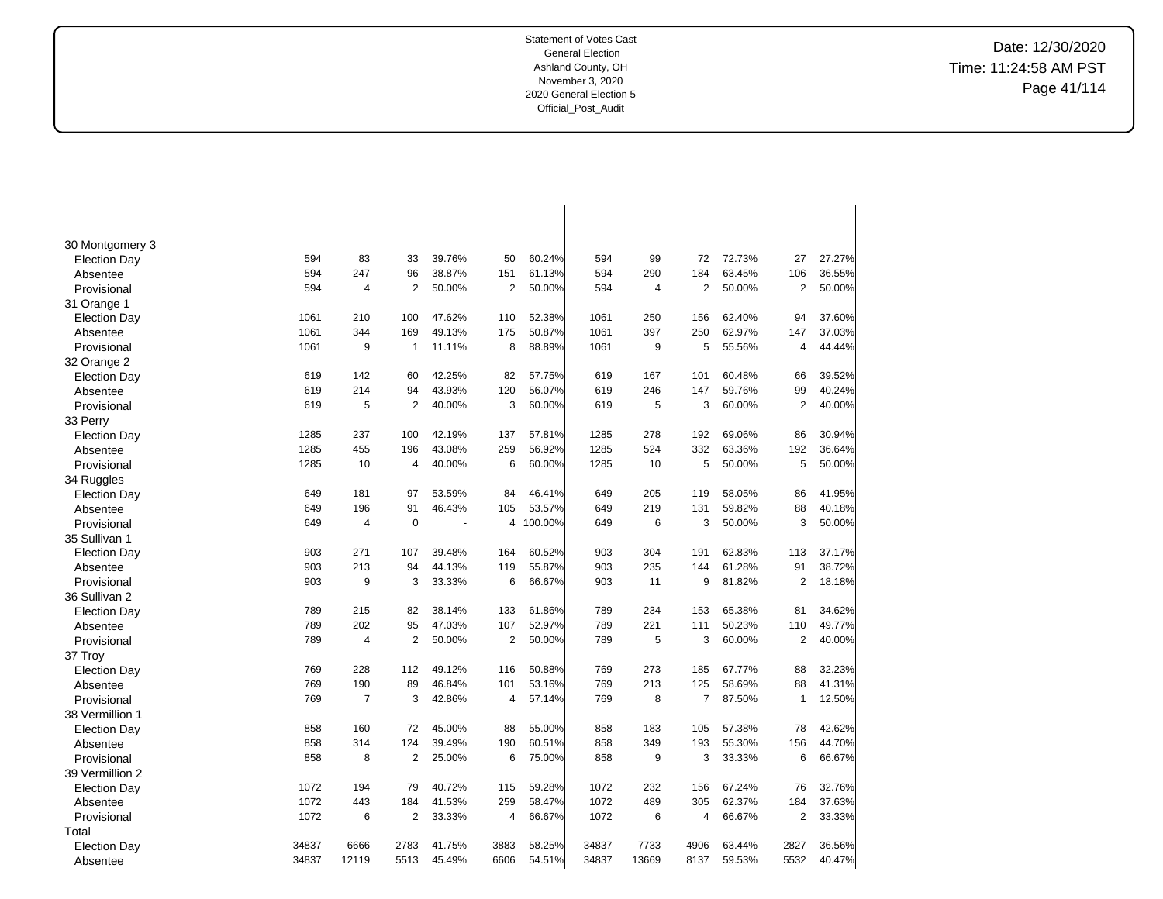Date: 12/30/2020 Time: 11:24:58 AM PST Page 41/114

| 30 Montgomery 3     | 594   | 83             | 33             | 39.76% | 50             | 60.24%  | 594   | 99    | 72             | 72.73% | 27             | 27.27% |
|---------------------|-------|----------------|----------------|--------|----------------|---------|-------|-------|----------------|--------|----------------|--------|
| <b>Election Day</b> | 594   | 247            | 96             | 38.87% |                | 61.13%  | 594   | 290   | 184            | 63.45% | 106            | 36.55% |
| Absentee            | 594   |                |                |        | 151            |         |       |       |                |        |                |        |
| Provisional         |       | 4              | $\overline{2}$ | 50.00% | $\overline{2}$ | 50.00%  | 594   | 4     | $\overline{2}$ | 50.00% | $\overline{2}$ | 50.00% |
| 31 Orange 1         |       |                |                |        |                |         |       |       |                |        |                |        |
| <b>Election Day</b> | 1061  | 210            | 100            | 47.62% | 110            | 52.38%  | 1061  | 250   | 156            | 62.40% | 94             | 37.60% |
| Absentee            | 1061  | 344            | 169            | 49.13% | 175            | 50.87%  | 1061  | 397   | 250            | 62.97% | 147            | 37.03% |
| Provisional         | 1061  | 9              | $\mathbf{1}$   | 11.11% | 8              | 88.89%  | 1061  | 9     | 5              | 55.56% | $\overline{4}$ | 44.44% |
| 32 Orange 2         |       |                |                |        |                |         |       |       |                |        |                |        |
| <b>Election Day</b> | 619   | 142            | 60             | 42.25% | 82             | 57.75%  | 619   | 167   | 101            | 60.48% | 66             | 39.52% |
| Absentee            | 619   | 214            | 94             | 43.93% | 120            | 56.07%  | 619   | 246   | 147            | 59.76% | 99             | 40.24% |
| Provisional         | 619   | 5              | $\overline{2}$ | 40.00% | 3              | 60.00%  | 619   | 5     | 3              | 60.00% | 2              | 40.00% |
| 33 Perry            |       |                |                |        |                |         |       |       |                |        |                |        |
| <b>Election Day</b> | 1285  | 237            | 100            | 42.19% | 137            | 57.81%  | 1285  | 278   | 192            | 69.06% | 86             | 30.94% |
| Absentee            | 1285  | 455            | 196            | 43.08% | 259            | 56.92%  | 1285  | 524   | 332            | 63.36% | 192            | 36.64% |
| Provisional         | 1285  | 10             | 4              | 40.00% | 6              | 60.00%  | 1285  | 10    | 5              | 50.00% | 5              | 50.00% |
| 34 Ruggles          |       |                |                |        |                |         |       |       |                |        |                |        |
| <b>Election Day</b> | 649   | 181            | 97             | 53.59% | 84             | 46.41%  | 649   | 205   | 119            | 58.05% | 86             | 41.95% |
| Absentee            | 649   | 196            | 91             | 46.43% | 105            | 53.57%  | 649   | 219   | 131            | 59.82% | 88             | 40.18% |
| Provisional         | 649   | $\overline{4}$ | $\mathbf 0$    |        | 4              | 100.00% | 649   | 6     | 3              | 50.00% | 3              | 50.00% |
| 35 Sullivan 1       |       |                |                |        |                |         |       |       |                |        |                |        |
| <b>Election Day</b> | 903   | 271            | 107            | 39.48% | 164            | 60.52%  | 903   | 304   | 191            | 62.83% | 113            | 37.17% |
| Absentee            | 903   | 213            | 94             | 44.13% | 119            | 55.87%  | 903   | 235   | 144            | 61.28% | 91             | 38.72% |
| Provisional         | 903   | 9              | 3              | 33.33% | 6              | 66.67%  | 903   | 11    | 9              | 81.82% | 2              | 18.18% |
| 36 Sullivan 2       |       |                |                |        |                |         |       |       |                |        |                |        |
| Election Day        | 789   | 215            | 82             | 38.14% | 133            | 61.86%  | 789   | 234   | 153            | 65.38% | 81             | 34.62% |
| Absentee            | 789   | 202            | 95             | 47.03% | 107            | 52.97%  | 789   | 221   | 111            | 50.23% | 110            | 49.77% |
| Provisional         | 789   | $\overline{4}$ | $\overline{2}$ | 50.00% | $\overline{2}$ | 50.00%  | 789   | 5     | 3              | 60.00% | $\overline{2}$ | 40.00% |
| 37 Troy             |       |                |                |        |                |         |       |       |                |        |                |        |
| <b>Election Day</b> | 769   | 228            | 112            | 49.12% | 116            | 50.88%  | 769   | 273   | 185            | 67.77% | 88             | 32.23% |
| Absentee            | 769   | 190            | 89             | 46.84% | 101            | 53.16%  | 769   | 213   | 125            | 58.69% | 88             | 41.31% |
| Provisional         | 769   | $\overline{7}$ | 3              | 42.86% | 4              | 57.14%  | 769   | 8     | 7              | 87.50% | 1              | 12.50% |
| 38 Vermillion 1     |       |                |                |        |                |         |       |       |                |        |                |        |
| <b>Election Day</b> | 858   | 160            | 72             | 45.00% | 88             | 55.00%  | 858   | 183   | 105            | 57.38% | 78             | 42.62% |
| Absentee            | 858   | 314            | 124            | 39.49% | 190            | 60.51%  | 858   | 349   | 193            | 55.30% | 156            | 44.70% |
| Provisional         | 858   | 8              | 2              | 25.00% | 6              | 75.00%  | 858   | 9     | 3              | 33.33% | 6              | 66.67% |
| 39 Vermillion 2     |       |                |                |        |                |         |       |       |                |        |                |        |
| <b>Election Day</b> | 1072  | 194            | 79             | 40.72% | 115            | 59.28%  | 1072  | 232   | 156            | 67.24% | 76             | 32.76% |
| Absentee            | 1072  | 443            | 184            | 41.53% | 259            | 58.47%  | 1072  | 489   | 305            | 62.37% | 184            | 37.63% |
| Provisional         | 1072  | 6              | $\overline{2}$ | 33.33% | 4              | 66.67%  | 1072  | 6     | $\overline{4}$ | 66.67% | $\overline{2}$ | 33.33% |
| Total               |       |                |                |        |                |         |       |       |                |        |                |        |
| <b>Election Day</b> | 34837 | 6666           | 2783           | 41.75% | 3883           | 58.25%  | 34837 | 7733  | 4906           | 63.44% | 2827           | 36.56% |
| Absentee            | 34837 | 12119          | 5513           | 45.49% | 6606           | 54.51%  | 34837 | 13669 | 8137           | 59.53% | 5532           | 40.47% |
|                     |       |                |                |        |                |         |       |       |                |        |                |        |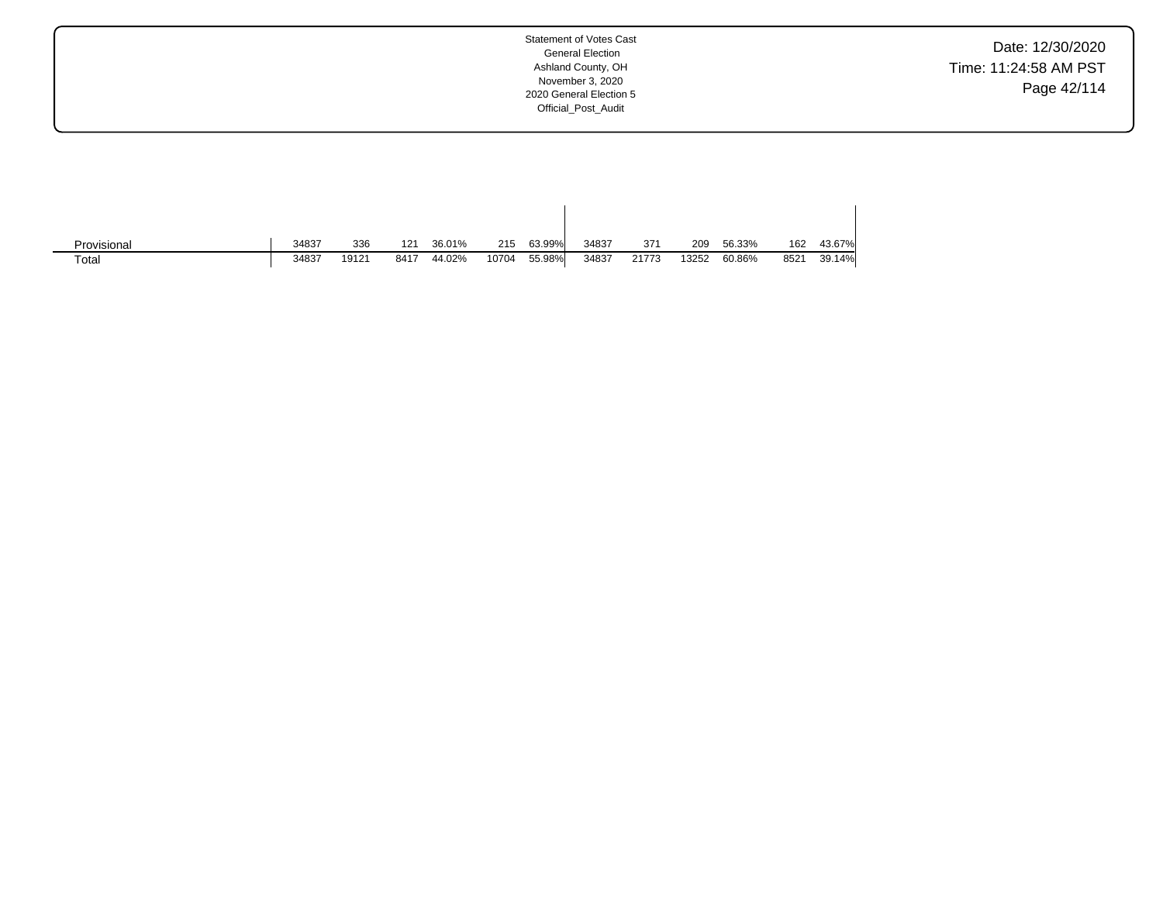Date: 12/30/2020 Time: 11:24:58 AM PST Page 42/114

| Provisional | 34837 | 336   | 121  | 36.01% | 215   | 63.99% | 34837 | 371   | 209   | 56.33% | 162  | 43.67% |
|-------------|-------|-------|------|--------|-------|--------|-------|-------|-------|--------|------|--------|
| Total       | 34837 | 19121 | 8417 | 44.02% | 10704 | 55.98% | 34837 | 21773 | 13252 | 60.86% | 8521 | 39.14% |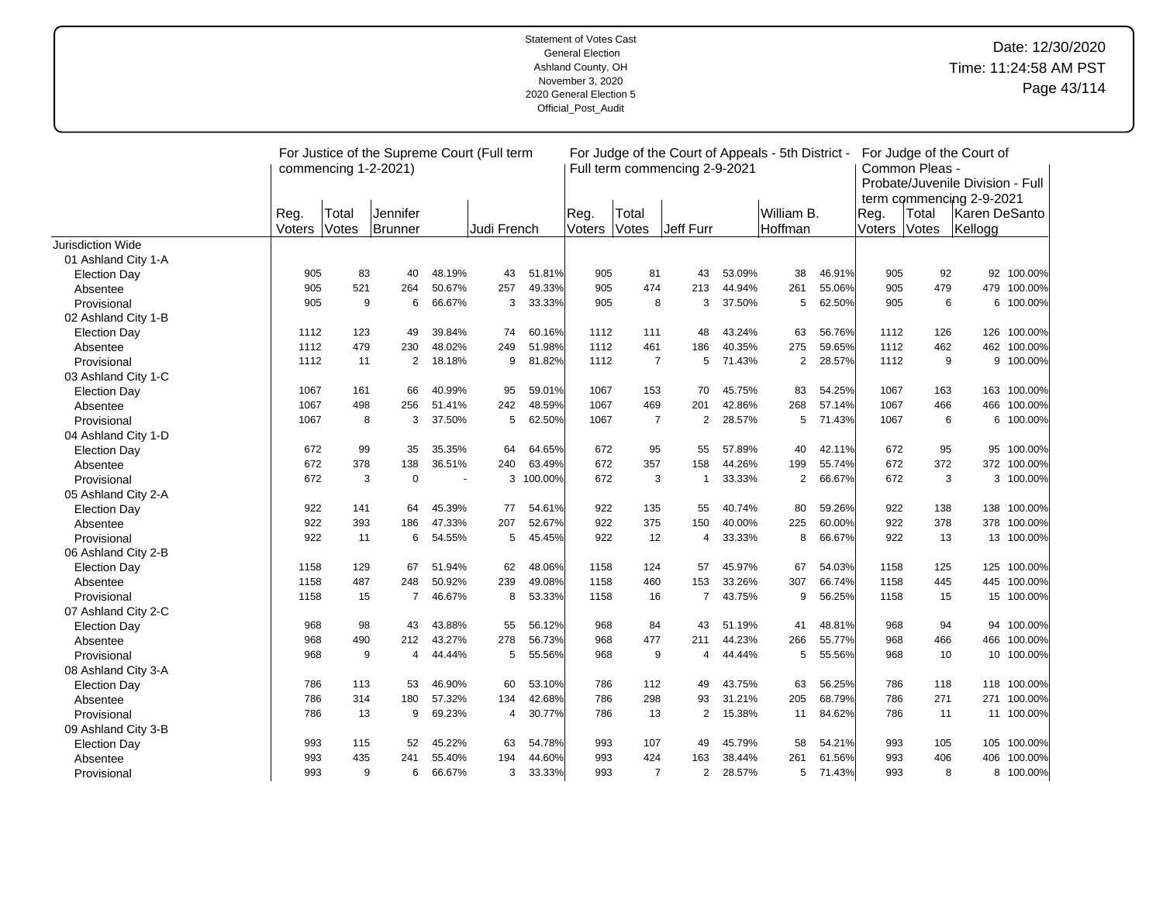|                     |                | commencing 1-2-2021) | For Justice of the Supreme Court (Full term |        |             |           |                |                | Full term commencing 2-9-2021 |        | For Judge of the Court of Appeals - 5th District - |        |                | Common Pleas - | For Judge of the Court of<br>Probate/Juvenile Division - Full |             |
|---------------------|----------------|----------------------|---------------------------------------------|--------|-------------|-----------|----------------|----------------|-------------------------------|--------|----------------------------------------------------|--------|----------------|----------------|---------------------------------------------------------------|-------------|
|                     | Reg.<br>Voters | Total<br>Votes       | Jennifer<br>Brunner                         |        | Judi French |           | Reg.<br>Voters | Total<br>Votes | <b>Jeff Furr</b>              |        | William B.<br>Hoffman                              |        | Reg.<br>Voters | Total<br>Votes | term commencing 2-9-2021<br>Karen DeSanto<br>Kellogg          |             |
| Jurisdiction Wide   |                |                      |                                             |        |             |           |                |                |                               |        |                                                    |        |                |                |                                                               |             |
| 01 Ashland City 1-A |                |                      |                                             |        |             |           |                |                |                               |        |                                                    |        |                |                |                                                               |             |
| <b>Election Day</b> | 905            | 83                   | 40                                          | 48.19% | 43          | 51.81%    | 905            | 81             | 43                            | 53.09% | 38                                                 | 46.91% | 905            | 92             |                                                               | 92 100.00%  |
| Absentee            | 905            | 521                  | 264                                         | 50.67% | 257         | 49.33%    | 905            | 474            | 213                           | 44.94% | 261                                                | 55.06% | 905            | 479            | 479                                                           | 100.00%     |
| Provisional         | 905            | 9                    | 6                                           | 66.67% | 3           | 33.33%    | 905            | 8              | 3                             | 37.50% | 5                                                  | 62.50% | 905            | 6              | 6                                                             | 100.00%     |
| 02 Ashland City 1-B |                |                      |                                             |        |             |           |                |                |                               |        |                                                    |        |                |                |                                                               |             |
| <b>Election Day</b> | 1112           | 123                  | 49                                          | 39.84% | 74          | 60.16%    | 1112           | 111            | 48                            | 43.24% | 63                                                 | 56.76% | 1112           | 126            | 126                                                           | 100.00%     |
| Absentee            | 1112           | 479                  | 230                                         | 48.02% | 249         | 51.98%    | 1112           | 461            | 186                           | 40.35% | 275                                                | 59.65% | 1112           | 462            | 462                                                           | 100.00%     |
| Provisional         | 1112           | 11                   | $\overline{2}$                              | 18.18% | 9           | 81.82%    | 1112           | $\overline{7}$ | 5                             | 71.43% | $\overline{2}$                                     | 28.57% | 1112           | 9              | 9                                                             | 100.00%     |
| 03 Ashland City 1-C |                |                      |                                             |        |             |           |                |                |                               |        |                                                    |        |                |                |                                                               |             |
| <b>Election Day</b> | 1067           | 161                  | 66                                          | 40.99% | 95          | 59.01%    | 1067           | 153            | 70                            | 45.75% | 83                                                 | 54.25% | 1067           | 163            | 163                                                           | 100.00%     |
| Absentee            | 1067           | 498                  | 256                                         | 51.41% | 242         | 48.59%    | 1067           | 469            | 201                           | 42.86% | 268                                                | 57.14% | 1067           | 466            | 466                                                           | 100.00%     |
| Provisional         | 1067           | 8                    | 3                                           | 37.50% | 5           | 62.50%    | 1067           | $\overline{7}$ | 2                             | 28.57% | 5                                                  | 71.43% | 1067           | 6              |                                                               | 6 100.00%   |
| 04 Ashland City 1-D |                |                      |                                             |        |             |           |                |                |                               |        |                                                    |        |                |                |                                                               |             |
| <b>Election Day</b> | 672            | 99                   | 35                                          | 35.35% | 64          | 64.65%    | 672            | 95             | 55                            | 57.89% | 40                                                 | 42.11% | 672            | 95             | 95                                                            | 100.00%     |
| Absentee            | 672            | 378                  | 138                                         | 36.51% | 240         | 63.49%    | 672            | 357            | 158                           | 44.26% | 199                                                | 55.74% | 672            | 372            | 372                                                           | 100.00%     |
| Provisional         | 672            | 3                    | $\mathbf 0$                                 |        |             | 3 100.00% | 672            | 3              | $\mathbf{1}$                  | 33.33% | $\overline{2}$                                     | 66.67% | 672            | 3              |                                                               | 3 100.00%   |
| 05 Ashland City 2-A |                |                      |                                             |        |             |           |                |                |                               |        |                                                    |        |                |                |                                                               |             |
| <b>Election Day</b> | 922            | 141                  | 64                                          | 45.39% | 77          | 54.61%    | 922            | 135            | 55                            | 40.74% | 80                                                 | 59.26% | 922            | 138            | 138                                                           | 100.00%     |
| Absentee            | 922            | 393                  | 186                                         | 47.33% | 207         | 52.67%    | 922            | 375            | 150                           | 40.00% | 225                                                | 60.00% | 922            | 378            | 378                                                           | 100.00%     |
| Provisional         | 922            | 11                   | 6                                           | 54.55% | 5           | 45.45%    | 922            | 12             | $\overline{4}$                | 33.33% | 8                                                  | 66.67% | 922            | 13             |                                                               | 13 100.00%  |
| 06 Ashland City 2-B |                |                      |                                             |        |             |           |                |                |                               |        |                                                    |        |                |                |                                                               |             |
| <b>Election Day</b> | 1158           | 129                  | 67                                          | 51.94% | 62          | 48.06%    | 1158           | 124            | 57                            | 45.97% | 67                                                 | 54.03% | 1158           | 125            | 125                                                           | 100.00%     |
| Absentee            | 1158           | 487                  | 248                                         | 50.92% | 239         | 49.08%    | 1158           | 460            | 153                           | 33.26% | 307                                                | 66.74% | 1158           | 445            | 445                                                           | 100.00%     |
| Provisional         | 1158           | 15                   | $\overline{7}$                              | 46.67% | 8           | 53.33%    | 1158           | 16             | $\overline{7}$                | 43.75% | 9                                                  | 56.25% | 1158           | 15             |                                                               | 15 100.00%  |
| 07 Ashland City 2-C |                |                      |                                             |        |             |           |                |                |                               |        |                                                    |        |                |                |                                                               |             |
| <b>Election Day</b> | 968            | 98                   | 43                                          | 43.88% | 55          | 56.12%    | 968            | 84             | 43                            | 51.19% | 41                                                 | 48.81% | 968            | 94             | 94                                                            | 100.00%     |
| Absentee            | 968            | 490                  | 212                                         | 43.27% | 278         | 56.73%    | 968            | 477            | 211                           | 44.23% | 266                                                | 55.77% | 968            | 466            | 466                                                           | 100.00%     |
| Provisional         | 968            | 9                    | 4                                           | 44.44% | 5           | 55.56%    | 968            | 9              | 4                             | 44.44% | 5                                                  | 55.56% | 968            | 10             | 10                                                            | 100.00%     |
| 08 Ashland City 3-A |                |                      |                                             |        |             |           |                |                |                               |        |                                                    |        |                |                |                                                               |             |
| <b>Election Day</b> | 786            | 113                  | 53                                          | 46.90% | 60          | 53.10%    | 786            | 112            | 49                            | 43.75% | 63                                                 | 56.25% | 786            | 118            |                                                               | 118 100.00% |
| Absentee            | 786            | 314                  | 180                                         | 57.32% | 134         | 42.68%    | 786            | 298            | 93                            | 31.21% | 205                                                | 68.79% | 786            | 271            | 271                                                           | 100.00%     |
| Provisional         | 786            | 13                   | 9                                           | 69.23% | 4           | 30.77%    | 786            | 13             | $\overline{2}$                | 15.38% | 11                                                 | 84.62% | 786            | 11             |                                                               | 11 100.00%  |
| 09 Ashland City 3-B |                |                      |                                             |        |             |           |                |                |                               |        |                                                    |        |                |                |                                                               |             |
| <b>Election Day</b> | 993            | 115                  | 52                                          | 45.22% | 63          | 54.78%    | 993            | 107            | 49                            | 45.79% | 58                                                 | 54.21% | 993            | 105            | 105                                                           | 100.00%     |
| Absentee            | 993            | 435                  | 241                                         | 55.40% | 194         | 44.60%    | 993            | 424            | 163                           | 38.44% | 261                                                | 61.56% | 993            | 406            | 406                                                           | 100.00%     |
| Provisional         | 993            | 9                    | 6                                           | 66.67% | 3           | 33.33%    | 993            | $\overline{7}$ | $\overline{2}$                | 28.57% | 5                                                  | 71.43% | 993            | 8              |                                                               | 8 100.00%   |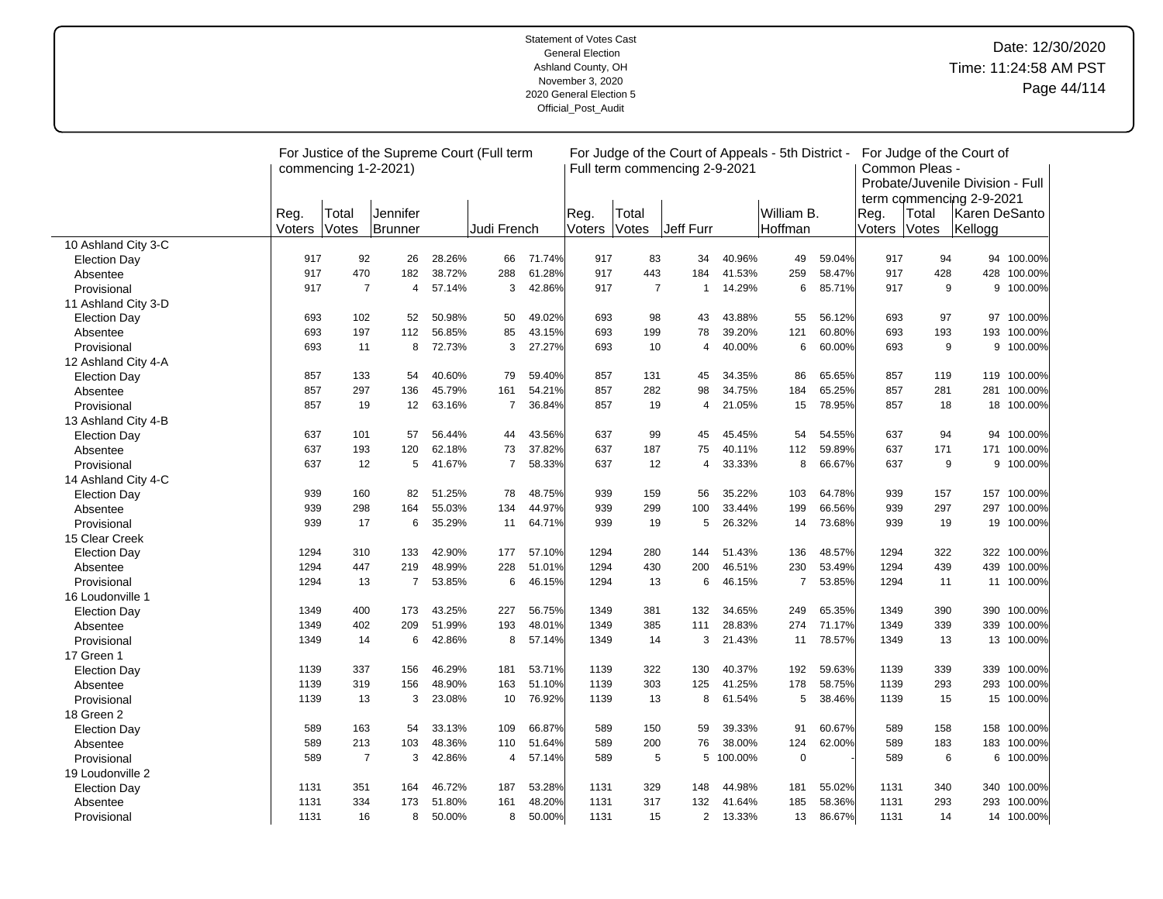|                     |                | commencing 1-2-2021) | For Justice of the Supreme Court (Full term |        |                |        |                |                | Full term commencing 2-9-2021 |         | For Judge of the Court of Appeals - 5th District - |        |                | Common Pleas - | For Judge of the Court of<br>Probate/Juvenile Division - Full<br>term commencing 2-9-2021 |             |
|---------------------|----------------|----------------------|---------------------------------------------|--------|----------------|--------|----------------|----------------|-------------------------------|---------|----------------------------------------------------|--------|----------------|----------------|-------------------------------------------------------------------------------------------|-------------|
|                     | Reg.<br>Voters | Total<br>Votes       | Jennifer<br>Brunner                         |        | Judi French    |        | Reg.<br>Voters | Total<br>Votes | Jeff Furr                     |         | William B.<br><b>Hoffman</b>                       |        | Reg.<br>Voters | Total<br>Votes | lKaren DeSanto<br>Kellogg                                                                 |             |
| 10 Ashland City 3-C |                |                      |                                             |        |                |        |                |                |                               |         |                                                    |        |                |                |                                                                                           |             |
| <b>Election Day</b> | 917            | 92                   | 26                                          | 28.26% | 66             | 71.74% | 917            | 83             | 34                            | 40.96%  | 49                                                 | 59.04% | 917            | 94             |                                                                                           | 94 100.00%  |
| Absentee            | 917            | 470                  | 182                                         | 38.72% | 288            | 61.28% | 917            | 443            | 184                           | 41.53%  | 259                                                | 58.47% | 917            | 428            | 428                                                                                       | 100.00%     |
| Provisional         | 917            | $\overline{7}$       | 4                                           | 57.14% | 3              | 42.86% | 917            | $\overline{7}$ | 1                             | 14.29%  | 6                                                  | 85.71% | 917            | 9              | 9                                                                                         | 100.00%     |
| 11 Ashland City 3-D |                |                      |                                             |        |                |        |                |                |                               |         |                                                    |        |                |                |                                                                                           |             |
| <b>Election Day</b> | 693            | 102                  | 52                                          | 50.98% | 50             | 49.02% | 693            | 98             | 43                            | 43.88%  | 55                                                 | 56.12% | 693            | 97             |                                                                                           | 97 100.00%  |
| Absentee            | 693            | 197                  | 112                                         | 56.85% | 85             | 43.15% | 693            | 199            | 78                            | 39.20%  | 121                                                | 60.80% | 693            | 193            | 193                                                                                       | 100.00%     |
| Provisional         | 693            | 11                   | 8                                           | 72.73% | 3              | 27.27% | 693            | 10             | $\overline{4}$                | 40.00%  | 6                                                  | 60.00% | 693            | 9              |                                                                                           | 9 100.00%   |
| 12 Ashland City 4-A |                |                      |                                             |        |                |        |                |                |                               |         |                                                    |        |                |                |                                                                                           |             |
| <b>Election Day</b> | 857            | 133                  | 54                                          | 40.60% | 79             | 59.40% | 857            | 131            | 45                            | 34.35%  | 86                                                 | 65.65% | 857            | 119            |                                                                                           | 119 100.00% |
| Absentee            | 857            | 297                  | 136                                         | 45.79% | 161            | 54.21% | 857            | 282            | 98                            | 34.75%  | 184                                                | 65.25% | 857            | 281            | 281                                                                                       | 100.00%     |
| Provisional         | 857            | 19                   | 12                                          | 63.16% | $\overline{7}$ | 36.84% | 857            | 19             | 4                             | 21.05%  | 15                                                 | 78.95% | 857            | 18             |                                                                                           | 18 100.00%  |
| 13 Ashland City 4-B |                |                      |                                             |        |                |        |                |                |                               |         |                                                    |        |                |                |                                                                                           |             |
| <b>Election Day</b> | 637            | 101                  | 57                                          | 56.44% | 44             | 43.56% | 637            | 99             | 45                            | 45.45%  | 54                                                 | 54.55% | 637            | 94             | 94                                                                                        | 100.00%     |
| Absentee            | 637            | 193                  | 120                                         | 62.18% | 73             | 37.82% | 637            | 187            | 75                            | 40.11%  | 112                                                | 59.89% | 637            | 171            | 171                                                                                       | 100.00%     |
| Provisional         | 637            | 12                   | 5                                           | 41.67% | $\overline{7}$ | 58.33% | 637            | 12             | 4                             | 33.33%  | 8                                                  | 66.67% | 637            | 9              |                                                                                           | 9 100.00%   |
| 14 Ashland City 4-C |                |                      |                                             |        |                |        |                |                |                               |         |                                                    |        |                |                |                                                                                           |             |
| <b>Election Day</b> | 939            | 160                  | 82                                          | 51.25% | 78             | 48.75% | 939            | 159            | 56                            | 35.22%  | 103                                                | 64.78% | 939            | 157            |                                                                                           | 157 100.00% |
| Absentee            | 939            | 298                  | 164                                         | 55.03% | 134            | 44.97% | 939            | 299            | 100                           | 33.44%  | 199                                                | 66.56% | 939            | 297            | 297                                                                                       | 100.00%     |
| Provisional         | 939            | 17                   | 6                                           | 35.29% | 11             | 64.71% | 939            | 19             | 5                             | 26.32%  | 14                                                 | 73.68% | 939            | 19             |                                                                                           | 19 100.00%  |
| 15 Clear Creek      |                |                      |                                             |        |                |        |                |                |                               |         |                                                    |        |                |                |                                                                                           |             |
| <b>Election Day</b> | 1294           | 310                  | 133                                         | 42.90% | 177            | 57.10% | 1294           | 280            | 144                           | 51.43%  | 136                                                | 48.57% | 1294           | 322            | 322                                                                                       | 100.00%     |
| Absentee            | 1294           | 447                  | 219                                         | 48.99% | 228            | 51.01% | 1294           | 430            | 200                           | 46.51%  | 230                                                | 53.49% | 1294           | 439            | 439                                                                                       | 100.00%     |
| Provisional         | 1294           | 13                   | $\overline{7}$                              | 53.85% | 6              | 46.15% | 1294           | 13             | 6                             | 46.15%  | $\overline{7}$                                     | 53.85% | 1294           | 11             | 11                                                                                        | 100.00%     |
| 16 Loudonville 1    |                |                      |                                             |        |                |        |                |                |                               |         |                                                    |        |                |                |                                                                                           |             |
| <b>Election Day</b> | 1349           | 400                  | 173                                         | 43.25% | 227            | 56.75% | 1349           | 381            | 132                           | 34.65%  | 249                                                | 65.35% | 1349           | 390            |                                                                                           | 390 100.00% |
| Absentee            | 1349           | 402                  | 209                                         | 51.99% | 193            | 48.01% | 1349           | 385            | 111                           | 28.83%  | 274                                                | 71.17% | 1349           | 339            | 339                                                                                       | 100.00%     |
| Provisional         | 1349           | 14                   | 6                                           | 42.86% | 8              | 57.14% | 1349           | 14             | 3                             | 21.43%  | 11                                                 | 78.57% | 1349           | 13             |                                                                                           | 13 100.00%  |
| 17 Green 1          |                |                      |                                             |        |                |        |                |                |                               |         |                                                    |        |                |                |                                                                                           |             |
| <b>Election Day</b> | 1139           | 337                  | 156                                         | 46.29% | 181            | 53.71% | 1139           | 322            | 130                           | 40.37%  | 192                                                | 59.63% | 1139           | 339            |                                                                                           | 339 100.00% |
| Absentee            | 1139           | 319                  | 156                                         | 48.90% | 163            | 51.10% | 1139           | 303            | 125                           | 41.25%  | 178                                                | 58.75% | 1139           | 293            | 293                                                                                       | 100.00%     |
| Provisional         | 1139           | 13                   | 3                                           | 23.08% | 10             | 76.92% | 1139           | 13             | 8                             | 61.54%  | 5                                                  | 38.46% | 1139           | 15             |                                                                                           | 15 100.00%  |
| 18 Green 2          |                |                      |                                             |        |                |        |                |                |                               |         |                                                    |        |                |                |                                                                                           |             |
| <b>Election Day</b> | 589            | 163                  | 54                                          | 33.13% | 109            | 66.87% | 589            | 150            | 59                            | 39.33%  | 91                                                 | 60.67% | 589            | 158            | 158                                                                                       | 100.00%     |
| Absentee            | 589            | 213                  | 103                                         | 48.36% | 110            | 51.64% | 589            | 200            | 76                            | 38.00%  | 124                                                | 62.00% | 589            | 183            | 183                                                                                       | 100.00%     |
| Provisional         | 589            | $\overline{7}$       | 3                                           | 42.86% | 4              | 57.14% | 589            | 5              | 5                             | 100.00% | $\mathbf 0$                                        |        | 589            | 6              |                                                                                           | 6 100.00%   |
| 19 Loudonville 2    |                |                      |                                             |        |                |        |                |                |                               |         |                                                    |        |                |                |                                                                                           |             |
| <b>Election Day</b> | 1131           | 351                  | 164                                         | 46.72% | 187            | 53.28% | 1131           | 329            | 148                           | 44.98%  | 181                                                | 55.02% | 1131           | 340            |                                                                                           | 340 100.00% |
| Absentee            | 1131           | 334                  | 173                                         | 51.80% | 161            | 48.20% | 1131           | 317            | 132                           | 41.64%  | 185                                                | 58.36% | 1131           | 293            | 293                                                                                       | 100.00%     |
| Provisional         | 1131           | 16                   | 8                                           | 50.00% | 8              | 50.00% | 1131           | 15             | $\overline{2}$                | 13.33%  | 13                                                 | 86.67% | 1131           | 14             |                                                                                           | 14 100.00%  |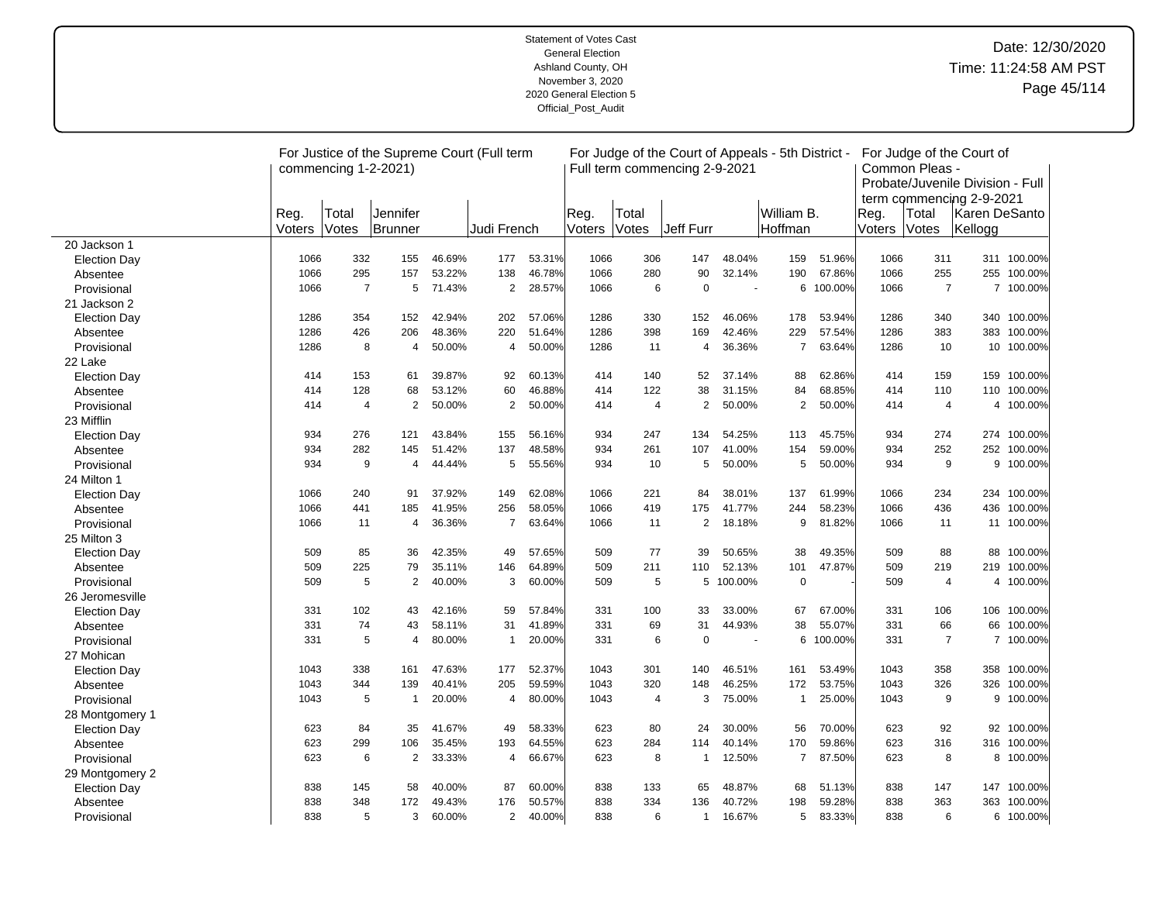|                     |        | commencing 1-2-2021) | For Justice of the Supreme Court (Full term |        |                |        |        |       | For Judge of the Court of Appeals - 5th District -<br>Full term commencing 2-9-2021 |         |                |         |        | Common Pleas - | For Judge of the Court of<br>Probate/Juvenile Division - Full |             |
|---------------------|--------|----------------------|---------------------------------------------|--------|----------------|--------|--------|-------|-------------------------------------------------------------------------------------|---------|----------------|---------|--------|----------------|---------------------------------------------------------------|-------------|
|                     | Reg.   | Total                | Jennifer                                    |        |                |        | Reg.   | Total |                                                                                     |         | William B.     |         | Reg.   | Total          | term commencing 2-9-2021<br>Karen DeSanto                     |             |
|                     | Voters | Votes                | Brunner                                     |        | Judi French    |        | Voters | Votes | Jeff Furr                                                                           |         | Hoffman        |         | Voters | Votes          | Kellogg                                                       |             |
| 20 Jackson 1        |        |                      |                                             |        |                |        |        |       |                                                                                     |         |                |         |        |                |                                                               |             |
| <b>Election Day</b> | 1066   | 332                  | 155                                         | 46.69% | 177            | 53.31% | 1066   | 306   | 147                                                                                 | 48.04%  | 159            | 51.96%  | 1066   | 311            |                                                               | 311 100.00% |
| Absentee            | 1066   | 295                  | 157                                         | 53.22% | 138            | 46.78% | 1066   | 280   | 90                                                                                  | 32.14%  | 190            | 67.86%  | 1066   | 255            |                                                               | 255 100.00% |
| Provisional         | 1066   | $\overline{7}$       | 5                                           | 71.43% | $\overline{2}$ | 28.57% | 1066   | 6     | $\mathbf 0$                                                                         |         | 6              | 100.00% | 1066   | $\overline{7}$ |                                                               | 7 100.00%   |
| 21 Jackson 2        |        |                      |                                             |        |                |        |        |       |                                                                                     |         |                |         |        |                |                                                               |             |
| <b>Election Day</b> | 1286   | 354                  | 152                                         | 42.94% | 202            | 57.06% | 1286   | 330   | 152                                                                                 | 46.06%  | 178            | 53.94%  | 1286   | 340            |                                                               | 340 100.00% |
| Absentee            | 1286   | 426                  | 206                                         | 48.36% | 220            | 51.64% | 1286   | 398   | 169                                                                                 | 42.46%  | 229            | 57.54%  | 1286   | 383            | 383                                                           | 100.00%     |
| Provisional         | 1286   | 8                    | 4                                           | 50.00% | 4              | 50.00% | 1286   | 11    | 4                                                                                   | 36.36%  | $\overline{7}$ | 63.64%  | 1286   | 10             |                                                               | 10 100.00%  |
| 22 Lake             |        |                      |                                             |        |                |        |        |       |                                                                                     |         |                |         |        |                |                                                               |             |
| <b>Election Day</b> | 414    | 153                  | 61                                          | 39.87% | 92             | 60.13% | 414    | 140   | 52                                                                                  | 37.14%  | 88             | 62.86%  | 414    | 159            | 159                                                           | 100.00%     |
| Absentee            | 414    | 128                  | 68                                          | 53.12% | 60             | 46.88% | 414    | 122   | 38                                                                                  | 31.15%  | 84             | 68.85%  | 414    | 110            | 110                                                           | 100.00%     |
| Provisional         | 414    | $\overline{4}$       | $\overline{2}$                              | 50.00% | $\overline{2}$ | 50.00% | 414    | 4     | 2                                                                                   | 50.00%  | 2              | 50.00%  | 414    | 4              | 4                                                             | 100.00%     |
| 23 Mifflin          |        |                      |                                             |        |                |        |        |       |                                                                                     |         |                |         |        |                |                                                               |             |
| <b>Election Day</b> | 934    | 276                  | 121                                         | 43.84% | 155            | 56.16% | 934    | 247   | 134                                                                                 | 54.25%  | 113            | 45.75%  | 934    | 274            |                                                               | 274 100.00% |
| Absentee            | 934    | 282                  | 145                                         | 51.42% | 137            | 48.58% | 934    | 261   | 107                                                                                 | 41.00%  | 154            | 59.00%  | 934    | 252            | 252                                                           | 100.00%     |
| Provisional         | 934    | 9                    | 4                                           | 44.44% | 5              | 55.56% | 934    | 10    | 5                                                                                   | 50.00%  | 5              | 50.00%  | 934    | 9              |                                                               | 9 100.00%   |
| 24 Milton 1         |        |                      |                                             |        |                |        |        |       |                                                                                     |         |                |         |        |                |                                                               |             |
| <b>Election Day</b> | 1066   | 240                  | 91                                          | 37.92% | 149            | 62.08% | 1066   | 221   | 84                                                                                  | 38.01%  | 137            | 61.99%  | 1066   | 234            |                                                               | 234 100.00% |
| Absentee            | 1066   | 441                  | 185                                         | 41.95% | 256            | 58.05% | 1066   | 419   | 175                                                                                 | 41.77%  | 244            | 58.23%  | 1066   | 436            | 436                                                           | 100.00%     |
| Provisional         | 1066   | 11                   | $\overline{4}$                              | 36.36% | $\overline{7}$ | 63.64% | 1066   | 11    | $\overline{2}$                                                                      | 18.18%  | 9              | 81.82%  | 1066   | 11             |                                                               | 11 100.00%  |
| 25 Milton 3         |        |                      |                                             |        |                |        |        |       |                                                                                     |         |                |         |        |                |                                                               |             |
| <b>Election Day</b> | 509    | 85                   | 36                                          | 42.35% | 49             | 57.65% | 509    | 77    | 39                                                                                  | 50.65%  | 38             | 49.35%  | 509    | 88             | 88                                                            | 100.00%     |
| Absentee            | 509    | 225                  | 79                                          | 35.11% | 146            | 64.89% | 509    | 211   | 110                                                                                 | 52.13%  | 101            | 47.87%  | 509    | 219            | 219                                                           | 100.00%     |
| Provisional         | 509    | 5                    | $\overline{2}$                              | 40.00% | 3              | 60.00% | 509    | 5     | 5                                                                                   | 100.00% | $\mathbf 0$    |         | 509    | 4              | 4                                                             | 100.00%     |
| 26 Jeromesville     |        |                      |                                             |        |                |        |        |       |                                                                                     |         |                |         |        |                |                                                               |             |
| <b>Election Day</b> | 331    | 102                  | 43                                          | 42.16% | 59             | 57.84% | 331    | 100   | 33                                                                                  | 33.00%  | 67             | 67.00%  | 331    | 106            |                                                               | 106 100.00% |
| Absentee            | 331    | 74                   | 43                                          | 58.11% | 31             | 41.89% | 331    | 69    | 31                                                                                  | 44.93%  | 38             | 55.07%  | 331    | 66             | 66                                                            | 100.00%     |
| Provisional         | 331    | 5                    | $\overline{4}$                              | 80.00% | $\mathbf{1}$   | 20.00% | 331    | 6     | $\mathbf 0$                                                                         | ÷.      | 6              | 100.00% | 331    | $\overline{7}$ |                                                               | 7 100.00%   |
| 27 Mohican          |        |                      |                                             |        |                |        |        |       |                                                                                     |         |                |         |        |                |                                                               |             |
| <b>Election Day</b> | 1043   | 338                  | 161                                         | 47.63% | 177            | 52.37% | 1043   | 301   | 140                                                                                 | 46.51%  | 161            | 53.49%  | 1043   | 358            |                                                               | 358 100.00% |
| Absentee            | 1043   | 344                  | 139                                         | 40.41% | 205            | 59.59% | 1043   | 320   | 148                                                                                 | 46.25%  | 172            | 53.75%  | 1043   | 326            | 326                                                           | 100.00%     |
| Provisional         | 1043   | 5                    | 1                                           | 20.00% | 4              | 80.00% | 1043   | 4     | 3                                                                                   | 75.00%  | $\overline{1}$ | 25.00%  | 1043   | 9              | 9                                                             | 100.00%     |
| 28 Montgomery 1     |        |                      |                                             |        |                |        |        |       |                                                                                     |         |                |         |        |                |                                                               |             |
| <b>Election Day</b> | 623    | 84                   | 35                                          | 41.67% | 49             | 58.33% | 623    | 80    | 24                                                                                  | 30.00%  | 56             | 70.00%  | 623    | 92             | 92                                                            | 100.00%     |
| Absentee            | 623    | 299                  | 106                                         | 35.45% | 193            | 64.55% | 623    | 284   | 114                                                                                 | 40.14%  | 170            | 59.86%  | 623    | 316            | 316                                                           | 100.00%     |
| Provisional         | 623    | 6                    | $\overline{2}$                              | 33.33% | $\overline{4}$ | 66.67% | 623    | 8     | $\mathbf{1}$                                                                        | 12.50%  | $\overline{7}$ | 87.50%  | 623    | 8              |                                                               | 8 100.00%   |
| 29 Montgomery 2     |        |                      |                                             |        |                |        |        |       |                                                                                     |         |                |         |        |                |                                                               |             |
| <b>Election Day</b> | 838    | 145                  | 58                                          | 40.00% | 87             | 60.00% | 838    | 133   | 65                                                                                  | 48.87%  | 68             | 51.13%  | 838    | 147            |                                                               | 147 100.00% |
| Absentee            | 838    | 348                  | 172                                         | 49.43% | 176            | 50.57% | 838    | 334   | 136                                                                                 | 40.72%  | 198            | 59.28%  | 838    | 363            | 363                                                           | 100.00%     |
| Provisional         | 838    | 5                    | 3                                           | 60.00% | $\overline{2}$ | 40.00% | 838    | 6     | $\mathbf{1}$                                                                        | 16.67%  | 5              | 83.33%  | 838    | 6              |                                                               | 6 100.00%   |

 $\overline{a}$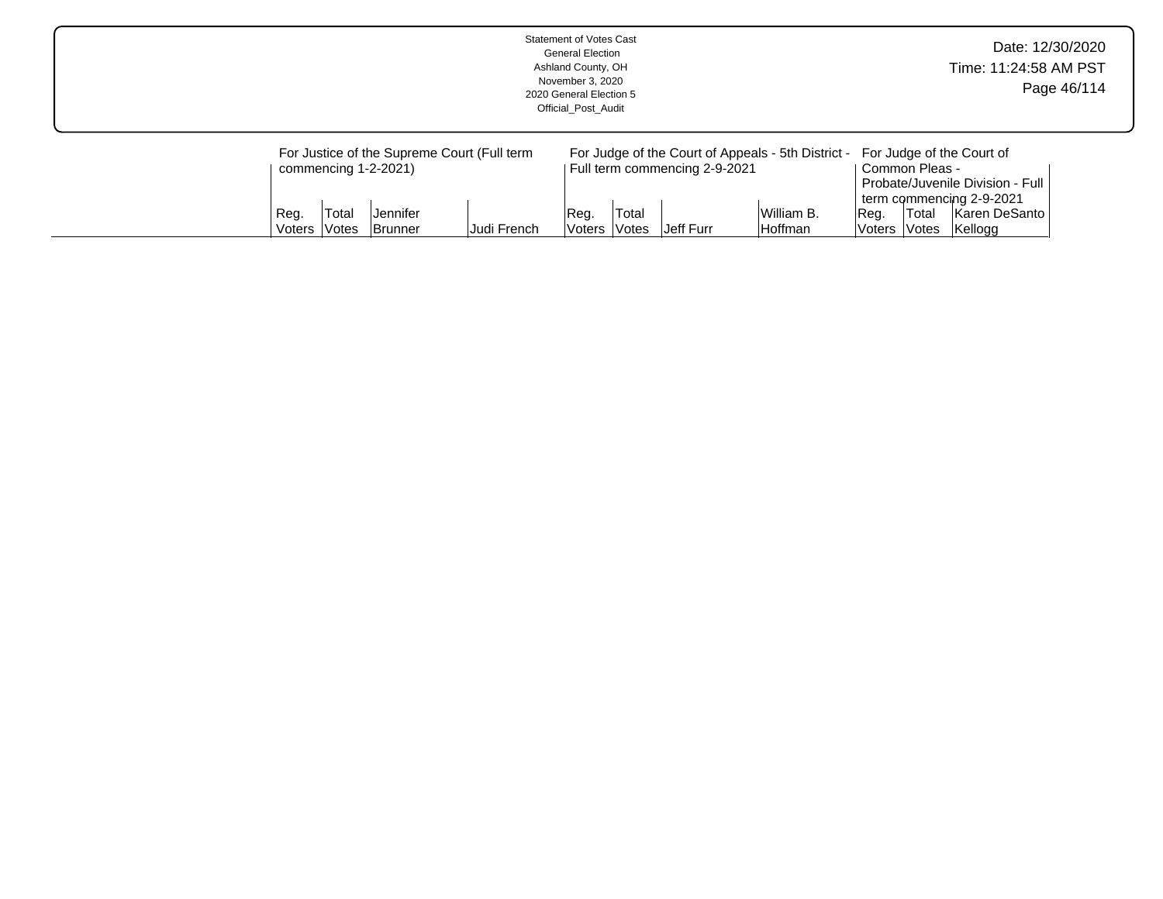|                |                              |                                                     |                                                            | <b>Statement of Votes Cast</b><br><b>General Election</b><br>Ashland County, OH<br>November 3, 2020<br>2020 General Election 5<br>Official Post Audit |                                           |                                            |                                                                             |                |                                                 | Time: 11:24:58 AM PST                                                                                                  | Date: 12/30/2020<br>Page 46/114 |
|----------------|------------------------------|-----------------------------------------------------|------------------------------------------------------------|-------------------------------------------------------------------------------------------------------------------------------------------------------|-------------------------------------------|--------------------------------------------|-----------------------------------------------------------------------------|----------------|-------------------------------------------------|------------------------------------------------------------------------------------------------------------------------|---------------------------------|
| Reg.<br>Voters | Total<br><i><b>Notes</b></i> | commencing 1-2-2021)<br>lJennifer<br><b>Brunner</b> | For Justice of the Supreme Court (Full term<br>Judi French | Reg.<br>lVoters l                                                                                                                                     | <sup>'</sup> Total<br><i><b>Notes</b></i> | Full term commencing 2-9-2021<br>Jeff Furr | For Judge of the Court of Appeals - 5th District -<br>William B.<br>Hoffman | Reg.<br>Voters | Common Pleas -<br>∣Total<br><i><b>Notes</b></i> | For Judge of the Court of<br>Probate/Juvenile Division - Full<br>term commencing 2-9-2021<br>Karen DeSanto<br> Kellogg |                                 |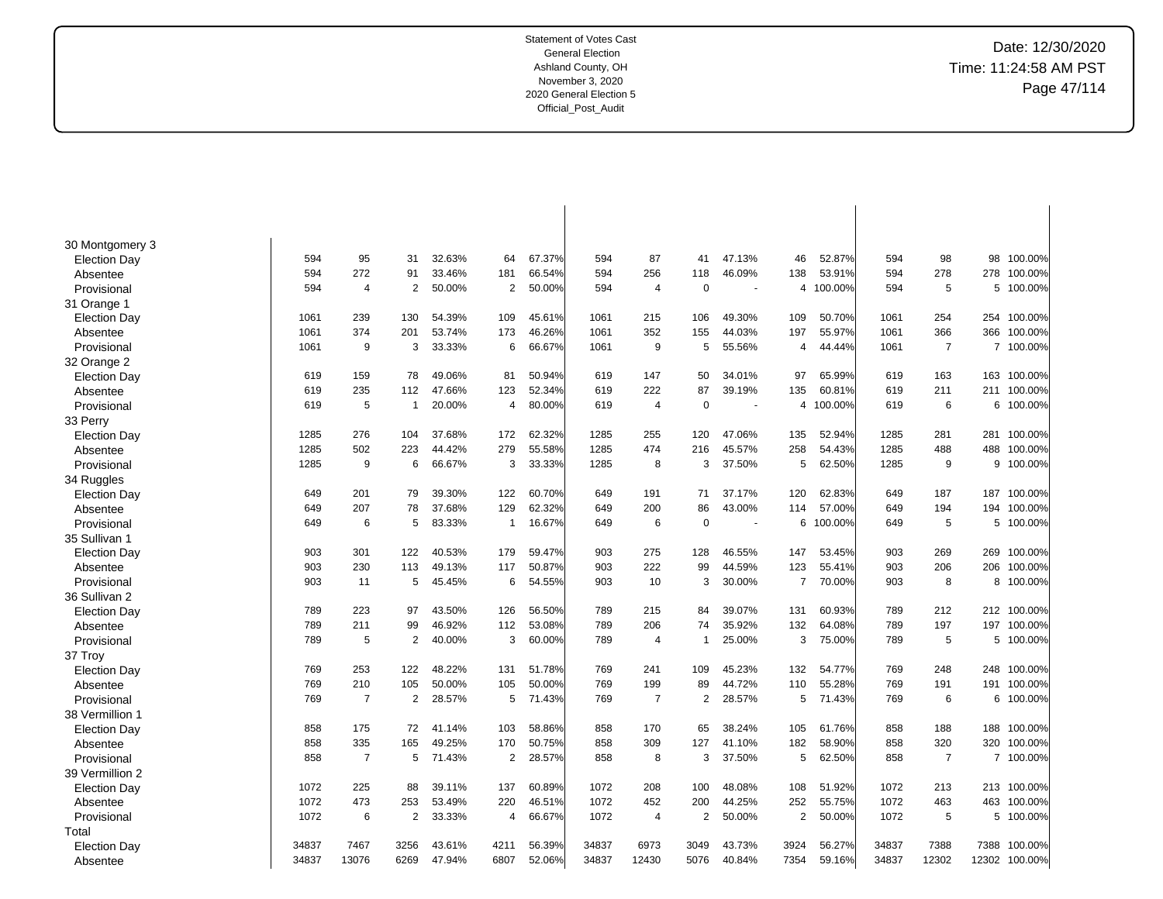| 30 Montgomery 3     |       |                |                |        |                |        |       |                |                |        |                |         |       |                |                |           |
|---------------------|-------|----------------|----------------|--------|----------------|--------|-------|----------------|----------------|--------|----------------|---------|-------|----------------|----------------|-----------|
| <b>Election Day</b> | 594   | 95             | 31             | 32.63% | 64             | 67.37% | 594   | 87             | 41             | 47.13% | 46             | 52.87%  | 594   | 98             | 98             | 100.00%   |
| Absentee            | 594   | 272            | 91             | 33.46% | 181            | 66.54% | 594   | 256            | 118            | 46.09% | 138            | 53.91%  | 594   | 278            | 278            | 100.00%   |
| Provisional         | 594   | 4              | $\overline{2}$ | 50.00% | 2              | 50.00% | 594   | $\overline{4}$ | $\mathbf 0$    |        | 4              | 100.00% | 594   | 5              | 5              | 100.00%   |
| 31 Orange 1         |       |                |                |        |                |        |       |                |                |        |                |         |       |                |                |           |
| <b>Election Day</b> | 1061  | 239            | 130            | 54.39% | 109            | 45.61% | 1061  | 215            | 106            | 49.30% | 109            | 50.70%  | 1061  | 254            | 254            | 100.00%   |
| Absentee            | 1061  | 374            | 201            | 53.74% | 173            | 46.26% | 1061  | 352            | 155            | 44.03% | 197            | 55.97%  | 1061  | 366            | 366            | 100.00%   |
| Provisional         | 1061  | 9              | 3              | 33.33% | 6              | 66.67% | 1061  | 9              | 5              | 55.56% | 4              | 44.44%  | 1061  | $\overline{7}$ |                | 7 100.00% |
| 32 Orange 2         |       |                |                |        |                |        |       |                |                |        |                |         |       |                |                |           |
| <b>Election Day</b> | 619   | 159            | 78             | 49.06% | 81             | 50.94% | 619   | 147            | 50             | 34.01% | 97             | 65.99%  | 619   | 163            | 163            | 100.00%   |
| Absentee            | 619   | 235            | 112            | 47.66% | 123            | 52.34% | 619   | 222            | 87             | 39.19% | 135            | 60.81%  | 619   | 211            | 211            | 100.00%   |
| Provisional         | 619   | 5              | $\mathbf{1}$   | 20.00% | $\overline{4}$ | 80.00% | 619   | $\overline{4}$ | $\mathbf 0$    | ÷.     | 4              | 100.00% | 619   | 6              | 6              | 100.00%   |
| 33 Perry            |       |                |                |        |                |        |       |                |                |        |                |         |       |                |                |           |
| <b>Election Day</b> | 1285  | 276            | 104            | 37.68% | 172            | 62.32% | 1285  | 255            | 120            | 47.06% | 135            | 52.94%  | 1285  | 281            | 281            | 100.00%   |
| Absentee            | 1285  | 502            | 223            | 44.42% | 279            | 55.58% | 1285  | 474            | 216            | 45.57% | 258            | 54.43%  | 1285  | 488            | 488            | 100.00%   |
| Provisional         | 1285  | 9              | 6              | 66.67% | 3              | 33.33% | 1285  | 8              | 3              | 37.50% | 5              | 62.50%  | 1285  | 9              | 9              | 100.00%   |
| 34 Ruggles          |       |                |                |        |                |        |       |                |                |        |                |         |       |                |                |           |
| <b>Election Day</b> | 649   | 201            | 79             | 39.30% | 122            | 60.70% | 649   | 191            | 71             | 37.17% | 120            | 62.83%  | 649   | 187            | 187            | 100.00%   |
| Absentee            | 649   | 207            | 78             | 37.68% | 129            | 62.32% | 649   | 200            | 86             | 43.00% | 114            | 57.00%  | 649   | 194            | 194            | 100.00%   |
| Provisional         | 649   | 6              | 5              | 83.33% | -1             | 16.67% | 649   | 6              | 0              |        | 6              | 100.00% | 649   | 5              | 5              | 100.00%   |
| 35 Sullivan 1       |       |                |                |        |                |        |       |                |                |        |                |         |       |                |                |           |
| <b>Election Day</b> | 903   | 301            | 122            | 40.53% | 179            | 59.47% | 903   | 275            | 128            | 46.55% | 147            | 53.45%  | 903   | 269            | 269            | 100.00%   |
| Absentee            | 903   | 230            | 113            | 49.13% | 117            | 50.87% | 903   | 222            | 99             | 44.59% | 123            | 55.41%  | 903   | 206            | 206            | 100.00%   |
| Provisional         | 903   | 11             | 5              | 45.45% | 6              | 54.55% | 903   | 10             | 3              | 30.00% | $\overline{7}$ | 70.00%  | 903   | 8              | 8              | 100.00%   |
| 36 Sullivan 2       |       |                |                |        |                |        |       |                |                |        |                |         |       |                |                |           |
| <b>Election Day</b> | 789   | 223            | 97             | 43.50% | 126            | 56.50% | 789   | 215            | 84             | 39.07% | 131            | 60.93%  | 789   | 212            | 212            | 100.00%   |
| Absentee            | 789   | 211            | 99             | 46.92% | 112            | 53.08% | 789   | 206            | 74             | 35.92% | 132            | 64.08%  | 789   | 197            | 197            | 100.00%   |
| Provisional         | 789   | 5              | 2              | 40.00% | 3              | 60.00% | 789   | $\overline{4}$ | $\overline{1}$ | 25.00% | 3              | 75.00%  | 789   | 5              | 5              | 100.00%   |
| 37 Troy             |       |                |                |        |                |        |       |                |                |        |                |         |       |                |                |           |
| <b>Election Day</b> | 769   | 253            | 122            | 48.22% | 131            | 51.78% | 769   | 241            | 109            | 45.23% | 132            | 54.77%  | 769   | 248            | 248            | 100.00%   |
| Absentee            | 769   | 210            | 105            | 50.00% | 105            | 50.00% | 769   | 199            | 89             | 44.72% | 110            | 55.28%  | 769   | 191            | 191            | 100.00%   |
| Provisional         | 769   | $\overline{7}$ | 2              | 28.57% | 5              | 71.43% | 769   | $\overline{7}$ | 2              | 28.57% | 5              | 71.43%  | 769   | 6              | 6              | 100.00%   |
| 38 Vermillion 1     |       |                |                |        |                |        |       |                |                |        |                |         |       |                |                |           |
| <b>Election Day</b> | 858   | 175            | 72             | 41.14% | 103            | 58.86% | 858   | 170            | 65             | 38.24% | 105            | 61.76%  | 858   | 188            | 188            | 100.00%   |
| Absentee            | 858   | 335            | 165            | 49.25% | 170            | 50.75% | 858   | 309            | 127            | 41.10% | 182            | 58.90%  | 858   | 320            | 320            | 100.00%   |
| Provisional         | 858   | $\overline{7}$ | 5              | 71.43% | $\overline{2}$ | 28.57% | 858   | 8              | 3              | 37.50% | 5              | 62.50%  | 858   | $\overline{7}$ | $\overline{7}$ | 100.00%   |
| 39 Vermillion 2     |       |                |                |        |                |        |       |                |                |        |                |         |       |                |                |           |
| Election Day        | 1072  | 225            | 88             | 39.11% | 137            | 60.89% | 1072  | 208            | 100            | 48.08% | 108            | 51.92%  | 1072  | 213            | 213            | 100.00%   |
| Absentee            | 1072  | 473            | 253            | 53.49% | 220            | 46.51% | 1072  | 452            | 200            | 44.25% | 252            | 55.75%  | 1072  | 463            | 463            | 100.00%   |
| Provisional         | 1072  | 6              | $\overline{2}$ | 33.33% | $\overline{4}$ | 66.67% | 1072  | $\overline{4}$ | 2              | 50.00% | $\overline{2}$ | 50.00%  | 1072  | 5              | 5              | 100.00%   |
| Total               |       |                |                |        |                |        |       |                |                |        |                |         |       |                |                |           |
| Election Day        | 34837 | 7467           | 3256           | 43.61% | 4211           | 56.39% | 34837 | 6973           | 3049           | 43.73% | 3924           | 56.27%  | 34837 | 7388           | 7388           | 100.00%   |
| Absentee            | 34837 | 13076          | 6269           | 47.94% | 6807           | 52.06% | 34837 | 12430          | 5076           | 40.84% | 7354           | 59.16%  | 34837 | 12302          | 12302          | 100.00%   |
|                     |       |                |                |        |                |        |       |                |                |        |                |         |       |                |                |           |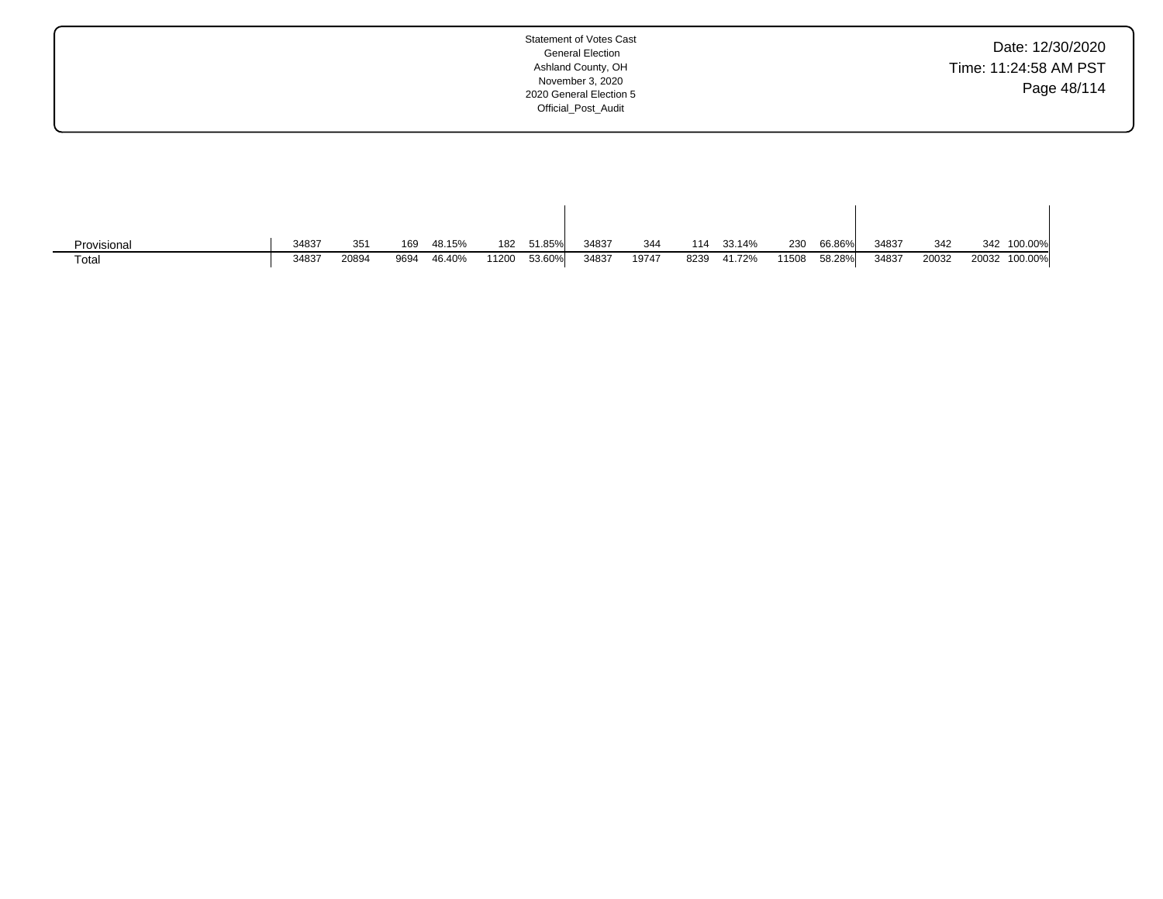| Date: 12/30/2020      |
|-----------------------|
| Time: 11:24:58 AM PST |
| Page 48/114           |

| Provisional       | 34837 | 351   | 169  | 48.15% | 182   | 51.85% | 34837 | 344   | 114  | 33.14% | 230   | 66.86% | 34837 | 342   | 342   | 100.00% |
|-------------------|-------|-------|------|--------|-------|--------|-------|-------|------|--------|-------|--------|-------|-------|-------|---------|
| Tota <sub>i</sub> | 34837 | 20894 | 9694 | 46.40% | 11200 | 53.60% | 34837 | 19747 | 8239 | 41.72% | 11508 | 58.28% | 34837 | 20032 | 20032 | 100.00% |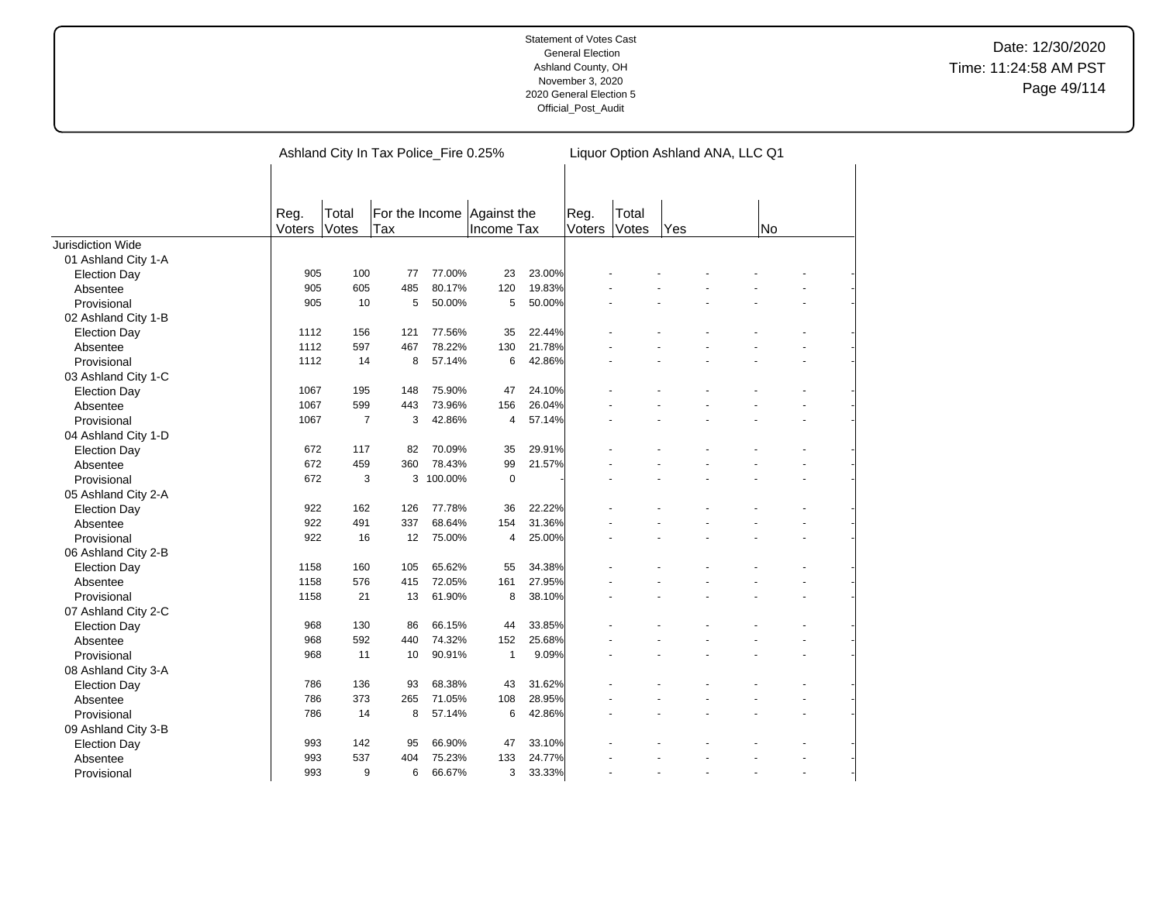|                     |                |                | Ashland City In Tax Police_Fire 0.25% |           |                                          | Liquor Option Ashland ANA, LLC Q1 |                |                |     |  |    |  |  |
|---------------------|----------------|----------------|---------------------------------------|-----------|------------------------------------------|-----------------------------------|----------------|----------------|-----|--|----|--|--|
|                     |                |                |                                       |           |                                          |                                   |                |                |     |  |    |  |  |
|                     | Reg.<br>Voters | Total<br>Votes | Tax                                   |           | For the Income Against the<br>Income Tax |                                   | Reg.<br>Voters | Total<br>Votes | Yes |  | No |  |  |
| Jurisdiction Wide   |                |                |                                       |           |                                          |                                   |                |                |     |  |    |  |  |
| 01 Ashland City 1-A |                |                |                                       |           |                                          |                                   |                |                |     |  |    |  |  |
| <b>Election Day</b> | 905            | 100            | 77                                    | 77.00%    | 23                                       | 23.00%                            |                |                |     |  |    |  |  |
| Absentee            | 905            | 605            | 485                                   | 80.17%    | 120                                      | 19.83%                            |                |                |     |  |    |  |  |
| Provisional         | 905            | 10             | 5                                     | 50.00%    | 5                                        | 50.00%                            |                |                |     |  |    |  |  |
| 02 Ashland City 1-B |                |                |                                       |           |                                          |                                   |                |                |     |  |    |  |  |
| <b>Election Day</b> | 1112           | 156            | 121                                   | 77.56%    | 35                                       | 22.44%                            |                |                |     |  |    |  |  |
| Absentee            | 1112           | 597            | 467                                   | 78.22%    | 130                                      | 21.78%                            |                |                |     |  |    |  |  |
| Provisional         | 1112           | 14             | 8                                     | 57.14%    | 6                                        | 42.86%                            |                |                |     |  |    |  |  |
| 03 Ashland City 1-C |                |                |                                       |           |                                          |                                   |                |                |     |  |    |  |  |
| <b>Election Day</b> | 1067           | 195            | 148                                   | 75.90%    | 47                                       | 24.10%                            |                |                |     |  |    |  |  |
| Absentee            | 1067           | 599            | 443                                   | 73.96%    | 156                                      | 26.04%                            |                |                |     |  |    |  |  |
| Provisional         | 1067           | $\overline{7}$ | 3                                     | 42.86%    | 4                                        | 57.14%                            |                |                |     |  |    |  |  |
| 04 Ashland City 1-D |                |                |                                       |           |                                          |                                   |                |                |     |  |    |  |  |
| <b>Election Day</b> | 672            | 117            | 82                                    | 70.09%    | 35                                       | 29.91%                            |                |                |     |  |    |  |  |
| Absentee            | 672            | 459            | 360                                   | 78.43%    | 99                                       | 21.57%                            |                |                |     |  |    |  |  |
| Provisional         | 672            | 3              |                                       | 3 100.00% | $\mathbf 0$                              |                                   |                |                |     |  |    |  |  |
| 05 Ashland City 2-A |                |                |                                       |           |                                          |                                   |                |                |     |  |    |  |  |
| <b>Election Day</b> | 922            | 162            | 126                                   | 77.78%    | 36                                       | 22.22%                            |                |                |     |  |    |  |  |
| Absentee            | 922            | 491            | 337                                   | 68.64%    | 154                                      | 31.36%                            |                |                |     |  |    |  |  |
| Provisional         | 922            | 16             | 12                                    | 75.00%    | 4                                        | 25.00%                            |                |                |     |  |    |  |  |
| 06 Ashland City 2-B |                |                |                                       |           |                                          |                                   |                |                |     |  |    |  |  |
| <b>Election Day</b> | 1158           | 160            | 105                                   | 65.62%    | 55                                       | 34.38%                            |                |                |     |  |    |  |  |
| Absentee            | 1158           | 576            | 415                                   | 72.05%    | 161                                      | 27.95%                            |                |                |     |  |    |  |  |
| Provisional         | 1158           | 21             | 13                                    | 61.90%    | 8                                        | 38.10%                            |                |                |     |  |    |  |  |
| 07 Ashland City 2-C |                |                |                                       |           |                                          |                                   |                |                |     |  |    |  |  |
| <b>Election Day</b> | 968            | 130            | 86                                    | 66.15%    | 44                                       | 33.85%                            |                |                |     |  |    |  |  |
| Absentee            | 968            | 592            | 440                                   | 74.32%    | 152                                      | 25.68%                            |                |                |     |  |    |  |  |
| Provisional         | 968            | 11             | 10                                    | 90.91%    | $\mathbf{1}$                             | 9.09%                             |                |                |     |  |    |  |  |
| 08 Ashland City 3-A |                |                |                                       |           |                                          |                                   |                |                |     |  |    |  |  |
| <b>Election Day</b> | 786            | 136            | 93                                    | 68.38%    | 43                                       | 31.62%                            |                |                |     |  |    |  |  |
| Absentee            | 786            | 373            | 265                                   | 71.05%    | 108                                      | 28.95%                            |                |                |     |  |    |  |  |
| Provisional         | 786            | 14             | 8                                     | 57.14%    | 6                                        | 42.86%                            |                |                |     |  |    |  |  |
| 09 Ashland City 3-B |                |                |                                       |           |                                          |                                   |                |                |     |  |    |  |  |
| <b>Election Day</b> | 993            | 142            | 95                                    | 66.90%    | 47                                       | 33.10%                            |                |                |     |  |    |  |  |
| Absentee            | 993            | 537            | 404                                   | 75.23%    | 133                                      | 24.77%                            |                |                |     |  |    |  |  |
| Provisional         | 993            | 9              | 6                                     | 66.67%    | 3                                        | 33.33%                            |                |                |     |  |    |  |  |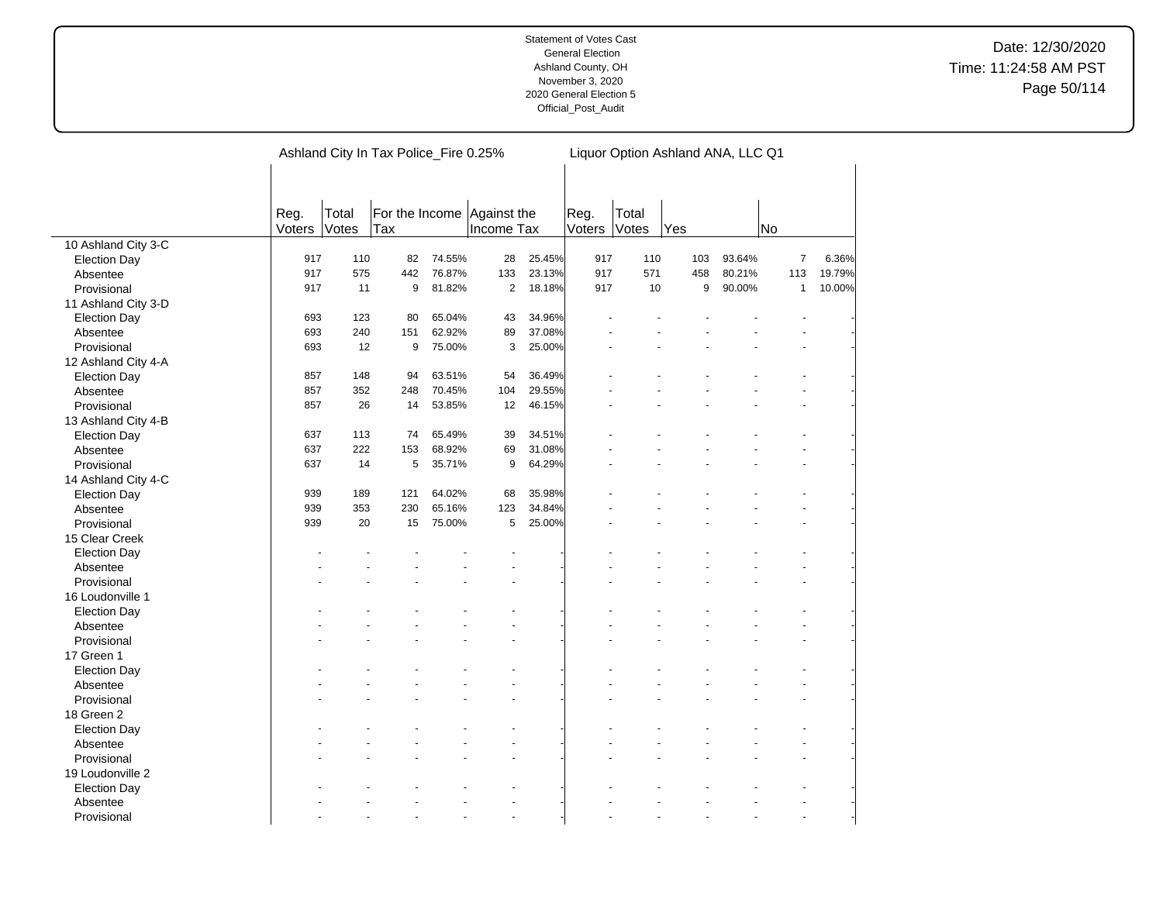|                     |        |       | Ashland City In Tax Police_Fire 0.25% |        |              |        |        |       |     | Liquor Option Ashland ANA, LLC Q1 |                |        |
|---------------------|--------|-------|---------------------------------------|--------|--------------|--------|--------|-------|-----|-----------------------------------|----------------|--------|
|                     |        |       |                                       |        |              |        |        |       |     |                                   |                |        |
|                     |        |       |                                       |        |              |        |        |       |     |                                   |                |        |
|                     | Reg.   | Total | For the Income Against the            |        |              |        | Reg.   | Total |     |                                   |                |        |
|                     | Voters | Votes | Tax                                   |        | Income Tax   |        | Voters | Votes | Yes | No                                |                |        |
| 10 Ashland City 3-C |        |       |                                       |        |              |        |        |       |     |                                   |                |        |
| <b>Election Day</b> | 917    | 110   | 82                                    | 74.55% | 28           | 25.45% | 917    | 110   | 103 | 93.64%                            | $\overline{7}$ | 6.36%  |
| Absentee            | 917    | 575   | 442                                   | 76.87% | 133          | 23.13% | 917    | 571   | 458 | 80.21%                            | 113            | 19.79% |
| Provisional         | 917    | 11    | 9                                     | 81.82% | $\mathbf{2}$ | 18.18% | 917    | 10    | 9   | 90.00%                            | $\mathbf{1}$   | 10.00% |
| 11 Ashland City 3-D |        |       |                                       |        |              |        |        |       |     |                                   |                |        |
| <b>Election Day</b> | 693    | 123   | 80                                    | 65.04% | 43           | 34.96% |        |       |     |                                   |                |        |
| Absentee            | 693    | 240   | 151                                   | 62.92% | 89           | 37.08% |        |       |     |                                   |                |        |
| Provisional         | 693    | 12    | 9                                     | 75.00% | 3            | 25.00% |        |       |     |                                   |                |        |
| 12 Ashland City 4-A |        |       |                                       |        |              |        |        |       |     |                                   |                |        |
| <b>Election Day</b> | 857    | 148   | 94                                    | 63.51% | 54           | 36.49% |        |       |     |                                   |                |        |
| Absentee            | 857    | 352   | 248                                   | 70.45% | 104          | 29.55% |        |       |     |                                   |                |        |
| Provisional         | 857    | 26    | 14                                    | 53.85% | 12           | 46.15% |        |       |     |                                   |                |        |
| 13 Ashland City 4-B |        |       |                                       |        |              |        |        |       |     |                                   |                |        |
| <b>Election Day</b> | 637    | 113   | 74                                    | 65.49% | 39           | 34.51% |        |       |     |                                   |                |        |
| Absentee            | 637    | 222   | 153                                   | 68.92% | 69           | 31.08% |        |       |     |                                   |                |        |
| Provisional         | 637    | 14    | 5                                     | 35.71% | 9            | 64.29% |        |       |     |                                   |                |        |
| 14 Ashland City 4-C |        |       |                                       |        |              |        |        |       |     |                                   |                |        |
|                     | 939    | 189   | 121                                   | 64.02% | 68           | 35.98% |        |       |     |                                   |                |        |
| <b>Election Day</b> | 939    | 353   | 230                                   | 65.16% | 123          | 34.84% |        |       |     |                                   |                |        |
| Absentee            | 939    | 20    | 15                                    | 75.00% | 5            | 25.00% |        |       |     |                                   |                |        |
| Provisional         |        |       |                                       |        |              |        |        |       |     |                                   |                |        |
| 15 Clear Creek      |        |       |                                       |        |              |        |        |       |     |                                   |                |        |
| <b>Election Day</b> |        |       |                                       |        |              |        |        |       |     |                                   |                |        |
| Absentee            |        |       |                                       |        |              |        |        |       |     |                                   |                |        |
| Provisional         |        |       |                                       |        |              |        |        |       |     |                                   |                |        |
| 16 Loudonville 1    |        |       |                                       |        |              |        |        |       |     |                                   |                |        |
| <b>Election Day</b> |        |       |                                       |        |              |        |        |       |     |                                   |                |        |
| Absentee            |        |       |                                       |        |              |        |        |       |     |                                   |                |        |
| Provisional         |        |       |                                       |        |              |        |        |       |     |                                   |                |        |
| 17 Green 1          |        |       |                                       |        |              |        |        |       |     |                                   |                |        |
| <b>Election Day</b> |        |       |                                       |        |              |        |        |       |     |                                   |                |        |
| Absentee            |        |       |                                       |        |              |        |        |       |     |                                   |                |        |
| Provisional         |        |       |                                       |        |              |        |        |       |     |                                   |                |        |
| 18 Green 2          |        |       |                                       |        |              |        |        |       |     |                                   |                |        |
| <b>Election Day</b> |        |       |                                       |        |              |        |        |       |     |                                   |                |        |
| Absentee            |        |       |                                       |        |              |        |        |       |     |                                   |                |        |
| Provisional         |        |       |                                       |        |              |        |        |       |     |                                   |                |        |
| 19 Loudonville 2    |        |       |                                       |        |              |        |        |       |     |                                   |                |        |
| <b>Election Day</b> |        |       |                                       |        |              |        |        |       |     |                                   |                |        |
| Absentee            |        |       |                                       |        |              |        |        |       |     |                                   |                |        |
| Provisional         |        |       |                                       |        | ä,           |        |        |       |     |                                   | ÷.             |        |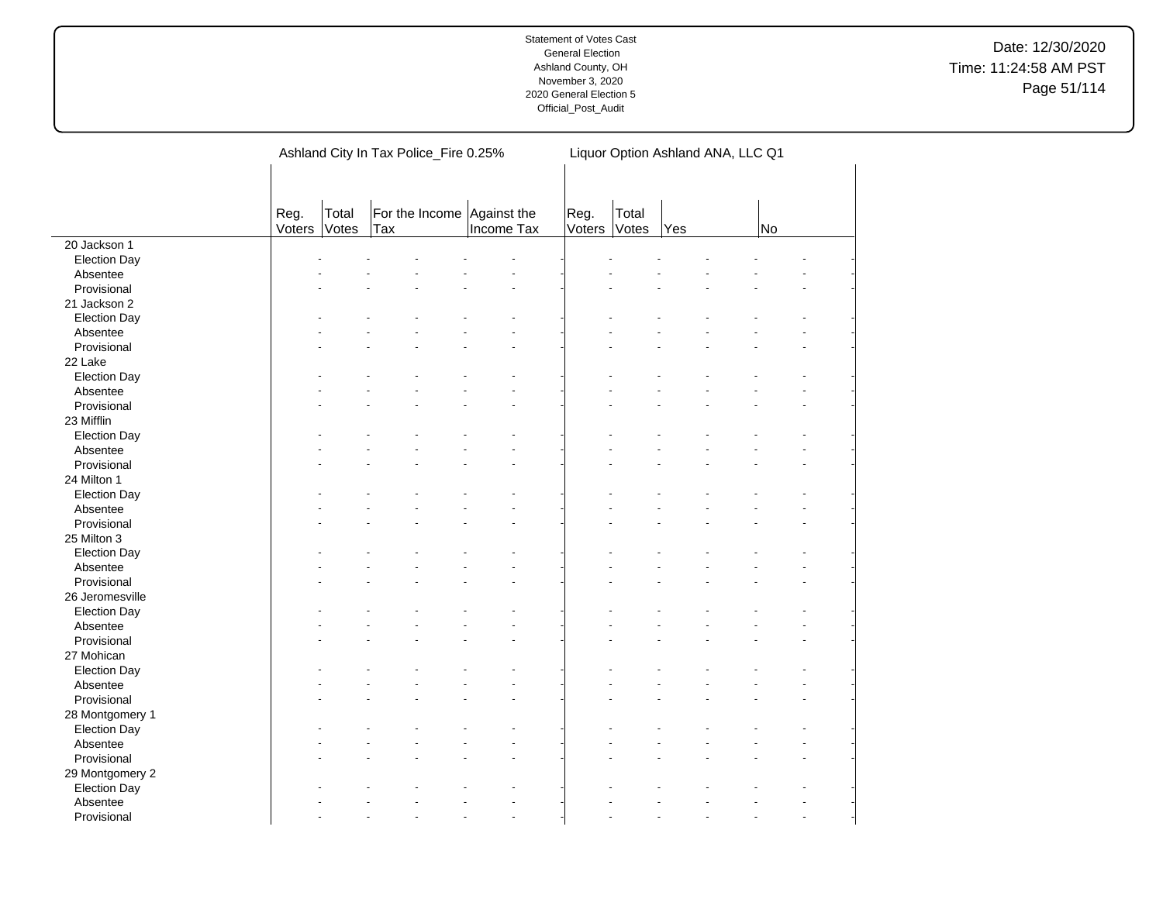|                     |                |                | Ashland City In Tax Police_Fire 0.25% | Liquor Option Ashland ANA, LLC Q1 |                |                |     |  |    |  |  |
|---------------------|----------------|----------------|---------------------------------------|-----------------------------------|----------------|----------------|-----|--|----|--|--|
|                     | Reg.<br>Voters | Total<br>Votes | For the Income Against the<br>Tax     | Income Tax                        | Reg.<br>Voters | Total<br>Votes | Yes |  | No |  |  |
| 20 Jackson 1        |                |                |                                       |                                   |                |                |     |  |    |  |  |
| <b>Election Day</b> |                |                |                                       |                                   |                |                |     |  |    |  |  |
| Absentee            |                |                |                                       |                                   |                |                |     |  |    |  |  |
| Provisional         |                |                |                                       |                                   |                |                |     |  |    |  |  |
| 21 Jackson 2        |                |                |                                       |                                   |                |                |     |  |    |  |  |
| <b>Election Day</b> |                |                |                                       |                                   |                |                |     |  |    |  |  |
| Absentee            |                |                |                                       |                                   |                |                |     |  |    |  |  |
| Provisional         |                |                |                                       |                                   |                |                |     |  |    |  |  |
| 22 Lake             |                |                |                                       |                                   |                |                |     |  |    |  |  |
| <b>Election Day</b> |                |                |                                       |                                   |                |                |     |  |    |  |  |
| Absentee            |                |                |                                       |                                   |                |                |     |  |    |  |  |
| Provisional         |                |                |                                       |                                   |                |                |     |  |    |  |  |
| 23 Mifflin          |                |                |                                       |                                   |                |                |     |  |    |  |  |
| <b>Election Day</b> |                |                |                                       |                                   |                |                |     |  |    |  |  |
| Absentee            |                |                |                                       |                                   |                |                |     |  |    |  |  |
| Provisional         |                |                |                                       |                                   |                |                |     |  |    |  |  |
| 24 Milton 1         |                |                |                                       |                                   |                |                |     |  |    |  |  |
| <b>Election Day</b> |                |                |                                       |                                   |                |                |     |  |    |  |  |
| Absentee            |                |                |                                       |                                   |                |                |     |  |    |  |  |
| Provisional         |                |                |                                       |                                   |                |                |     |  |    |  |  |
| 25 Milton 3         |                |                |                                       |                                   |                |                |     |  |    |  |  |
| <b>Election Day</b> |                |                |                                       |                                   |                |                |     |  |    |  |  |
| Absentee            |                |                |                                       |                                   |                |                |     |  |    |  |  |
| Provisional         |                |                |                                       |                                   |                |                |     |  |    |  |  |
| 26 Jeromesville     |                |                |                                       |                                   |                |                |     |  |    |  |  |
| <b>Election Day</b> |                |                |                                       |                                   |                |                |     |  |    |  |  |
| Absentee            |                |                |                                       |                                   |                |                |     |  |    |  |  |
| Provisional         |                |                |                                       |                                   |                |                |     |  |    |  |  |
| 27 Mohican          |                |                |                                       |                                   |                |                |     |  |    |  |  |
| <b>Election Day</b> |                |                |                                       |                                   |                |                |     |  |    |  |  |
| Absentee            |                |                |                                       |                                   |                |                |     |  |    |  |  |
| Provisional         |                |                |                                       |                                   |                |                |     |  |    |  |  |
| 28 Montgomery 1     |                |                |                                       |                                   |                |                |     |  |    |  |  |
| <b>Election Day</b> |                |                |                                       |                                   |                |                |     |  |    |  |  |
| Absentee            |                |                |                                       |                                   |                |                |     |  |    |  |  |
| Provisional         |                |                |                                       |                                   |                |                |     |  |    |  |  |
| 29 Montgomery 2     |                |                |                                       |                                   |                |                |     |  |    |  |  |
| <b>Election Day</b> |                |                |                                       |                                   |                |                |     |  |    |  |  |
| Absentee            |                |                |                                       |                                   |                |                |     |  |    |  |  |
| Provisional         |                |                |                                       |                                   |                |                |     |  |    |  |  |
|                     |                |                |                                       |                                   |                |                |     |  |    |  |  |

 $\overline{a}$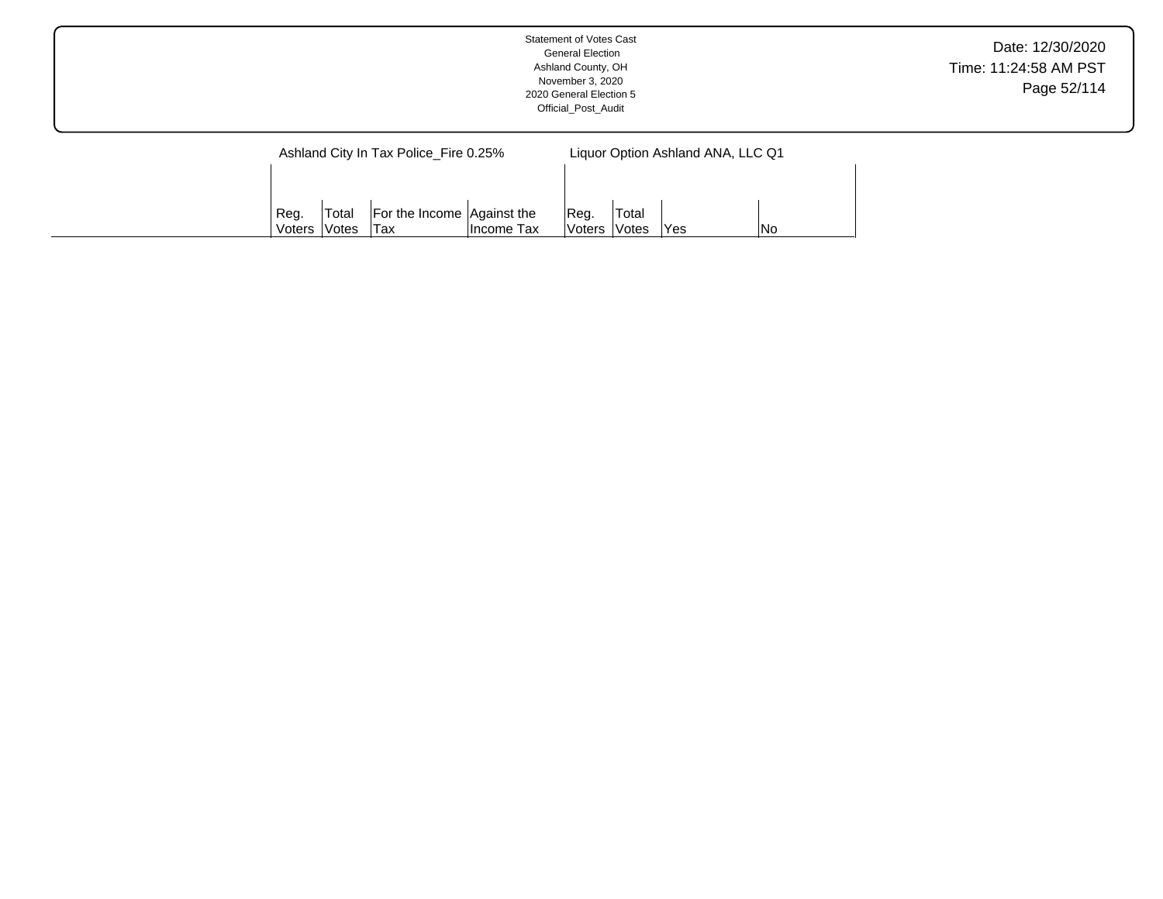| <b>Statement of Votes Cast</b><br><b>General Election</b><br>Ashland County, OH<br>November 3, 2020<br>2020 General Election 5<br>Official Post Audit | Date: 12/30/2020<br>Time: 11:24:58 AM PST<br>Page 52/114 |
|-------------------------------------------------------------------------------------------------------------------------------------------------------|----------------------------------------------------------|
| Ashland City In Tax Police_Fire 0.25%<br>Liquor Option Ashland ANA, LLC Q1                                                                            |                                                          |
| For the Income Against the<br>Total<br>Total<br>Reg.<br>Reg.                                                                                          |                                                          |

Voters

Votes | Yes | No

Income Tax

Voters

Votes

Tax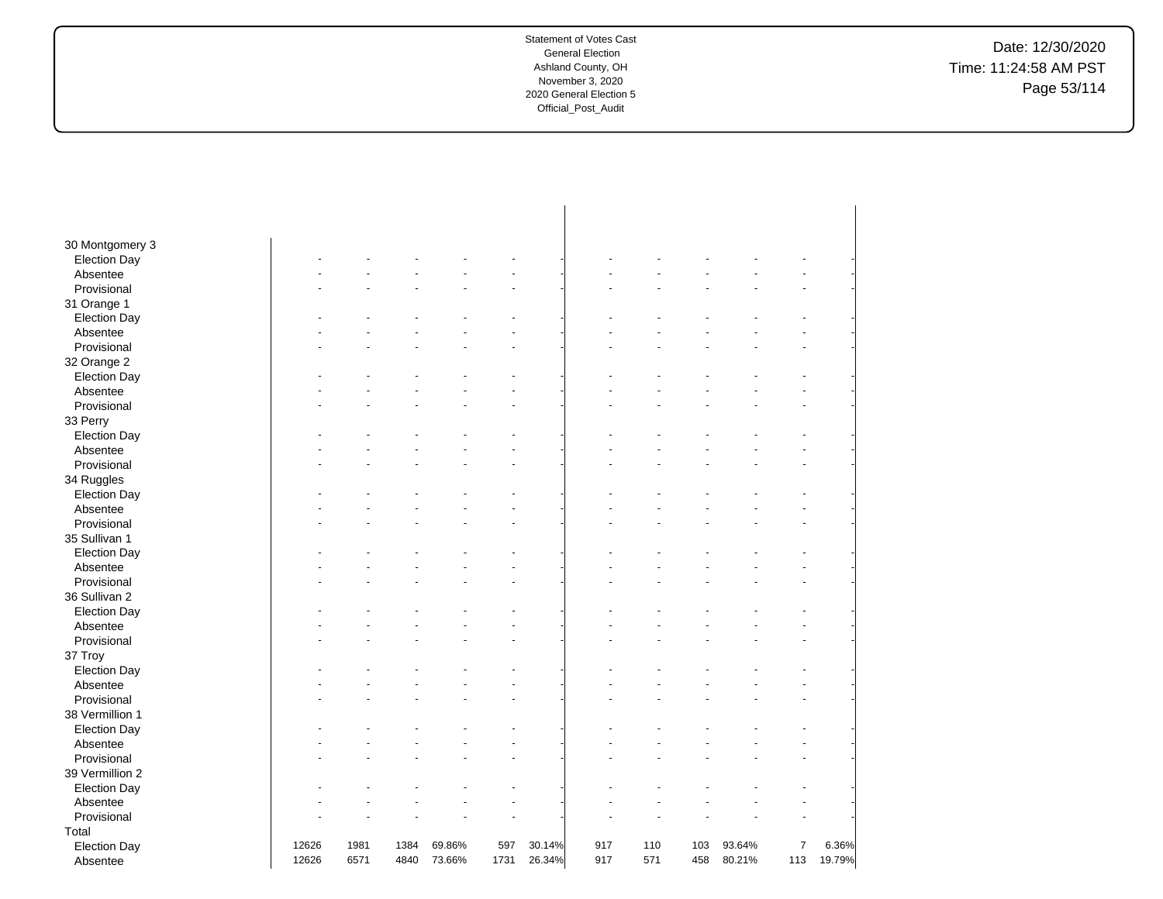Date: 12/30/2020 Time: 11:24:58 AM PST Page 53/114

| 30 Montgomery 3     |       |      |      |        |      |        |     |     |     |        |                |        |
|---------------------|-------|------|------|--------|------|--------|-----|-----|-----|--------|----------------|--------|
| <b>Election Day</b> |       |      |      |        |      |        |     |     |     |        |                |        |
| Absentee            |       |      |      |        |      |        |     |     |     |        |                |        |
| Provisional         |       |      |      |        |      |        |     |     |     |        |                |        |
| 31 Orange 1         |       |      |      |        |      |        |     |     |     |        |                |        |
| <b>Election Day</b> |       |      |      |        |      |        |     |     |     |        |                |        |
| Absentee            |       |      |      |        |      |        |     |     |     |        |                |        |
| Provisional         |       |      |      |        |      |        |     |     |     |        |                |        |
| 32 Orange 2         |       |      |      |        |      |        |     |     |     |        |                |        |
| <b>Election Day</b> |       |      |      |        |      |        |     |     |     |        |                |        |
| Absentee            |       |      |      |        |      |        |     |     |     |        |                |        |
| Provisional         |       |      |      |        |      |        |     |     |     |        |                |        |
| 33 Perry            |       |      |      |        |      |        |     |     |     |        |                |        |
| <b>Election Day</b> |       |      |      |        |      |        |     |     |     |        |                |        |
| Absentee            |       |      |      |        |      |        |     |     |     |        |                |        |
| Provisional         |       |      |      |        |      |        |     |     |     |        |                |        |
| 34 Ruggles          |       |      |      |        |      |        |     |     |     |        |                |        |
| <b>Election Day</b> |       |      |      |        |      |        |     |     |     |        |                |        |
| Absentee            |       |      |      |        |      |        |     |     |     |        |                |        |
| Provisional         |       |      |      |        |      |        |     |     |     |        |                |        |
| 35 Sullivan 1       |       |      |      |        |      |        |     |     |     |        |                |        |
| <b>Election Day</b> |       |      |      |        |      |        |     |     |     |        |                |        |
| Absentee            |       |      |      |        |      |        |     |     |     |        |                |        |
| Provisional         |       |      |      |        |      |        |     |     |     |        |                |        |
| 36 Sullivan 2       |       |      |      |        |      |        |     |     |     |        |                |        |
| <b>Election Day</b> |       |      |      |        |      |        |     |     |     |        |                |        |
| Absentee            |       |      |      |        |      |        |     |     |     |        |                |        |
| Provisional         |       |      |      |        |      |        |     |     |     |        |                |        |
| 37 Troy             |       |      |      |        |      |        |     |     |     |        |                |        |
| <b>Election Day</b> |       |      |      |        |      |        |     |     |     |        |                |        |
| Absentee            |       |      |      |        |      |        |     |     |     |        |                |        |
| Provisional         |       |      |      |        |      |        |     |     |     |        |                |        |
| 38 Vermillion 1     |       |      |      |        |      |        |     |     |     |        |                |        |
| <b>Election Day</b> |       |      |      |        |      |        |     |     |     |        |                |        |
| Absentee            |       |      |      |        |      |        |     |     |     |        |                |        |
| Provisional         |       |      |      |        |      |        |     |     |     |        |                |        |
| 39 Vermillion 2     |       |      |      |        |      |        |     |     |     |        |                |        |
| <b>Election Day</b> |       |      |      |        |      |        |     |     |     |        |                |        |
| Absentee            |       |      |      |        |      |        |     |     |     |        |                |        |
| Provisional         |       |      |      |        |      |        |     |     |     |        |                |        |
| Total               |       |      |      |        |      |        |     |     |     |        |                |        |
| <b>Election Day</b> | 12626 | 1981 | 1384 | 69.86% | 597  | 30.14% | 917 | 110 | 103 | 93.64% | $\overline{7}$ | 6.36%  |
| Absentee            | 12626 | 6571 | 4840 | 73.66% | 1731 | 26.34% | 917 | 571 | 458 | 80.21% | 113            | 19.79% |
|                     |       |      |      |        |      |        |     |     |     |        |                |        |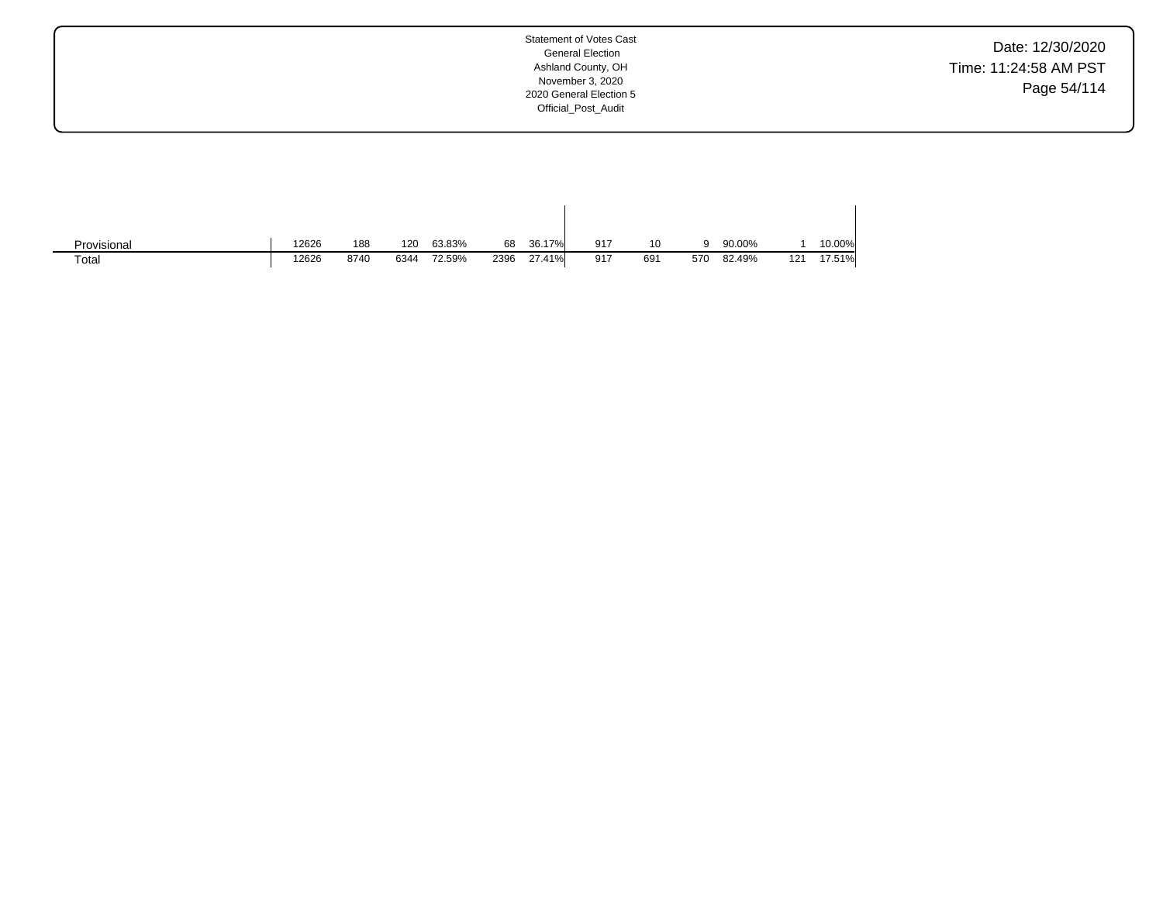Date: 12/30/2020 Time: 11:24:58 AM PST Page 54/114

| Provisional | 12626 | 188  | 120  | 63.83% | 68   | 36.17% | 917 | 10  |     | 90.00% |     | 10.00% |
|-------------|-------|------|------|--------|------|--------|-----|-----|-----|--------|-----|--------|
| Total       | 12626 | 8740 | 6344 | 72.59% | 2396 | 27.41% | 917 | 691 | 570 | 82.49% | 121 | 17.51% |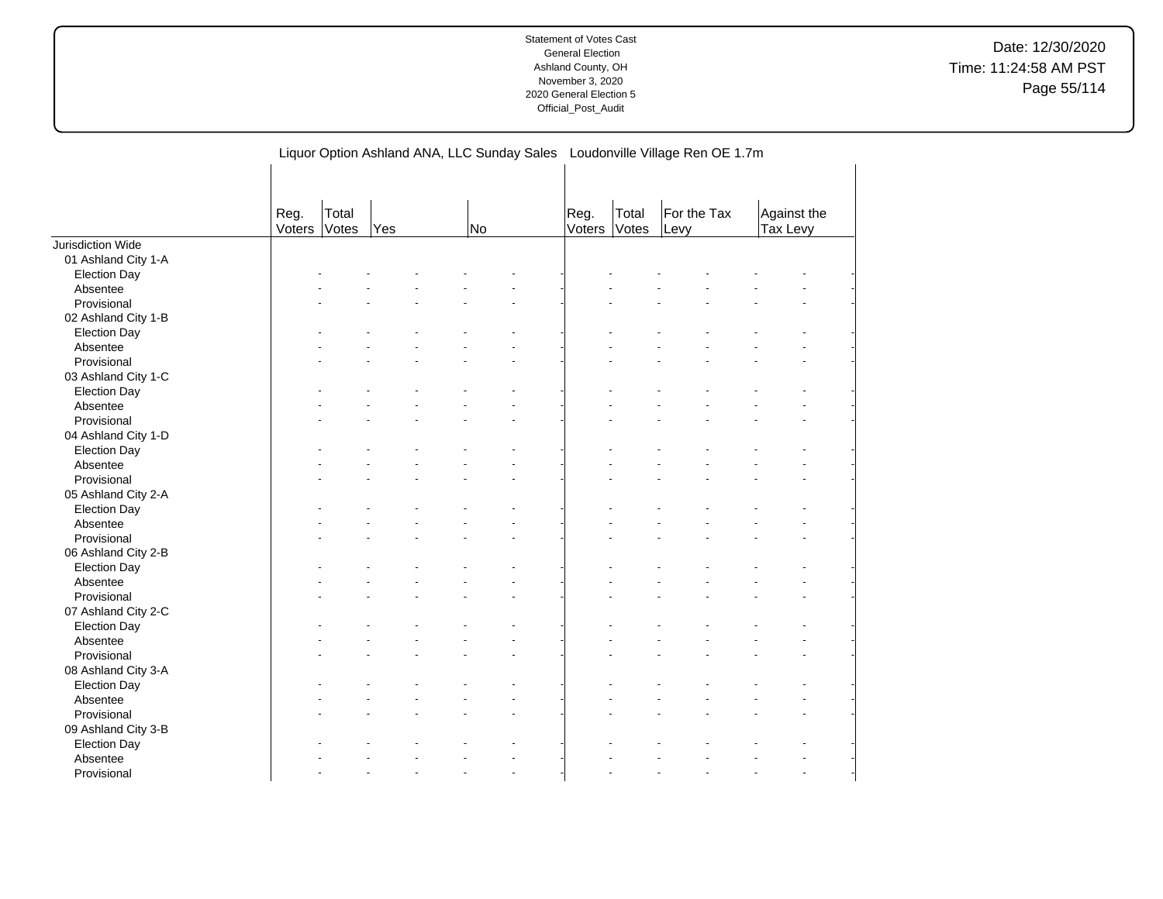|                     |                |                |     |    | Liquor Option Ashland ANA, LLC Sunday Sales Loudonville Village Ren OE 1.7m |                |                |                     |                         |  |
|---------------------|----------------|----------------|-----|----|-----------------------------------------------------------------------------|----------------|----------------|---------------------|-------------------------|--|
|                     | Reg.<br>Voters | Total<br>Votes | Yes | No |                                                                             | Reg.<br>Voters | Total<br>Votes | For the Tax<br>Levy | Against the<br>Tax Levy |  |
| Jurisdiction Wide   |                |                |     |    |                                                                             |                |                |                     |                         |  |
| 01 Ashland City 1-A |                |                |     |    |                                                                             |                |                |                     |                         |  |
| <b>Election Day</b> |                |                |     |    |                                                                             |                |                |                     |                         |  |
| Absentee            |                |                |     |    |                                                                             |                |                |                     |                         |  |
| Provisional         |                |                |     |    |                                                                             |                |                |                     |                         |  |
| 02 Ashland City 1-B |                |                |     |    |                                                                             |                |                |                     |                         |  |
| <b>Election Day</b> |                |                |     |    |                                                                             |                |                |                     |                         |  |
| Absentee            |                |                |     |    |                                                                             |                |                |                     |                         |  |
| Provisional         |                |                |     |    |                                                                             |                |                |                     |                         |  |
| 03 Ashland City 1-C |                |                |     |    |                                                                             |                |                |                     |                         |  |
| <b>Election Day</b> |                |                |     |    |                                                                             |                |                |                     |                         |  |
| Absentee            |                |                |     |    |                                                                             |                |                |                     |                         |  |
| Provisional         |                |                |     |    |                                                                             |                |                |                     |                         |  |
| 04 Ashland City 1-D |                |                |     |    |                                                                             |                |                |                     |                         |  |
| <b>Election Day</b> |                |                |     |    |                                                                             |                |                |                     |                         |  |
| Absentee            |                |                |     |    |                                                                             |                |                |                     |                         |  |
| Provisional         |                |                |     |    |                                                                             |                |                |                     |                         |  |
| 05 Ashland City 2-A |                |                |     |    |                                                                             |                |                |                     |                         |  |
| <b>Election Day</b> |                |                |     |    |                                                                             |                |                |                     |                         |  |
| Absentee            |                |                |     |    |                                                                             |                |                |                     |                         |  |
| Provisional         |                |                |     |    |                                                                             |                |                |                     |                         |  |
| 06 Ashland City 2-B |                |                |     |    |                                                                             |                |                |                     |                         |  |
| <b>Election Day</b> |                |                |     |    |                                                                             |                |                |                     |                         |  |
| Absentee            |                |                |     |    |                                                                             |                |                |                     |                         |  |
| Provisional         |                |                |     |    |                                                                             |                |                |                     |                         |  |
| 07 Ashland City 2-C |                |                |     |    |                                                                             |                |                |                     |                         |  |
| <b>Election Day</b> |                |                |     |    |                                                                             |                |                |                     |                         |  |
| Absentee            |                |                |     |    |                                                                             |                |                |                     |                         |  |
| Provisional         |                |                |     |    |                                                                             |                |                |                     |                         |  |
| 08 Ashland City 3-A |                |                |     |    |                                                                             |                |                |                     |                         |  |
| <b>Election Day</b> |                |                |     |    |                                                                             |                |                |                     |                         |  |
| Absentee            |                |                |     |    |                                                                             |                |                |                     |                         |  |
| Provisional         |                |                |     |    |                                                                             |                |                |                     |                         |  |
| 09 Ashland City 3-B |                |                |     |    |                                                                             |                |                |                     |                         |  |
| <b>Election Day</b> |                |                |     |    |                                                                             |                |                |                     |                         |  |
| Absentee            |                |                |     |    |                                                                             |                |                |                     |                         |  |
| Provisional         |                |                |     |    |                                                                             |                |                |                     |                         |  |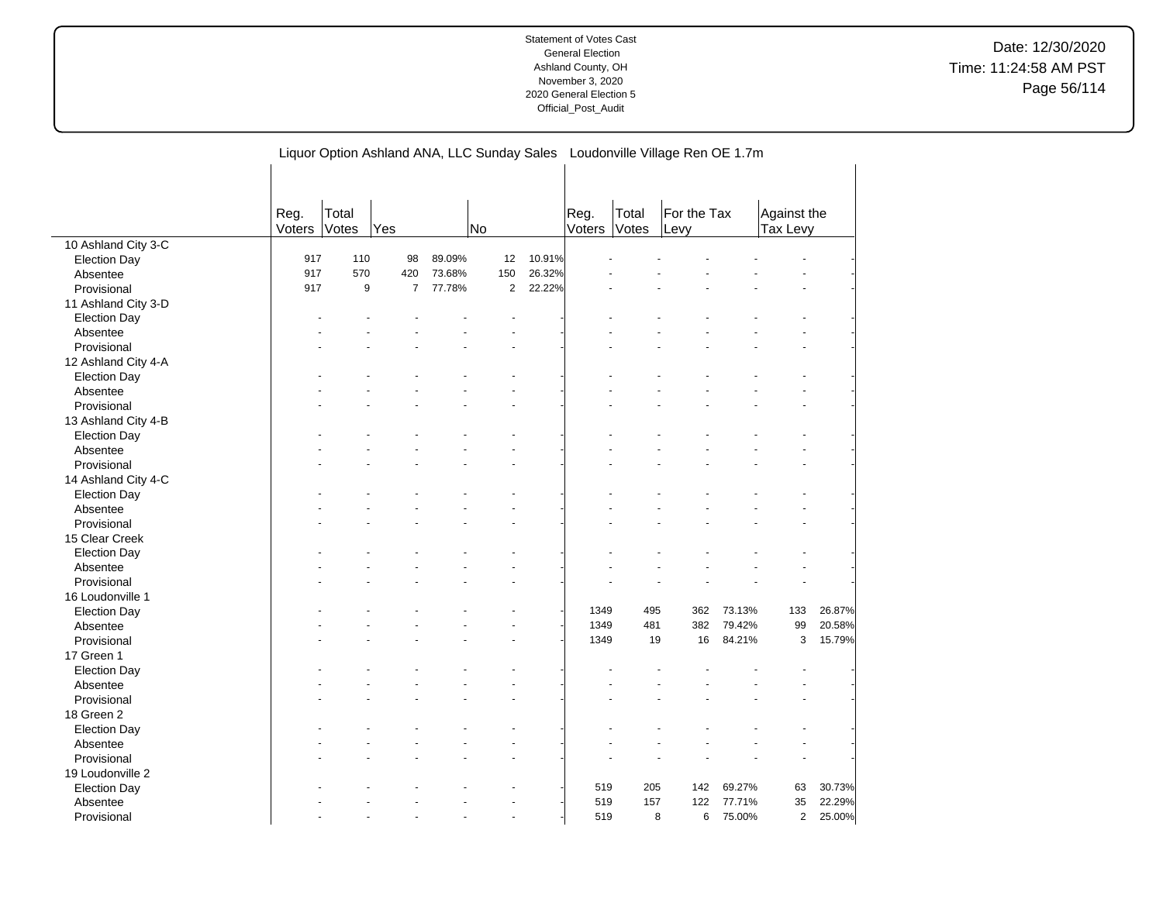|                         |        |       |                |        |                |        |        |       | Liquor Option Ashland ANA, LLC Sunday Sales  Loudonville Village Ren OE 1.7m |        |              |        |
|-------------------------|--------|-------|----------------|--------|----------------|--------|--------|-------|------------------------------------------------------------------------------|--------|--------------|--------|
|                         |        |       |                |        |                |        |        |       |                                                                              |        |              |        |
|                         |        |       |                |        |                |        |        |       |                                                                              |        |              |        |
|                         |        |       |                |        |                |        |        |       |                                                                              |        |              |        |
|                         | Reg.   | Total |                |        | <b>No</b>      |        | Reg.   | Total | For the Tax                                                                  |        | Against the  |        |
| 10 Ashland City 3-C     | Voters | Votes | Yes            |        |                |        | Voters | Votes | Levy                                                                         |        | Tax Levy     |        |
|                         | 917    | 110   | 98             | 89.09% | 12             | 10.91% |        |       |                                                                              |        |              |        |
| <b>Election Day</b>     | 917    | 570   | 420            | 73.68% | 150            | 26.32% |        |       |                                                                              |        |              |        |
| Absentee                |        |       | $\overline{7}$ |        | $\overline{2}$ | 22.22% |        |       |                                                                              |        |              |        |
| Provisional             | 917    | 9     |                | 77.78% |                |        |        |       |                                                                              |        |              |        |
| 11 Ashland City 3-D     |        |       |                |        |                |        |        |       |                                                                              |        |              |        |
| <b>Election Day</b>     |        |       |                |        |                |        |        |       |                                                                              |        |              |        |
| Absentee                |        |       |                |        |                |        |        |       |                                                                              |        |              |        |
| Provisional             |        |       |                |        |                |        |        |       |                                                                              |        |              |        |
| 12 Ashland City 4-A     |        |       |                |        |                |        |        |       |                                                                              |        |              |        |
| <b>Election Day</b>     |        |       |                |        |                |        |        |       |                                                                              |        |              |        |
| Absentee                |        |       |                |        |                |        |        |       |                                                                              |        |              |        |
| Provisional             |        |       |                |        |                |        |        |       |                                                                              |        |              |        |
| 13 Ashland City 4-B     |        |       |                |        |                |        |        |       |                                                                              |        |              |        |
| <b>Election Day</b>     |        |       |                |        |                |        |        |       |                                                                              |        |              |        |
| Absentee                |        |       |                |        |                |        |        |       |                                                                              |        |              |        |
| Provisional             |        |       |                |        |                |        |        |       |                                                                              |        |              |        |
| 14 Ashland City 4-C     |        |       |                |        |                |        |        |       |                                                                              |        |              |        |
| <b>Election Day</b>     |        |       |                |        |                |        |        |       |                                                                              |        |              |        |
| Absentee                |        |       |                |        |                |        |        |       |                                                                              |        |              |        |
| Provisional             |        |       |                |        |                |        |        |       |                                                                              |        |              |        |
| 15 Clear Creek          |        |       |                |        |                |        |        |       |                                                                              |        |              |        |
| <b>Election Day</b>     |        |       |                |        |                |        |        |       |                                                                              |        |              |        |
| Absentee                |        |       |                |        |                |        |        |       |                                                                              |        |              |        |
| Provisional             |        |       |                |        |                |        |        |       |                                                                              |        |              |        |
| 16 Loudonville 1        |        |       |                |        |                |        |        |       |                                                                              |        |              |        |
| Election Day            |        |       |                |        |                |        | 1349   | 495   | 362                                                                          | 73.13% | 133          | 26.87% |
|                         |        |       |                |        |                |        | 1349   | 481   | 382                                                                          | 79.42% | 99           | 20.58% |
| Absentee<br>Provisional |        |       |                |        |                |        | 1349   | 19    | 16                                                                           | 84.21% | 3            | 15.79% |
|                         |        |       |                |        |                |        |        |       |                                                                              |        |              |        |
| 17 Green 1              |        |       |                |        |                |        |        |       |                                                                              |        |              |        |
| Election Day            |        |       |                |        |                |        |        |       |                                                                              |        |              |        |
| Absentee                |        |       |                |        |                |        |        |       |                                                                              |        |              |        |
| Provisional             |        |       |                |        |                |        |        |       |                                                                              |        |              |        |
| 18 Green 2              |        |       |                |        |                |        |        |       |                                                                              |        |              |        |
| <b>Election Day</b>     |        |       |                |        |                |        |        |       |                                                                              |        |              |        |
| Absentee                |        |       |                |        |                |        |        |       |                                                                              |        |              |        |
| Provisional             |        |       |                |        |                |        |        |       |                                                                              |        |              |        |
| 19 Loudonville 2        |        |       |                |        |                |        |        |       |                                                                              |        |              |        |
| <b>Election Day</b>     |        |       |                |        |                |        | 519    | 205   | 142                                                                          | 69.27% | 63           | 30.73% |
| Absentee                |        |       |                |        |                |        | 519    | 157   | 122                                                                          | 77.71% | 35           | 22.29% |
| Provisional             |        |       |                |        |                |        | 519    |       | 6<br>8                                                                       | 75.00% | $\mathbf{2}$ | 25.00% |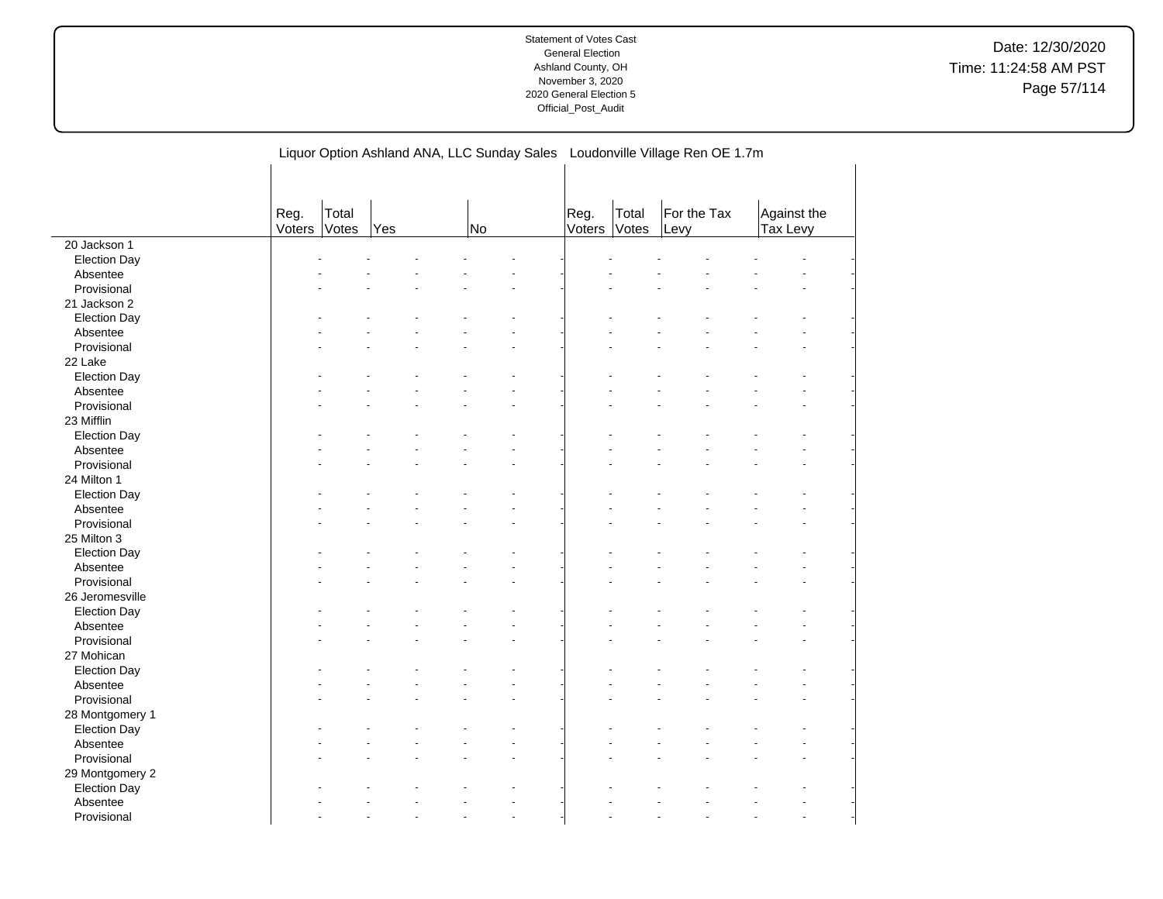|                     |                |                | Liquor Option Ashland ANA, LLC Sunday Sales Loudonville Village Ren OE 1.7m |    |                |                |                     |                                |  |
|---------------------|----------------|----------------|-----------------------------------------------------------------------------|----|----------------|----------------|---------------------|--------------------------------|--|
|                     |                |                |                                                                             |    |                |                |                     |                                |  |
|                     | Reg.<br>Voters | Total<br>Votes | Yes                                                                         | No | Reg.<br>Voters | Total<br>Votes | For the Tax<br>Levy | Against the<br><b>Tax Levy</b> |  |
| 20 Jackson 1        |                |                |                                                                             |    |                |                |                     |                                |  |
| <b>Election Day</b> |                |                |                                                                             |    |                |                |                     |                                |  |
| Absentee            |                |                |                                                                             |    |                |                |                     |                                |  |
| Provisional         |                |                |                                                                             |    |                |                |                     |                                |  |
| 21 Jackson 2        |                |                |                                                                             |    |                |                |                     |                                |  |
| <b>Election Day</b> |                |                |                                                                             |    |                |                |                     |                                |  |
| Absentee            |                |                |                                                                             |    |                |                |                     |                                |  |
| Provisional         |                |                |                                                                             |    |                |                |                     |                                |  |
| 22 Lake             |                |                |                                                                             |    |                |                |                     |                                |  |
| <b>Election Day</b> |                |                |                                                                             |    |                |                |                     |                                |  |
| Absentee            |                |                |                                                                             |    |                |                |                     |                                |  |
| Provisional         |                |                |                                                                             |    |                |                |                     |                                |  |
| 23 Mifflin          |                |                |                                                                             |    |                |                |                     |                                |  |
| <b>Election Day</b> |                |                |                                                                             |    |                |                |                     |                                |  |
| Absentee            |                |                |                                                                             |    |                |                |                     |                                |  |
| Provisional         |                |                |                                                                             |    |                |                |                     |                                |  |
| 24 Milton 1         |                |                |                                                                             |    |                |                |                     |                                |  |
| <b>Election Day</b> |                |                |                                                                             |    |                |                |                     |                                |  |
| Absentee            |                |                |                                                                             |    |                |                |                     |                                |  |
| Provisional         |                |                |                                                                             |    |                |                |                     |                                |  |
| 25 Milton 3         |                |                |                                                                             |    |                |                |                     |                                |  |
| <b>Election Day</b> |                |                |                                                                             |    |                |                |                     |                                |  |
| Absentee            |                |                |                                                                             |    |                |                |                     |                                |  |
| Provisional         |                |                |                                                                             |    |                |                |                     |                                |  |
| 26 Jeromesville     |                |                |                                                                             |    |                |                |                     |                                |  |
| <b>Election Day</b> |                |                |                                                                             |    |                |                |                     |                                |  |
| Absentee            |                |                |                                                                             |    |                |                |                     |                                |  |
| Provisional         |                |                |                                                                             |    |                |                |                     |                                |  |
| 27 Mohican          |                |                |                                                                             |    |                |                |                     |                                |  |
| <b>Election Day</b> |                |                |                                                                             |    |                |                |                     |                                |  |
| Absentee            |                |                |                                                                             |    |                |                |                     |                                |  |
| Provisional         |                |                |                                                                             |    |                |                |                     |                                |  |
| 28 Montgomery 1     |                |                |                                                                             |    |                |                |                     |                                |  |
| <b>Election Day</b> |                |                |                                                                             |    |                |                |                     |                                |  |
| Absentee            |                |                |                                                                             |    |                |                |                     |                                |  |
| Provisional         |                |                |                                                                             |    |                |                |                     |                                |  |
| 29 Montgomery 2     |                |                |                                                                             |    |                |                |                     |                                |  |
| <b>Election Day</b> |                |                |                                                                             |    |                |                |                     |                                |  |
| Absentee            |                |                |                                                                             |    |                |                |                     |                                |  |
| Provisional         |                |                |                                                                             |    |                |                |                     |                                |  |

 $\overline{a}$ 

Liquor Option Ashland ANA, LLC Sunday Sales Loudonville Village Ren OE 1.7m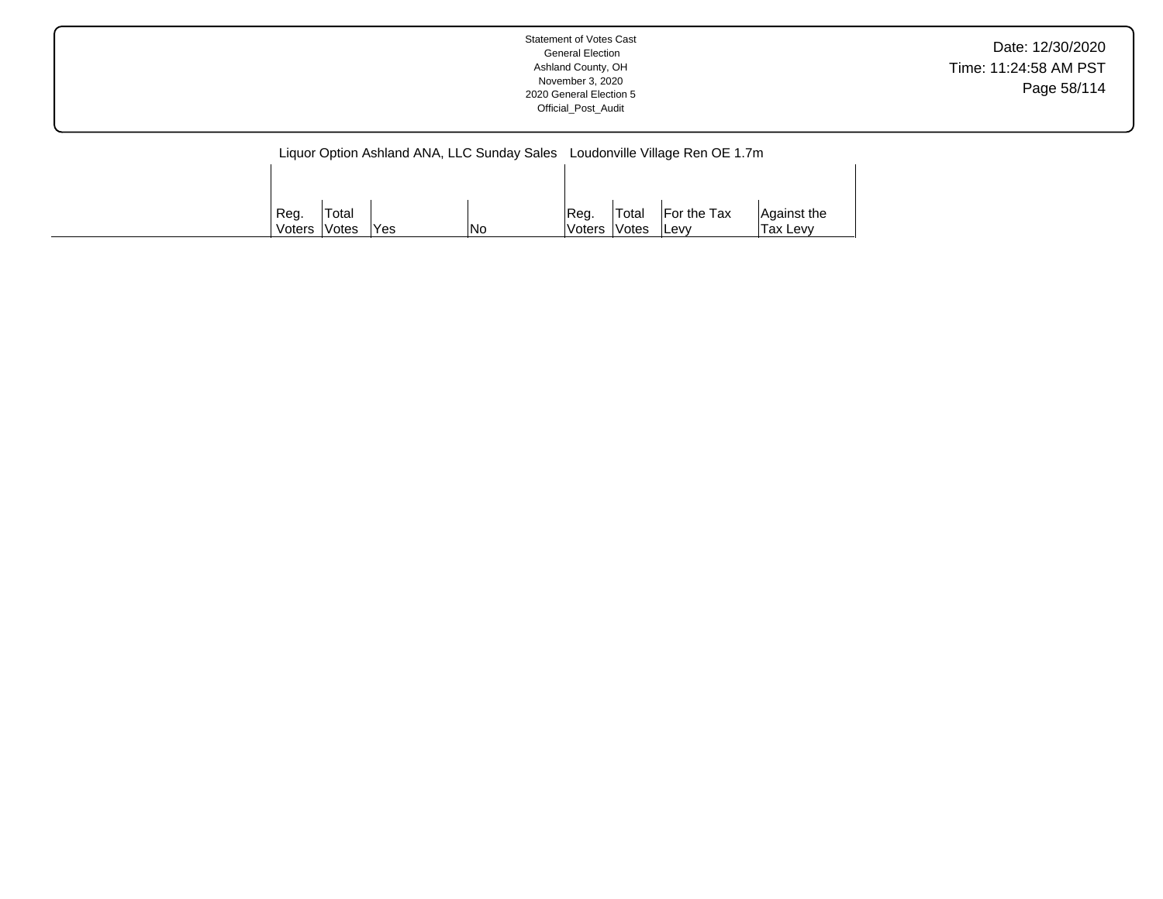|--|

|        |                     |      |            |        |              | Liquor Option Ashland ANA, LLC Sunday Sales Loudonville Village Ren OE 1.7m |             |
|--------|---------------------|------|------------|--------|--------------|-----------------------------------------------------------------------------|-------------|
|        |                     |      |            |        |              |                                                                             |             |
|        |                     |      |            |        |              |                                                                             |             |
| Reg.   | 'Total              |      |            | Req.   | <b>Total</b> | <b>For the Tax</b>                                                          | Against the |
| Voters | <i><b>Votes</b></i> | 'Yes | <b>INo</b> | Voters | <b>Votes</b> | <b>ILevy</b>                                                                | Tax Levy    |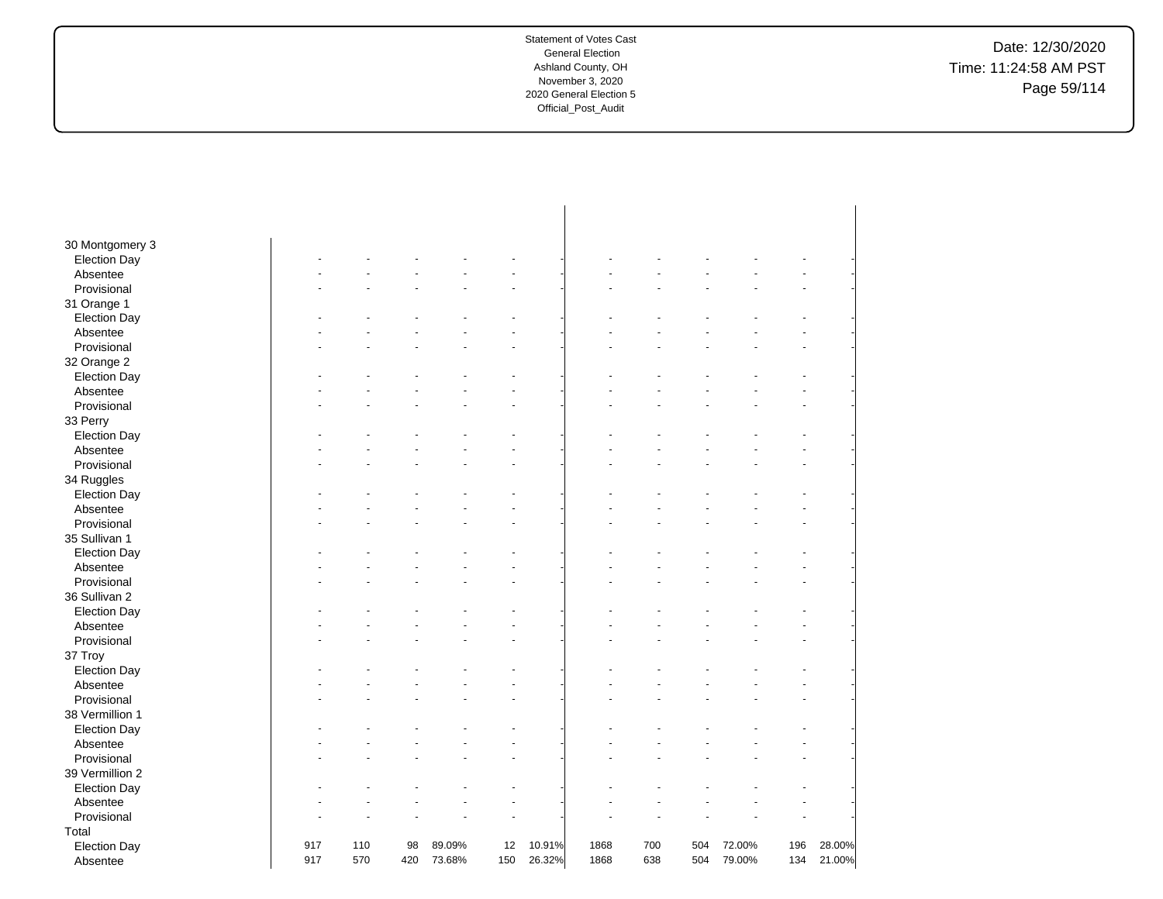Date: 12/30/2020 Time: 11:24:58 AM PST Page 59/114

| 30 Montgomery 3     |     |     |     |        |     |        |      |     |     |        |     |        |
|---------------------|-----|-----|-----|--------|-----|--------|------|-----|-----|--------|-----|--------|
| <b>Election Day</b> |     |     |     |        |     |        |      |     |     |        |     |        |
| Absentee            |     |     |     |        |     |        |      |     |     |        |     |        |
| Provisional         |     |     |     |        |     |        |      |     |     |        |     |        |
| 31 Orange 1         |     |     |     |        |     |        |      |     |     |        |     |        |
| <b>Election Day</b> |     |     |     |        |     |        |      |     |     |        |     |        |
| Absentee            |     |     |     |        |     |        |      |     |     |        |     |        |
| Provisional         |     |     |     |        |     |        |      |     |     |        |     |        |
| 32 Orange 2         |     |     |     |        |     |        |      |     |     |        |     |        |
| <b>Election Day</b> |     |     |     |        |     |        |      |     |     |        |     |        |
| Absentee            |     |     |     |        |     |        |      |     |     |        |     |        |
| Provisional         |     |     |     |        |     |        |      |     |     |        |     |        |
| 33 Perry            |     |     |     |        |     |        |      |     |     |        |     |        |
| <b>Election Day</b> |     |     |     |        |     |        |      |     |     |        |     |        |
| Absentee            |     |     |     |        |     |        |      |     |     |        |     |        |
| Provisional         |     |     |     |        |     |        |      |     |     |        |     |        |
| 34 Ruggles          |     |     |     |        |     |        |      |     |     |        |     |        |
| <b>Election Day</b> |     |     |     |        |     |        |      |     |     |        |     |        |
| Absentee            |     |     |     |        |     |        |      |     |     |        |     |        |
| Provisional         |     |     |     |        |     |        |      |     |     |        |     |        |
| 35 Sullivan 1       |     |     |     |        |     |        |      |     |     |        |     |        |
| <b>Election Day</b> |     |     |     |        |     |        |      |     |     |        |     |        |
| Absentee            |     |     |     |        |     |        |      |     |     |        |     |        |
| Provisional         |     |     |     |        |     |        |      |     |     |        |     |        |
| 36 Sullivan 2       |     |     |     |        |     |        |      |     |     |        |     |        |
| <b>Election Day</b> |     |     |     |        |     |        |      |     |     |        |     |        |
| Absentee            |     |     |     |        |     |        |      |     |     |        |     |        |
| Provisional         |     |     |     |        |     |        |      |     |     |        |     |        |
| 37 Troy             |     |     |     |        |     |        |      |     |     |        |     |        |
| <b>Election Day</b> |     |     |     |        |     |        |      |     |     |        |     |        |
| Absentee            |     |     |     |        |     |        |      |     |     |        |     |        |
| Provisional         |     |     |     |        |     |        |      |     |     |        |     |        |
| 38 Vermillion 1     |     |     |     |        |     |        |      |     |     |        |     |        |
| <b>Election Day</b> |     |     |     |        |     |        |      |     |     |        |     |        |
| Absentee            |     |     |     |        |     |        |      |     |     |        |     |        |
| Provisional         |     |     |     |        |     |        |      |     |     |        |     |        |
| 39 Vermillion 2     |     |     |     |        |     |        |      |     |     |        |     |        |
| <b>Election Day</b> |     |     |     |        |     |        |      |     |     |        |     |        |
| Absentee            |     |     |     |        |     |        |      |     |     |        |     |        |
| Provisional         |     |     |     |        |     |        |      |     |     |        |     |        |
| Total               |     |     |     |        |     |        |      |     |     |        |     |        |
|                     | 917 | 110 | 98  | 89.09% | 12  | 10.91% | 1868 | 700 | 504 | 72.00% | 196 | 28.00% |
| <b>Election Day</b> | 917 | 570 | 420 | 73.68% | 150 | 26.32% | 1868 | 638 | 504 | 79.00% | 134 | 21.00% |
| Absentee            |     |     |     |        |     |        |      |     |     |        |     |        |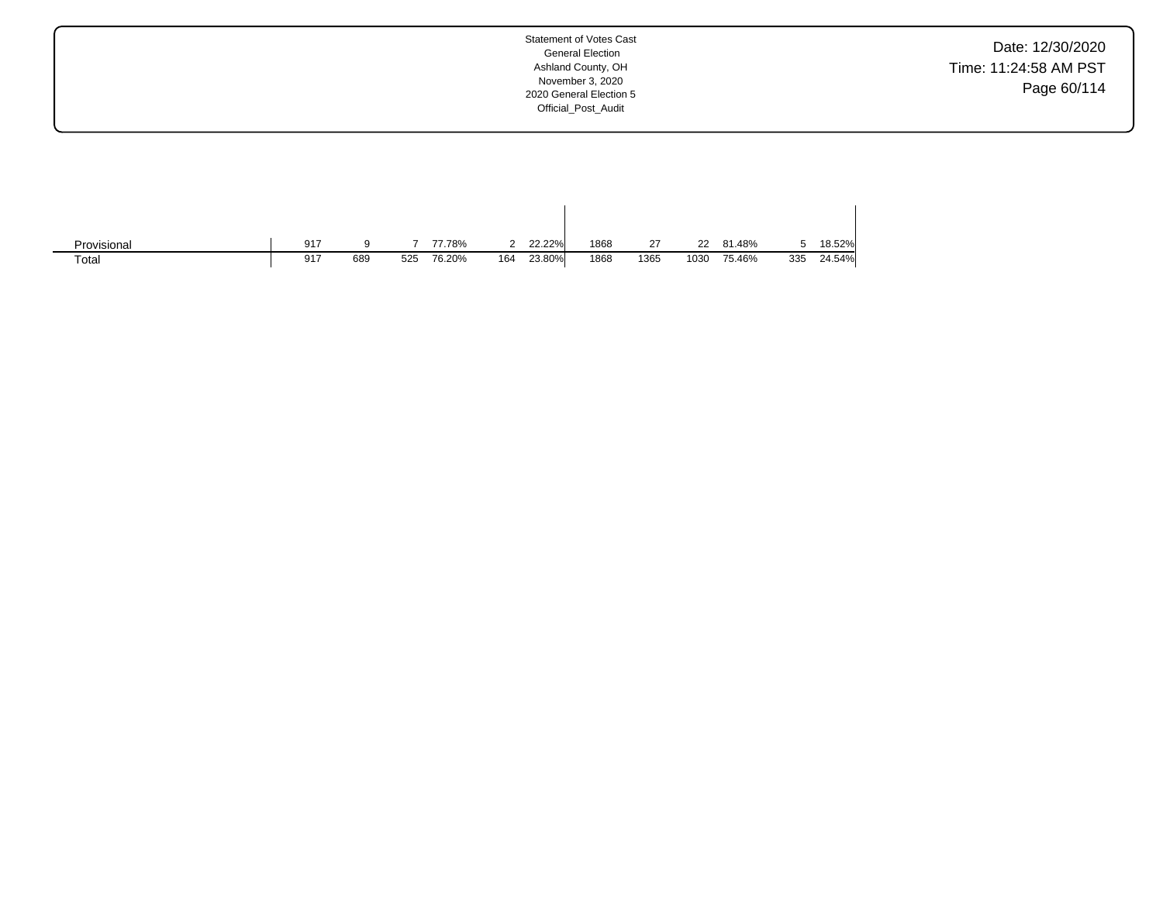Date: 12/30/2020 Time: 11:24:58 AM PST Page 60/114

| Provisional | 917 |     |     | 77.78% |     | 22.22% | 1868 | 27   | 22   | 81.48% |     | 18.52% |
|-------------|-----|-----|-----|--------|-----|--------|------|------|------|--------|-----|--------|
| Total       | 917 | 689 | 525 | 76.20% | 164 | 23.80% | 1868 | 1365 | 1030 | 75.46% | 335 | 24.54% |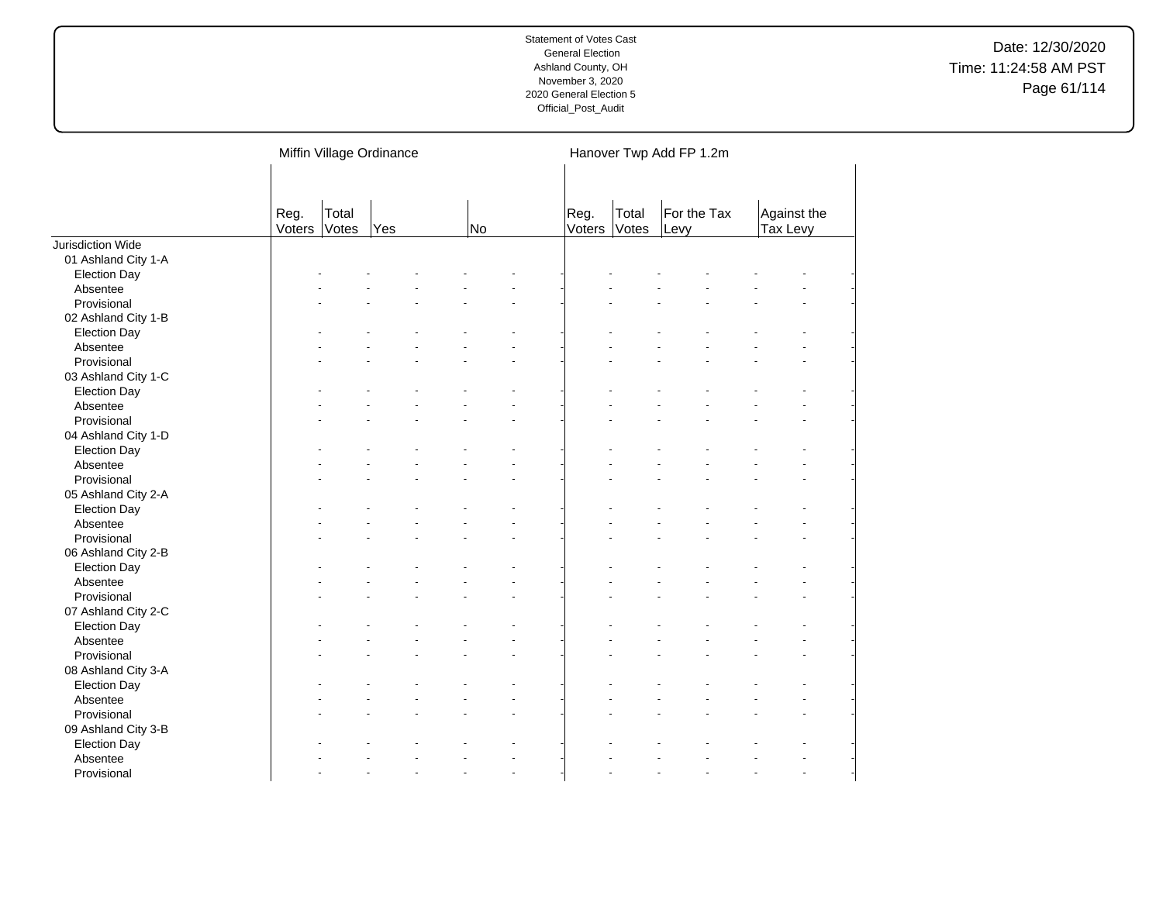|                     |                | Miffin Village Ordinance |     |  |    |                          |                | Hanover Twp Add FP 1.2m |                     |  |                         |  |  |
|---------------------|----------------|--------------------------|-----|--|----|--------------------------|----------------|-------------------------|---------------------|--|-------------------------|--|--|
|                     | Reg.<br>Voters | Total<br>Votes           | Yes |  | No |                          | Reg.<br>Voters | Total<br>Votes          | For the Tax<br>Levy |  | Against the<br>Tax Levy |  |  |
| Jurisdiction Wide   |                |                          |     |  |    |                          |                |                         |                     |  |                         |  |  |
| 01 Ashland City 1-A |                |                          |     |  |    |                          |                |                         |                     |  |                         |  |  |
| <b>Election Day</b> |                |                          |     |  |    |                          |                |                         |                     |  |                         |  |  |
| Absentee            |                |                          |     |  |    |                          |                |                         |                     |  |                         |  |  |
| Provisional         |                |                          |     |  |    |                          |                |                         |                     |  |                         |  |  |
| 02 Ashland City 1-B |                |                          |     |  |    |                          |                |                         |                     |  |                         |  |  |
| <b>Election Day</b> |                |                          |     |  |    |                          |                |                         |                     |  |                         |  |  |
| Absentee            |                |                          |     |  |    |                          |                |                         |                     |  |                         |  |  |
| Provisional         |                |                          |     |  |    |                          |                |                         |                     |  |                         |  |  |
| 03 Ashland City 1-C |                |                          |     |  |    |                          |                |                         |                     |  |                         |  |  |
| <b>Election Day</b> |                |                          |     |  |    |                          |                |                         |                     |  |                         |  |  |
| Absentee            |                |                          |     |  |    |                          |                |                         |                     |  |                         |  |  |
| Provisional         |                |                          |     |  |    |                          |                |                         |                     |  |                         |  |  |
| 04 Ashland City 1-D |                |                          |     |  |    |                          |                |                         |                     |  |                         |  |  |
| <b>Election Day</b> |                |                          |     |  |    |                          |                |                         |                     |  |                         |  |  |
| Absentee            |                |                          |     |  |    |                          |                |                         |                     |  |                         |  |  |
| Provisional         |                |                          |     |  |    |                          |                |                         |                     |  |                         |  |  |
| 05 Ashland City 2-A |                |                          |     |  |    |                          |                |                         |                     |  |                         |  |  |
| <b>Election Day</b> |                |                          |     |  |    |                          |                |                         |                     |  |                         |  |  |
| Absentee            |                |                          |     |  |    |                          |                |                         |                     |  |                         |  |  |
| Provisional         |                |                          |     |  |    |                          |                |                         |                     |  |                         |  |  |
| 06 Ashland City 2-B |                |                          |     |  |    |                          |                |                         |                     |  |                         |  |  |
| <b>Election Day</b> |                |                          |     |  |    |                          |                |                         |                     |  |                         |  |  |
| Absentee            |                |                          |     |  |    |                          |                |                         |                     |  |                         |  |  |
| Provisional         |                |                          |     |  |    |                          |                |                         |                     |  |                         |  |  |
| 07 Ashland City 2-C |                |                          |     |  |    |                          |                |                         |                     |  |                         |  |  |
| <b>Election Day</b> |                |                          |     |  |    |                          |                |                         |                     |  |                         |  |  |
| Absentee            |                |                          |     |  |    |                          |                |                         |                     |  |                         |  |  |
| Provisional         |                |                          |     |  |    |                          |                |                         |                     |  |                         |  |  |
| 08 Ashland City 3-A |                |                          |     |  |    |                          |                |                         |                     |  |                         |  |  |
| <b>Election Day</b> |                |                          |     |  |    |                          |                |                         |                     |  |                         |  |  |
| Absentee            |                |                          |     |  |    |                          |                |                         |                     |  |                         |  |  |
| Provisional         |                |                          |     |  |    |                          |                |                         |                     |  |                         |  |  |
| 09 Ashland City 3-B |                |                          |     |  |    |                          |                |                         |                     |  |                         |  |  |
|                     |                |                          |     |  |    |                          |                |                         |                     |  |                         |  |  |
| <b>Election Day</b> |                |                          |     |  |    |                          |                |                         |                     |  |                         |  |  |
| Absentee            |                |                          |     |  |    | $\overline{\phantom{a}}$ |                |                         |                     |  |                         |  |  |
| Provisional         |                |                          |     |  |    |                          |                |                         |                     |  |                         |  |  |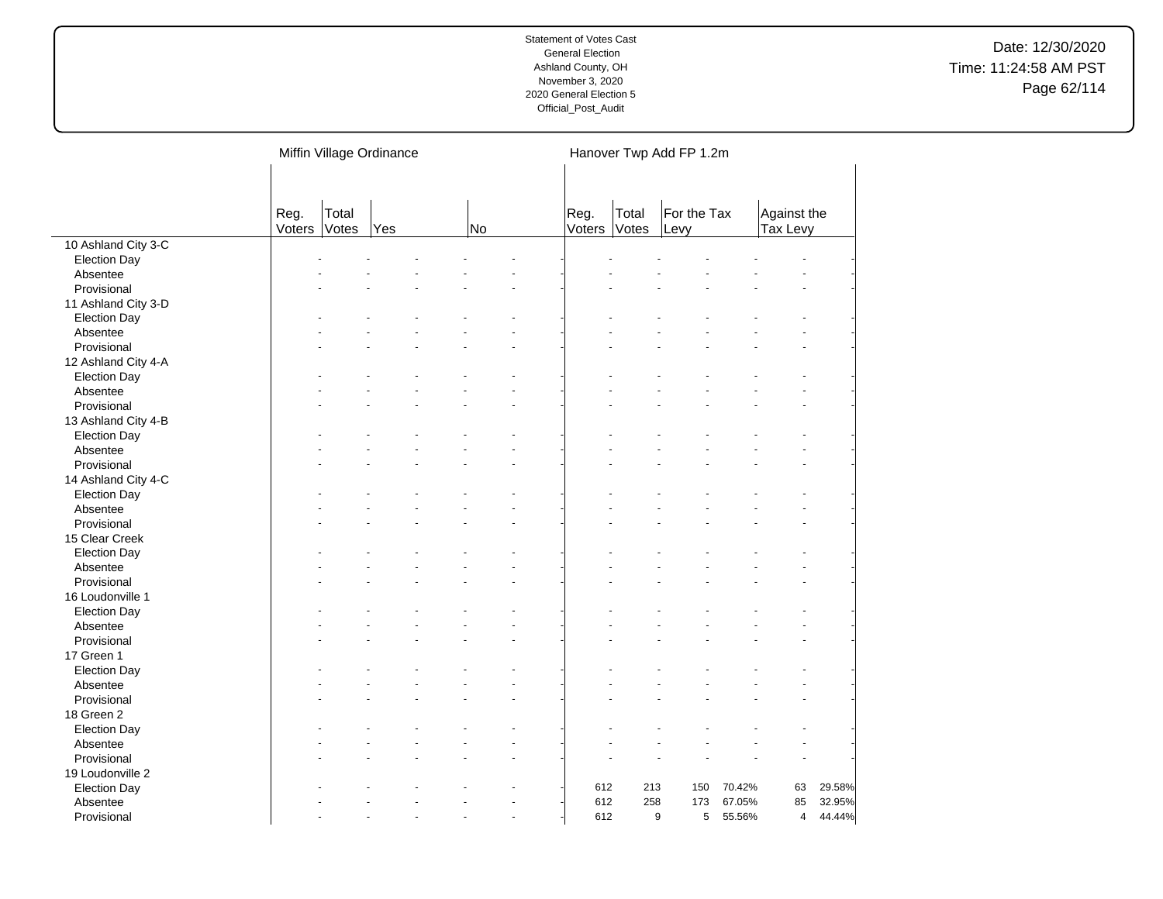|                         |                | Miffin Village Ordinance |     |    |    |                | Hanover Twp Add FP 1.2m |                     |        |                         |        |  |
|-------------------------|----------------|--------------------------|-----|----|----|----------------|-------------------------|---------------------|--------|-------------------------|--------|--|
|                         | Reg.<br>Voters | Total<br>Votes           | Yes | No |    | Reg.<br>Voters | Total<br>Votes          | For the Tax<br>Levy |        | Against the<br>Tax Levy |        |  |
| 10 Ashland City 3-C     |                |                          |     |    |    |                |                         |                     |        |                         |        |  |
| <b>Election Day</b>     |                |                          |     |    |    |                |                         |                     |        |                         |        |  |
| Absentee                |                |                          |     |    |    |                |                         |                     |        |                         |        |  |
| Provisional             |                |                          |     |    |    |                |                         |                     |        |                         |        |  |
| 11 Ashland City 3-D     |                |                          |     |    |    |                |                         |                     |        |                         |        |  |
| <b>Election Day</b>     |                |                          |     |    |    |                |                         |                     |        |                         |        |  |
| Absentee                |                |                          |     |    |    |                |                         |                     |        |                         |        |  |
| Provisional             |                |                          |     |    |    |                |                         |                     |        |                         |        |  |
| 12 Ashland City 4-A     |                |                          |     |    |    |                |                         |                     |        |                         |        |  |
| <b>Election Day</b>     |                |                          |     |    |    |                |                         |                     |        |                         |        |  |
| Absentee                |                |                          |     |    |    |                |                         |                     |        |                         |        |  |
| Provisional             |                |                          |     |    |    |                |                         |                     |        |                         |        |  |
| 13 Ashland City 4-B     |                |                          |     |    |    |                |                         |                     |        |                         |        |  |
| <b>Election Day</b>     |                |                          |     |    |    |                |                         |                     |        |                         |        |  |
| Absentee                |                |                          |     |    |    |                |                         |                     |        |                         |        |  |
| Provisional             |                |                          |     |    |    |                |                         |                     |        |                         |        |  |
| 14 Ashland City 4-C     |                |                          |     |    |    |                |                         |                     |        |                         |        |  |
| <b>Election Day</b>     |                |                          |     |    |    |                |                         |                     |        |                         |        |  |
| Absentee                |                |                          |     |    |    |                |                         |                     |        |                         |        |  |
| Provisional             |                |                          |     |    |    |                |                         |                     |        |                         |        |  |
| 15 Clear Creek          |                |                          |     |    |    |                |                         |                     |        |                         |        |  |
| <b>Election Day</b>     |                |                          |     |    |    |                |                         |                     |        |                         |        |  |
| Absentee                |                |                          |     |    |    |                |                         |                     |        |                         |        |  |
| Provisional             |                |                          |     |    |    |                |                         |                     |        |                         |        |  |
| 16 Loudonville 1        |                |                          |     |    |    |                |                         |                     |        |                         |        |  |
| <b>Election Day</b>     |                |                          |     |    |    |                |                         |                     |        |                         |        |  |
|                         |                |                          |     |    |    |                |                         |                     |        |                         |        |  |
| Absentee<br>Provisional |                |                          |     |    |    |                |                         |                     |        |                         |        |  |
| 17 Green 1              |                |                          |     |    |    |                |                         |                     |        |                         |        |  |
|                         |                |                          |     |    |    |                |                         |                     |        |                         |        |  |
| <b>Election Day</b>     |                |                          |     |    |    |                |                         |                     |        |                         |        |  |
| Absentee                |                |                          |     |    |    |                |                         |                     |        |                         |        |  |
| Provisional             |                |                          |     |    |    |                |                         |                     |        |                         |        |  |
| 18 Green 2              |                |                          |     |    |    |                |                         |                     |        |                         |        |  |
| <b>Election Day</b>     |                |                          |     |    |    |                |                         |                     |        |                         |        |  |
| Absentee                |                |                          |     |    |    |                |                         |                     |        |                         |        |  |
| Provisional             |                |                          |     |    |    |                |                         |                     |        |                         |        |  |
| 19 Loudonville 2        |                |                          |     |    |    |                |                         |                     |        |                         |        |  |
| <b>Election Day</b>     |                |                          |     |    |    | 612            | 213                     | 150                 | 70.42% | 63                      | 29.58% |  |
| Absentee                |                |                          |     |    |    | 612            | 258                     | 173                 | 67.05% | 85                      | 32.95% |  |
| Provisional             |                |                          |     |    | ÷. | 612            |                         | 5<br>9              | 55.56% | $\overline{4}$          | 44.44% |  |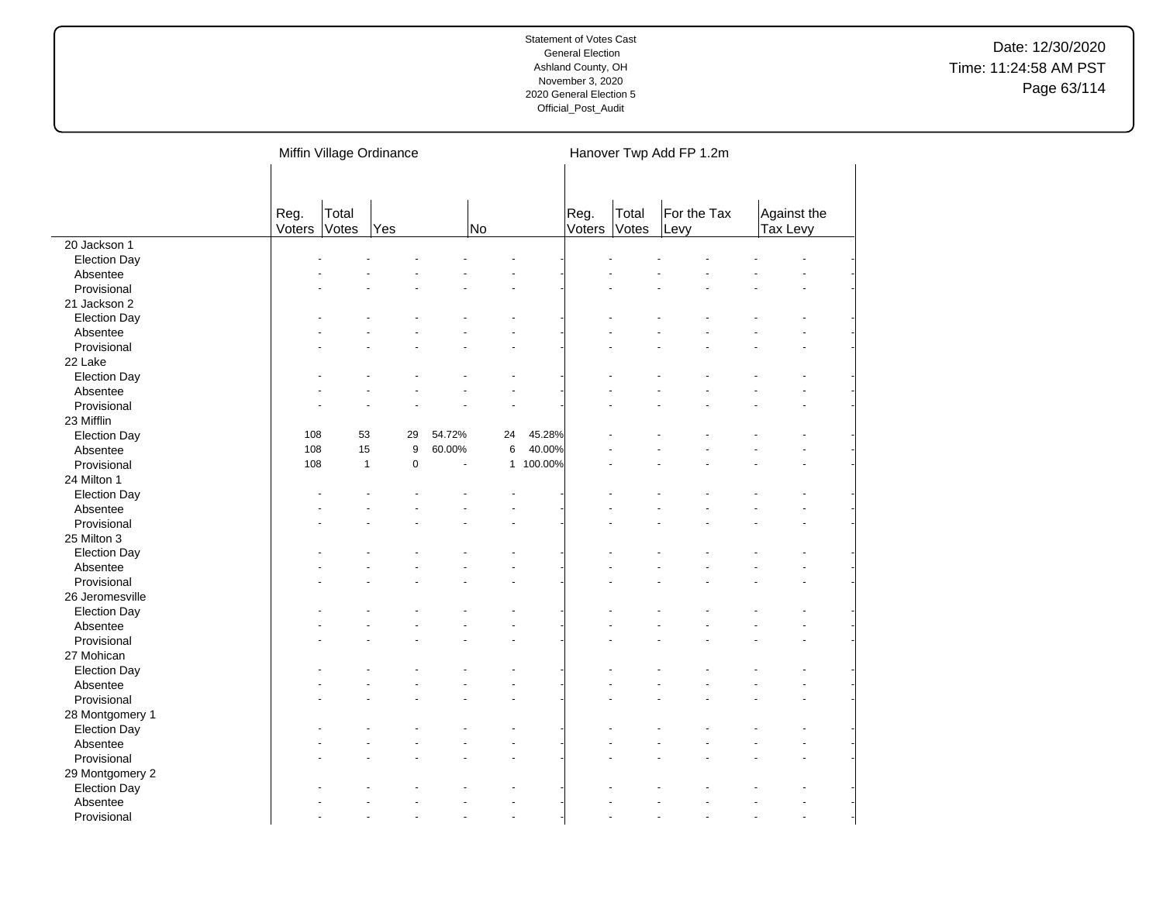|                     |                | Miffin Village Ordinance |           |        |                |           | Hanover Twp Add FP 1.2m |                |                     |  |                         |  |  |
|---------------------|----------------|--------------------------|-----------|--------|----------------|-----------|-------------------------|----------------|---------------------|--|-------------------------|--|--|
|                     | Reg.<br>Voters | Total<br>Votes           | Yes       |        | No             |           | Reg.<br>Voters          | Total<br>Votes | For the Tax<br>Levy |  | Against the<br>Tax Levy |  |  |
| 20 Jackson 1        |                |                          |           |        |                |           |                         |                |                     |  |                         |  |  |
| <b>Election Day</b> |                |                          |           |        |                |           |                         |                |                     |  |                         |  |  |
| Absentee            |                |                          |           |        |                |           |                         |                |                     |  |                         |  |  |
| Provisional         |                |                          |           |        |                |           |                         |                |                     |  |                         |  |  |
| 21 Jackson 2        |                |                          |           |        |                |           |                         |                |                     |  |                         |  |  |
| <b>Election Day</b> |                |                          |           |        |                |           |                         |                |                     |  |                         |  |  |
| Absentee            |                |                          |           |        |                |           |                         |                |                     |  |                         |  |  |
| Provisional         |                |                          |           |        |                |           |                         |                |                     |  |                         |  |  |
| 22 Lake             |                |                          |           |        |                |           |                         |                |                     |  |                         |  |  |
| <b>Election Day</b> |                |                          |           |        |                |           |                         |                |                     |  |                         |  |  |
| Absentee            |                |                          |           |        | $\overline{a}$ |           |                         |                |                     |  |                         |  |  |
| Provisional         |                |                          |           |        |                |           |                         |                |                     |  |                         |  |  |
| 23 Mifflin          |                |                          |           |        |                |           |                         |                |                     |  |                         |  |  |
| <b>Election Day</b> | 108            | 53                       | 29        | 54.72% | 24             | 45.28%    |                         |                |                     |  |                         |  |  |
| Absentee            | 108            | 15                       | 9         | 60.00% | 6              | 40.00%    |                         |                |                     |  |                         |  |  |
| Provisional         | 108            | $\mathbf{1}$             | $\pmb{0}$ | ÷,     |                | 1 100.00% |                         |                |                     |  |                         |  |  |
| 24 Milton 1         |                |                          |           |        |                |           |                         |                |                     |  |                         |  |  |
| <b>Election Day</b> |                |                          |           |        | ÷.             |           |                         |                |                     |  |                         |  |  |
| Absentee            |                |                          |           |        |                |           |                         |                |                     |  |                         |  |  |
| Provisional         |                |                          |           |        |                |           |                         |                |                     |  |                         |  |  |
| 25 Milton 3         |                |                          |           |        |                |           |                         |                |                     |  |                         |  |  |
| <b>Election Day</b> |                |                          |           |        |                |           |                         |                |                     |  |                         |  |  |
| Absentee            |                |                          |           |        |                |           |                         |                |                     |  |                         |  |  |
| Provisional         |                |                          |           |        |                |           |                         |                |                     |  |                         |  |  |
| 26 Jeromesville     |                |                          |           |        |                |           |                         |                |                     |  |                         |  |  |
| <b>Election Day</b> |                |                          |           |        |                |           |                         |                |                     |  |                         |  |  |
| Absentee            |                |                          |           |        |                |           |                         |                |                     |  |                         |  |  |
| Provisional         |                |                          |           |        |                |           |                         |                |                     |  |                         |  |  |
| 27 Mohican          |                |                          |           |        |                |           |                         |                |                     |  |                         |  |  |
| <b>Election Day</b> |                |                          |           |        |                |           |                         |                |                     |  |                         |  |  |
| Absentee            |                |                          |           |        |                |           |                         |                |                     |  |                         |  |  |
| Provisional         |                |                          |           |        |                |           |                         |                |                     |  |                         |  |  |
| 28 Montgomery 1     |                |                          |           |        |                |           |                         |                |                     |  |                         |  |  |
| <b>Election Day</b> |                |                          |           |        |                |           |                         |                |                     |  |                         |  |  |
| Absentee            |                |                          |           |        |                |           |                         |                |                     |  |                         |  |  |
| Provisional         |                |                          |           |        |                |           |                         |                |                     |  |                         |  |  |
| 29 Montgomery 2     |                |                          |           |        |                |           |                         |                |                     |  |                         |  |  |
| <b>Election Day</b> |                |                          |           |        |                |           |                         |                |                     |  |                         |  |  |
| Absentee            |                |                          |           |        |                |           |                         |                |                     |  |                         |  |  |
| Provisional         |                |                          |           |        | $\overline{a}$ |           |                         |                |                     |  |                         |  |  |
|                     |                |                          |           |        |                |           |                         |                |                     |  |                         |  |  |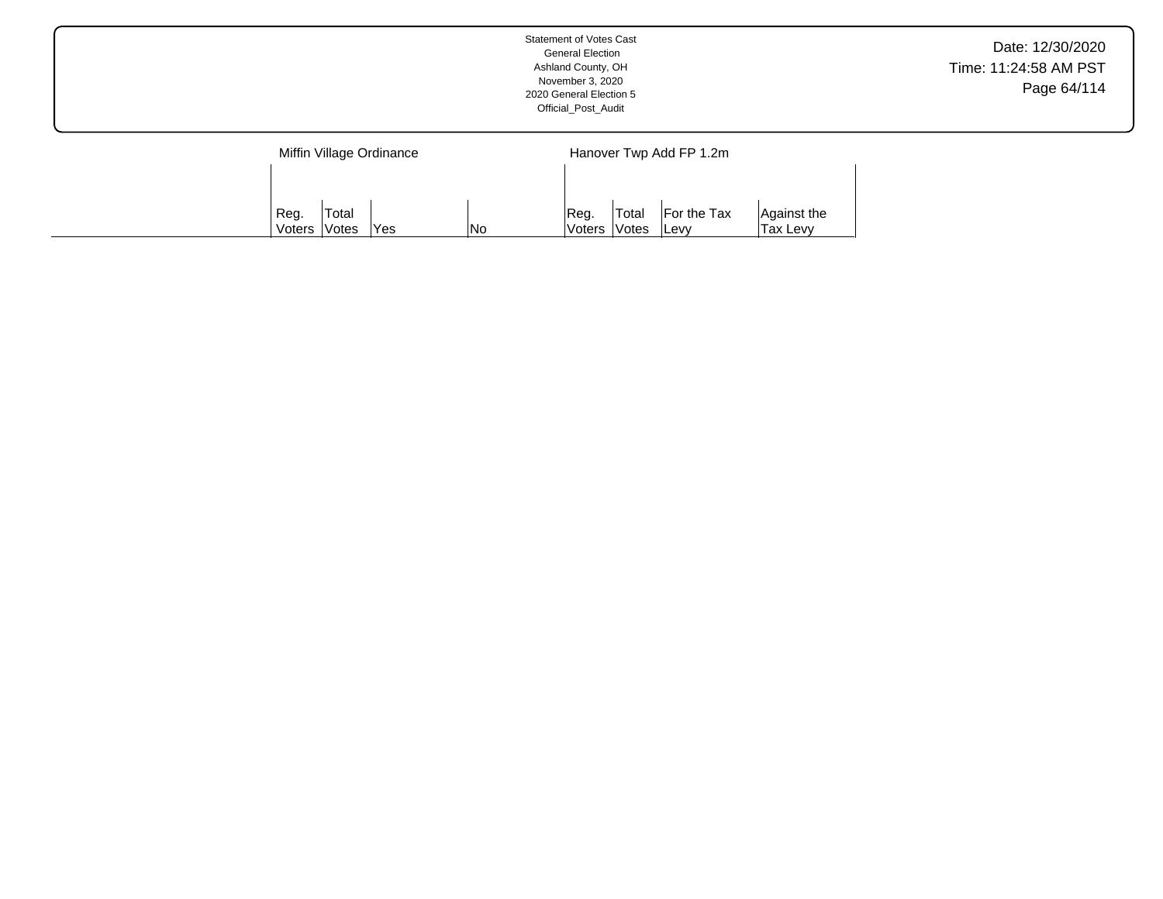|                          | Statement of Votes Cast<br><b>General Election</b><br>Ashland County, OH<br>November 3, 2020<br>2020 General Election 5<br>Official_Post_Audit | Date: 12/30/2020<br>Time: 11:24:58 AM PST<br>Page 64/114 |
|--------------------------|------------------------------------------------------------------------------------------------------------------------------------------------|----------------------------------------------------------|
| Miffin Village Ordinance | Hanover Twp Add FP 1.2m                                                                                                                        |                                                          |
|                          |                                                                                                                                                |                                                          |

Reg. Voters Total Votes For the Tax Levy

Against the Tax Levy

Reg. Voters Total

Votes | Yes | No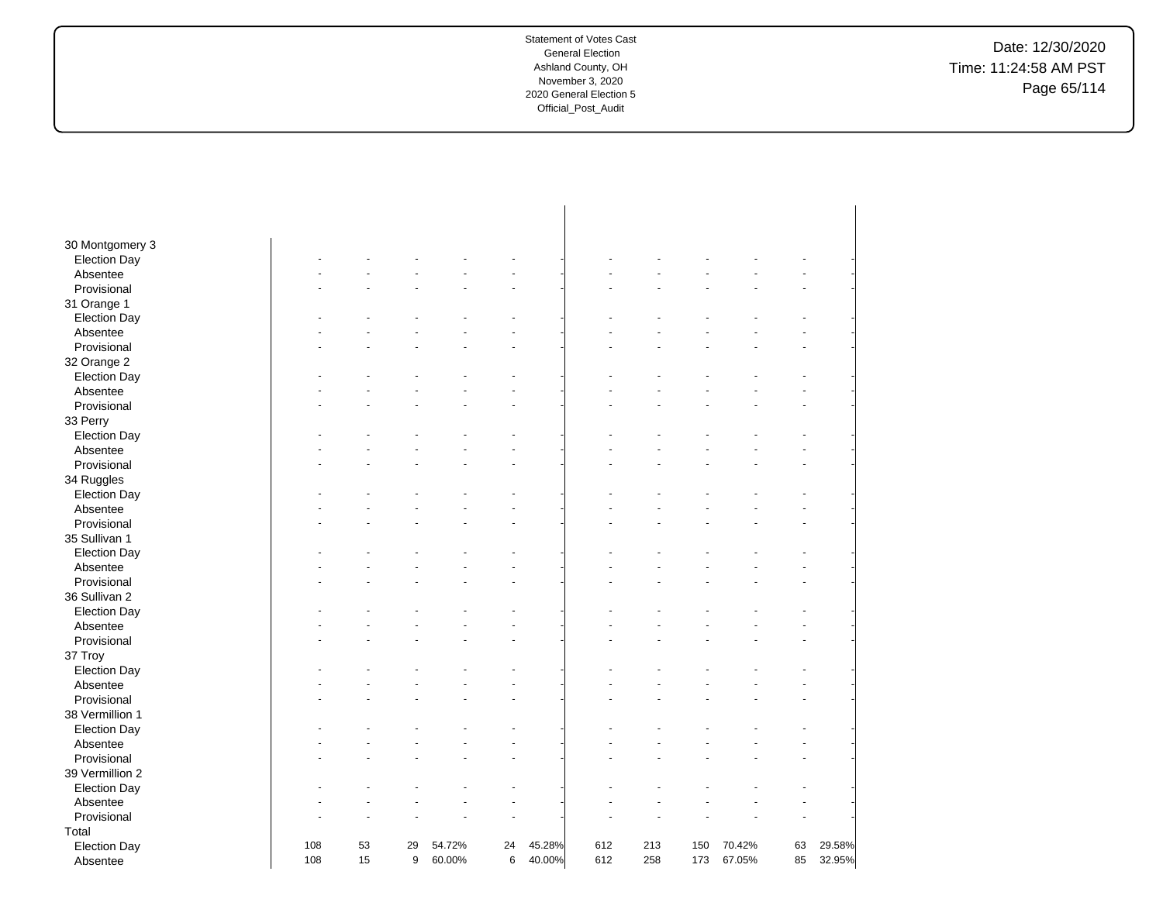Date: 12/30/2020 Time: 11:24:58 AM PST Page 65/114

| 30 Montgomery 3                 |     |    |    |        |    |        |     |     |     |        |    |        |
|---------------------------------|-----|----|----|--------|----|--------|-----|-----|-----|--------|----|--------|
| <b>Election Day</b>             |     |    |    |        |    |        |     |     |     |        |    |        |
| Absentee                        |     |    |    |        |    |        |     |     |     |        |    |        |
| Provisional                     |     |    |    |        |    |        |     |     |     |        |    |        |
| 31 Orange 1                     |     |    |    |        |    |        |     |     |     |        |    |        |
| <b>Election Day</b>             |     |    |    |        |    |        |     |     |     |        |    |        |
| Absentee                        |     |    |    |        |    |        |     |     |     |        |    |        |
| Provisional                     |     |    |    |        |    |        |     |     |     |        |    |        |
| 32 Orange 2                     |     |    |    |        |    |        |     |     |     |        |    |        |
| <b>Election Day</b>             |     |    |    |        |    |        |     |     |     |        |    |        |
| Absentee                        |     |    |    |        |    |        |     |     |     |        |    |        |
| Provisional                     |     |    |    |        |    |        |     |     |     |        |    |        |
| 33 Perry                        |     |    |    |        |    |        |     |     |     |        |    |        |
| <b>Election Day</b>             |     |    |    |        |    |        |     |     |     |        |    |        |
| Absentee                        |     |    |    |        |    |        |     |     |     |        |    |        |
| Provisional                     |     |    |    |        |    |        |     |     |     |        |    |        |
| 34 Ruggles                      |     |    |    |        |    |        |     |     |     |        |    |        |
| <b>Election Day</b>             |     |    |    |        |    |        |     |     |     |        |    |        |
| Absentee                        |     |    |    |        |    |        |     |     |     |        |    |        |
| Provisional                     |     |    |    |        |    |        |     |     |     |        |    |        |
| 35 Sullivan 1                   |     |    |    |        |    |        |     |     |     |        |    |        |
| <b>Election Day</b>             |     |    |    |        |    |        |     |     |     |        |    |        |
| Absentee                        |     |    |    |        |    |        |     |     |     |        |    |        |
| Provisional                     |     |    |    |        |    |        |     |     |     |        |    |        |
| 36 Sullivan 2                   |     |    |    |        |    |        |     |     |     |        |    |        |
| <b>Election Day</b>             |     |    |    |        |    |        |     |     |     |        |    |        |
| Absentee                        |     |    |    |        |    |        |     |     |     |        |    |        |
| Provisional                     |     |    |    |        |    |        |     |     |     |        |    |        |
| 37 Troy                         |     |    |    |        |    |        |     |     |     |        |    |        |
| <b>Election Day</b>             |     |    |    |        |    |        |     |     |     |        |    |        |
| Absentee                        |     |    |    |        |    |        |     |     |     |        |    |        |
| Provisional                     |     |    |    |        |    |        |     |     |     |        |    |        |
| 38 Vermillion 1                 |     |    |    |        |    |        |     |     |     |        |    |        |
| <b>Election Day</b>             |     |    |    |        |    |        |     |     |     |        |    |        |
| Absentee                        |     |    |    |        |    |        |     |     |     |        |    |        |
| Provisional                     |     |    |    |        |    |        |     |     |     |        |    |        |
| 39 Vermillion 2                 |     |    |    |        |    |        |     |     |     |        |    |        |
| <b>Election Day</b>             |     |    |    |        |    |        |     |     |     |        |    |        |
| Absentee                        |     |    |    |        |    |        |     |     |     |        |    |        |
| Provisional                     |     |    |    |        |    |        |     |     |     |        |    |        |
| Total                           |     |    |    |        |    |        |     |     |     |        |    |        |
|                                 | 108 | 53 | 29 | 54.72% | 24 | 45.28% | 612 | 213 | 150 | 70.42% | 63 | 29.58% |
| <b>Election Day</b><br>Absentee | 108 | 15 | 9  | 60.00% | 6  | 40.00% | 612 | 258 | 173 | 67.05% | 85 | 32.95% |
|                                 |     |    |    |        |    |        |     |     |     |        |    |        |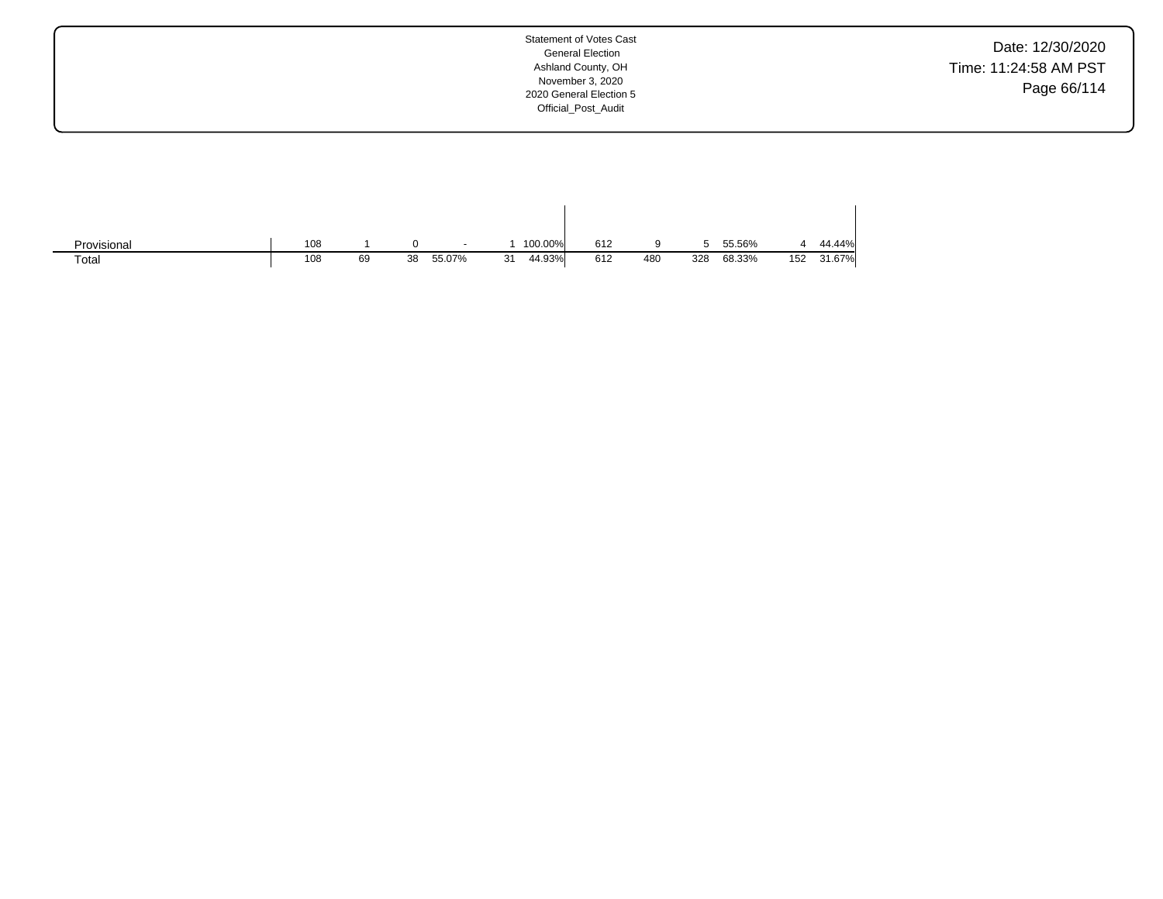Date: 12/30/2020 Time: 11:24:58 AM PST Page 66/114

| Provisional | 108 |    |    | $\overline{\phantom{a}}$ |    | 100.00% | 612 |     | ∽<br>w | 55.56% |     | 44.44% |
|-------------|-----|----|----|--------------------------|----|---------|-----|-----|--------|--------|-----|--------|
| Total       | 108 | 69 | 38 | 55.07%                   | 31 | 44.93%  | 612 | 480 | 328    | 68.33% | 152 | 31.67% |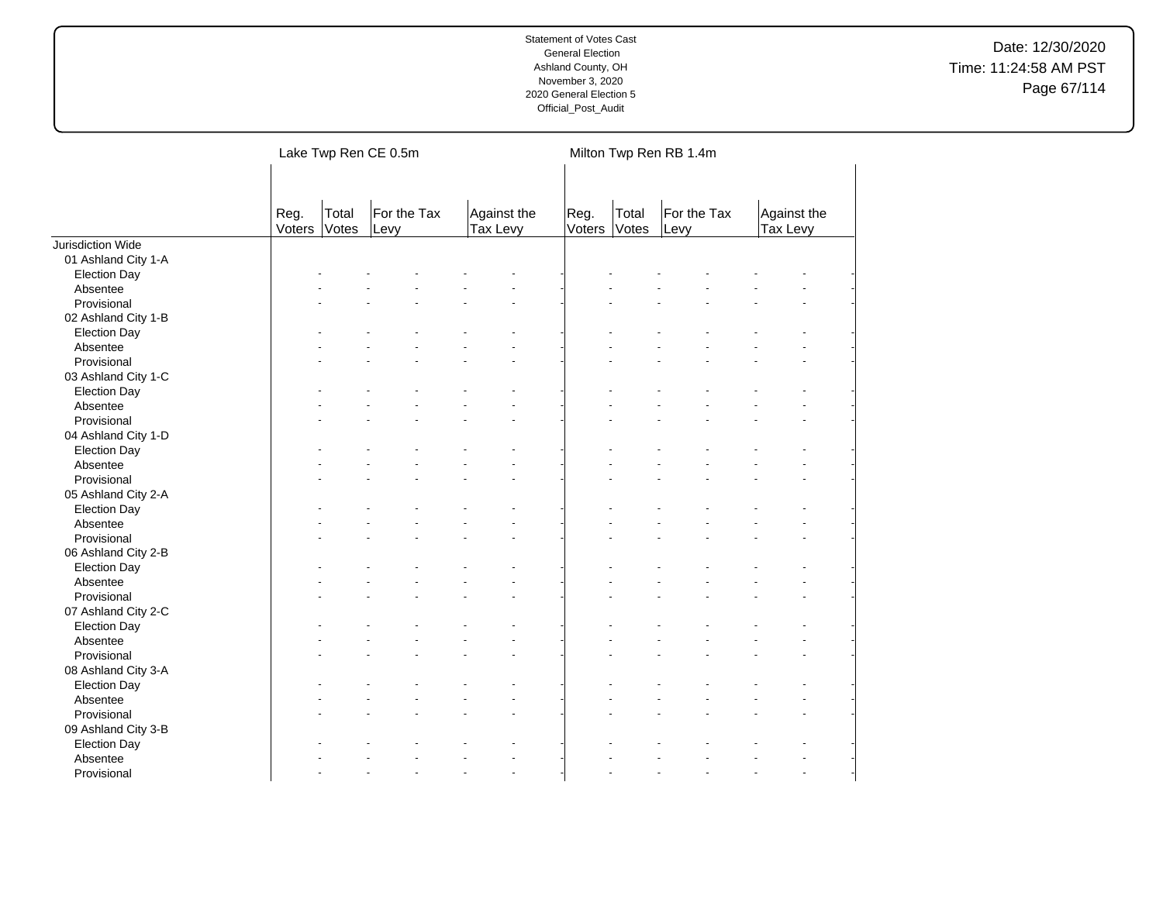| For the Tax<br>For the Tax<br>Total<br>Against the<br>Total<br>Against the<br>Reg.<br>Reg.<br>Votes<br>Tax Levy<br>Voters<br>Votes<br>Tax Levy<br>Voters<br>Levy<br>Levy<br>Jurisdiction Wide<br>01 Ashland City 1-A<br><b>Election Day</b><br>Absentee<br>Provisional<br>02 Ashland City 1-B<br><b>Election Day</b><br>Absentee<br>Provisional<br>03 Ashland City 1-C<br><b>Election Day</b><br>Absentee<br>Provisional<br>04 Ashland City 1-D<br><b>Election Day</b><br>Absentee<br>Provisional<br>05 Ashland City 2-A<br><b>Election Day</b><br>Absentee<br>Provisional<br>06 Ashland City 2-B<br><b>Election Day</b><br>Absentee<br>Provisional<br>07 Ashland City 2-C<br><b>Election Day</b><br>Absentee<br>Provisional<br>08 Ashland City 3-A<br><b>Election Day</b><br>Absentee<br>Provisional<br>09 Ashland City 3-B<br><b>Election Day</b> | Lake Twp Ren CE 0.5m |  | Milton Twp Ren RB 1.4m |  |  |  |  |  |
|-----------------------------------------------------------------------------------------------------------------------------------------------------------------------------------------------------------------------------------------------------------------------------------------------------------------------------------------------------------------------------------------------------------------------------------------------------------------------------------------------------------------------------------------------------------------------------------------------------------------------------------------------------------------------------------------------------------------------------------------------------------------------------------------------------------------------------------------------------|----------------------|--|------------------------|--|--|--|--|--|
|                                                                                                                                                                                                                                                                                                                                                                                                                                                                                                                                                                                                                                                                                                                                                                                                                                                     |                      |  |                        |  |  |  |  |  |
|                                                                                                                                                                                                                                                                                                                                                                                                                                                                                                                                                                                                                                                                                                                                                                                                                                                     |                      |  |                        |  |  |  |  |  |
|                                                                                                                                                                                                                                                                                                                                                                                                                                                                                                                                                                                                                                                                                                                                                                                                                                                     |                      |  |                        |  |  |  |  |  |
|                                                                                                                                                                                                                                                                                                                                                                                                                                                                                                                                                                                                                                                                                                                                                                                                                                                     |                      |  |                        |  |  |  |  |  |
|                                                                                                                                                                                                                                                                                                                                                                                                                                                                                                                                                                                                                                                                                                                                                                                                                                                     |                      |  |                        |  |  |  |  |  |
|                                                                                                                                                                                                                                                                                                                                                                                                                                                                                                                                                                                                                                                                                                                                                                                                                                                     |                      |  |                        |  |  |  |  |  |
|                                                                                                                                                                                                                                                                                                                                                                                                                                                                                                                                                                                                                                                                                                                                                                                                                                                     |                      |  |                        |  |  |  |  |  |
|                                                                                                                                                                                                                                                                                                                                                                                                                                                                                                                                                                                                                                                                                                                                                                                                                                                     |                      |  |                        |  |  |  |  |  |
|                                                                                                                                                                                                                                                                                                                                                                                                                                                                                                                                                                                                                                                                                                                                                                                                                                                     |                      |  |                        |  |  |  |  |  |
|                                                                                                                                                                                                                                                                                                                                                                                                                                                                                                                                                                                                                                                                                                                                                                                                                                                     |                      |  |                        |  |  |  |  |  |
|                                                                                                                                                                                                                                                                                                                                                                                                                                                                                                                                                                                                                                                                                                                                                                                                                                                     |                      |  |                        |  |  |  |  |  |
|                                                                                                                                                                                                                                                                                                                                                                                                                                                                                                                                                                                                                                                                                                                                                                                                                                                     |                      |  |                        |  |  |  |  |  |
|                                                                                                                                                                                                                                                                                                                                                                                                                                                                                                                                                                                                                                                                                                                                                                                                                                                     |                      |  |                        |  |  |  |  |  |
|                                                                                                                                                                                                                                                                                                                                                                                                                                                                                                                                                                                                                                                                                                                                                                                                                                                     |                      |  |                        |  |  |  |  |  |
|                                                                                                                                                                                                                                                                                                                                                                                                                                                                                                                                                                                                                                                                                                                                                                                                                                                     |                      |  |                        |  |  |  |  |  |
|                                                                                                                                                                                                                                                                                                                                                                                                                                                                                                                                                                                                                                                                                                                                                                                                                                                     |                      |  |                        |  |  |  |  |  |
|                                                                                                                                                                                                                                                                                                                                                                                                                                                                                                                                                                                                                                                                                                                                                                                                                                                     |                      |  |                        |  |  |  |  |  |
|                                                                                                                                                                                                                                                                                                                                                                                                                                                                                                                                                                                                                                                                                                                                                                                                                                                     |                      |  |                        |  |  |  |  |  |
|                                                                                                                                                                                                                                                                                                                                                                                                                                                                                                                                                                                                                                                                                                                                                                                                                                                     |                      |  |                        |  |  |  |  |  |
|                                                                                                                                                                                                                                                                                                                                                                                                                                                                                                                                                                                                                                                                                                                                                                                                                                                     |                      |  |                        |  |  |  |  |  |
|                                                                                                                                                                                                                                                                                                                                                                                                                                                                                                                                                                                                                                                                                                                                                                                                                                                     |                      |  |                        |  |  |  |  |  |
|                                                                                                                                                                                                                                                                                                                                                                                                                                                                                                                                                                                                                                                                                                                                                                                                                                                     |                      |  |                        |  |  |  |  |  |
|                                                                                                                                                                                                                                                                                                                                                                                                                                                                                                                                                                                                                                                                                                                                                                                                                                                     |                      |  |                        |  |  |  |  |  |
|                                                                                                                                                                                                                                                                                                                                                                                                                                                                                                                                                                                                                                                                                                                                                                                                                                                     |                      |  |                        |  |  |  |  |  |
|                                                                                                                                                                                                                                                                                                                                                                                                                                                                                                                                                                                                                                                                                                                                                                                                                                                     |                      |  |                        |  |  |  |  |  |
|                                                                                                                                                                                                                                                                                                                                                                                                                                                                                                                                                                                                                                                                                                                                                                                                                                                     |                      |  |                        |  |  |  |  |  |
|                                                                                                                                                                                                                                                                                                                                                                                                                                                                                                                                                                                                                                                                                                                                                                                                                                                     |                      |  |                        |  |  |  |  |  |
|                                                                                                                                                                                                                                                                                                                                                                                                                                                                                                                                                                                                                                                                                                                                                                                                                                                     |                      |  |                        |  |  |  |  |  |
|                                                                                                                                                                                                                                                                                                                                                                                                                                                                                                                                                                                                                                                                                                                                                                                                                                                     |                      |  |                        |  |  |  |  |  |
|                                                                                                                                                                                                                                                                                                                                                                                                                                                                                                                                                                                                                                                                                                                                                                                                                                                     |                      |  |                        |  |  |  |  |  |
|                                                                                                                                                                                                                                                                                                                                                                                                                                                                                                                                                                                                                                                                                                                                                                                                                                                     |                      |  |                        |  |  |  |  |  |
|                                                                                                                                                                                                                                                                                                                                                                                                                                                                                                                                                                                                                                                                                                                                                                                                                                                     |                      |  |                        |  |  |  |  |  |
|                                                                                                                                                                                                                                                                                                                                                                                                                                                                                                                                                                                                                                                                                                                                                                                                                                                     |                      |  |                        |  |  |  |  |  |
|                                                                                                                                                                                                                                                                                                                                                                                                                                                                                                                                                                                                                                                                                                                                                                                                                                                     |                      |  |                        |  |  |  |  |  |
|                                                                                                                                                                                                                                                                                                                                                                                                                                                                                                                                                                                                                                                                                                                                                                                                                                                     |                      |  |                        |  |  |  |  |  |
|                                                                                                                                                                                                                                                                                                                                                                                                                                                                                                                                                                                                                                                                                                                                                                                                                                                     |                      |  |                        |  |  |  |  |  |
| Absentee                                                                                                                                                                                                                                                                                                                                                                                                                                                                                                                                                                                                                                                                                                                                                                                                                                            |                      |  |                        |  |  |  |  |  |
| Provisional<br>$\ddot{\phantom{1}}$<br>$\blacksquare$                                                                                                                                                                                                                                                                                                                                                                                                                                                                                                                                                                                                                                                                                                                                                                                               |                      |  |                        |  |  |  |  |  |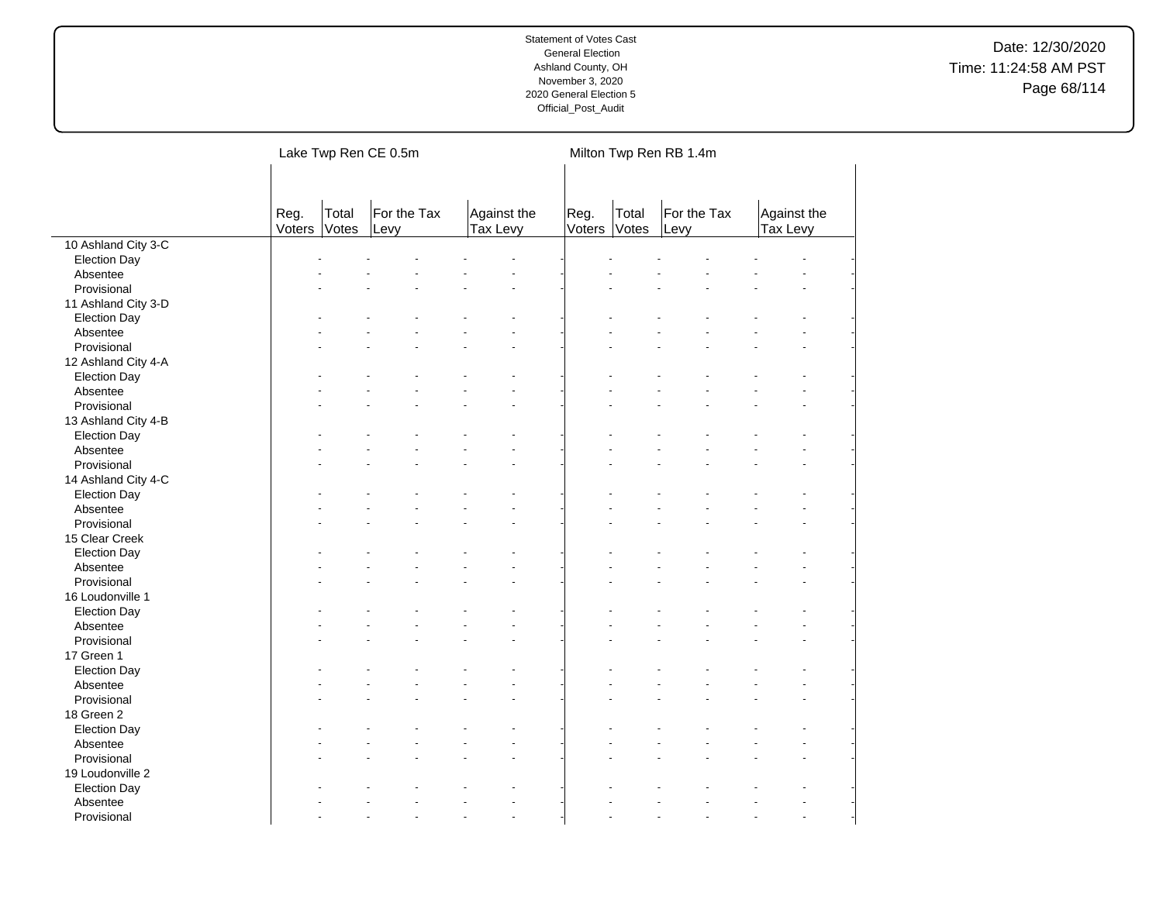|                     |                |                | Lake Twp Ren CE 0.5m |                         | Milton Twp Ren RB 1.4m |                |                     |                         |  |  |
|---------------------|----------------|----------------|----------------------|-------------------------|------------------------|----------------|---------------------|-------------------------|--|--|
|                     | Reg.<br>Voters | Total<br>Votes | For the Tax<br>Levy  | Against the<br>Tax Levy | Reg.<br>Voters         | Total<br>Votes | For the Tax<br>Levy | Against the<br>Tax Levy |  |  |
| 10 Ashland City 3-C |                |                |                      |                         |                        |                |                     |                         |  |  |
| <b>Election Day</b> |                |                |                      |                         |                        |                |                     |                         |  |  |
| Absentee            |                |                |                      |                         |                        |                |                     |                         |  |  |
| Provisional         |                |                |                      |                         |                        |                |                     |                         |  |  |
| 11 Ashland City 3-D |                |                |                      |                         |                        |                |                     |                         |  |  |
| <b>Election Day</b> |                |                |                      |                         |                        |                |                     |                         |  |  |
| Absentee            |                |                |                      |                         |                        |                |                     |                         |  |  |
| Provisional         |                |                |                      |                         |                        |                |                     |                         |  |  |
| 12 Ashland City 4-A |                |                |                      |                         |                        |                |                     |                         |  |  |
| <b>Election Day</b> |                |                |                      |                         |                        |                |                     |                         |  |  |
| Absentee            |                |                |                      |                         |                        |                |                     |                         |  |  |
| Provisional         |                |                |                      |                         |                        |                |                     |                         |  |  |
| 13 Ashland City 4-B |                |                |                      |                         |                        |                |                     |                         |  |  |
| <b>Election Day</b> |                |                |                      |                         |                        |                |                     |                         |  |  |
| Absentee            |                |                |                      |                         |                        |                |                     |                         |  |  |
| Provisional         |                |                |                      |                         |                        |                |                     |                         |  |  |
| 14 Ashland City 4-C |                |                |                      |                         |                        |                |                     |                         |  |  |
| <b>Election Day</b> |                |                |                      |                         |                        |                |                     |                         |  |  |
| Absentee            |                |                |                      |                         |                        |                |                     |                         |  |  |
| Provisional         |                |                |                      |                         |                        |                |                     |                         |  |  |
| 15 Clear Creek      |                |                |                      |                         |                        |                |                     |                         |  |  |
| <b>Election Day</b> |                |                |                      |                         |                        |                |                     |                         |  |  |
| Absentee            |                |                |                      |                         |                        |                |                     |                         |  |  |
| Provisional         |                |                |                      |                         |                        |                |                     |                         |  |  |
| 16 Loudonville 1    |                |                |                      |                         |                        |                |                     |                         |  |  |
| <b>Election Day</b> |                |                |                      |                         |                        |                |                     |                         |  |  |
| Absentee            |                |                |                      |                         |                        |                |                     |                         |  |  |
| Provisional         |                |                |                      |                         |                        |                |                     |                         |  |  |
| 17 Green 1          |                |                |                      |                         |                        |                |                     |                         |  |  |
| <b>Election Day</b> |                |                |                      |                         |                        |                |                     |                         |  |  |
| Absentee            |                |                |                      |                         |                        |                |                     |                         |  |  |
| Provisional         |                |                |                      |                         |                        |                |                     |                         |  |  |
| 18 Green 2          |                |                |                      |                         |                        |                |                     |                         |  |  |
| <b>Election Day</b> |                |                |                      |                         |                        |                |                     |                         |  |  |
| Absentee            |                |                |                      |                         |                        |                |                     |                         |  |  |
| Provisional         |                |                |                      |                         |                        |                |                     |                         |  |  |
| 19 Loudonville 2    |                |                |                      |                         |                        |                |                     |                         |  |  |
| <b>Election Day</b> |                |                |                      |                         |                        |                |                     |                         |  |  |
| Absentee            |                |                |                      |                         |                        |                |                     |                         |  |  |
| Provisional         |                |                |                      | $\overline{a}$          |                        |                |                     |                         |  |  |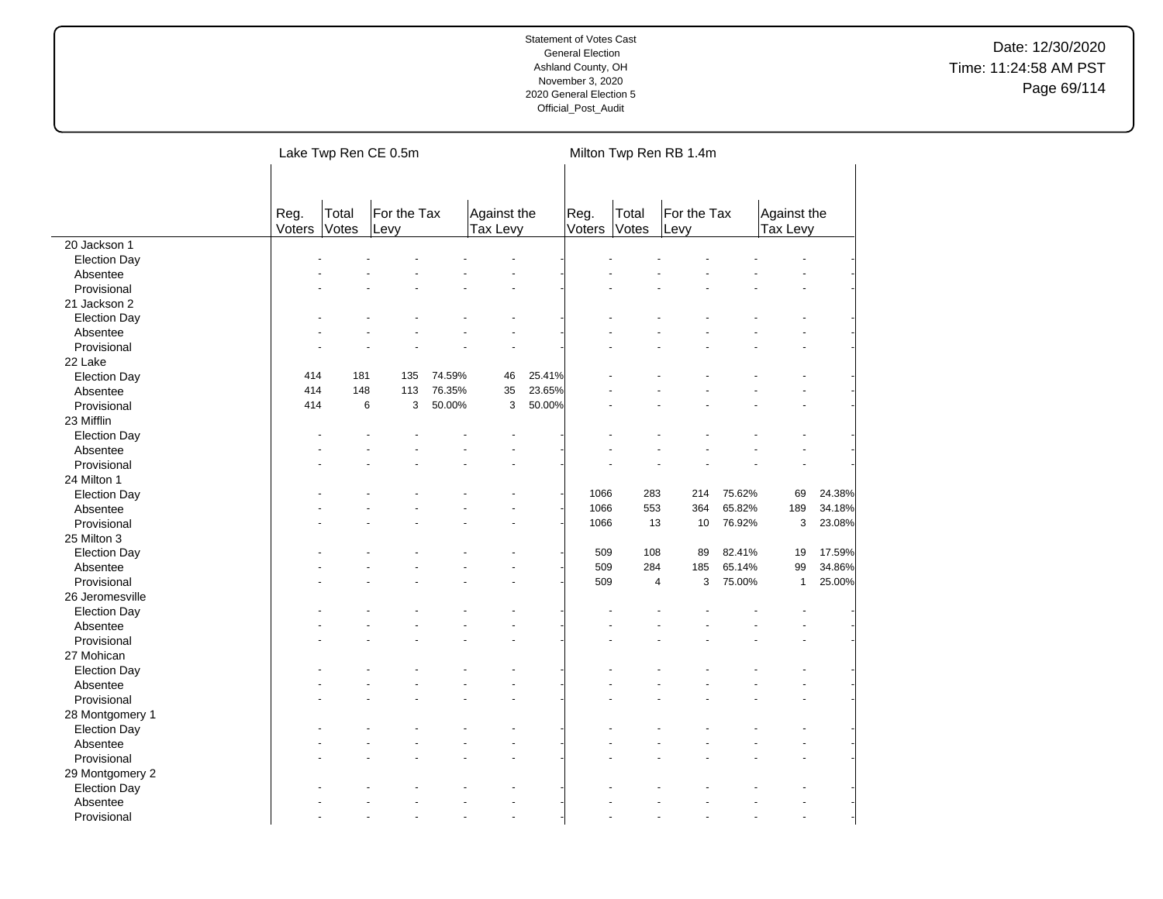|                     |                |                | Lake Twp Ren CE 0.5m |        |                         |        |                |                | Milton Twp Ren RB 1.4m |        |                         |        |
|---------------------|----------------|----------------|----------------------|--------|-------------------------|--------|----------------|----------------|------------------------|--------|-------------------------|--------|
|                     | Reg.<br>Voters | Total<br>Votes | For the Tax<br>Levy  |        | Against the<br>Tax Levy |        | Reg.<br>Voters | Total<br>Votes | For the Tax<br>Levy    |        | Against the<br>Tax Levy |        |
| 20 Jackson 1        |                |                |                      |        |                         |        |                |                |                        |        |                         |        |
| <b>Election Day</b> |                |                |                      |        |                         |        |                |                |                        |        |                         |        |
| Absentee            |                |                |                      |        |                         |        |                |                |                        |        |                         |        |
| Provisional         |                |                |                      |        |                         |        |                |                |                        |        |                         |        |
| 21 Jackson 2        |                |                |                      |        |                         |        |                |                |                        |        |                         |        |
| <b>Election Day</b> |                |                |                      |        |                         |        |                |                |                        |        |                         |        |
| Absentee            |                |                |                      |        |                         |        |                |                |                        |        |                         |        |
| Provisional         |                |                |                      |        |                         |        |                |                |                        |        |                         |        |
| 22 Lake             |                |                |                      |        |                         |        |                |                |                        |        |                         |        |
| <b>Election Day</b> | 414            | 181            | 135                  | 74.59% | 46                      | 25.41% |                |                |                        |        |                         |        |
| Absentee            | 414            | 148            | 113                  | 76.35% | 35                      | 23.65% |                |                |                        |        |                         |        |
| Provisional         | 414            | 6              | 3                    | 50.00% | 3                       | 50.00% |                |                |                        |        |                         |        |
| 23 Mifflin          |                |                |                      |        |                         |        |                |                |                        |        |                         |        |
| <b>Election Day</b> |                |                |                      |        |                         |        |                |                |                        |        |                         |        |
| Absentee            |                |                |                      |        |                         |        |                |                |                        |        |                         |        |
| Provisional         |                |                |                      |        |                         |        |                |                |                        |        |                         |        |
| 24 Milton 1         |                |                |                      |        |                         |        |                |                |                        |        |                         |        |
| <b>Election Day</b> |                |                |                      |        |                         |        | 1066           | 283            | 214                    | 75.62% | 69                      | 24.38% |
| Absentee            |                |                |                      |        |                         |        | 1066           | 553            | 364                    | 65.82% | 189                     | 34.18% |
| Provisional         |                |                |                      |        |                         |        | 1066           | 13             | 10                     | 76.92% | 3                       | 23.08% |
| 25 Milton 3         |                |                |                      |        |                         |        |                |                |                        |        |                         |        |
| <b>Election Day</b> |                |                |                      |        |                         |        | 509            | 108            | 89                     | 82.41% | 19                      | 17.59% |
| Absentee            |                |                |                      |        |                         |        | 509            | 284            | 185                    | 65.14% | 99                      | 34.86% |
| Provisional         |                |                |                      |        |                         |        | 509            | $\overline{4}$ | 3                      | 75.00% | $\mathbf{1}$            | 25.00% |
| 26 Jeromesville     |                |                |                      |        |                         |        |                |                |                        |        |                         |        |
| <b>Election Day</b> |                |                |                      |        |                         |        |                |                |                        |        |                         |        |
| Absentee            |                |                |                      |        |                         |        |                |                |                        |        |                         |        |
| Provisional         |                |                |                      |        |                         |        |                |                |                        |        |                         |        |
| 27 Mohican          |                |                |                      |        |                         |        |                |                |                        |        |                         |        |
| <b>Election Day</b> |                |                |                      |        |                         |        |                |                |                        |        |                         |        |
| Absentee            |                |                |                      |        |                         |        |                |                |                        |        |                         |        |
| Provisional         |                |                |                      |        |                         |        |                |                |                        |        |                         |        |
| 28 Montgomery 1     |                |                |                      |        |                         |        |                |                |                        |        |                         |        |
| <b>Election Day</b> |                |                |                      |        |                         |        |                |                |                        |        |                         |        |
| Absentee            |                |                |                      |        |                         |        |                |                |                        |        |                         |        |
| Provisional         |                |                |                      |        |                         |        |                |                |                        |        |                         |        |
| 29 Montgomery 2     |                |                |                      |        |                         |        |                |                |                        |        |                         |        |
| <b>Election Day</b> |                |                |                      |        |                         |        |                |                |                        |        |                         |        |
| Absentee            |                |                |                      |        |                         |        |                |                |                        |        |                         |        |
| Provisional         |                |                |                      |        | $\overline{a}$          |        |                |                |                        |        |                         |        |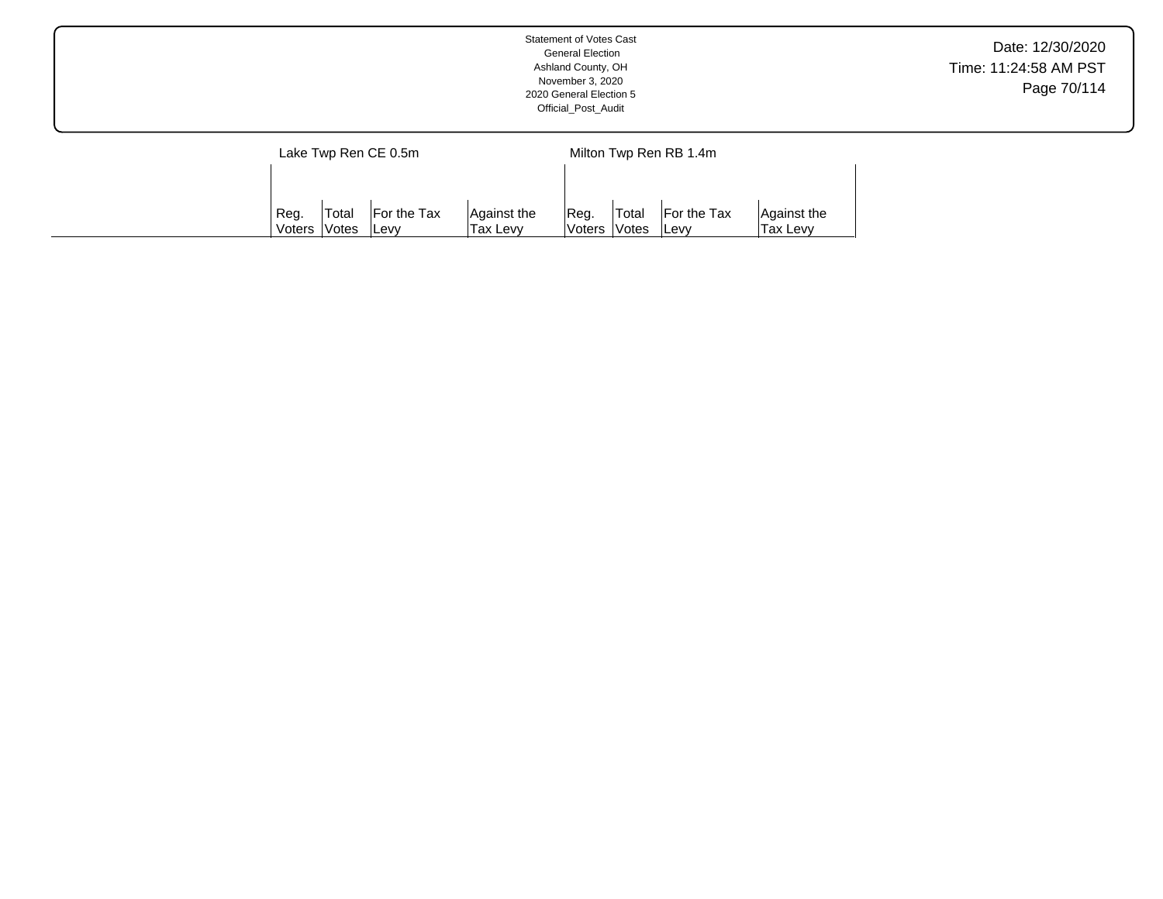|                      | <b>Statement of Votes Cast</b><br><b>General Election</b><br>Ashland County, OH<br>November 3, 2020<br>2020 General Election 5<br>Official_Post_Audit | Date: 12/30/2020<br>Time: 11:24:58 AM PST<br>Page 70/114 |
|----------------------|-------------------------------------------------------------------------------------------------------------------------------------------------------|----------------------------------------------------------|
| Lake Twp Ren CE 0.5m | Milton Twp Ren RB 1.4m                                                                                                                                |                                                          |

Reg. Voters Total Votes For the Tax Levy

Against the Tax Levy

Reg. Voters Total Votes For the Tax Levy

Against the Tax Levy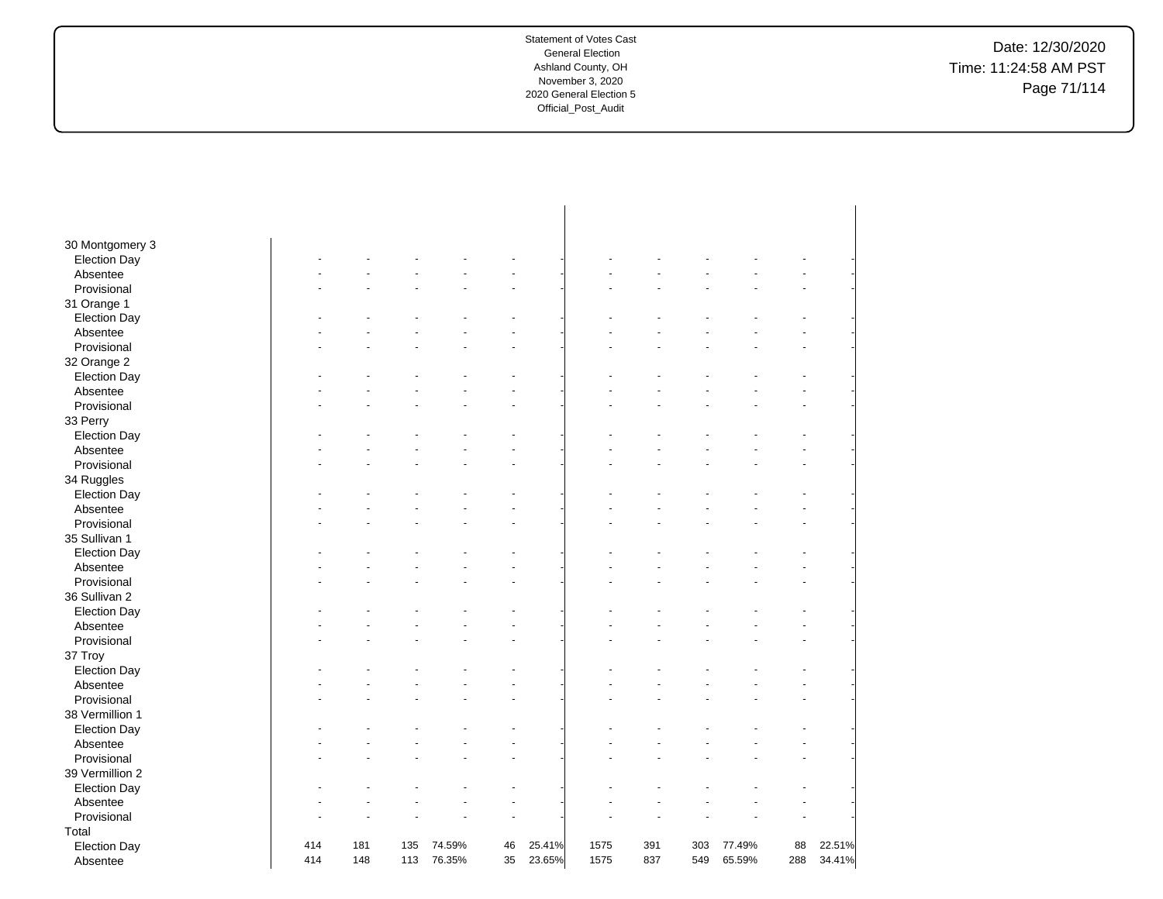Date: 12/30/2020 Time: 11:24:58 AM PST Page 71/114

| 30 Montgomery 3     |     |     |     |        |    |        |      |     |     |        |     |        |
|---------------------|-----|-----|-----|--------|----|--------|------|-----|-----|--------|-----|--------|
| <b>Election Day</b> |     |     |     |        |    |        |      |     |     |        |     |        |
| Absentee            |     |     |     |        |    |        |      |     |     |        |     |        |
| Provisional         |     |     |     |        |    |        |      |     |     |        |     |        |
| 31 Orange 1         |     |     |     |        |    |        |      |     |     |        |     |        |
| <b>Election Day</b> |     |     |     |        |    |        |      |     |     |        |     |        |
| Absentee            |     |     |     |        |    |        |      |     |     |        |     |        |
| Provisional         |     |     |     |        |    |        |      |     |     |        |     |        |
| 32 Orange 2         |     |     |     |        |    |        |      |     |     |        |     |        |
| <b>Election Day</b> |     |     |     |        |    |        |      |     |     |        |     |        |
| Absentee            |     |     |     |        |    |        |      |     |     |        |     |        |
| Provisional         |     |     |     |        |    |        |      |     |     |        |     |        |
| 33 Perry            |     |     |     |        |    |        |      |     |     |        |     |        |
| <b>Election Day</b> |     |     |     |        |    |        |      |     |     |        |     |        |
| Absentee            |     |     |     |        |    |        |      |     |     |        |     |        |
| Provisional         |     |     |     |        |    |        |      |     |     |        |     |        |
| 34 Ruggles          |     |     |     |        |    |        |      |     |     |        |     |        |
| <b>Election Day</b> |     |     |     |        |    |        |      |     |     |        |     |        |
| Absentee            |     |     |     |        |    |        |      |     |     |        |     |        |
| Provisional         |     |     |     |        |    |        |      |     |     |        |     |        |
| 35 Sullivan 1       |     |     |     |        |    |        |      |     |     |        |     |        |
| <b>Election Day</b> |     |     |     |        |    |        |      |     |     |        |     |        |
| Absentee            |     |     |     |        |    |        |      |     |     |        |     |        |
| Provisional         |     |     |     |        |    |        |      |     |     |        |     |        |
| 36 Sullivan 2       |     |     |     |        |    |        |      |     |     |        |     |        |
| <b>Election Day</b> |     |     |     |        |    |        |      |     |     |        |     |        |
| Absentee            |     |     |     |        |    |        |      |     |     |        |     |        |
| Provisional         |     |     |     |        |    |        |      |     |     |        |     |        |
| 37 Troy             |     |     |     |        |    |        |      |     |     |        |     |        |
| <b>Election Day</b> |     |     |     |        |    |        |      |     |     |        |     |        |
| Absentee            |     |     |     |        |    |        |      |     |     |        |     |        |
| Provisional         |     |     |     |        |    |        |      |     |     |        |     |        |
| 38 Vermillion 1     |     |     |     |        |    |        |      |     |     |        |     |        |
| <b>Election Day</b> |     |     |     |        |    |        |      |     |     |        |     |        |
| Absentee            |     |     |     |        |    |        |      |     |     |        |     |        |
| Provisional         |     |     |     |        |    |        |      |     |     |        |     |        |
| 39 Vermillion 2     |     |     |     |        |    |        |      |     |     |        |     |        |
|                     |     |     |     |        |    |        |      |     |     |        |     |        |
| <b>Election Day</b> |     |     |     |        |    |        |      |     |     |        |     |        |
| Absentee            |     |     |     |        |    |        |      |     |     |        |     |        |
| Provisional         |     |     |     |        |    |        |      |     |     |        |     |        |
| Total               |     |     |     |        |    |        |      |     |     |        |     |        |
| <b>Election Day</b> | 414 | 181 | 135 | 74.59% | 46 | 25.41% | 1575 | 391 | 303 | 77.49% | 88  | 22.51% |
| Absentee            | 414 | 148 | 113 | 76.35% | 35 | 23.65% | 1575 | 837 | 549 | 65.59% | 288 | 34.41% |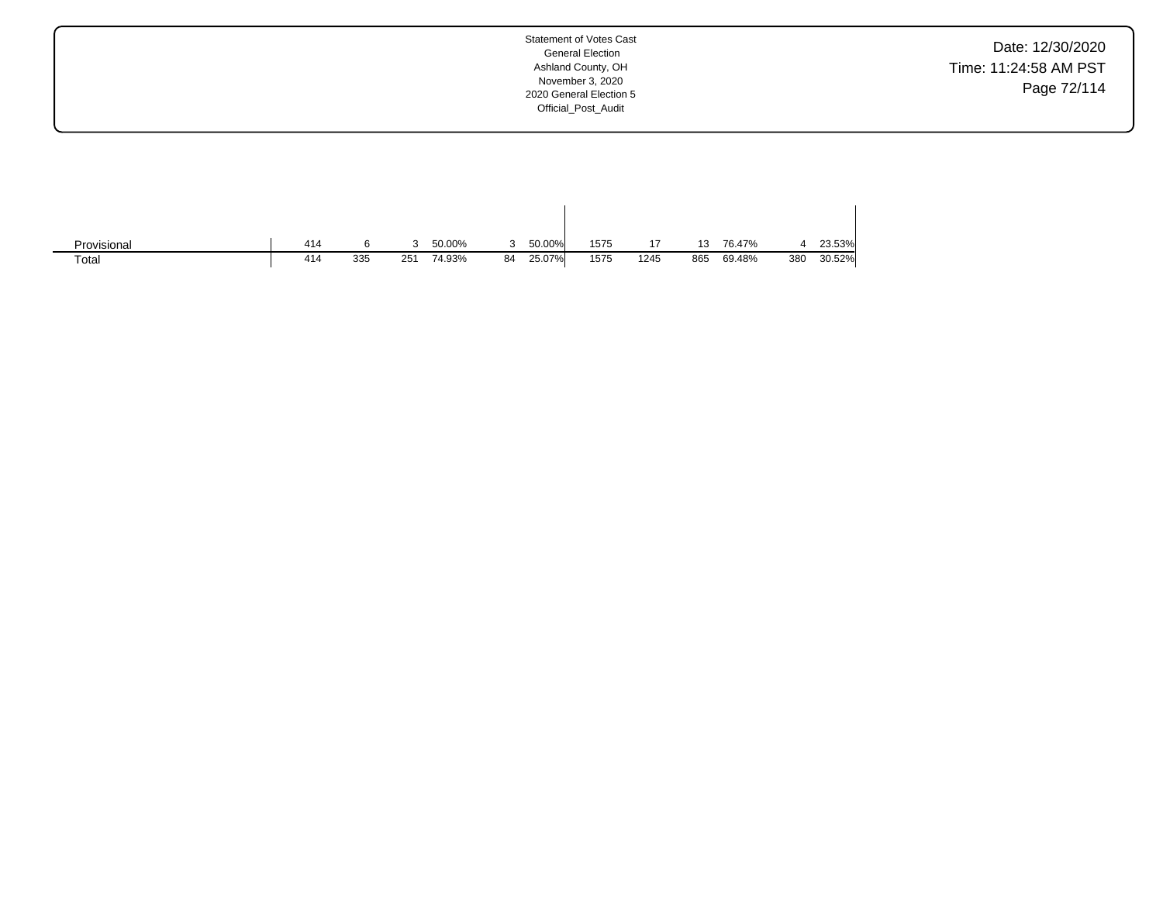Date: 12/30/2020 Time: 11:24:58 AM PST Page 72/114

| Provisional | 414 |     |     | 50.00% |    | 50.00% | 1575 | 17   | 13  | 76.47% |     | 23.53% |
|-------------|-----|-----|-----|--------|----|--------|------|------|-----|--------|-----|--------|
| Totai       | 414 | 335 | 251 | 74.93% | 84 | 25.07% | 1575 | 1245 | 865 | 69.48% | 380 | 30.52% |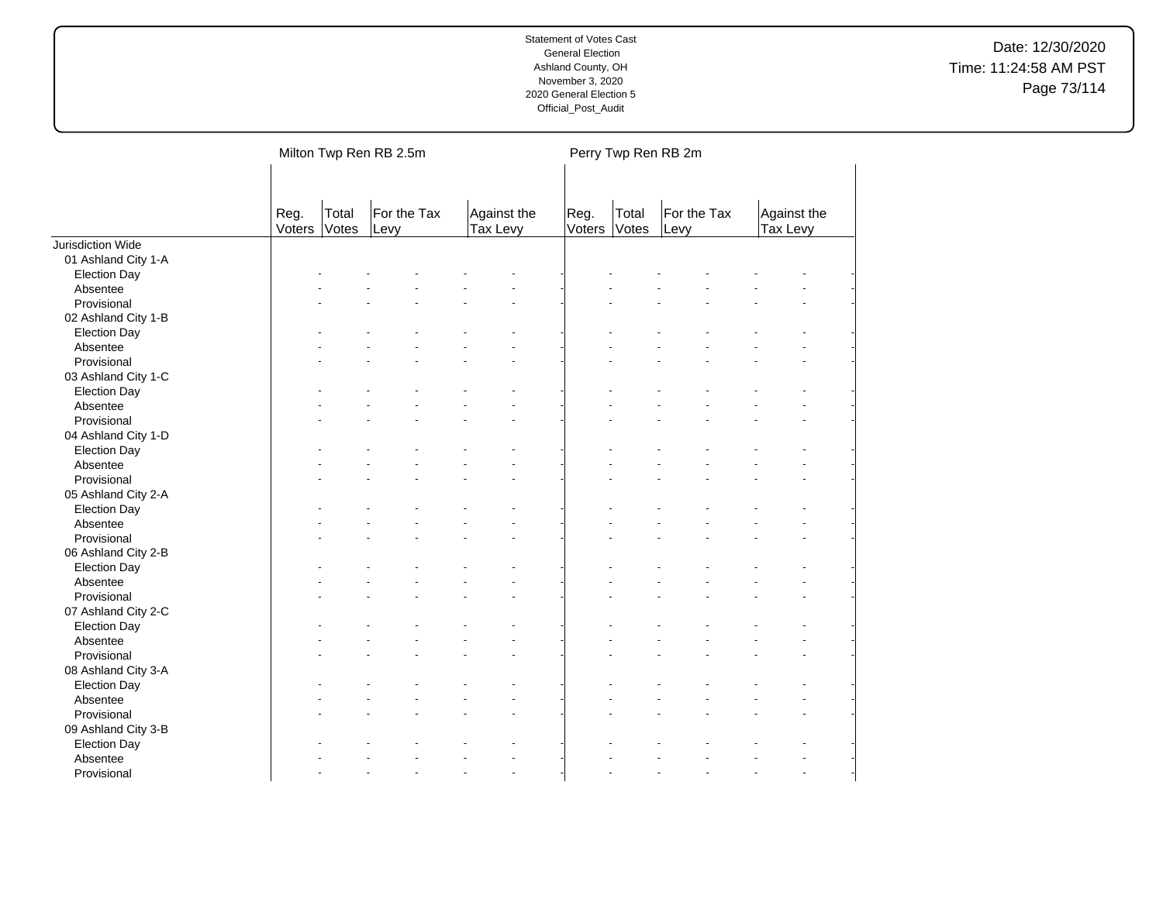|                     |                |                | Milton Twp Ren RB 2.5m |                         |                      | Perry Twp Ren RB 2m |                     |                         |  |
|---------------------|----------------|----------------|------------------------|-------------------------|----------------------|---------------------|---------------------|-------------------------|--|
|                     | Reg.<br>Voters | Total<br>Votes | For the Tax<br>Levy    | Against the<br>Tax Levy | Reg.<br>Voters Votes | Total               | For the Tax<br>Levy | Against the<br>Tax Levy |  |
| Jurisdiction Wide   |                |                |                        |                         |                      |                     |                     |                         |  |
| 01 Ashland City 1-A |                |                |                        |                         |                      |                     |                     |                         |  |
| <b>Election Day</b> |                |                |                        |                         |                      |                     |                     |                         |  |
| Absentee            |                |                |                        |                         |                      |                     |                     |                         |  |
| Provisional         |                |                |                        |                         |                      |                     |                     |                         |  |
| 02 Ashland City 1-B |                |                |                        |                         |                      |                     |                     |                         |  |
| <b>Election Day</b> |                |                |                        |                         |                      |                     |                     |                         |  |
| Absentee            |                |                |                        |                         |                      |                     |                     |                         |  |
| Provisional         |                |                |                        |                         |                      |                     |                     |                         |  |
| 03 Ashland City 1-C |                |                |                        |                         |                      |                     |                     |                         |  |
| <b>Election Day</b> |                |                |                        |                         |                      |                     |                     |                         |  |
| Absentee            |                |                |                        |                         |                      |                     |                     |                         |  |
| Provisional         |                |                |                        |                         |                      |                     |                     |                         |  |
| 04 Ashland City 1-D |                |                |                        |                         |                      |                     |                     |                         |  |
| <b>Election Day</b> |                |                |                        |                         |                      |                     |                     |                         |  |
| Absentee            |                |                |                        |                         |                      |                     |                     |                         |  |
| Provisional         |                |                |                        |                         |                      |                     |                     |                         |  |
| 05 Ashland City 2-A |                |                |                        |                         |                      |                     |                     |                         |  |
| <b>Election Day</b> |                |                |                        |                         |                      |                     |                     |                         |  |
| Absentee            |                |                |                        |                         |                      |                     |                     |                         |  |
| Provisional         |                |                |                        |                         |                      |                     |                     |                         |  |
| 06 Ashland City 2-B |                |                |                        |                         |                      |                     |                     |                         |  |
| <b>Election Day</b> |                |                |                        |                         |                      |                     |                     |                         |  |
| Absentee            |                |                |                        |                         |                      |                     |                     |                         |  |
| Provisional         |                |                |                        |                         |                      |                     |                     |                         |  |
| 07 Ashland City 2-C |                |                |                        |                         |                      |                     |                     |                         |  |
| <b>Election Day</b> |                |                |                        |                         |                      |                     |                     |                         |  |
| Absentee            |                |                |                        |                         |                      |                     |                     |                         |  |
| Provisional         |                |                |                        |                         |                      |                     |                     |                         |  |
| 08 Ashland City 3-A |                |                |                        |                         |                      |                     |                     |                         |  |
| <b>Election Day</b> |                |                |                        |                         |                      |                     |                     |                         |  |
| Absentee            |                |                |                        |                         |                      |                     |                     |                         |  |
| Provisional         |                |                |                        |                         |                      |                     |                     |                         |  |
| 09 Ashland City 3-B |                |                |                        |                         |                      |                     |                     |                         |  |
| <b>Election Day</b> |                |                |                        |                         |                      |                     |                     |                         |  |
| Absentee            |                |                |                        |                         |                      |                     |                     |                         |  |
| Provisional         |                |                |                        | $\ddot{\phantom{1}}$    |                      |                     |                     |                         |  |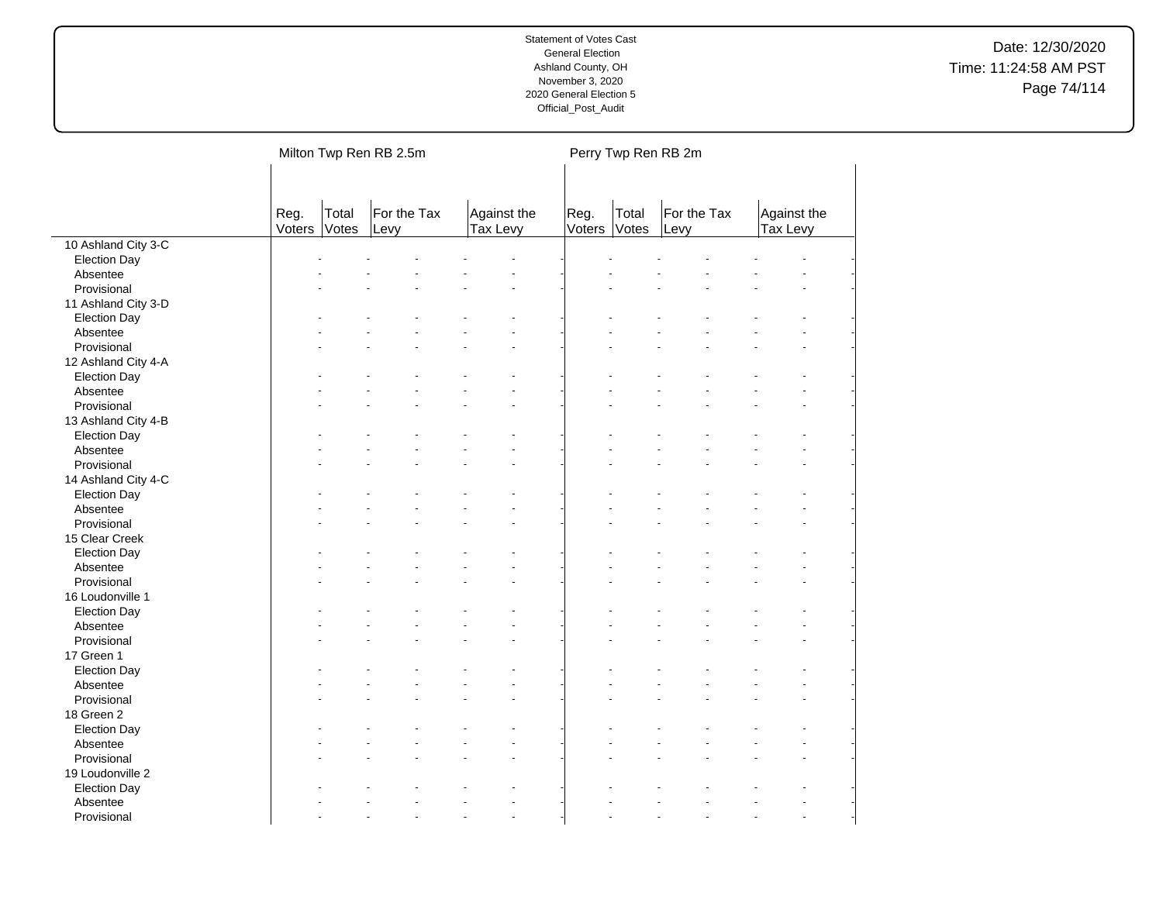|                     |                |                | Milton Twp Ren RB 2.5m |                         |                | Perry Twp Ren RB 2m |                     |                         |  |
|---------------------|----------------|----------------|------------------------|-------------------------|----------------|---------------------|---------------------|-------------------------|--|
|                     | Reg.<br>Voters | Total<br>Votes | For the Tax<br>Levy    | Against the<br>Tax Levy | Reg.<br>Voters | Total<br>Votes      | For the Tax<br>Levy | Against the<br>Tax Levy |  |
| 10 Ashland City 3-C |                |                |                        |                         |                |                     |                     |                         |  |
| <b>Election Day</b> |                |                |                        |                         |                |                     |                     |                         |  |
| Absentee            |                |                |                        |                         |                |                     |                     |                         |  |
| Provisional         |                |                |                        |                         |                |                     |                     |                         |  |
| 11 Ashland City 3-D |                |                |                        |                         |                |                     |                     |                         |  |
| <b>Election Day</b> |                |                |                        |                         |                |                     |                     |                         |  |
| Absentee            |                |                |                        |                         |                |                     |                     |                         |  |
| Provisional         |                |                |                        |                         |                |                     |                     |                         |  |
| 12 Ashland City 4-A |                |                |                        |                         |                |                     |                     |                         |  |
| <b>Election Day</b> |                |                |                        |                         |                |                     |                     |                         |  |
| Absentee            |                |                |                        | L.                      |                |                     |                     |                         |  |
| Provisional         |                |                |                        |                         |                |                     |                     |                         |  |
| 13 Ashland City 4-B |                |                |                        |                         |                |                     |                     |                         |  |
| <b>Election Day</b> |                |                |                        |                         |                |                     |                     |                         |  |
| Absentee            |                |                |                        |                         |                |                     |                     |                         |  |
| Provisional         |                |                |                        |                         |                |                     |                     |                         |  |
| 14 Ashland City 4-C |                |                |                        |                         |                |                     |                     |                         |  |
| <b>Election Day</b> |                |                |                        |                         |                |                     |                     |                         |  |
| Absentee            |                |                |                        |                         |                |                     |                     |                         |  |
| Provisional         |                |                |                        |                         |                |                     |                     |                         |  |
| 15 Clear Creek      |                |                |                        |                         |                |                     |                     |                         |  |
| <b>Election Day</b> |                |                |                        |                         |                |                     |                     |                         |  |
| Absentee            |                |                |                        |                         |                |                     |                     |                         |  |
| Provisional         |                |                |                        |                         |                |                     |                     |                         |  |
| 16 Loudonville 1    |                |                |                        |                         |                |                     |                     |                         |  |
| <b>Election Day</b> |                |                |                        |                         |                |                     |                     |                         |  |
| Absentee            |                |                |                        |                         |                |                     |                     |                         |  |
| Provisional         |                |                |                        |                         |                |                     |                     |                         |  |
| 17 Green 1          |                |                |                        |                         |                |                     |                     |                         |  |
| <b>Election Day</b> |                |                |                        |                         |                |                     |                     |                         |  |
| Absentee            |                |                |                        |                         |                |                     |                     |                         |  |
| Provisional         |                |                |                        |                         |                |                     |                     |                         |  |
| 18 Green 2          |                |                |                        |                         |                |                     |                     |                         |  |
| <b>Election Day</b> |                |                |                        |                         |                |                     |                     |                         |  |
| Absentee            |                |                |                        |                         |                |                     |                     |                         |  |
| Provisional         |                |                |                        |                         |                |                     |                     |                         |  |
| 19 Loudonville 2    |                |                |                        |                         |                |                     |                     |                         |  |
| <b>Election Day</b> |                |                |                        |                         |                |                     |                     |                         |  |
| Absentee            |                |                |                        |                         |                |                     |                     |                         |  |
| Provisional         |                |                |                        | ÷.                      |                |                     |                     |                         |  |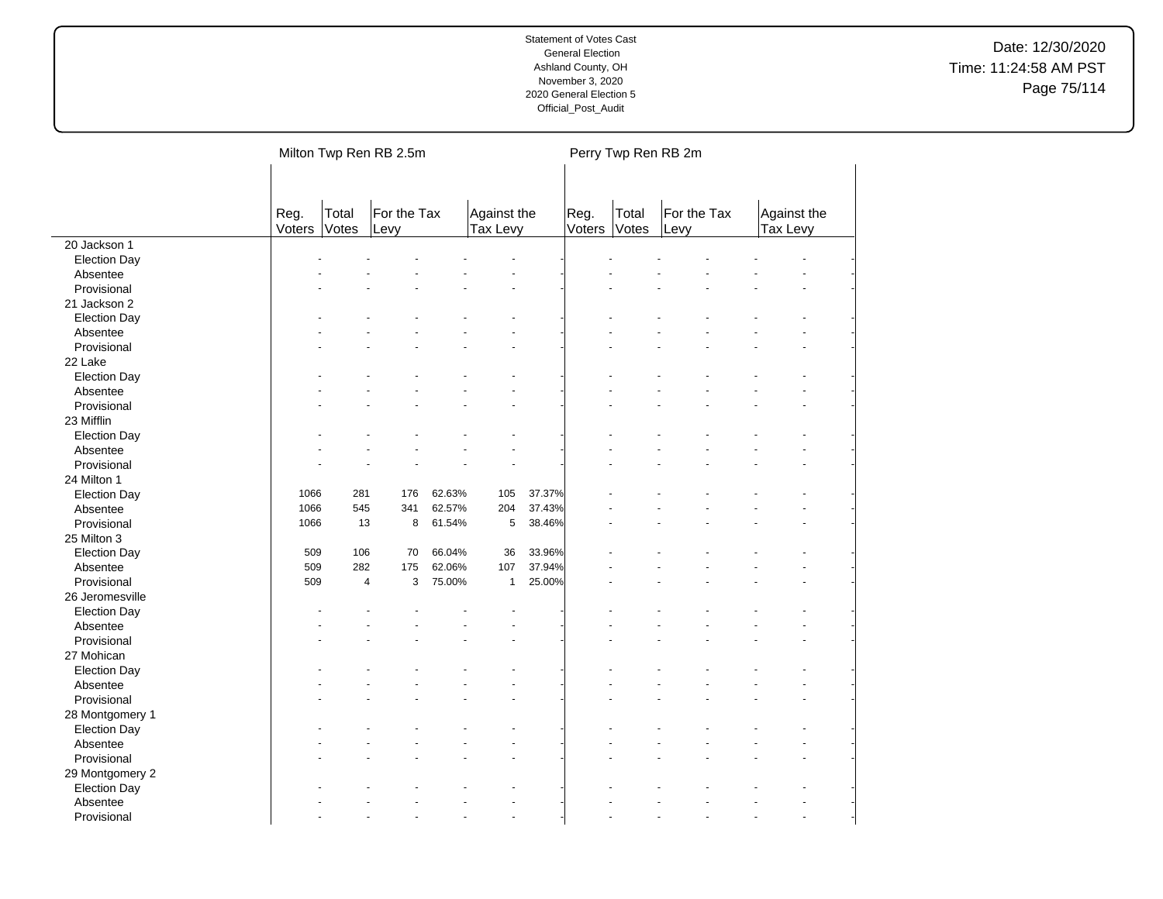|                         |                |                | Milton Twp Ren RB 2.5m |        |                         |        |                | Perry Twp Ren RB 2m |                     |                         |                          |
|-------------------------|----------------|----------------|------------------------|--------|-------------------------|--------|----------------|---------------------|---------------------|-------------------------|--------------------------|
|                         | Reg.<br>Voters | Total<br>Votes | For the Tax<br>Levy    |        | Against the<br>Tax Levy |        | Reg.<br>Voters | Total<br>Votes      | For the Tax<br>Levy | Against the<br>Tax Levy |                          |
| 20 Jackson 1            |                |                |                        |        |                         |        |                |                     |                     |                         |                          |
| <b>Election Day</b>     |                |                |                        |        |                         |        |                |                     |                     |                         |                          |
| Absentee                |                |                |                        |        |                         |        |                |                     |                     |                         |                          |
| Provisional             |                |                |                        |        |                         |        |                |                     |                     |                         |                          |
| 21 Jackson 2            |                |                |                        |        |                         |        |                |                     |                     |                         |                          |
| <b>Election Day</b>     |                |                |                        |        |                         |        |                |                     |                     |                         |                          |
| Absentee                |                |                |                        |        |                         |        |                |                     |                     |                         |                          |
| Provisional             |                |                |                        |        |                         |        |                |                     |                     |                         |                          |
| 22 Lake                 |                |                |                        |        |                         |        |                |                     |                     |                         |                          |
| <b>Election Day</b>     |                |                |                        |        |                         |        |                |                     |                     |                         |                          |
| Absentee                |                |                |                        |        |                         |        |                |                     |                     |                         |                          |
| Provisional             |                |                |                        |        |                         |        |                |                     |                     |                         |                          |
| 23 Mifflin              |                |                |                        |        |                         |        |                |                     |                     |                         |                          |
| <b>Election Day</b>     |                |                |                        |        |                         |        |                |                     |                     |                         |                          |
| Absentee                |                |                |                        |        |                         |        |                |                     |                     |                         |                          |
| Provisional             |                |                |                        |        |                         |        |                |                     |                     |                         |                          |
| 24 Milton 1             |                |                |                        |        |                         |        |                |                     |                     |                         |                          |
| <b>Election Day</b>     | 1066           | 281            | 176                    | 62.63% | 105                     | 37.37% |                |                     |                     |                         |                          |
| Absentee                | 1066           | 545            | 341                    | 62.57% | 204                     | 37.43% |                |                     |                     |                         |                          |
| Provisional             | 1066           | 13             | 8                      | 61.54% | 5                       | 38.46% |                |                     |                     |                         |                          |
| 25 Milton 3             |                |                |                        |        |                         |        |                |                     |                     |                         |                          |
| <b>Election Day</b>     | 509            | 106            | 70                     | 66.04% | 36                      | 33.96% |                |                     |                     |                         |                          |
| Absentee                | 509            | 282            | 175                    | 62.06% | 107                     | 37.94% |                |                     |                     |                         |                          |
| Provisional             | 509            | 4              | 3                      | 75.00% | $\mathbf{1}$            | 25.00% |                |                     |                     |                         |                          |
| 26 Jeromesville         |                |                |                        |        |                         |        |                |                     |                     |                         |                          |
| <b>Election Day</b>     |                |                |                        |        |                         |        |                |                     |                     |                         |                          |
| Absentee                |                |                |                        |        |                         |        |                |                     |                     |                         |                          |
| Provisional             |                |                |                        |        |                         |        |                |                     |                     |                         |                          |
| 27 Mohican              |                |                |                        |        |                         |        |                |                     |                     |                         |                          |
| <b>Election Day</b>     |                |                |                        |        |                         |        |                |                     |                     |                         |                          |
| Absentee                |                |                |                        |        |                         |        |                |                     |                     |                         |                          |
| Provisional             |                |                |                        |        |                         |        |                |                     |                     |                         |                          |
| 28 Montgomery 1         |                |                |                        |        |                         |        |                |                     |                     |                         |                          |
| <b>Election Day</b>     |                |                |                        |        |                         |        |                |                     |                     |                         |                          |
| Absentee                |                |                |                        |        |                         |        |                |                     |                     |                         |                          |
| Provisional             |                |                |                        |        |                         |        |                |                     |                     |                         |                          |
| 29 Montgomery 2         |                |                |                        |        |                         |        |                |                     |                     |                         |                          |
| <b>Election Day</b>     |                |                |                        |        |                         |        |                |                     |                     |                         |                          |
| Absentee<br>Provisional |                |                |                        |        |                         |        |                |                     |                     |                         | $\overline{\phantom{a}}$ |
|                         |                |                |                        |        |                         |        |                |                     |                     |                         |                          |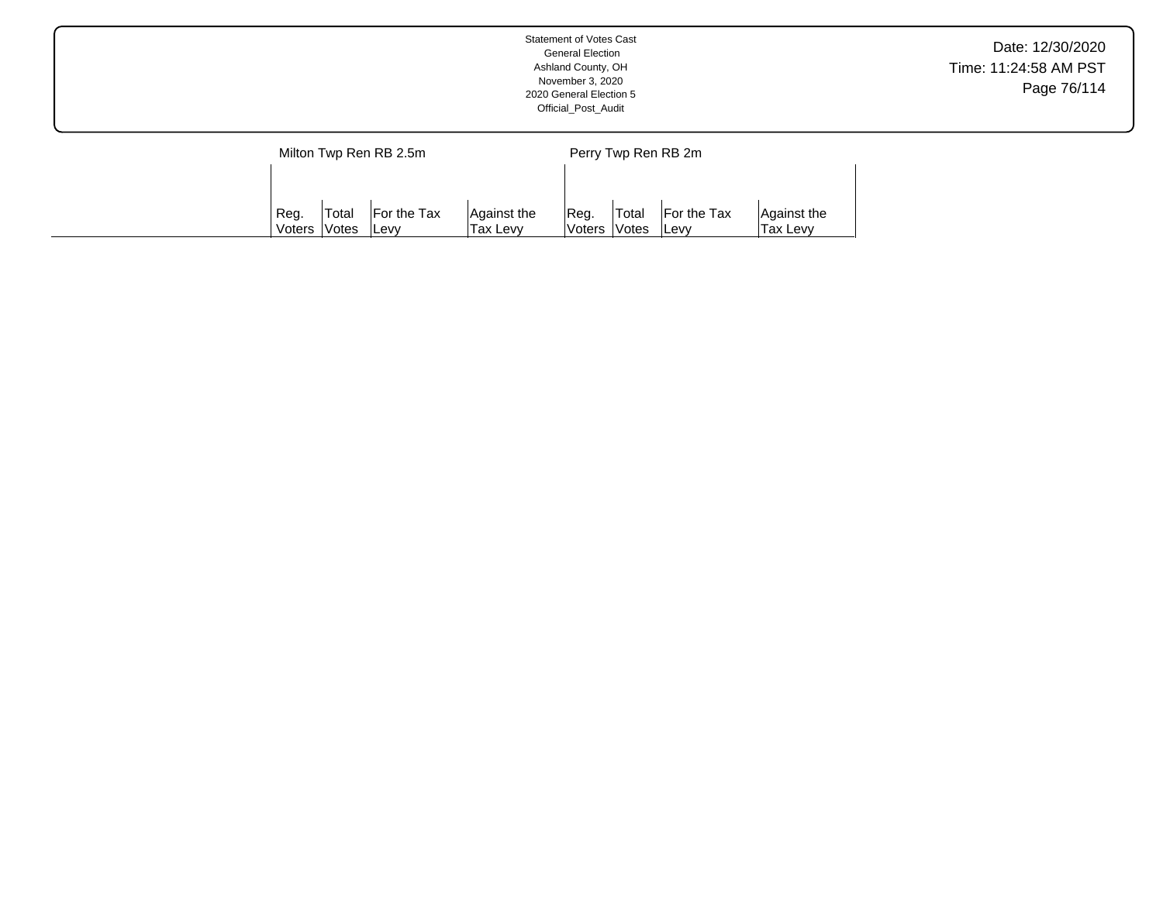|  |      |       |                        |             | <b>Statement of Votes Cast</b><br><b>General Election</b><br>Ashland County, OH<br>November 3, 2020<br>2020 General Election 5<br>Official_Post_Audit |                     |             |             | Date: 12/30/2020<br>Time: 11:24:58 AM PST<br>Page 76/114 |
|--|------|-------|------------------------|-------------|-------------------------------------------------------------------------------------------------------------------------------------------------------|---------------------|-------------|-------------|----------------------------------------------------------|
|  |      |       | Milton Twp Ren RB 2.5m |             |                                                                                                                                                       | Perry Twp Ren RB 2m |             |             |                                                          |
|  | Reg. | Total | For the Tax            | Against the | Reg.                                                                                                                                                  | Total               | For the Tax | Against the |                                                          |

Reg. Voters Total Votes For the Tax Levy

Against the Tax Levy

Against the Tax Levy

Reg. Voters Total Votes

Levy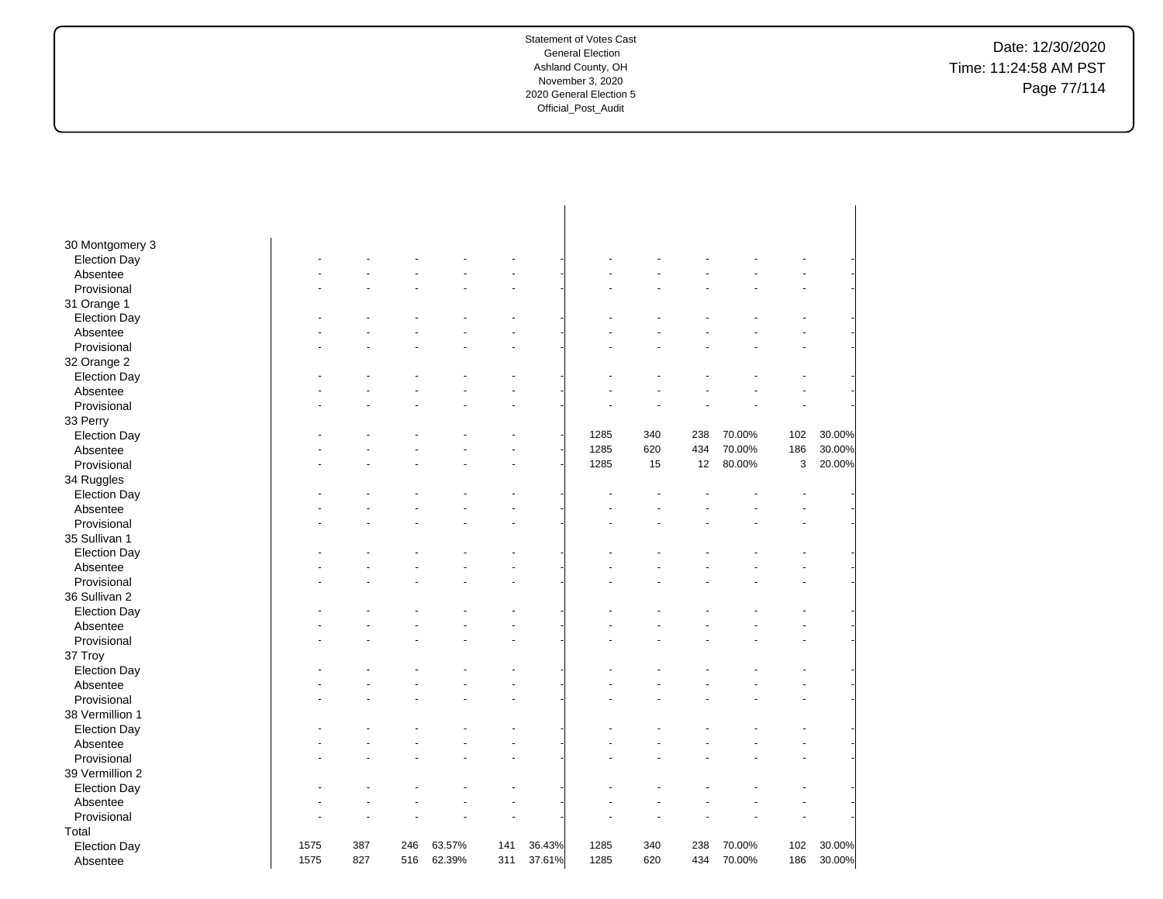Date: 12/30/2020 Time: 11:24:58 AM PST Page 77/114

| 30 Montgomery 3     |      |     |     |        |     |        |      |     |     |        |     |        |
|---------------------|------|-----|-----|--------|-----|--------|------|-----|-----|--------|-----|--------|
| <b>Election Day</b> |      |     |     |        |     |        |      |     |     |        |     |        |
| Absentee            |      |     |     |        |     |        |      |     |     |        |     |        |
| Provisional         |      |     |     |        |     |        |      |     |     |        |     |        |
| 31 Orange 1         |      |     |     |        |     |        |      |     |     |        |     |        |
| <b>Election Day</b> |      |     |     |        |     |        |      |     |     |        |     |        |
| Absentee            |      |     |     |        |     |        |      |     |     |        |     |        |
| Provisional         |      |     |     |        |     |        |      |     |     |        |     |        |
| 32 Orange 2         |      |     |     |        |     |        |      |     |     |        |     |        |
| <b>Election Day</b> |      |     |     |        |     |        |      |     |     |        |     |        |
| Absentee            |      |     |     |        |     |        |      |     |     |        |     |        |
| Provisional         |      |     |     |        |     |        |      |     |     |        |     |        |
| 33 Perry            |      |     |     |        |     |        |      |     |     |        |     |        |
| <b>Election Day</b> |      |     |     |        |     |        | 1285 | 340 | 238 | 70.00% | 102 | 30.00% |
| Absentee            |      |     |     |        |     |        | 1285 | 620 | 434 | 70.00% | 186 | 30.00% |
| Provisional         |      |     |     |        |     |        | 1285 | 15  | 12  | 80.00% | 3   | 20.00% |
| 34 Ruggles          |      |     |     |        |     |        |      |     |     |        |     |        |
| <b>Election Day</b> |      |     |     |        |     |        |      |     |     |        |     |        |
| Absentee            |      |     |     |        |     |        |      |     |     |        |     |        |
| Provisional         |      |     |     |        |     |        |      |     |     |        |     |        |
| 35 Sullivan 1       |      |     |     |        |     |        |      |     |     |        |     |        |
| <b>Election Day</b> |      |     |     |        |     |        |      |     |     |        |     |        |
| Absentee            |      |     |     |        |     |        |      |     |     |        |     |        |
| Provisional         |      |     |     |        |     |        |      |     |     |        |     |        |
| 36 Sullivan 2       |      |     |     |        |     |        |      |     |     |        |     |        |
| <b>Election Day</b> |      |     |     |        |     |        |      |     |     |        |     |        |
| Absentee            |      |     |     |        |     |        |      |     |     |        |     |        |
| Provisional         |      |     |     |        |     |        |      |     |     |        |     |        |
| 37 Troy             |      |     |     |        |     |        |      |     |     |        |     |        |
| <b>Election Day</b> |      |     |     |        |     |        |      |     |     |        |     |        |
| Absentee            |      |     |     |        |     |        |      |     |     |        |     |        |
| Provisional         |      |     |     |        |     |        |      |     |     |        |     |        |
| 38 Vermillion 1     |      |     |     |        |     |        |      |     |     |        |     |        |
| <b>Election Day</b> |      |     |     |        |     |        |      |     |     |        |     |        |
| Absentee            |      |     |     |        |     |        |      |     |     |        |     |        |
| Provisional         |      |     |     |        |     |        |      |     |     |        |     |        |
| 39 Vermillion 2     |      |     |     |        |     |        |      |     |     |        |     |        |
| <b>Election Day</b> |      |     |     |        |     |        |      |     |     |        |     |        |
| Absentee            |      |     |     |        |     |        |      |     |     |        |     |        |
| Provisional         |      |     |     |        |     |        |      |     |     |        |     |        |
| Total               |      |     |     |        |     |        |      |     |     |        |     |        |
| <b>Election Day</b> | 1575 | 387 | 246 | 63.57% | 141 | 36.43% | 1285 | 340 | 238 | 70.00% | 102 | 30.00% |
| Absentee            | 1575 | 827 | 516 | 62.39% | 311 | 37.61% | 1285 | 620 | 434 | 70.00% | 186 | 30.00% |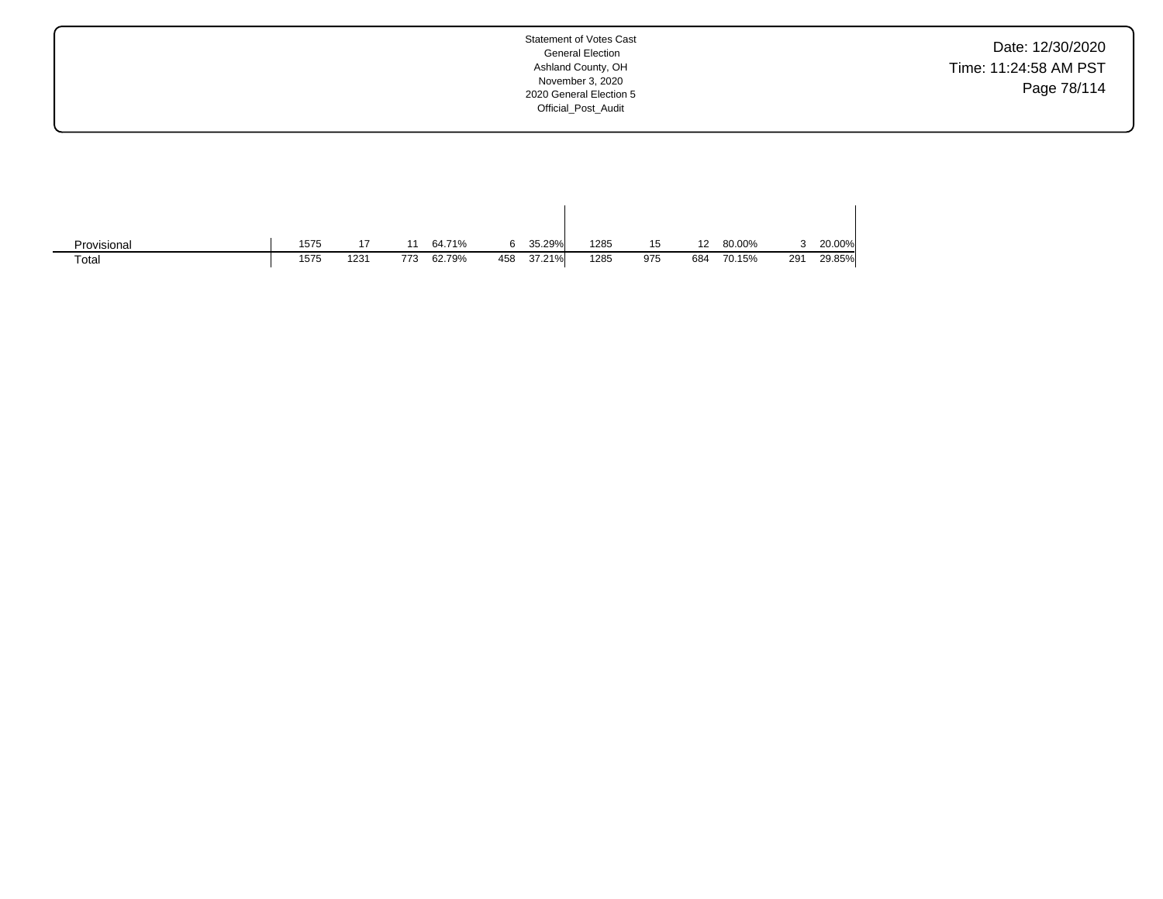Date: 12/30/2020 Time: 11:24:58 AM PST Page 78/114

| Provisional | 1575 | 17   |     | 64.71% |     | 35.29% | 1285 | 15  | 12  | 80.00% |     | 20.00% |
|-------------|------|------|-----|--------|-----|--------|------|-----|-----|--------|-----|--------|
| Total       | 1575 | 1231 | 773 | 62.79% | 458 | 37.21% | 1285 | 975 | 684 | 70.15% | 291 | 29.85% |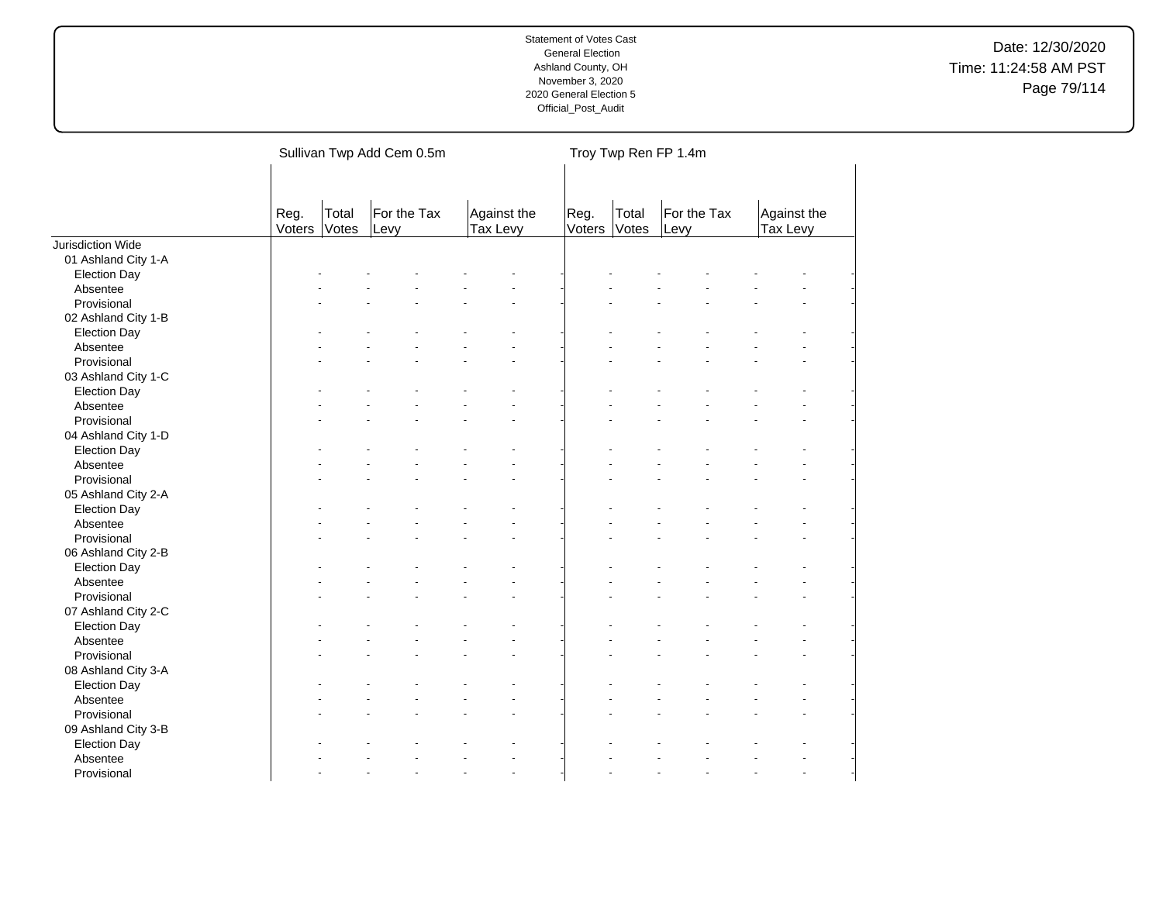|                     |                |                | Sullivan Twp Add Cem 0.5m |                         |                      |       | Troy Twp Ren FP 1.4m |                                |  |
|---------------------|----------------|----------------|---------------------------|-------------------------|----------------------|-------|----------------------|--------------------------------|--|
|                     | Reg.<br>Voters | Total<br>Votes | For the Tax<br>Levy       | Against the<br>Tax Levy | Reg.<br>Voters Votes | Total | For the Tax<br>Levy  | Against the<br><b>Tax Levy</b> |  |
| Jurisdiction Wide   |                |                |                           |                         |                      |       |                      |                                |  |
| 01 Ashland City 1-A |                |                |                           |                         |                      |       |                      |                                |  |
| <b>Election Day</b> |                |                |                           |                         |                      |       |                      |                                |  |
| Absentee            |                |                |                           |                         |                      |       |                      |                                |  |
| Provisional         |                |                |                           |                         |                      |       |                      |                                |  |
| 02 Ashland City 1-B |                |                |                           |                         |                      |       |                      |                                |  |
| <b>Election Day</b> |                |                |                           |                         |                      |       |                      |                                |  |
| Absentee            |                |                |                           |                         |                      |       |                      |                                |  |
| Provisional         |                |                |                           |                         |                      |       |                      |                                |  |
| 03 Ashland City 1-C |                |                |                           |                         |                      |       |                      |                                |  |
| <b>Election Day</b> |                |                |                           |                         |                      |       |                      |                                |  |
| Absentee            |                |                |                           |                         |                      |       |                      |                                |  |
| Provisional         |                |                |                           |                         |                      |       |                      |                                |  |
| 04 Ashland City 1-D |                |                |                           |                         |                      |       |                      |                                |  |
| <b>Election Day</b> |                |                |                           |                         |                      |       |                      |                                |  |
| Absentee            |                |                |                           |                         |                      |       |                      |                                |  |
| Provisional         |                |                |                           |                         |                      |       |                      |                                |  |
| 05 Ashland City 2-A |                |                |                           |                         |                      |       |                      |                                |  |
| <b>Election Day</b> |                |                |                           |                         |                      |       |                      |                                |  |
| Absentee            |                |                |                           |                         |                      |       |                      |                                |  |
| Provisional         |                |                |                           |                         |                      |       |                      |                                |  |
| 06 Ashland City 2-B |                |                |                           |                         |                      |       |                      |                                |  |
| <b>Election Day</b> |                |                |                           |                         |                      |       |                      |                                |  |
| Absentee            |                |                |                           |                         |                      |       |                      |                                |  |
| Provisional         |                |                |                           |                         |                      |       |                      |                                |  |
| 07 Ashland City 2-C |                |                |                           |                         |                      |       |                      |                                |  |
| <b>Election Day</b> |                |                |                           |                         |                      |       |                      |                                |  |
| Absentee            |                |                |                           |                         |                      |       |                      |                                |  |
| Provisional         |                |                |                           |                         |                      |       |                      |                                |  |
| 08 Ashland City 3-A |                |                |                           |                         |                      |       |                      |                                |  |
| <b>Election Day</b> |                |                |                           |                         |                      |       |                      |                                |  |
| Absentee            |                |                |                           |                         |                      |       |                      |                                |  |
| Provisional         |                |                |                           |                         |                      |       |                      |                                |  |
| 09 Ashland City 3-B |                |                |                           |                         |                      |       |                      |                                |  |
|                     |                |                |                           |                         |                      |       |                      |                                |  |
| <b>Election Day</b> |                |                |                           |                         |                      |       |                      |                                |  |
| Absentee            |                |                |                           |                         |                      |       |                      | ÷.                             |  |
| Provisional         |                |                |                           |                         |                      |       |                      |                                |  |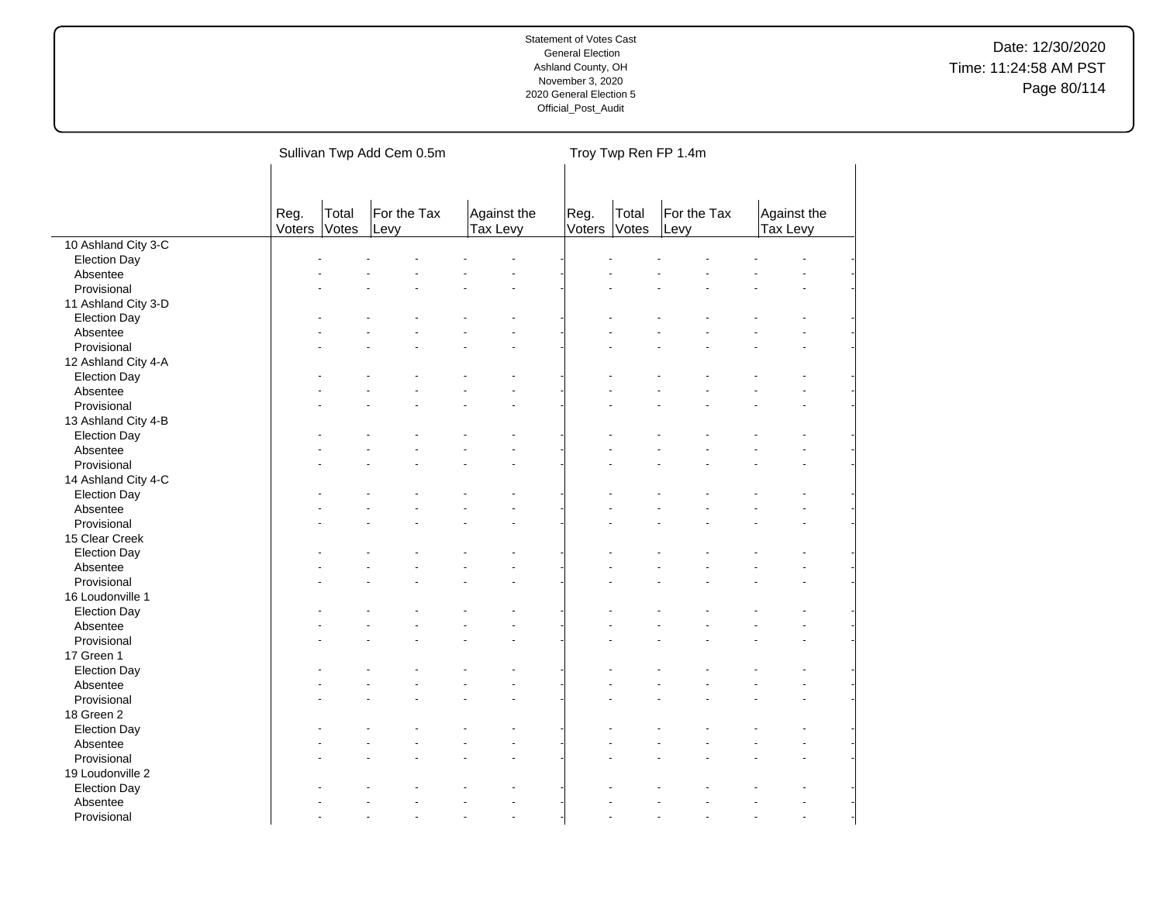|                     |                |                | Sullivan Twp Add Cem 0.5m |                         |                |                | Troy Twp Ren FP 1.4m |                         |
|---------------------|----------------|----------------|---------------------------|-------------------------|----------------|----------------|----------------------|-------------------------|
|                     | Reg.<br>Voters | Total<br>Votes | For the Tax<br>Levy       | Against the<br>Tax Levy | Reg.<br>Voters | Total<br>Votes | For the Tax<br>Levy  | Against the<br>Tax Levy |
| 10 Ashland City 3-C |                |                |                           |                         |                |                |                      |                         |
| <b>Election Day</b> |                |                |                           |                         |                |                |                      |                         |
| Absentee            |                |                |                           |                         |                |                |                      |                         |
| Provisional         |                |                |                           |                         |                |                |                      |                         |
| 11 Ashland City 3-D |                |                |                           |                         |                |                |                      |                         |
| <b>Election Day</b> |                |                |                           |                         |                |                |                      |                         |
| Absentee            |                |                |                           |                         |                |                |                      |                         |
| Provisional         |                |                |                           |                         |                |                |                      |                         |
| 12 Ashland City 4-A |                |                |                           |                         |                |                |                      |                         |
| <b>Election Day</b> |                |                |                           |                         |                |                |                      |                         |
| Absentee            |                |                |                           |                         |                |                |                      |                         |
| Provisional         |                |                |                           |                         |                |                |                      |                         |
| 13 Ashland City 4-B |                |                |                           |                         |                |                |                      |                         |
| <b>Election Day</b> |                |                |                           |                         |                |                |                      |                         |
| Absentee            |                |                |                           |                         |                |                |                      |                         |
| Provisional         |                |                |                           |                         |                |                |                      |                         |
| 14 Ashland City 4-C |                |                |                           |                         |                |                |                      |                         |
| <b>Election Day</b> |                |                |                           |                         |                |                |                      |                         |
| Absentee            |                |                |                           |                         |                |                |                      |                         |
| Provisional         |                |                |                           |                         |                |                |                      |                         |
| 15 Clear Creek      |                |                |                           |                         |                |                |                      |                         |
| <b>Election Day</b> |                |                |                           |                         |                |                |                      |                         |
| Absentee            |                |                |                           |                         |                |                |                      |                         |
| Provisional         |                |                |                           |                         |                |                |                      | ä,                      |
| 16 Loudonville 1    |                |                |                           |                         |                |                |                      |                         |
| <b>Election Day</b> |                |                |                           |                         |                |                |                      |                         |
| Absentee            |                |                |                           |                         |                |                |                      |                         |
| Provisional         |                |                |                           |                         |                |                |                      |                         |
| 17 Green 1          |                |                |                           |                         |                |                |                      |                         |
| <b>Election Day</b> |                |                |                           |                         |                |                |                      |                         |
| Absentee            |                |                |                           |                         |                |                |                      |                         |
| Provisional         |                |                |                           |                         |                |                |                      |                         |
| 18 Green 2          |                |                |                           |                         |                |                |                      |                         |
| <b>Election Day</b> |                |                |                           |                         |                |                |                      |                         |
| Absentee            |                |                |                           |                         |                |                |                      |                         |
| Provisional         |                |                |                           |                         |                |                |                      |                         |
| 19 Loudonville 2    |                |                |                           |                         |                |                |                      |                         |
|                     |                |                |                           |                         |                |                |                      |                         |
| <b>Election Day</b> |                |                |                           |                         |                |                |                      |                         |
| Absentee            |                |                |                           | $\overline{a}$          |                |                |                      | $\overline{a}$          |
| Provisional         |                |                |                           |                         |                |                |                      |                         |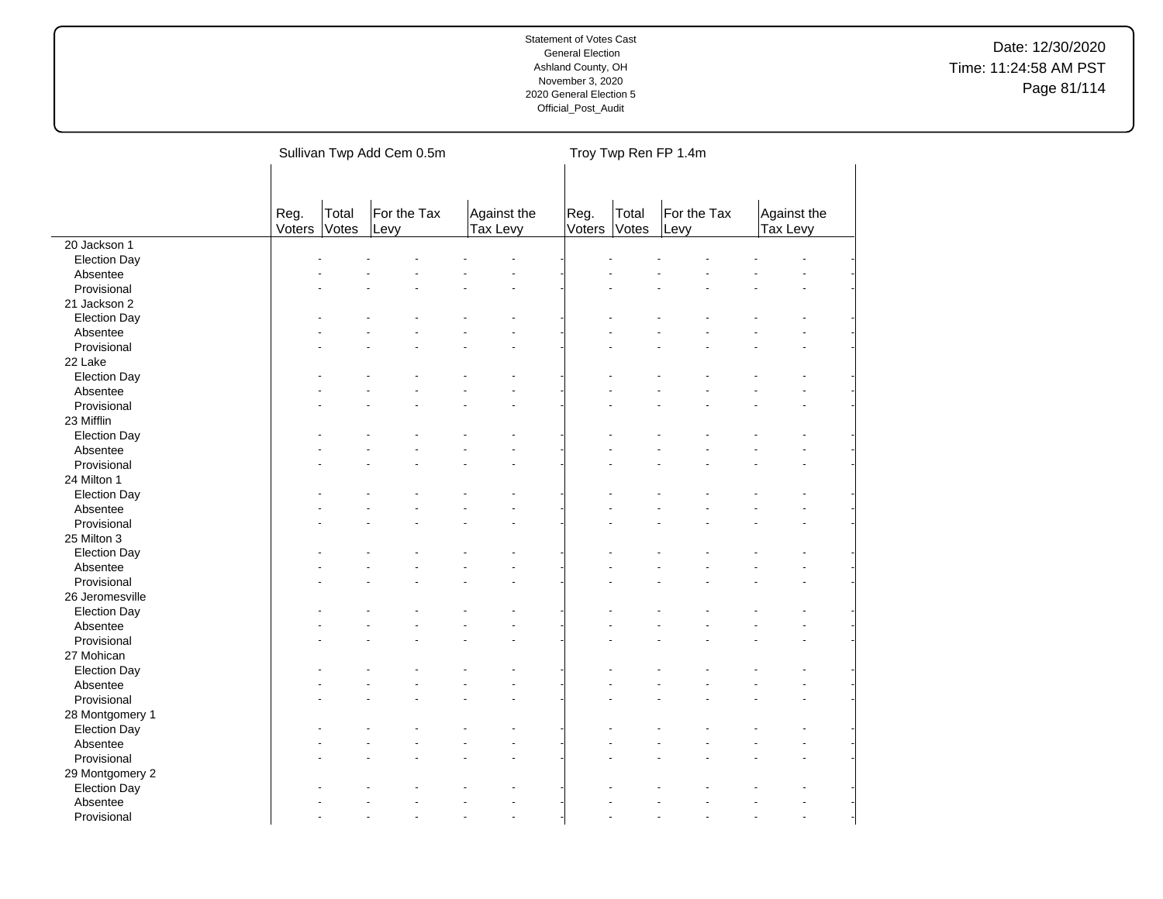|                     |                |                | Sullivan Twp Add Cem 0.5m |                         |                |                | Troy Twp Ren FP 1.4m |                         |                      |
|---------------------|----------------|----------------|---------------------------|-------------------------|----------------|----------------|----------------------|-------------------------|----------------------|
|                     | Reg.<br>Voters | Total<br>Votes | For the Tax<br>Levy       | Against the<br>Tax Levy | Reg.<br>Voters | Total<br>Votes | For the Tax<br>Levy  | Against the<br>Tax Levy |                      |
| 20 Jackson 1        |                |                |                           |                         |                |                |                      |                         |                      |
| <b>Election Day</b> |                |                |                           |                         |                |                |                      |                         |                      |
| Absentee            |                |                |                           |                         |                |                |                      |                         |                      |
| Provisional         |                |                |                           |                         |                |                |                      |                         |                      |
| 21 Jackson 2        |                |                |                           |                         |                |                |                      |                         |                      |
| <b>Election Day</b> |                |                |                           |                         |                |                |                      |                         |                      |
| Absentee            |                |                |                           |                         |                |                |                      |                         |                      |
| Provisional         |                |                |                           |                         |                |                |                      |                         |                      |
| 22 Lake             |                |                |                           |                         |                |                |                      |                         |                      |
| <b>Election Day</b> |                |                |                           |                         |                |                |                      |                         |                      |
| Absentee            |                |                |                           |                         |                |                |                      |                         |                      |
| Provisional         |                |                |                           |                         |                |                |                      |                         |                      |
| 23 Mifflin          |                |                |                           |                         |                |                |                      |                         |                      |
| <b>Election Day</b> |                |                |                           |                         |                |                |                      |                         |                      |
| Absentee            |                |                |                           |                         |                |                |                      |                         |                      |
| Provisional         |                |                |                           |                         |                |                |                      |                         |                      |
| 24 Milton 1         |                |                |                           |                         |                |                |                      |                         |                      |
| <b>Election Day</b> |                |                |                           |                         |                |                |                      |                         |                      |
| Absentee            |                |                |                           |                         |                |                |                      |                         |                      |
| Provisional         |                |                |                           |                         |                |                |                      |                         | $\ddot{\phantom{1}}$ |
| 25 Milton 3         |                |                |                           |                         |                |                |                      |                         |                      |
| <b>Election Day</b> |                |                |                           |                         |                |                |                      |                         |                      |
| Absentee            |                |                |                           |                         |                |                |                      |                         |                      |
| Provisional         |                |                |                           |                         |                |                |                      |                         | $\ddot{\phantom{1}}$ |
| 26 Jeromesville     |                |                |                           |                         |                |                |                      |                         |                      |
| <b>Election Day</b> |                |                |                           |                         |                |                |                      |                         |                      |
| Absentee            |                |                |                           |                         |                |                |                      |                         |                      |
| Provisional         |                |                |                           |                         |                |                |                      |                         |                      |
| 27 Mohican          |                |                |                           |                         |                |                |                      |                         |                      |
| <b>Election Day</b> |                |                |                           |                         |                |                |                      |                         |                      |
| Absentee            |                |                |                           |                         |                |                |                      |                         |                      |
| Provisional         |                |                |                           |                         |                |                |                      |                         |                      |
| 28 Montgomery 1     |                |                |                           |                         |                |                |                      |                         |                      |
| <b>Election Day</b> |                |                |                           |                         |                |                |                      |                         |                      |
| Absentee            |                |                |                           |                         |                |                |                      |                         |                      |
| Provisional         |                |                |                           |                         |                |                |                      |                         |                      |
| 29 Montgomery 2     |                |                |                           |                         |                |                |                      |                         |                      |
| <b>Election Day</b> |                |                |                           |                         |                |                |                      |                         |                      |
| Absentee            |                |                |                           |                         |                |                |                      |                         |                      |
| Provisional         |                |                |                           |                         |                |                |                      |                         | $\overline{a}$       |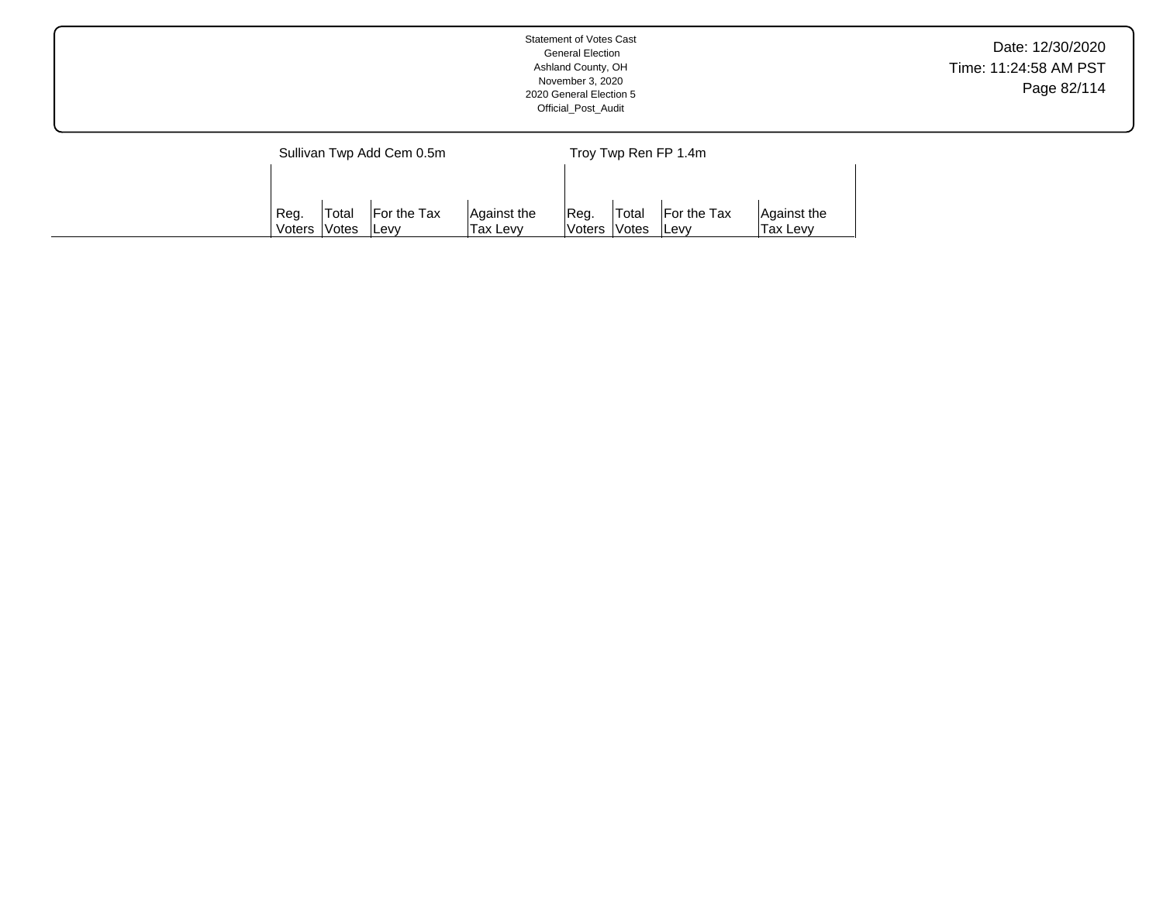|                           | Statement of Votes Cast<br><b>General Election</b><br>Ashland County, OH<br>November 3, 2020<br>2020 General Election 5<br>Official_Post_Audit | Date: 12/30/2020<br>Time: 11:24:58 AM PST<br>Page 82/114 |
|---------------------------|------------------------------------------------------------------------------------------------------------------------------------------------|----------------------------------------------------------|
| Sullivan Twp Add Cem 0.5m | Troy Twp Ren FP 1.4m                                                                                                                           |                                                          |

Reg. Voters Total Votes For the Tax Levy

Against the Tax Levy

Reg. Voters Total Votes For the Tax Levy

Against the Tax Levy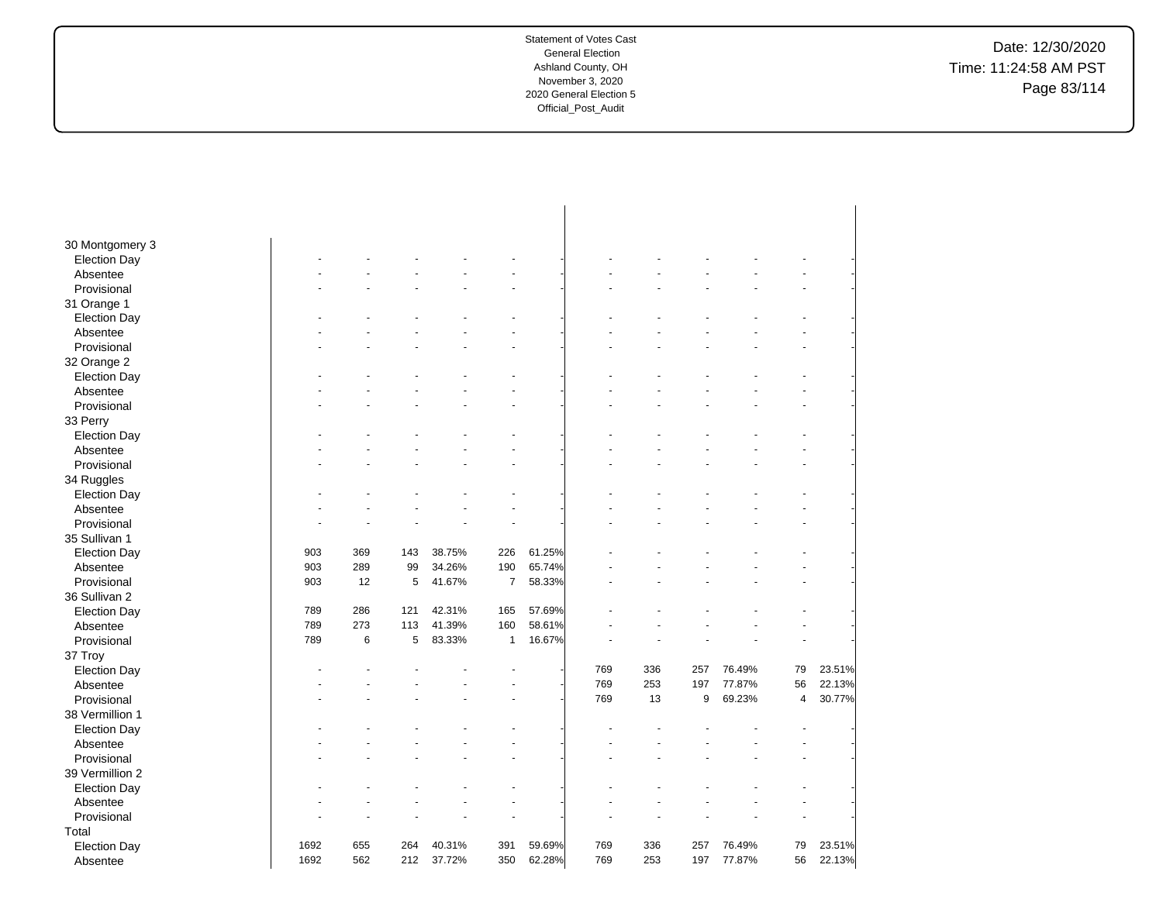Date: 12/30/2020 Time: 11:24:58 AM PST Page 83/114

| 30 Montgomery 3         |      |     |     |        |                |        |     |     |     |        |                |        |
|-------------------------|------|-----|-----|--------|----------------|--------|-----|-----|-----|--------|----------------|--------|
| <b>Election Day</b>     |      |     |     |        |                |        |     |     |     |        |                |        |
| Absentee                |      |     |     |        |                |        |     |     |     |        |                |        |
| Provisional             |      |     |     |        |                |        |     |     |     |        |                |        |
| 31 Orange 1             |      |     |     |        |                |        |     |     |     |        |                |        |
| <b>Election Day</b>     |      |     |     |        |                |        |     |     |     |        |                |        |
| Absentee                |      |     |     |        |                |        |     |     |     |        |                |        |
| Provisional             |      |     |     |        |                |        |     |     |     |        |                |        |
| 32 Orange 2             |      |     |     |        |                |        |     |     |     |        |                |        |
| <b>Election Day</b>     |      |     |     |        |                |        |     |     |     |        |                |        |
| Absentee                |      |     |     |        |                |        |     |     |     |        |                |        |
| Provisional             |      |     |     |        |                |        |     |     |     |        |                |        |
| 33 Perry                |      |     |     |        |                |        |     |     |     |        |                |        |
| <b>Election Day</b>     |      |     |     |        |                |        |     |     |     |        |                |        |
| Absentee                |      |     |     |        |                |        |     |     |     |        |                |        |
| Provisional             |      |     |     |        |                |        |     |     |     |        |                |        |
| 34 Ruggles              |      |     |     |        |                |        |     |     |     |        |                |        |
| <b>Election Day</b>     |      |     |     |        |                |        |     |     |     |        |                |        |
| Absentee                |      |     |     |        |                |        |     |     |     |        |                |        |
| Provisional             |      |     |     |        |                |        |     |     |     |        |                |        |
| 35 Sullivan 1           |      |     |     |        |                |        |     |     |     |        |                |        |
| <b>Election Day</b>     | 903  | 369 | 143 | 38.75% | 226            | 61.25% |     |     |     |        |                |        |
| Absentee                | 903  | 289 | 99  | 34.26% | 190            | 65.74% |     |     |     |        |                |        |
| Provisional             | 903  | 12  | 5   | 41.67% | $\overline{7}$ | 58.33% |     |     |     |        |                |        |
| 36 Sullivan 2           |      |     |     |        |                |        |     |     |     |        |                |        |
| <b>Election Day</b>     | 789  | 286 | 121 | 42.31% | 165            | 57.69% |     |     |     |        |                |        |
| Absentee                | 789  | 273 | 113 | 41.39% | 160            | 58.61% |     |     |     |        |                |        |
| Provisional             | 789  | 6   | 5   | 83.33% | $\mathbf{1}$   | 16.67% |     |     |     |        |                |        |
| 37 Troy                 |      |     |     |        |                |        |     |     |     |        |                |        |
| <b>Election Day</b>     |      |     |     |        |                |        | 769 | 336 | 257 | 76.49% | 79             | 23.51% |
| Absentee                |      |     |     |        |                |        | 769 | 253 | 197 | 77.87% | 56             | 22.13% |
| Provisional             |      |     |     |        |                |        | 769 | 13  | 9   | 69.23% | $\overline{4}$ | 30.77% |
| 38 Vermillion 1         |      |     |     |        |                |        |     |     |     |        |                |        |
| <b>Election Day</b>     |      |     |     |        |                |        |     |     |     |        |                |        |
| Absentee                |      |     |     |        |                |        |     |     |     |        |                |        |
| Provisional             |      |     |     |        |                |        |     |     |     |        |                |        |
| 39 Vermillion 2         |      |     |     |        |                |        |     |     |     |        |                |        |
| <b>Election Day</b>     |      |     |     |        |                |        |     |     |     |        |                |        |
|                         |      |     |     |        |                |        |     |     |     |        |                |        |
| Absentee<br>Provisional |      |     |     |        |                |        |     |     |     |        |                |        |
|                         |      |     |     |        |                |        |     |     |     |        |                |        |
| Total                   | 1692 |     | 264 |        |                |        | 769 |     | 257 |        |                |        |
| <b>Election Day</b>     |      | 655 |     | 40.31% | 391            | 59.69% |     | 336 |     | 76.49% | 79             | 23.51% |
| Absentee                | 1692 | 562 | 212 | 37.72% | 350            | 62.28% | 769 | 253 | 197 | 77.87% | 56             | 22.13% |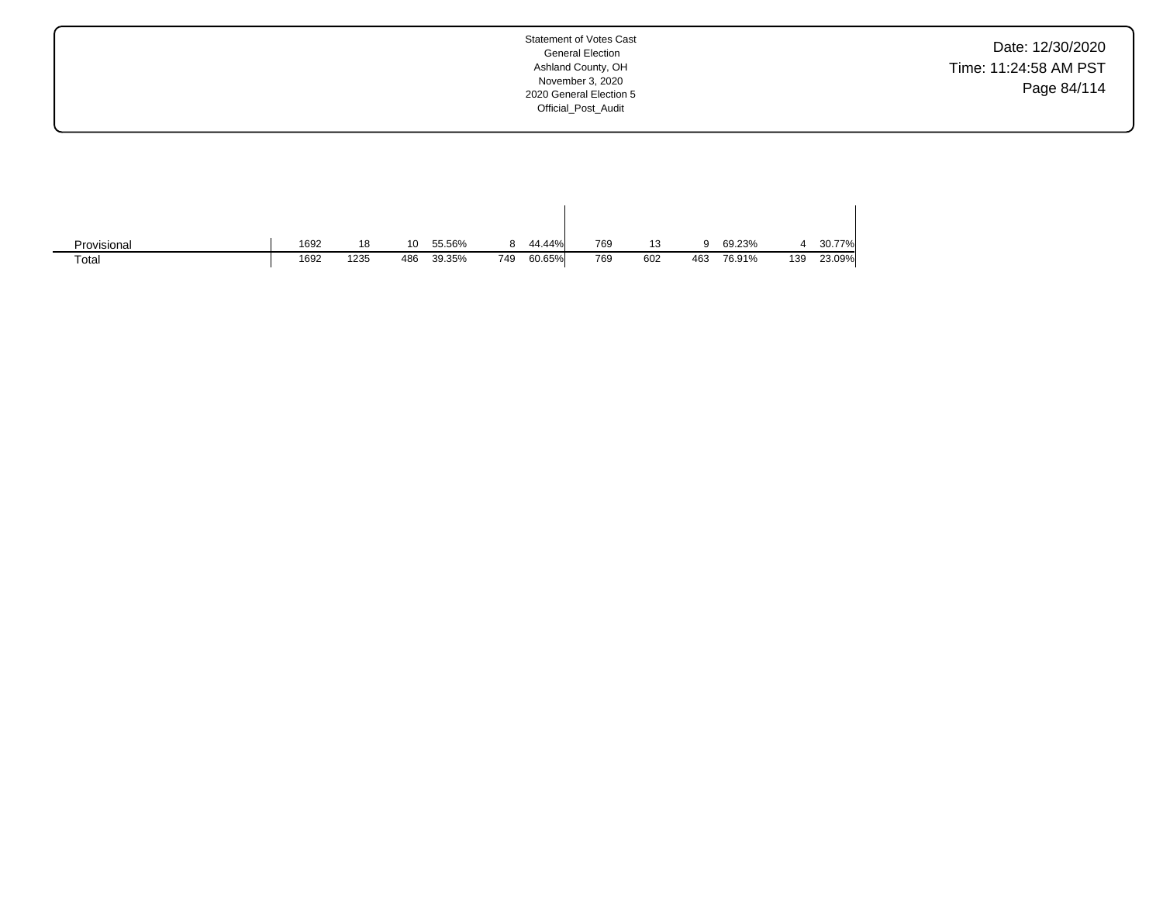Date: 12/30/2020 Time: 11:24:58 AM PST Page 84/114

| Provisional | 1692 | 18   | 10  | 55.56% |     | 44.44% | 769 | 13  |     | 69.23% |     | 30.77% |
|-------------|------|------|-----|--------|-----|--------|-----|-----|-----|--------|-----|--------|
| Totai       | 1692 | 1235 | 486 | 39.35% | 749 | 60.65% | 769 | 602 | 463 | 76.91% | 139 | 23.09% |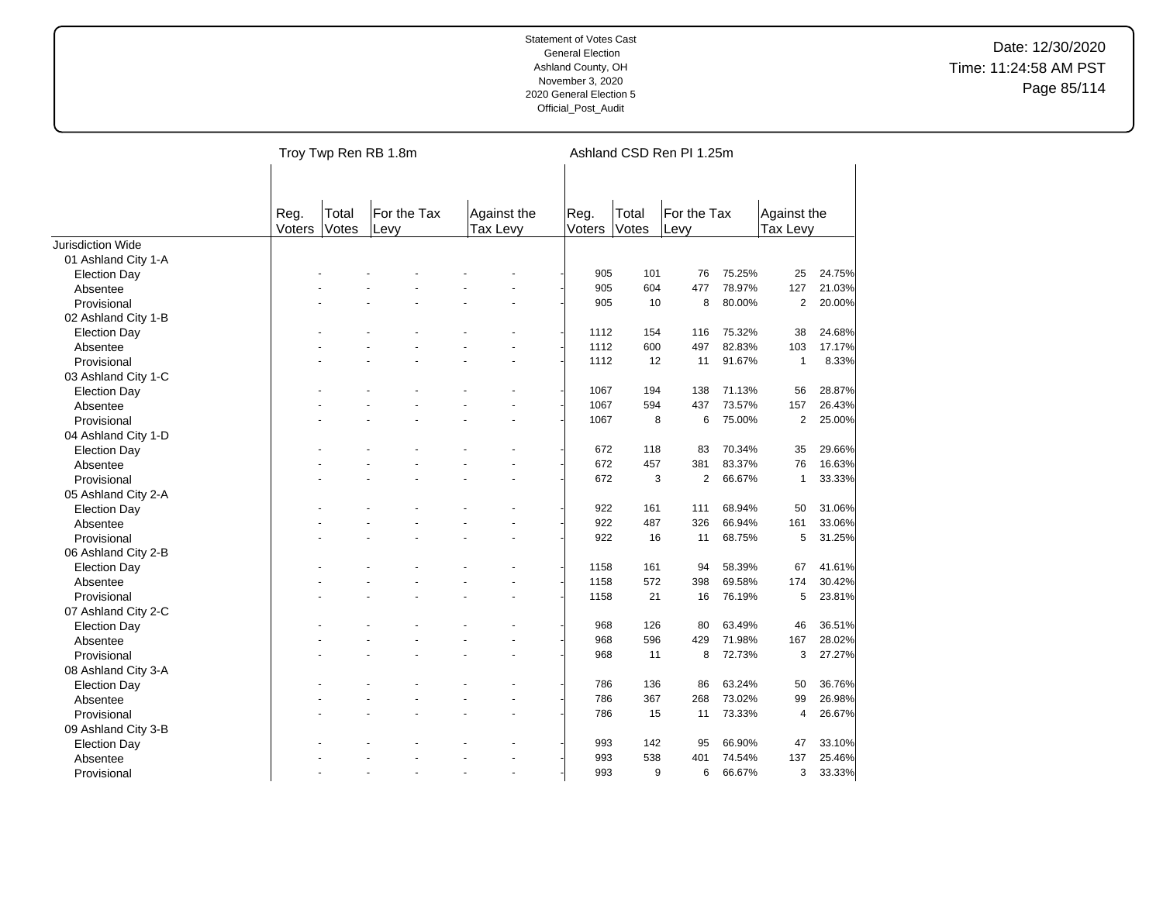|                     |                |                | Troy Twp Ren RB 1.8m |                         |                |                       | Ashland CSD Ren PI 1.25m |        |                         |        |
|---------------------|----------------|----------------|----------------------|-------------------------|----------------|-----------------------|--------------------------|--------|-------------------------|--------|
|                     | Reg.<br>Voters | Total<br>Votes | For the Tax<br>Levy  | Against the<br>Tax Levy | Reg.<br>Voters | Total<br><b>Votes</b> | For the Tax<br>Levy      |        | Against the<br>Tax Levy |        |
| Jurisdiction Wide   |                |                |                      |                         |                |                       |                          |        |                         |        |
| 01 Ashland City 1-A |                |                |                      |                         |                |                       |                          |        |                         |        |
| <b>Election Day</b> |                |                |                      |                         | 905            | 101                   | 76                       | 75.25% | 25                      | 24.75% |
| Absentee            |                |                |                      |                         | 905            | 604                   | 477                      | 78.97% | 127                     | 21.03% |
| Provisional         |                |                |                      |                         | 905            | 10                    | 8                        | 80.00% | $\overline{2}$          | 20.00% |
| 02 Ashland City 1-B |                |                |                      |                         |                |                       |                          |        |                         |        |
| <b>Election Day</b> |                |                |                      |                         | 1112           | 154                   | 116                      | 75.32% | 38                      | 24.68% |
| Absentee            |                |                |                      |                         | 1112           | 600                   | 497                      | 82.83% | 103                     | 17.17% |
| Provisional         |                |                |                      |                         | 1112           | 12                    | 11                       | 91.67% | $\mathbf{1}$            | 8.33%  |
| 03 Ashland City 1-C |                |                |                      |                         |                |                       |                          |        |                         |        |
| <b>Election Day</b> |                |                |                      |                         | 1067           | 194                   | 138                      | 71.13% | 56                      | 28.87% |
| Absentee            |                |                |                      |                         | 1067           | 594                   | 437                      | 73.57% | 157                     | 26.43% |
| Provisional         |                |                |                      |                         | 1067           | 8                     | 6                        | 75.00% | 2                       | 25.00% |
| 04 Ashland City 1-D |                |                |                      |                         |                |                       |                          |        |                         |        |
| <b>Election Day</b> |                |                |                      |                         | 672            | 118                   | 83                       | 70.34% | 35                      | 29.66% |
| Absentee            |                |                |                      |                         | 672            | 457                   | 381                      | 83.37% | 76                      | 16.63% |
| Provisional         |                |                |                      | ÷.                      | 672            | 3                     | $\overline{2}$           | 66.67% | $\mathbf{1}$            | 33.33% |
| 05 Ashland City 2-A |                |                |                      |                         |                |                       |                          |        |                         |        |
| <b>Election Day</b> |                |                |                      |                         | 922            | 161                   | 111                      | 68.94% | 50                      | 31.06% |
| Absentee            |                |                |                      |                         | 922            | 487                   | 326                      | 66.94% | 161                     | 33.06% |
| Provisional         |                |                |                      |                         | 922            | 16                    | 11                       | 68.75% | 5                       | 31.25% |
| 06 Ashland City 2-B |                |                |                      |                         |                |                       |                          |        |                         |        |
| <b>Election Day</b> |                |                |                      |                         | 1158           | 161                   | 94                       | 58.39% | 67                      | 41.61% |
| Absentee            |                |                |                      |                         | 1158           | 572                   | 398                      | 69.58% | 174                     | 30.42% |
| Provisional         |                |                |                      |                         | 1158           | 21                    | 16                       | 76.19% | 5                       | 23.81% |
| 07 Ashland City 2-C |                |                |                      |                         |                |                       |                          |        |                         |        |
| <b>Election Day</b> |                |                |                      |                         | 968            | 126                   | 80                       | 63.49% | 46                      | 36.51% |
| Absentee            |                |                |                      |                         | 968            | 596                   | 429                      | 71.98% | 167                     | 28.02% |
| Provisional         |                |                |                      |                         | 968            | 11                    | 8                        | 72.73% | 3                       | 27.27% |
| 08 Ashland City 3-A |                |                |                      |                         |                |                       |                          |        |                         |        |
| <b>Election Day</b> |                |                |                      |                         | 786            | 136                   | 86                       | 63.24% | 50                      | 36.76% |
| Absentee            |                |                |                      |                         | 786            | 367                   | 268                      | 73.02% | 99                      | 26.98% |
| Provisional         |                |                |                      |                         | 786            | 15                    | 11                       | 73.33% | $\overline{4}$          | 26.67% |
| 09 Ashland City 3-B |                |                |                      |                         |                |                       |                          |        |                         |        |
| <b>Election Day</b> |                |                |                      |                         | 993            | 142                   | 95                       | 66.90% | 47                      | 33.10% |
| Absentee            |                |                |                      |                         | 993            | 538                   | 401                      | 74.54% | 137                     | 25.46% |
| Provisional         |                |                |                      | $\ddot{\phantom{1}}$    | 993            | 9                     | 6                        | 66.67% | 3                       | 33.33% |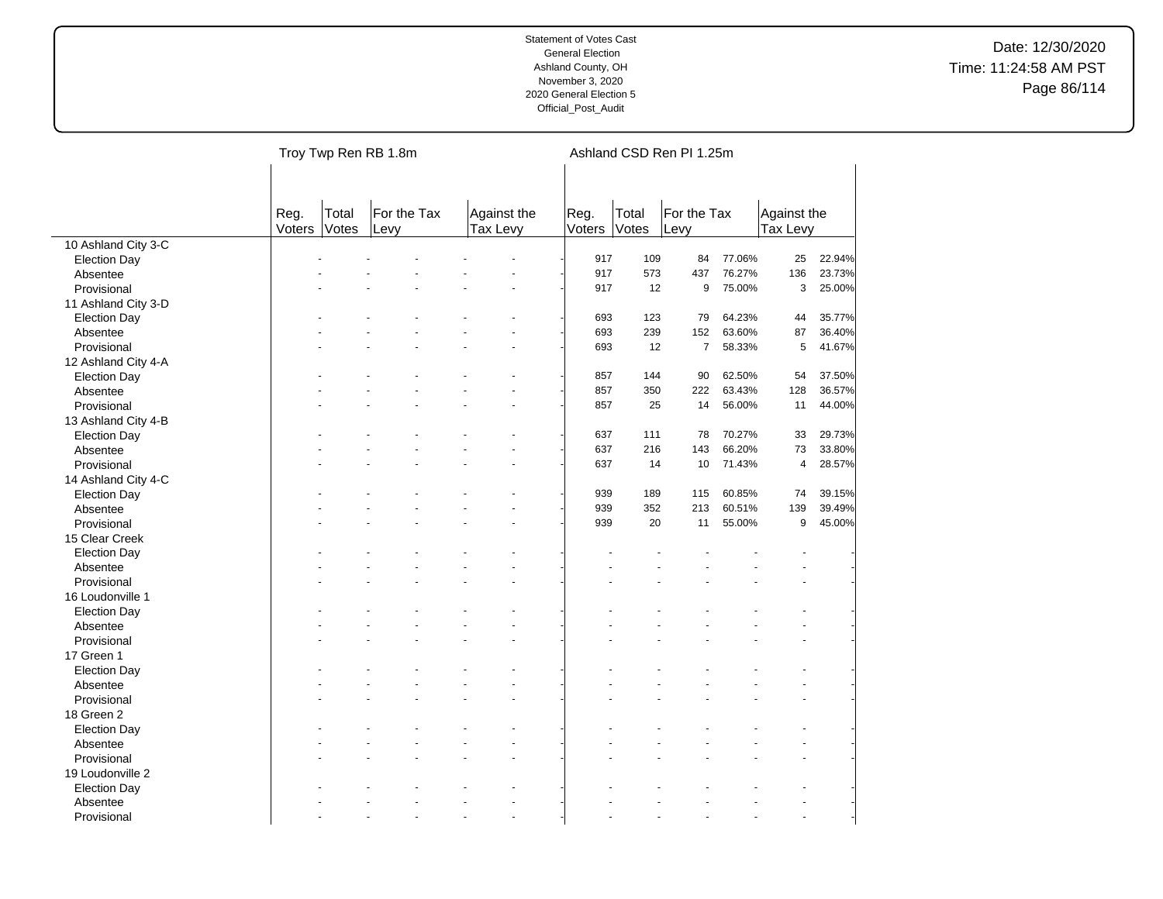|                     |                |                | Troy Twp Ren RB 1.8m |                         |                |                | Ashland CSD Ren PI 1.25m |        |                         |        |
|---------------------|----------------|----------------|----------------------|-------------------------|----------------|----------------|--------------------------|--------|-------------------------|--------|
|                     | Reg.<br>Voters | Total<br>Votes | For the Tax<br>Levy  | Against the<br>Tax Levy | Reg.<br>Voters | Total<br>Votes | For the Tax<br>Levy      |        | Against the<br>Tax Levy |        |
| 10 Ashland City 3-C |                |                |                      |                         |                |                |                          |        |                         |        |
| <b>Election Day</b> |                |                |                      |                         | 917            | 109            | 84                       | 77.06% | 25                      | 22.94% |
| Absentee            |                |                |                      |                         | 917            | 573            | 437                      | 76.27% | 136                     | 23.73% |
| Provisional         |                |                |                      |                         | 917            | 12             | 9                        | 75.00% | 3                       | 25.00% |
| 11 Ashland City 3-D |                |                |                      |                         |                |                |                          |        |                         |        |
| <b>Election Day</b> |                |                |                      |                         | 693            | 123            | 79                       | 64.23% | 44                      | 35.77% |
| Absentee            |                |                |                      |                         | 693            | 239            | 152                      | 63.60% | 87                      | 36.40% |
| Provisional         |                |                |                      |                         | 693            | 12             | $\overline{7}$           | 58.33% | 5                       | 41.67% |
| 12 Ashland City 4-A |                |                |                      |                         |                |                |                          |        |                         |        |
| <b>Election Day</b> |                |                |                      |                         | 857            | 144            | 90                       | 62.50% | 54                      | 37.50% |
| Absentee            |                |                |                      |                         | 857            | 350            | 222                      | 63.43% | 128                     | 36.57% |
| Provisional         |                |                |                      |                         | 857            | 25             | 14                       | 56.00% | 11                      | 44.00% |
| 13 Ashland City 4-B |                |                |                      |                         |                |                |                          |        |                         |        |
| <b>Election Day</b> |                |                |                      |                         | 637            | 111            | 78                       | 70.27% | 33                      | 29.73% |
| Absentee            |                |                |                      |                         | 637            | 216            | 143                      | 66.20% | 73                      | 33.80% |
| Provisional         |                |                |                      |                         | 637            | 14             | 10                       | 71.43% | $\overline{\mathbf{4}}$ | 28.57% |
| 14 Ashland City 4-C |                |                |                      |                         |                |                |                          |        |                         |        |
| <b>Election Day</b> |                |                |                      |                         | 939            | 189            | 115                      | 60.85% | 74                      | 39.15% |
| Absentee            |                |                |                      |                         | 939            | 352            | 213                      | 60.51% | 139                     | 39.49% |
| Provisional         |                |                |                      |                         | 939            | 20             | 11                       | 55.00% | 9                       | 45.00% |
| 15 Clear Creek      |                |                |                      |                         |                |                |                          |        |                         |        |
| <b>Election Day</b> |                |                |                      |                         |                |                |                          |        |                         |        |
| Absentee            |                |                |                      |                         |                |                |                          |        |                         |        |
| Provisional         |                |                |                      |                         |                |                |                          |        |                         |        |
| 16 Loudonville 1    |                |                |                      |                         |                |                |                          |        |                         |        |
|                     |                |                |                      |                         |                |                |                          |        |                         |        |
| <b>Election Day</b> |                |                |                      |                         |                |                |                          |        |                         |        |
| Absentee            |                |                |                      |                         |                |                |                          |        |                         |        |
| Provisional         |                |                |                      |                         |                |                |                          |        |                         |        |
| 17 Green 1          |                |                |                      |                         |                |                |                          |        |                         |        |
| <b>Election Day</b> |                |                |                      |                         |                |                |                          |        |                         |        |
| Absentee            |                |                |                      | ÷.                      |                |                |                          |        |                         |        |
| Provisional         |                |                |                      |                         |                |                |                          |        |                         |        |
| 18 Green 2          |                |                |                      |                         |                |                |                          |        |                         |        |
| <b>Election Day</b> |                |                |                      |                         |                |                |                          |        |                         |        |
| Absentee            |                |                |                      |                         |                |                |                          |        |                         |        |
| Provisional         |                |                |                      |                         |                |                |                          |        |                         |        |
| 19 Loudonville 2    |                |                |                      |                         |                |                |                          |        |                         |        |
| <b>Election Day</b> |                |                |                      |                         |                |                |                          |        |                         |        |
| Absentee            |                |                |                      |                         |                |                |                          |        |                         |        |
| Provisional         |                |                |                      | ÷.                      |                |                |                          |        | $\overline{a}$          |        |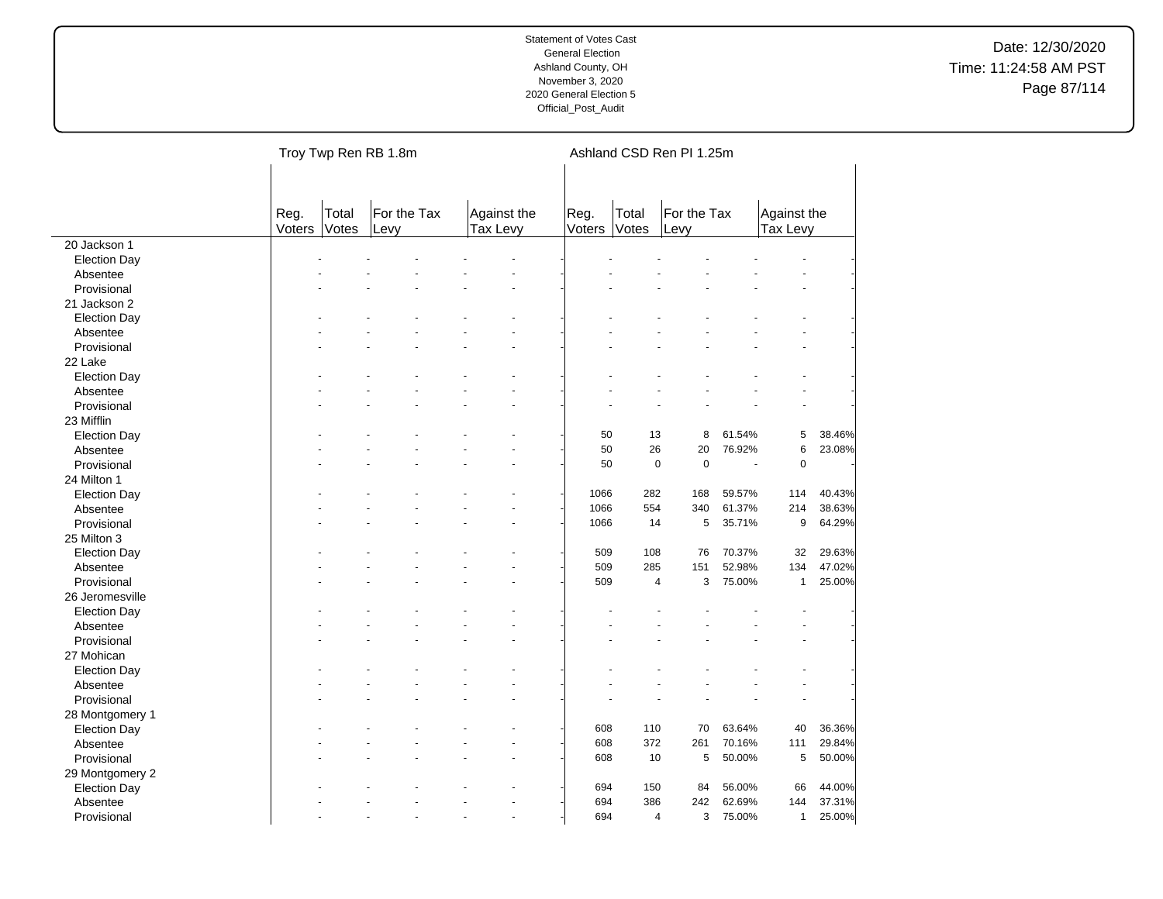|                     |                |                | Troy Twp Ren RB 1.8m |                      |        |                         | Ashland CSD Ren PI 1.25m |        |              |        |
|---------------------|----------------|----------------|----------------------|----------------------|--------|-------------------------|--------------------------|--------|--------------|--------|
|                     |                |                |                      |                      |        |                         |                          |        |              |        |
|                     | Reg.<br>Voters | Total<br>Votes | For the Tax          | Against the          | Reg.   | Total<br><b>Votes</b>   | For the Tax              |        | Against the  |        |
| 20 Jackson 1        |                |                | Levy                 | Tax Levy             | Voters |                         | Levy                     |        | Tax Levy     |        |
| <b>Election Day</b> |                |                |                      |                      |        |                         |                          |        |              |        |
| Absentee            |                |                |                      |                      |        |                         |                          |        |              |        |
| Provisional         |                |                |                      |                      |        |                         |                          |        |              |        |
| 21 Jackson 2        |                |                |                      |                      |        |                         |                          |        |              |        |
| <b>Election Day</b> |                |                |                      |                      |        |                         |                          |        |              |        |
| Absentee            |                |                |                      |                      |        |                         |                          |        |              |        |
|                     |                |                |                      |                      |        |                         |                          |        |              |        |
| Provisional         |                |                |                      |                      |        |                         |                          |        |              |        |
| 22 Lake             |                |                |                      |                      |        |                         |                          |        |              |        |
| <b>Election Day</b> |                |                |                      |                      |        |                         |                          |        |              |        |
| Absentee            |                |                |                      |                      |        |                         |                          |        |              |        |
| Provisional         |                |                |                      |                      |        |                         |                          |        |              |        |
| 23 Mifflin          |                |                |                      |                      |        |                         |                          |        |              |        |
| <b>Election Day</b> |                |                |                      |                      | 50     | 13                      | 8                        | 61.54% | 5            | 38.46% |
| Absentee            |                |                |                      | L.                   | 50     | 26                      | 20                       | 76.92% | 6            | 23.08% |
| Provisional         |                |                |                      |                      | 50     | $\mathbf 0$             | $\pmb{0}$                | ÷.     | $\pmb{0}$    |        |
| 24 Milton 1         |                |                |                      |                      |        |                         |                          |        |              |        |
| <b>Election Day</b> |                |                |                      |                      | 1066   | 282                     | 168                      | 59.57% | 114          | 40.43% |
| Absentee            |                |                |                      |                      | 1066   | 554                     | 340                      | 61.37% | 214          | 38.63% |
| Provisional         |                |                |                      |                      | 1066   | 14                      | 5                        | 35.71% | 9            | 64.29% |
| 25 Milton 3         |                |                |                      |                      |        |                         |                          |        |              |        |
| <b>Election Day</b> |                |                |                      |                      | 509    | 108                     | 76                       | 70.37% | 32           | 29.63% |
| Absentee            |                |                |                      |                      | 509    | 285                     | 151                      | 52.98% | 134          | 47.02% |
| Provisional         |                |                |                      |                      | 509    | $\overline{4}$          | 3                        | 75.00% | $\mathbf{1}$ | 25.00% |
| 26 Jeromesville     |                |                |                      |                      |        |                         |                          |        |              |        |
| <b>Election Day</b> |                |                |                      |                      |        |                         |                          |        |              |        |
| Absentee            |                |                |                      |                      |        |                         |                          |        |              |        |
| Provisional         |                |                |                      |                      |        |                         |                          |        |              |        |
| 27 Mohican          |                |                |                      |                      |        |                         |                          |        |              |        |
| <b>Election Day</b> |                |                |                      |                      |        |                         |                          |        |              |        |
| Absentee            |                |                |                      | ÷.                   |        |                         |                          |        |              |        |
| Provisional         |                |                |                      |                      |        |                         |                          |        |              |        |
|                     |                |                |                      |                      |        |                         |                          |        |              |        |
| 28 Montgomery 1     |                |                |                      |                      |        |                         |                          |        |              |        |
| <b>Election Day</b> |                |                |                      |                      | 608    | 110                     | 70                       | 63.64% | 40           | 36.36% |
| Absentee            |                |                |                      |                      | 608    | 372                     | 261                      | 70.16% | 111          | 29.84% |
| Provisional         |                |                |                      |                      | 608    | 10                      | 5                        | 50.00% | 5            | 50.00% |
| 29 Montgomery 2     |                |                |                      |                      |        |                         |                          |        |              |        |
| <b>Election Day</b> |                |                |                      |                      | 694    | 150                     | 84                       | 56.00% | 66           | 44.00% |
| Absentee            |                |                |                      |                      | 694    | 386                     | 242                      | 62.69% | 144          | 37.31% |
| Provisional         |                |                |                      | $\ddot{\phantom{1}}$ | 694    | $\overline{\mathbf{4}}$ | 3                        | 75.00% | $\mathbf{1}$ | 25.00% |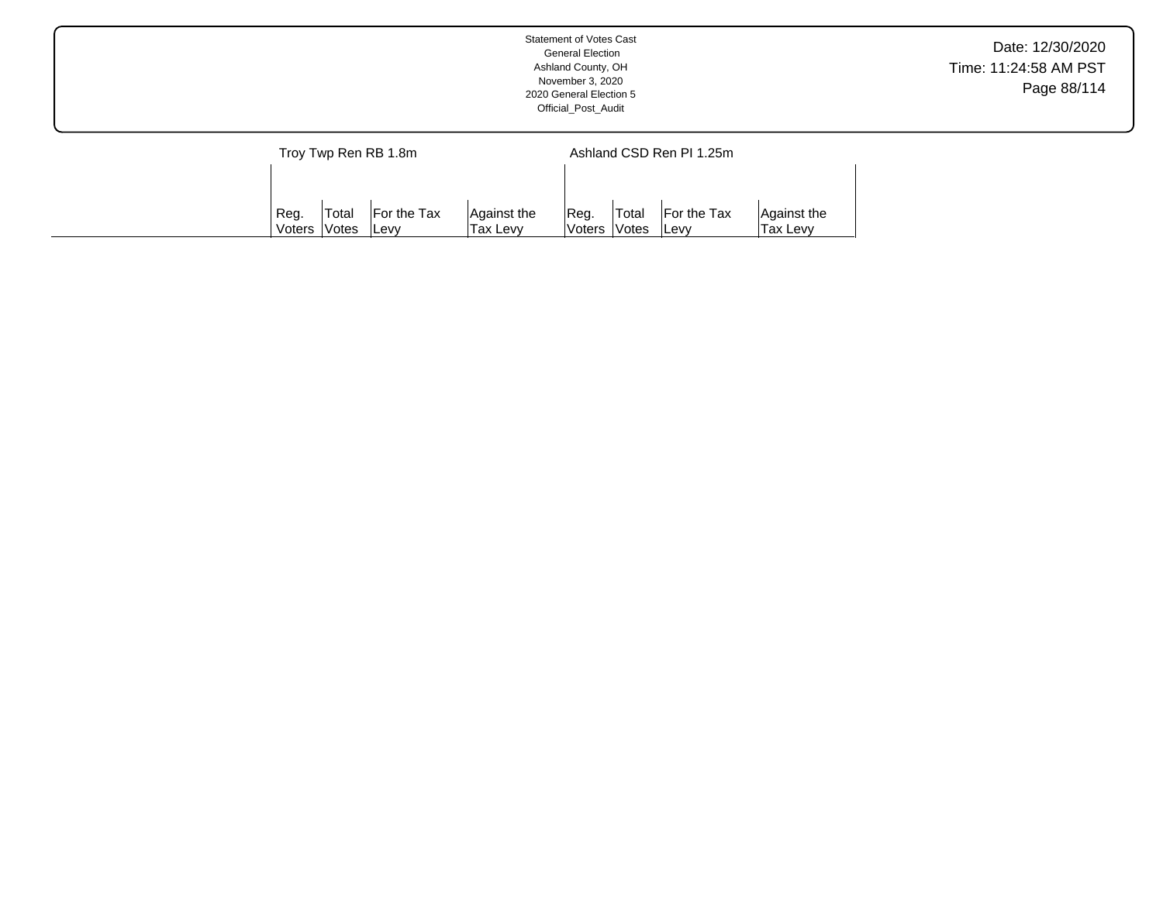|                      | Statement of Votes Cast<br><b>General Election</b><br>Ashland County, OH<br>November 3, 2020<br>2020 General Election 5<br>Official_Post_Audit | Date: 12/30/2020<br>Time: 11:24:58 AM PST<br>Page 88/114 |
|----------------------|------------------------------------------------------------------------------------------------------------------------------------------------|----------------------------------------------------------|
| Troy Twp Ren RB 1.8m | Ashland CSD Ren PI 1.25m                                                                                                                       |                                                          |

Reg. Voters Total Votes For the Tax Levy

Against the Tax Levy

Reg. Voters Total Votes For the Tax Levy

Against the Tax Levy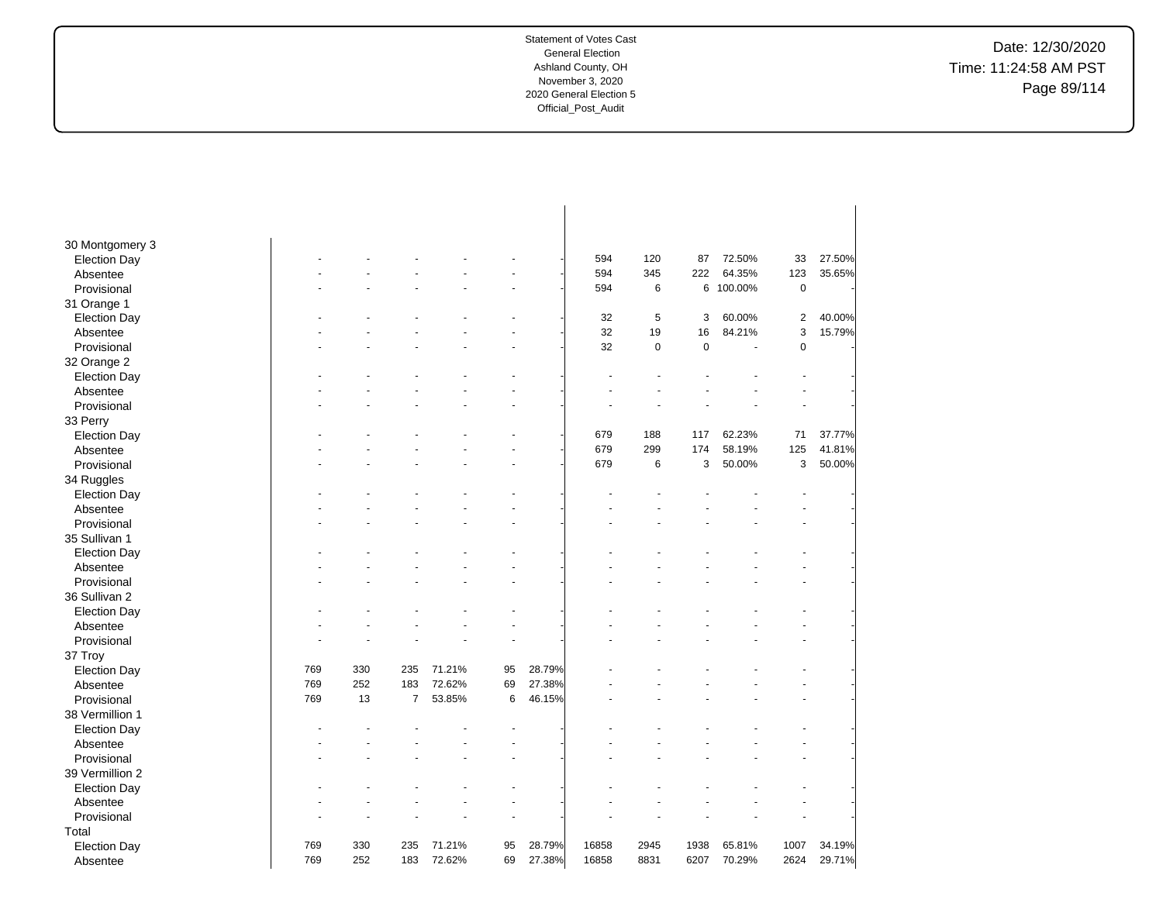Date: 12/30/2020 Time: 11:24:58 AM PST Page 89/114

| 30 Montgomery 3                 |     |     |                |        |    |        |       |           |             |           |                         |        |
|---------------------------------|-----|-----|----------------|--------|----|--------|-------|-----------|-------------|-----------|-------------------------|--------|
| <b>Election Day</b>             |     |     |                |        |    |        | 594   | 120       | 87          | 72.50%    | 33                      | 27.50% |
| Absentee                        |     |     |                |        |    |        | 594   | 345       | 222         | 64.35%    | 123                     | 35.65% |
| Provisional                     |     |     |                |        |    |        | 594   | 6         |             | 6 100.00% | $\mathbf 0$             |        |
| 31 Orange 1                     |     |     |                |        |    |        |       |           |             |           |                         |        |
| <b>Election Day</b>             |     |     |                |        |    |        | 32    | 5         | 3           | 60.00%    | $\overline{\mathbf{c}}$ | 40.00% |
| Absentee                        |     |     |                |        |    |        | 32    | 19        | 16          | 84.21%    | 3                       | 15.79% |
| Provisional                     |     |     |                |        |    |        | 32    | $\pmb{0}$ | $\mathbf 0$ |           | $\mathbf 0$             |        |
| 32 Orange 2                     |     |     |                |        |    |        |       |           |             |           |                         |        |
| <b>Election Day</b>             |     |     |                |        |    |        |       |           |             |           |                         |        |
| Absentee                        |     |     |                |        |    |        |       |           |             |           |                         |        |
| Provisional                     |     |     |                |        |    |        |       |           |             |           |                         |        |
| 33 Perry                        |     |     |                |        |    |        |       |           |             |           |                         |        |
| <b>Election Day</b>             |     |     |                |        |    |        | 679   | 188       | 117         | 62.23%    | 71                      | 37.77% |
| Absentee                        |     |     |                |        |    |        | 679   | 299       | 174         | 58.19%    | 125                     | 41.81% |
| Provisional                     |     |     |                |        |    |        | 679   | 6         | 3           | 50.00%    | 3                       | 50.00% |
| 34 Ruggles                      |     |     |                |        |    |        |       |           |             |           |                         |        |
| <b>Election Day</b>             |     |     |                |        |    |        |       |           |             |           |                         |        |
| Absentee                        |     |     |                |        |    |        |       |           |             |           |                         |        |
| Provisional                     |     |     |                |        |    |        |       |           |             |           |                         |        |
| 35 Sullivan 1                   |     |     |                |        |    |        |       |           |             |           |                         |        |
| <b>Election Day</b>             |     |     |                |        |    |        |       |           |             |           |                         |        |
| Absentee                        |     |     |                |        |    |        |       |           |             |           |                         |        |
| Provisional                     |     |     |                |        | L. |        |       |           |             |           | $\overline{a}$          |        |
| 36 Sullivan 2                   |     |     |                |        |    |        |       |           |             |           |                         |        |
| <b>Election Day</b>             |     |     |                |        |    |        |       |           |             |           |                         |        |
| Absentee                        |     |     |                |        |    |        |       |           |             |           |                         |        |
| Provisional                     |     |     |                |        |    |        |       |           |             |           |                         |        |
| 37 Troy                         |     |     |                |        |    |        |       |           |             |           |                         |        |
| <b>Election Day</b>             | 769 | 330 | 235            | 71.21% | 95 | 28.79% |       |           |             |           |                         |        |
| Absentee                        | 769 | 252 | 183            | 72.62% | 69 | 27.38% |       |           |             |           |                         |        |
| Provisional                     | 769 | 13  | $\overline{7}$ | 53.85% | 6  | 46.15% |       |           |             |           |                         |        |
| 38 Vermillion 1                 |     |     |                |        |    |        |       |           |             |           |                         |        |
| <b>Election Day</b>             |     |     |                |        |    |        |       |           |             |           |                         |        |
| Absentee                        |     |     |                |        |    |        |       |           |             |           |                         |        |
| Provisional                     |     |     |                |        |    |        |       |           |             |           |                         |        |
| 39 Vermillion 2                 |     |     |                |        |    |        |       |           |             |           |                         |        |
|                                 |     |     |                |        |    |        |       |           |             |           |                         |        |
| <b>Election Day</b><br>Absentee |     |     |                |        |    |        |       |           |             |           |                         |        |
|                                 |     |     |                |        |    |        |       |           |             |           |                         |        |
| Provisional                     |     |     |                |        |    |        |       |           |             |           |                         |        |
| Total                           |     |     |                |        |    |        |       |           |             |           |                         |        |
| <b>Election Day</b>             | 769 | 330 | 235            | 71.21% | 95 | 28.79% | 16858 | 2945      | 1938        | 65.81%    | 1007                    | 34.19% |
| Absentee                        | 769 | 252 | 183            | 72.62% | 69 | 27.38% | 16858 | 8831      | 6207        | 70.29%    | 2624                    | 29.71% |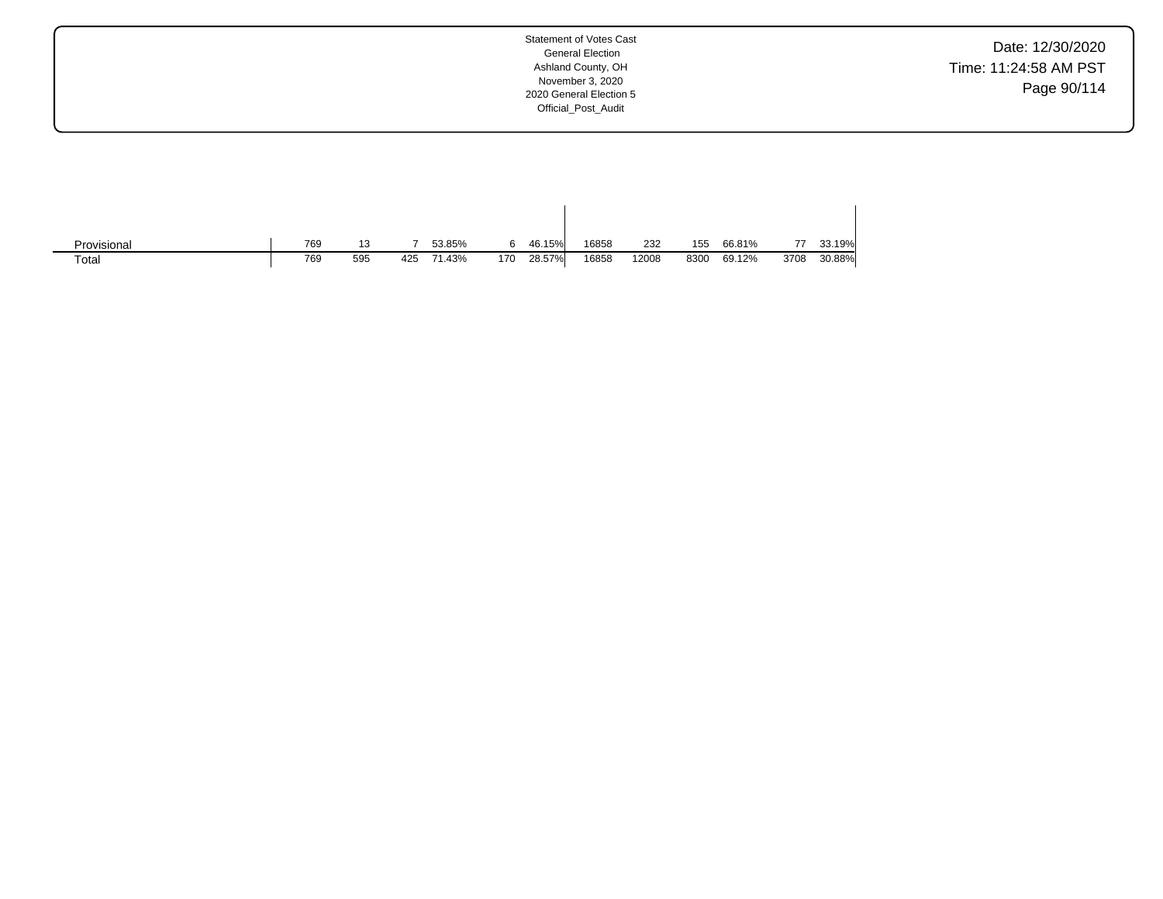Date: 12/30/2020 Time: 11:24:58 AM PST Page 90/114

| Provisional | 769 |     |     | 53.85% |     | 46.15% | 16858 | 232   | 155  | 66.81% | 77   | 33.19% |
|-------------|-----|-----|-----|--------|-----|--------|-------|-------|------|--------|------|--------|
| Total       | 769 | 595 | 425 | 71.43% | 170 | 28.57% | 16858 | 12008 | 8300 | 69.12% | 3708 | 30.88% |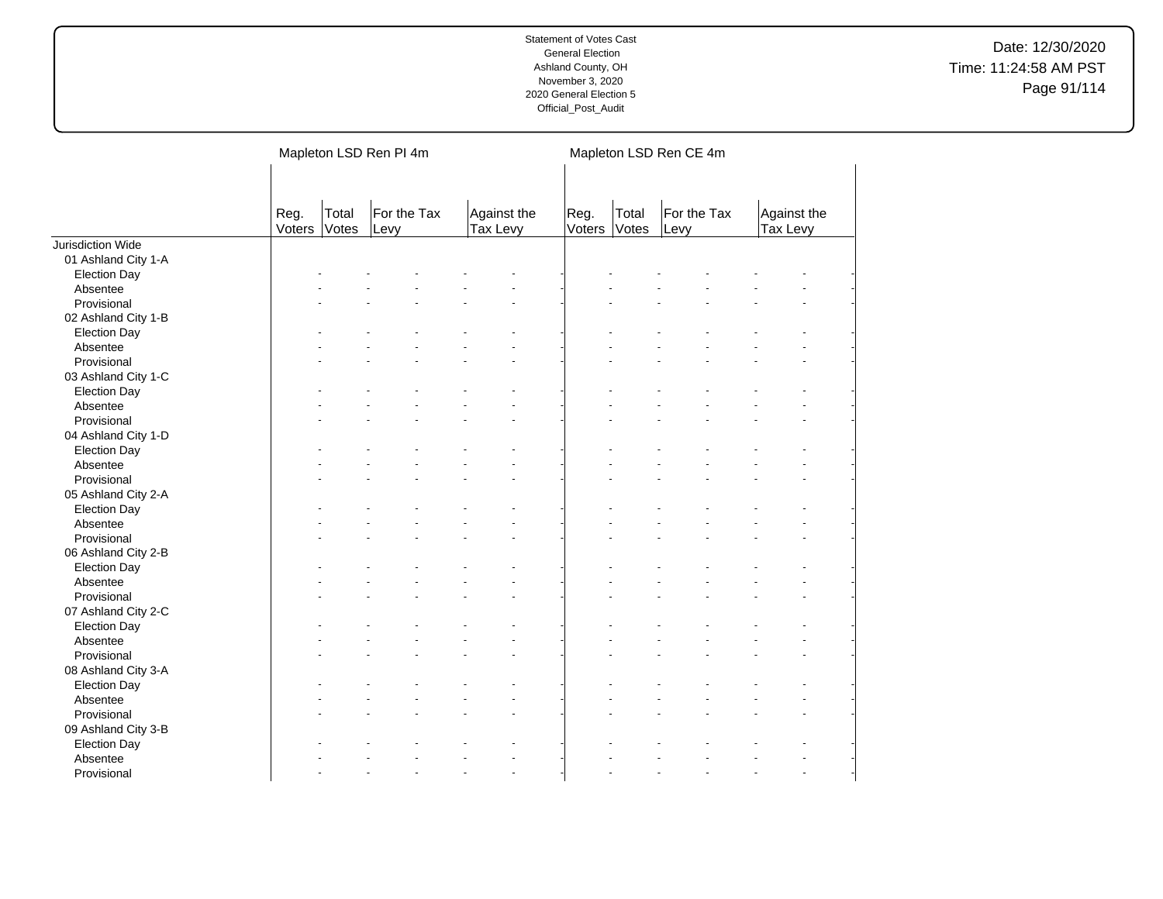|                                 |                |                | Mapleton LSD Ren PI 4m |                                |                |                | Mapleton LSD Ren CE 4m |                         |  |
|---------------------------------|----------------|----------------|------------------------|--------------------------------|----------------|----------------|------------------------|-------------------------|--|
|                                 | Reg.<br>Voters | Total<br>Votes | For the Tax<br>Levy    | Against the<br><b>Tax Levy</b> | Reg.<br>Voters | Total<br>Votes | For the Tax<br>Levy    | Against the<br>Tax Levy |  |
| Jurisdiction Wide               |                |                |                        |                                |                |                |                        |                         |  |
| 01 Ashland City 1-A             |                |                |                        |                                |                |                |                        |                         |  |
| <b>Election Day</b>             |                |                |                        |                                |                |                |                        |                         |  |
| Absentee                        |                |                |                        |                                |                |                |                        |                         |  |
| Provisional                     |                |                |                        |                                |                |                |                        |                         |  |
| 02 Ashland City 1-B             |                |                |                        |                                |                |                |                        |                         |  |
| <b>Election Day</b>             |                |                |                        |                                |                |                |                        |                         |  |
| Absentee                        |                |                |                        |                                |                |                |                        |                         |  |
| Provisional                     |                |                |                        |                                |                |                |                        |                         |  |
| 03 Ashland City 1-C             |                |                |                        |                                |                |                |                        |                         |  |
| <b>Election Day</b>             |                |                |                        |                                |                |                |                        |                         |  |
| Absentee                        |                |                |                        |                                |                |                |                        |                         |  |
| Provisional                     |                |                |                        |                                |                |                |                        |                         |  |
| 04 Ashland City 1-D             |                |                |                        |                                |                |                |                        |                         |  |
| <b>Election Day</b>             |                |                |                        |                                |                |                |                        |                         |  |
| Absentee                        |                |                |                        |                                |                |                |                        |                         |  |
| Provisional                     |                |                |                        |                                |                |                |                        |                         |  |
| 05 Ashland City 2-A             |                |                |                        |                                |                |                |                        |                         |  |
| <b>Election Day</b>             |                |                |                        |                                |                |                |                        |                         |  |
| Absentee                        |                |                |                        |                                |                |                |                        |                         |  |
| Provisional                     |                |                |                        |                                |                |                |                        |                         |  |
| 06 Ashland City 2-B             |                |                |                        |                                |                |                |                        |                         |  |
| <b>Election Day</b>             |                |                |                        |                                |                |                |                        |                         |  |
| Absentee                        |                |                |                        |                                |                |                |                        |                         |  |
| Provisional                     |                |                |                        |                                |                |                |                        |                         |  |
| 07 Ashland City 2-C             |                |                |                        |                                |                |                |                        |                         |  |
| <b>Election Day</b>             |                |                |                        |                                |                |                |                        |                         |  |
| Absentee                        |                |                |                        |                                |                |                |                        |                         |  |
| Provisional                     |                |                |                        |                                |                |                |                        |                         |  |
| 08 Ashland City 3-A             |                |                |                        |                                |                |                |                        |                         |  |
|                                 |                |                |                        |                                |                |                |                        |                         |  |
| <b>Election Day</b><br>Absentee |                |                |                        |                                |                |                |                        |                         |  |
|                                 |                |                |                        |                                |                |                |                        |                         |  |
| Provisional                     |                |                |                        |                                |                |                |                        |                         |  |
| 09 Ashland City 3-B             |                |                |                        |                                |                |                |                        |                         |  |
| <b>Election Day</b>             |                |                |                        |                                |                |                |                        |                         |  |
| Absentee                        |                |                |                        |                                |                |                |                        |                         |  |
| Provisional                     |                |                |                        |                                |                |                |                        |                         |  |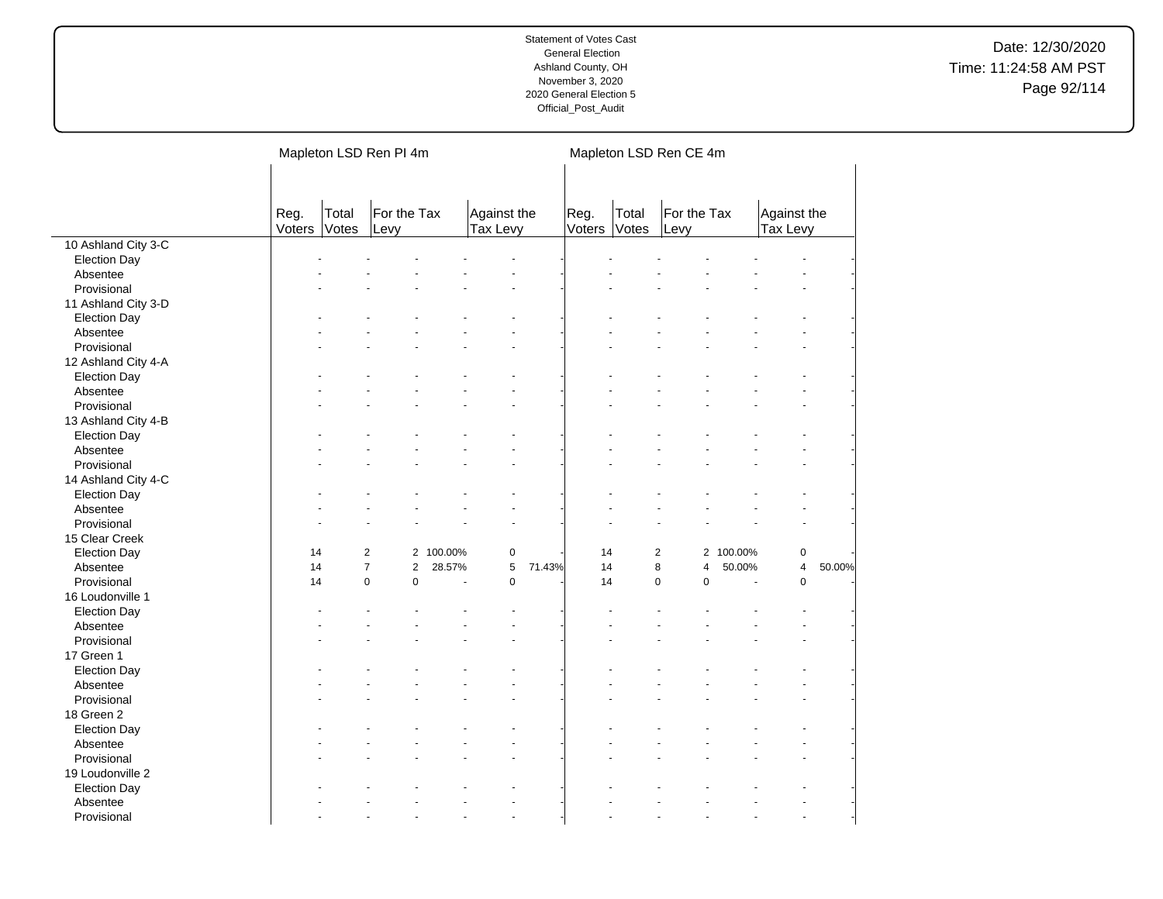|                     |                |                | Mapleton LSD Ren PI 4m           |         |                         |        |                |                | Mapleton LSD Ren CE 4m |           |                         |        |  |
|---------------------|----------------|----------------|----------------------------------|---------|-------------------------|--------|----------------|----------------|------------------------|-----------|-------------------------|--------|--|
|                     | Reg.<br>Voters | Total<br>Votes | For the Tax<br>Levy              |         | Against the<br>Tax Levy |        | Reg.<br>Voters | Total<br>Votes | For the Tax<br>Levy    |           | Against the<br>Tax Levy |        |  |
| 10 Ashland City 3-C |                |                |                                  |         |                         |        |                |                |                        |           |                         |        |  |
| <b>Election Day</b> |                |                |                                  |         |                         |        |                |                |                        |           |                         |        |  |
| Absentee            |                |                |                                  |         |                         |        |                |                |                        |           |                         |        |  |
| Provisional         |                |                |                                  |         |                         |        |                |                |                        |           |                         |        |  |
| 11 Ashland City 3-D |                |                |                                  |         |                         |        |                |                |                        |           |                         |        |  |
| <b>Election Day</b> |                |                |                                  |         |                         |        |                |                |                        |           |                         |        |  |
| Absentee            |                |                |                                  |         |                         |        |                |                |                        |           |                         |        |  |
| Provisional         |                |                |                                  |         |                         |        |                |                |                        |           |                         |        |  |
| 12 Ashland City 4-A |                |                |                                  |         |                         |        |                |                |                        |           |                         |        |  |
| <b>Election Day</b> |                |                |                                  |         |                         |        |                |                |                        |           |                         |        |  |
| Absentee            |                |                |                                  |         |                         |        |                |                |                        |           |                         |        |  |
| Provisional         |                |                |                                  |         |                         |        |                |                |                        |           |                         |        |  |
| 13 Ashland City 4-B |                |                |                                  |         |                         |        |                |                |                        |           |                         |        |  |
| <b>Election Day</b> |                |                |                                  |         |                         |        |                |                |                        |           |                         |        |  |
| Absentee            |                |                |                                  |         |                         |        |                |                |                        |           |                         |        |  |
| Provisional         |                |                |                                  |         |                         |        |                |                |                        |           |                         |        |  |
| 14 Ashland City 4-C |                |                |                                  |         |                         |        |                |                |                        |           |                         |        |  |
| <b>Election Day</b> |                |                |                                  |         |                         |        |                |                |                        |           |                         |        |  |
| Absentee            |                |                |                                  |         |                         |        |                |                |                        |           |                         |        |  |
| Provisional         |                |                |                                  |         |                         |        |                |                |                        |           |                         |        |  |
| 15 Clear Creek      |                |                |                                  |         |                         |        |                |                |                        |           |                         |        |  |
| <b>Election Day</b> | 14             |                | $\overline{2}$<br>$\overline{2}$ | 100.00% | $\pmb{0}$               |        | 14             |                | $\overline{c}$         | 2 100.00% | 0                       |        |  |
| Absentee            | 14             |                | $\overline{7}$<br>$\mathbf{2}$   | 28.57%  | 5                       | 71.43% | 14             |                | 8<br>4                 | 50.00%    | 4                       | 50.00% |  |
| Provisional         | 14             |                | 0<br>$\pmb{0}$                   | Ĭ.      | $\mathbf 0$             |        | 14             |                | $\pmb{0}$<br>$\pmb{0}$ | ÷,        | 0                       |        |  |
| 16 Loudonville 1    |                |                |                                  |         |                         |        |                |                |                        |           |                         |        |  |
| <b>Election Day</b> |                |                |                                  |         |                         |        |                |                |                        |           |                         |        |  |
| Absentee            |                |                |                                  |         |                         |        |                |                |                        |           |                         |        |  |
| Provisional         |                |                |                                  |         |                         |        |                |                |                        |           |                         |        |  |
| 17 Green 1          |                |                |                                  |         |                         |        |                |                |                        |           |                         |        |  |
| <b>Election Day</b> |                |                |                                  |         |                         |        |                |                |                        |           |                         |        |  |
| Absentee            |                |                |                                  |         |                         |        |                |                |                        |           |                         |        |  |
| Provisional         |                |                |                                  |         |                         |        |                |                |                        |           |                         |        |  |
| 18 Green 2          |                |                |                                  |         |                         |        |                |                |                        |           |                         |        |  |
| <b>Election Day</b> |                |                |                                  |         |                         |        |                |                |                        |           |                         |        |  |
| Absentee            |                |                |                                  |         |                         |        |                |                |                        |           |                         |        |  |
| Provisional         |                |                |                                  |         |                         |        |                |                |                        |           |                         |        |  |
| 19 Loudonville 2    |                |                |                                  |         |                         |        |                |                |                        |           |                         |        |  |
| <b>Election Day</b> |                |                |                                  |         |                         |        |                |                |                        |           |                         |        |  |
| Absentee            |                |                |                                  |         |                         |        |                |                |                        |           |                         |        |  |
| Provisional         |                |                |                                  |         |                         |        |                |                |                        |           | L.                      |        |  |
|                     |                |                |                                  |         |                         |        |                |                |                        |           |                         |        |  |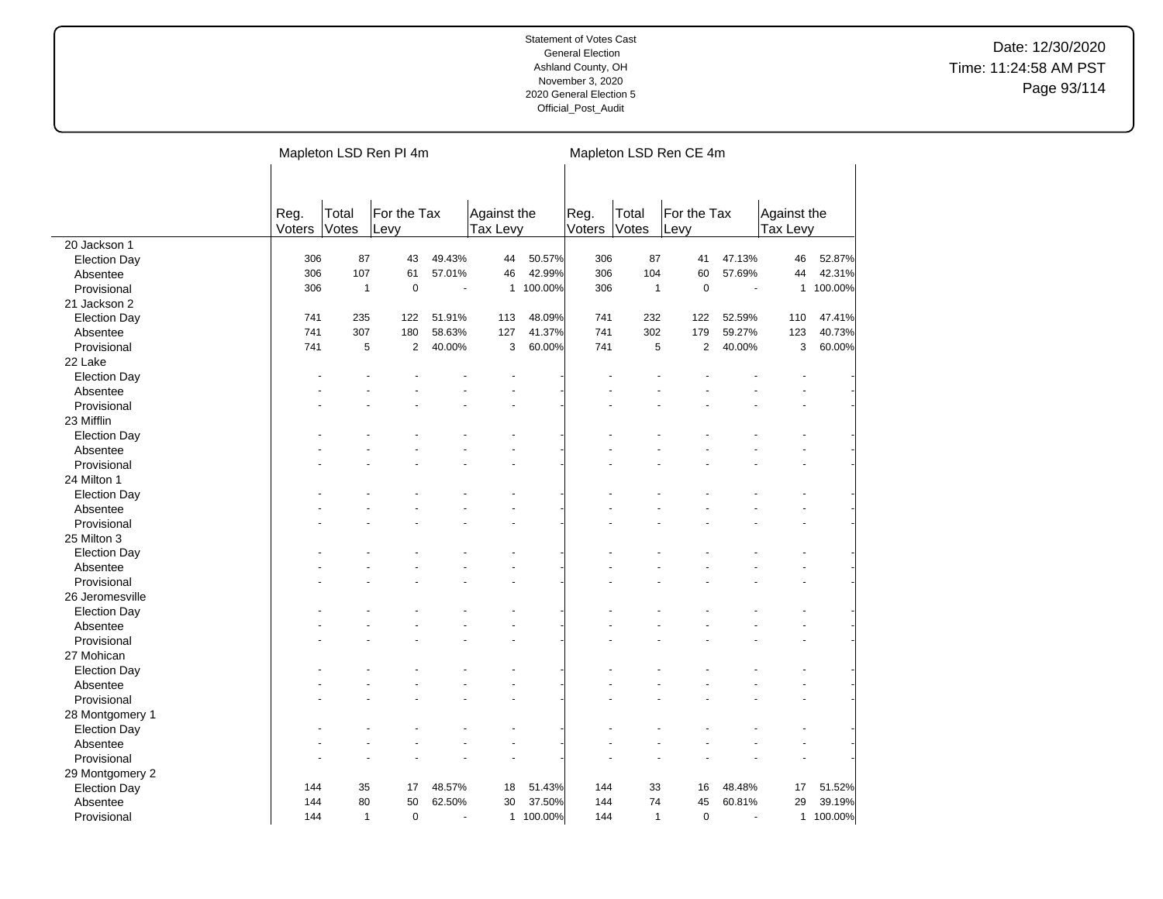|                     |                |                | Mapleton LSD Ren PI 4m |                |                         |           |                |                | Mapleton LSD Ren CE 4m |                |                         |         |
|---------------------|----------------|----------------|------------------------|----------------|-------------------------|-----------|----------------|----------------|------------------------|----------------|-------------------------|---------|
|                     |                |                |                        |                |                         |           |                |                |                        |                |                         |         |
|                     |                |                |                        |                |                         |           |                |                |                        |                |                         |         |
|                     | Reg.<br>Voters | Total<br>Votes | For the Tax<br>Levy    |                | Against the<br>Tax Levy |           | Reg.<br>Voters | Total<br>Votes | For the Tax<br>Levy    |                | Against the<br>Tax Levy |         |
| 20 Jackson 1        |                |                |                        |                |                         |           |                |                |                        |                |                         |         |
| <b>Election Day</b> | 306            | 87             | 43                     | 49.43%         | 44                      | 50.57%    | 306            | 87             | 41                     | 47.13%         | 46                      | 52.87%  |
| Absentee            | 306            | 107            | 61                     | 57.01%         | 46                      | 42.99%    | 306            | 104            | 60                     | 57.69%         | 44                      | 42.31%  |
| Provisional         | 306            | $\mathbf{1}$   | $\mathbf 0$            |                |                         | 1 100.00% | 306            | $\mathbf{1}$   | $\pmb{0}$              |                | $\mathbf{1}$            | 100.00% |
| 21 Jackson 2        |                |                |                        |                |                         |           |                |                |                        |                |                         |         |
| <b>Election Day</b> | 741            | 235            | 122                    | 51.91%         | 113                     | 48.09%    | 741            | 232            | 122                    | 52.59%         | 110                     | 47.41%  |
| Absentee            | 741            | 307            | 180                    | 58.63%         | 127                     | 41.37%    | 741            | 302            | 179                    | 59.27%         | 123                     | 40.73%  |
| Provisional         | 741            | 5              | $\overline{2}$         | 40.00%         | 3                       | 60.00%    | 741            | 5              | $\overline{2}$         | 40.00%         | 3                       | 60.00%  |
| 22 Lake             |                |                |                        |                |                         |           |                |                |                        |                |                         |         |
| <b>Election Day</b> |                |                |                        |                |                         |           |                |                |                        |                |                         |         |
| Absentee            |                |                |                        |                |                         |           |                |                |                        |                |                         |         |
| Provisional         |                |                |                        |                |                         |           |                |                |                        |                |                         |         |
| 23 Mifflin          |                |                |                        |                |                         |           |                |                |                        |                |                         |         |
| <b>Election Day</b> |                |                |                        |                |                         |           |                |                |                        |                |                         |         |
| Absentee            |                |                |                        |                |                         |           |                |                |                        |                |                         |         |
| Provisional         |                |                |                        |                |                         |           |                |                |                        |                |                         |         |
| 24 Milton 1         |                |                |                        |                |                         |           |                |                |                        |                |                         |         |
| <b>Election Day</b> |                |                |                        |                |                         |           |                |                |                        |                |                         |         |
| Absentee            |                |                |                        |                |                         |           |                |                |                        |                |                         |         |
| Provisional         |                |                |                        |                |                         |           |                |                |                        |                |                         |         |
| 25 Milton 3         |                |                |                        |                |                         |           |                |                |                        |                |                         |         |
| <b>Election Day</b> |                |                |                        |                |                         |           |                |                |                        |                |                         |         |
| Absentee            |                |                |                        |                |                         |           |                |                |                        |                |                         |         |
| Provisional         |                |                |                        |                |                         |           |                |                |                        |                |                         |         |
| 26 Jeromesville     |                |                |                        |                |                         |           |                |                |                        |                |                         |         |
| <b>Election Day</b> |                |                |                        |                |                         |           |                |                |                        |                |                         |         |
| Absentee            |                |                |                        |                |                         |           |                |                |                        |                |                         |         |
| Provisional         |                |                |                        |                |                         |           |                |                |                        |                |                         |         |
| 27 Mohican          |                |                |                        |                |                         |           |                |                |                        |                |                         |         |
| <b>Election Day</b> |                |                |                        |                |                         |           |                |                |                        |                |                         |         |
| Absentee            |                |                |                        |                |                         |           |                |                |                        |                |                         |         |
| Provisional         |                |                |                        |                |                         |           |                |                |                        |                |                         |         |
| 28 Montgomery 1     |                |                |                        |                |                         |           |                |                |                        |                |                         |         |
| <b>Election Day</b> |                |                |                        |                |                         |           |                |                |                        |                |                         |         |
| Absentee            |                |                |                        |                |                         |           |                |                |                        |                |                         |         |
| Provisional         |                |                |                        |                |                         |           |                |                |                        |                |                         |         |
| 29 Montgomery 2     |                |                |                        |                |                         |           |                |                |                        |                |                         |         |
| <b>Election Day</b> | 144            | 35             | 17                     | 48.57%         | 18                      | 51.43%    | 144            | 33             | 16                     | 48.48%         | 17                      | 51.52%  |
| Absentee            | 144            | 80             | 50                     | 62.50%         | 30                      | 37.50%    | 144            | 74             | 45                     | 60.81%         | 29                      | 39.19%  |
|                     | 144            | $\mathbf{1}$   | $\mathbf 0$            | $\overline{a}$ |                         | 1 100.00% | 144            | $\mathbf{1}$   | $\mathbf 0$            | $\overline{a}$ | $\mathbf{1}$            | 100.00% |
| Provisional         |                |                |                        |                |                         |           |                |                |                        |                |                         |         |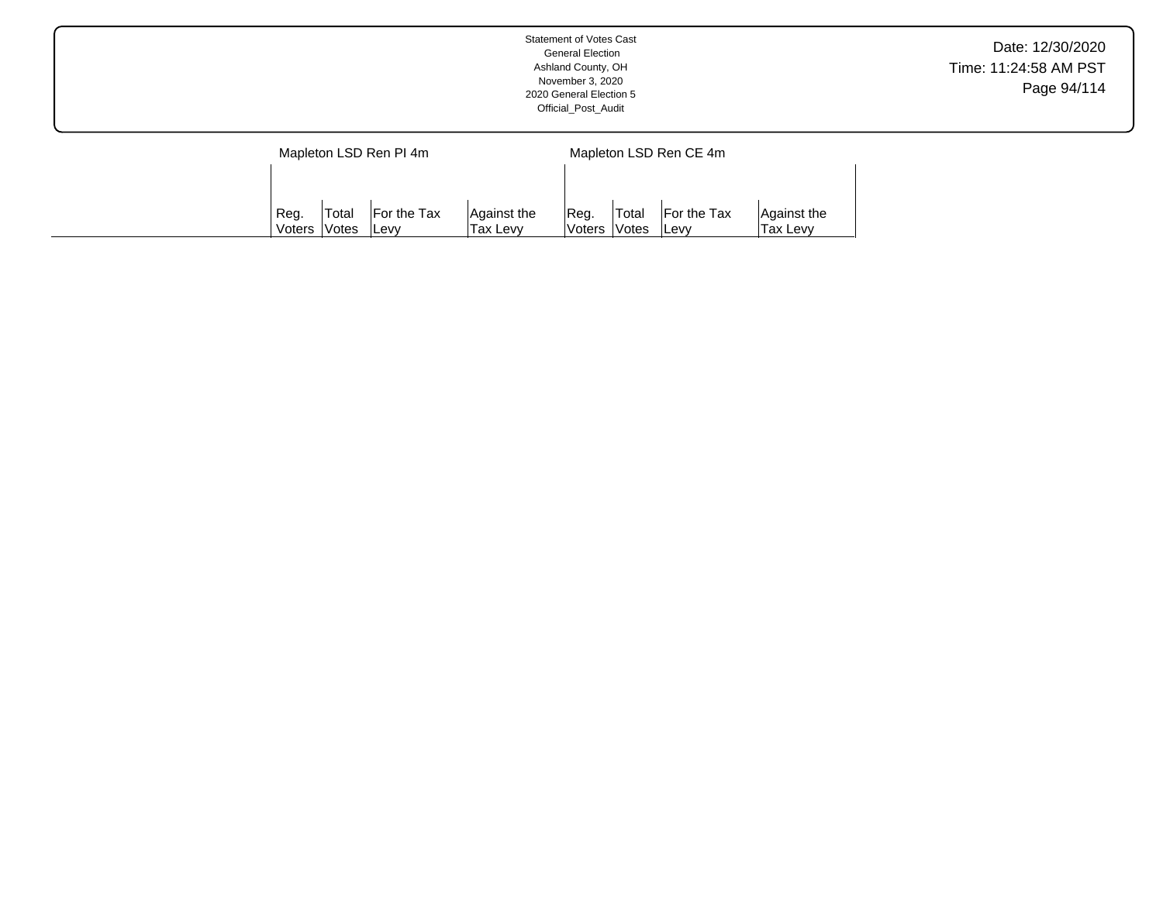|                        | Statement of Votes Cast<br><b>General Election</b><br>Ashland County, OH<br>November 3, 2020<br>2020 General Election 5<br>Official_Post_Audit | Date: 12/30/2020<br>Time: 11:24:58 AM PST<br>Page 94/114 |
|------------------------|------------------------------------------------------------------------------------------------------------------------------------------------|----------------------------------------------------------|
| Mapleton LSD Ren PI 4m | Mapleton LSD Ren CE 4m                                                                                                                         |                                                          |

Reg. Voters Total Votes For the Tax Levy

Against the Tax Levy

Reg. Voters Total Votes For the Tax Levy

Against the Tax Levy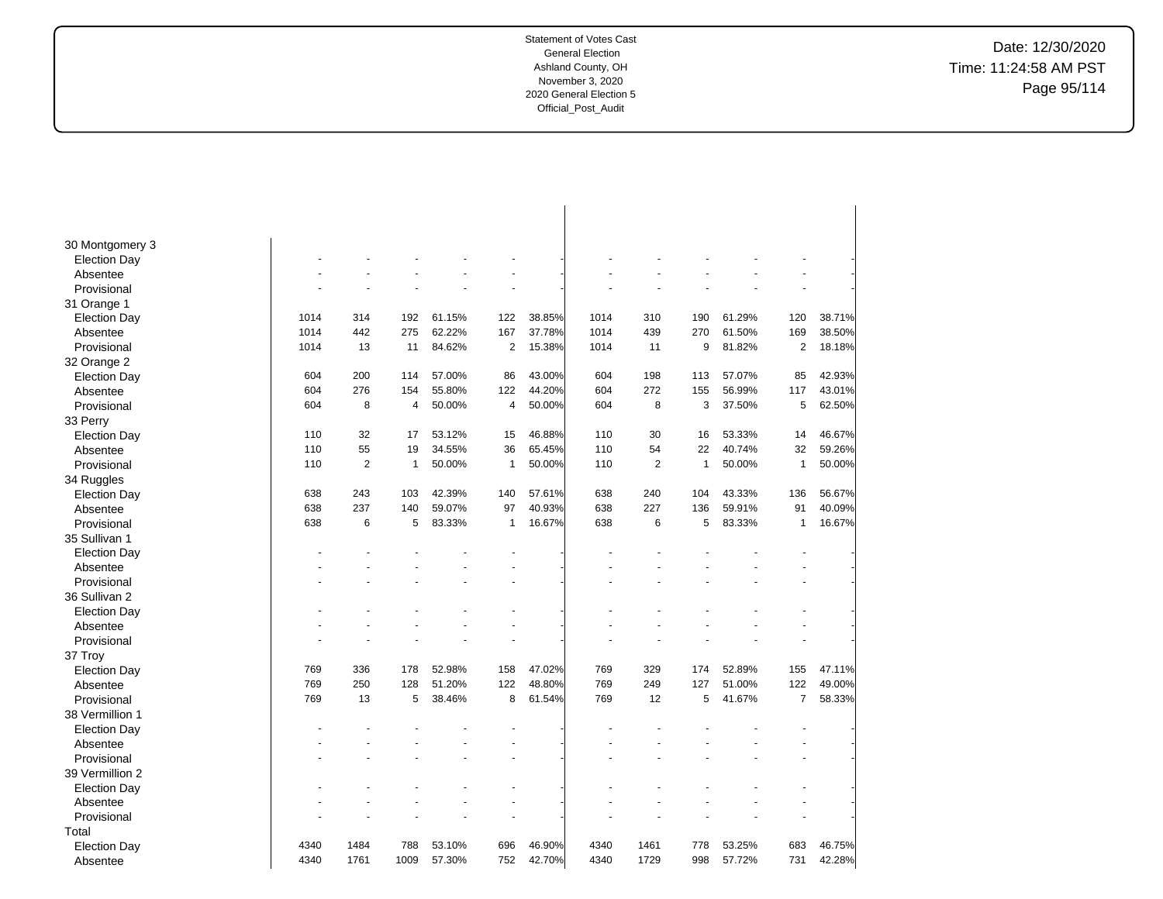Date: 12/30/2020 Time: 11:24:58 AM PST Page 95/114

| 30 Montgomery 3<br><b>Election Day</b><br>Absentee<br>Provisional<br>31 Orange 1<br>61.29%<br>1014<br>314<br>61.15%<br>122<br>38.85%<br>1014<br>310<br>190<br>120<br>38.71%<br><b>Election Day</b><br>192<br>1014<br>442<br>275<br>62.22%<br>37.78%<br>1014<br>439<br>270<br>61.50%<br>169<br>38.50%<br>Absentee<br>167<br>13<br>84.62%<br>2<br>15.38%<br>9<br>81.82%<br>2<br>18.18%<br>Provisional<br>1014<br>11<br>1014<br>11<br>32 Orange 2<br>604<br>200<br>57.00%<br>86<br>43.00%<br>604<br>198<br>57.07%<br>85<br>42.93%<br><b>Election Day</b><br>114<br>113<br>276<br>55.80%<br>44.20%<br>604<br>272<br>43.01%<br>604<br>154<br>122<br>155<br>56.99%<br>117<br>Absentee<br>8<br>50.00%<br>50.00%<br>8<br>37.50%<br>62.50%<br>604<br>604<br>3<br>5<br>Provisional<br>4<br>4<br>33 Perry<br>46.67%<br>110<br>32<br>53.12%<br>15<br>46.88%<br>110<br>30<br>16<br>53.33%<br>14<br><b>Election Day</b><br>17<br>34.55%<br>65.45%<br>40.74%<br>110<br>55<br>19<br>36<br>110<br>54<br>22<br>32<br>59.26%<br>Absentee<br>110<br>$\overline{2}$<br>50.00%<br>50.00%<br>110<br>$\overline{2}$<br>$\mathbf{1}$<br>50.00%<br>50.00%<br>Provisional<br>$\mathbf{1}$<br>1<br>1<br>34 Ruggles<br>243<br>638<br>103<br>42.39%<br>140<br>57.61%<br>638<br>240<br>104<br>43.33%<br>136<br>56.67%<br><b>Election Day</b><br>237<br>40.93%<br>227<br>40.09%<br>638<br>140<br>59.07%<br>97<br>638<br>136<br>59.91%<br>91<br>Absentee<br>638<br>6<br>5<br>83.33%<br>16.67%<br>638<br>6<br>5<br>83.33%<br>16.67%<br>Provisional<br>$\mathbf{1}$<br>1<br>35 Sullivan 1<br><b>Election Day</b><br>Absentee<br>Provisional<br>36 Sullivan 2<br><b>Election Day</b><br>Absentee<br>$\ddot{\phantom{1}}$<br>Provisional<br>37 Troy<br>47.02%<br>769<br>47.11%<br>769<br>336<br>178<br>52.98%<br>158<br>329<br>174<br>52.89%<br>155<br><b>Election Day</b><br>250<br>48.80%<br>769<br>122<br>769<br>128<br>51.20%<br>122<br>249<br>127<br>51.00%<br>Absentee<br>769<br>13<br>5<br>38.46%<br>8<br>61.54%<br>769<br>12<br>5<br>41.67%<br>$\overline{7}$<br>Provisional<br>38 Vermillion 1<br><b>Election Day</b><br>Absentee<br>Provisional<br>39 Vermillion 2<br><b>Election Day</b><br>Absentee<br>Provisional<br>Total<br>4340<br>1484<br>788<br>46.90%<br>4340<br>1461<br>53.25%<br>683<br>46.75%<br>53.10%<br>696<br>778<br><b>Election Day</b> |          |      |      |      |        |     |        |      |      |     |        |     |        |
|-------------------------------------------------------------------------------------------------------------------------------------------------------------------------------------------------------------------------------------------------------------------------------------------------------------------------------------------------------------------------------------------------------------------------------------------------------------------------------------------------------------------------------------------------------------------------------------------------------------------------------------------------------------------------------------------------------------------------------------------------------------------------------------------------------------------------------------------------------------------------------------------------------------------------------------------------------------------------------------------------------------------------------------------------------------------------------------------------------------------------------------------------------------------------------------------------------------------------------------------------------------------------------------------------------------------------------------------------------------------------------------------------------------------------------------------------------------------------------------------------------------------------------------------------------------------------------------------------------------------------------------------------------------------------------------------------------------------------------------------------------------------------------------------------------------------------------------------------------------------------------------------------------------------------------------------------------------------------------------------------------------------------------------------------------------------------------------------------------------------------------------------------------------------------------------------------------------------------------------------------------------------------------------------------------------------------------|----------|------|------|------|--------|-----|--------|------|------|-----|--------|-----|--------|
|                                                                                                                                                                                                                                                                                                                                                                                                                                                                                                                                                                                                                                                                                                                                                                                                                                                                                                                                                                                                                                                                                                                                                                                                                                                                                                                                                                                                                                                                                                                                                                                                                                                                                                                                                                                                                                                                                                                                                                                                                                                                                                                                                                                                                                                                                                                               |          |      |      |      |        |     |        |      |      |     |        |     |        |
| 49.00%<br>58.33%                                                                                                                                                                                                                                                                                                                                                                                                                                                                                                                                                                                                                                                                                                                                                                                                                                                                                                                                                                                                                                                                                                                                                                                                                                                                                                                                                                                                                                                                                                                                                                                                                                                                                                                                                                                                                                                                                                                                                                                                                                                                                                                                                                                                                                                                                                              |          |      |      |      |        |     |        |      |      |     |        |     |        |
|                                                                                                                                                                                                                                                                                                                                                                                                                                                                                                                                                                                                                                                                                                                                                                                                                                                                                                                                                                                                                                                                                                                                                                                                                                                                                                                                                                                                                                                                                                                                                                                                                                                                                                                                                                                                                                                                                                                                                                                                                                                                                                                                                                                                                                                                                                                               |          |      |      |      |        |     |        |      |      |     |        |     |        |
|                                                                                                                                                                                                                                                                                                                                                                                                                                                                                                                                                                                                                                                                                                                                                                                                                                                                                                                                                                                                                                                                                                                                                                                                                                                                                                                                                                                                                                                                                                                                                                                                                                                                                                                                                                                                                                                                                                                                                                                                                                                                                                                                                                                                                                                                                                                               |          |      |      |      |        |     |        |      |      |     |        |     |        |
|                                                                                                                                                                                                                                                                                                                                                                                                                                                                                                                                                                                                                                                                                                                                                                                                                                                                                                                                                                                                                                                                                                                                                                                                                                                                                                                                                                                                                                                                                                                                                                                                                                                                                                                                                                                                                                                                                                                                                                                                                                                                                                                                                                                                                                                                                                                               |          |      |      |      |        |     |        |      |      |     |        |     |        |
|                                                                                                                                                                                                                                                                                                                                                                                                                                                                                                                                                                                                                                                                                                                                                                                                                                                                                                                                                                                                                                                                                                                                                                                                                                                                                                                                                                                                                                                                                                                                                                                                                                                                                                                                                                                                                                                                                                                                                                                                                                                                                                                                                                                                                                                                                                                               |          |      |      |      |        |     |        |      |      |     |        |     |        |
|                                                                                                                                                                                                                                                                                                                                                                                                                                                                                                                                                                                                                                                                                                                                                                                                                                                                                                                                                                                                                                                                                                                                                                                                                                                                                                                                                                                                                                                                                                                                                                                                                                                                                                                                                                                                                                                                                                                                                                                                                                                                                                                                                                                                                                                                                                                               |          |      |      |      |        |     |        |      |      |     |        |     |        |
|                                                                                                                                                                                                                                                                                                                                                                                                                                                                                                                                                                                                                                                                                                                                                                                                                                                                                                                                                                                                                                                                                                                                                                                                                                                                                                                                                                                                                                                                                                                                                                                                                                                                                                                                                                                                                                                                                                                                                                                                                                                                                                                                                                                                                                                                                                                               |          |      |      |      |        |     |        |      |      |     |        |     |        |
|                                                                                                                                                                                                                                                                                                                                                                                                                                                                                                                                                                                                                                                                                                                                                                                                                                                                                                                                                                                                                                                                                                                                                                                                                                                                                                                                                                                                                                                                                                                                                                                                                                                                                                                                                                                                                                                                                                                                                                                                                                                                                                                                                                                                                                                                                                                               |          |      |      |      |        |     |        |      |      |     |        |     |        |
|                                                                                                                                                                                                                                                                                                                                                                                                                                                                                                                                                                                                                                                                                                                                                                                                                                                                                                                                                                                                                                                                                                                                                                                                                                                                                                                                                                                                                                                                                                                                                                                                                                                                                                                                                                                                                                                                                                                                                                                                                                                                                                                                                                                                                                                                                                                               |          |      |      |      |        |     |        |      |      |     |        |     |        |
|                                                                                                                                                                                                                                                                                                                                                                                                                                                                                                                                                                                                                                                                                                                                                                                                                                                                                                                                                                                                                                                                                                                                                                                                                                                                                                                                                                                                                                                                                                                                                                                                                                                                                                                                                                                                                                                                                                                                                                                                                                                                                                                                                                                                                                                                                                                               |          |      |      |      |        |     |        |      |      |     |        |     |        |
|                                                                                                                                                                                                                                                                                                                                                                                                                                                                                                                                                                                                                                                                                                                                                                                                                                                                                                                                                                                                                                                                                                                                                                                                                                                                                                                                                                                                                                                                                                                                                                                                                                                                                                                                                                                                                                                                                                                                                                                                                                                                                                                                                                                                                                                                                                                               |          |      |      |      |        |     |        |      |      |     |        |     |        |
|                                                                                                                                                                                                                                                                                                                                                                                                                                                                                                                                                                                                                                                                                                                                                                                                                                                                                                                                                                                                                                                                                                                                                                                                                                                                                                                                                                                                                                                                                                                                                                                                                                                                                                                                                                                                                                                                                                                                                                                                                                                                                                                                                                                                                                                                                                                               |          |      |      |      |        |     |        |      |      |     |        |     |        |
|                                                                                                                                                                                                                                                                                                                                                                                                                                                                                                                                                                                                                                                                                                                                                                                                                                                                                                                                                                                                                                                                                                                                                                                                                                                                                                                                                                                                                                                                                                                                                                                                                                                                                                                                                                                                                                                                                                                                                                                                                                                                                                                                                                                                                                                                                                                               |          |      |      |      |        |     |        |      |      |     |        |     |        |
|                                                                                                                                                                                                                                                                                                                                                                                                                                                                                                                                                                                                                                                                                                                                                                                                                                                                                                                                                                                                                                                                                                                                                                                                                                                                                                                                                                                                                                                                                                                                                                                                                                                                                                                                                                                                                                                                                                                                                                                                                                                                                                                                                                                                                                                                                                                               |          |      |      |      |        |     |        |      |      |     |        |     |        |
|                                                                                                                                                                                                                                                                                                                                                                                                                                                                                                                                                                                                                                                                                                                                                                                                                                                                                                                                                                                                                                                                                                                                                                                                                                                                                                                                                                                                                                                                                                                                                                                                                                                                                                                                                                                                                                                                                                                                                                                                                                                                                                                                                                                                                                                                                                                               |          |      |      |      |        |     |        |      |      |     |        |     |        |
|                                                                                                                                                                                                                                                                                                                                                                                                                                                                                                                                                                                                                                                                                                                                                                                                                                                                                                                                                                                                                                                                                                                                                                                                                                                                                                                                                                                                                                                                                                                                                                                                                                                                                                                                                                                                                                                                                                                                                                                                                                                                                                                                                                                                                                                                                                                               |          |      |      |      |        |     |        |      |      |     |        |     |        |
|                                                                                                                                                                                                                                                                                                                                                                                                                                                                                                                                                                                                                                                                                                                                                                                                                                                                                                                                                                                                                                                                                                                                                                                                                                                                                                                                                                                                                                                                                                                                                                                                                                                                                                                                                                                                                                                                                                                                                                                                                                                                                                                                                                                                                                                                                                                               |          |      |      |      |        |     |        |      |      |     |        |     |        |
|                                                                                                                                                                                                                                                                                                                                                                                                                                                                                                                                                                                                                                                                                                                                                                                                                                                                                                                                                                                                                                                                                                                                                                                                                                                                                                                                                                                                                                                                                                                                                                                                                                                                                                                                                                                                                                                                                                                                                                                                                                                                                                                                                                                                                                                                                                                               |          |      |      |      |        |     |        |      |      |     |        |     |        |
|                                                                                                                                                                                                                                                                                                                                                                                                                                                                                                                                                                                                                                                                                                                                                                                                                                                                                                                                                                                                                                                                                                                                                                                                                                                                                                                                                                                                                                                                                                                                                                                                                                                                                                                                                                                                                                                                                                                                                                                                                                                                                                                                                                                                                                                                                                                               |          |      |      |      |        |     |        |      |      |     |        |     |        |
|                                                                                                                                                                                                                                                                                                                                                                                                                                                                                                                                                                                                                                                                                                                                                                                                                                                                                                                                                                                                                                                                                                                                                                                                                                                                                                                                                                                                                                                                                                                                                                                                                                                                                                                                                                                                                                                                                                                                                                                                                                                                                                                                                                                                                                                                                                                               |          |      |      |      |        |     |        |      |      |     |        |     |        |
|                                                                                                                                                                                                                                                                                                                                                                                                                                                                                                                                                                                                                                                                                                                                                                                                                                                                                                                                                                                                                                                                                                                                                                                                                                                                                                                                                                                                                                                                                                                                                                                                                                                                                                                                                                                                                                                                                                                                                                                                                                                                                                                                                                                                                                                                                                                               |          |      |      |      |        |     |        |      |      |     |        |     |        |
|                                                                                                                                                                                                                                                                                                                                                                                                                                                                                                                                                                                                                                                                                                                                                                                                                                                                                                                                                                                                                                                                                                                                                                                                                                                                                                                                                                                                                                                                                                                                                                                                                                                                                                                                                                                                                                                                                                                                                                                                                                                                                                                                                                                                                                                                                                                               |          |      |      |      |        |     |        |      |      |     |        |     |        |
|                                                                                                                                                                                                                                                                                                                                                                                                                                                                                                                                                                                                                                                                                                                                                                                                                                                                                                                                                                                                                                                                                                                                                                                                                                                                                                                                                                                                                                                                                                                                                                                                                                                                                                                                                                                                                                                                                                                                                                                                                                                                                                                                                                                                                                                                                                                               |          |      |      |      |        |     |        |      |      |     |        |     |        |
|                                                                                                                                                                                                                                                                                                                                                                                                                                                                                                                                                                                                                                                                                                                                                                                                                                                                                                                                                                                                                                                                                                                                                                                                                                                                                                                                                                                                                                                                                                                                                                                                                                                                                                                                                                                                                                                                                                                                                                                                                                                                                                                                                                                                                                                                                                                               |          |      |      |      |        |     |        |      |      |     |        |     |        |
|                                                                                                                                                                                                                                                                                                                                                                                                                                                                                                                                                                                                                                                                                                                                                                                                                                                                                                                                                                                                                                                                                                                                                                                                                                                                                                                                                                                                                                                                                                                                                                                                                                                                                                                                                                                                                                                                                                                                                                                                                                                                                                                                                                                                                                                                                                                               |          |      |      |      |        |     |        |      |      |     |        |     |        |
|                                                                                                                                                                                                                                                                                                                                                                                                                                                                                                                                                                                                                                                                                                                                                                                                                                                                                                                                                                                                                                                                                                                                                                                                                                                                                                                                                                                                                                                                                                                                                                                                                                                                                                                                                                                                                                                                                                                                                                                                                                                                                                                                                                                                                                                                                                                               |          |      |      |      |        |     |        |      |      |     |        |     |        |
|                                                                                                                                                                                                                                                                                                                                                                                                                                                                                                                                                                                                                                                                                                                                                                                                                                                                                                                                                                                                                                                                                                                                                                                                                                                                                                                                                                                                                                                                                                                                                                                                                                                                                                                                                                                                                                                                                                                                                                                                                                                                                                                                                                                                                                                                                                                               |          |      |      |      |        |     |        |      |      |     |        |     |        |
|                                                                                                                                                                                                                                                                                                                                                                                                                                                                                                                                                                                                                                                                                                                                                                                                                                                                                                                                                                                                                                                                                                                                                                                                                                                                                                                                                                                                                                                                                                                                                                                                                                                                                                                                                                                                                                                                                                                                                                                                                                                                                                                                                                                                                                                                                                                               |          |      |      |      |        |     |        |      |      |     |        |     |        |
|                                                                                                                                                                                                                                                                                                                                                                                                                                                                                                                                                                                                                                                                                                                                                                                                                                                                                                                                                                                                                                                                                                                                                                                                                                                                                                                                                                                                                                                                                                                                                                                                                                                                                                                                                                                                                                                                                                                                                                                                                                                                                                                                                                                                                                                                                                                               |          |      |      |      |        |     |        |      |      |     |        |     |        |
|                                                                                                                                                                                                                                                                                                                                                                                                                                                                                                                                                                                                                                                                                                                                                                                                                                                                                                                                                                                                                                                                                                                                                                                                                                                                                                                                                                                                                                                                                                                                                                                                                                                                                                                                                                                                                                                                                                                                                                                                                                                                                                                                                                                                                                                                                                                               |          |      |      |      |        |     |        |      |      |     |        |     |        |
|                                                                                                                                                                                                                                                                                                                                                                                                                                                                                                                                                                                                                                                                                                                                                                                                                                                                                                                                                                                                                                                                                                                                                                                                                                                                                                                                                                                                                                                                                                                                                                                                                                                                                                                                                                                                                                                                                                                                                                                                                                                                                                                                                                                                                                                                                                                               |          |      |      |      |        |     |        |      |      |     |        |     |        |
|                                                                                                                                                                                                                                                                                                                                                                                                                                                                                                                                                                                                                                                                                                                                                                                                                                                                                                                                                                                                                                                                                                                                                                                                                                                                                                                                                                                                                                                                                                                                                                                                                                                                                                                                                                                                                                                                                                                                                                                                                                                                                                                                                                                                                                                                                                                               |          |      |      |      |        |     |        |      |      |     |        |     |        |
|                                                                                                                                                                                                                                                                                                                                                                                                                                                                                                                                                                                                                                                                                                                                                                                                                                                                                                                                                                                                                                                                                                                                                                                                                                                                                                                                                                                                                                                                                                                                                                                                                                                                                                                                                                                                                                                                                                                                                                                                                                                                                                                                                                                                                                                                                                                               |          |      |      |      |        |     |        |      |      |     |        |     |        |
|                                                                                                                                                                                                                                                                                                                                                                                                                                                                                                                                                                                                                                                                                                                                                                                                                                                                                                                                                                                                                                                                                                                                                                                                                                                                                                                                                                                                                                                                                                                                                                                                                                                                                                                                                                                                                                                                                                                                                                                                                                                                                                                                                                                                                                                                                                                               |          |      |      |      |        |     |        |      |      |     |        |     |        |
|                                                                                                                                                                                                                                                                                                                                                                                                                                                                                                                                                                                                                                                                                                                                                                                                                                                                                                                                                                                                                                                                                                                                                                                                                                                                                                                                                                                                                                                                                                                                                                                                                                                                                                                                                                                                                                                                                                                                                                                                                                                                                                                                                                                                                                                                                                                               |          |      |      |      |        |     |        |      |      |     |        |     |        |
|                                                                                                                                                                                                                                                                                                                                                                                                                                                                                                                                                                                                                                                                                                                                                                                                                                                                                                                                                                                                                                                                                                                                                                                                                                                                                                                                                                                                                                                                                                                                                                                                                                                                                                                                                                                                                                                                                                                                                                                                                                                                                                                                                                                                                                                                                                                               |          |      |      |      |        |     |        |      |      |     |        |     |        |
|                                                                                                                                                                                                                                                                                                                                                                                                                                                                                                                                                                                                                                                                                                                                                                                                                                                                                                                                                                                                                                                                                                                                                                                                                                                                                                                                                                                                                                                                                                                                                                                                                                                                                                                                                                                                                                                                                                                                                                                                                                                                                                                                                                                                                                                                                                                               |          |      |      |      |        |     |        |      |      |     |        |     |        |
|                                                                                                                                                                                                                                                                                                                                                                                                                                                                                                                                                                                                                                                                                                                                                                                                                                                                                                                                                                                                                                                                                                                                                                                                                                                                                                                                                                                                                                                                                                                                                                                                                                                                                                                                                                                                                                                                                                                                                                                                                                                                                                                                                                                                                                                                                                                               |          |      |      |      |        |     |        |      |      |     |        |     |        |
|                                                                                                                                                                                                                                                                                                                                                                                                                                                                                                                                                                                                                                                                                                                                                                                                                                                                                                                                                                                                                                                                                                                                                                                                                                                                                                                                                                                                                                                                                                                                                                                                                                                                                                                                                                                                                                                                                                                                                                                                                                                                                                                                                                                                                                                                                                                               |          |      |      |      |        |     |        |      |      |     |        |     |        |
|                                                                                                                                                                                                                                                                                                                                                                                                                                                                                                                                                                                                                                                                                                                                                                                                                                                                                                                                                                                                                                                                                                                                                                                                                                                                                                                                                                                                                                                                                                                                                                                                                                                                                                                                                                                                                                                                                                                                                                                                                                                                                                                                                                                                                                                                                                                               |          |      |      |      |        |     |        |      |      |     |        |     |        |
|                                                                                                                                                                                                                                                                                                                                                                                                                                                                                                                                                                                                                                                                                                                                                                                                                                                                                                                                                                                                                                                                                                                                                                                                                                                                                                                                                                                                                                                                                                                                                                                                                                                                                                                                                                                                                                                                                                                                                                                                                                                                                                                                                                                                                                                                                                                               |          |      |      |      |        |     |        |      |      |     |        |     |        |
|                                                                                                                                                                                                                                                                                                                                                                                                                                                                                                                                                                                                                                                                                                                                                                                                                                                                                                                                                                                                                                                                                                                                                                                                                                                                                                                                                                                                                                                                                                                                                                                                                                                                                                                                                                                                                                                                                                                                                                                                                                                                                                                                                                                                                                                                                                                               | Absentee | 4340 | 1761 | 1009 | 57.30% | 752 | 42.70% | 4340 | 1729 | 998 | 57.72% | 731 | 42.28% |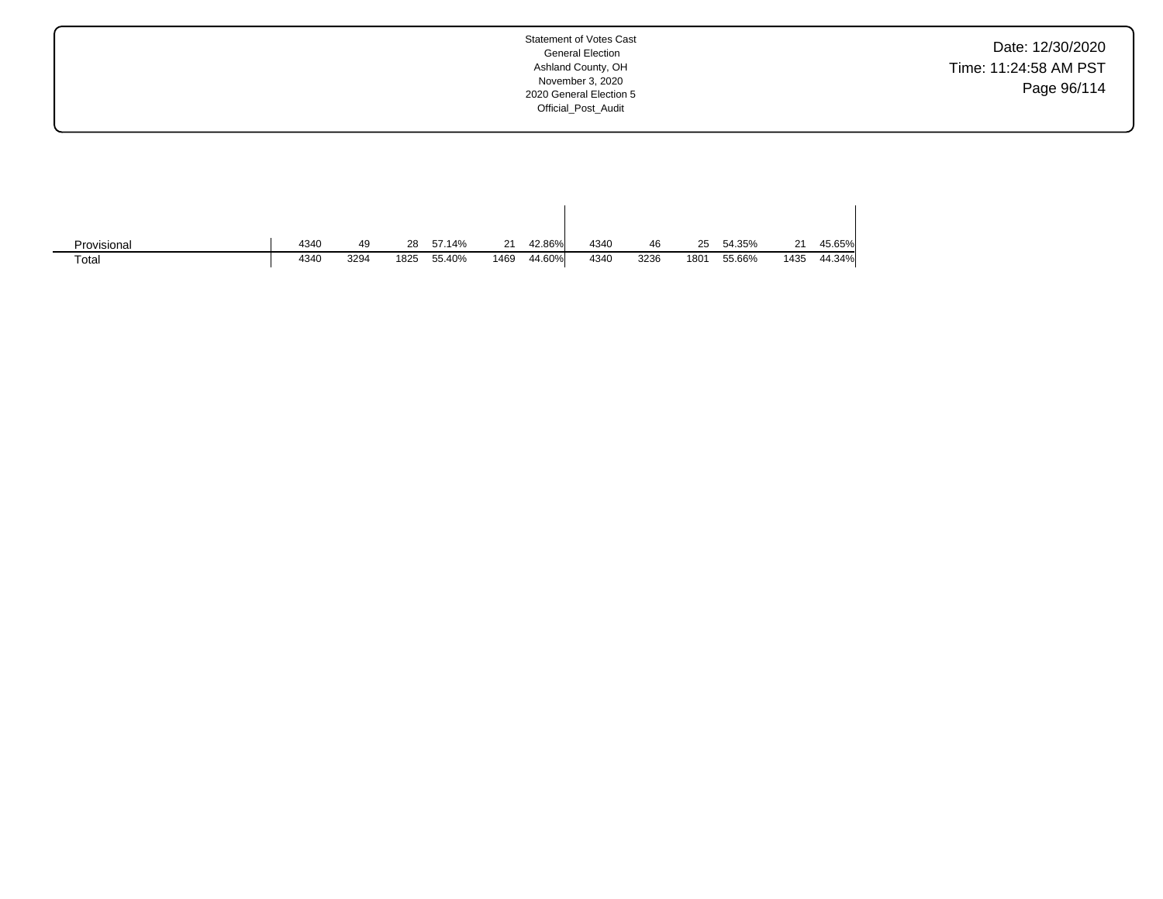Date: 12/30/2020 Time: 11:24:58 AM PST Page 96/114

| Provisional | 4340 | 49   | 28   | 57.14% | 21   | 42.86% | 4340 | 46   | 25   | 54.35% | 21   | 45.65% |
|-------------|------|------|------|--------|------|--------|------|------|------|--------|------|--------|
| Total       | 4340 | 3294 | 1825 | 55.40% | 1469 | 44.60% | 4340 | 3236 | 1801 | 55.66% | 1435 | 44.34% |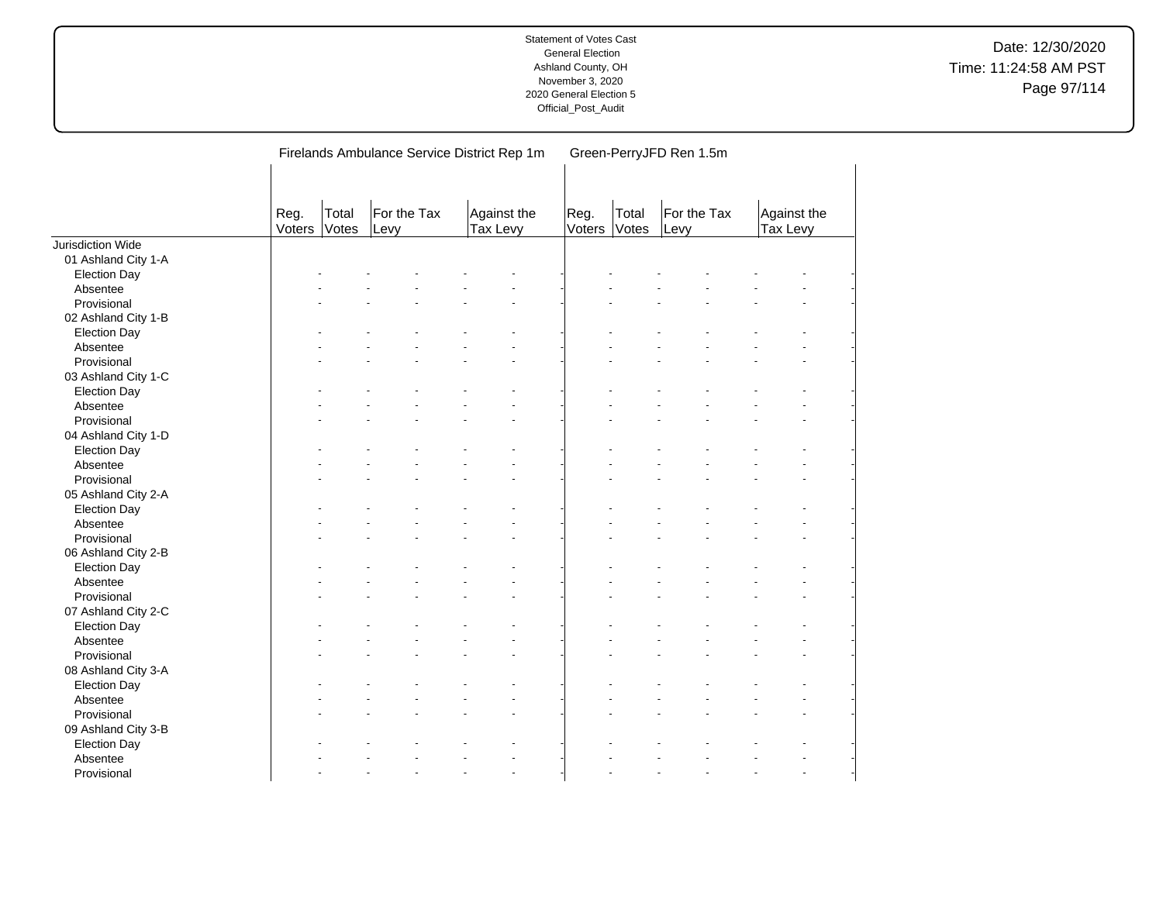|                                 |                |                |                     | Firelands Ambulance Service District Rep 1m | Green-PerryJFD Ren 1.5m |                |                     |                         |  |  |  |  |
|---------------------------------|----------------|----------------|---------------------|---------------------------------------------|-------------------------|----------------|---------------------|-------------------------|--|--|--|--|
|                                 | Reg.<br>Voters | Total<br>Votes | For the Tax<br>Levy | Against the<br>Tax Levy                     | Reg.<br>Voters          | Total<br>Votes | For the Tax<br>Levy | Against the<br>Tax Levy |  |  |  |  |
| Jurisdiction Wide               |                |                |                     |                                             |                         |                |                     |                         |  |  |  |  |
| 01 Ashland City 1-A             |                |                |                     |                                             |                         |                |                     |                         |  |  |  |  |
| <b>Election Day</b>             |                |                |                     |                                             |                         |                |                     |                         |  |  |  |  |
| Absentee                        |                |                |                     |                                             |                         |                |                     |                         |  |  |  |  |
| Provisional                     |                |                |                     |                                             |                         |                |                     |                         |  |  |  |  |
| 02 Ashland City 1-B             |                |                |                     |                                             |                         |                |                     |                         |  |  |  |  |
| <b>Election Day</b>             |                |                |                     |                                             |                         |                |                     |                         |  |  |  |  |
| Absentee                        |                |                |                     |                                             |                         |                |                     |                         |  |  |  |  |
| Provisional                     |                |                |                     |                                             |                         |                |                     |                         |  |  |  |  |
| 03 Ashland City 1-C             |                |                |                     |                                             |                         |                |                     |                         |  |  |  |  |
| <b>Election Day</b>             |                |                |                     |                                             |                         |                |                     |                         |  |  |  |  |
| Absentee                        |                |                |                     |                                             |                         |                |                     |                         |  |  |  |  |
| Provisional                     |                |                |                     |                                             |                         |                |                     |                         |  |  |  |  |
| 04 Ashland City 1-D             |                |                |                     |                                             |                         |                |                     |                         |  |  |  |  |
| <b>Election Day</b>             |                |                |                     |                                             |                         |                |                     |                         |  |  |  |  |
| Absentee                        |                |                |                     |                                             |                         |                |                     |                         |  |  |  |  |
| Provisional                     |                |                |                     |                                             |                         |                |                     |                         |  |  |  |  |
| 05 Ashland City 2-A             |                |                |                     |                                             |                         |                |                     |                         |  |  |  |  |
| <b>Election Day</b>             |                |                |                     |                                             |                         |                |                     |                         |  |  |  |  |
| Absentee                        |                |                |                     |                                             |                         |                |                     |                         |  |  |  |  |
| Provisional                     |                |                |                     |                                             |                         |                |                     |                         |  |  |  |  |
| 06 Ashland City 2-B             |                |                |                     |                                             |                         |                |                     |                         |  |  |  |  |
| <b>Election Day</b>             |                |                |                     |                                             |                         |                |                     |                         |  |  |  |  |
| Absentee                        |                |                |                     |                                             |                         |                |                     |                         |  |  |  |  |
| Provisional                     |                |                |                     |                                             |                         |                |                     |                         |  |  |  |  |
| 07 Ashland City 2-C             |                |                |                     |                                             |                         |                |                     |                         |  |  |  |  |
|                                 |                |                |                     |                                             |                         |                |                     |                         |  |  |  |  |
| <b>Election Day</b><br>Absentee |                |                |                     |                                             |                         |                |                     |                         |  |  |  |  |
|                                 |                |                |                     |                                             |                         |                |                     |                         |  |  |  |  |
| Provisional                     |                |                |                     |                                             |                         |                |                     |                         |  |  |  |  |
| 08 Ashland City 3-A             |                |                |                     |                                             |                         |                |                     |                         |  |  |  |  |
| <b>Election Day</b>             |                |                |                     |                                             |                         |                |                     |                         |  |  |  |  |
| Absentee                        |                |                |                     |                                             |                         |                |                     |                         |  |  |  |  |
| Provisional                     |                |                |                     |                                             |                         |                |                     |                         |  |  |  |  |
| 09 Ashland City 3-B             |                |                |                     |                                             |                         |                |                     |                         |  |  |  |  |
| <b>Election Day</b>             |                |                |                     |                                             |                         |                |                     |                         |  |  |  |  |
| Absentee                        |                |                |                     |                                             |                         |                |                     |                         |  |  |  |  |
| Provisional                     |                |                |                     | $\ddot{\phantom{1}}$                        |                         |                |                     |                         |  |  |  |  |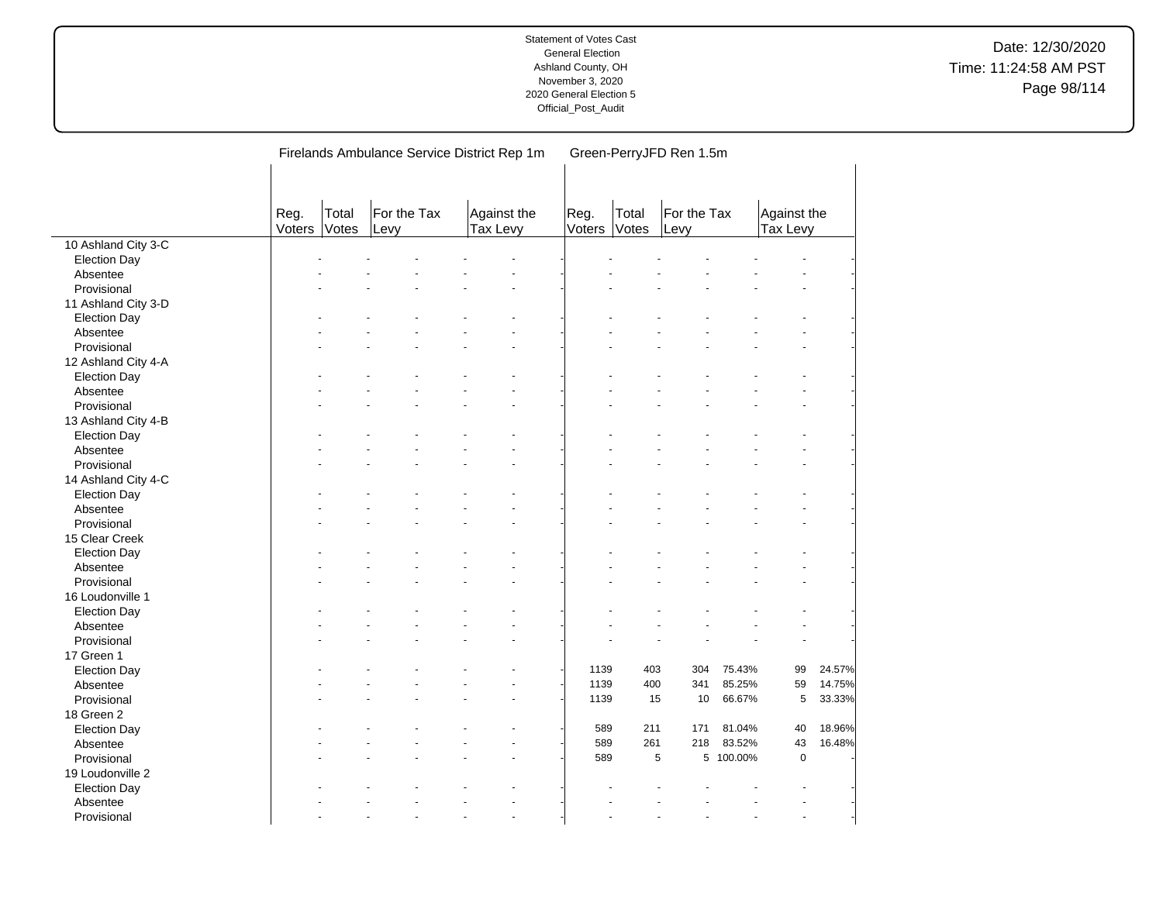|                     |                | Firelands Ambulance Service District Rep 1m |                     | Green-PerryJFD Ren 1.5m |                         |                |                |                     |           |                         |        |  |
|---------------------|----------------|---------------------------------------------|---------------------|-------------------------|-------------------------|----------------|----------------|---------------------|-----------|-------------------------|--------|--|
|                     | Reg.<br>Voters | Total<br>Votes                              | For the Tax<br>Levy |                         | Against the<br>Tax Levy | Reg.<br>Voters | Total<br>Votes | For the Tax<br>Levy |           | Against the<br>Tax Levy |        |  |
| 10 Ashland City 3-C |                |                                             |                     |                         |                         |                |                |                     |           |                         |        |  |
| <b>Election Day</b> |                |                                             |                     |                         |                         |                |                |                     |           |                         |        |  |
| Absentee            |                |                                             |                     |                         |                         |                |                |                     |           |                         |        |  |
| Provisional         |                |                                             |                     |                         |                         |                |                |                     |           |                         |        |  |
| 11 Ashland City 3-D |                |                                             |                     |                         |                         |                |                |                     |           |                         |        |  |
| <b>Election Day</b> |                |                                             |                     |                         |                         |                |                |                     |           |                         |        |  |
| Absentee            |                |                                             |                     |                         |                         |                |                |                     |           |                         |        |  |
| Provisional         |                |                                             |                     |                         |                         |                |                |                     |           |                         |        |  |
| 12 Ashland City 4-A |                |                                             |                     |                         |                         |                |                |                     |           |                         |        |  |
| <b>Election Day</b> |                |                                             |                     |                         |                         |                |                |                     |           |                         |        |  |
| Absentee            |                |                                             |                     |                         |                         |                |                |                     |           |                         |        |  |
| Provisional         |                |                                             |                     |                         |                         |                |                |                     |           |                         |        |  |
| 13 Ashland City 4-B |                |                                             |                     |                         |                         |                |                |                     |           |                         |        |  |
| <b>Election Day</b> |                |                                             |                     |                         |                         |                |                |                     |           |                         |        |  |
| Absentee            |                |                                             |                     |                         |                         |                |                |                     |           |                         |        |  |
| Provisional         |                |                                             |                     |                         |                         |                |                |                     |           |                         |        |  |
| 14 Ashland City 4-C |                |                                             |                     |                         |                         |                |                |                     |           |                         |        |  |
| <b>Election Day</b> |                |                                             |                     |                         |                         |                |                |                     |           |                         |        |  |
| Absentee            |                |                                             |                     |                         |                         |                |                |                     |           |                         |        |  |
| Provisional         |                |                                             |                     |                         |                         |                |                |                     |           |                         |        |  |
| 15 Clear Creek      |                |                                             |                     |                         |                         |                |                |                     |           |                         |        |  |
| <b>Election Day</b> |                |                                             |                     |                         |                         |                |                |                     |           |                         |        |  |
| Absentee            |                |                                             |                     |                         |                         |                |                |                     |           |                         |        |  |
| Provisional         |                |                                             |                     |                         |                         |                |                |                     |           |                         |        |  |
| 16 Loudonville 1    |                |                                             |                     |                         |                         |                |                |                     |           |                         |        |  |
| <b>Election Day</b> |                |                                             |                     |                         |                         |                |                |                     |           |                         |        |  |
| Absentee            |                |                                             |                     |                         |                         |                |                |                     |           |                         |        |  |
| Provisional         |                |                                             |                     |                         |                         |                |                |                     |           |                         |        |  |
| 17 Green 1          |                |                                             |                     |                         |                         |                |                |                     |           |                         |        |  |
| <b>Election Day</b> |                |                                             |                     |                         |                         | 1139           | 403            | 304                 | 75.43%    | 99                      | 24.57% |  |
| Absentee            |                |                                             |                     |                         |                         | 1139           | 400            | 341                 | 85.25%    | 59                      | 14.75% |  |
| Provisional         |                |                                             |                     |                         |                         | 1139           | 15             | 10                  | 66.67%    | 5                       | 33.33% |  |
| 18 Green 2          |                |                                             |                     |                         |                         |                |                |                     |           |                         |        |  |
| <b>Election Day</b> |                |                                             |                     |                         |                         | 589            | 211            | 171                 | 81.04%    | 40                      | 18.96% |  |
| Absentee            |                |                                             |                     |                         |                         | 589            | 261            | 218                 | 83.52%    | 43                      | 16.48% |  |
| Provisional         |                |                                             |                     |                         |                         | 589            |                | 5                   | 5 100.00% | $\mathbf 0$             |        |  |
| 19 Loudonville 2    |                |                                             |                     |                         |                         |                |                |                     |           |                         |        |  |
| <b>Election Day</b> |                |                                             |                     |                         |                         |                |                |                     |           |                         |        |  |
| Absentee            |                |                                             |                     |                         |                         |                |                |                     |           |                         |        |  |
| Provisional         |                |                                             |                     |                         |                         |                |                |                     |           |                         |        |  |
|                     |                |                                             |                     |                         |                         |                |                |                     |           |                         |        |  |

 $\overline{a}$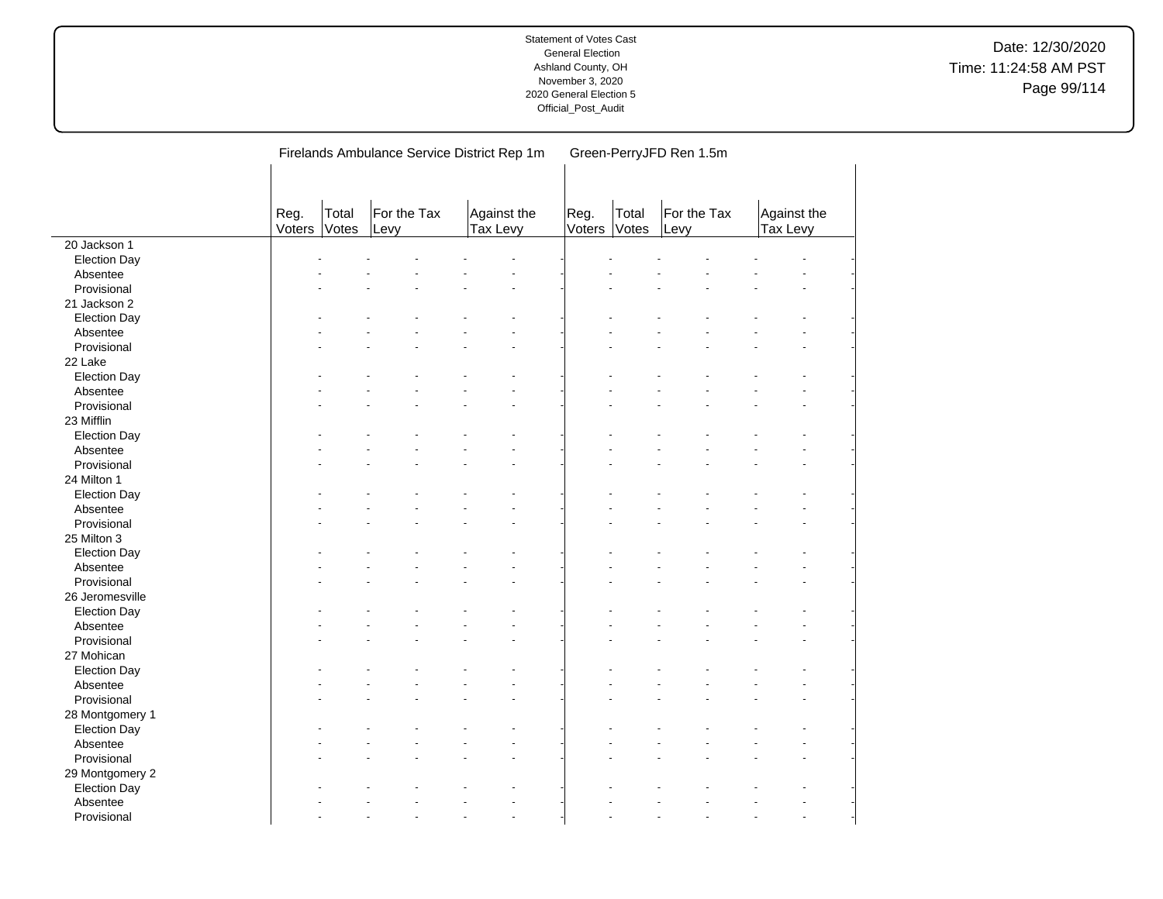|                     |                |                | Firelands Ambulance Service District Rep 1m |                         | Green-PerryJFD Ren 1.5m |                |                     |                         |  |  |  |  |
|---------------------|----------------|----------------|---------------------------------------------|-------------------------|-------------------------|----------------|---------------------|-------------------------|--|--|--|--|
|                     | Reg.<br>Voters | Total<br>Votes | For the Tax<br>Levy                         | Against the<br>Tax Levy | Reg.<br>Voters          | Total<br>Votes | For the Tax<br>Levy | Against the<br>Tax Levy |  |  |  |  |
| 20 Jackson 1        |                |                |                                             |                         |                         |                |                     |                         |  |  |  |  |
| <b>Election Day</b> |                |                |                                             |                         |                         |                |                     |                         |  |  |  |  |
| Absentee            |                |                |                                             |                         |                         |                |                     |                         |  |  |  |  |
| Provisional         |                |                |                                             |                         |                         |                |                     |                         |  |  |  |  |
| 21 Jackson 2        |                |                |                                             |                         |                         |                |                     |                         |  |  |  |  |
| <b>Election Day</b> |                |                |                                             |                         |                         |                |                     |                         |  |  |  |  |
| Absentee            |                |                |                                             |                         |                         |                |                     |                         |  |  |  |  |
| Provisional         |                |                |                                             |                         |                         |                |                     |                         |  |  |  |  |
| 22 Lake             |                |                |                                             |                         |                         |                |                     |                         |  |  |  |  |
| <b>Election Day</b> |                |                |                                             |                         |                         |                |                     |                         |  |  |  |  |
| Absentee            |                |                |                                             |                         |                         |                |                     |                         |  |  |  |  |
| Provisional         |                |                |                                             |                         |                         |                |                     |                         |  |  |  |  |
| 23 Mifflin          |                |                |                                             |                         |                         |                |                     |                         |  |  |  |  |
| <b>Election Day</b> |                |                |                                             |                         |                         |                |                     |                         |  |  |  |  |
| Absentee            |                |                |                                             |                         |                         |                |                     |                         |  |  |  |  |
| Provisional         |                |                |                                             |                         |                         |                |                     |                         |  |  |  |  |
| 24 Milton 1         |                |                |                                             |                         |                         |                |                     |                         |  |  |  |  |
| <b>Election Day</b> |                |                |                                             |                         |                         |                |                     |                         |  |  |  |  |
| Absentee            |                |                |                                             |                         |                         |                |                     |                         |  |  |  |  |
| Provisional         |                |                |                                             |                         |                         |                |                     |                         |  |  |  |  |
| 25 Milton 3         |                |                |                                             |                         |                         |                |                     |                         |  |  |  |  |
| <b>Election Day</b> |                |                |                                             |                         |                         |                |                     |                         |  |  |  |  |
| Absentee            |                |                |                                             |                         |                         |                |                     |                         |  |  |  |  |
| Provisional         |                |                |                                             |                         |                         |                |                     |                         |  |  |  |  |
| 26 Jeromesville     |                |                |                                             |                         |                         |                |                     |                         |  |  |  |  |
| <b>Election Day</b> |                |                |                                             |                         |                         |                |                     |                         |  |  |  |  |
| Absentee            |                |                |                                             |                         |                         |                |                     |                         |  |  |  |  |
| Provisional         |                |                |                                             |                         |                         |                |                     |                         |  |  |  |  |
| 27 Mohican          |                |                |                                             |                         |                         |                |                     |                         |  |  |  |  |
| <b>Election Day</b> |                |                |                                             |                         |                         |                |                     |                         |  |  |  |  |
| Absentee            |                |                |                                             |                         |                         |                |                     |                         |  |  |  |  |
| Provisional         |                |                |                                             |                         |                         |                |                     |                         |  |  |  |  |
| 28 Montgomery 1     |                |                |                                             |                         |                         |                |                     |                         |  |  |  |  |
| <b>Election Day</b> |                |                |                                             |                         |                         |                |                     |                         |  |  |  |  |
| Absentee            |                |                |                                             |                         |                         |                |                     |                         |  |  |  |  |
| Provisional         |                |                |                                             |                         |                         |                |                     |                         |  |  |  |  |
| 29 Montgomery 2     |                |                |                                             |                         |                         |                |                     |                         |  |  |  |  |
| <b>Election Day</b> |                |                |                                             |                         |                         |                |                     |                         |  |  |  |  |
| Absentee            |                |                |                                             |                         |                         |                |                     |                         |  |  |  |  |
| Provisional         |                |                |                                             |                         |                         |                |                     |                         |  |  |  |  |

 $\overline{\phantom{a}}$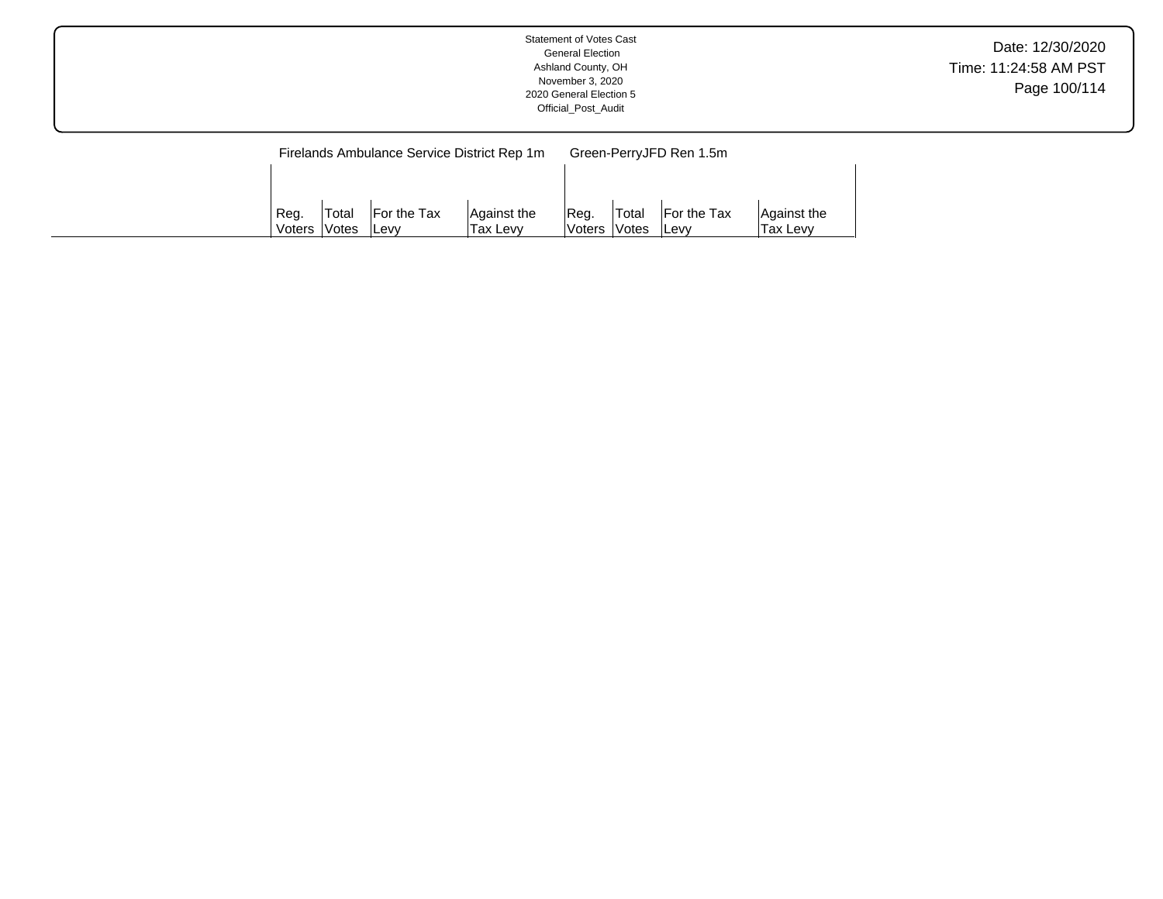|--|

|        |        | Firelands Ambulance Service District Rep 1m |             | Green-PerryJFD Ren 1.5m |              |              |             |  |  |  |
|--------|--------|---------------------------------------------|-------------|-------------------------|--------------|--------------|-------------|--|--|--|
|        |        |                                             |             |                         |              |              |             |  |  |  |
|        |        |                                             |             |                         |              |              |             |  |  |  |
| Reg.   | 'Total | <b>For the Tax</b>                          | Against the | Reg.                    | <b>Total</b> | For the Tax  | Aaainst the |  |  |  |
| Voters | lVotes | lLe∨v                                       | Tax Levv    | Voters Votes            |              | <b>ILevv</b> | Tax Levv    |  |  |  |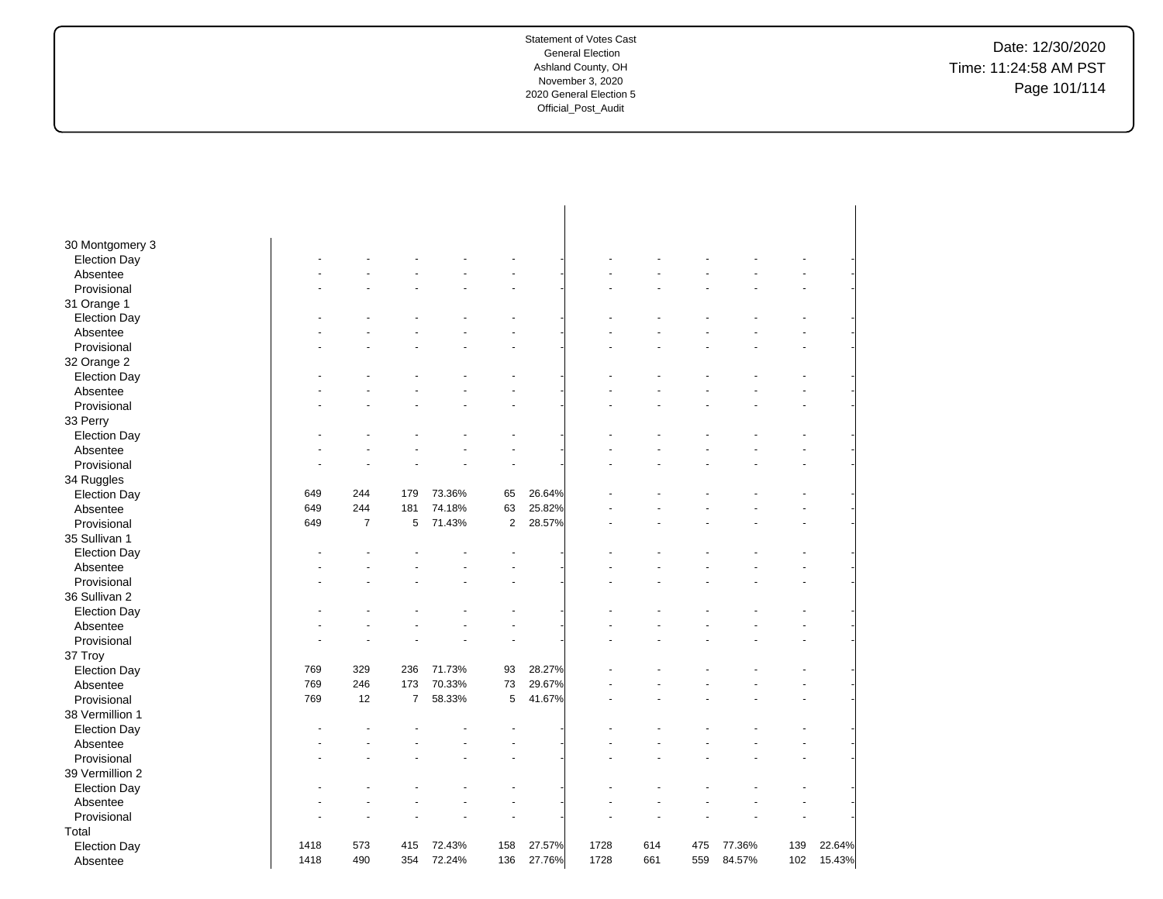Date: 12/30/2020 Time: 11:24:58 AM PST Page 101/114

| 30 Montgomery 3     |      |                |                |        |                |        |      |     |     |        |     |        |
|---------------------|------|----------------|----------------|--------|----------------|--------|------|-----|-----|--------|-----|--------|
| <b>Election Day</b> |      |                |                |        |                |        |      |     |     |        |     |        |
| Absentee            |      |                |                |        |                |        |      |     |     |        |     |        |
| Provisional         |      |                |                |        |                |        |      |     |     |        |     |        |
| 31 Orange 1         |      |                |                |        |                |        |      |     |     |        |     |        |
| <b>Election Day</b> |      |                |                |        |                |        |      |     |     |        |     |        |
| Absentee            |      |                |                |        |                |        |      |     |     |        |     |        |
| Provisional         |      |                |                |        |                |        |      |     |     |        |     |        |
| 32 Orange 2         |      |                |                |        |                |        |      |     |     |        |     |        |
| <b>Election Day</b> |      |                |                |        |                |        |      |     |     |        |     |        |
| Absentee            |      |                |                |        |                |        |      |     |     |        |     |        |
| Provisional         |      |                |                |        |                |        |      |     |     |        |     |        |
| 33 Perry            |      |                |                |        |                |        |      |     |     |        |     |        |
| <b>Election Day</b> |      |                |                |        |                |        |      |     |     |        |     |        |
| Absentee            |      |                |                |        |                |        |      |     |     |        |     |        |
| Provisional         |      |                |                |        |                |        |      |     |     |        |     |        |
| 34 Ruggles          |      |                |                |        |                |        |      |     |     |        |     |        |
| <b>Election Day</b> | 649  | 244            | 179            | 73.36% | 65             | 26.64% |      |     |     |        |     |        |
| Absentee            | 649  | 244            | 181            | 74.18% | 63             | 25.82% |      |     |     |        |     |        |
| Provisional         | 649  | $\overline{7}$ | 5              | 71.43% | $\overline{c}$ | 28.57% |      |     |     |        |     |        |
| 35 Sullivan 1       |      |                |                |        |                |        |      |     |     |        |     |        |
| <b>Election Day</b> |      |                |                |        |                |        |      |     |     |        |     |        |
| Absentee            |      |                |                |        |                |        |      |     |     |        |     |        |
| Provisional         |      |                |                |        |                |        |      |     |     |        |     |        |
| 36 Sullivan 2       |      |                |                |        |                |        |      |     |     |        |     |        |
| <b>Election Day</b> |      |                |                |        |                |        |      |     |     |        |     |        |
| Absentee            |      |                |                |        |                |        |      |     |     |        |     |        |
| Provisional         |      |                |                |        |                |        |      |     |     |        |     |        |
| 37 Troy             |      |                |                |        |                |        |      |     |     |        |     |        |
| <b>Election Day</b> | 769  | 329            | 236            | 71.73% | 93             | 28.27% |      |     |     |        |     |        |
| Absentee            | 769  | 246            | 173            | 70.33% | 73             | 29.67% |      |     |     |        |     |        |
| Provisional         | 769  | 12             | $\overline{7}$ | 58.33% | 5              | 41.67% |      |     |     |        |     |        |
| 38 Vermillion 1     |      |                |                |        |                |        |      |     |     |        |     |        |
| <b>Election Day</b> |      |                |                |        |                |        |      |     |     |        |     |        |
| Absentee            |      |                |                |        |                |        |      |     |     |        |     |        |
| Provisional         |      |                |                |        |                |        |      |     |     |        |     |        |
| 39 Vermillion 2     |      |                |                |        |                |        |      |     |     |        |     |        |
| <b>Election Day</b> |      |                |                |        |                |        |      |     |     |        |     |        |
| Absentee            |      |                |                |        |                |        |      |     |     |        |     |        |
| Provisional         |      |                |                |        |                |        |      |     |     |        |     |        |
| Total               |      |                |                |        |                |        |      |     |     |        |     |        |
| <b>Election Day</b> | 1418 | 573            | 415            | 72.43% | 158            | 27.57% | 1728 | 614 | 475 | 77.36% | 139 | 22.64% |
| Absentee            | 1418 | 490            | 354            | 72.24% | 136            | 27.76% | 1728 | 661 | 559 | 84.57% | 102 | 15.43% |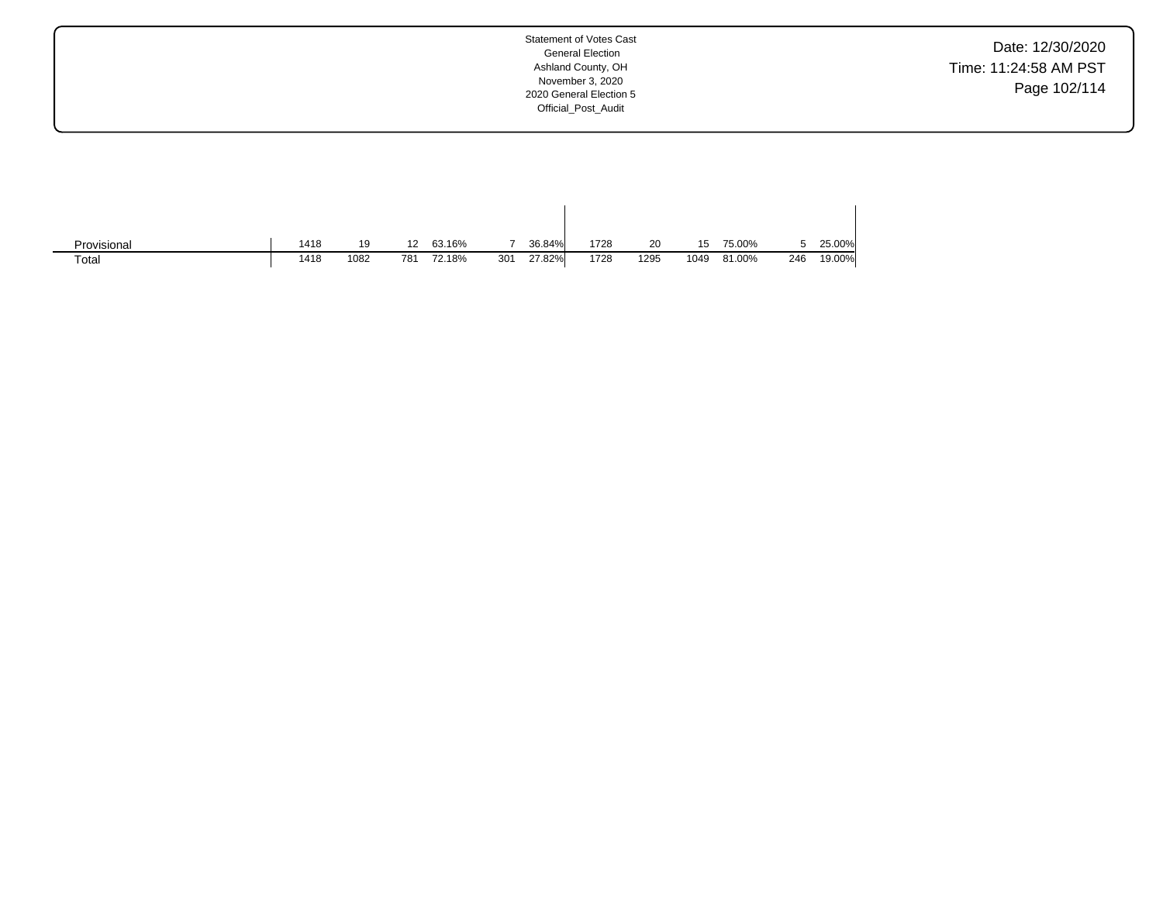Date: 12/30/2020 Time: 11:24:58 AM PST Page 102/114

| Provisional | 1418 | 19   | 12  | 63.16% |     | 36.84% | 1728 | 20   | 15   | 75.00% |     | 25.00% |
|-------------|------|------|-----|--------|-----|--------|------|------|------|--------|-----|--------|
| Total       | 1418 | 1082 | 781 | 72.18% | 301 | 27.82% | 1728 | 1295 | 1049 | 81.00% | 246 | 19.00% |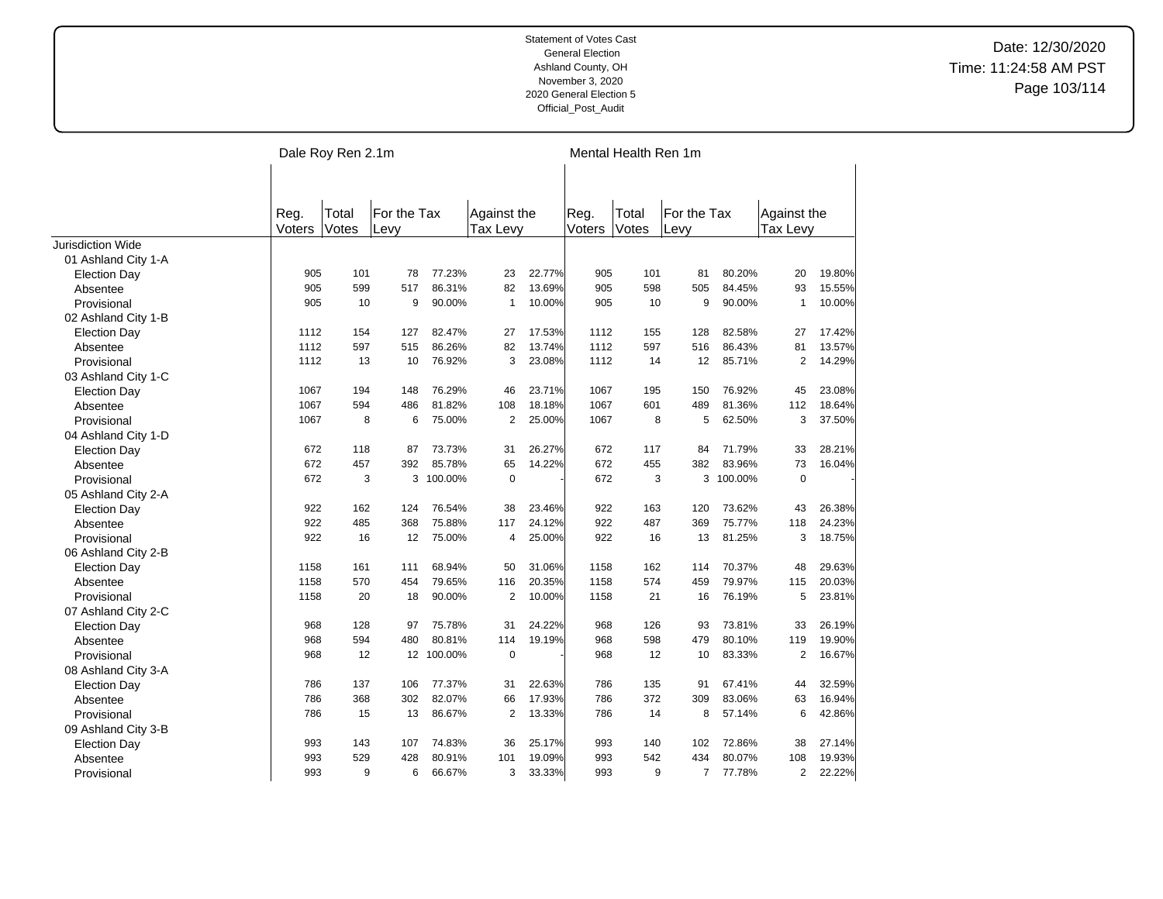|                          |                | Dale Roy Ren 2.1m |                     |            |                         |        | Mental Health Ren 1m |                |                     |           |                         |        |  |  |
|--------------------------|----------------|-------------------|---------------------|------------|-------------------------|--------|----------------------|----------------|---------------------|-----------|-------------------------|--------|--|--|
|                          | Reg.<br>Voters | Total<br>Votes    | For the Tax<br>Levy |            | Against the<br>Tax Levy |        | Reg.<br>Voters       | Total<br>Votes | For the Tax<br>Levy |           | Against the<br>Tax Levy |        |  |  |
| <b>Jurisdiction Wide</b> |                |                   |                     |            |                         |        |                      |                |                     |           |                         |        |  |  |
| 01 Ashland City 1-A      |                |                   |                     |            |                         |        |                      |                |                     |           |                         |        |  |  |
| <b>Election Day</b>      | 905            | 101               | 78                  | 77.23%     | 23                      | 22.77% | 905                  | 101            | 81                  | 80.20%    | 20                      | 19.80% |  |  |
| Absentee                 | 905            | 599               | 517                 | 86.31%     | 82                      | 13.69% | 905                  | 598            | 505                 | 84.45%    | 93                      | 15.55% |  |  |
| Provisional              | 905            | 10                | 9                   | 90.00%     | $\mathbf{1}$            | 10.00% | 905                  | 10             | 9                   | 90.00%    | $\mathbf{1}$            | 10.00% |  |  |
| 02 Ashland City 1-B      |                |                   |                     |            |                         |        |                      |                |                     |           |                         |        |  |  |
| <b>Election Day</b>      | 1112           | 154               | 127                 | 82.47%     | 27                      | 17.53% | 1112                 | 155            | 128                 | 82.58%    | 27                      | 17.42% |  |  |
| Absentee                 | 1112           | 597               | 515                 | 86.26%     | 82                      | 13.74% | 1112                 | 597            | 516                 | 86.43%    | 81                      | 13.57% |  |  |
| Provisional              | 1112           | 13                | 10                  | 76.92%     | 3                       | 23.08% | 1112                 | 14             | 12                  | 85.71%    | $\overline{2}$          | 14.29% |  |  |
| 03 Ashland City 1-C      |                |                   |                     |            |                         |        |                      |                |                     |           |                         |        |  |  |
| <b>Election Day</b>      | 1067           | 194               | 148                 | 76.29%     | 46                      | 23.71% | 1067                 | 195            | 150                 | 76.92%    | 45                      | 23.08% |  |  |
| Absentee                 | 1067           | 594               | 486                 | 81.82%     | 108                     | 18.18% | 1067                 | 601            | 489                 | 81.36%    | 112                     | 18.64% |  |  |
| Provisional              | 1067           | 8                 | 6                   | 75.00%     | $\overline{2}$          | 25.00% | 1067                 | 8              | 5                   | 62.50%    | 3                       | 37.50% |  |  |
| 04 Ashland City 1-D      |                |                   |                     |            |                         |        |                      |                |                     |           |                         |        |  |  |
| <b>Election Day</b>      | 672            | 118               | 87                  | 73.73%     | 31                      | 26.27% | 672                  | 117            | 84                  | 71.79%    | 33                      | 28.21% |  |  |
| Absentee                 | 672            | 457               | 392                 | 85.78%     | 65                      | 14.22% | 672                  | 455            | 382                 | 83.96%    | 73                      | 16.04% |  |  |
| Provisional              | 672            | 3                 | 3                   | 100.00%    | $\pmb{0}$               |        | 672                  | 3              |                     | 3 100.00% | $\mathbf 0$             |        |  |  |
| 05 Ashland City 2-A      |                |                   |                     |            |                         |        |                      |                |                     |           |                         |        |  |  |
| <b>Election Day</b>      | 922            | 162               | 124                 | 76.54%     | 38                      | 23.46% | 922                  | 163            | 120                 | 73.62%    | 43                      | 26.38% |  |  |
| Absentee                 | 922            | 485               | 368                 | 75.88%     | 117                     | 24.12% | 922                  | 487            | 369                 | 75.77%    | 118                     | 24.23% |  |  |
| Provisional              | 922            | 16                | 12                  | 75.00%     | 4                       | 25.00% | 922                  | 16             | 13                  | 81.25%    | 3                       | 18.75% |  |  |
| 06 Ashland City 2-B      |                |                   |                     |            |                         |        |                      |                |                     |           |                         |        |  |  |
| <b>Election Day</b>      | 1158           | 161               | 111                 | 68.94%     | 50                      | 31.06% | 1158                 | 162            | 114                 | 70.37%    | 48                      | 29.63% |  |  |
| Absentee                 | 1158           | 570               | 454                 | 79.65%     | 116                     | 20.35% | 1158                 | 574            | 459                 | 79.97%    | 115                     | 20.03% |  |  |
| Provisional              | 1158           | 20                | 18                  | 90.00%     | $\overline{2}$          | 10.00% | 1158                 | 21             | 16                  | 76.19%    | 5                       | 23.81% |  |  |
| 07 Ashland City 2-C      |                |                   |                     |            |                         |        |                      |                |                     |           |                         |        |  |  |
| <b>Election Day</b>      | 968            | 128               | 97                  | 75.78%     | 31                      | 24.22% | 968                  | 126            | 93                  | 73.81%    | 33                      | 26.19% |  |  |
| Absentee                 | 968            | 594               | 480                 | 80.81%     | 114                     | 19.19% | 968                  | 598            | 479                 | 80.10%    | 119                     | 19.90% |  |  |
| Provisional              | 968            | 12                |                     | 12 100.00% | $\mathbf 0$             |        | 968                  | 12             | 10                  | 83.33%    | $\overline{2}$          | 16.67% |  |  |
| 08 Ashland City 3-A      |                |                   |                     |            |                         |        |                      |                |                     |           |                         |        |  |  |
| <b>Election Day</b>      | 786            | 137               | 106                 | 77.37%     | 31                      | 22.63% | 786                  | 135            | 91                  | 67.41%    | 44                      | 32.59% |  |  |
| Absentee                 | 786            | 368               | 302                 | 82.07%     | 66                      | 17.93% | 786                  | 372            | 309                 | 83.06%    | 63                      | 16.94% |  |  |
| Provisional              | 786            | 15                | 13                  | 86.67%     | $\overline{2}$          | 13.33% | 786                  | 14             | 8                   | 57.14%    | 6                       | 42.86% |  |  |
| 09 Ashland City 3-B      |                |                   |                     |            |                         |        |                      |                |                     |           |                         |        |  |  |
| <b>Election Day</b>      | 993            | 143               | 107                 | 74.83%     | 36                      | 25.17% | 993                  | 140            | 102                 | 72.86%    | 38                      | 27.14% |  |  |
| Absentee                 | 993            | 529               | 428                 | 80.91%     | 101                     | 19.09% | 993                  | 542            | 434                 | 80.07%    | 108                     | 19.93% |  |  |
| Provisional              | 993            | 9                 | 6                   | 66.67%     | 3                       | 33.33% | 993                  | 9              | $\overline{7}$      | 77.78%    | $\overline{2}$          | 22.22% |  |  |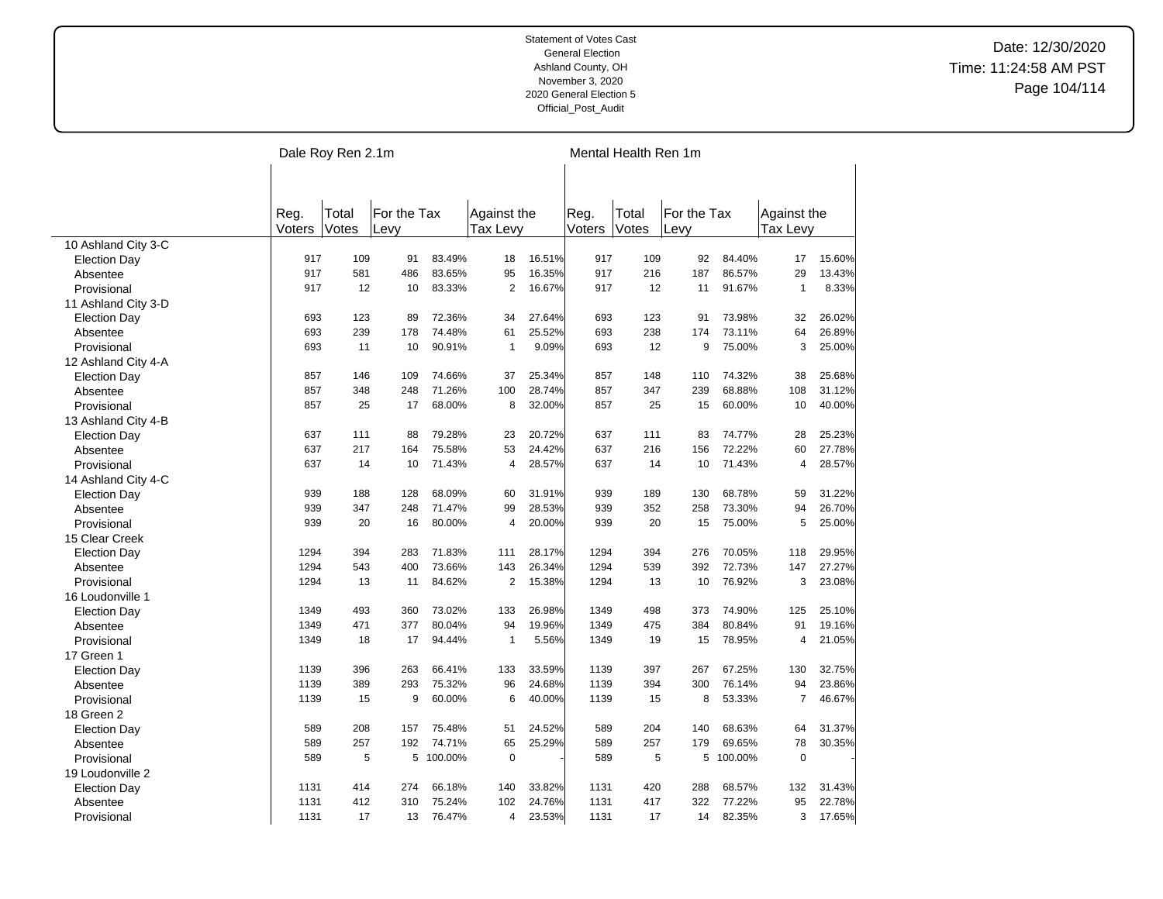|                     | Dale Roy Ren 2.1m |       |             |           |                |        | Mental Health Ren 1m |       |             |           |                |        |  |  |  |
|---------------------|-------------------|-------|-------------|-----------|----------------|--------|----------------------|-------|-------------|-----------|----------------|--------|--|--|--|
|                     |                   |       |             |           |                |        |                      |       |             |           |                |        |  |  |  |
|                     |                   |       |             |           |                |        |                      |       |             |           |                |        |  |  |  |
|                     | Reg.              | Total | For the Tax |           | Against the    |        | Reg.                 | Total | For the Tax |           | Against the    |        |  |  |  |
|                     | Voters            | Votes | Levv        |           | Tax Levy       |        | Voters               | Votes | Levv        |           | Tax Levy       |        |  |  |  |
| 10 Ashland City 3-C |                   |       |             |           |                |        |                      |       |             |           |                |        |  |  |  |
| <b>Election Day</b> | 917               | 109   | 91          | 83.49%    | 18             | 16.51% | 917                  | 109   | 92          | 84.40%    | 17             | 15.60% |  |  |  |
| Absentee            | 917               | 581   | 486         | 83.65%    | 95             | 16.35% | 917                  | 216   | 187         | 86.57%    | 29             | 13.43% |  |  |  |
| Provisional         | 917               | 12    | 10          | 83.33%    | $\overline{2}$ | 16.67% | 917                  | 12    | 11          | 91.67%    | $\mathbf{1}$   | 8.33%  |  |  |  |
| 11 Ashland City 3-D |                   |       |             |           |                |        |                      |       |             |           |                |        |  |  |  |
| <b>Election Day</b> | 693               | 123   | 89          | 72.36%    | 34             | 27.64% | 693                  | 123   | 91          | 73.98%    | 32             | 26.02% |  |  |  |
| Absentee            | 693               | 239   | 178         | 74.48%    | 61             | 25.52% | 693                  | 238   | 174         | 73.11%    | 64             | 26.89% |  |  |  |
| Provisional         | 693               | 11    | 10          | 90.91%    | $\mathbf{1}$   | 9.09%  | 693                  | 12    | 9           | 75.00%    | 3              | 25.00% |  |  |  |
| 12 Ashland City 4-A |                   |       |             |           |                |        |                      |       |             |           |                |        |  |  |  |
| <b>Election Day</b> | 857               | 146   | 109         | 74.66%    | 37             | 25.34% | 857                  | 148   | 110         | 74.32%    | 38             | 25.68% |  |  |  |
| Absentee            | 857               | 348   | 248         | 71.26%    | 100            | 28.74% | 857                  | 347   | 239         | 68.88%    | 108            | 31.12% |  |  |  |
| Provisional         | 857               | 25    | 17          | 68.00%    | 8              | 32.00% | 857                  | 25    | 15          | 60.00%    | 10             | 40.00% |  |  |  |
| 13 Ashland City 4-B |                   |       |             |           |                |        |                      |       |             |           |                |        |  |  |  |
| <b>Election Day</b> | 637               | 111   | 88          | 79.28%    | 23             | 20.72% | 637                  | 111   | 83          | 74.77%    | 28             | 25.23% |  |  |  |
| Absentee            | 637               | 217   | 164         | 75.58%    | 53             | 24.42% | 637                  | 216   | 156         | 72.22%    | 60             | 27.78% |  |  |  |
| Provisional         | 637               | 14    | 10          | 71.43%    | $\overline{4}$ | 28.57% | 637                  | 14    | 10          | 71.43%    | $\overline{4}$ | 28.57% |  |  |  |
| 14 Ashland City 4-C |                   |       |             |           |                |        |                      |       |             |           |                |        |  |  |  |
| <b>Election Day</b> | 939               | 188   | 128         | 68.09%    | 60             | 31.91% | 939                  | 189   | 130         | 68.78%    | 59             | 31.22% |  |  |  |
| Absentee            | 939               | 347   | 248         | 71.47%    | 99             | 28.53% | 939                  | 352   | 258         | 73.30%    | 94             | 26.70% |  |  |  |
| Provisional         | 939               | 20    | 16          | 80.00%    | 4              | 20.00% | 939                  | 20    | 15          | 75.00%    | 5              | 25.00% |  |  |  |
| 15 Clear Creek      |                   |       |             |           |                |        |                      |       |             |           |                |        |  |  |  |
| <b>Election Day</b> | 1294              | 394   | 283         | 71.83%    | 111            | 28.17% | 1294                 | 394   | 276         | 70.05%    | 118            | 29.95% |  |  |  |
| Absentee            | 1294              | 543   | 400         | 73.66%    | 143            | 26.34% | 1294                 | 539   | 392         | 72.73%    | 147            | 27.27% |  |  |  |
| Provisional         | 1294              | 13    | 11          | 84.62%    | $\overline{2}$ | 15.38% | 1294                 | 13    | 10          | 76.92%    | 3              | 23.08% |  |  |  |
| 16 Loudonville 1    |                   |       |             |           |                |        |                      |       |             |           |                |        |  |  |  |
| <b>Election Day</b> | 1349              | 493   | 360         | 73.02%    | 133            | 26.98% | 1349                 | 498   | 373         | 74.90%    | 125            | 25.10% |  |  |  |
| Absentee            | 1349              | 471   | 377         | 80.04%    | 94             | 19.96% | 1349                 | 475   | 384         | 80.84%    | 91             | 19.16% |  |  |  |
| Provisional         | 1349              | 18    | 17          | 94.44%    | $\mathbf{1}$   | 5.56%  | 1349                 | 19    | 15          | 78.95%    | 4              | 21.05% |  |  |  |
| 17 Green 1          |                   |       |             |           |                |        |                      |       |             |           |                |        |  |  |  |
| <b>Election Day</b> | 1139              | 396   | 263         | 66.41%    | 133            | 33.59% | 1139                 | 397   | 267         | 67.25%    | 130            | 32.75% |  |  |  |
| Absentee            | 1139              | 389   | 293         | 75.32%    | 96             | 24.68% | 1139                 | 394   | 300         | 76.14%    | 94             | 23.86% |  |  |  |
| Provisional         | 1139              | 15    | 9           | 60.00%    | 6              | 40.00% | 1139                 | 15    | 8           | 53.33%    | $\overline{7}$ | 46.67% |  |  |  |
| 18 Green 2          |                   |       |             |           |                |        |                      |       |             |           |                |        |  |  |  |
|                     | 589               | 208   | 157         | 75.48%    | 51             | 24.52% | 589                  | 204   | 140         | 68.63%    | 64             | 31.37% |  |  |  |
| <b>Election Day</b> | 589               | 257   | 192         | 74.71%    | 65             | 25.29% | 589                  | 257   | 179         | 69.65%    | 78             | 30.35% |  |  |  |
| Absentee            |                   | 5     |             |           | $\mathbf 0$    |        |                      | 5     |             |           | $\mathbf 0$    |        |  |  |  |
| Provisional         | 589               |       |             | 5 100.00% |                |        | 589                  |       |             | 5 100.00% |                |        |  |  |  |
| 19 Loudonville 2    | 1131              | 414   | 274         | 66.18%    | 140            | 33.82% | 1131                 | 420   | 288         | 68.57%    | 132            |        |  |  |  |
| <b>Election Day</b> |                   |       |             |           |                |        |                      |       |             |           |                | 31.43% |  |  |  |
| Absentee            | 1131              | 412   | 310         | 75.24%    | 102            | 24.76% | 1131                 | 417   | 322         | 77.22%    | 95             | 22.78% |  |  |  |
| Provisional         | 1131              | 17    | 13          | 76.47%    | 4              | 23.53% | 1131                 | 17    | 14          | 82.35%    | 3              | 17.65% |  |  |  |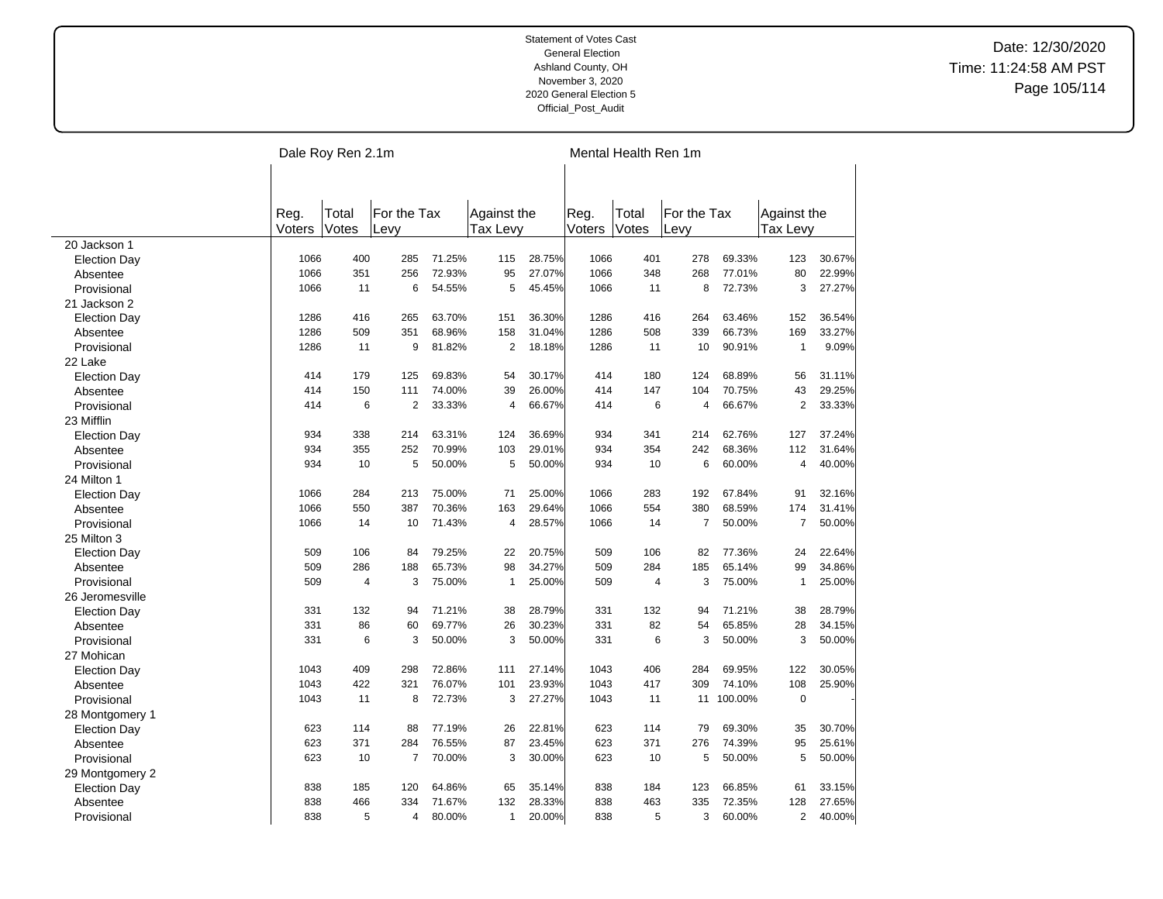|                     |                | Dale Roy Ren 2.1m |                     | Mental Health Ren 1m |                         |        |                |                |                     |            |                                |        |
|---------------------|----------------|-------------------|---------------------|----------------------|-------------------------|--------|----------------|----------------|---------------------|------------|--------------------------------|--------|
|                     |                |                   |                     |                      |                         |        |                |                |                     |            |                                |        |
|                     |                |                   |                     |                      |                         |        |                |                |                     |            |                                |        |
|                     | Reg.<br>Voters | Total<br>Votes    | For the Tax<br>Levy |                      | Against the<br>Tax Levv |        | Reg.<br>Voters | Total<br>Votes | For the Tax<br>Levy |            | Against the<br><b>Tax Levy</b> |        |
| 20 Jackson 1        |                |                   |                     |                      |                         |        |                |                |                     |            |                                |        |
| <b>Election Day</b> | 1066           | 400               | 285                 | 71.25%               | 115                     | 28.75% | 1066           | 401            | 278                 | 69.33%     | 123                            | 30.67% |
| Absentee            | 1066           | 351               | 256                 | 72.93%               | 95                      | 27.07% | 1066           | 348            | 268                 | 77.01%     | 80                             | 22.99% |
| Provisional         | 1066           | 11                | 6                   | 54.55%               | 5                       | 45.45% | 1066           | 11             | 8                   | 72.73%     | 3                              | 27.27% |
| 21 Jackson 2        |                |                   |                     |                      |                         |        |                |                |                     |            |                                |        |
| <b>Election Day</b> | 1286           | 416               | 265                 | 63.70%               | 151                     | 36.30% | 1286           | 416            | 264                 | 63.46%     | 152                            | 36.54% |
| Absentee            | 1286           | 509               | 351                 | 68.96%               | 158                     | 31.04% | 1286           | 508            | 339                 | 66.73%     | 169                            | 33.27% |
| Provisional         | 1286           | 11                | 9                   | 81.82%               | $\overline{2}$          | 18.18% | 1286           | 11             | 10                  | 90.91%     | $\mathbf{1}$                   | 9.09%  |
| 22 Lake             |                |                   |                     |                      |                         |        |                |                |                     |            |                                |        |
| <b>Election Day</b> | 414            | 179               | 125                 | 69.83%               | 54                      | 30.17% | 414            | 180            | 124                 | 68.89%     | 56                             | 31.11% |
| Absentee            | 414            | 150               | 111                 | 74.00%               | 39                      | 26.00% | 414            | 147            | 104                 | 70.75%     | 43                             | 29.25% |
| Provisional         | 414            | 6                 | 2                   | 33.33%               | $\overline{4}$          | 66.67% | 414            | 6              | $\overline{4}$      | 66.67%     | 2                              | 33.33% |
| 23 Mifflin          |                |                   |                     |                      |                         |        |                |                |                     |            |                                |        |
| <b>Election Day</b> | 934            | 338               | 214                 | 63.31%               | 124                     | 36.69% | 934            | 341            | 214                 | 62.76%     | 127                            | 37.24% |
| Absentee            | 934            | 355               | 252                 | 70.99%               | 103                     | 29.01% | 934            | 354            | 242                 | 68.36%     | 112                            | 31.64% |
| Provisional         | 934            | 10                | 5                   | 50.00%               | 5                       | 50.00% | 934            | 10             | 6                   | 60.00%     | $\overline{4}$                 | 40.00% |
| 24 Milton 1         |                |                   |                     |                      |                         |        |                |                |                     |            |                                |        |
| <b>Election Day</b> | 1066           | 284               | 213                 | 75.00%               | 71                      | 25.00% | 1066           | 283            | 192                 | 67.84%     | 91                             | 32.16% |
| Absentee            | 1066           | 550               | 387                 | 70.36%               | 163                     | 29.64% | 1066           | 554            | 380                 | 68.59%     | 174                            | 31.41% |
| Provisional         | 1066           | 14                | 10                  | 71.43%               | $\overline{4}$          | 28.57% | 1066           | 14             | $\overline{7}$      | 50.00%     | $\overline{7}$                 | 50.00% |
| 25 Milton 3         |                |                   |                     |                      |                         |        |                |                |                     |            |                                |        |
|                     | 509            | 106               | 84                  | 79.25%               | 22                      | 20.75% | 509            | 106            | 82                  | 77.36%     | 24                             | 22.64% |
| <b>Election Day</b> | 509            | 286               | 188                 | 65.73%               | 98                      | 34.27% | 509            | 284            | 185                 | 65.14%     | 99                             | 34.86% |
| Absentee            | 509            | $\overline{4}$    | 3                   | 75.00%               | $\mathbf{1}$            | 25.00% | 509            | $\overline{4}$ | 3                   | 75.00%     | $\mathbf{1}$                   | 25.00% |
| Provisional         |                |                   |                     |                      |                         |        |                |                |                     |            |                                |        |
| 26 Jeromesville     |                |                   |                     |                      |                         |        |                |                |                     |            |                                |        |
| <b>Election Day</b> | 331            | 132               | 94                  | 71.21%               | 38                      | 28.79% | 331            | 132            | 94                  | 71.21%     | 38                             | 28.79% |
| Absentee            | 331            | 86                | 60                  | 69.77%               | 26                      | 30.23% | 331            | 82             | 54                  | 65.85%     | 28                             | 34.15% |
| Provisional         | 331            | 6                 | 3                   | 50.00%               | 3                       | 50.00% | 331            | 6              | 3                   | 50.00%     | 3                              | 50.00% |
| 27 Mohican          |                |                   |                     |                      |                         |        |                |                |                     |            |                                |        |
| <b>Election Day</b> | 1043           | 409               | 298                 | 72.86%               | 111                     | 27.14% | 1043           | 406            | 284                 | 69.95%     | 122                            | 30.05% |
| Absentee            | 1043           | 422               | 321                 | 76.07%               | 101                     | 23.93% | 1043           | 417            | 309                 | 74.10%     | 108                            | 25.90% |
| Provisional         | 1043           | 11                | 8                   | 72.73%               | 3                       | 27.27% | 1043           | 11             |                     | 11 100.00% | $\mathbf 0$                    |        |
| 28 Montgomery 1     |                |                   |                     |                      |                         |        |                |                |                     |            |                                |        |
| <b>Election Day</b> | 623            | 114               | 88                  | 77.19%               | 26                      | 22.81% | 623            | 114            | 79                  | 69.30%     | 35                             | 30.70% |
| Absentee            | 623            | 371               | 284                 | 76.55%               | 87                      | 23.45% | 623            | 371            | 276                 | 74.39%     | 95                             | 25.61% |
| Provisional         | 623            | 10                | $\overline{7}$      | 70.00%               | 3                       | 30.00% | 623            | 10             | 5                   | 50.00%     | 5                              | 50.00% |
| 29 Montgomery 2     |                |                   |                     |                      |                         |        |                |                |                     |            |                                |        |
| <b>Election Day</b> | 838            | 185               | 120                 | 64.86%               | 65                      | 35.14% | 838            | 184            | 123                 | 66.85%     | 61                             | 33.15% |
| Absentee            | 838            | 466               | 334                 | 71.67%               | 132                     | 28.33% | 838            | 463            | 335                 | 72.35%     | 128                            | 27.65% |
| Provisional         | 838            | 5                 | 4                   | 80.00%               | $\mathbf{1}$            | 20.00% | 838            | 5              | 3                   | 60.00%     | $\overline{2}$                 | 40.00% |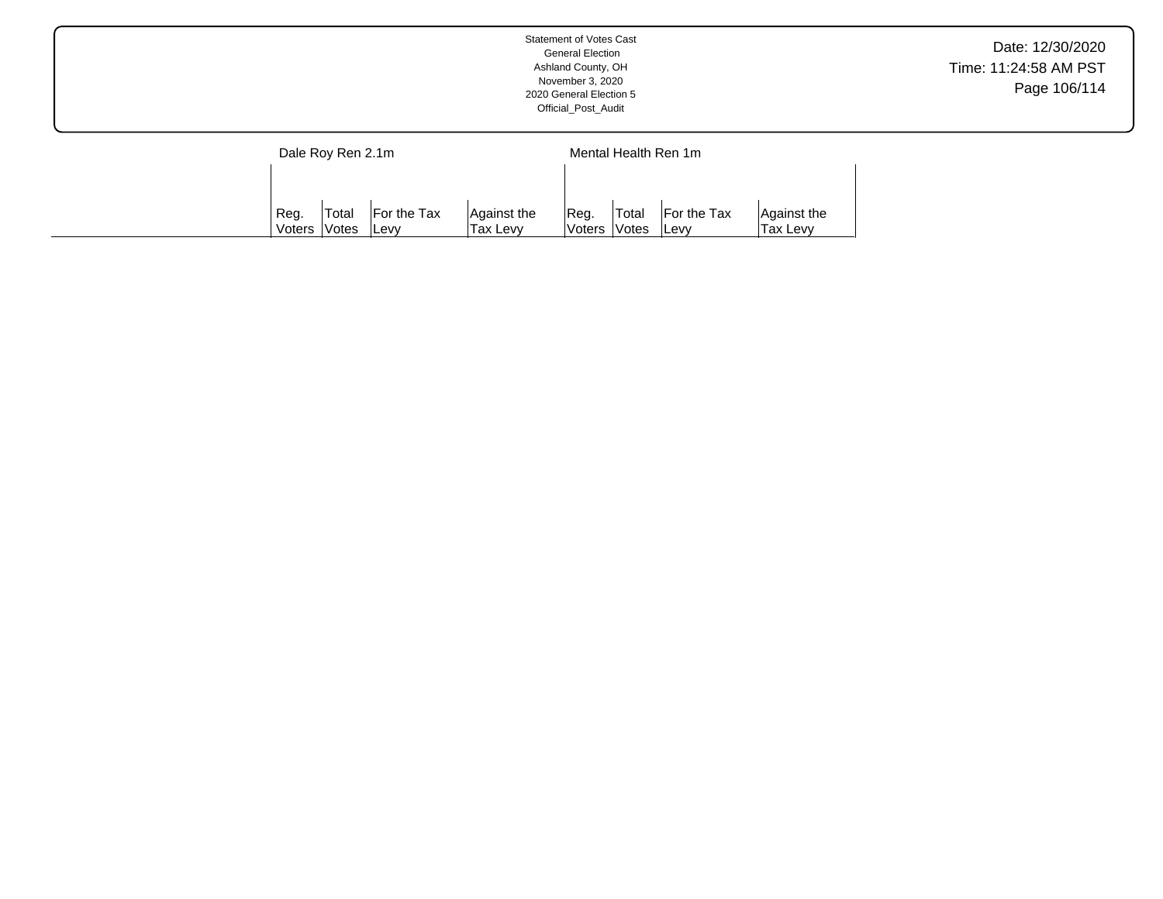|                   | Statement of Votes Cast<br><b>General Election</b><br>Ashland County, OH<br>November 3, 2020<br>2020 General Election 5<br>Official_Post_Audit | Date: 12/30/2020<br>Time: 11:24:58 AM PST<br>Page 106/114 |
|-------------------|------------------------------------------------------------------------------------------------------------------------------------------------|-----------------------------------------------------------|
| Dale Roy Ren 2.1m | Mental Health Ren 1m                                                                                                                           |                                                           |

Reg. Voters Total Votes For the Tax Levy

Against the Tax Levy

Reg. Voters Total Votes For the Tax Levy

Against the Tax Levy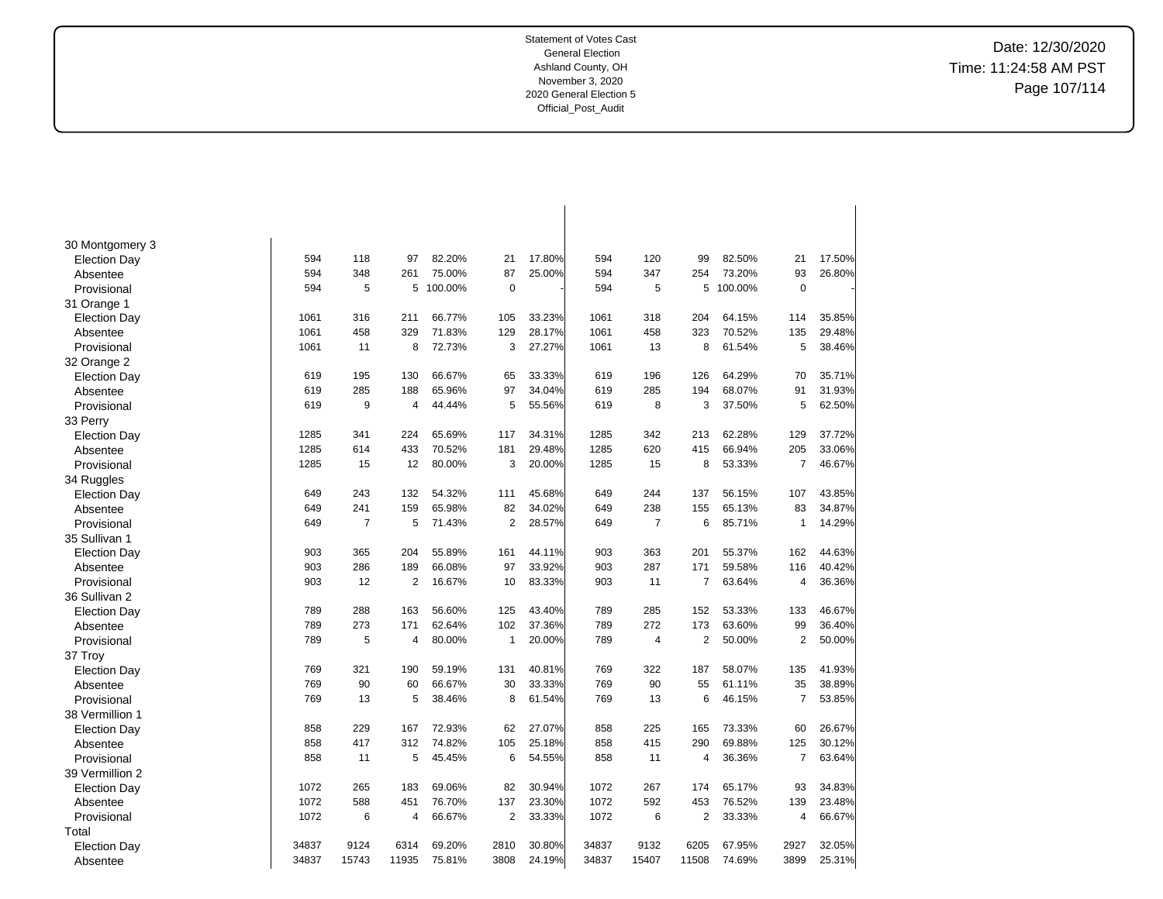Date: 12/30/2020 Time: 11:24:58 AM PST Page 107/114

| 30 Montgomery 3<br>594<br>118<br>82.20%<br>17.80%<br>594<br>120<br>82.50%<br>17.50%<br>97<br>21<br>99<br>21<br><b>Election Day</b><br>25.00%<br>347<br>93<br>594<br>348<br>75.00%<br>87<br>594<br>254<br>73.20%<br>26.80%<br>261<br>Absentee<br>594<br>5<br>100.00%<br>$\pmb{0}$<br>594<br>5<br>5<br>100.00%<br>$\mathbf 0$<br>Provisional<br>5<br>31 Orange 1<br>204<br>35.85%<br>1061<br>316<br>211<br>66.77%<br>105<br>33.23%<br>1061<br>318<br>64.15%<br>114<br><b>Election Day</b><br>71.83%<br>28.17%<br>1061<br>323<br>70.52%<br>1061<br>458<br>329<br>129<br>458<br>135<br>29.48%<br>Absentee<br>1061<br>8<br>72.73%<br>3<br>27.27%<br>8<br>61.54%<br>5<br>38.46%<br>11<br>1061<br>13<br>Provisional<br>32 Orange 2<br>619<br>195<br>130<br>66.67%<br>33.33%<br>619<br>196<br>126<br>64.29%<br>70<br>35.71%<br><b>Election Day</b><br>65<br>285<br>188<br>65.96%<br>97<br>34.04%<br>619<br>285<br>194<br>68.07%<br>91<br>31.93%<br>619<br>Absentee<br>619<br>9<br>4<br>44.44%<br>5<br>55.56%<br>619<br>8<br>3<br>37.50%<br>5<br>62.50%<br>Provisional<br>33 Perry<br>341<br>1285<br>342<br>62.28%<br>129<br>37.72%<br>1285<br>224<br>65.69%<br>117<br>34.31%<br>213<br><b>Election Day</b><br>1285<br>614<br>433<br>70.52%<br>181<br>29.48%<br>1285<br>620<br>415<br>66.94%<br>205<br>33.06%<br>Absentee<br>1285<br>80.00%<br>20.00%<br>53.33%<br>$\overline{7}$<br>46.67%<br>15<br>12<br>3<br>1285<br>15<br>8<br>Provisional<br>34 Ruggles<br>107<br>649<br>243<br>132<br>54.32%<br>45.68%<br>649<br>244<br>137<br>56.15%<br>43.85%<br>111<br><b>Election Day</b><br>649<br>241<br>159<br>65.98%<br>82<br>34.02%<br>649<br>238<br>65.13%<br>83<br>34.87%<br>155<br>Absentee<br>$\overline{2}$<br>649<br>7<br>5<br>71.43%<br>28.57%<br>$\overline{7}$<br>6<br>85.71%<br>14.29%<br>649<br>$\mathbf{1}$<br>Provisional<br>35 Sullivan 1<br>903<br>365<br>204<br>55.89%<br>161<br>44.11%<br>903<br>363<br>201<br>55.37%<br>162<br>44.63%<br><b>Election Day</b><br>903<br>903<br>286<br>189<br>66.08%<br>97<br>33.92%<br>287<br>171<br>59.58%<br>116<br>40.42%<br>Absentee<br>903<br>12<br>$\overline{2}$<br>16.67%<br>83.33%<br>903<br>11<br>$\overline{7}$<br>63.64%<br>$\overline{4}$<br>36.36%<br>10<br>Provisional<br>36 Sullivan 2<br>288<br>43.40%<br>789<br>285<br>133<br>46.67%<br>789<br>163<br>56.60%<br>125<br>152<br>53.33%<br><b>Election Day</b><br>37.36%<br>789<br>273<br>171<br>62.64%<br>102<br>789<br>272<br>173<br>63.60%<br>99<br>36.40%<br>Absentee<br>5<br>80.00%<br>20.00%<br>789<br>$\overline{2}$<br>50.00%<br>$\overline{2}$<br>50.00%<br>Provisional<br>789<br>$\mathbf{1}$<br>$\overline{4}$<br>4<br>37 Troy<br>769<br>322<br>41.93%<br>769<br>321<br>190<br>59.19%<br>131<br>40.81%<br>187<br>58.07%<br>135<br><b>Election Day</b><br>769<br>90<br>769<br>90<br>60<br>66.67%<br>30<br>33.33%<br>55<br>61.11%<br>35<br>38.89%<br>Absentee<br>13<br>5<br>8<br>61.54%<br>769<br>13<br>6<br>46.15%<br>$\overline{7}$<br>53.85%<br>769<br>38.46%<br>Provisional<br>38 Vermillion 1<br>858<br>229<br>167<br>72.93%<br>62<br>27.07%<br>858<br>225<br>165<br>73.33%<br>60<br>26.67%<br><b>Election Day</b><br>858<br>417<br>312<br>74.82%<br>105<br>25.18%<br>858<br>415<br>290<br>69.88%<br>125<br>30.12%<br>Absentee<br>858<br>5<br>45.45%<br>6<br>54.55%<br>858<br>36.36%<br>$\overline{7}$<br>63.64%<br>11<br>11<br>4<br>Provisional<br>39 Vermillion 2<br>265<br>1072<br>34.83%<br>1072<br>183<br>69.06%<br>82<br>30.94%<br>267<br>174<br>65.17%<br>93<br><b>Election Day</b><br>1072<br>588<br>76.70%<br>137<br>23.30%<br>1072<br>592<br>453<br>76.52%<br>139<br>23.48%<br>451<br>Absentee<br>6<br>66.67%<br>2<br>1072<br>2<br>66.67%<br>1072<br>33.33%<br>6<br>33.33%<br>$\overline{4}$<br>Provisional<br>4<br>Total<br>34837<br>69.20%<br>30.80%<br>34837<br>9132<br>6205<br>2927<br>32.05%<br>9124<br>6314<br>2810<br>67.95%<br><b>Election Day</b><br>34837<br>15743<br>11935<br>3808<br>24.19%<br>34837<br>15407<br>11508<br>3899<br>25.31%<br>75.81%<br>74.69%<br>Absentee |  |  |  |  |  |  |  |
|--------------------------------------------------------------------------------------------------------------------------------------------------------------------------------------------------------------------------------------------------------------------------------------------------------------------------------------------------------------------------------------------------------------------------------------------------------------------------------------------------------------------------------------------------------------------------------------------------------------------------------------------------------------------------------------------------------------------------------------------------------------------------------------------------------------------------------------------------------------------------------------------------------------------------------------------------------------------------------------------------------------------------------------------------------------------------------------------------------------------------------------------------------------------------------------------------------------------------------------------------------------------------------------------------------------------------------------------------------------------------------------------------------------------------------------------------------------------------------------------------------------------------------------------------------------------------------------------------------------------------------------------------------------------------------------------------------------------------------------------------------------------------------------------------------------------------------------------------------------------------------------------------------------------------------------------------------------------------------------------------------------------------------------------------------------------------------------------------------------------------------------------------------------------------------------------------------------------------------------------------------------------------------------------------------------------------------------------------------------------------------------------------------------------------------------------------------------------------------------------------------------------------------------------------------------------------------------------------------------------------------------------------------------------------------------------------------------------------------------------------------------------------------------------------------------------------------------------------------------------------------------------------------------------------------------------------------------------------------------------------------------------------------------------------------------------------------------------------------------------------------------------------------------------------------------------------------------------------------------------------------------------------------------------------------------------------------------------------------------------------------------------------------------------------------------------------------------------------------------------------------------------------------------------------------------------------------------------------------------------------------------------------------------------------------------------------------------------------------------------------------------------------------------------------------------------------------------------------------------------------------------------------------------------------------------------------------------------------------------------------------------------|--|--|--|--|--|--|--|
|                                                                                                                                                                                                                                                                                                                                                                                                                                                                                                                                                                                                                                                                                                                                                                                                                                                                                                                                                                                                                                                                                                                                                                                                                                                                                                                                                                                                                                                                                                                                                                                                                                                                                                                                                                                                                                                                                                                                                                                                                                                                                                                                                                                                                                                                                                                                                                                                                                                                                                                                                                                                                                                                                                                                                                                                                                                                                                                                                                                                                                                                                                                                                                                                                                                                                                                                                                                                                                                                                                                                                                                                                                                                                                                                                                                                                                                                                                                                                                                                                    |  |  |  |  |  |  |  |
|                                                                                                                                                                                                                                                                                                                                                                                                                                                                                                                                                                                                                                                                                                                                                                                                                                                                                                                                                                                                                                                                                                                                                                                                                                                                                                                                                                                                                                                                                                                                                                                                                                                                                                                                                                                                                                                                                                                                                                                                                                                                                                                                                                                                                                                                                                                                                                                                                                                                                                                                                                                                                                                                                                                                                                                                                                                                                                                                                                                                                                                                                                                                                                                                                                                                                                                                                                                                                                                                                                                                                                                                                                                                                                                                                                                                                                                                                                                                                                                                                    |  |  |  |  |  |  |  |
|                                                                                                                                                                                                                                                                                                                                                                                                                                                                                                                                                                                                                                                                                                                                                                                                                                                                                                                                                                                                                                                                                                                                                                                                                                                                                                                                                                                                                                                                                                                                                                                                                                                                                                                                                                                                                                                                                                                                                                                                                                                                                                                                                                                                                                                                                                                                                                                                                                                                                                                                                                                                                                                                                                                                                                                                                                                                                                                                                                                                                                                                                                                                                                                                                                                                                                                                                                                                                                                                                                                                                                                                                                                                                                                                                                                                                                                                                                                                                                                                                    |  |  |  |  |  |  |  |
|                                                                                                                                                                                                                                                                                                                                                                                                                                                                                                                                                                                                                                                                                                                                                                                                                                                                                                                                                                                                                                                                                                                                                                                                                                                                                                                                                                                                                                                                                                                                                                                                                                                                                                                                                                                                                                                                                                                                                                                                                                                                                                                                                                                                                                                                                                                                                                                                                                                                                                                                                                                                                                                                                                                                                                                                                                                                                                                                                                                                                                                                                                                                                                                                                                                                                                                                                                                                                                                                                                                                                                                                                                                                                                                                                                                                                                                                                                                                                                                                                    |  |  |  |  |  |  |  |
|                                                                                                                                                                                                                                                                                                                                                                                                                                                                                                                                                                                                                                                                                                                                                                                                                                                                                                                                                                                                                                                                                                                                                                                                                                                                                                                                                                                                                                                                                                                                                                                                                                                                                                                                                                                                                                                                                                                                                                                                                                                                                                                                                                                                                                                                                                                                                                                                                                                                                                                                                                                                                                                                                                                                                                                                                                                                                                                                                                                                                                                                                                                                                                                                                                                                                                                                                                                                                                                                                                                                                                                                                                                                                                                                                                                                                                                                                                                                                                                                                    |  |  |  |  |  |  |  |
|                                                                                                                                                                                                                                                                                                                                                                                                                                                                                                                                                                                                                                                                                                                                                                                                                                                                                                                                                                                                                                                                                                                                                                                                                                                                                                                                                                                                                                                                                                                                                                                                                                                                                                                                                                                                                                                                                                                                                                                                                                                                                                                                                                                                                                                                                                                                                                                                                                                                                                                                                                                                                                                                                                                                                                                                                                                                                                                                                                                                                                                                                                                                                                                                                                                                                                                                                                                                                                                                                                                                                                                                                                                                                                                                                                                                                                                                                                                                                                                                                    |  |  |  |  |  |  |  |
|                                                                                                                                                                                                                                                                                                                                                                                                                                                                                                                                                                                                                                                                                                                                                                                                                                                                                                                                                                                                                                                                                                                                                                                                                                                                                                                                                                                                                                                                                                                                                                                                                                                                                                                                                                                                                                                                                                                                                                                                                                                                                                                                                                                                                                                                                                                                                                                                                                                                                                                                                                                                                                                                                                                                                                                                                                                                                                                                                                                                                                                                                                                                                                                                                                                                                                                                                                                                                                                                                                                                                                                                                                                                                                                                                                                                                                                                                                                                                                                                                    |  |  |  |  |  |  |  |
|                                                                                                                                                                                                                                                                                                                                                                                                                                                                                                                                                                                                                                                                                                                                                                                                                                                                                                                                                                                                                                                                                                                                                                                                                                                                                                                                                                                                                                                                                                                                                                                                                                                                                                                                                                                                                                                                                                                                                                                                                                                                                                                                                                                                                                                                                                                                                                                                                                                                                                                                                                                                                                                                                                                                                                                                                                                                                                                                                                                                                                                                                                                                                                                                                                                                                                                                                                                                                                                                                                                                                                                                                                                                                                                                                                                                                                                                                                                                                                                                                    |  |  |  |  |  |  |  |
|                                                                                                                                                                                                                                                                                                                                                                                                                                                                                                                                                                                                                                                                                                                                                                                                                                                                                                                                                                                                                                                                                                                                                                                                                                                                                                                                                                                                                                                                                                                                                                                                                                                                                                                                                                                                                                                                                                                                                                                                                                                                                                                                                                                                                                                                                                                                                                                                                                                                                                                                                                                                                                                                                                                                                                                                                                                                                                                                                                                                                                                                                                                                                                                                                                                                                                                                                                                                                                                                                                                                                                                                                                                                                                                                                                                                                                                                                                                                                                                                                    |  |  |  |  |  |  |  |
|                                                                                                                                                                                                                                                                                                                                                                                                                                                                                                                                                                                                                                                                                                                                                                                                                                                                                                                                                                                                                                                                                                                                                                                                                                                                                                                                                                                                                                                                                                                                                                                                                                                                                                                                                                                                                                                                                                                                                                                                                                                                                                                                                                                                                                                                                                                                                                                                                                                                                                                                                                                                                                                                                                                                                                                                                                                                                                                                                                                                                                                                                                                                                                                                                                                                                                                                                                                                                                                                                                                                                                                                                                                                                                                                                                                                                                                                                                                                                                                                                    |  |  |  |  |  |  |  |
|                                                                                                                                                                                                                                                                                                                                                                                                                                                                                                                                                                                                                                                                                                                                                                                                                                                                                                                                                                                                                                                                                                                                                                                                                                                                                                                                                                                                                                                                                                                                                                                                                                                                                                                                                                                                                                                                                                                                                                                                                                                                                                                                                                                                                                                                                                                                                                                                                                                                                                                                                                                                                                                                                                                                                                                                                                                                                                                                                                                                                                                                                                                                                                                                                                                                                                                                                                                                                                                                                                                                                                                                                                                                                                                                                                                                                                                                                                                                                                                                                    |  |  |  |  |  |  |  |
|                                                                                                                                                                                                                                                                                                                                                                                                                                                                                                                                                                                                                                                                                                                                                                                                                                                                                                                                                                                                                                                                                                                                                                                                                                                                                                                                                                                                                                                                                                                                                                                                                                                                                                                                                                                                                                                                                                                                                                                                                                                                                                                                                                                                                                                                                                                                                                                                                                                                                                                                                                                                                                                                                                                                                                                                                                                                                                                                                                                                                                                                                                                                                                                                                                                                                                                                                                                                                                                                                                                                                                                                                                                                                                                                                                                                                                                                                                                                                                                                                    |  |  |  |  |  |  |  |
|                                                                                                                                                                                                                                                                                                                                                                                                                                                                                                                                                                                                                                                                                                                                                                                                                                                                                                                                                                                                                                                                                                                                                                                                                                                                                                                                                                                                                                                                                                                                                                                                                                                                                                                                                                                                                                                                                                                                                                                                                                                                                                                                                                                                                                                                                                                                                                                                                                                                                                                                                                                                                                                                                                                                                                                                                                                                                                                                                                                                                                                                                                                                                                                                                                                                                                                                                                                                                                                                                                                                                                                                                                                                                                                                                                                                                                                                                                                                                                                                                    |  |  |  |  |  |  |  |
|                                                                                                                                                                                                                                                                                                                                                                                                                                                                                                                                                                                                                                                                                                                                                                                                                                                                                                                                                                                                                                                                                                                                                                                                                                                                                                                                                                                                                                                                                                                                                                                                                                                                                                                                                                                                                                                                                                                                                                                                                                                                                                                                                                                                                                                                                                                                                                                                                                                                                                                                                                                                                                                                                                                                                                                                                                                                                                                                                                                                                                                                                                                                                                                                                                                                                                                                                                                                                                                                                                                                                                                                                                                                                                                                                                                                                                                                                                                                                                                                                    |  |  |  |  |  |  |  |
|                                                                                                                                                                                                                                                                                                                                                                                                                                                                                                                                                                                                                                                                                                                                                                                                                                                                                                                                                                                                                                                                                                                                                                                                                                                                                                                                                                                                                                                                                                                                                                                                                                                                                                                                                                                                                                                                                                                                                                                                                                                                                                                                                                                                                                                                                                                                                                                                                                                                                                                                                                                                                                                                                                                                                                                                                                                                                                                                                                                                                                                                                                                                                                                                                                                                                                                                                                                                                                                                                                                                                                                                                                                                                                                                                                                                                                                                                                                                                                                                                    |  |  |  |  |  |  |  |
|                                                                                                                                                                                                                                                                                                                                                                                                                                                                                                                                                                                                                                                                                                                                                                                                                                                                                                                                                                                                                                                                                                                                                                                                                                                                                                                                                                                                                                                                                                                                                                                                                                                                                                                                                                                                                                                                                                                                                                                                                                                                                                                                                                                                                                                                                                                                                                                                                                                                                                                                                                                                                                                                                                                                                                                                                                                                                                                                                                                                                                                                                                                                                                                                                                                                                                                                                                                                                                                                                                                                                                                                                                                                                                                                                                                                                                                                                                                                                                                                                    |  |  |  |  |  |  |  |
|                                                                                                                                                                                                                                                                                                                                                                                                                                                                                                                                                                                                                                                                                                                                                                                                                                                                                                                                                                                                                                                                                                                                                                                                                                                                                                                                                                                                                                                                                                                                                                                                                                                                                                                                                                                                                                                                                                                                                                                                                                                                                                                                                                                                                                                                                                                                                                                                                                                                                                                                                                                                                                                                                                                                                                                                                                                                                                                                                                                                                                                                                                                                                                                                                                                                                                                                                                                                                                                                                                                                                                                                                                                                                                                                                                                                                                                                                                                                                                                                                    |  |  |  |  |  |  |  |
|                                                                                                                                                                                                                                                                                                                                                                                                                                                                                                                                                                                                                                                                                                                                                                                                                                                                                                                                                                                                                                                                                                                                                                                                                                                                                                                                                                                                                                                                                                                                                                                                                                                                                                                                                                                                                                                                                                                                                                                                                                                                                                                                                                                                                                                                                                                                                                                                                                                                                                                                                                                                                                                                                                                                                                                                                                                                                                                                                                                                                                                                                                                                                                                                                                                                                                                                                                                                                                                                                                                                                                                                                                                                                                                                                                                                                                                                                                                                                                                                                    |  |  |  |  |  |  |  |
|                                                                                                                                                                                                                                                                                                                                                                                                                                                                                                                                                                                                                                                                                                                                                                                                                                                                                                                                                                                                                                                                                                                                                                                                                                                                                                                                                                                                                                                                                                                                                                                                                                                                                                                                                                                                                                                                                                                                                                                                                                                                                                                                                                                                                                                                                                                                                                                                                                                                                                                                                                                                                                                                                                                                                                                                                                                                                                                                                                                                                                                                                                                                                                                                                                                                                                                                                                                                                                                                                                                                                                                                                                                                                                                                                                                                                                                                                                                                                                                                                    |  |  |  |  |  |  |  |
|                                                                                                                                                                                                                                                                                                                                                                                                                                                                                                                                                                                                                                                                                                                                                                                                                                                                                                                                                                                                                                                                                                                                                                                                                                                                                                                                                                                                                                                                                                                                                                                                                                                                                                                                                                                                                                                                                                                                                                                                                                                                                                                                                                                                                                                                                                                                                                                                                                                                                                                                                                                                                                                                                                                                                                                                                                                                                                                                                                                                                                                                                                                                                                                                                                                                                                                                                                                                                                                                                                                                                                                                                                                                                                                                                                                                                                                                                                                                                                                                                    |  |  |  |  |  |  |  |
|                                                                                                                                                                                                                                                                                                                                                                                                                                                                                                                                                                                                                                                                                                                                                                                                                                                                                                                                                                                                                                                                                                                                                                                                                                                                                                                                                                                                                                                                                                                                                                                                                                                                                                                                                                                                                                                                                                                                                                                                                                                                                                                                                                                                                                                                                                                                                                                                                                                                                                                                                                                                                                                                                                                                                                                                                                                                                                                                                                                                                                                                                                                                                                                                                                                                                                                                                                                                                                                                                                                                                                                                                                                                                                                                                                                                                                                                                                                                                                                                                    |  |  |  |  |  |  |  |
|                                                                                                                                                                                                                                                                                                                                                                                                                                                                                                                                                                                                                                                                                                                                                                                                                                                                                                                                                                                                                                                                                                                                                                                                                                                                                                                                                                                                                                                                                                                                                                                                                                                                                                                                                                                                                                                                                                                                                                                                                                                                                                                                                                                                                                                                                                                                                                                                                                                                                                                                                                                                                                                                                                                                                                                                                                                                                                                                                                                                                                                                                                                                                                                                                                                                                                                                                                                                                                                                                                                                                                                                                                                                                                                                                                                                                                                                                                                                                                                                                    |  |  |  |  |  |  |  |
|                                                                                                                                                                                                                                                                                                                                                                                                                                                                                                                                                                                                                                                                                                                                                                                                                                                                                                                                                                                                                                                                                                                                                                                                                                                                                                                                                                                                                                                                                                                                                                                                                                                                                                                                                                                                                                                                                                                                                                                                                                                                                                                                                                                                                                                                                                                                                                                                                                                                                                                                                                                                                                                                                                                                                                                                                                                                                                                                                                                                                                                                                                                                                                                                                                                                                                                                                                                                                                                                                                                                                                                                                                                                                                                                                                                                                                                                                                                                                                                                                    |  |  |  |  |  |  |  |
|                                                                                                                                                                                                                                                                                                                                                                                                                                                                                                                                                                                                                                                                                                                                                                                                                                                                                                                                                                                                                                                                                                                                                                                                                                                                                                                                                                                                                                                                                                                                                                                                                                                                                                                                                                                                                                                                                                                                                                                                                                                                                                                                                                                                                                                                                                                                                                                                                                                                                                                                                                                                                                                                                                                                                                                                                                                                                                                                                                                                                                                                                                                                                                                                                                                                                                                                                                                                                                                                                                                                                                                                                                                                                                                                                                                                                                                                                                                                                                                                                    |  |  |  |  |  |  |  |
|                                                                                                                                                                                                                                                                                                                                                                                                                                                                                                                                                                                                                                                                                                                                                                                                                                                                                                                                                                                                                                                                                                                                                                                                                                                                                                                                                                                                                                                                                                                                                                                                                                                                                                                                                                                                                                                                                                                                                                                                                                                                                                                                                                                                                                                                                                                                                                                                                                                                                                                                                                                                                                                                                                                                                                                                                                                                                                                                                                                                                                                                                                                                                                                                                                                                                                                                                                                                                                                                                                                                                                                                                                                                                                                                                                                                                                                                                                                                                                                                                    |  |  |  |  |  |  |  |
|                                                                                                                                                                                                                                                                                                                                                                                                                                                                                                                                                                                                                                                                                                                                                                                                                                                                                                                                                                                                                                                                                                                                                                                                                                                                                                                                                                                                                                                                                                                                                                                                                                                                                                                                                                                                                                                                                                                                                                                                                                                                                                                                                                                                                                                                                                                                                                                                                                                                                                                                                                                                                                                                                                                                                                                                                                                                                                                                                                                                                                                                                                                                                                                                                                                                                                                                                                                                                                                                                                                                                                                                                                                                                                                                                                                                                                                                                                                                                                                                                    |  |  |  |  |  |  |  |
|                                                                                                                                                                                                                                                                                                                                                                                                                                                                                                                                                                                                                                                                                                                                                                                                                                                                                                                                                                                                                                                                                                                                                                                                                                                                                                                                                                                                                                                                                                                                                                                                                                                                                                                                                                                                                                                                                                                                                                                                                                                                                                                                                                                                                                                                                                                                                                                                                                                                                                                                                                                                                                                                                                                                                                                                                                                                                                                                                                                                                                                                                                                                                                                                                                                                                                                                                                                                                                                                                                                                                                                                                                                                                                                                                                                                                                                                                                                                                                                                                    |  |  |  |  |  |  |  |
|                                                                                                                                                                                                                                                                                                                                                                                                                                                                                                                                                                                                                                                                                                                                                                                                                                                                                                                                                                                                                                                                                                                                                                                                                                                                                                                                                                                                                                                                                                                                                                                                                                                                                                                                                                                                                                                                                                                                                                                                                                                                                                                                                                                                                                                                                                                                                                                                                                                                                                                                                                                                                                                                                                                                                                                                                                                                                                                                                                                                                                                                                                                                                                                                                                                                                                                                                                                                                                                                                                                                                                                                                                                                                                                                                                                                                                                                                                                                                                                                                    |  |  |  |  |  |  |  |
|                                                                                                                                                                                                                                                                                                                                                                                                                                                                                                                                                                                                                                                                                                                                                                                                                                                                                                                                                                                                                                                                                                                                                                                                                                                                                                                                                                                                                                                                                                                                                                                                                                                                                                                                                                                                                                                                                                                                                                                                                                                                                                                                                                                                                                                                                                                                                                                                                                                                                                                                                                                                                                                                                                                                                                                                                                                                                                                                                                                                                                                                                                                                                                                                                                                                                                                                                                                                                                                                                                                                                                                                                                                                                                                                                                                                                                                                                                                                                                                                                    |  |  |  |  |  |  |  |
|                                                                                                                                                                                                                                                                                                                                                                                                                                                                                                                                                                                                                                                                                                                                                                                                                                                                                                                                                                                                                                                                                                                                                                                                                                                                                                                                                                                                                                                                                                                                                                                                                                                                                                                                                                                                                                                                                                                                                                                                                                                                                                                                                                                                                                                                                                                                                                                                                                                                                                                                                                                                                                                                                                                                                                                                                                                                                                                                                                                                                                                                                                                                                                                                                                                                                                                                                                                                                                                                                                                                                                                                                                                                                                                                                                                                                                                                                                                                                                                                                    |  |  |  |  |  |  |  |
|                                                                                                                                                                                                                                                                                                                                                                                                                                                                                                                                                                                                                                                                                                                                                                                                                                                                                                                                                                                                                                                                                                                                                                                                                                                                                                                                                                                                                                                                                                                                                                                                                                                                                                                                                                                                                                                                                                                                                                                                                                                                                                                                                                                                                                                                                                                                                                                                                                                                                                                                                                                                                                                                                                                                                                                                                                                                                                                                                                                                                                                                                                                                                                                                                                                                                                                                                                                                                                                                                                                                                                                                                                                                                                                                                                                                                                                                                                                                                                                                                    |  |  |  |  |  |  |  |
|                                                                                                                                                                                                                                                                                                                                                                                                                                                                                                                                                                                                                                                                                                                                                                                                                                                                                                                                                                                                                                                                                                                                                                                                                                                                                                                                                                                                                                                                                                                                                                                                                                                                                                                                                                                                                                                                                                                                                                                                                                                                                                                                                                                                                                                                                                                                                                                                                                                                                                                                                                                                                                                                                                                                                                                                                                                                                                                                                                                                                                                                                                                                                                                                                                                                                                                                                                                                                                                                                                                                                                                                                                                                                                                                                                                                                                                                                                                                                                                                                    |  |  |  |  |  |  |  |
|                                                                                                                                                                                                                                                                                                                                                                                                                                                                                                                                                                                                                                                                                                                                                                                                                                                                                                                                                                                                                                                                                                                                                                                                                                                                                                                                                                                                                                                                                                                                                                                                                                                                                                                                                                                                                                                                                                                                                                                                                                                                                                                                                                                                                                                                                                                                                                                                                                                                                                                                                                                                                                                                                                                                                                                                                                                                                                                                                                                                                                                                                                                                                                                                                                                                                                                                                                                                                                                                                                                                                                                                                                                                                                                                                                                                                                                                                                                                                                                                                    |  |  |  |  |  |  |  |
|                                                                                                                                                                                                                                                                                                                                                                                                                                                                                                                                                                                                                                                                                                                                                                                                                                                                                                                                                                                                                                                                                                                                                                                                                                                                                                                                                                                                                                                                                                                                                                                                                                                                                                                                                                                                                                                                                                                                                                                                                                                                                                                                                                                                                                                                                                                                                                                                                                                                                                                                                                                                                                                                                                                                                                                                                                                                                                                                                                                                                                                                                                                                                                                                                                                                                                                                                                                                                                                                                                                                                                                                                                                                                                                                                                                                                                                                                                                                                                                                                    |  |  |  |  |  |  |  |
|                                                                                                                                                                                                                                                                                                                                                                                                                                                                                                                                                                                                                                                                                                                                                                                                                                                                                                                                                                                                                                                                                                                                                                                                                                                                                                                                                                                                                                                                                                                                                                                                                                                                                                                                                                                                                                                                                                                                                                                                                                                                                                                                                                                                                                                                                                                                                                                                                                                                                                                                                                                                                                                                                                                                                                                                                                                                                                                                                                                                                                                                                                                                                                                                                                                                                                                                                                                                                                                                                                                                                                                                                                                                                                                                                                                                                                                                                                                                                                                                                    |  |  |  |  |  |  |  |
|                                                                                                                                                                                                                                                                                                                                                                                                                                                                                                                                                                                                                                                                                                                                                                                                                                                                                                                                                                                                                                                                                                                                                                                                                                                                                                                                                                                                                                                                                                                                                                                                                                                                                                                                                                                                                                                                                                                                                                                                                                                                                                                                                                                                                                                                                                                                                                                                                                                                                                                                                                                                                                                                                                                                                                                                                                                                                                                                                                                                                                                                                                                                                                                                                                                                                                                                                                                                                                                                                                                                                                                                                                                                                                                                                                                                                                                                                                                                                                                                                    |  |  |  |  |  |  |  |
|                                                                                                                                                                                                                                                                                                                                                                                                                                                                                                                                                                                                                                                                                                                                                                                                                                                                                                                                                                                                                                                                                                                                                                                                                                                                                                                                                                                                                                                                                                                                                                                                                                                                                                                                                                                                                                                                                                                                                                                                                                                                                                                                                                                                                                                                                                                                                                                                                                                                                                                                                                                                                                                                                                                                                                                                                                                                                                                                                                                                                                                                                                                                                                                                                                                                                                                                                                                                                                                                                                                                                                                                                                                                                                                                                                                                                                                                                                                                                                                                                    |  |  |  |  |  |  |  |
|                                                                                                                                                                                                                                                                                                                                                                                                                                                                                                                                                                                                                                                                                                                                                                                                                                                                                                                                                                                                                                                                                                                                                                                                                                                                                                                                                                                                                                                                                                                                                                                                                                                                                                                                                                                                                                                                                                                                                                                                                                                                                                                                                                                                                                                                                                                                                                                                                                                                                                                                                                                                                                                                                                                                                                                                                                                                                                                                                                                                                                                                                                                                                                                                                                                                                                                                                                                                                                                                                                                                                                                                                                                                                                                                                                                                                                                                                                                                                                                                                    |  |  |  |  |  |  |  |
|                                                                                                                                                                                                                                                                                                                                                                                                                                                                                                                                                                                                                                                                                                                                                                                                                                                                                                                                                                                                                                                                                                                                                                                                                                                                                                                                                                                                                                                                                                                                                                                                                                                                                                                                                                                                                                                                                                                                                                                                                                                                                                                                                                                                                                                                                                                                                                                                                                                                                                                                                                                                                                                                                                                                                                                                                                                                                                                                                                                                                                                                                                                                                                                                                                                                                                                                                                                                                                                                                                                                                                                                                                                                                                                                                                                                                                                                                                                                                                                                                    |  |  |  |  |  |  |  |
|                                                                                                                                                                                                                                                                                                                                                                                                                                                                                                                                                                                                                                                                                                                                                                                                                                                                                                                                                                                                                                                                                                                                                                                                                                                                                                                                                                                                                                                                                                                                                                                                                                                                                                                                                                                                                                                                                                                                                                                                                                                                                                                                                                                                                                                                                                                                                                                                                                                                                                                                                                                                                                                                                                                                                                                                                                                                                                                                                                                                                                                                                                                                                                                                                                                                                                                                                                                                                                                                                                                                                                                                                                                                                                                                                                                                                                                                                                                                                                                                                    |  |  |  |  |  |  |  |
|                                                                                                                                                                                                                                                                                                                                                                                                                                                                                                                                                                                                                                                                                                                                                                                                                                                                                                                                                                                                                                                                                                                                                                                                                                                                                                                                                                                                                                                                                                                                                                                                                                                                                                                                                                                                                                                                                                                                                                                                                                                                                                                                                                                                                                                                                                                                                                                                                                                                                                                                                                                                                                                                                                                                                                                                                                                                                                                                                                                                                                                                                                                                                                                                                                                                                                                                                                                                                                                                                                                                                                                                                                                                                                                                                                                                                                                                                                                                                                                                                    |  |  |  |  |  |  |  |
|                                                                                                                                                                                                                                                                                                                                                                                                                                                                                                                                                                                                                                                                                                                                                                                                                                                                                                                                                                                                                                                                                                                                                                                                                                                                                                                                                                                                                                                                                                                                                                                                                                                                                                                                                                                                                                                                                                                                                                                                                                                                                                                                                                                                                                                                                                                                                                                                                                                                                                                                                                                                                                                                                                                                                                                                                                                                                                                                                                                                                                                                                                                                                                                                                                                                                                                                                                                                                                                                                                                                                                                                                                                                                                                                                                                                                                                                                                                                                                                                                    |  |  |  |  |  |  |  |
|                                                                                                                                                                                                                                                                                                                                                                                                                                                                                                                                                                                                                                                                                                                                                                                                                                                                                                                                                                                                                                                                                                                                                                                                                                                                                                                                                                                                                                                                                                                                                                                                                                                                                                                                                                                                                                                                                                                                                                                                                                                                                                                                                                                                                                                                                                                                                                                                                                                                                                                                                                                                                                                                                                                                                                                                                                                                                                                                                                                                                                                                                                                                                                                                                                                                                                                                                                                                                                                                                                                                                                                                                                                                                                                                                                                                                                                                                                                                                                                                                    |  |  |  |  |  |  |  |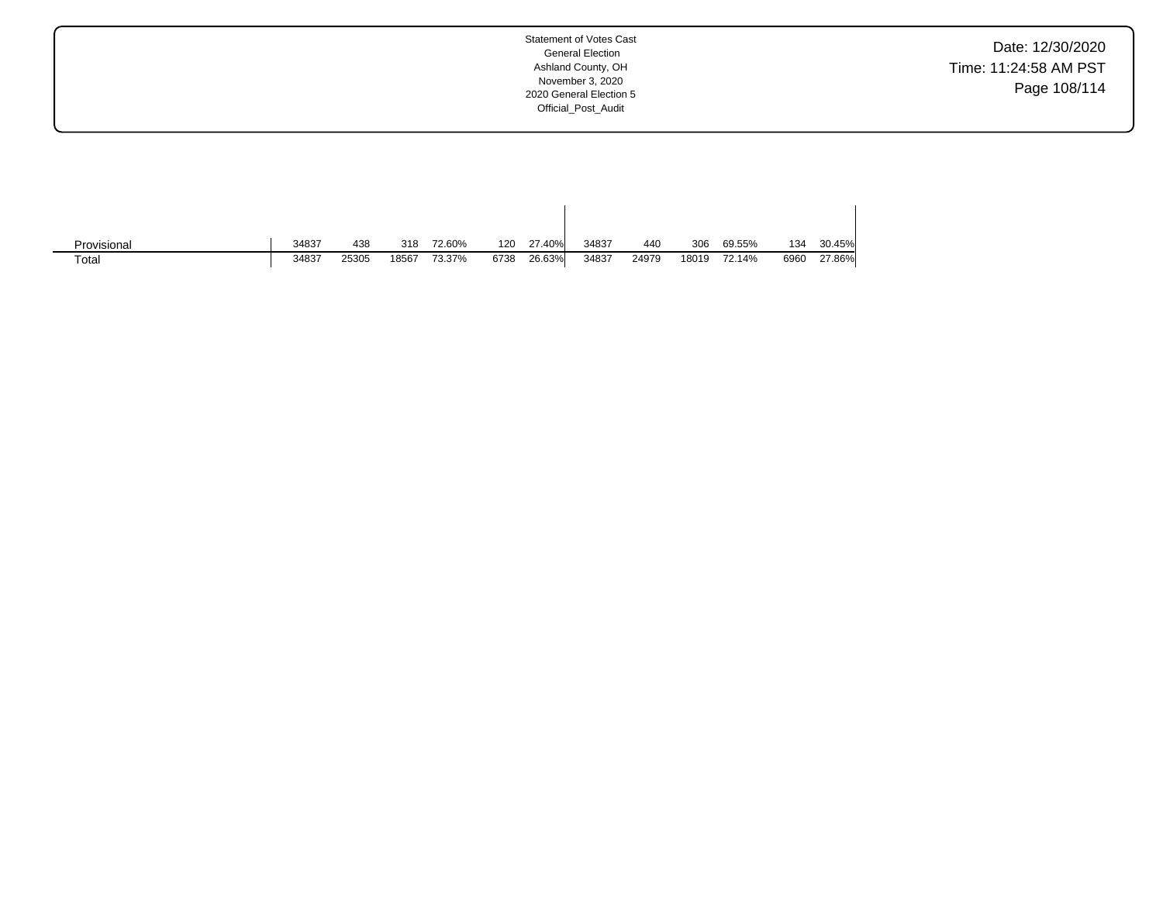Date: 12/30/2020 Time: 11:24:58 AM PST Page 108/114

| Provisional | 34837 | 438   | 318   | 72.60% | 120  | 27.40% | 34837 | 440   | 306   | 69.55% | 134  | 30.45% |
|-------------|-------|-------|-------|--------|------|--------|-------|-------|-------|--------|------|--------|
| Total       | 34837 | 25305 | 18567 | 73.37% | 6738 | 26.63% | 34837 | 24979 | 18019 | 72.14% | 6960 | 27.86% |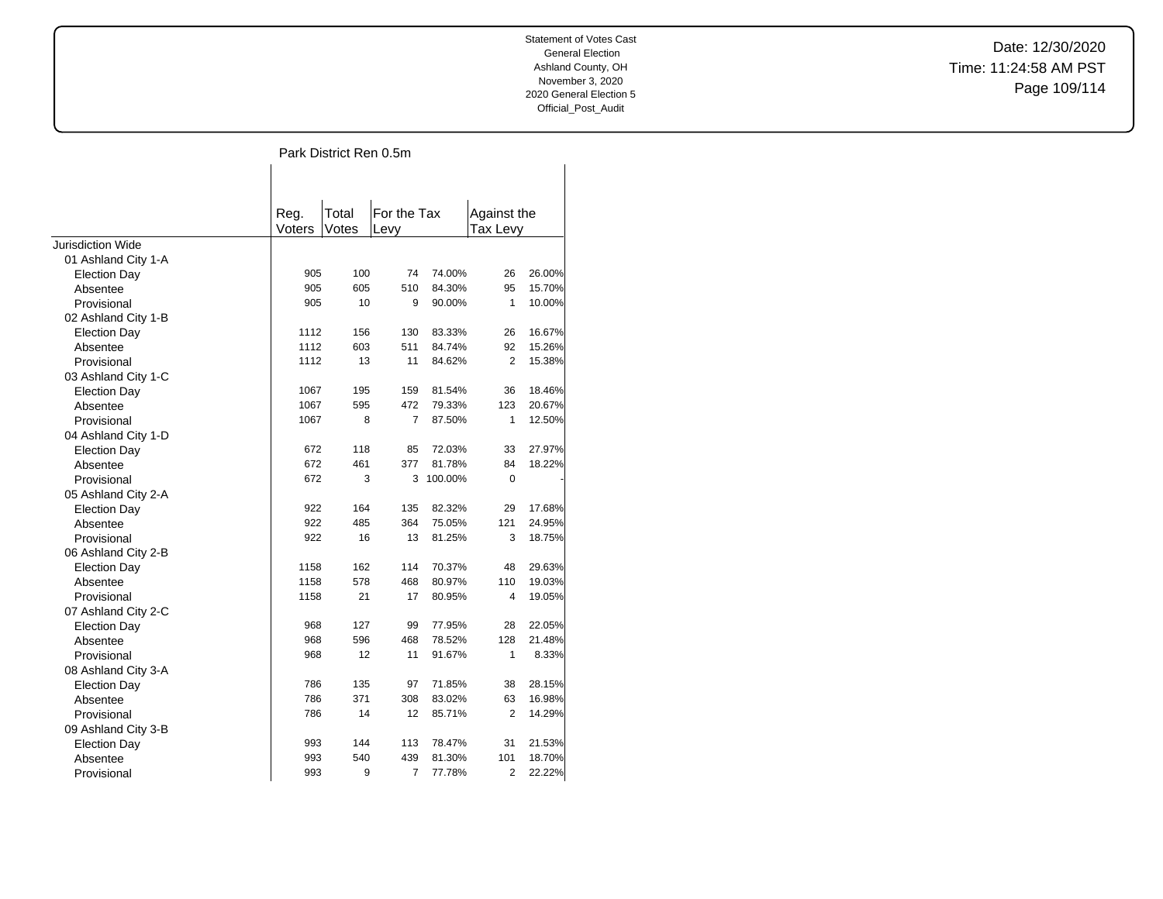$\overline{\phantom{a}}$ 

Date: 12/30/2020 Time: 11:24:58 AM PST Page 109/114

# Park District Ren 0.5m

 $\overline{1}$ 

|                     | Reg.   | Total | For the Tax    |         | Against the    |        |
|---------------------|--------|-------|----------------|---------|----------------|--------|
|                     | Voters | Votes | Levy           |         | Tax Levy       |        |
| Jurisdiction Wide   |        |       |                |         |                |        |
| 01 Ashland City 1-A |        |       |                |         |                |        |
| <b>Election Day</b> | 905    | 100   | 74             | 74.00%  | 26             | 26.00% |
| Absentee            | 905    | 605   | 510            | 84.30%  | 95             | 15.70% |
| Provisional         | 905    | 10    | 9              | 90.00%  | 1              | 10.00% |
| 02 Ashland City 1-B |        |       |                |         |                |        |
| Election Day        | 1112   | 156   | 130            | 83.33%  | 26             | 16.67% |
| Absentee            | 1112   | 603   | 511            | 84.74%  | 92             | 15.26% |
| Provisional         | 1112   | 13    | 11             | 84.62%  | $\overline{2}$ | 15.38% |
| 03 Ashland City 1-C |        |       |                |         |                |        |
| <b>Election Day</b> | 1067   | 195   | 159            | 81.54%  | 36             | 18.46% |
| Absentee            | 1067   | 595   | 472            | 79.33%  | 123            | 20.67% |
| Provisional         | 1067   | 8     | 7              | 87.50%  | 1              | 12.50% |
| 04 Ashland City 1-D |        |       |                |         |                |        |
| <b>Election Day</b> | 672    | 118   | 85             | 72.03%  | 33             | 27.97% |
| Absentee            | 672    | 461   | 377            | 81.78%  | 84             | 18.22% |
| Provisional         | 672    | 3     | 3              | 100.00% | 0              |        |
| 05 Ashland City 2-A |        |       |                |         |                |        |
| <b>Election Day</b> | 922    | 164   | 135            | 82.32%  | 29             | 17.68% |
| Absentee            | 922    | 485   | 364            | 75.05%  | 121            | 24.95% |
| Provisional         | 922    | 16    | 13             | 81.25%  | 3              | 18.75% |
| 06 Ashland City 2-B |        |       |                |         |                |        |
| <b>Election Day</b> | 1158   | 162   | 114            | 70.37%  | 48             | 29.63% |
| Absentee            | 1158   | 578   | 468            | 80.97%  | 110            | 19.03% |
| Provisional         | 1158   | 21    | 17             | 80.95%  | 4              | 19.05% |
| 07 Ashland City 2-C |        |       |                |         |                |        |
| <b>Election Day</b> | 968    | 127   | 99             | 77.95%  | 28             | 22.05% |
| Absentee            | 968    | 596   | 468            | 78.52%  | 128            | 21.48% |
| Provisional         | 968    | 12    | 11             | 91.67%  | 1              | 8.33%  |
| 08 Ashland City 3-A |        |       |                |         |                |        |
| <b>Election Day</b> | 786    | 135   | 97             | 71.85%  | 38             | 28.15% |
| Absentee            | 786    | 371   | 308            | 83.02%  | 63             | 16.98% |
| Provisional         | 786    | 14    | 12             | 85.71%  | $\overline{2}$ | 14.29% |
| 09 Ashland City 3-B |        |       |                |         |                |        |
| <b>Election Day</b> | 993    | 144   | 113            | 78.47%  | 31             | 21.53% |
| Absentee            | 993    | 540   | 439            | 81.30%  | 101            | 18.70% |
| Provisional         | 993    | 9     | $\overline{7}$ | 77.78%  | 2              | 22.22% |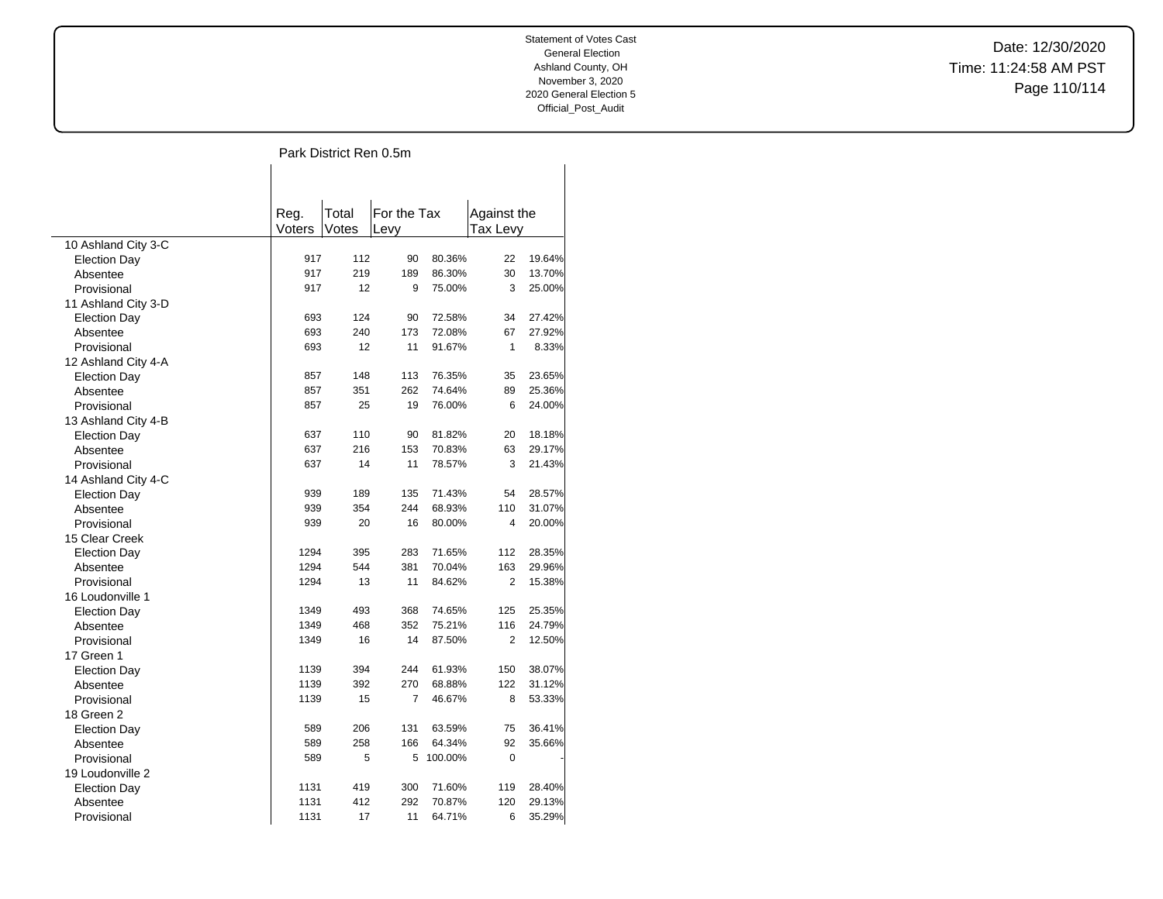$\overline{\phantom{a}}$ 

Date: 12/30/2020 Time: 11:24:58 AM PST Page 110/114

## Park District Ren 0.5m

 $\overline{\phantom{a}}$ 

|                         | Reg.   | Total | For the Tax |         | Against the    |        |
|-------------------------|--------|-------|-------------|---------|----------------|--------|
|                         | Voters | Votes | Levy        |         | Tax Levy       |        |
| 10 Ashland City 3-C     |        |       |             |         |                |        |
| <b>Election Day</b>     | 917    | 112   | 90          | 80.36%  | 22             | 19.64% |
| Absentee                | 917    | 219   | 189         | 86.30%  | 30             | 13.70% |
| Provisional             | 917    | 12    | 9           | 75.00%  | 3              | 25.00% |
| 11 Ashland City 3-D     |        |       |             |         |                |        |
| <b>Election Day</b>     | 693    | 124   | 90          | 72.58%  | 34             | 27.42% |
| Absentee                | 693    | 240   | 173         | 72.08%  | 67             | 27.92% |
| Provisional             | 693    | 12    | 11          | 91.67%  | $\mathbf{1}$   | 8.33%  |
| 12 Ashland City 4-A     |        |       |             |         |                |        |
| <b>Election Day</b>     | 857    | 148   | 113         | 76.35%  | 35             | 23.65% |
| Absentee                | 857    | 351   | 262         | 74.64%  | 89             | 25.36% |
| Provisional             | 857    | 25    | 19          | 76.00%  | 6              | 24.00% |
| 13 Ashland City 4-B     |        |       |             |         |                |        |
| <b>Election Day</b>     | 637    | 110   | 90          | 81.82%  | 20             | 18.18% |
| Absentee                | 637    | 216   | 153         | 70.83%  | 63             | 29.17% |
| Provisional             | 637    | 14    | 11          | 78.57%  | 3              | 21.43% |
| 14 Ashland City 4-C     |        |       |             |         |                |        |
| <b>Election Day</b>     | 939    | 189   | 135         | 71.43%  | 54             | 28.57% |
| Absentee                | 939    | 354   | 244         | 68.93%  | 110            | 31.07% |
| Provisional             | 939    | 20    | 16          | 80.00%  | $\overline{4}$ | 20.00% |
| 15 Clear Creek          |        |       |             |         |                |        |
| <b>Election Day</b>     | 1294   | 395   | 283         | 71.65%  | 112            | 28.35% |
|                         | 1294   | 544   | 381         | 70.04%  | 163            | 29.96% |
| Absentee<br>Provisional | 1294   | 13    | 11          | 84.62%  | $\overline{2}$ | 15.38% |
| 16 Loudonville 1        |        |       |             |         |                |        |
|                         | 1349   | 493   | 368         | 74.65%  | 125            | 25.35% |
| <b>Election Day</b>     | 1349   | 468   | 352         | 75.21%  | 116            | 24.79% |
| Absentee<br>Provisional | 1349   | 16    | 14          | 87.50%  | $\overline{2}$ | 12.50% |
|                         |        |       |             |         |                |        |
| 17 Green 1              | 1139   | 394   | 244         | 61.93%  | 150            | 38.07% |
| <b>Election Day</b>     | 1139   | 392   | 270         | 68.88%  | 122            | 31.12% |
| Absentee                | 1139   | 15    | 7           | 46.67%  | 8              | 53.33% |
| Provisional             |        |       |             |         |                |        |
| 18 Green 2              |        |       |             |         |                |        |
| <b>Election Day</b>     | 589    | 206   | 131         | 63.59%  | 75             | 36.41% |
| Absentee                | 589    | 258   | 166         | 64.34%  | 92             | 35.66% |
| Provisional             | 589    | 5     | 5           | 100.00% | 0              |        |
| 19 Loudonville 2        |        | 419   |             |         |                |        |
| <b>Election Day</b>     | 1131   |       | 300         | 71.60%  | 119            | 28.40% |
| Absentee                | 1131   | 412   | 292         | 70.87%  | 120            | 29.13% |
| Provisional             | 1131   | 17    | 11          | 64.71%  | 6              | 35.29% |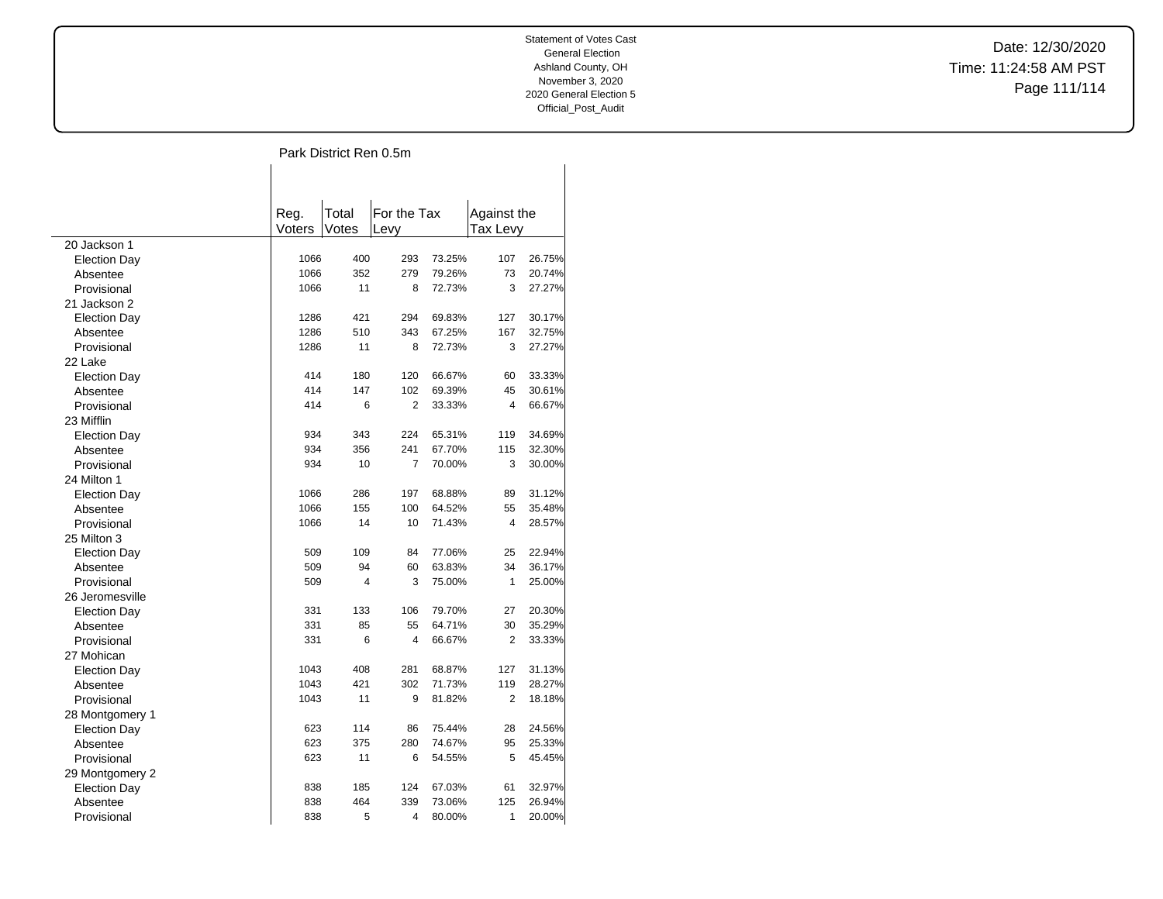$\overline{\phantom{a}}$ 

Date: 12/30/2020 Time: 11:24:58 AM PST Page 111/114

## Park District Ren 0.5m

 $\overline{\phantom{a}}$ 

|                     | Reg.   | Total | For the Tax    |        | Against the    |        |
|---------------------|--------|-------|----------------|--------|----------------|--------|
|                     | Voters | Votes | Levy           |        | Tax Levy       |        |
| 20 Jackson 1        |        |       |                |        |                |        |
| <b>Election Day</b> | 1066   | 400   | 293            | 73.25% | 107            | 26.75% |
| Absentee            | 1066   | 352   | 279            | 79.26% | 73             | 20.74% |
| Provisional         | 1066   | 11    | 8              | 72.73% | 3              | 27.27% |
| 21 Jackson 2        |        |       |                |        |                |        |
| <b>Election Day</b> | 1286   | 421   | 294            | 69.83% | 127            | 30.17% |
| Absentee            | 1286   | 510   | 343            | 67.25% | 167            | 32.75% |
| Provisional         | 1286   | 11    | 8              | 72.73% | 3              | 27.27% |
| 22 Lake             |        |       |                |        |                |        |
| <b>Election Day</b> | 414    | 180   | 120            | 66.67% | 60             | 33.33% |
| Absentee            | 414    | 147   | 102            | 69.39% | 45             | 30.61% |
| Provisional         | 414    | 6     | $\overline{2}$ | 33.33% | $\overline{4}$ | 66.67% |
| 23 Mifflin          |        |       |                |        |                |        |
| <b>Election Day</b> | 934    | 343   | 224            | 65.31% | 119            | 34.69% |
| Absentee            | 934    | 356   | 241            | 67.70% | 115            | 32.30% |
| Provisional         | 934    | 10    | $\overline{7}$ | 70.00% | 3              | 30.00% |
| 24 Milton 1         |        |       |                |        |                |        |
| <b>Election Day</b> | 1066   | 286   | 197            | 68.88% | 89             | 31.12% |
| Absentee            | 1066   | 155   | 100            | 64.52% | 55             | 35.48% |
| Provisional         | 1066   | 14    | 10             | 71.43% | 4              | 28.57% |
| 25 Milton 3         |        |       |                |        |                |        |
| <b>Election Day</b> | 509    | 109   | 84             | 77.06% | 25             | 22.94% |
| Absentee            | 509    | 94    | 60             | 63.83% | 34             | 36.17% |
| Provisional         | 509    | 4     | 3              | 75.00% | 1              | 25.00% |
| 26 Jeromesville     |        |       |                |        |                |        |
| <b>Election Day</b> | 331    | 133   | 106            | 79.70% | 27             | 20.30% |
| Absentee            | 331    | 85    | 55             | 64.71% | 30             | 35.29% |
| Provisional         | 331    | 6     | $\overline{4}$ | 66.67% | $\overline{2}$ | 33.33% |
| 27 Mohican          |        |       |                |        |                |        |
| <b>Election Day</b> | 1043   | 408   | 281            | 68.87% | 127            | 31.13% |
| Absentee            | 1043   | 421   | 302            | 71.73% | 119            | 28.27% |
| Provisional         | 1043   | 11    | 9              | 81.82% | 2              | 18.18% |
| 28 Montgomery 1     |        |       |                |        |                |        |
| <b>Election Day</b> | 623    | 114   | 86             | 75.44% | 28             | 24.56% |
| Absentee            | 623    | 375   | 280            | 74.67% | 95             | 25.33% |
| Provisional         | 623    | 11    | 6              | 54.55% | 5              | 45.45% |
| 29 Montgomery 2     |        |       |                |        |                |        |
| <b>Election Day</b> | 838    | 185   | 124            | 67.03% | 61             | 32.97% |
| Absentee            | 838    | 464   | 339            | 73.06% | 125            | 26.94% |
| Provisional         | 838    | 5     | 4              | 80.00% | 1              | 20.00% |
|                     |        |       |                |        |                |        |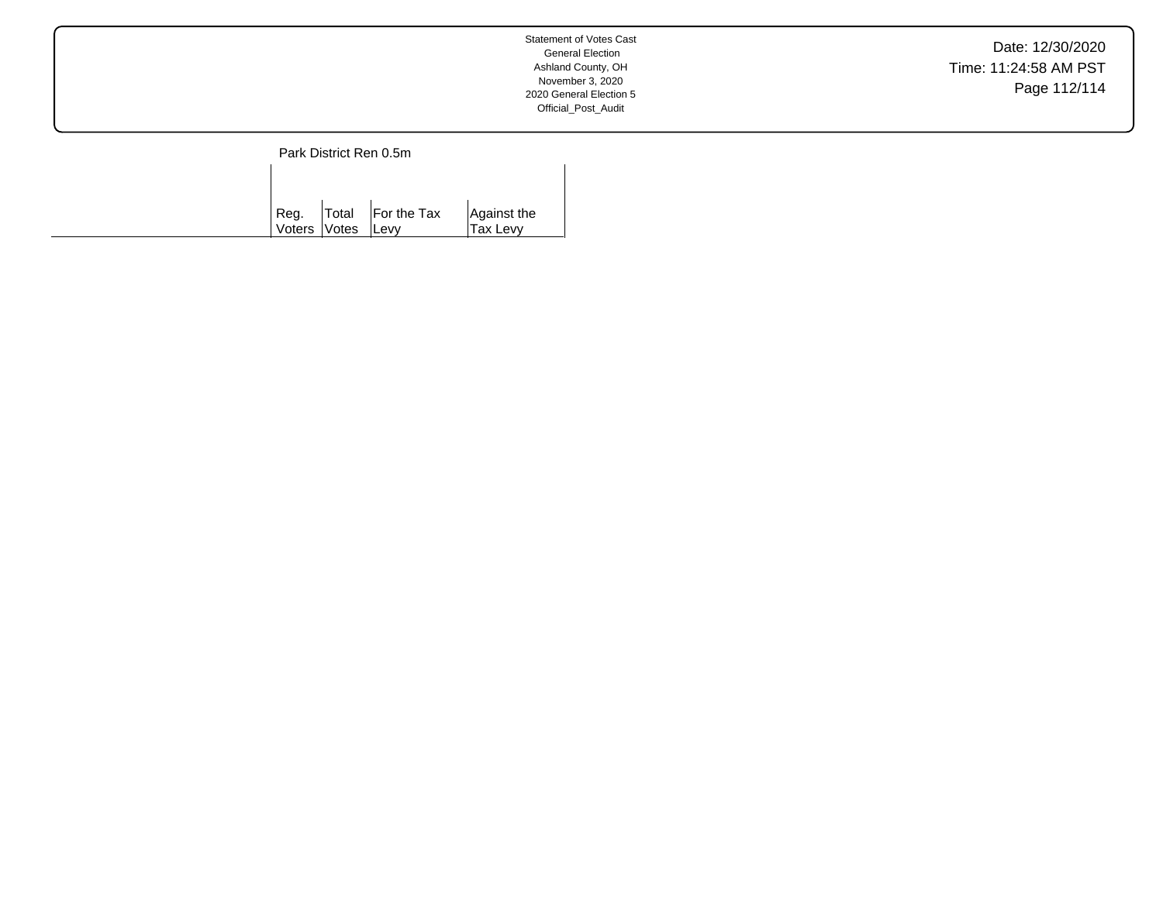Date: 12/30/2020 Time: 11:24:58 AM PST Page 112/114

Park District Ren 0.5m  $\mathbf{I}$ 

| Reg.<br>Voters Votes Levy | $\vert$ Total $\vert$ For the Tax | Against the<br>Tax Levy |
|---------------------------|-----------------------------------|-------------------------|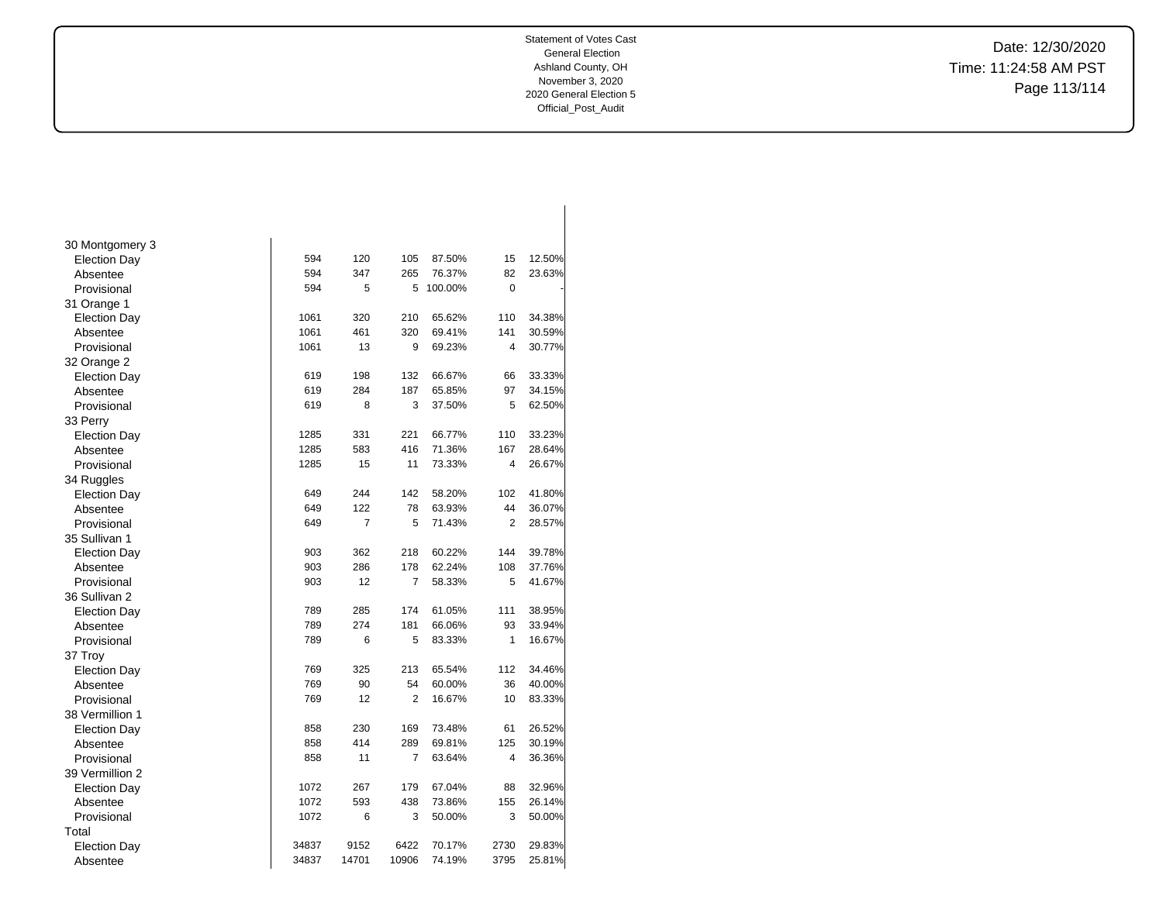Date: 12/30/2020 Time: 11:24:58 AM PST Page 113/114

| 30 Montgomery 3     |       |       |                |         |                |        |
|---------------------|-------|-------|----------------|---------|----------------|--------|
| <b>Election Day</b> | 594   | 120   | 105            | 87.50%  | 15             | 12.50% |
| Absentee            | 594   | 347   | 265            | 76.37%  | 82             | 23.63% |
| Provisional         | 594   | 5     | 5              | 100.00% | $\mathbf 0$    |        |
| 31 Orange 1         |       |       |                |         |                |        |
| <b>Election Day</b> | 1061  | 320   | 210            | 65.62%  | 110            | 34.38% |
| Absentee            | 1061  | 461   | 320            | 69.41%  | 141            | 30.59% |
| Provisional         | 1061  | 13    | 9              | 69.23%  | 4              | 30.77% |
| 32 Orange 2         |       |       |                |         |                |        |
| <b>Election Day</b> | 619   | 198   | 132            | 66.67%  | 66             | 33.33% |
| Absentee            | 619   | 284   | 187            | 65.85%  | 97             | 34.15% |
| Provisional         | 619   | 8     | 3              | 37.50%  | 5              | 62.50% |
| 33 Perry            |       |       |                |         |                |        |
| <b>Election Day</b> | 1285  | 331   | 221            | 66.77%  | 110            | 33.23% |
| Absentee            | 1285  | 583   | 416            | 71.36%  | 167            | 28.64% |
| Provisional         | 1285  | 15    | 11             | 73.33%  | 4              | 26.67% |
| 34 Ruggles          |       |       |                |         |                |        |
| <b>Election Day</b> | 649   | 244   | 142            | 58.20%  | 102            | 41.80% |
| Absentee            | 649   | 122   | 78             | 63.93%  | 44             | 36.07% |
| Provisional         | 649   | 7     | 5              | 71.43%  | $\overline{2}$ | 28.57% |
| 35 Sullivan 1       |       |       |                |         |                |        |
| <b>Election Day</b> | 903   | 362   | 218            | 60.22%  | 144            | 39.78% |
| Absentee            | 903   | 286   | 178            | 62.24%  | 108            | 37.76% |
| Provisional         | 903   | 12    | $\overline{7}$ | 58.33%  | 5              | 41.67% |
| 36 Sullivan 2       |       |       |                |         |                |        |
| <b>Election Day</b> | 789   | 285   | 174            | 61.05%  | 111            | 38.95% |
| Absentee            | 789   | 274   | 181            | 66.06%  | 93             | 33.94% |
| Provisional         | 789   | 6     | 5              | 83.33%  | $\mathbf{1}$   | 16.67% |
| 37 Troy             |       |       |                |         |                |        |
| <b>Election Day</b> | 769   | 325   | 213            | 65.54%  | 112            | 34.46% |
| Absentee            | 769   | 90    | 54             | 60.00%  | 36             | 40.00% |
| Provisional         | 769   | 12    | $\overline{2}$ | 16.67%  | 10             | 83.33% |
| 38 Vermillion 1     |       |       |                |         |                |        |
| <b>Election Day</b> | 858   | 230   | 169            | 73.48%  | 61             | 26.52% |
| Absentee            | 858   | 414   | 289            | 69.81%  | 125            | 30.19% |
| Provisional         | 858   | 11    | 7              | 63.64%  | 4              | 36.36% |
| 39 Vermillion 2     |       |       |                |         |                |        |
| <b>Election Day</b> | 1072  | 267   | 179            | 67.04%  | 88             | 32.96% |
| Absentee            | 1072  | 593   | 438            | 73.86%  | 155            | 26.14% |
| Provisional         | 1072  | 6     | 3              | 50.00%  | 3              | 50.00% |
| Total               |       |       |                |         |                |        |
| <b>Election Day</b> | 34837 | 9152  | 6422           | 70.17%  | 2730           | 29.83% |
| Absentee            | 34837 | 14701 | 10906          | 74.19%  | 3795           | 25.81% |